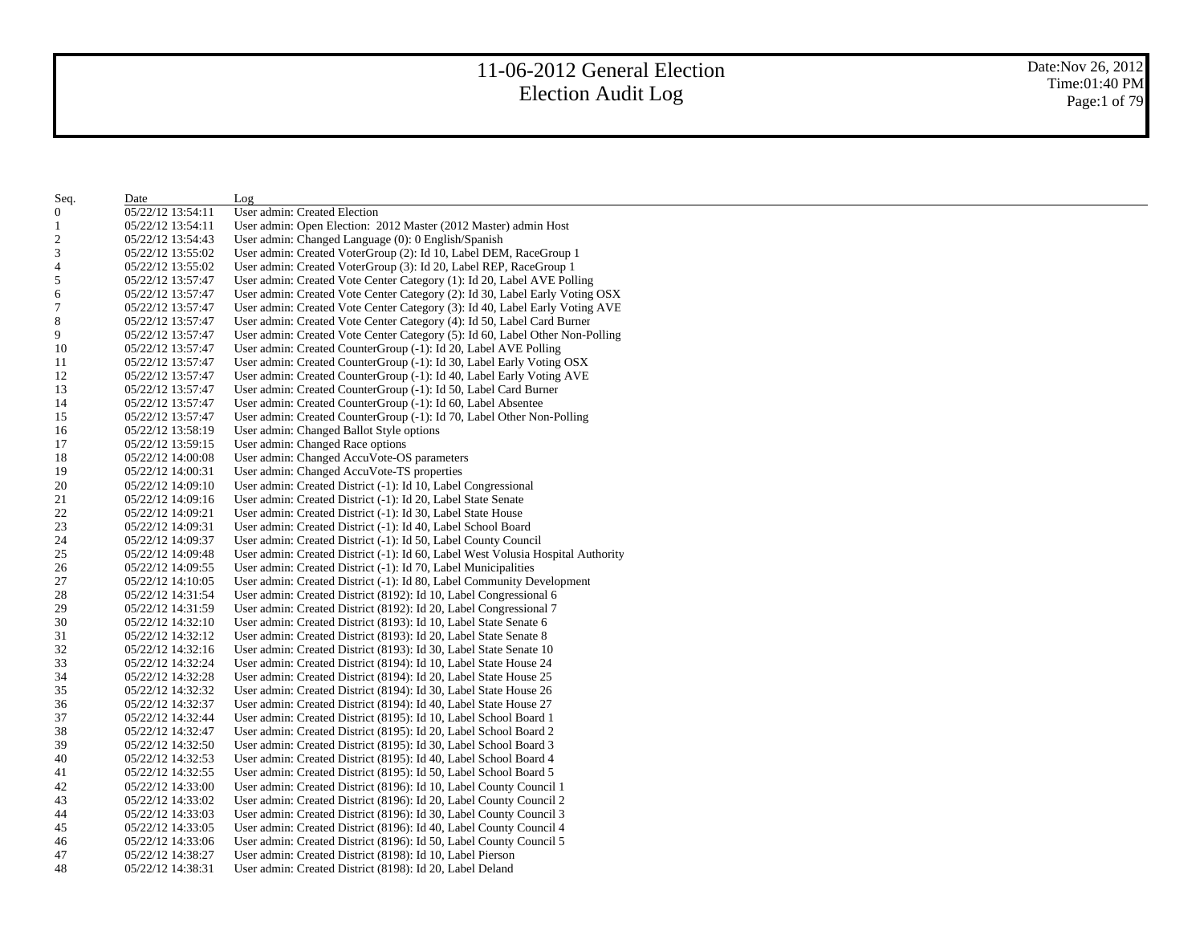Date:Nov 26, 2012 Time:01:40 PM Page:1 of 79

| Seq.                    | Date              | Log                                                                             |
|-------------------------|-------------------|---------------------------------------------------------------------------------|
| 0                       | 05/22/12 13:54:11 | User admin: Created Election                                                    |
| 1                       | 05/22/12 13:54:11 | User admin: Open Election: 2012 Master (2012 Master) admin Host                 |
| $\overline{\mathbf{c}}$ | 05/22/12 13:54:43 | User admin: Changed Language (0): 0 English/Spanish                             |
| 3                       | 05/22/12 13:55:02 | User admin: Created VoterGroup (2): Id 10, Label DEM, RaceGroup 1               |
| 4                       | 05/22/12 13:55:02 | User admin: Created VoterGroup (3): Id 20, Label REP, RaceGroup 1               |
| 5                       | 05/22/12 13:57:47 | User admin: Created Vote Center Category (1): Id 20, Label AVE Polling          |
| 6                       | 05/22/12 13:57:47 | User admin: Created Vote Center Category (2): Id 30, Label Early Voting OSX     |
| 7                       | 05/22/12 13:57:47 | User admin: Created Vote Center Category (3): Id 40, Label Early Voting AVE     |
| 8                       | 05/22/12 13:57:47 | User admin: Created Vote Center Category (4): Id 50, Label Card Burner          |
| 9                       | 05/22/12 13:57:47 | User admin: Created Vote Center Category (5): Id 60, Label Other Non-Polling    |
| 10                      | 05/22/12 13:57:47 | User admin: Created CounterGroup (-1): Id 20, Label AVE Polling                 |
| 11                      | 05/22/12 13:57:47 | User admin: Created CounterGroup (-1): Id 30, Label Early Voting OSX            |
| 12                      | 05/22/12 13:57:47 | User admin: Created CounterGroup (-1): Id 40, Label Early Voting AVE            |
| 13                      | 05/22/12 13:57:47 | User admin: Created CounterGroup (-1): Id 50, Label Card Burner                 |
| 14                      | 05/22/12 13:57:47 | User admin: Created CounterGroup (-1): Id 60, Label Absentee                    |
| 15                      | 05/22/12 13:57:47 | User admin: Created CounterGroup (-1): Id 70, Label Other Non-Polling           |
| 16                      | 05/22/12 13:58:19 | User admin: Changed Ballot Style options                                        |
| 17                      | 05/22/12 13:59:15 | User admin: Changed Race options                                                |
| 18                      | 05/22/12 14:00:08 | User admin: Changed AccuVote-OS parameters                                      |
| 19                      | 05/22/12 14:00:31 | User admin: Changed AccuVote-TS properties                                      |
| 20                      | 05/22/12 14:09:10 | User admin: Created District (-1): Id 10, Label Congressional                   |
| 21                      | 05/22/12 14:09:16 | User admin: Created District (-1): Id 20, Label State Senate                    |
| 22                      | 05/22/12 14:09:21 | User admin: Created District (-1): Id 30, Label State House                     |
| 23                      | 05/22/12 14:09:31 | User admin: Created District (-1): Id 40, Label School Board                    |
| 24                      | 05/22/12 14:09:37 | User admin: Created District (-1): Id 50, Label County Council                  |
| 25                      | 05/22/12 14:09:48 | User admin: Created District (-1): Id 60, Label West Volusia Hospital Authority |
| 26                      | 05/22/12 14:09:55 | User admin: Created District (-1): Id 70, Label Municipalities                  |
| 27                      | 05/22/12 14:10:05 | User admin: Created District (-1): Id 80, Label Community Development           |
| 28                      | 05/22/12 14:31:54 | User admin: Created District (8192): Id 10, Label Congressional 6               |
| 29                      | 05/22/12 14:31:59 | User admin: Created District (8192): Id 20, Label Congressional 7               |
| 30                      | 05/22/12 14:32:10 | User admin: Created District (8193): Id 10, Label State Senate 6                |
| 31                      | 05/22/12 14:32:12 | User admin: Created District (8193): Id 20, Label State Senate 8                |
| 32                      | 05/22/12 14:32:16 | User admin: Created District (8193): Id 30, Label State Senate 10               |
| 33                      | 05/22/12 14:32:24 | User admin: Created District (8194): Id 10, Label State House 24                |
| 34                      | 05/22/12 14:32:28 | User admin: Created District (8194): Id 20, Label State House 25                |
| 35                      | 05/22/12 14:32:32 | User admin: Created District (8194): Id 30, Label State House 26                |
| 36                      | 05/22/12 14:32:37 | User admin: Created District (8194): Id 40, Label State House 27                |
| 37                      | 05/22/12 14:32:44 | User admin: Created District (8195): Id 10, Label School Board 1                |
| 38                      | 05/22/12 14:32:47 | User admin: Created District (8195): Id 20, Label School Board 2                |
| 39                      | 05/22/12 14:32:50 | User admin: Created District (8195): Id 30, Label School Board 3                |
| 40                      | 05/22/12 14:32:53 | User admin: Created District (8195): Id 40, Label School Board 4                |
| 41                      | 05/22/12 14:32:55 | User admin: Created District (8195): Id 50, Label School Board 5                |
| 42                      | 05/22/12 14:33:00 | User admin: Created District (8196): Id 10, Label County Council 1              |
| 43                      | 05/22/12 14:33:02 | User admin: Created District (8196): Id 20, Label County Council 2              |
| 44                      | 05/22/12 14:33:03 | User admin: Created District (8196): Id 30, Label County Council 3              |
| 45                      | 05/22/12 14:33:05 | User admin: Created District (8196): Id 40, Label County Council 4              |
| 46                      | 05/22/12 14:33:06 | User admin: Created District (8196): Id 50, Label County Council 5              |
| 47                      | 05/22/12 14:38:27 | User admin: Created District (8198): Id 10, Label Pierson                       |
| 48                      | 05/22/12 14:38:31 | User admin: Created District (8198): Id 20, Label Deland                        |
|                         |                   |                                                                                 |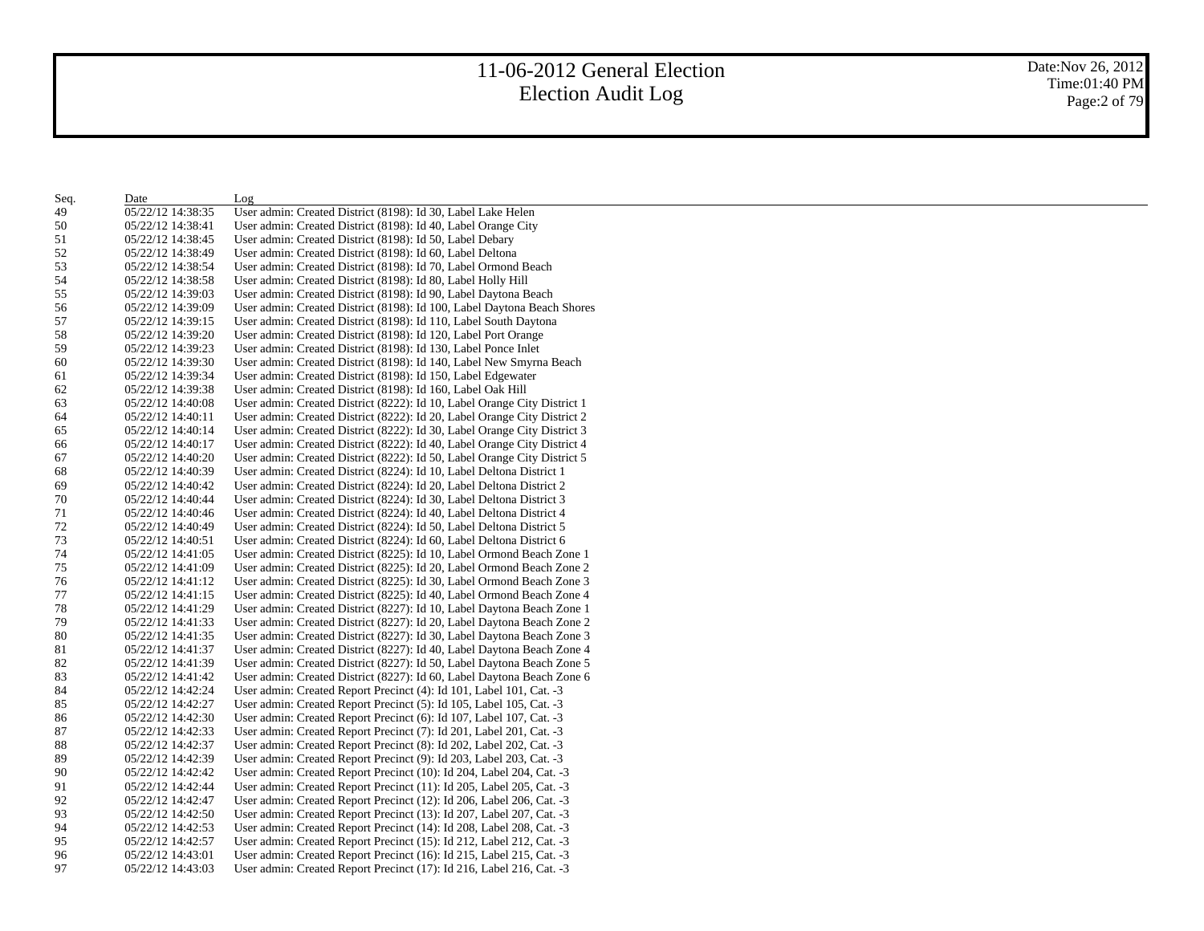Date:Nov 26, 2012 Time:01:40 PM Page:2 of 79

| Seq. | Date              | Log                                                                      |
|------|-------------------|--------------------------------------------------------------------------|
| 49   | 05/22/12 14:38:35 | User admin: Created District (8198): Id 30, Label Lake Helen             |
| 50   | 05/22/12 14:38:41 | User admin: Created District (8198): Id 40, Label Orange City            |
| 51   | 05/22/12 14:38:45 | User admin: Created District (8198): Id 50, Label Debary                 |
| 52   | 05/22/12 14:38:49 | User admin: Created District (8198): Id 60, Label Deltona                |
| 53   | 05/22/12 14:38:54 | User admin: Created District (8198): Id 70, Label Ormond Beach           |
| 54   | 05/22/12 14:38:58 | User admin: Created District (8198): Id 80, Label Holly Hill             |
| 55   | 05/22/12 14:39:03 | User admin: Created District (8198): Id 90, Label Daytona Beach          |
| 56   | 05/22/12 14:39:09 | User admin: Created District (8198): Id 100, Label Daytona Beach Shores  |
| 57   | 05/22/12 14:39:15 | User admin: Created District (8198): Id 110, Label South Daytona         |
| 58   | 05/22/12 14:39:20 | User admin: Created District (8198): Id 120, Label Port Orange           |
| 59   | 05/22/12 14:39:23 | User admin: Created District (8198): Id 130, Label Ponce Inlet           |
| 60   | 05/22/12 14:39:30 | User admin: Created District (8198): Id 140, Label New Smyrna Beach      |
| 61   | 05/22/12 14:39:34 | User admin: Created District (8198): Id 150, Label Edgewater             |
| 62   | 05/22/12 14:39:38 | User admin: Created District (8198): Id 160, Label Oak Hill              |
| 63   | 05/22/12 14:40:08 | User admin: Created District (8222): Id 10, Label Orange City District 1 |
| 64   | 05/22/12 14:40:11 | User admin: Created District (8222): Id 20, Label Orange City District 2 |
| 65   | 05/22/12 14:40:14 | User admin: Created District (8222): Id 30, Label Orange City District 3 |
| 66   | 05/22/12 14:40:17 | User admin: Created District (8222): Id 40, Label Orange City District 4 |
| 67   | 05/22/12 14:40:20 | User admin: Created District (8222): Id 50, Label Orange City District 5 |
| 68   | 05/22/12 14:40:39 | User admin: Created District (8224): Id 10, Label Deltona District 1     |
| 69   | 05/22/12 14:40:42 | User admin: Created District (8224): Id 20, Label Deltona District 2     |
| 70   | 05/22/12 14:40:44 | User admin: Created District (8224): Id 30, Label Deltona District 3     |
| 71   | 05/22/12 14:40:46 | User admin: Created District (8224): Id 40, Label Deltona District 4     |
| 72   | 05/22/12 14:40:49 | User admin: Created District (8224): Id 50, Label Deltona District 5     |
| 73   | 05/22/12 14:40:51 | User admin: Created District (8224): Id 60, Label Deltona District 6     |
| 74   | 05/22/12 14:41:05 | User admin: Created District (8225): Id 10, Label Ormond Beach Zone 1    |
| 75   | 05/22/12 14:41:09 | User admin: Created District (8225): Id 20, Label Ormond Beach Zone 2    |
| 76   | 05/22/12 14:41:12 | User admin: Created District (8225): Id 30, Label Ormond Beach Zone 3    |
| 77   | 05/22/12 14:41:15 | User admin: Created District (8225): Id 40, Label Ormond Beach Zone 4    |
| 78   | 05/22/12 14:41:29 | User admin: Created District (8227): Id 10, Label Daytona Beach Zone 1   |
| 79   | 05/22/12 14:41:33 | User admin: Created District (8227): Id 20, Label Daytona Beach Zone 2   |
| 80   | 05/22/12 14:41:35 | User admin: Created District (8227): Id 30, Label Daytona Beach Zone 3   |
| 81   | 05/22/12 14:41:37 | User admin: Created District (8227): Id 40, Label Daytona Beach Zone 4   |
| 82   | 05/22/12 14:41:39 | User admin: Created District (8227): Id 50, Label Daytona Beach Zone 5   |
| 83   | 05/22/12 14:41:42 | User admin: Created District (8227): Id 60, Label Daytona Beach Zone 6   |
| 84   | 05/22/12 14:42:24 | User admin: Created Report Precinct (4): Id 101, Label 101, Cat. -3      |
| 85   | 05/22/12 14:42:27 | User admin: Created Report Precinct (5): Id 105, Label 105, Cat. -3      |
| 86   | 05/22/12 14:42:30 | User admin: Created Report Precinct (6): Id 107, Label 107, Cat. -3      |
| 87   | 05/22/12 14:42:33 | User admin: Created Report Precinct (7): Id 201, Label 201, Cat. -3      |
| 88   | 05/22/12 14:42:37 | User admin: Created Report Precinct (8): Id 202, Label 202, Cat. -3      |
| 89   | 05/22/12 14:42:39 | User admin: Created Report Precinct (9): Id 203, Label 203, Cat. -3      |
| 90   | 05/22/12 14:42:42 | User admin: Created Report Precinct (10): Id 204, Label 204, Cat. -3     |
| 91   | 05/22/12 14:42:44 | User admin: Created Report Precinct (11): Id 205, Label 205, Cat. -3     |
| 92   | 05/22/12 14:42:47 | User admin: Created Report Precinct (12): Id 206, Label 206, Cat. -3     |
| 93   | 05/22/12 14:42:50 | User admin: Created Report Precinct (13): Id 207, Label 207, Cat. -3     |
| 94   | 05/22/12 14:42:53 | User admin: Created Report Precinct (14): Id 208, Label 208, Cat. -3     |
| 95   | 05/22/12 14:42:57 | User admin: Created Report Precinct (15): Id 212, Label 212, Cat. -3     |
| 96   | 05/22/12 14:43:01 | User admin: Created Report Precinct (16): Id 215, Label 215, Cat. -3     |
| 97   | 05/22/12 14:43:03 | User admin: Created Report Precinct (17): Id 216, Label 216, Cat. -3     |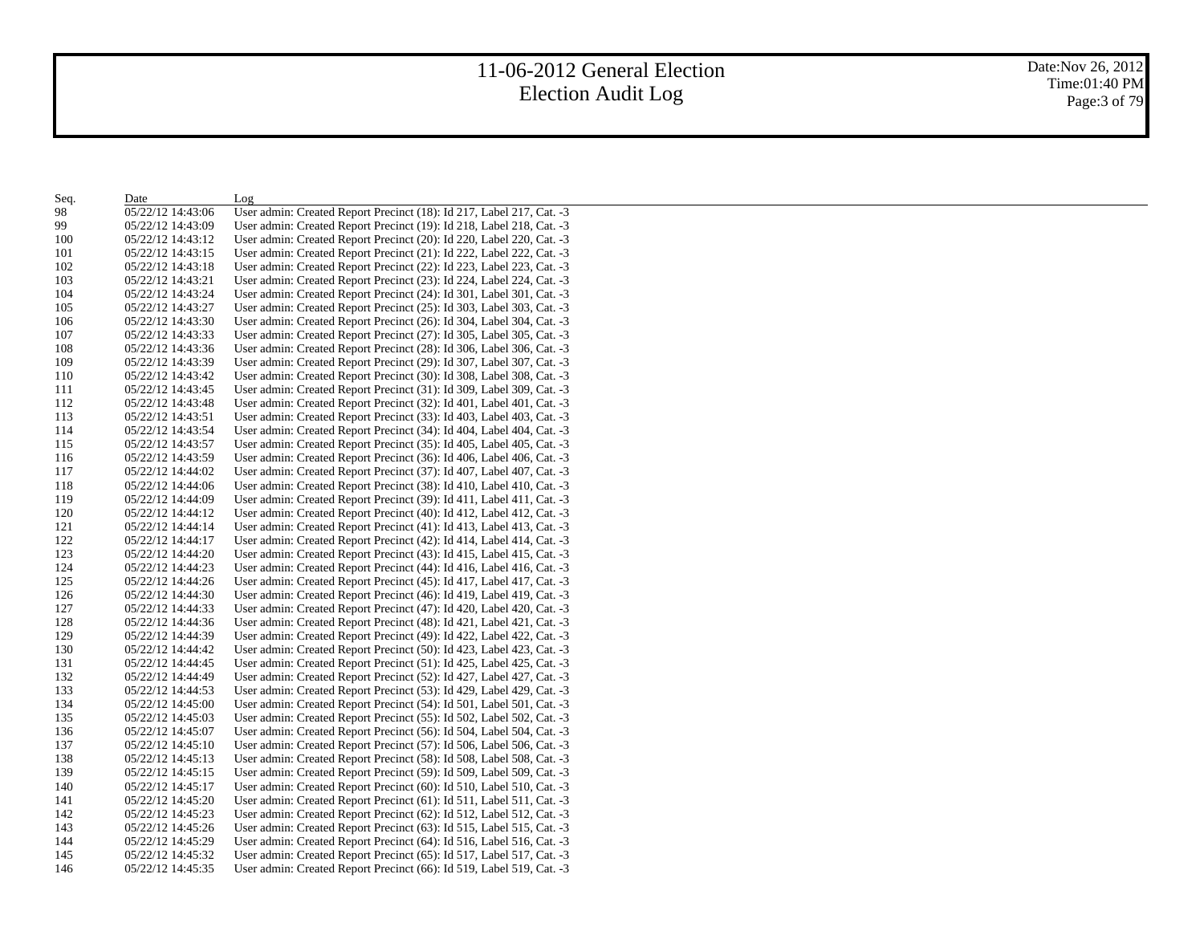| Seq. | Date              | Log                                                                  |
|------|-------------------|----------------------------------------------------------------------|
| 98   | 05/22/12 14:43:06 | User admin: Created Report Precinct (18): Id 217, Label 217, Cat. -3 |
| 99   | 05/22/12 14:43:09 | User admin: Created Report Precinct (19): Id 218, Label 218, Cat. -3 |
| 100  | 05/22/12 14:43:12 | User admin: Created Report Precinct (20): Id 220, Label 220, Cat. -3 |
| 101  | 05/22/12 14:43:15 | User admin: Created Report Precinct (21): Id 222, Label 222, Cat. -3 |
| 102  | 05/22/12 14:43:18 | User admin: Created Report Precinct (22): Id 223, Label 223, Cat. -3 |
| 103  | 05/22/12 14:43:21 | User admin: Created Report Precinct (23): Id 224, Label 224, Cat. -3 |
| 104  | 05/22/12 14:43:24 | User admin: Created Report Precinct (24): Id 301, Label 301, Cat. -3 |
| 105  | 05/22/12 14:43:27 | User admin: Created Report Precinct (25): Id 303, Label 303, Cat. -3 |
| 106  | 05/22/12 14:43:30 | User admin: Created Report Precinct (26): Id 304, Label 304, Cat. -3 |
| 107  | 05/22/12 14:43:33 | User admin: Created Report Precinct (27): Id 305, Label 305, Cat. -3 |
| 108  | 05/22/12 14:43:36 | User admin: Created Report Precinct (28): Id 306, Label 306, Cat. -3 |
| 109  | 05/22/12 14:43:39 | User admin: Created Report Precinct (29): Id 307, Label 307, Cat. -3 |
| 110  | 05/22/12 14:43:42 | User admin: Created Report Precinct (30): Id 308, Label 308, Cat. -3 |
| 111  | 05/22/12 14:43:45 | User admin: Created Report Precinct (31): Id 309, Label 309, Cat. -3 |
| 112  | 05/22/12 14:43:48 | User admin: Created Report Precinct (32): Id 401, Label 401, Cat. -3 |
| 113  | 05/22/12 14:43:51 | User admin: Created Report Precinct (33): Id 403, Label 403, Cat. -3 |
| 114  | 05/22/12 14:43:54 | User admin: Created Report Precinct (34): Id 404, Label 404, Cat. -3 |
| 115  | 05/22/12 14:43:57 | User admin: Created Report Precinct (35): Id 405, Label 405, Cat. -3 |
| 116  | 05/22/12 14:43:59 | User admin: Created Report Precinct (36): Id 406, Label 406, Cat. -3 |
| 117  | 05/22/12 14:44:02 | User admin: Created Report Precinct (37): Id 407, Label 407, Cat. -3 |
| 118  | 05/22/12 14:44:06 | User admin: Created Report Precinct (38): Id 410, Label 410, Cat. -3 |
| 119  | 05/22/12 14:44:09 | User admin: Created Report Precinct (39): Id 411, Label 411, Cat. -3 |
| 120  | 05/22/12 14:44:12 | User admin: Created Report Precinct (40): Id 412, Label 412, Cat. -3 |
| 121  | 05/22/12 14:44:14 | User admin: Created Report Precinct (41): Id 413, Label 413, Cat. -3 |
| 122  | 05/22/12 14:44:17 | User admin: Created Report Precinct (42): Id 414, Label 414, Cat. -3 |
| 123  | 05/22/12 14:44:20 | User admin: Created Report Precinct (43): Id 415, Label 415, Cat. -3 |
| 124  | 05/22/12 14:44:23 | User admin: Created Report Precinct (44): Id 416, Label 416, Cat. -3 |
| 125  | 05/22/12 14:44:26 | User admin: Created Report Precinct (45): Id 417, Label 417, Cat. -3 |
| 126  | 05/22/12 14:44:30 | User admin: Created Report Precinct (46): Id 419, Label 419, Cat. -3 |
| 127  | 05/22/12 14:44:33 | User admin: Created Report Precinct (47): Id 420, Label 420, Cat. -3 |
| 128  | 05/22/12 14:44:36 | User admin: Created Report Precinct (48): Id 421, Label 421, Cat. -3 |
| 129  | 05/22/12 14:44:39 | User admin: Created Report Precinct (49): Id 422, Label 422, Cat. -3 |
| 130  | 05/22/12 14:44:42 | User admin: Created Report Precinct (50): Id 423, Label 423, Cat. -3 |
| 131  | 05/22/12 14:44:45 | User admin: Created Report Precinct (51): Id 425, Label 425, Cat. -3 |
| 132  | 05/22/12 14:44:49 | User admin: Created Report Precinct (52): Id 427, Label 427, Cat. -3 |
| 133  | 05/22/12 14:44:53 | User admin: Created Report Precinct (53): Id 429, Label 429, Cat. -3 |
| 134  | 05/22/12 14:45:00 | User admin: Created Report Precinct (54): Id 501, Label 501, Cat. -3 |
| 135  | 05/22/12 14:45:03 | User admin: Created Report Precinct (55): Id 502, Label 502, Cat. -3 |
| 136  | 05/22/12 14:45:07 | User admin: Created Report Precinct (56): Id 504, Label 504, Cat. -3 |
| 137  | 05/22/12 14:45:10 | User admin: Created Report Precinct (57): Id 506, Label 506, Cat. -3 |
| 138  | 05/22/12 14:45:13 | User admin: Created Report Precinct (58): Id 508, Label 508, Cat. -3 |
| 139  | 05/22/12 14:45:15 | User admin: Created Report Precinct (59): Id 509, Label 509, Cat. -3 |
| 140  | 05/22/12 14:45:17 | User admin: Created Report Precinct (60): Id 510, Label 510, Cat. -3 |
| 141  | 05/22/12 14:45:20 | User admin: Created Report Precinct (61): Id 511, Label 511, Cat. -3 |
| 142  | 05/22/12 14:45:23 | User admin: Created Report Precinct (62): Id 512, Label 512, Cat. -3 |
| 143  | 05/22/12 14:45:26 | User admin: Created Report Precinct (63): Id 515, Label 515, Cat. -3 |
| 144  | 05/22/12 14:45:29 | User admin: Created Report Precinct (64): Id 516, Label 516, Cat. -3 |
| 145  | 05/22/12 14:45:32 | User admin: Created Report Precinct (65): Id 517, Label 517, Cat. -3 |
| 146  | 05/22/12 14:45:35 | User admin: Created Report Precinct (66): Id 519, Label 519, Cat. -3 |
|      |                   |                                                                      |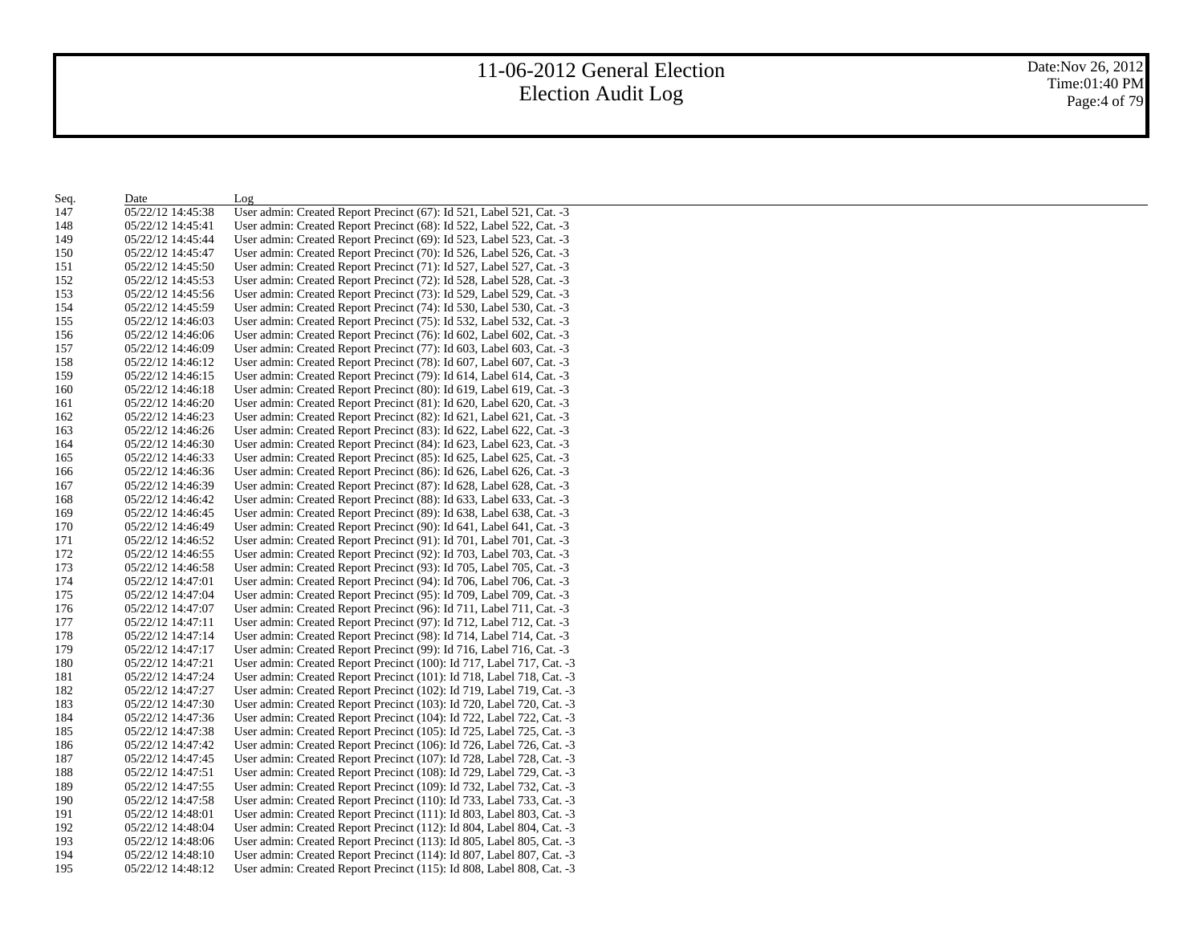| Seq. | Date              | Log                                                                   |
|------|-------------------|-----------------------------------------------------------------------|
| 147  | 05/22/12 14:45:38 | User admin: Created Report Precinct (67): Id 521, Label 521, Cat. -3  |
| 148  | 05/22/12 14:45:41 | User admin: Created Report Precinct (68): Id 522, Label 522, Cat. -3  |
| 149  | 05/22/12 14:45:44 | User admin: Created Report Precinct (69): Id 523, Label 523, Cat. -3  |
| 150  | 05/22/12 14:45:47 | User admin: Created Report Precinct (70): Id 526, Label 526, Cat. -3  |
| 151  | 05/22/12 14:45:50 | User admin: Created Report Precinct (71): Id 527, Label 527, Cat. -3  |
| 152  | 05/22/12 14:45:53 | User admin: Created Report Precinct (72): Id 528, Label 528, Cat. -3  |
| 153  | 05/22/12 14:45:56 | User admin: Created Report Precinct (73): Id 529, Label 529, Cat. -3  |
| 154  | 05/22/12 14:45:59 | User admin: Created Report Precinct (74): Id 530, Label 530, Cat. -3  |
| 155  | 05/22/12 14:46:03 | User admin: Created Report Precinct (75): Id 532, Label 532, Cat. -3  |
| 156  | 05/22/12 14:46:06 | User admin: Created Report Precinct (76): Id 602, Label 602, Cat. -3  |
| 157  | 05/22/12 14:46:09 | User admin: Created Report Precinct (77): Id 603, Label 603, Cat. -3  |
| 158  | 05/22/12 14:46:12 | User admin: Created Report Precinct (78): Id 607, Label 607, Cat. -3  |
| 159  | 05/22/12 14:46:15 | User admin: Created Report Precinct (79): Id 614, Label 614, Cat. -3  |
| 160  | 05/22/12 14:46:18 | User admin: Created Report Precinct (80): Id 619, Label 619, Cat. -3  |
| 161  | 05/22/12 14:46:20 | User admin: Created Report Precinct (81): Id 620, Label 620, Cat. -3  |
| 162  | 05/22/12 14:46:23 | User admin: Created Report Precinct (82): Id 621, Label 621, Cat. -3  |
| 163  | 05/22/12 14:46:26 | User admin: Created Report Precinct (83): Id 622, Label 622, Cat. -3  |
| 164  | 05/22/12 14:46:30 | User admin: Created Report Precinct (84): Id 623, Label 623, Cat. -3  |
| 165  | 05/22/12 14:46:33 | User admin: Created Report Precinct (85): Id 625, Label 625, Cat. -3  |
| 166  | 05/22/12 14:46:36 | User admin: Created Report Precinct (86): Id 626, Label 626, Cat. -3  |
| 167  | 05/22/12 14:46:39 | User admin: Created Report Precinct (87): Id 628, Label 628, Cat. -3  |
| 168  | 05/22/12 14:46:42 | User admin: Created Report Precinct (88): Id 633, Label 633, Cat. -3  |
| 169  | 05/22/12 14:46:45 | User admin: Created Report Precinct (89): Id 638, Label 638, Cat. -3  |
| 170  | 05/22/12 14:46:49 | User admin: Created Report Precinct (90): Id 641, Label 641, Cat. -3  |
| 171  | 05/22/12 14:46:52 | User admin: Created Report Precinct (91): Id 701, Label 701, Cat. -3  |
| 172  | 05/22/12 14:46:55 | User admin: Created Report Precinct (92): Id 703, Label 703, Cat. -3  |
| 173  | 05/22/12 14:46:58 | User admin: Created Report Precinct (93): Id 705, Label 705, Cat. -3  |
| 174  | 05/22/12 14:47:01 | User admin: Created Report Precinct (94): Id 706, Label 706, Cat. -3  |
| 175  | 05/22/12 14:47:04 | User admin: Created Report Precinct (95): Id 709, Label 709, Cat. -3  |
| 176  | 05/22/12 14:47:07 | User admin: Created Report Precinct (96): Id 711, Label 711, Cat. -3  |
| 177  | 05/22/12 14:47:11 | User admin: Created Report Precinct (97): Id 712, Label 712, Cat. -3  |
| 178  | 05/22/12 14:47:14 | User admin: Created Report Precinct (98): Id 714, Label 714, Cat. -3  |
| 179  | 05/22/12 14:47:17 | User admin: Created Report Precinct (99): Id 716, Label 716, Cat. -3  |
| 180  | 05/22/12 14:47:21 | User admin: Created Report Precinct (100): Id 717, Label 717, Cat. -3 |
| 181  | 05/22/12 14:47:24 | User admin: Created Report Precinct (101): Id 718, Label 718, Cat. -3 |
| 182  | 05/22/12 14:47:27 | User admin: Created Report Precinct (102): Id 719, Label 719, Cat. -3 |
| 183  | 05/22/12 14:47:30 | User admin: Created Report Precinct (103): Id 720, Label 720, Cat. -3 |
| 184  | 05/22/12 14:47:36 | User admin: Created Report Precinct (104): Id 722, Label 722, Cat. -3 |
| 185  | 05/22/12 14:47:38 | User admin: Created Report Precinct (105): Id 725, Label 725, Cat. -3 |
| 186  | 05/22/12 14:47:42 | User admin: Created Report Precinct (106): Id 726, Label 726, Cat. -3 |
| 187  | 05/22/12 14:47:45 | User admin: Created Report Precinct (107): Id 728, Label 728, Cat. -3 |
| 188  | 05/22/12 14:47:51 | User admin: Created Report Precinct (108): Id 729, Label 729, Cat. -3 |
| 189  | 05/22/12 14:47:55 | User admin: Created Report Precinct (109): Id 732, Label 732, Cat. -3 |
| 190  | 05/22/12 14:47:58 | User admin: Created Report Precinct (110): Id 733, Label 733, Cat. -3 |
| 191  | 05/22/12 14:48:01 | User admin: Created Report Precinct (111): Id 803, Label 803, Cat. -3 |
| 192  | 05/22/12 14:48:04 | User admin: Created Report Precinct (112): Id 804, Label 804, Cat. -3 |
| 193  | 05/22/12 14:48:06 | User admin: Created Report Precinct (113): Id 805, Label 805, Cat. -3 |
| 194  | 05/22/12 14:48:10 | User admin: Created Report Precinct (114): Id 807, Label 807, Cat. -3 |
| 195  | 05/22/12 14:48:12 | User admin: Created Report Precinct (115): Id 808, Label 808, Cat. -3 |
|      |                   |                                                                       |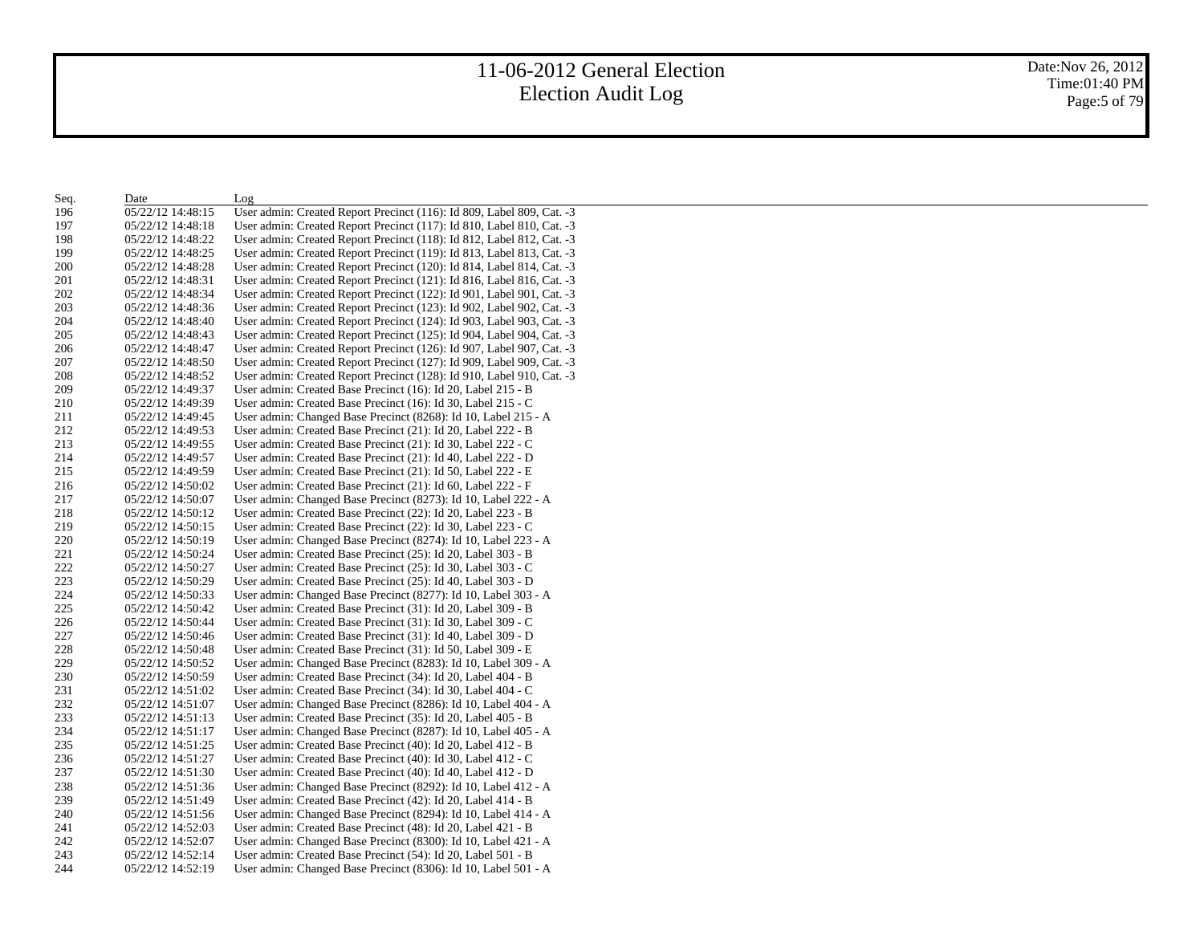| Seq. | Date              | Log                                                                   |
|------|-------------------|-----------------------------------------------------------------------|
| 196  | 05/22/12 14:48:15 | User admin: Created Report Precinct (116): Id 809, Label 809, Cat. -3 |
| 197  | 05/22/12 14:48:18 | User admin: Created Report Precinct (117): Id 810, Label 810, Cat. -3 |
| 198  | 05/22/12 14:48:22 | User admin: Created Report Precinct (118): Id 812, Label 812, Cat. -3 |
| 199  | 05/22/12 14:48:25 | User admin: Created Report Precinct (119): Id 813, Label 813, Cat. -3 |
| 200  | 05/22/12 14:48:28 | User admin: Created Report Precinct (120): Id 814, Label 814, Cat. -3 |
| 201  | 05/22/12 14:48:31 | User admin: Created Report Precinct (121): Id 816, Label 816, Cat. -3 |
| 202  | 05/22/12 14:48:34 | User admin: Created Report Precinct (122): Id 901, Label 901, Cat. -3 |
| 203  | 05/22/12 14:48:36 | User admin: Created Report Precinct (123): Id 902, Label 902, Cat. -3 |
| 204  | 05/22/12 14:48:40 | User admin: Created Report Precinct (124): Id 903, Label 903, Cat. -3 |
| 205  | 05/22/12 14:48:43 | User admin: Created Report Precinct (125): Id 904, Label 904, Cat. -3 |
| 206  | 05/22/12 14:48:47 | User admin: Created Report Precinct (126): Id 907, Label 907, Cat. -3 |
| 207  | 05/22/12 14:48:50 | User admin: Created Report Precinct (127): Id 909, Label 909, Cat. -3 |
| 208  | 05/22/12 14:48:52 | User admin: Created Report Precinct (128): Id 910, Label 910, Cat. -3 |
| 209  | 05/22/12 14:49:37 | User admin: Created Base Precinct (16): Id 20, Label 215 - B          |
| 210  | 05/22/12 14:49:39 | User admin: Created Base Precinct (16): Id 30, Label 215 - C          |
| 211  | 05/22/12 14:49:45 | User admin: Changed Base Precinct (8268): Id 10, Label 215 - A        |
| 212  | 05/22/12 14:49:53 | User admin: Created Base Precinct (21): Id 20, Label 222 - B          |
| 213  | 05/22/12 14:49:55 | User admin: Created Base Precinct (21): Id 30, Label 222 - C          |
| 214  | 05/22/12 14:49:57 | User admin: Created Base Precinct (21): Id 40, Label 222 - D          |
| 215  | 05/22/12 14:49:59 | User admin: Created Base Precinct (21): Id 50, Label 222 - E          |
| 216  | 05/22/12 14:50:02 | User admin: Created Base Precinct (21): Id 60, Label 222 - F          |
| 217  | 05/22/12 14:50:07 | User admin: Changed Base Precinct (8273): Id 10, Label 222 - A        |
| 218  | 05/22/12 14:50:12 | User admin: Created Base Precinct (22): Id 20, Label 223 - B          |
| 219  | 05/22/12 14:50:15 | User admin: Created Base Precinct (22): Id 30, Label 223 - C          |
| 220  | 05/22/12 14:50:19 | User admin: Changed Base Precinct (8274): Id 10, Label 223 - A        |
| 221  | 05/22/12 14:50:24 | User admin: Created Base Precinct (25): Id 20, Label 303 - B          |
| 222  | 05/22/12 14:50:27 | User admin: Created Base Precinct (25): Id 30, Label 303 - C          |
| 223  | 05/22/12 14:50:29 | User admin: Created Base Precinct (25): Id 40, Label 303 - D          |
| 224  | 05/22/12 14:50:33 | User admin: Changed Base Precinct (8277): Id 10, Label 303 - A        |
| 225  | 05/22/12 14:50:42 | User admin: Created Base Precinct (31): Id 20, Label 309 - B          |
| 226  | 05/22/12 14:50:44 | User admin: Created Base Precinct (31): Id 30, Label 309 - C          |
| 227  |                   | User admin: Created Base Precinct (31): Id 40, Label 309 - D          |
|      | 05/22/12 14:50:46 |                                                                       |
| 228  | 05/22/12 14:50:48 | User admin: Created Base Precinct (31): Id 50, Label 309 - E          |
| 229  | 05/22/12 14:50:52 | User admin: Changed Base Precinct (8283): Id 10, Label 309 - A        |
| 230  | 05/22/12 14:50:59 | User admin: Created Base Precinct (34): Id 20, Label 404 - B          |
| 231  | 05/22/12 14:51:02 | User admin: Created Base Precinct (34): Id 30, Label 404 - C          |
| 232  | 05/22/12 14:51:07 | User admin: Changed Base Precinct (8286): Id 10, Label 404 - A        |
| 233  | 05/22/12 14:51:13 | User admin: Created Base Precinct (35): Id 20, Label 405 - B          |
| 234  | 05/22/12 14:51:17 | User admin: Changed Base Precinct (8287): Id 10, Label 405 - A        |
| 235  | 05/22/12 14:51:25 | User admin: Created Base Precinct (40): Id 20, Label 412 - B          |
| 236  | 05/22/12 14:51:27 | User admin: Created Base Precinct (40): Id 30, Label 412 - C          |
| 237  | 05/22/12 14:51:30 | User admin: Created Base Precinct (40): Id 40, Label 412 - D          |
| 238  | 05/22/12 14:51:36 | User admin: Changed Base Precinct (8292): Id 10, Label 412 - A        |
| 239  | 05/22/12 14:51:49 | User admin: Created Base Precinct (42): Id 20, Label 414 - B          |
| 240  | 05/22/12 14:51:56 | User admin: Changed Base Precinct (8294): Id 10, Label 414 - A        |
| 241  | 05/22/12 14:52:03 | User admin: Created Base Precinct (48): Id 20, Label 421 - B          |
| 242  | 05/22/12 14:52:07 | User admin: Changed Base Precinct (8300): Id 10, Label 421 - A        |
| 243  | 05/22/12 14:52:14 | User admin: Created Base Precinct (54): Id 20, Label 501 - B          |
| 244  | 05/22/12 14:52:19 | User admin: Changed Base Precinct (8306): Id 10, Label 501 - A        |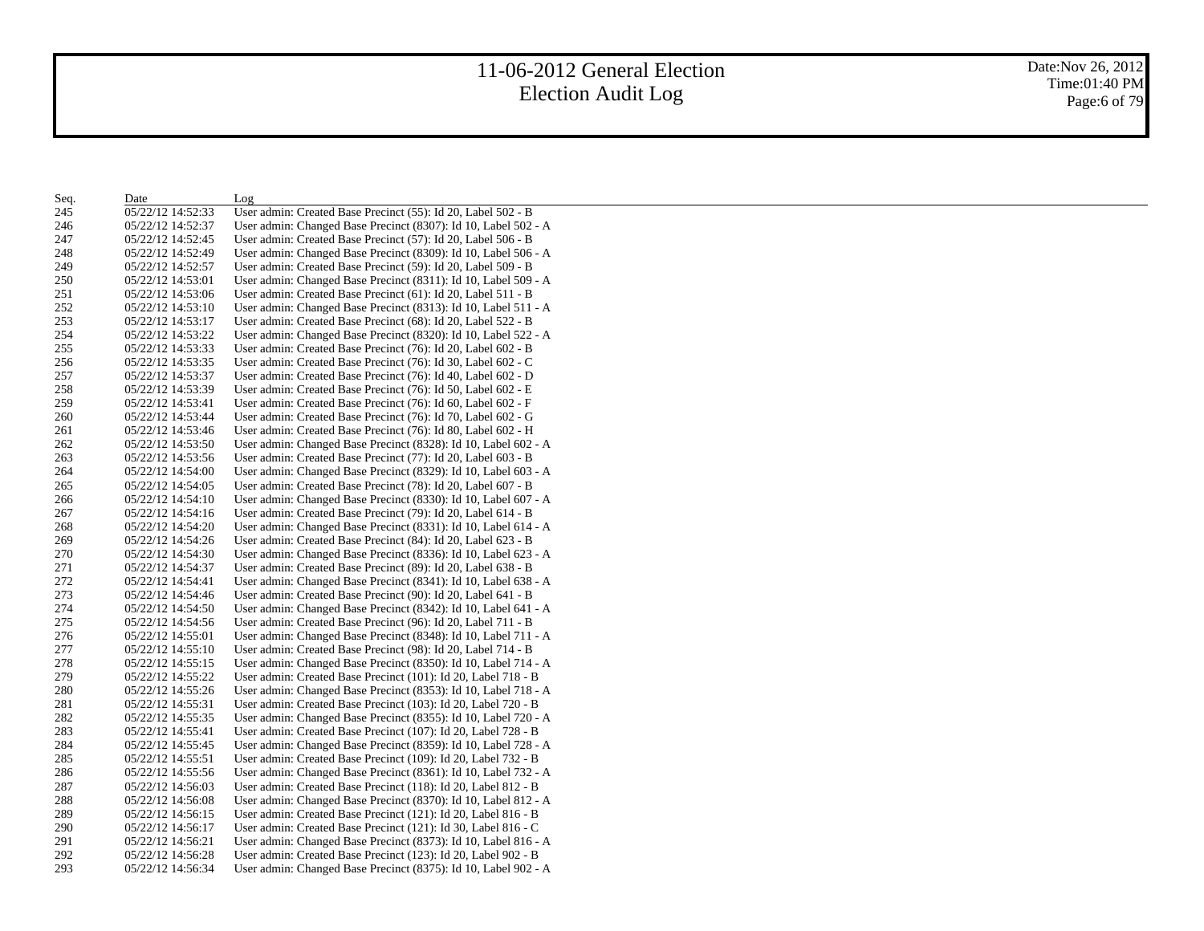Date:Nov 26, 2012 Time:01:40 PM Page:6 of 79

| Seq. | Date              | Log                                                            |
|------|-------------------|----------------------------------------------------------------|
| 245  | 05/22/12 14:52:33 | User admin: Created Base Precinct (55): Id 20, Label 502 - B   |
| 246  | 05/22/12 14:52:37 | User admin: Changed Base Precinct (8307): Id 10, Label 502 - A |
| 247  | 05/22/12 14:52:45 | User admin: Created Base Precinct (57): Id 20, Label 506 - B   |
| 248  | 05/22/12 14:52:49 | User admin: Changed Base Precinct (8309): Id 10, Label 506 - A |
| 249  | 05/22/12 14:52:57 | User admin: Created Base Precinct (59): Id 20, Label 509 - B   |
| 250  | 05/22/12 14:53:01 | User admin: Changed Base Precinct (8311): Id 10, Label 509 - A |
| 251  | 05/22/12 14:53:06 | User admin: Created Base Precinct (61): Id 20, Label 511 - B   |
| 252  | 05/22/12 14:53:10 | User admin: Changed Base Precinct (8313): Id 10, Label 511 - A |
| 253  | 05/22/12 14:53:17 | User admin: Created Base Precinct (68): Id 20, Label 522 - B   |
| 254  | 05/22/12 14:53:22 | User admin: Changed Base Precinct (8320): Id 10, Label 522 - A |
| 255  | 05/22/12 14:53:33 | User admin: Created Base Precinct (76): Id 20, Label 602 - B   |
| 256  | 05/22/12 14:53:35 | User admin: Created Base Precinct (76): Id 30, Label 602 - C   |
| 257  | 05/22/12 14:53:37 | User admin: Created Base Precinct (76): Id 40, Label 602 - D   |
| 258  | 05/22/12 14:53:39 | User admin: Created Base Precinct (76): Id 50, Label 602 - E   |
| 259  | 05/22/12 14:53:41 | User admin: Created Base Precinct (76): Id 60, Label 602 - F   |
| 260  | 05/22/12 14:53:44 | User admin: Created Base Precinct (76): Id 70, Label 602 - G   |
| 261  | 05/22/12 14:53:46 | User admin: Created Base Precinct (76): Id 80, Label 602 - H   |
| 262  | 05/22/12 14:53:50 | User admin: Changed Base Precinct (8328): Id 10, Label 602 - A |
| 263  | 05/22/12 14:53:56 | User admin: Created Base Precinct (77): Id 20, Label 603 - B   |
| 264  | 05/22/12 14:54:00 | User admin: Changed Base Precinct (8329): Id 10, Label 603 - A |
| 265  | 05/22/12 14:54:05 | User admin: Created Base Precinct (78): Id 20, Label 607 - B   |
| 266  | 05/22/12 14:54:10 | User admin: Changed Base Precinct (8330): Id 10, Label 607 - A |
| 267  | 05/22/12 14:54:16 | User admin: Created Base Precinct (79): Id 20, Label 614 - B   |
| 268  | 05/22/12 14:54:20 | User admin: Changed Base Precinct (8331): Id 10, Label 614 - A |
| 269  | 05/22/12 14:54:26 | User admin: Created Base Precinct (84): Id 20, Label 623 - B   |
| 270  | 05/22/12 14:54:30 | User admin: Changed Base Precinct (8336): Id 10, Label 623 - A |
| 271  | 05/22/12 14:54:37 | User admin: Created Base Precinct (89): Id 20, Label 638 - B   |
| 272  | 05/22/12 14:54:41 | User admin: Changed Base Precinct (8341): Id 10, Label 638 - A |
| 273  | 05/22/12 14:54:46 | User admin: Created Base Precinct (90): Id 20, Label 641 - B   |
| 274  | 05/22/12 14:54:50 | User admin: Changed Base Precinct (8342): Id 10, Label 641 - A |
| 275  | 05/22/12 14:54:56 | User admin: Created Base Precinct (96): Id 20, Label 711 - B   |
| 276  | 05/22/12 14:55:01 | User admin: Changed Base Precinct (8348): Id 10, Label 711 - A |
| 277  | 05/22/12 14:55:10 | User admin: Created Base Precinct (98): Id 20, Label 714 - B   |
| 278  | 05/22/12 14:55:15 | User admin: Changed Base Precinct (8350): Id 10, Label 714 - A |
| 279  | 05/22/12 14:55:22 | User admin: Created Base Precinct (101): Id 20, Label 718 - B  |
| 280  | 05/22/12 14:55:26 | User admin: Changed Base Precinct (8353): Id 10, Label 718 - A |
| 281  | 05/22/12 14:55:31 | User admin: Created Base Precinct (103): Id 20, Label 720 - B  |
| 282  | 05/22/12 14:55:35 | User admin: Changed Base Precinct (8355): Id 10, Label 720 - A |
| 283  | 05/22/12 14:55:41 | User admin: Created Base Precinct (107): Id 20, Label 728 - B  |
| 284  | 05/22/12 14:55:45 | User admin: Changed Base Precinct (8359): Id 10, Label 728 - A |
| 285  | 05/22/12 14:55:51 | User admin: Created Base Precinct (109): Id 20, Label 732 - B  |
| 286  | 05/22/12 14:55:56 | User admin: Changed Base Precinct (8361): Id 10, Label 732 - A |
| 287  | 05/22/12 14:56:03 | User admin: Created Base Precinct (118): Id 20, Label 812 - B  |
| 288  | 05/22/12 14:56:08 | User admin: Changed Base Precinct (8370): Id 10, Label 812 - A |
| 289  | 05/22/12 14:56:15 | User admin: Created Base Precinct (121): Id 20, Label 816 - B  |
| 290  | 05/22/12 14:56:17 | User admin: Created Base Precinct (121): Id 30, Label 816 - C  |
| 291  | 05/22/12 14:56:21 | User admin: Changed Base Precinct (8373): Id 10, Label 816 - A |
| 292  | 05/22/12 14:56:28 | User admin: Created Base Precinct (123): Id 20, Label 902 - B  |
| 293  | 05/22/12 14:56:34 | User admin: Changed Base Precinct (8375): Id 10, Label 902 - A |
|      |                   |                                                                |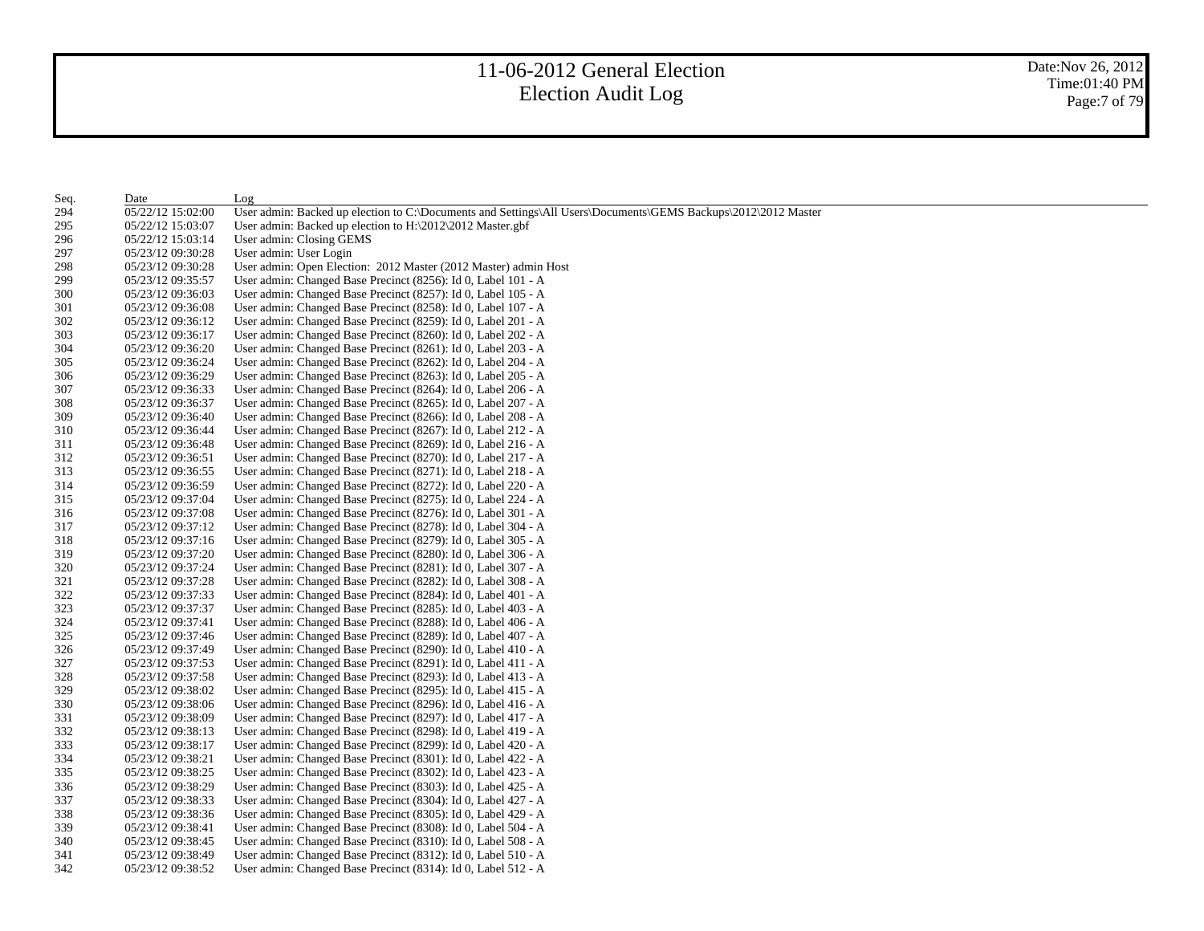Date:Nov 26, 2012 Time:01:40 PM Page:7 of 79

| Seq. | Date              | Log                                                                                                           |
|------|-------------------|---------------------------------------------------------------------------------------------------------------|
| 294  | 05/22/12 15:02:00 | User admin: Backed up election to C:\Documents and Settings\All Users\Documents\GEMS Backups\2012\2012 Master |
| 295  | 05/22/12 15:03:07 | User admin: Backed up election to $H:\2012\2012$ Master.gbf                                                   |
| 296  | 05/22/12 15:03:14 | User admin: Closing GEMS                                                                                      |
| 297  | 05/23/12 09:30:28 | User admin: User Login                                                                                        |
| 298  | 05/23/12 09:30:28 | User admin: Open Election: 2012 Master (2012 Master) admin Host                                               |
| 299  | 05/23/12 09:35:57 | User admin: Changed Base Precinct (8256): Id 0, Label 101 - A                                                 |
| 300  | 05/23/12 09:36:03 | User admin: Changed Base Precinct (8257): Id 0, Label 105 - A                                                 |
| 301  | 05/23/12 09:36:08 | User admin: Changed Base Precinct (8258): Id 0, Label 107 - A                                                 |
| 302  | 05/23/12 09:36:12 | User admin: Changed Base Precinct (8259): Id 0, Label 201 - A                                                 |
| 303  | 05/23/12 09:36:17 | User admin: Changed Base Precinct (8260): Id 0, Label 202 - A                                                 |
| 304  | 05/23/12 09:36:20 | User admin: Changed Base Precinct (8261): Id 0, Label 203 - A                                                 |
| 305  | 05/23/12 09:36:24 | User admin: Changed Base Precinct (8262): Id 0, Label 204 - A                                                 |
| 306  | 05/23/12 09:36:29 | User admin: Changed Base Precinct (8263): Id 0, Label 205 - A                                                 |
| 307  | 05/23/12 09:36:33 | User admin: Changed Base Precinct (8264): Id 0, Label 206 - A                                                 |
| 308  | 05/23/12 09:36:37 | User admin: Changed Base Precinct (8265): Id 0, Label 207 - A                                                 |
| 309  | 05/23/12 09:36:40 | User admin: Changed Base Precinct (8266): Id 0, Label 208 - A                                                 |
| 310  | 05/23/12 09:36:44 | User admin: Changed Base Precinct (8267): Id 0, Label 212 - A                                                 |
| 311  | 05/23/12 09:36:48 | User admin: Changed Base Precinct (8269): Id 0, Label 216 - A                                                 |
| 312  | 05/23/12 09:36:51 | User admin: Changed Base Precinct (8270): Id 0, Label 217 - A                                                 |
| 313  | 05/23/12 09:36:55 | User admin: Changed Base Precinct (8271): Id 0, Label 218 - A                                                 |
| 314  | 05/23/12 09:36:59 | User admin: Changed Base Precinct (8272): Id 0, Label 220 - A                                                 |
| 315  | 05/23/12 09:37:04 | User admin: Changed Base Precinct (8275): Id 0, Label 224 - A                                                 |
| 316  | 05/23/12 09:37:08 | User admin: Changed Base Precinct (8276): Id 0, Label 301 - A                                                 |
| 317  | 05/23/12 09:37:12 | User admin: Changed Base Precinct (8278): Id 0, Label 304 - A                                                 |
| 318  | 05/23/12 09:37:16 | User admin: Changed Base Precinct (8279): Id 0, Label 305 - A                                                 |
| 319  | 05/23/12 09:37:20 | User admin: Changed Base Precinct (8280): Id 0, Label 306 - A                                                 |
| 320  | 05/23/12 09:37:24 | User admin: Changed Base Precinct (8281): Id 0, Label 307 - A                                                 |
| 321  | 05/23/12 09:37:28 | User admin: Changed Base Precinct (8282): Id 0, Label 308 - A                                                 |
| 322  | 05/23/12 09:37:33 | User admin: Changed Base Precinct (8284): Id 0, Label 401 - A                                                 |
| 323  | 05/23/12 09:37:37 | User admin: Changed Base Precinct (8285): Id 0, Label 403 - A                                                 |
| 324  | 05/23/12 09:37:41 | User admin: Changed Base Precinct (8288): Id 0, Label 406 - A                                                 |
| 325  | 05/23/12 09:37:46 | User admin: Changed Base Precinct (8289): Id 0, Label 407 - A                                                 |
| 326  | 05/23/12 09:37:49 | User admin: Changed Base Precinct (8290): Id 0, Label 410 - A                                                 |
| 327  | 05/23/12 09:37:53 | User admin: Changed Base Precinct (8291): Id 0, Label 411 - A                                                 |
| 328  | 05/23/12 09:37:58 | User admin: Changed Base Precinct (8293): Id 0, Label 413 - A                                                 |
| 329  | 05/23/12 09:38:02 | User admin: Changed Base Precinct (8295): Id 0, Label 415 - A                                                 |
| 330  | 05/23/12 09:38:06 | User admin: Changed Base Precinct (8296): Id 0, Label 416 - A                                                 |
| 331  | 05/23/12 09:38:09 | User admin: Changed Base Precinct (8297): Id 0, Label 417 - A                                                 |
| 332  | 05/23/12 09:38:13 | User admin: Changed Base Precinct (8298): Id 0, Label 419 - A                                                 |
| 333  | 05/23/12 09:38:17 | User admin: Changed Base Precinct (8299): Id 0, Label 420 - A                                                 |
| 334  | 05/23/12 09:38:21 | User admin: Changed Base Precinct (8301): Id 0, Label 422 - A                                                 |
| 335  | 05/23/12 09:38:25 | User admin: Changed Base Precinct (8302): Id 0, Label 423 - A                                                 |
| 336  | 05/23/12 09:38:29 | User admin: Changed Base Precinct (8303): Id 0, Label 425 - A                                                 |
| 337  | 05/23/12 09:38:33 | User admin: Changed Base Precinct (8304): Id 0, Label 427 - A                                                 |
| 338  | 05/23/12 09:38:36 | User admin: Changed Base Precinct (8305): Id 0, Label 429 - A                                                 |
| 339  | 05/23/12 09:38:41 | User admin: Changed Base Precinct (8308): Id 0, Label 504 - A                                                 |
| 340  | 05/23/12 09:38:45 | User admin: Changed Base Precinct (8310): Id 0, Label 508 - A                                                 |
| 341  | 05/23/12 09:38:49 | User admin: Changed Base Precinct (8312): Id 0, Label 510 - A                                                 |
| 342  | 05/23/12 09:38:52 | User admin: Changed Base Precinct (8314): Id 0, Label 512 - A                                                 |
|      |                   |                                                                                                               |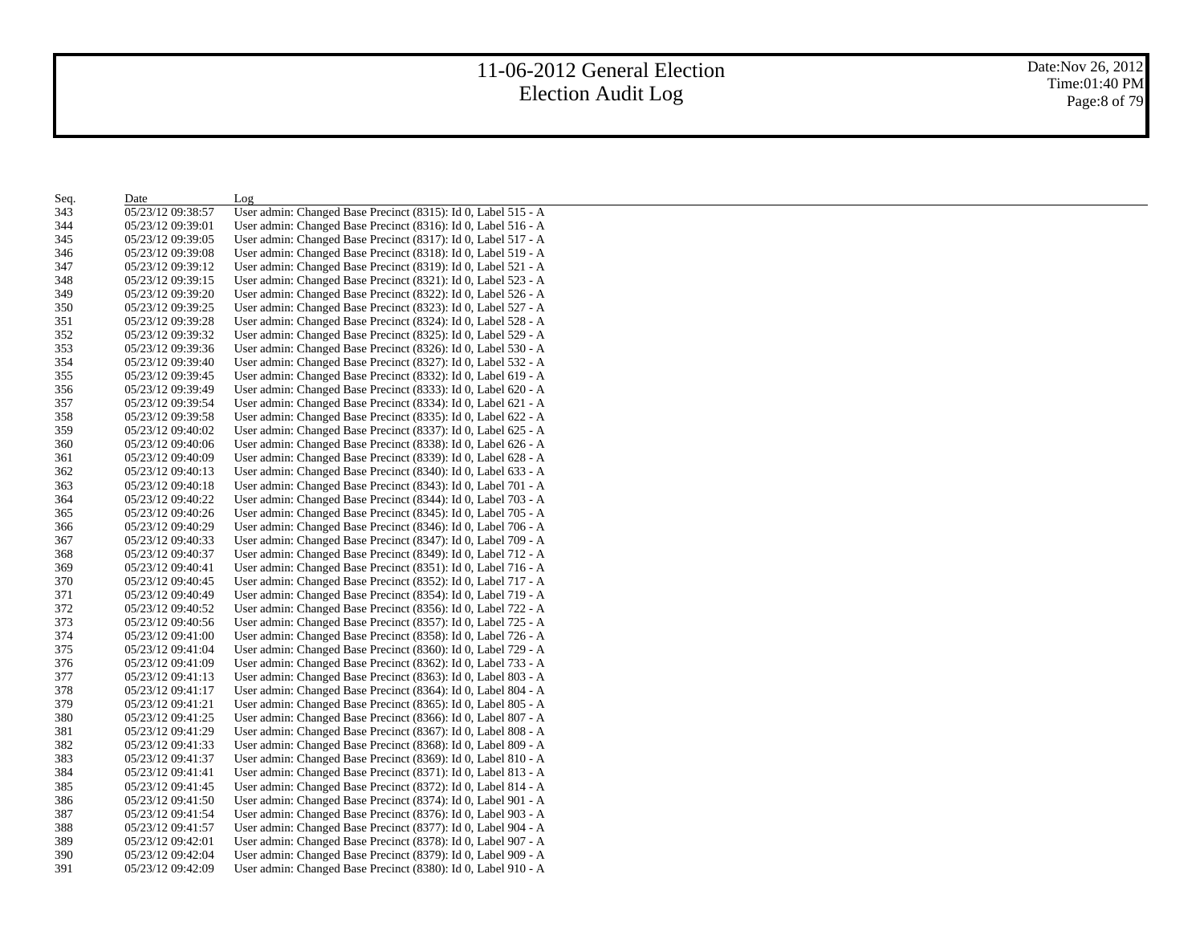| Seq. | Date              | Log                                                           |
|------|-------------------|---------------------------------------------------------------|
| 343  | 05/23/12 09:38:57 | User admin: Changed Base Precinct (8315): Id 0, Label 515 - A |
| 344  | 05/23/12 09:39:01 | User admin: Changed Base Precinct (8316): Id 0, Label 516 - A |
| 345  | 05/23/12 09:39:05 | User admin: Changed Base Precinct (8317): Id 0, Label 517 - A |
| 346  | 05/23/12 09:39:08 | User admin: Changed Base Precinct (8318): Id 0, Label 519 - A |
| 347  | 05/23/12 09:39:12 | User admin: Changed Base Precinct (8319): Id 0, Label 521 - A |
| 348  | 05/23/12 09:39:15 | User admin: Changed Base Precinct (8321): Id 0, Label 523 - A |
| 349  | 05/23/12 09:39:20 | User admin: Changed Base Precinct (8322): Id 0, Label 526 - A |
| 350  | 05/23/12 09:39:25 | User admin: Changed Base Precinct (8323): Id 0, Label 527 - A |
| 351  | 05/23/12 09:39:28 | User admin: Changed Base Precinct (8324): Id 0, Label 528 - A |
| 352  | 05/23/12 09:39:32 | User admin: Changed Base Precinct (8325): Id 0, Label 529 - A |
| 353  | 05/23/12 09:39:36 | User admin: Changed Base Precinct (8326): Id 0, Label 530 - A |
| 354  | 05/23/12 09:39:40 | User admin: Changed Base Precinct (8327): Id 0, Label 532 - A |
| 355  | 05/23/12 09:39:45 | User admin: Changed Base Precinct (8332): Id 0, Label 619 - A |
| 356  | 05/23/12 09:39:49 | User admin: Changed Base Precinct (8333): Id 0, Label 620 - A |
| 357  | 05/23/12 09:39:54 | User admin: Changed Base Precinct (8334): Id 0, Label 621 - A |
| 358  | 05/23/12 09:39:58 | User admin: Changed Base Precinct (8335): Id 0, Label 622 - A |
| 359  | 05/23/12 09:40:02 | User admin: Changed Base Precinct (8337): Id 0, Label 625 - A |
| 360  | 05/23/12 09:40:06 | User admin: Changed Base Precinct (8338): Id 0, Label 626 - A |
| 361  | 05/23/12 09:40:09 | User admin: Changed Base Precinct (8339): Id 0, Label 628 - A |
| 362  | 05/23/12 09:40:13 | User admin: Changed Base Precinct (8340): Id 0, Label 633 - A |
| 363  | 05/23/12 09:40:18 | User admin: Changed Base Precinct (8343): Id 0, Label 701 - A |
| 364  | 05/23/12 09:40:22 | User admin: Changed Base Precinct (8344): Id 0, Label 703 - A |
| 365  | 05/23/12 09:40:26 | User admin: Changed Base Precinct (8345): Id 0, Label 705 - A |
| 366  | 05/23/12 09:40:29 | User admin: Changed Base Precinct (8346): Id 0, Label 706 - A |
| 367  | 05/23/12 09:40:33 | User admin: Changed Base Precinct (8347): Id 0, Label 709 - A |
| 368  | 05/23/12 09:40:37 | User admin: Changed Base Precinct (8349): Id 0, Label 712 - A |
| 369  | 05/23/12 09:40:41 | User admin: Changed Base Precinct (8351): Id 0, Label 716 - A |
| 370  | 05/23/12 09:40:45 | User admin: Changed Base Precinct (8352): Id 0, Label 717 - A |
| 371  | 05/23/12 09:40:49 | User admin: Changed Base Precinct (8354): Id 0, Label 719 - A |
| 372  | 05/23/12 09:40:52 | User admin: Changed Base Precinct (8356): Id 0, Label 722 - A |
| 373  | 05/23/12 09:40:56 | User admin: Changed Base Precinct (8357): Id 0, Label 725 - A |
| 374  | 05/23/12 09:41:00 | User admin: Changed Base Precinct (8358): Id 0, Label 726 - A |
| 375  | 05/23/12 09:41:04 | User admin: Changed Base Precinct (8360): Id 0, Label 729 - A |
| 376  | 05/23/12 09:41:09 | User admin: Changed Base Precinct (8362): Id 0, Label 733 - A |
| 377  | 05/23/12 09:41:13 | User admin: Changed Base Precinct (8363): Id 0, Label 803 - A |
| 378  | 05/23/12 09:41:17 | User admin: Changed Base Precinct (8364): Id 0, Label 804 - A |
| 379  | 05/23/12 09:41:21 | User admin: Changed Base Precinct (8365): Id 0, Label 805 - A |
| 380  | 05/23/12 09:41:25 | User admin: Changed Base Precinct (8366): Id 0, Label 807 - A |
| 381  | 05/23/12 09:41:29 | User admin: Changed Base Precinct (8367): Id 0, Label 808 - A |
| 382  | 05/23/12 09:41:33 | User admin: Changed Base Precinct (8368): Id 0, Label 809 - A |
| 383  | 05/23/12 09:41:37 | User admin: Changed Base Precinct (8369): Id 0, Label 810 - A |
| 384  | 05/23/12 09:41:41 | User admin: Changed Base Precinct (8371): Id 0, Label 813 - A |
| 385  | 05/23/12 09:41:45 | User admin: Changed Base Precinct (8372): Id 0, Label 814 - A |
| 386  | 05/23/12 09:41:50 | User admin: Changed Base Precinct (8374): Id 0, Label 901 - A |
| 387  | 05/23/12 09:41:54 | User admin: Changed Base Precinct (8376): Id 0, Label 903 - A |
| 388  | 05/23/12 09:41:57 | User admin: Changed Base Precinct (8377): Id 0, Label 904 - A |
| 389  | 05/23/12 09:42:01 | User admin: Changed Base Precinct (8378): Id 0, Label 907 - A |
| 390  | 05/23/12 09:42:04 | User admin: Changed Base Precinct (8379): Id 0, Label 909 - A |
| 391  | 05/23/12 09:42:09 | User admin: Changed Base Precinct (8380): Id 0, Label 910 - A |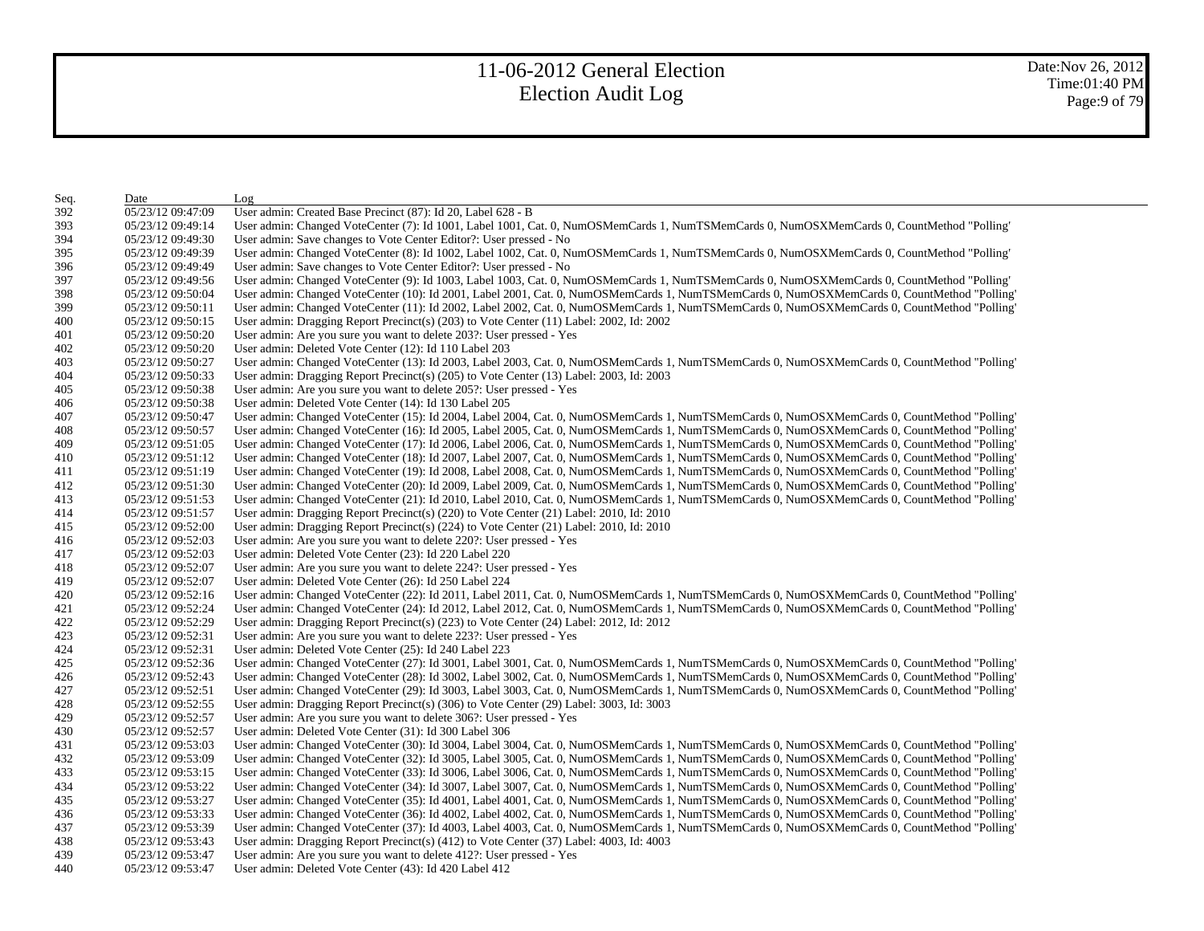| Seq. | Date              | Log                                                                                                                                         |
|------|-------------------|---------------------------------------------------------------------------------------------------------------------------------------------|
| 392  | 05/23/12 09:47:09 | User admin: Created Base Precinct (87): Id 20, Label 628 - B                                                                                |
| 393  | 05/23/12 09:49:14 | User admin: Changed VoteCenter (7): Id 1001, Label 1001, Cat. 0, NumOSMemCards 1, NumTSMemCards 0, NumOSXMemCards 0, CountMethod "Polling"  |
| 394  | 05/23/12 09:49:30 | User admin: Save changes to Vote Center Editor?: User pressed - No                                                                          |
| 395  | 05/23/12 09:49:39 | User admin: Changed VoteCenter (8): Id 1002, Label 1002, Cat. 0, NumOSMemCards 1, NumTSMemCards 0, NumOSXMemCards 0, CountMethod "Polling'  |
| 396  | 05/23/12 09:49:49 | User admin: Save changes to Vote Center Editor?: User pressed - No                                                                          |
| 397  | 05/23/12 09:49:56 | User admin: Changed VoteCenter (9): Id 1003, Label 1003, Cat. 0, NumOSMemCards 1, NumTSMemCards 0, NumOSXMemCards 0, CountMethod "Polling'  |
| 398  | 05/23/12 09:50:04 | User admin: Changed VoteCenter (10): Id 2001, Label 2001, Cat. 0, NumOSMemCards 1, NumTSMemCards 0, NumOSXMemCards 0, CountMethod "Polling' |
| 399  | 05/23/12 09:50:11 | User admin: Changed VoteCenter (11): Id 2002, Label 2002, Cat. 0, NumOSMemCards 1, NumTSMemCards 0, NumOSXMemCards 0, CountMethod "Polling" |
| 400  | 05/23/12 09:50:15 | User admin: Dragging Report Precinct(s) $(203)$ to Vote Center $(11)$ Label: 2002, Id: 2002                                                 |
| 401  | 05/23/12 09:50:20 | User admin: Are you sure you want to delete 203?: User pressed - Yes                                                                        |
| 402  | 05/23/12 09:50:20 | User admin: Deleted Vote Center (12): Id 110 Label 203                                                                                      |
| 403  | 05/23/12 09:50:27 | User admin: Changed VoteCenter (13): Id 2003, Label 2003, Cat. 0, NumOSMemCards 1, NumTSMemCards 0, NumOSXMemCards 0, CountMethod "Polling' |
| 404  | 05/23/12 09:50:33 | User admin: Dragging Report Precinct(s) (205) to Vote Center (13) Label: 2003, Id: 2003                                                     |
| 405  | 05/23/12 09:50:38 | User admin: Are you sure you want to delete 205?: User pressed - Yes                                                                        |
| 406  | 05/23/12 09:50:38 | User admin: Deleted Vote Center (14): Id 130 Label 205                                                                                      |
| 407  | 05/23/12 09:50:47 | User admin: Changed VoteCenter (15): Id 2004, Label 2004, Cat. 0, NumOSMemCards 1, NumTSMemCards 0, NumOSXMemCards 0, CountMethod "Polling' |
| 408  | 05/23/12 09:50:57 | User admin: Changed VoteCenter (16): Id 2005, Label 2005, Cat. 0, NumOSMemCards 1, NumTSMemCards 0, NumOSXMemCards 0, CountMethod "Polling" |
| 409  | 05/23/12 09:51:05 | User admin: Changed VoteCenter (17): Id 2006, Label 2006, Cat. 0, NumOSMemCards 1, NumTSMemCards 0, NumOSXMemCards 0, CountMethod "Polling" |
| 410  | 05/23/12 09:51:12 | User admin: Changed VoteCenter (18): Id 2007, Label 2007, Cat. 0, NumOSMemCards 1, NumTSMemCards 0, NumOSXMemCards 0, CountMethod "Polling" |
| 411  | 05/23/12 09:51:19 | User admin: Changed VoteCenter (19): Id 2008, Label 2008, Cat. 0, NumOSMemCards 1, NumTSMemCards 0, NumOSXMemCards 0, CountMethod "Polling  |
| 412  | 05/23/12 09:51:30 | User admin: Changed VoteCenter (20): Id 2009, Label 2009, Cat. 0, NumOSMemCards 1, NumTSMemCards 0, NumOSXMemCards 0, CountMethod "Polling" |
| 413  | 05/23/12 09:51:53 | User admin: Changed VoteCenter (21): Id 2010, Label 2010, Cat. 0, NumOSMemCards 1, NumTSMemCards 0, NumOSXMemCards 0, CountMethod "Polling" |
| 414  | 05/23/12 09:51:57 | User admin: Dragging Report Precinct(s) $(220)$ to Vote Center $(21)$ Label: 2010, Id: 2010                                                 |
| 415  | 05/23/12 09:52:00 | User admin: Dragging Report Precinct(s) (224) to Vote Center (21) Label: 2010, Id: 2010                                                     |
| 416  | 05/23/12 09:52:03 | User admin: Are you sure you want to delete 220?: User pressed - Yes                                                                        |
| 417  | 05/23/12 09:52:03 | User admin: Deleted Vote Center (23): Id 220 Label 220                                                                                      |
| 418  | 05/23/12 09:52:07 | User admin: Are you sure you want to delete 224?: User pressed - Yes                                                                        |
| 419  | 05/23/12 09:52:07 | User admin: Deleted Vote Center (26): Id 250 Label 224                                                                                      |
| 420  | 05/23/12 09:52:16 | User admin: Changed VoteCenter (22): Id 2011, Label 2011, Cat. 0, NumOSMemCards 1, NumTSMemCards 0, NumOSXMemCards 0, CountMethod "Polling' |
| 421  | 05/23/12 09:52:24 | User admin: Changed VoteCenter (24): Id 2012, Label 2012, Cat. 0, NumOSMemCards 1, NumTSMemCards 0, NumOSXMemCards 0, CountMethod "Polling' |
| 422  | 05/23/12 09:52:29 | User admin: Dragging Report Precinct(s) (223) to Vote Center (24) Label: 2012, Id: 2012                                                     |
| 423  | 05/23/12 09:52:31 | User admin: Are you sure you want to delete 223?: User pressed - Yes                                                                        |
| 424  | 05/23/12 09:52:31 | User admin: Deleted Vote Center (25): Id 240 Label 223                                                                                      |
| 425  | 05/23/12 09:52:36 | User admin: Changed VoteCenter (27): Id 3001, Label 3001, Cat. 0, NumOSMemCards 1, NumTSMemCards 0, NumOSXMemCards 0, CountMethod "Polling" |
| 426  | 05/23/12 09:52:43 | User admin: Changed VoteCenter (28): Id 3002, Label 3002, Cat. 0, NumOSMemCards 1, NumTSMemCards 0, NumOSXMemCards 0, CountMethod "Polling' |
| 427  | 05/23/12 09:52:51 | User admin: Changed VoteCenter (29): Id 3003, Label 3003, Cat. 0, NumOSMemCards 1, NumTSMemCards 0, NumOSXMemCards 0, CountMethod "Polling" |
| 428  | 05/23/12 09:52:55 | User admin: Dragging Report Precinct(s) (306) to Vote Center (29) Label: 3003, Id: 3003                                                     |
| 429  | 05/23/12 09:52:57 | User admin: Are you sure you want to delete 306?: User pressed - Yes                                                                        |
| 430  | 05/23/12 09:52:57 | User admin: Deleted Vote Center (31): Id 300 Label 306                                                                                      |
| 431  | 05/23/12 09:53:03 | User admin: Changed VoteCenter (30): Id 3004, Label 3004, Cat. 0, NumOSMemCards 1, NumTSMemCards 0, NumOSXMemCards 0, CountMethod "Polling" |
| 432  | 05/23/12 09:53:09 | User admin: Changed VoteCenter (32): Id 3005, Label 3005, Cat. 0, NumOSMemCards 1, NumTSMemCards 0, NumOSXMemCards 0, CountMethod "Polling" |
| 433  | 05/23/12 09:53:15 | User admin: Changed VoteCenter (33): Id 3006, Label 3006, Cat. 0, NumOSMemCards 1, NumTSMemCards 0, NumOSXMemCards 0, CountMethod "Polling" |
| 434  | 05/23/12 09:53:22 | User admin: Changed VoteCenter (34): Id 3007, Label 3007, Cat. 0, NumOSMemCards 1, NumTSMemCards 0, NumOSXMemCards 0, CountMethod "Polling" |
| 435  | 05/23/12 09:53:27 | User admin: Changed VoteCenter (35): Id 4001, Label 4001, Cat. 0, NumOSMemCards 1, NumTSMemCards 0, NumOSXMemCards 0, CountMethod "Polling  |
| 436  | 05/23/12 09:53:33 | User admin: Changed VoteCenter (36): Id 4002, Label 4002, Cat. 0, NumOSMemCards 1, NumTSMemCards 0, NumOSXMemCards 0, CountMethod "Polling" |
| 437  | 05/23/12 09:53:39 | User admin: Changed VoteCenter (37): Id 4003, Label 4003, Cat. 0, NumOSMemCards 1, NumTSMemCards 0, NumOSXMemCards 0, CountMethod "Polling" |
| 438  | 05/23/12 09:53:43 | User admin: Dragging Report Precinct(s) $(412)$ to Vote Center $(37)$ Label: $4003$ , Id: $4003$                                            |
| 439  | 05/23/12 09:53:47 | User admin: Are you sure you want to delete 412?: User pressed - Yes                                                                        |
| 440  | 05/23/12 09:53:47 | User admin: Deleted Vote Center (43): Id 420 Label 412                                                                                      |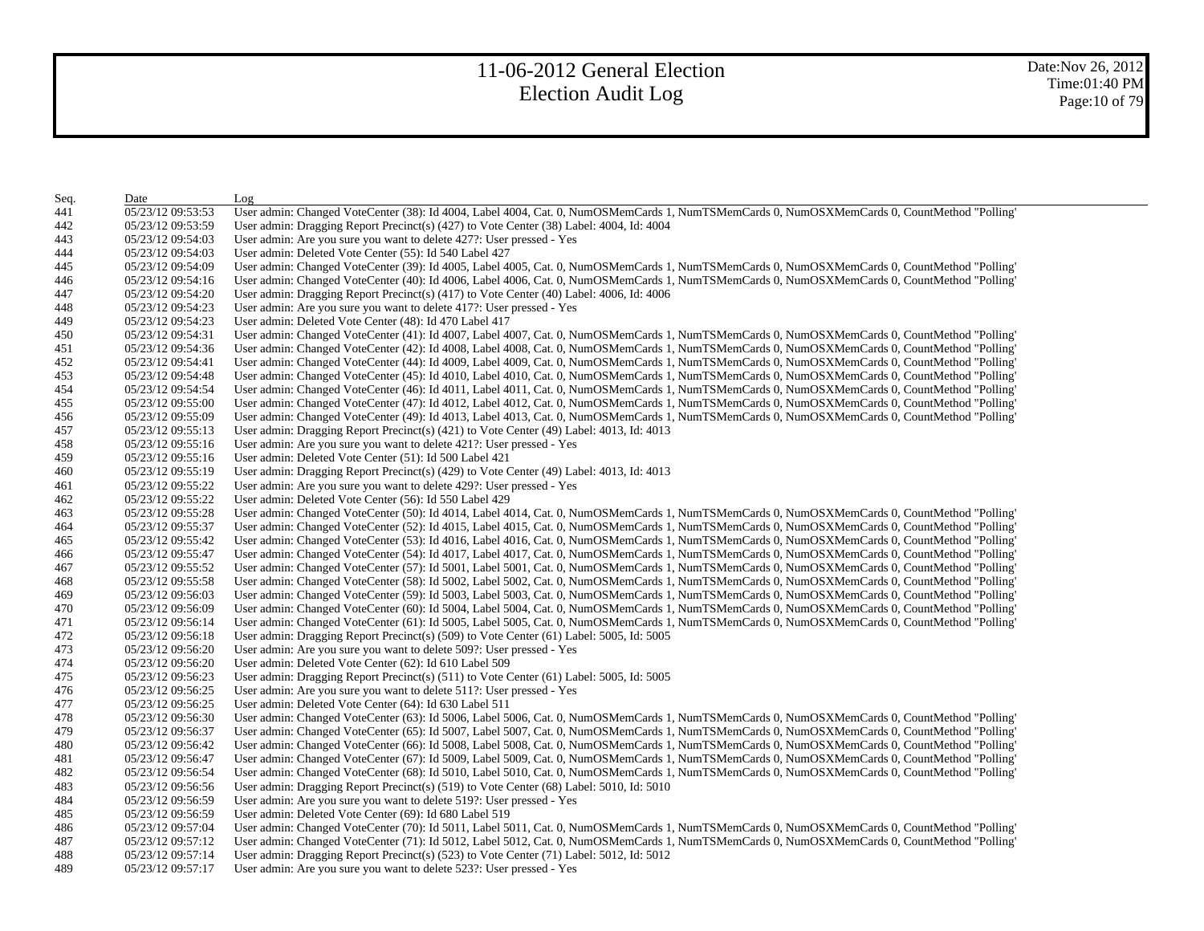| Seq. | Date              | Log                                                                                                                                         |
|------|-------------------|---------------------------------------------------------------------------------------------------------------------------------------------|
| 441  | 05/23/12 09:53:53 | User admin: Changed VoteCenter (38): Id 4004, Label 4004, Cat. 0, NumOSMemCards 1, NumTSMemCards 0, NumOSXMemCards 0, CountMethod "Polling" |
| 442  | 05/23/12 09:53:59 | User admin: Dragging Report Precinct(s) (427) to Vote Center (38) Label: 4004, Id: 4004                                                     |
| 443  | 05/23/12 09:54:03 | User admin: Are you sure you want to delete 427?: User pressed - Yes                                                                        |
| 444  | 05/23/12 09:54:03 | User admin: Deleted Vote Center (55): Id 540 Label 427                                                                                      |
| 445  | 05/23/12 09:54:09 | User admin: Changed VoteCenter (39): Id 4005, Label 4005, Cat. 0, NumOSMemCards 1, NumTSMemCards 0, NumOSXMemCards 0, CountMethod "Polling" |
| 446  | 05/23/12 09:54:16 | User admin: Changed VoteCenter (40): Id 4006, Label 4006, Cat. 0, NumOSMemCards 1, NumTSMemCards 0, NumOSXMemCards 0, CountMethod "Polling" |
| 447  | 05/23/12 09:54:20 | User admin: Dragging Report Precinct(s) $(417)$ to Vote Center $(40)$ Label: 4006, Id: 4006                                                 |
| 448  | 05/23/12 09:54:23 | User admin: Are you sure you want to delete 417?: User pressed - Yes                                                                        |
| 449  | 05/23/12 09:54:23 | User admin: Deleted Vote Center (48): Id 470 Label 417                                                                                      |
| 450  | 05/23/12 09:54:31 | User admin: Changed VoteCenter (41): Id 4007, Label 4007, Cat. 0, NumOSMemCards 1, NumTSMemCards 0, NumOSXMemCards 0, CountMethod "Polling" |
| 451  | 05/23/12 09:54:36 | User admin: Changed VoteCenter (42): Id 4008, Label 4008, Cat. 0, NumOSMemCards 1, NumTSMemCards 0, NumOSXMemCards 0, CountMethod "Polling" |
| 452  | 05/23/12 09:54:41 | User admin: Changed VoteCenter (44): Id 4009, Label 4009, Cat. 0, NumOSMemCards 1, NumTSMemCards 0, NumOSXMemCards 0, CountMethod "Polling" |
| 453  | 05/23/12 09:54:48 | User admin: Changed VoteCenter (45): Id 4010, Label 4010, Cat. 0, NumOSMemCards 1, NumTSMemCards 0, NumOSXMemCards 0, CountMethod "Polling" |
| 454  | 05/23/12 09:54:54 | User admin: Changed VoteCenter (46): Id 4011, Label 4011, Cat. 0, NumOSMemCards 1, NumTSMemCards 0, NumOSXMemCards 0, CountMethod "Polling" |
| 455  | 05/23/12 09:55:00 | User admin: Changed VoteCenter (47): Id 4012, Label 4012, Cat. 0, NumOSMemCards 1, NumTSMemCards 0, NumOSXMemCards 0, CountMethod "Polling" |
| 456  | 05/23/12 09:55:09 | User admin: Changed VoteCenter (49): Id 4013, Label 4013, Cat. 0, NumOSMemCards 1, NumTSMemCards 0, NumOSXMemCards 0, CountMethod "Polling" |
| 457  | 05/23/12 09:55:13 | User admin: Dragging Report Precinct(s) $(421)$ to Vote Center $(49)$ Label: $4013$ , Id: $4013$                                            |
| 458  | 05/23/12 09:55:16 | User admin: Are you sure you want to delete 421?: User pressed - Yes                                                                        |
| 459  | 05/23/12 09:55:16 | User admin: Deleted Vote Center (51): Id 500 Label 421                                                                                      |
| 460  | 05/23/12 09:55:19 | User admin: Dragging Report Precinct(s) $(429)$ to Vote Center $(49)$ Label: $4013$ , Id: $4013$                                            |
| 461  | 05/23/12 09:55:22 | User admin: Are you sure you want to delete 429?: User pressed - Yes                                                                        |
| 462  | 05/23/12 09:55:22 | User admin: Deleted Vote Center (56): Id 550 Label 429                                                                                      |
| 463  | 05/23/12 09:55:28 | User admin: Changed VoteCenter (50): Id 4014, Label 4014, Cat. 0, NumOSMemCards 1, NumTSMemCards 0, NumOSXMemCards 0, CountMethod "Polling" |
| 464  | 05/23/12 09:55:37 | User admin: Changed VoteCenter (52): Id 4015, Label 4015, Cat. 0, NumOSMemCards 1, NumTSMemCards 0, NumOSXMemCards 0, CountMethod "Polling" |
| 465  | 05/23/12 09:55:42 | User admin: Changed VoteCenter (53): Id 4016, Label 4016, Cat. 0, NumOSMemCards 1, NumTSMemCards 0, NumOSXMemCards 0, CountMethod "Polling" |
| 466  | 05/23/12 09:55:47 | User admin: Changed VoteCenter (54): Id 4017, Label 4017, Cat. 0, NumOSMemCards 1, NumTSMemCards 0, NumOSXMemCards 0, CountMethod "Polling" |
| 467  | 05/23/12 09:55:52 | User admin: Changed VoteCenter (57): Id 5001, Label 5001, Cat. 0, NumOSMemCards 1, NumTSMemCards 0, NumOSXMemCards 0, CountMethod "Polling" |
| 468  | 05/23/12 09:55:58 | User admin: Changed VoteCenter (58): Id 5002, Label 5002, Cat. 0, NumOSMemCards 1, NumTSMemCards 0, NumOSXMemCards 0, CountMethod "Polling" |
| 469  | 05/23/12 09:56:03 | User admin: Changed VoteCenter (59): Id 5003, Label 5003, Cat. 0, NumOSMemCards 1, NumTSMemCards 0, NumOSXMemCards 0, CountMethod "Polling" |
| 470  | 05/23/12 09:56:09 | User admin: Changed VoteCenter (60): Id 5004, Label 5004, Cat. 0, NumOSMemCards 1, NumTSMemCards 0, NumOSXMemCards 0, CountMethod "Polling" |
| 471  | 05/23/12 09:56:14 | User admin: Changed VoteCenter (61): Id 5005, Label 5005, Cat. 0, NumOSMemCards 1, NumTSMemCards 0, NumOSXMemCards 0, CountMethod "Polling" |
| 472  | 05/23/12 09:56:18 | User admin: Dragging Report Precinct(s) $(509)$ to Vote Center $(61)$ Label: 5005, Id: 5005                                                 |
| 473  | 05/23/12 09:56:20 | User admin: Are you sure you want to delete 509?: User pressed - Yes                                                                        |
| 474  | 05/23/12 09:56:20 | User admin: Deleted Vote Center (62): Id 610 Label 509                                                                                      |
| 475  | 05/23/12 09:56:23 | User admin: Dragging Report Precinct(s) $(511)$ to Vote Center $(61)$ Label: 5005, Id: 5005                                                 |
| 476  | 05/23/12 09:56:25 | User admin: Are you sure you want to delete 511?: User pressed - Yes                                                                        |
| 477  | 05/23/12 09:56:25 | User admin: Deleted Vote Center (64): Id 630 Label 511                                                                                      |
| 478  | 05/23/12 09:56:30 | User admin: Changed VoteCenter (63): Id 5006, Label 5006, Cat. 0, NumOSMemCards 1, NumTSMemCards 0, NumOSXMemCards 0, CountMethod "Polling" |
| 479  | 05/23/12 09:56:37 | User admin: Changed VoteCenter (65): Id 5007, Label 5007, Cat. 0, NumOSMemCards 1, NumTSMemCards 0, NumOSXMemCards 0, CountMethod "Polling" |
| 480  | 05/23/12 09:56:42 | User admin: Changed VoteCenter (66): Id 5008, Label 5008, Cat. 0, NumOSMemCards 1, NumTSMemCards 0, NumOSXMemCards 0, CountMethod "Polling" |
| 481  | 05/23/12 09:56:47 | User admin: Changed VoteCenter (67): Id 5009, Label 5009, Cat. 0, NumOSMemCards 1, NumTSMemCards 0, NumOSXMemCards 0, CountMethod "Polling" |
| 482  | 05/23/12 09:56:54 | User admin: Changed VoteCenter (68): Id 5010, Label 5010, Cat. 0, NumOSMemCards 1, NumTSMemCards 0, NumOSXMemCards 0, CountMethod "Polling" |
| 483  | 05/23/12 09:56:56 | User admin: Dragging Report Precinct(s) (519) to Vote Center (68) Label: 5010, Id: 5010                                                     |
| 484  | 05/23/12 09:56:59 | User admin: Are you sure you want to delete 519?: User pressed - Yes                                                                        |
| 485  | 05/23/12 09:56:59 | User admin: Deleted Vote Center (69): Id 680 Label 519                                                                                      |
| 486  | 05/23/12 09:57:04 | User admin: Changed VoteCenter (70): Id 5011, Label 5011, Cat. 0, NumOSMemCards 1, NumTSMemCards 0, NumOSXMemCards 0, CountMethod "Polling" |
| 487  | 05/23/12 09:57:12 | User admin: Changed VoteCenter (71): Id 5012, Label 5012, Cat. 0, NumOSMemCards 1, NumTSMemCards 0, NumOSXMemCards 0, CountMethod "Polling" |
| 488  | 05/23/12 09:57:14 | User admin: Dragging Report Precinct(s) (523) to Vote Center (71) Label: 5012, Id: 5012                                                     |
| 489  | 05/23/12 09:57:17 | User admin: Are you sure you want to delete 523?: User pressed - Yes                                                                        |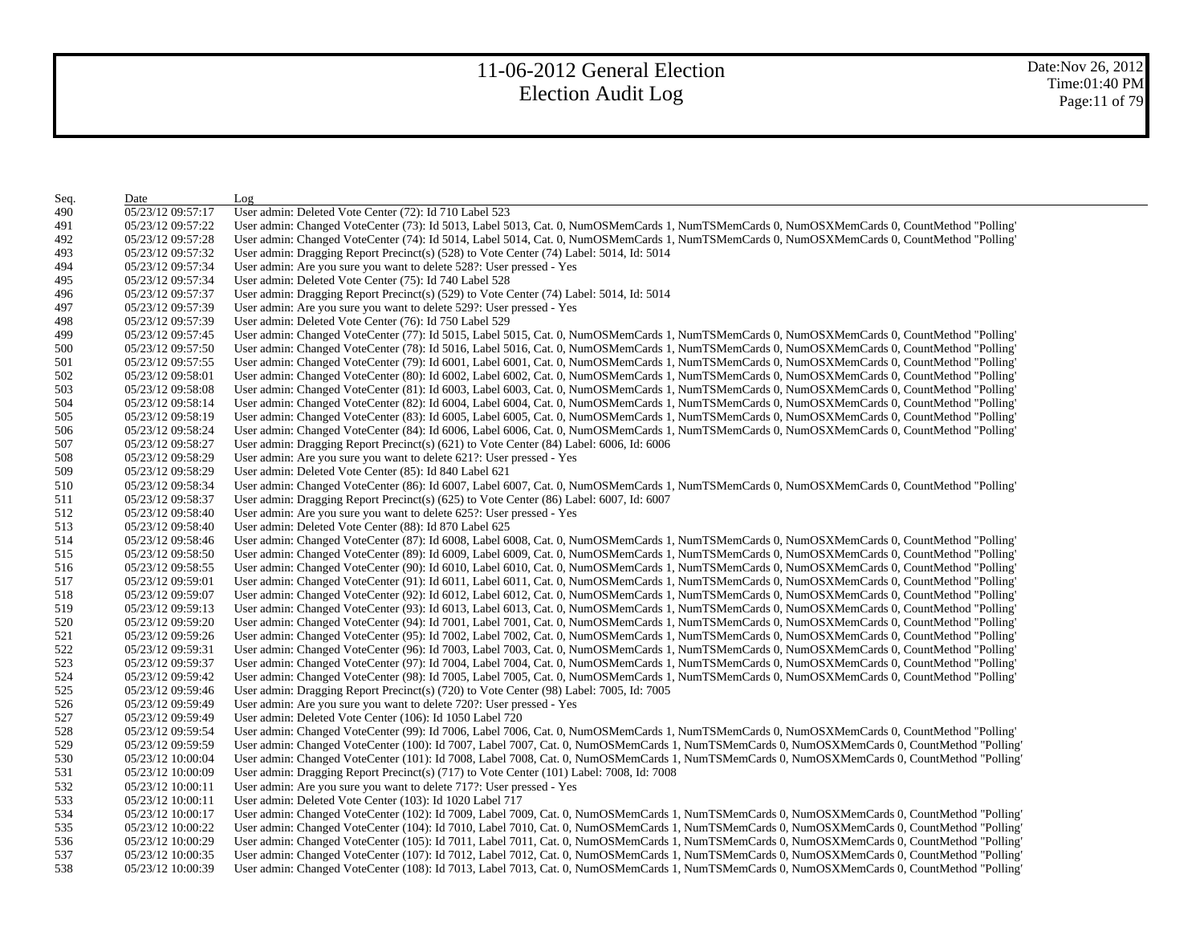| Seq. | Date              | Log                                                                                                                                          |
|------|-------------------|----------------------------------------------------------------------------------------------------------------------------------------------|
| 490  | 05/23/12 09:57:17 | User admin: Deleted Vote Center (72): Id 710 Label 523                                                                                       |
| 491  | 05/23/12 09:57:22 | User admin: Changed VoteCenter (73): Id 5013, Label 5013, Cat. 0, NumOSMemCards 1, NumTSMemCards 0, NumOSXMemCards 0, CountMethod "Polling'  |
| 492  | 05/23/12 09:57:28 | User admin: Changed VoteCenter (74): Id 5014, Label 5014, Cat. 0, NumOSMemCards 1, NumTSMemCards 0, NumOSXMemCards 0, CountMethod "Polling'  |
| 493  | 05/23/12 09:57:32 | User admin: Dragging Report Precinct(s) (528) to Vote Center (74) Label: 5014, Id: 5014                                                      |
| 494  | 05/23/12 09:57:34 | User admin: Are you sure you want to delete 528?: User pressed - Yes                                                                         |
| 495  | 05/23/12 09:57:34 | User admin: Deleted Vote Center (75): Id 740 Label 528                                                                                       |
| 496  | 05/23/12 09:57:37 | User admin: Dragging Report Precinct(s) (529) to Vote Center (74) Label: 5014, Id: 5014                                                      |
| 497  | 05/23/12 09:57:39 | User admin: Are you sure you want to delete 529?: User pressed - Yes                                                                         |
| 498  | 05/23/12 09:57:39 | User admin: Deleted Vote Center (76): Id 750 Label 529                                                                                       |
| 499  | 05/23/12 09:57:45 | User admin: Changed VoteCenter (77): Id 5015, Label 5015, Cat. 0, NumOSMemCards 1, NumTSMemCards 0, NumOSXMemCards 0, CountMethod "Polling"  |
| 500  | 05/23/12 09:57:50 | User admin: Changed VoteCenter (78): Id 5016, Label 5016, Cat. 0, NumOSMemCards 1, NumTSMemCards 0, NumOSXMemCards 0, CountMethod "Polling"  |
| 501  | 05/23/12 09:57:55 | User admin: Changed VoteCenter (79): Id 6001, Label 6001, Cat. 0, NumOSMemCards 1, NumTSMemCards 0, NumOSXMemCards 0, CountMethod "Polling"  |
| 502  | 05/23/12 09:58:01 | User admin: Changed VoteCenter (80): Id 6002, Label 6002, Cat. 0, NumOSMemCards 1, NumTSMemCards 0, NumOSXMemCards 0, CountMethod "Polling"  |
| 503  | 05/23/12 09:58:08 | User admin: Changed VoteCenter (81): Id 6003, Label 6003, Cat. 0, NumOSMemCards 1, NumTSMemCards 0, NumOSXMemCards 0, CountMethod "Polling"  |
| 504  | 05/23/12 09:58:14 | User admin: Changed VoteCenter (82): Id 6004, Label 6004, Cat. 0, NumOSMemCards 1, NumTSMemCards 0, NumOSXMemCards 0, CountMethod "Polling"  |
| 505  | 05/23/12 09:58:19 | User admin: Changed VoteCenter (83): Id 6005, Label 6005, Cat. 0, NumOSMemCards 1, NumTSMemCards 0, NumOSXMemCards 0, CountMethod "Polling   |
| 506  | 05/23/12 09:58:24 | User admin: Changed VoteCenter (84): Id 6006, Label 6006, Cat. 0, NumOSMemCards 1, NumTSMemCards 0, NumOSXMemCards 0, CountMethod "Polling   |
| 507  | 05/23/12 09:58:27 | User admin: Dragging Report Precinct(s) (621) to Vote Center (84) Label: 6006, Id: 6006                                                      |
| 508  | 05/23/12 09:58:29 | User admin: Are you sure you want to delete 621?: User pressed - Yes                                                                         |
| 509  | 05/23/12 09:58:29 | User admin: Deleted Vote Center (85): Id 840 Label 621                                                                                       |
| 510  | 05/23/12 09:58:34 | User admin: Changed VoteCenter (86): Id 6007, Label 6007, Cat. 0, NumOSMemCards 1, NumTSMemCards 0, NumOSXMemCards 0, CountMethod "Polling'  |
| 511  | 05/23/12 09:58:37 | User admin: Dragging Report Precinct(s) (625) to Vote Center (86) Label: 6007, Id: 6007                                                      |
| 512  | 05/23/12 09:58:40 | User admin: Are you sure you want to delete 625?: User pressed - Yes                                                                         |
| 513  | 05/23/12 09:58:40 | User admin: Deleted Vote Center (88): Id 870 Label 625                                                                                       |
| 514  | 05/23/12 09:58:46 | User admin: Changed VoteCenter (87): Id 6008, Label 6008, Cat. 0, NumOSMemCards 1, NumTSMemCards 0, NumOSXMemCards 0, CountMethod "Polling"  |
| 515  | 05/23/12 09:58:50 | User admin: Changed VoteCenter (89): Id 6009, Label 6009, Cat. 0, NumOSMemCards 1, NumTSMemCards 0, NumOSXMemCards 0, CountMethod "Polling"  |
| 516  | 05/23/12 09:58:55 | User admin: Changed VoteCenter (90): Id 6010, Label 6010, Cat. 0, NumOSMemCards 1, NumTSMemCards 0, NumOSXMemCards 0, CountMethod "Polling"  |
| 517  | 05/23/12 09:59:01 | User admin: Changed VoteCenter (91): Id 6011, Label 6011, Cat. 0, NumOSMemCards 1, NumTSMemCards 0, NumOSXMemCards 0, CountMethod "Polling"  |
| 518  | 05/23/12 09:59:07 | User admin: Changed VoteCenter (92): Id 6012, Label 6012, Cat. 0, NumOSMemCards 1, NumTSMemCards 0, NumOSXMemCards 0, CountMethod "Polling"  |
| 519  | 05/23/12 09:59:13 | User admin: Changed VoteCenter (93): Id 6013, Label 6013, Cat. 0, NumOSMemCards 1, NumTSMemCards 0, NumOSXMemCards 0, CountMethod "Polling"  |
| 520  | 05/23/12 09:59:20 | User admin: Changed VoteCenter (94): Id 7001, Label 7001, Cat. 0, NumOSMemCards 1, NumTSMemCards 0, NumOSXMemCards 0, CountMethod "Polling"  |
| 521  | 05/23/12 09:59:26 | User admin: Changed VoteCenter (95): Id 7002, Label 7002, Cat. 0, NumOSMemCards 1, NumTSMemCards 0, NumOSXMemCards 0, CountMethod "Polling"  |
| 522  | 05/23/12 09:59:31 | User admin: Changed VoteCenter (96): Id 7003, Label 7003, Cat. 0, NumOSMemCards 1, NumTSMemCards 0, NumOSXMemCards 0, CountMethod "Polling   |
| 523  | 05/23/12 09:59:37 | User admin: Changed VoteCenter (97): Id 7004, Label 7004, Cat. 0, NumOSMemCards 1, NumTSMemCards 0, NumOSXMemCards 0, CountMethod "Polling'  |
| 524  | 05/23/12 09:59:42 | User admin: Changed VoteCenter (98): Id 7005, Label 7005, Cat. 0, NumOSMemCards 1, NumTSMemCards 0, NumOSXMemCards 0, CountMethod "Polling'  |
| 525  | 05/23/12 09:59:46 | User admin: Dragging Report Precinct(s) (720) to Vote Center (98) Label: 7005, Id: 7005                                                      |
| 526  | 05/23/12 09:59:49 | User admin: Are you sure you want to delete 720?: User pressed - Yes                                                                         |
| 527  | 05/23/12 09:59:49 | User admin: Deleted Vote Center (106): Id 1050 Label 720                                                                                     |
| 528  | 05/23/12 09:59:54 | User admin: Changed VoteCenter (99): Id 7006, Label 7006, Cat. 0, NumOSMemCards 1, NumTSMemCards 0, NumOSXMemCards 0, CountMethod "Polling"  |
| 529  | 05/23/12 09:59:59 | User admin: Changed VoteCenter (100): Id 7007, Label 7007, Cat. 0, NumOSMemCards 1, NumTSMemCards 0, NumOSXMemCards 0, CountMethod "Polling" |
| 530  | 05/23/12 10:00:04 | User admin: Changed VoteCenter (101): Id 7008, Label 7008, Cat. 0, NumOSMemCards 1, NumTSMemCards 0, NumOSXMemCards 0, CountMethod "Polling" |
| 531  | 05/23/12 10:00:09 | User admin: Dragging Report Precinct(s) $(717)$ to Vote Center $(101)$ Label: 7008, Id: 7008                                                 |
| 532  | 05/23/12 10:00:11 | User admin: Are you sure you want to delete 717?: User pressed - Yes                                                                         |
| 533  | 05/23/12 10:00:11 | User admin: Deleted Vote Center (103): Id 1020 Label 717                                                                                     |
| 534  | 05/23/12 10:00:17 | User admin: Changed VoteCenter (102): Id 7009, Label 7009, Cat. 0, NumOSMemCards 1, NumTSMemCards 0, NumOSXMemCards 0, CountMethod "Polling" |
| 535  | 05/23/12 10:00:22 | User admin: Changed VoteCenter (104): Id 7010, Label 7010, Cat. 0, NumOSMemCards 1, NumTSMemCards 0, NumOSXMemCards 0, CountMethod "Polling" |
| 536  | 05/23/12 10:00:29 | User admin: Changed VoteCenter (105): Id 7011, Label 7011, Cat. 0, NumOSMemCards 1, NumTSMemCards 0, NumOSXMemCards 0, CountMethod "Polling" |
| 537  | 05/23/12 10:00:35 | User admin: Changed VoteCenter (107): Id 7012, Label 7012, Cat. 0, NumOSMemCards 1, NumTSMemCards 0, NumOSXMemCards 0, CountMethod "Polling" |
| 538  | 05/23/12 10:00:39 | User admin: Changed VoteCenter (108): Id 7013, Label 7013, Cat. 0, NumOSMemCards 1, NumTSMemCards 0, NumOSXMemCards 0, CountMethod "Polling" |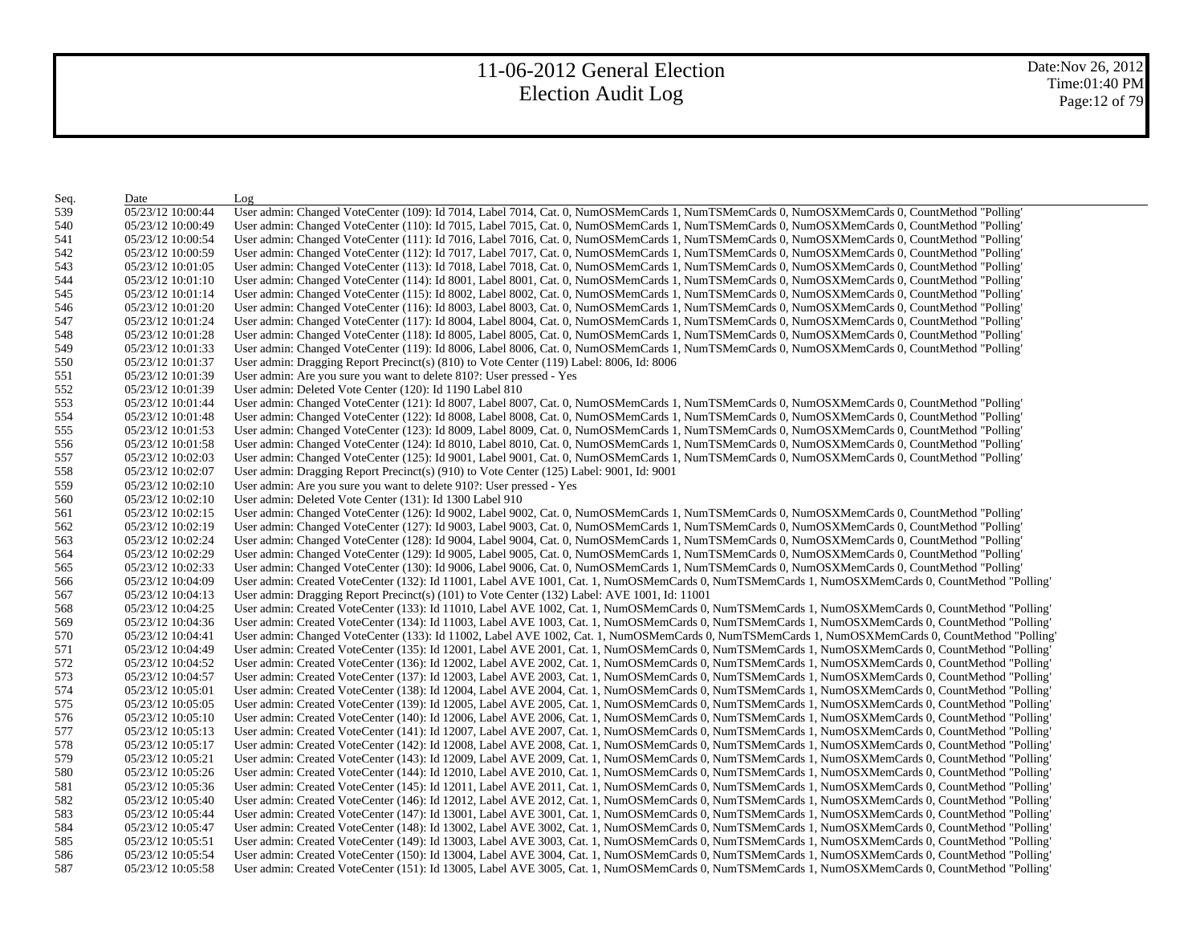| Seq. | Date              | Log                                                                                                                                               |
|------|-------------------|---------------------------------------------------------------------------------------------------------------------------------------------------|
| 539  | 05/23/12 10:00:44 | User admin: Changed VoteCenter (109): Id 7014, Label 7014, Cat. 0, NumOSMemCards 1, NumTSMemCards 0, NumOSXMemCards 0, CountMethod "Polling"      |
| 540  | 05/23/12 10:00:49 | User admin: Changed VoteCenter (110): Id 7015, Label 7015, Cat. 0, NumOSMemCards 1, NumTSMemCards 0, NumOSXMemCards 0, CountMethod "Polling"      |
| 541  | 05/23/12 10:00:54 | User admin: Changed VoteCenter (111): Id 7016, Label 7016, Cat. 0, NumOSMemCards 1, NumTSMemCards 0, NumOSXMemCards 0, CountMethod "Polling"      |
| 542  | 05/23/12 10:00:59 | User admin: Changed VoteCenter (112): Id 7017, Label 7017, Cat. 0, NumOSMemCards 1, NumTSMemCards 0, NumOSXMemCards 0, CountMethod "Polling"      |
| 543  | 05/23/12 10:01:05 | User admin: Changed VoteCenter (113): Id 7018, Label 7018, Cat. 0, NumOSMemCards 1, NumTSMemCards 0, NumOSXMemCards 0, CountMethod "Polling"      |
| 544  | 05/23/12 10:01:10 | User admin: Changed VoteCenter (114): Id 8001, Label 8001, Cat. 0, NumOSMemCards 1, NumTSMemCards 0, NumOSXMemCards 0, CountMethod "Polling"      |
| 545  | 05/23/12 10:01:14 | User admin: Changed VoteCenter (115): Id 8002, Label 8002, Cat. 0, NumOSMemCards 1, NumTSMemCards 0, NumOSXMemCards 0, CountMethod "Polling"      |
| 546  | 05/23/12 10:01:20 | User admin: Changed VoteCenter (116): Id 8003, Label 8003, Cat. 0, NumOSMemCards 1, NumTSMemCards 0, NumOSXMemCards 0, CountMethod "Polling"      |
| 547  | 05/23/12 10:01:24 | User admin: Changed VoteCenter (117): Id 8004, Label 8004, Cat. 0, NumOSMemCards 1, NumTSMemCards 0, NumOSXMemCards 0, CountMethod "Polling"      |
| 548  | 05/23/12 10:01:28 | User admin: Changed VoteCenter (118): Id 8005, Label 8005, Cat. 0, NumOSMemCards 1, NumTSMemCards 0, NumOSXMemCards 0, CountMethod "Polling"      |
| 549  | 05/23/12 10:01:33 | User admin: Changed VoteCenter (119): Id 8006, Label 8006, Cat. 0, NumOSMemCards 1, NumTSMemCards 0, NumOSXMemCards 0, CountMethod "Polling"      |
| 550  | 05/23/12 10:01:37 | User admin: Dragging Report Precinct(s) (810) to Vote Center (119) Label: 8006, Id: 8006                                                          |
| 551  | 05/23/12 10:01:39 | User admin: Are you sure you want to delete 810?: User pressed - Yes                                                                              |
| 552  | 05/23/12 10:01:39 | User admin: Deleted Vote Center (120): Id 1190 Label 810                                                                                          |
| 553  | 05/23/12 10:01:44 | User admin: Changed VoteCenter (121): Id 8007, Label 8007, Cat. 0, NumOSMemCards 1, NumTSMemCards 0, NumOSXMemCards 0, CountMethod "Polling'      |
| 554  | 05/23/12 10:01:48 | User admin: Changed VoteCenter (122): Id 8008, Label 8008, Cat. 0, NumOSMemCards 1, NumTSMemCards 0, NumOSXMemCards 0, CountMethod "Polling'      |
| 555  | 05/23/12 10:01:53 | User admin: Changed VoteCenter (123): Id 8009, Label 8009, Cat. 0, NumOSMemCards 1, NumTSMemCards 0, NumOSXMemCards 0, CountMethod "Polling"      |
| 556  | 05/23/12 10:01:58 | User admin: Changed VoteCenter (124): Id 8010, Label 8010, Cat. 0, NumOSMemCards 1, NumTSMemCards 0, NumOSXMemCards 0, CountMethod "Polling"      |
| 557  | 05/23/12 10:02:03 | User admin: Changed VoteCenter (125): Id 9001, Label 9001, Cat. 0, NumOSMemCards 1, NumTSMemCards 0, NumOSXMemCards 0, CountMethod "Polling"      |
| 558  | 05/23/12 10:02:07 | User admin: Dragging Report Precinct(s) $(910)$ to Vote Center (125) Label: 9001, Id: 9001                                                        |
| 559  | 05/23/12 10:02:10 | User admin: Are you sure you want to delete 910?: User pressed - Yes                                                                              |
| 560  | 05/23/12 10:02:10 | User admin: Deleted Vote Center (131): Id 1300 Label 910                                                                                          |
| 561  | 05/23/12 10:02:15 | User admin: Changed VoteCenter (126): Id 9002, Label 9002, Cat. 0, NumOSMemCards 1, NumTSMemCards 0, NumOSXMemCards 0, CountMethod "Polling"      |
| 562  | 05/23/12 10:02:19 | User admin: Changed VoteCenter (127): Id 9003, Label 9003, Cat. 0, NumOSMemCards 1, NumTSMemCards 0, NumOSXMemCards 0, CountMethod "Polling"      |
| 563  | 05/23/12 10:02:24 | User admin: Changed VoteCenter (128): Id 9004, Label 9004, Cat. 0, NumOSMemCards 1, NumTSMemCards 0, NumOSXMemCards 0, CountMethod "Polling"      |
| 564  | 05/23/12 10:02:29 | User admin: Changed VoteCenter (129): Id 9005, Label 9005, Cat. 0, NumOSMemCards 1, NumTSMemCards 0, NumOSXMemCards 0, CountMethod "Polling"      |
| 565  | 05/23/12 10:02:33 | User admin: Changed VoteCenter (130): Id 9006, Label 9006, Cat. 0, NumOSMemCards 1, NumTSMemCards 0, NumOSXMemCards 0, CountMethod "Polling"      |
| 566  | 05/23/12 10:04:09 | User admin: Created VoteCenter (132): Id 11001, Label AVE 1001, Cat. 1, NumOSMemCards 0, NumTSMemCards 1, NumOSXMemCards 0, CountMethod "Polling" |
| 567  | 05/23/12 10:04:13 | User admin: Dragging Report Precinct(s) (101) to Vote Center (132) Label: AVE 1001, Id: 11001                                                     |
| 568  | 05/23/12 10:04:25 | User admin: Created VoteCenter (133): Id 11010, Label AVE 1002, Cat. 1, NumOSMemCards 0, NumTSMemCards 1, NumOSXMemCards 0, CountMethod "Polling" |
| 569  | 05/23/12 10:04:36 | User admin: Created VoteCenter (134): Id 11003, Label AVE 1003, Cat. 1, NumOSMemCards 0, NumTSMemCards 1, NumOSXMemCards 0, CountMethod "Polling" |
| 570  | 05/23/12 10:04:41 | User admin: Changed VoteCenter (133): Id 11002, Label AVE 1002, Cat. 1, NumOSMemCards 0, NumTSMemCards 1, NumOSXMemCards 0, CountMethod "Polling" |
| 571  | 05/23/12 10:04:49 | User admin: Created VoteCenter (135): Id 12001, Label AVE 2001, Cat. 1, NumOSMemCards 0, NumTSMemCards 1, NumOSXMemCards 0, CountMethod "Polling" |
| 572  | 05/23/12 10:04:52 | User admin: Created VoteCenter (136): Id 12002, Label AVE 2002, Cat. 1, NumOSMemCards 0, NumTSMemCards 1, NumOSXMemCards 0, CountMethod "Polling" |
| 573  | 05/23/12 10:04:57 | User admin: Created VoteCenter (137): Id 12003, Label AVE 2003, Cat. 1, NumOSMemCards 0, NumTSMemCards 1, NumOSXMemCards 0, CountMethod "Polling" |
| 574  | 05/23/12 10:05:01 | User admin: Created VoteCenter (138): Id 12004, Label AVE 2004, Cat. 1, NumOSMemCards 0, NumTSMemCards 1, NumOSXMemCards 0, CountMethod "Polling" |
| 575  | 05/23/12 10:05:05 | User admin: Created VoteCenter (139): Id 12005, Label AVE 2005, Cat. 1, NumOSMemCards 0, NumTSMemCards 1, NumOSXMemCards 0, CountMethod "Polling" |
| 576  | 05/23/12 10:05:10 | User admin: Created VoteCenter (140): Id 12006, Label AVE 2006, Cat. 1, NumOSMemCards 0, NumTSMemCards 1, NumOSXMemCards 0, CountMethod "Polling" |
| 577  | 05/23/12 10:05:13 | User admin: Created VoteCenter (141): Id 12007, Label AVE 2007, Cat. 1, NumOSMemCards 0, NumTSMemCards 1, NumOSXMemCards 0, CountMethod "Polling" |
| 578  | 05/23/12 10:05:17 | User admin: Created VoteCenter (142): Id 12008, Label AVE 2008, Cat. 1, NumOSMemCards 0, NumTSMemCards 1, NumOSXMemCards 0, CountMethod "Polling" |
| 579  | 05/23/12 10:05:21 | User admin: Created VoteCenter (143): Id 12009, Label AVE 2009, Cat. 1, NumOSMemCards 0, NumTSMemCards 1, NumOSXMemCards 0, CountMethod "Polling" |
| 580  | 05/23/12 10:05:26 | User admin: Created VoteCenter (144): Id 12010, Label AVE 2010, Cat. 1, NumOSMemCards 0, NumTSMemCards 1, NumOSXMemCards 0, CountMethod "Polling" |
| 581  | 05/23/12 10:05:36 | User admin: Created VoteCenter (145): Id 12011, Label AVE 2011, Cat. 1, NumOSMemCards 0, NumTSMemCards 1, NumOSXMemCards 0, CountMethod "Polling" |
| 582  | 05/23/12 10:05:40 | User admin: Created VoteCenter (146): Id 12012, Label AVE 2012, Cat. 1, NumOSMemCards 0, NumTSMemCards 1, NumOSXMemCards 0, CountMethod "Polling" |
| 583  | 05/23/12 10:05:44 | User admin: Created VoteCenter (147): Id 13001, Label AVE 3001, Cat. 1, NumOSMemCards 0, NumTSMemCards 1, NumOSXMemCards 0, CountMethod "Polling" |
| 584  | 05/23/12 10:05:47 | User admin: Created VoteCenter (148): Id 13002, Label AVE 3002, Cat. 1, NumOSMemCards 0, NumTSMemCards 1, NumOSXMemCards 0, CountMethod "Polling" |
| 585  | 05/23/12 10:05:51 | User admin: Created VoteCenter (149): Id 13003, Label AVE 3003, Cat. 1, NumOSMemCards 0, NumTSMemCards 1, NumOSXMemCards 0, CountMethod "Polling' |
| 586  | 05/23/12 10:05:54 | User admin: Created VoteCenter (150): Id 13004, Label AVE 3004, Cat. 1, NumOSMemCards 0, NumTSMemCards 1, NumOSXMemCards 0, CountMethod "Polling" |
| 587  | 05/23/12 10:05:58 | User admin: Created VoteCenter (151): Id 13005, Label AVE 3005, Cat. 1, NumOSMemCards 0, NumTSMemCards 1, NumOSXMemCards 0, CountMethod "Polling" |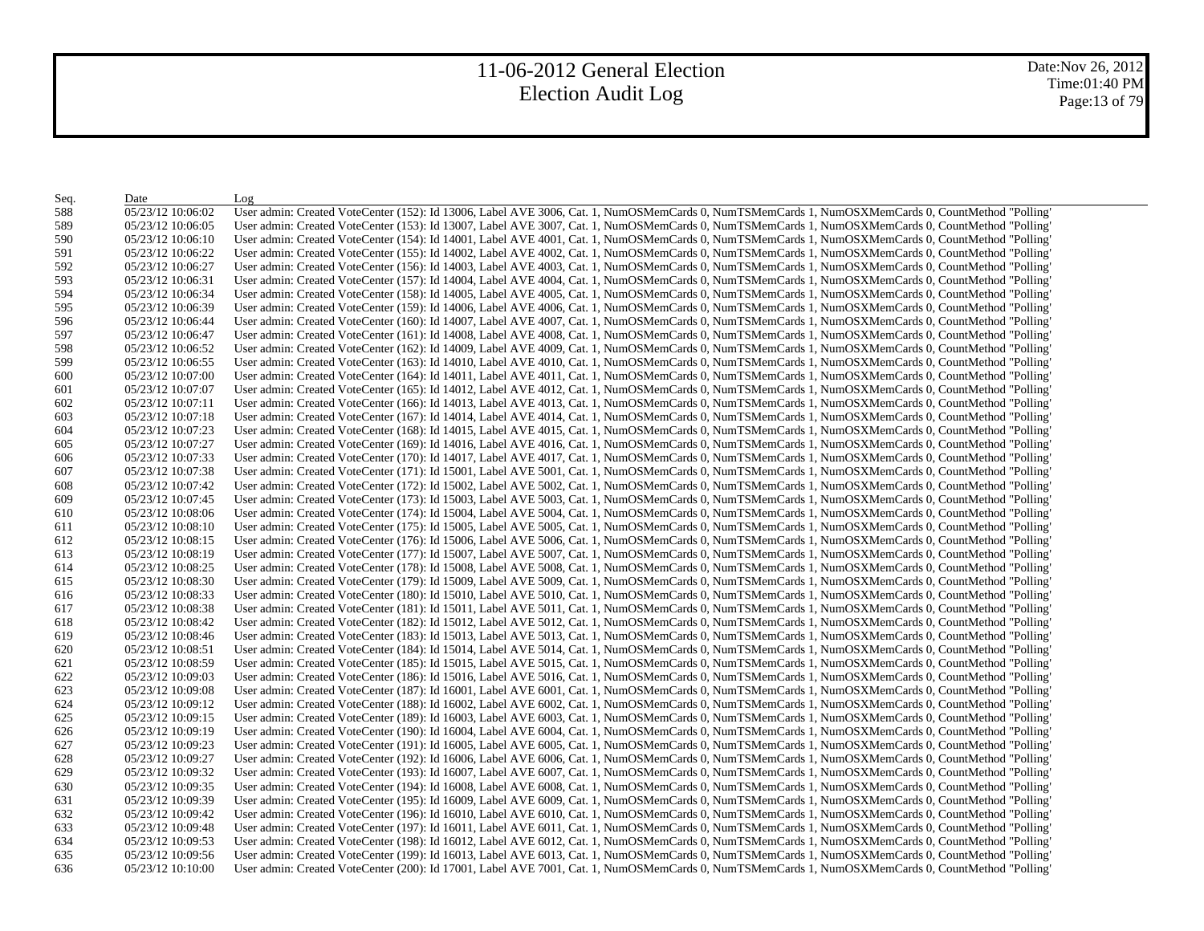Date:Nov 26, 2012 Time:01:40 PM Page:13 of 79

| Seq. | Date              | Log                                                                                                                                               |
|------|-------------------|---------------------------------------------------------------------------------------------------------------------------------------------------|
| 588  | 05/23/12 10:06:02 | User admin: Created VoteCenter (152): Id 13006, Label AVE 3006, Cat. 1, NumOSMemCards 0, NumTSMemCards 1, NumOSXMemCards 0, CountMethod "Polling" |
| 589  | 05/23/12 10:06:05 | User admin: Created VoteCenter (153): Id 13007, Label AVE 3007, Cat. 1, NumOSMemCards 0, NumTSMemCards 1, NumOSXMemCards 0, CountMethod "Polling" |
| 590  | 05/23/12 10:06:10 | User admin: Created VoteCenter (154): Id 14001, Label AVE 4001, Cat. 1, NumOSMemCards 0, NumTSMemCards 1, NumOSXMemCards 0, CountMethod "Polling' |
| 591  | 05/23/12 10:06:22 | User admin: Created VoteCenter (155): Id 14002, Label AVE 4002, Cat. 1, NumOSMemCards 0, NumTSMemCards 1, NumOSXMemCards 0, CountMethod "Polling" |
| 592  | 05/23/12 10:06:27 | User admin: Created VoteCenter (156): Id 14003, Label AVE 4003, Cat. 1, NumOSMemCards 0, NumTSMemCards 1, NumOSXMemCards 0, CountMethod "Polling' |
| 593  | 05/23/12 10:06:31 | User admin: Created VoteCenter (157): Id 14004, Label AVE 4004, Cat. 1, NumOSMemCards 0, NumTSMemCards 1, NumOSXMemCards 0, CountMethod "Polling' |
| 594  | 05/23/12 10:06:34 | User admin: Created VoteCenter (158): Id 14005, Label AVE 4005, Cat. 1, NumOSMemCards 0, NumTSMemCards 1, NumOSXMemCards 0, CountMethod "Polling" |
| 595  | 05/23/12 10:06:39 | User admin: Created VoteCenter (159): Id 14006, Label AVE 4006, Cat. 1, NumOSMemCards 0, NumTSMemCards 1, NumOSXMemCards 0, CountMethod "Polling' |
| 596  | 05/23/12 10:06:44 | User admin: Created VoteCenter (160): Id 14007, Label AVE 4007, Cat. 1, NumOSMemCards 0, NumTSMemCards 1, NumOSXMemCards 0, CountMethod "Polling" |
| 597  | 05/23/12 10:06:47 | User admin: Created VoteCenter (161): Id 14008, Label AVE 4008, Cat. 1, NumOSMemCards 0, NumTSMemCards 1, NumOSXMemCards 0, CountMethod "Polling" |
| 598  | 05/23/12 10:06:52 | User admin: Created VoteCenter (162): Id 14009, Label AVE 4009, Cat. 1, NumOSMemCards 0, NumTSMemCards 1, NumOSXMemCards 0, CountMethod "Polling" |
| 599  | 05/23/12 10:06:55 | User admin: Created VoteCenter (163): Id 14010, Label AVE 4010, Cat. 1, NumOSMemCards 0, NumTSMemCards 1, NumOSXMemCards 0, CountMethod "Polling" |
| 600  | 05/23/12 10:07:00 | User admin: Created VoteCenter (164): Id 14011, Label AVE 4011, Cat. 1, NumOSMemCards 0, NumTSMemCards 1, NumOSXMemCards 0, CountMethod "Polling" |
| 601  | 05/23/12 10:07:07 | User admin: Created VoteCenter (165): Id 14012, Label AVE 4012, Cat. 1, NumOSMemCards 0, NumTSMemCards 1, NumOSXMemCards 0, CountMethod "Polling" |
| 602  | 05/23/12 10:07:11 | User admin: Created VoteCenter (166): Id 14013, Label AVE 4013, Cat. 1, NumOSMemCards 0, NumTSMemCards 1, NumOSXMemCards 0, CountMethod "Polling" |
| 603  | 05/23/12 10:07:18 | User admin: Created VoteCenter (167): Id 14014, Label AVE 4014, Cat. 1, NumOSMemCards 0, NumTSMemCards 1, NumOSXMemCards 0, CountMethod "Polling" |
| 604  | 05/23/12 10:07:23 | User admin: Created VoteCenter (168): Id 14015, Label AVE 4015, Cat. 1, NumOSMemCards 0, NumTSMemCards 1, NumOSXMemCards 0, CountMethod "Polling" |
| 605  | 05/23/12 10:07:27 | User admin: Created VoteCenter (169): Id 14016, Label AVE 4016, Cat. 1, NumOSMemCards 0, NumTSMemCards 1, NumOSXMemCards 0, CountMethod "Polling" |
| 606  | 05/23/12 10:07:33 | User admin: Created VoteCenter (170): Id 14017, Label AVE 4017, Cat. 1, NumOSMemCards 0, NumTSMemCards 1, NumOSXMemCards 0, CountMethod "Polling" |
| 607  | 05/23/12 10:07:38 | User admin: Created VoteCenter (171): Id 15001, Label AVE 5001, Cat. 1, NumOSMemCards 0, NumTSMemCards 1, NumOSXMemCards 0, CountMethod "Polling" |
| 608  | 05/23/12 10:07:42 | User admin: Created VoteCenter (172): Id 15002, Label AVE 5002, Cat. 1, NumOSMemCards 0, NumTSMemCards 1, NumOSXMemCards 0, CountMethod "Polling" |
| 609  | 05/23/12 10:07:45 | User admin: Created VoteCenter (173): Id 15003, Label AVE 5003, Cat. 1, NumOSMemCards 0, NumTSMemCards 1, NumOSXMemCards 0, CountMethod "Polling" |
| 610  | 05/23/12 10:08:06 | User admin: Created VoteCenter (174): Id 15004, Label AVE 5004, Cat. 1, NumOSMemCards 0, NumTSMemCards 1, NumOSXMemCards 0, CountMethod "Polling" |
| 611  | 05/23/12 10:08:10 | User admin: Created VoteCenter (175): Id 15005, Label AVE 5005, Cat. 1, NumOSMemCards 0, NumTSMemCards 1, NumOSXMemCards 0, CountMethod "Polling" |
| 612  | 05/23/12 10:08:15 | User admin: Created VoteCenter (176): Id 15006, Label AVE 5006, Cat. 1, NumOSMemCards 0, NumTSMemCards 1, NumOSXMemCards 0, CountMethod "Polling" |
| 613  | 05/23/12 10:08:19 | User admin: Created VoteCenter (177): Id 15007, Label AVE 5007, Cat. 1, NumOSMemCards 0, NumTSMemCards 1, NumOSXMemCards 0, CountMethod "Polling" |
| 614  | 05/23/12 10:08:25 | User admin: Created VoteCenter (178): Id 15008, Label AVE 5008, Cat. 1, NumOSMemCards 0, NumTSMemCards 1, NumOSXMemCards 0, CountMethod "Polling" |
| 615  | 05/23/12 10:08:30 | User admin: Created VoteCenter (179): Id 15009, Label AVE 5009, Cat. 1, NumOSMemCards 0, NumTSMemCards 1, NumOSXMemCards 0, CountMethod "Polling" |
| 616  | 05/23/12 10:08:33 | User admin: Created VoteCenter (180): Id 15010, Label AVE 5010, Cat. 1, NumOSMemCards 0, NumTSMemCards 1, NumOSXMemCards 0, CountMethod "Polling" |
| 617  | 05/23/12 10:08:38 | User admin: Created VoteCenter (181): Id 15011, Label AVE 5011, Cat. 1, NumOSMemCards 0, NumTSMemCards 1, NumOSXMemCards 0, CountMethod "Polling" |
| 618  | 05/23/12 10:08:42 | User admin: Created VoteCenter (182): Id 15012, Label AVE 5012, Cat. 1, NumOSMemCards 0, NumTSMemCards 1, NumOSXMemCards 0, CountMethod "Polling" |
| 619  | 05/23/12 10:08:46 | User admin: Created VoteCenter (183): Id 15013, Label AVE 5013, Cat. 1, NumOSMemCards 0, NumTSMemCards 1, NumOSXMemCards 0, CountMethod "Polling" |
| 620  | 05/23/12 10:08:51 | User admin: Created VoteCenter (184): Id 15014, Label AVE 5014, Cat. 1, NumOSMemCards 0, NumTSMemCards 1, NumOSXMemCards 0, CountMethod "Polling  |
| 621  | 05/23/12 10:08:59 | User admin: Created VoteCenter (185): Id 15015, Label AVE 5015, Cat. 1, NumOSMemCards 0, NumTSMemCards 1, NumOSXMemCards 0, CountMethod "Polling" |
| 622  | 05/23/12 10:09:03 | User admin: Created VoteCenter (186): Id 15016, Label AVE 5016, Cat. 1, NumOSMemCards 0, NumTSMemCards 1, NumOSXMemCards 0, CountMethod "Polling" |
| 623  | 05/23/12 10:09:08 | User admin: Created VoteCenter (187): Id 16001, Label AVE 6001, Cat. 1, NumOSMemCards 0, NumTSMemCards 1, NumOSXMemCards 0, CountMethod "Polling" |
| 624  | 05/23/12 10:09:12 | User admin: Created VoteCenter (188): Id 16002, Label AVE 6002, Cat. 1, NumOSMemCards 0, NumTSMemCards 1, NumOSXMemCards 0, CountMethod "Polling" |
| 625  | 05/23/12 10:09:15 | User admin: Created VoteCenter (189): Id 16003, Label AVE 6003, Cat. 1, NumOSMemCards 0, NumTSMemCards 1, NumOSXMemCards 0, CountMethod "Polling" |
| 626  | 05/23/12 10:09:19 | User admin: Created VoteCenter (190): Id 16004, Label AVE 6004, Cat. 1, NumOSMemCards 0, NumTSMemCards 1, NumOSXMemCards 0, CountMethod "Polling" |
| 627  | 05/23/12 10:09:23 | User admin: Created VoteCenter (191): Id 16005, Label AVE 6005, Cat. 1, NumOSMemCards 0, NumTSMemCards 1, NumOSXMemCards 0, CountMethod "Polling" |
| 628  | 05/23/12 10:09:27 | User admin: Created VoteCenter (192): Id 16006, Label AVE 6006, Cat. 1, NumOSMemCards 0, NumTSMemCards 1, NumOSXMemCards 0, CountMethod "Polling" |
| 629  | 05/23/12 10:09:32 | User admin: Created VoteCenter (193): Id 16007, Label AVE 6007, Cat. 1, NumOSMemCards 0, NumTSMemCards 1, NumOSXMemCards 0, CountMethod "Polling" |
| 630  | 05/23/12 10:09:35 | User admin: Created VoteCenter (194): Id 16008, Label AVE 6008, Cat. 1, NumOSMemCards 0, NumTSMemCards 1, NumOSXMemCards 0, CountMethod "Polling" |
| 631  | 05/23/12 10:09:39 | User admin: Created VoteCenter (195): Id 16009, Label AVE 6009, Cat. 1, NumOSMemCards 0, NumTSMemCards 1, NumOSXMemCards 0, CountMethod "Polling" |
| 632  | 05/23/12 10:09:42 | User admin: Created VoteCenter (196): Id 16010, Label AVE 6010, Cat. 1, NumOSMemCards 0, NumTSMemCards 1, NumOSXMemCards 0, CountMethod "Polling" |
| 633  | 05/23/12 10:09:48 | User admin: Created VoteCenter (197): Id 16011, Label AVE 6011, Cat. 1, NumOSMemCards 0, NumTSMemCards 1, NumOSXMemCards 0, CountMethod "Polling" |
| 634  | 05/23/12 10:09:53 | User admin: Created VoteCenter (198): Id 16012, Label AVE 6012, Cat. 1, NumOSMemCards 0, NumTSMemCards 1, NumOSXMemCards 0, CountMethod "Polling" |
| 635  | 05/23/12 10:09:56 | User admin: Created VoteCenter (199): Id 16013, Label AVE 6013, Cat. 1, NumOSMemCards 0, NumTSMemCards 1, NumOSXMemCards 0, CountMethod "Polling" |
| 636  | 05/23/12 10:10:00 | User admin: Created VoteCenter (200): Id 17001, Label AVE 7001, Cat. 1, NumOSMemCards 0, NumTSMemCards 1, NumOSXMemCards 0, CountMethod "Polling" |
|      |                   |                                                                                                                                                   |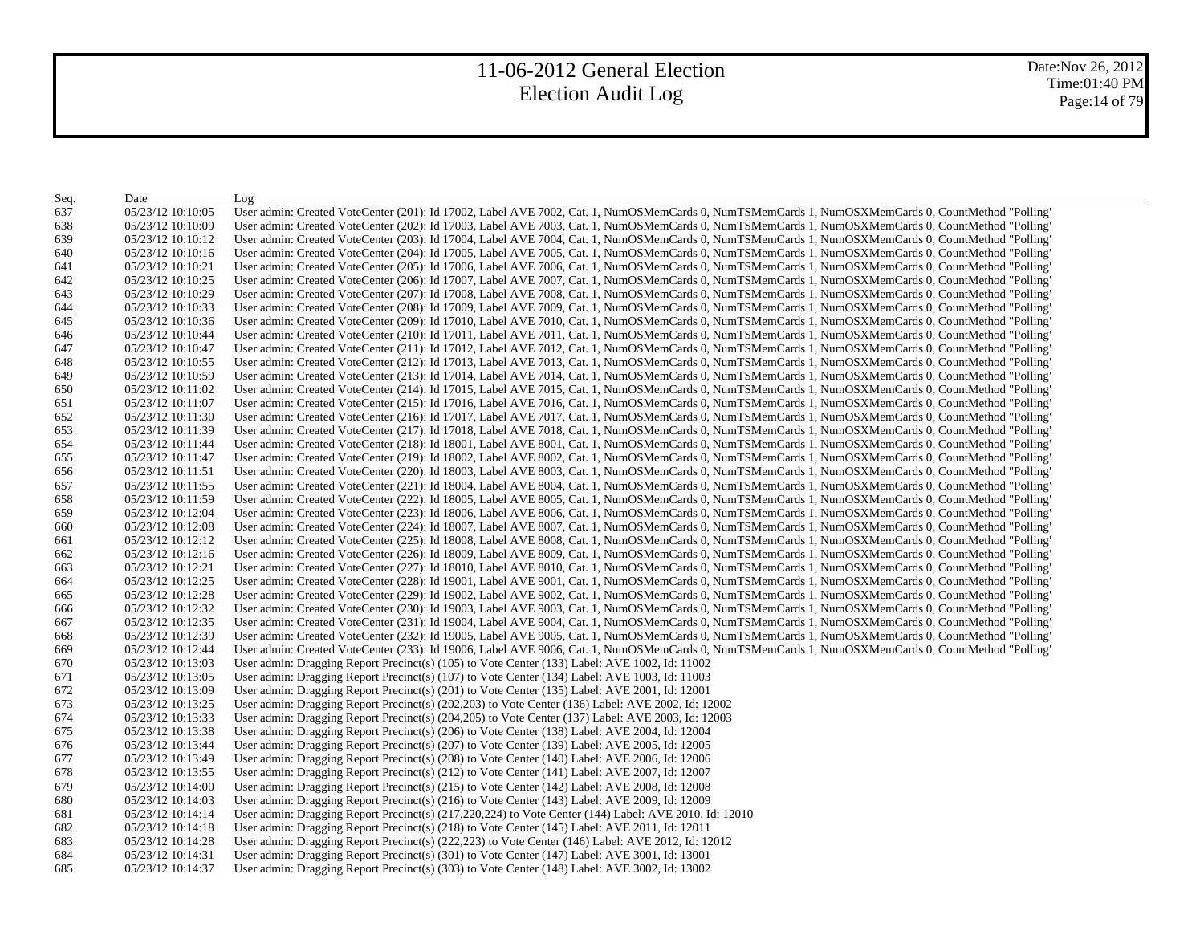Date:Nov 26, 2012 Time:01:40 PM Page:14 of 79

| Seq. | Date              | Log                                                                                                                                               |
|------|-------------------|---------------------------------------------------------------------------------------------------------------------------------------------------|
| 637  | 05/23/12 10:10:05 | User admin: Created VoteCenter (201): Id 17002, Label AVE 7002, Cat. 1, NumOSMemCards 0, NumTSMemCards 1, NumOSXMemCards 0, CountMethod "Polling" |
| 638  | 05/23/12 10:10:09 | User admin: Created VoteCenter (202): Id 17003, Label AVE 7003, Cat. 1, NumOSMemCards 0, NumTSMemCards 1, NumOSXMemCards 0, CountMethod "Polling" |
| 639  | 05/23/12 10:10:12 | User admin: Created VoteCenter (203): Id 17004, Label AVE 7004, Cat. 1, NumOSMemCards 0, NumTSMemCards 1, NumOSXMemCards 0, CountMethod "Polling  |
| 640  | 05/23/12 10:10:16 | User admin: Created VoteCenter (204): Id 17005, Label AVE 7005, Cat. 1, NumOSMemCards 0, NumTSMemCards 1, NumOSXMemCards 0, CountMethod "Polling  |
| 641  | 05/23/12 10:10:21 | User admin: Created VoteCenter (205): Id 17006, Label AVE 7006, Cat. 1, NumOSMemCards 0, NumTSMemCards 1, NumOSXMemCards 0, CountMethod "Polling" |
| 642  | 05/23/12 10:10:25 | User admin: Created VoteCenter (206): Id 17007, Label AVE 7007, Cat. 1, NumOSMemCards 0, NumTSMemCards 1, NumOSXMemCards 0, CountMethod "Polling" |
| 643  | 05/23/12 10:10:29 | User admin: Created VoteCenter (207): Id 17008, Label AVE 7008, Cat. 1, NumOSMemCards 0, NumTSMemCards 1, NumOSXMemCards 0, CountMethod "Polling" |
| 644  | 05/23/12 10:10:33 | User admin: Created VoteCenter (208): Id 17009, Label AVE 7009, Cat. 1, NumOSMemCards 0, NumTSMemCards 1, NumOSXMemCards 0, CountMethod "Polling  |
| 645  | 05/23/12 10:10:36 | User admin: Created VoteCenter (209): Id 17010, Label AVE 7010, Cat. 1, NumOSMemCards 0, NumTSMemCards 1, NumOSXMemCards 0, CountMethod "Polling" |
| 646  | 05/23/12 10:10:44 | User admin: Created VoteCenter (210): Id 17011, Label AVE 7011, Cat. 1, NumOSMemCards 0, NumTSMemCards 1, NumOSXMemCards 0, CountMethod "Polling" |
| 647  | 05/23/12 10:10:47 | User admin: Created VoteCenter (211): Id 17012, Label AVE 7012, Cat. 1, NumOSMemCards 0, NumTSMemCards 1, NumOSXMemCards 0, CountMethod "Polling" |
| 648  | 05/23/12 10:10:55 | User admin: Created VoteCenter (212): Id 17013, Label AVE 7013, Cat. 1, NumOSMemCards 0, NumTSMemCards 1, NumOSXMemCards 0, CountMethod "Polling" |
| 649  | 05/23/12 10:10:59 | User admin: Created VoteCenter (213): Id 17014, Label AVE 7014, Cat. 1, NumOSMemCards 0, NumTSMemCards 1, NumOSXMemCards 0, CountMethod "Polling" |
| 650  | 05/23/12 10:11:02 | User admin: Created VoteCenter (214): Id 17015, Label AVE 7015, Cat. 1, NumOSMemCards 0, NumTSMemCards 1, NumOSXMemCards 0, CountMethod "Polling" |
| 651  | 05/23/12 10:11:07 | User admin: Created VoteCenter (215): Id 17016, Label AVE 7016, Cat. 1, NumOSMemCards 0, NumTSMemCards 1, NumOSXMemCards 0, CountMethod "Polling" |
| 652  | 05/23/12 10:11:30 | User admin: Created VoteCenter (216): Id 17017, Label AVE 7017, Cat. 1, NumOSMemCards 0, NumTSMemCards 1, NumOSXMemCards 0, CountMethod "Polling" |
| 653  | 05/23/12 10:11:39 | User admin: Created VoteCenter (217): Id 17018, Label AVE 7018, Cat. 1, NumOSMemCards 0, NumTSMemCards 1, NumOSXMemCards 0, CountMethod "Polling" |
| 654  | 05/23/12 10:11:44 | User admin: Created VoteCenter (218): Id 18001, Label AVE 8001, Cat. 1, NumOSMemCards 0, NumTSMemCards 1, NumOSXMemCards 0, CountMethod "Polling" |
| 655  | 05/23/12 10:11:47 | User admin: Created VoteCenter (219): Id 18002, Label AVE 8002, Cat. 1, NumOSMemCards 0, NumTSMemCards 1, NumOSXMemCards 0, CountMethod "Polling" |
| 656  | 05/23/12 10:11:51 | User admin: Created VoteCenter (220): Id 18003, Label AVE 8003, Cat. 1, NumOSMemCards 0, NumTSMemCards 1, NumOSXMemCards 0, CountMethod "Polling" |
| 657  | 05/23/12 10:11:55 | User admin: Created VoteCenter (221): Id 18004, Label AVE 8004, Cat. 1, NumOSMemCards 0, NumTSMemCards 1, NumOSXMemCards 0, CountMethod "Polling" |
| 658  | 05/23/12 10:11:59 | User admin: Created VoteCenter (222): Id 18005, Label AVE 8005, Cat. 1, NumOSMemCards 0, NumTSMemCards 1, NumOSXMemCards 0, CountMethod "Polling" |
| 659  | 05/23/12 10:12:04 | User admin: Created VoteCenter (223): Id 18006, Label AVE 8006, Cat. 1, NumOSMemCards 0, NumTSMemCards 1, NumOSXMemCards 0, CountMethod "Polling" |
| 660  | 05/23/12 10:12:08 | User admin: Created VoteCenter (224): Id 18007, Label AVE 8007, Cat. 1, NumOSMemCards 0, NumTSMemCards 1, NumOSXMemCards 0, CountMethod "Polling" |
| 661  | 05/23/12 10:12:12 | User admin: Created VoteCenter (225): Id 18008, Label AVE 8008, Cat. 1, NumOSMemCards 0, NumTSMemCards 1, NumOSXMemCards 0, CountMethod "Polling" |
| 662  | 05/23/12 10:12:16 | User admin: Created VoteCenter (226): Id 18009, Label AVE 8009, Cat. 1, NumOSMemCards 0, NumTSMemCards 1, NumOSXMemCards 0, CountMethod "Polling  |
| 663  | 05/23/12 10:12:21 | User admin: Created VoteCenter (227): Id 18010, Label AVE 8010, Cat. 1, NumOSMemCards 0, NumTSMemCards 1, NumOSXMemCards 0, CountMethod "Polling  |
| 664  | 05/23/12 10:12:25 | User admin: Created VoteCenter (228): Id 19001, Label AVE 9001, Cat. 1, NumOSMemCards 0, NumTSMemCards 1, NumOSXMemCards 0, CountMethod "Polling" |
| 665  | 05/23/12 10:12:28 | User admin: Created VoteCenter (229): Id 19002, Label AVE 9002, Cat. 1, NumOSMemCards 0, NumTSMemCards 1, NumOSXMemCards 0, CountMethod "Polling" |
| 666  | 05/23/12 10:12:32 | User admin: Created VoteCenter (230): Id 19003, Label AVE 9003, Cat. 1, NumOSMemCards 0, NumTSMemCards 1, NumOSXMemCards 0, CountMethod "Polling" |
| 667  | 05/23/12 10:12:35 | User admin: Created VoteCenter (231): Id 19004, Label AVE 9004, Cat. 1, NumOSMemCards 0, NumTSMemCards 1, NumOSXMemCards 0, CountMethod "Polling" |
| 668  | 05/23/12 10:12:39 | User admin: Created VoteCenter (232): Id 19005, Label AVE 9005, Cat. 1, NumOSMemCards 0, NumTSMemCards 1, NumOSXMemCards 0, CountMethod "Polling" |
| 669  | 05/23/12 10:12:44 | User admin: Created VoteCenter (233): Id 19006, Label AVE 9006, Cat. 1, NumOSMemCards 0, NumTSMemCards 1, NumOSXMemCards 0, CountMethod "Polling" |
| 670. | 05/23/12 10:13:03 | User admin: Dragging Report Precinct(s) $(105)$ to Vote Center $(133)$ Label: AVE 1002, Id: 11002                                                 |
| 671  | 05/23/12 10:13:05 | User admin: Dragging Report Precinct(s) $(107)$ to Vote Center $(134)$ Label: AVE 1003, Id: 11003                                                 |
| 672  | 05/23/12 10:13:09 | User admin: Dragging Report Precinct(s) (201) to Vote Center (135) Label: AVE 2001, Id: 12001                                                     |
| 673  | 05/23/12 10:13:25 | User admin: Dragging Report Precinct(s) (202,203) to Vote Center (136) Label: AVE 2002, Id: 12002                                                 |
| 674  | 05/23/12 10:13:33 | User admin: Dragging Report Precinct(s) (204,205) to Vote Center (137) Label: AVE 2003, Id: 12003                                                 |
| 675  | 05/23/12 10:13:38 | User admin: Dragging Report Precinct(s) (206) to Vote Center (138) Label: AVE 2004, Id: 12004                                                     |
| 676  | 05/23/12 10:13:44 | User admin: Dragging Report Precinct(s) (207) to Vote Center (139) Label: AVE 2005, Id: 12005                                                     |
| 677  | 05/23/12 10:13:49 | User admin: Dragging Report Precinct(s) (208) to Vote Center (140) Label: AVE 2006, Id: 12006                                                     |
| 678  | 05/23/12 10:13:55 | User admin: Dragging Report Precinct(s) $(212)$ to Vote Center $(141)$ Label: AVE 2007, Id: 12007                                                 |
| 679  | 05/23/12 10:14:00 | User admin: Dragging Report Precinct(s) (215) to Vote Center (142) Label: AVE 2008, Id: 12008                                                     |
| 680  | 05/23/12 10:14:03 | User admin: Dragging Report Precinct(s) (216) to Vote Center (143) Label: AVE 2009, Id: 12009                                                     |
| 681  | 05/23/12 10:14:14 | User admin: Dragging Report Precinct(s) (217,220,224) to Vote Center (144) Label: AVE 2010, Id: 12010                                             |
| 682  | 05/23/12 10:14:18 | User admin: Dragging Report Precinct(s) (218) to Vote Center (145) Label: AVE 2011, Id: 12011                                                     |
| 683  | 05/23/12 10:14:28 | User admin: Dragging Report Precinct(s) (222,223) to Vote Center (146) Label: AVE 2012, Id: 12012                                                 |
| 684  | 05/23/12 10:14:31 | User admin: Dragging Report Precinct(s) (301) to Vote Center (147) Label: AVE 3001, Id: 13001                                                     |
| 685  | 05/23/12 10:14:37 | User admin: Dragging Report Precinct(s) (303) to Vote Center (148) Label: AVE 3002, Id: 13002                                                     |
|      |                   |                                                                                                                                                   |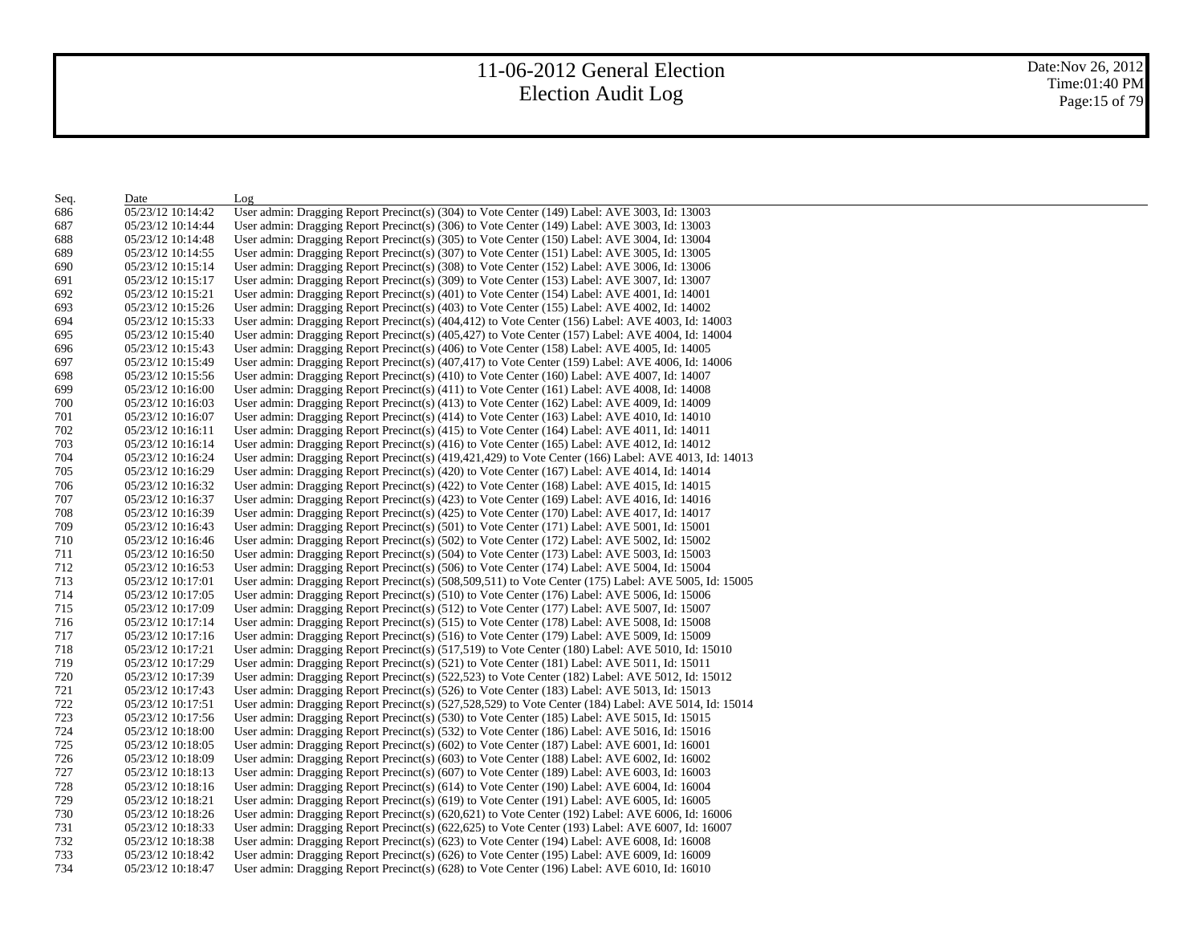Date:Nov 26, 2012 Time:01:40 PM Page:15 of 79

| Seq. | Date              | Log                                                                                                   |
|------|-------------------|-------------------------------------------------------------------------------------------------------|
| 686  | 05/23/12 10:14:42 | User admin: Dragging Report Precinct(s) (304) to Vote Center (149) Label: AVE 3003, Id: 13003         |
| 687  | 05/23/12 10:14:44 | User admin: Dragging Report Precinct(s) (306) to Vote Center (149) Label: AVE 3003, Id: 13003         |
| 688  | 05/23/12 10:14:48 | User admin: Dragging Report Precinct(s) (305) to Vote Center (150) Label: AVE 3004, Id: 13004         |
| 689  | 05/23/12 10:14:55 | User admin: Dragging Report Precinct(s) (307) to Vote Center (151) Label: AVE 3005, Id: 13005         |
| 690  | 05/23/12 10:15:14 | User admin: Dragging Report Precinct(s) (308) to Vote Center (152) Label: AVE 3006, Id: 13006         |
| 691  | 05/23/12 10:15:17 | User admin: Dragging Report Precinct(s) (309) to Vote Center (153) Label: AVE 3007, Id: 13007         |
| 692  | 05/23/12 10:15:21 | User admin: Dragging Report Precinct(s) (401) to Vote Center (154) Label: AVE 4001, Id: 14001         |
| 693  | 05/23/12 10:15:26 | User admin: Dragging Report Precinct(s) (403) to Vote Center (155) Label: AVE 4002, Id: 14002         |
| 694  | 05/23/12 10:15:33 | User admin: Dragging Report Precinct(s) (404,412) to Vote Center (156) Label: AVE 4003, Id: 14003     |
| 695  | 05/23/12 10:15:40 | User admin: Dragging Report Precinct(s) (405,427) to Vote Center (157) Label: AVE 4004, Id: 14004     |
| 696  | 05/23/12 10:15:43 | User admin: Dragging Report Precinct(s) (406) to Vote Center (158) Label: AVE 4005, Id: 14005         |
| 697  | 05/23/12 10:15:49 | User admin: Dragging Report Precinct(s) (407,417) to Vote Center (159) Label: AVE 4006, Id: 14006     |
| 698  | 05/23/12 10:15:56 | User admin: Dragging Report Precinct(s) (410) to Vote Center (160) Label: AVE 4007, Id: 14007         |
| 699  | 05/23/12 10:16:00 | User admin: Dragging Report Precinct(s) (411) to Vote Center (161) Label: AVE 4008, Id: 14008         |
| 700  | 05/23/12 10:16:03 | User admin: Dragging Report Precinct(s) (413) to Vote Center (162) Label: AVE 4009, Id: 14009         |
| 701  | 05/23/12 10:16:07 | User admin: Dragging Report Precinct(s) $(414)$ to Vote Center (163) Label: AVE 4010, Id: 14010       |
| 702  | 05/23/12 10:16:11 | User admin: Dragging Report Precinct(s) (415) to Vote Center (164) Label: AVE 4011, Id: 14011         |
| 703  | 05/23/12 10:16:14 | User admin: Dragging Report Precinct(s) $(416)$ to Vote Center (165) Label: AVE 4012, Id: 14012       |
| 704  | 05/23/12 10:16:24 | User admin: Dragging Report Precinct(s) (419,421,429) to Vote Center (166) Label: AVE 4013, Id: 14013 |
| 705  | 05/23/12 10:16:29 | User admin: Dragging Report Precinct(s) $(420)$ to Vote Center $(167)$ Label: AVE 4014, Id: 14014     |
| 706  | 05/23/12 10:16:32 | User admin: Dragging Report Precinct(s) $(422)$ to Vote Center (168) Label: AVE 4015, Id: 14015       |
| 707  | 05/23/12 10:16:37 | User admin: Dragging Report Precinct(s) $(423)$ to Vote Center (169) Label: AVE 4016, Id: 14016       |
| 708  | 05/23/12 10:16:39 | User admin: Dragging Report Precinct(s) $(425)$ to Vote Center $(170)$ Label: AVE 4017, Id: 14017     |
| 709  | 05/23/12 10:16:43 | User admin: Dragging Report Precinct(s) (501) to Vote Center (171) Label: AVE 5001, Id: 15001         |
| 710  | 05/23/12 10:16:46 | User admin: Dragging Report Precinct(s) (502) to Vote Center (172) Label: AVE 5002, Id: 15002         |
| 711  | 05/23/12 10:16:50 | User admin: Dragging Report Precinct(s) (504) to Vote Center (173) Label: AVE 5003, Id: 15003         |
| 712  | 05/23/12 10:16:53 | User admin: Dragging Report Precinct(s) (506) to Vote Center (174) Label: AVE 5004, Id: 15004         |
| 713  | 05/23/12 10:17:01 | User admin: Dragging Report Precinct(s) (508,509,511) to Vote Center (175) Label: AVE 5005, Id: 15005 |
| 714  | 05/23/12 10:17:05 | User admin: Dragging Report Precinct(s) (510) to Vote Center (176) Label: AVE 5006, Id: 15006         |
| 715  | 05/23/12 10:17:09 | User admin: Dragging Report Precinct(s) $(512)$ to Vote Center (177) Label: AVE 5007, Id: 15007       |
| 716  | 05/23/12 10:17:14 | User admin: Dragging Report Precinct(s) $(515)$ to Vote Center (178) Label: AVE 5008, Id: 15008       |
| 717  | 05/23/12 10:17:16 | User admin: Dragging Report Precinct(s) (516) to Vote Center (179) Label: AVE 5009, Id: 15009         |
| 718  | 05/23/12 10:17:21 | User admin: Dragging Report Precinct(s) (517,519) to Vote Center (180) Label: AVE 5010, Id: 15010     |
| 719  | 05/23/12 10:17:29 | User admin: Dragging Report Precinct(s) $(521)$ to Vote Center $(181)$ Label: AVE 5011, Id: 15011     |
| 720  | 05/23/12 10:17:39 | User admin: Dragging Report Precinct(s) (522,523) to Vote Center (182) Label: AVE 5012, Id: 15012     |
| 721  | 05/23/12 10:17:43 | User admin: Dragging Report Precinct(s) (526) to Vote Center (183) Label: AVE 5013, Id: 15013         |
| 722  | 05/23/12 10:17:51 | User admin: Dragging Report Precinct(s) (527,528,529) to Vote Center (184) Label: AVE 5014, Id: 15014 |
| 723  | 05/23/12 10:17:56 | User admin: Dragging Report Precinct(s) (530) to Vote Center (185) Label: AVE 5015, Id: 15015         |
| 724  | 05/23/12 10:18:00 | User admin: Dragging Report Precinct(s) (532) to Vote Center (186) Label: AVE 5016, Id: 15016         |
| 725  | 05/23/12 10:18:05 | User admin: Dragging Report Precinct(s) $(602)$ to Vote Center (187) Label: AVE 6001, Id: 16001       |
| 726  | 05/23/12 10:18:09 | User admin: Dragging Report Precinct(s) (603) to Vote Center (188) Label: AVE 6002, Id: 16002         |
| 727  | 05/23/12 10:18:13 | User admin: Dragging Report Precinct(s) (607) to Vote Center (189) Label: AVE 6003, Id: 16003         |
| 728  | 05/23/12 10:18:16 | User admin: Dragging Report Precinct(s) (614) to Vote Center (190) Label: AVE 6004, Id: 16004         |
| 729  | 05/23/12 10:18:21 | User admin: Dragging Report Precinct(s) (619) to Vote Center (191) Label: AVE 6005, Id: 16005         |
| 730  | 05/23/12 10:18:26 | User admin: Dragging Report Precinct(s) (620,621) to Vote Center (192) Label: AVE 6006, Id: 16006     |
| 731  | 05/23/12 10:18:33 | User admin: Dragging Report Precinct(s) (622,625) to Vote Center (193) Label: AVE 6007, Id: 16007     |
| 732  | 05/23/12 10:18:38 | User admin: Dragging Report Precinct(s) (623) to Vote Center (194) Label: AVE 6008, Id: 16008         |
| 733  | 05/23/12 10:18:42 | User admin: Dragging Report Precinct(s) (626) to Vote Center (195) Label: AVE 6009, Id: 16009         |
| 734  | 05/23/12 10:18:47 | User admin: Dragging Report Precinct(s) (628) to Vote Center (196) Label: AVE 6010, Id: 16010         |
|      |                   |                                                                                                       |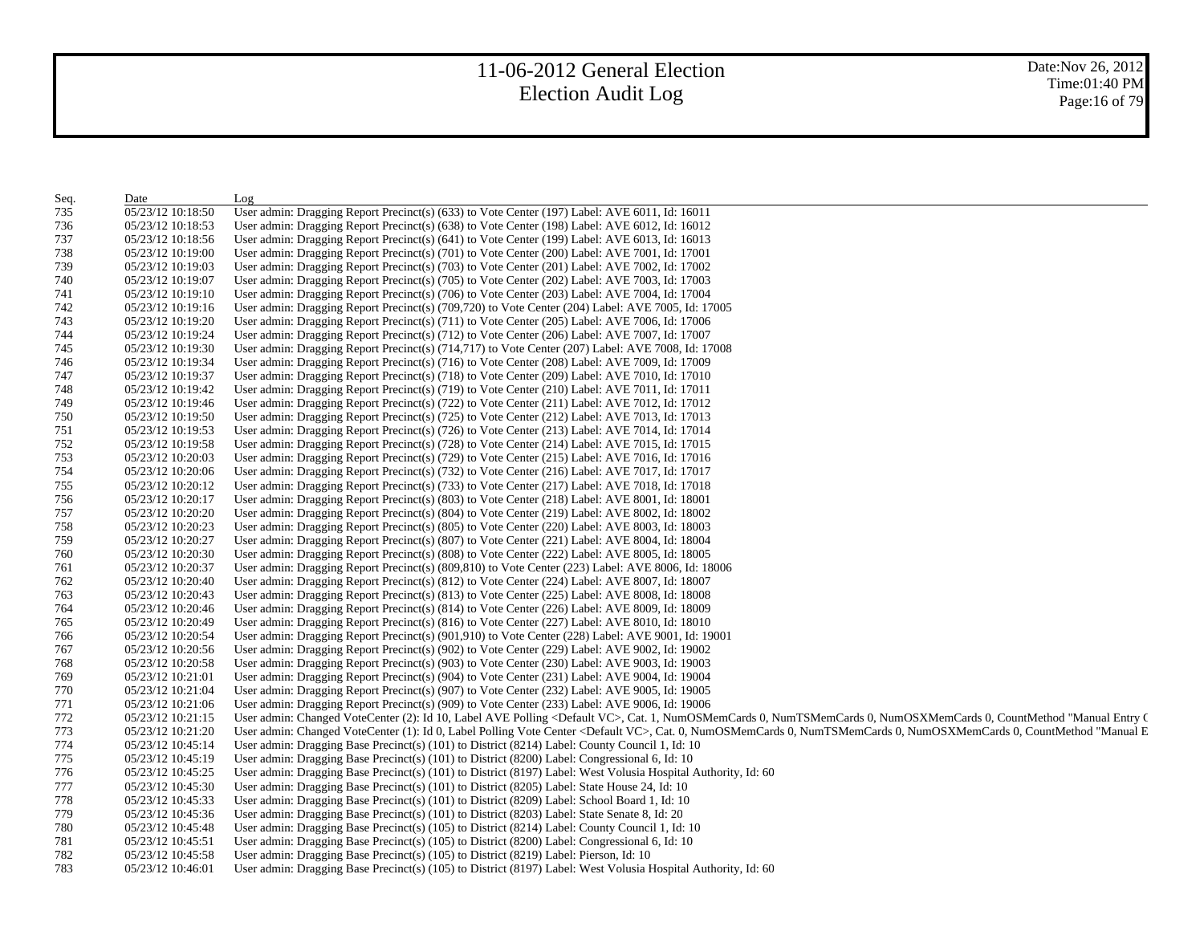Date:Nov 26, 2012 Time:01:40 PM Page:16 of 79

| Seq. | Date              | Log                                                                                                                                                                              |
|------|-------------------|----------------------------------------------------------------------------------------------------------------------------------------------------------------------------------|
| 735  | 05/23/12 10:18:50 | User admin: Dragging Report Precinct(s) (633) to Vote Center (197) Label: AVE 6011, Id: 16011                                                                                    |
| 736  | 05/23/12 10:18:53 | User admin: Dragging Report Precinct(s) (638) to Vote Center (198) Label: AVE 6012, Id: 16012                                                                                    |
| 737  | 05/23/12 10:18:56 | User admin: Dragging Report Precinct(s) (641) to Vote Center (199) Label: AVE 6013, Id: 16013                                                                                    |
| 738  | 05/23/12 10:19:00 | User admin: Dragging Report Precinct(s) (701) to Vote Center (200) Label: AVE 7001, Id: 17001                                                                                    |
| 739  | 05/23/12 10:19:03 | User admin: Dragging Report Precinct(s) (703) to Vote Center (201) Label: AVE 7002, Id: 17002                                                                                    |
| 740  | 05/23/12 10:19:07 | User admin: Dragging Report Precinct(s) (705) to Vote Center (202) Label: AVE 7003, Id: 17003                                                                                    |
| 741  | 05/23/12 10:19:10 | User admin: Dragging Report Precinct(s) (706) to Vote Center (203) Label: AVE 7004, Id: 17004                                                                                    |
| 742  | 05/23/12 10:19:16 | User admin: Dragging Report Precinct(s) (709,720) to Vote Center (204) Label: AVE 7005, Id: 17005                                                                                |
| 743  | 05/23/12 10:19:20 | User admin: Dragging Report Precinct(s) (711) to Vote Center (205) Label: AVE 7006, Id: 17006                                                                                    |
| 744  | 05/23/12 10:19:24 | User admin: Dragging Report Precinct(s) $(712)$ to Vote Center (206) Label: AVE 7007, Id: 17007                                                                                  |
| 745  | 05/23/12 10:19:30 | User admin: Dragging Report Precinct(s) (714,717) to Vote Center (207) Label: AVE 7008, Id: 17008                                                                                |
| 746  | 05/23/12 10:19:34 | User admin: Dragging Report Precinct(s) (716) to Vote Center (208) Label: AVE 7009, Id: 17009                                                                                    |
| 747  | 05/23/12 10:19:37 | User admin: Dragging Report Precinct(s) (718) to Vote Center (209) Label: AVE 7010, Id: 17010                                                                                    |
| 748  | 05/23/12 10:19:42 | User admin: Dragging Report Precinct(s) $(719)$ to Vote Center $(210)$ Label: AVE 7011, Id: 17011                                                                                |
| 749  | 05/23/12 10:19:46 | User admin: Dragging Report Precinct(s) (722) to Vote Center (211) Label: AVE 7012, Id: 17012                                                                                    |
| 750  | 05/23/12 10:19:50 | User admin: Dragging Report Precinct(s) $(725)$ to Vote Center $(212)$ Label: AVE 7013, Id: 17013                                                                                |
| 751  | 05/23/12 10:19:53 | User admin: Dragging Report Precinct(s) (726) to Vote Center (213) Label: AVE 7014, Id: 17014                                                                                    |
| 752  | 05/23/12 10:19:58 | User admin: Dragging Report Precinct(s) $(728)$ to Vote Center $(214)$ Label: AVE 7015, Id: 17015                                                                                |
| 753  | 05/23/12 10:20:03 | User admin: Dragging Report Precinct(s) (729) to Vote Center (215) Label: AVE 7016, Id: 17016                                                                                    |
| 754  | 05/23/12 10:20:06 | User admin: Dragging Report Precinct(s) (732) to Vote Center (216) Label: AVE 7017, Id: 17017                                                                                    |
| 755  | 05/23/12 10:20:12 | User admin: Dragging Report Precinct(s) (733) to Vote Center (217) Label: AVE 7018, Id: 17018                                                                                    |
| 756  | 05/23/12 10:20:17 | User admin: Dragging Report Precinct(s) (803) to Vote Center (218) Label: AVE 8001, Id: 18001                                                                                    |
| 757  | 05/23/12 10:20:20 | User admin: Dragging Report Precinct(s) (804) to Vote Center (219) Label: AVE 8002, Id: 18002                                                                                    |
| 758  | 05/23/12 10:20:23 | User admin: Dragging Report Precinct(s) (805) to Vote Center (220) Label: AVE 8003, Id: 18003                                                                                    |
| 759  | 05/23/12 10:20:27 | User admin: Dragging Report Precinct(s) (807) to Vote Center (221) Label: AVE 8004, Id: 18004                                                                                    |
| 760  | 05/23/12 10:20:30 | User admin: Dragging Report Precinct(s) (808) to Vote Center (222) Label: AVE 8005, Id: 18005                                                                                    |
| 761  | 05/23/12 10:20:37 | User admin: Dragging Report Precinct(s) (809,810) to Vote Center (223) Label: AVE 8006, Id: 18006                                                                                |
| 762  | 05/23/12 10:20:40 | User admin: Dragging Report Precinct(s) (812) to Vote Center (224) Label: AVE 8007, Id: 18007                                                                                    |
| 763  | 05/23/12 10:20:43 | User admin: Dragging Report Precinct(s) (813) to Vote Center (225) Label: AVE 8008, Id: 18008                                                                                    |
| 764  | 05/23/12 10:20:46 | User admin: Dragging Report Precinct(s) (814) to Vote Center (226) Label: AVE 8009, Id: 18009                                                                                    |
| 765  | 05/23/12 10:20:49 | User admin: Dragging Report Precinct(s) (816) to Vote Center (227) Label: AVE 8010, Id: 18010                                                                                    |
| 766  | 05/23/12 10:20:54 | User admin: Dragging Report Precinct(s) (901,910) to Vote Center (228) Label: AVE 9001, Id: 19001                                                                                |
| 767  | 05/23/12 10:20:56 | User admin: Dragging Report Precinct(s) (902) to Vote Center (229) Label: AVE 9002, Id: 19002                                                                                    |
| 768  | 05/23/12 10:20:58 | User admin: Dragging Report Precinct(s) (903) to Vote Center (230) Label: AVE 9003, Id: 19003                                                                                    |
| 769  | 05/23/12 10:21:01 | User admin: Dragging Report Precinct(s) (904) to Vote Center (231) Label: AVE 9004, Id: 19004                                                                                    |
| 770  | 05/23/12 10:21:04 | User admin: Dragging Report Precinct(s) (907) to Vote Center (232) Label: AVE 9005, Id: 19005                                                                                    |
| 771  | 05/23/12 10:21:06 | User admin: Dragging Report Precinct(s) (909) to Vote Center (233) Label: AVE 9006, Id: 19006                                                                                    |
| 772  | 05/23/12 10:21:15 | User admin: Changed VoteCenter (2): Id 10, Label AVE Polling <default vc="">, Cat. 1, NumOSMemCards 0, NumTSMemCards 0, NumOSXMemCards 0, CountMethod "Manual Entry (</default>  |
| 773  | 05/23/12 10:21:20 | User admin: Changed VoteCenter (1): Id 0, Label Polling Vote Center <default vc="">, Cat. 0, NumOSMemCards 0, NumTSMemCards 0, NumOSXMemCards 0, CountMethod "Manual E</default> |
| 774  | 05/23/12 10:45:14 | User admin: Dragging Base Precinct(s) (101) to District (8214) Label: County Council 1, Id: 10                                                                                   |
| 775  | 05/23/12 10:45:19 | User admin: Dragging Base Precinct(s) $(101)$ to District (8200) Label: Congressional 6, Id: 10                                                                                  |
| 776  | 05/23/12 10:45:25 | User admin: Dragging Base Precinct(s) (101) to District (8197) Label: West Volusia Hospital Authority, Id: 60                                                                    |
| 777  | 05/23/12 10:45:30 | User admin: Dragging Base Precinct(s) $(101)$ to District (8205) Label: State House 24, Id: 10                                                                                   |
| 778  | 05/23/12 10:45:33 | User admin: Dragging Base Precinct(s) (101) to District (8209) Label: School Board 1, Id: 10                                                                                     |
| 779  | 05/23/12 10:45:36 | User admin: Dragging Base Precinct(s) (101) to District (8203) Label: State Senate 8, Id: 20                                                                                     |
| 780  | 05/23/12 10:45:48 | User admin: Dragging Base Precinct(s) (105) to District (8214) Label: County Council 1, Id: 10                                                                                   |
| 781  | 05/23/12 10:45:51 | User admin: Dragging Base Precinct(s) $(105)$ to District $(8200)$ Label: Congressional 6, Id: 10                                                                                |
| 782  | 05/23/12 10:45:58 | User admin: Dragging Base Precinct(s) $(105)$ to District $(8219)$ Label: Pierson, Id: 10                                                                                        |
| 783  | 05/23/12 10:46:01 | User admin: Dragging Base Precinct(s) (105) to District (8197) Label: West Volusia Hospital Authority, Id: 60                                                                    |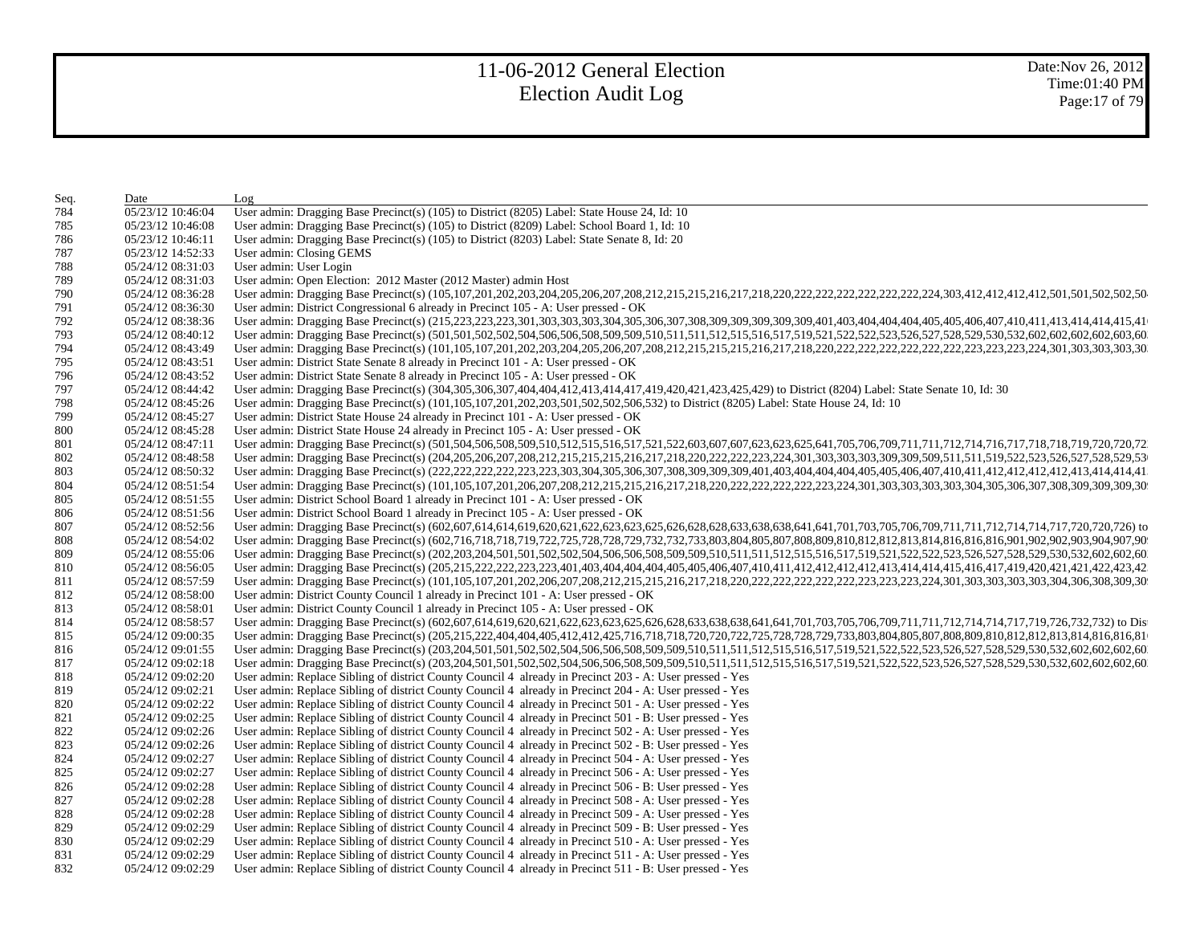| Seq.       | Date                                   | Log                                                                                                                                                                                                                            |
|------------|----------------------------------------|--------------------------------------------------------------------------------------------------------------------------------------------------------------------------------------------------------------------------------|
| 784        | 05/23/12 10:46:04                      | User admin: Dragging Base Precinct(s) (105) to District (8205) Label: State House 24, Id: 10                                                                                                                                   |
| 785        | 05/23/12 10:46:08                      | User admin: Dragging Base Precinct(s) (105) to District (8209) Label: School Board 1, Id: 10                                                                                                                                   |
| 786        | 05/23/12 10:46:11                      | User admin: Dragging Base Precinct(s) (105) to District (8203) Label: State Senate 8, Id: 20                                                                                                                                   |
| 787        | 05/23/12 14:52:33                      | User admin: Closing GEMS                                                                                                                                                                                                       |
| 788        | 05/24/12 08:31:03                      | User admin: User Login                                                                                                                                                                                                         |
| 789        | 05/24/12 08:31:03                      | User admin: Open Election: 2012 Master (2012 Master) admin Host                                                                                                                                                                |
| 790        | 05/24/12 08:36:28                      |                                                                                                                                                                                                                                |
| 791        | 05/24/12 08:36:30                      | User admin: District Congressional 6 already in Precinct 105 - A: User pressed - OK                                                                                                                                            |
| 792        | 05/24/12 08:38:36                      | User admin: Dragging Base Precinct(s) (215,223,223,223,301,303,303,303,304,305,306,307,308,309,309,309,309,309,309,401,403,404,404,404,404,405,405,405,407,410,411,413,414,414,415,41                                          |
| 793        | 05/24/12 08:40:12                      | User admin: Dragging Base Precinct(s) (501,501,502,502,504,506,506,508,509,509,510,511,511,512,515,516,517,519,521,522,522,522,523,526,527,528,529,530,532,602,602,602,602,603,60                                              |
| 794        | 05/24/12 08:43:49                      |                                                                                                                                                                                                                                |
| 795        | 05/24/12 08:43:51                      | User admin: District State Senate 8 already in Precinct 101 - A: User pressed - OK                                                                                                                                             |
| 796        | 05/24/12 08:43:52                      | User admin: District State Senate 8 already in Precinct 105 - A: User pressed - OK                                                                                                                                             |
| 797        | 05/24/12 08:44:42                      | User admin: Dragging Base Precinct(s) (304,305,306,307,404,404,412,413,414,417,419,420,421,423,425,429) to District (8204) Label: State Senate 10, Id: 30                                                                      |
| 798        | 05/24/12 08:45:26                      | User admin: Dragging Base Precinct(s) (101,105,107,201,202,203,501,502,502,506,532) to District (8205) Label: State House 24, Id: 10                                                                                           |
| 799        | 05/24/12 08:45:27                      | User admin: District State House 24 already in Precinct 101 - A: User pressed - OK                                                                                                                                             |
| 800        | 05/24/12 08:45:28                      | User admin: District State House 24 already in Precinct 105 - A: User pressed - OK                                                                                                                                             |
| 801        | 05/24/12 08:47:11                      | User admin: Dragging Base Precinct(s) (501,504,506,508,509,510,512,515,516,517,521,522,603,607,607,623,623,625,641,705,706,709,711,711,712,714,716,717,118,718,719,720,720,72                                                  |
| 802        | 05/24/12 08:48:58                      | User admin: Dragging Base Precinct(s) (204,205,206,207,208,212,215,215,215,215,215,217,218,220,222,222,223,224,301,303,303,303,309,309,509,511,519,522,523,526,527,528,529,53                                                  |
| 803        | 05/24/12 08:50:32                      |                                                                                                                                                                                                                                |
| 804        | 05/24/12 08:51:54                      |                                                                                                                                                                                                                                |
| 805        | 05/24/12 08:51:55                      | User admin: District School Board 1 already in Precinct 101 - A: User pressed - OK                                                                                                                                             |
| 806        | 05/24/12 08:51:56                      | User admin: District School Board 1 already in Precinct 105 - A: User pressed - OK                                                                                                                                             |
| 807        | 05/24/12 08:52:56                      | User admin: Dragging Base Precinct(s) (602,607,614,614,619,620,621,622,623,623,623,625,626,628,628,633,638,638,641,641,701,703,705,706,709,711,711,712,714,714,717,720,720,726 to                                              |
| 808        | 05/24/12 08:54:02                      | User admin: Dragging Base Precinct(s) (602,716,718,718,719,722,725,728,728,729,732,733,803,804,805,807,808,809,810,812,812,812,813,814,816,816,816,901,902,902,903,904,907,90                                                  |
| 809        | 05/24/12 08:55:06                      | User admin: Dragging Base Precinct(s) (202,203,204,501,501,502,502,504,506,506,508,509,509,510,511,511,512,515,516,517,519,521,522,522,522,523,526,527,528,529,530,532,602,602,602,602,60                                      |
| 810        | 05/24/12 08:56:05                      | User admin: Dragging Base Precinct(s) (205,215,222,222,223,223,401,403,404,404,404,404,404,405,405,405,406,407,410,411,412,412,412,412,412,412,414,414,415,416,417,419,420,421,422,423,423,42                                  |
| 811        | 05/24/12 08:57:59                      |                                                                                                                                                                                                                                |
| 812        | 05/24/12 08:58:00                      | User admin: District County Council 1 already in Precinct 101 - A: User pressed - OK                                                                                                                                           |
| 813        | 05/24/12 08:58:01                      | User admin: District County Council 1 already in Precinct 105 - A: User pressed - OK                                                                                                                                           |
| 814        | 05/24/12 08:58:57                      | User admin: Dragging Base Precinct(s) (602,607,614,619,620,621,622,623,623,625,626,628,633,638,641,641,701,703,705,706,709,711,711,712,714,714,717,19,726,732,732) to Dis                                                      |
| 815        | 05/24/12 09:00:35                      | User admin: Dragging Base Precinct(s) (205,215,222,404,404,405,412,412,425,716,718,718,720,722,725,728,728,728,728,728,804,805,807,808,809,810,812,812,812,813,814,816,816,81                                                  |
| 816        | 05/24/12 09:01:55                      |                                                                                                                                                                                                                                |
| 817        | 05/24/12 09:02:18                      | User admin: Dragging Base Precinct(s) (203,204,501,501,501,502,502,504,506,508,509,509,510,511,512,515,516,517,519,521,522,522,522,523,526,527,528,529,530,532,602,602,602,602,602,602,602,602,7528,529,530,532,602,602,602,60 |
| 818        | 05/24/12 09:02:20                      | User admin: Replace Sibling of district County Council 4 already in Precinct 203 - A: User pressed - Yes                                                                                                                       |
| 819        | 05/24/12 09:02:21                      | User admin: Replace Sibling of district County Council 4 already in Precinct 204 - A: User pressed - Yes                                                                                                                       |
| 820        | 05/24/12 09:02:22                      | User admin: Replace Sibling of district County Council 4 already in Precinct 501 - A: User pressed - Yes                                                                                                                       |
| 821        | 05/24/12 09:02:25                      | User admin: Replace Sibling of district County Council 4 already in Precinct 501 - B: User pressed - Yes                                                                                                                       |
| 822        | 05/24/12 09:02:26                      | User admin: Replace Sibling of district County Council 4 already in Precinct 502 - A: User pressed - Yes                                                                                                                       |
|            | 05/24/12 09:02:26                      | User admin: Replace Sibling of district County Council 4 already in Precinct 502 - B: User pressed - Yes                                                                                                                       |
| 823<br>824 | 05/24/12 09:02:27                      | User admin: Replace Sibling of district County Council 4 already in Precinct 504 - A: User pressed - Yes                                                                                                                       |
| 825        |                                        |                                                                                                                                                                                                                                |
| 826        | 05/24/12 09:02:27<br>05/24/12 09:02:28 | User admin: Replace Sibling of district County Council 4 already in Precinct 506 - A: User pressed - Yes<br>User admin: Replace Sibling of district County Council 4 already in Precinct 506 - B: User pressed - Yes           |
| 827        |                                        | User admin: Replace Sibling of district County Council 4 already in Precinct 508 - A: User pressed - Yes                                                                                                                       |
|            | 05/24/12 09:02:28                      |                                                                                                                                                                                                                                |
| 828        | 05/24/12 09:02:28                      | User admin: Replace Sibling of district County Council 4 already in Precinct 509 - A: User pressed - Yes                                                                                                                       |
| 829        | 05/24/12 09:02:29                      | User admin: Replace Sibling of district County Council 4 already in Precinct 509 - B: User pressed - Yes                                                                                                                       |
| 830        | 05/24/12 09:02:29                      | User admin: Replace Sibling of district County Council 4 already in Precinct 510 - A: User pressed - Yes                                                                                                                       |
| 831        | 05/24/12 09:02:29                      | User admin: Replace Sibling of district County Council 4 already in Precinct 511 - A: User pressed - Yes                                                                                                                       |
| 832        | 05/24/12 09:02:29                      | User admin: Replace Sibling of district County Council 4 already in Precinct 511 - B: User pressed - Yes                                                                                                                       |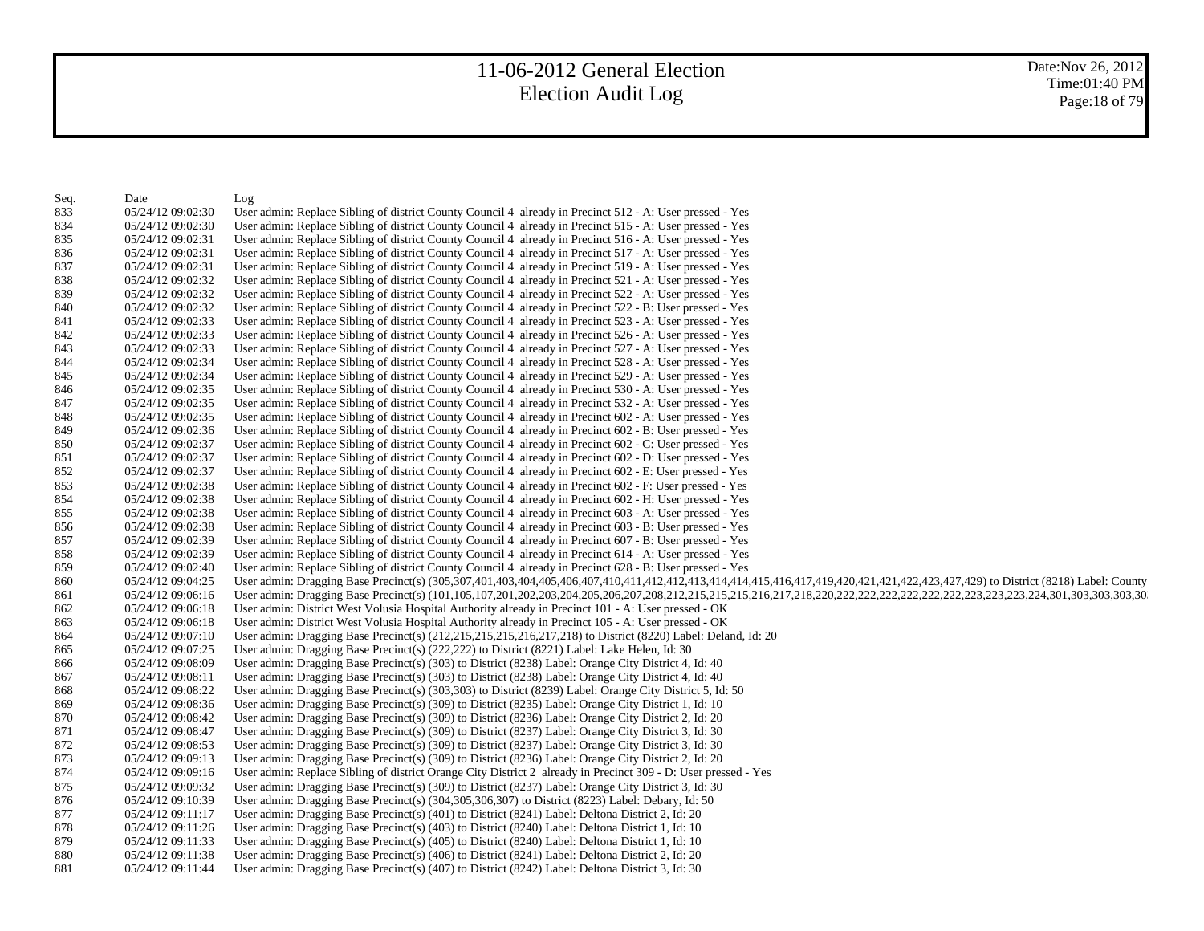| Seq. | Date              | Log                                                                                                                                                                              |
|------|-------------------|----------------------------------------------------------------------------------------------------------------------------------------------------------------------------------|
| 833  | 05/24/12 09:02:30 | User admin: Replace Sibling of district County Council 4 already in Precinct 512 - A: User pressed - Yes                                                                         |
| 834  | 05/24/12 09:02:30 | User admin: Replace Sibling of district County Council 4 already in Precinct 515 - A: User pressed - Yes                                                                         |
| 835  | 05/24/12 09:02:31 | User admin: Replace Sibling of district County Council 4 already in Precinct 516 - A: User pressed - Yes                                                                         |
| 836  | 05/24/12 09:02:31 | User admin: Replace Sibling of district County Council 4 already in Precinct 517 - A: User pressed - Yes                                                                         |
| 837  | 05/24/12 09:02:31 | User admin: Replace Sibling of district County Council 4 already in Precinct 519 - A: User pressed - Yes                                                                         |
| 838  | 05/24/12 09:02:32 | User admin: Replace Sibling of district County Council 4 already in Precinct 521 - A: User pressed - Yes                                                                         |
| 839  | 05/24/12 09:02:32 | User admin: Replace Sibling of district County Council 4 already in Precinct 522 - A: User pressed - Yes                                                                         |
| 840  | 05/24/12 09:02:32 | User admin: Replace Sibling of district County Council 4 already in Precinct 522 - B: User pressed - Yes                                                                         |
| 841  | 05/24/12 09:02:33 | User admin: Replace Sibling of district County Council 4 already in Precinct 523 - A: User pressed - Yes                                                                         |
| 842  | 05/24/12 09:02:33 | User admin: Replace Sibling of district County Council 4 already in Precinct 526 - A: User pressed - Yes                                                                         |
| 843  | 05/24/12 09:02:33 | User admin: Replace Sibling of district County Council 4 already in Precinct 527 - A: User pressed - Yes                                                                         |
| 844  | 05/24/12 09:02:34 | User admin: Replace Sibling of district County Council 4 already in Precinct 528 - A: User pressed - Yes                                                                         |
| 845  | 05/24/12 09:02:34 | User admin: Replace Sibling of district County Council 4 already in Precinct 529 - A: User pressed - Yes                                                                         |
| 846  | 05/24/12 09:02:35 | User admin: Replace Sibling of district County Council 4 already in Precinct 530 - A: User pressed - Yes                                                                         |
| 847  | 05/24/12 09:02:35 | User admin: Replace Sibling of district County Council 4 already in Precinct 532 - A: User pressed - Yes                                                                         |
| 848  | 05/24/12 09:02:35 | User admin: Replace Sibling of district County Council 4 already in Precinct 602 - A: User pressed - Yes                                                                         |
| 849  | 05/24/12 09:02:36 | User admin: Replace Sibling of district County Council 4 already in Precinct 602 - B: User pressed - Yes                                                                         |
| 850  | 05/24/12 09:02:37 | User admin: Replace Sibling of district County Council 4 already in Precinct 602 - C: User pressed - Yes                                                                         |
| 851  | 05/24/12 09:02:37 | User admin: Replace Sibling of district County Council 4 already in Precinct 602 - D: User pressed - Yes                                                                         |
| 852  | 05/24/12 09:02:37 | User admin: Replace Sibling of district County Council 4 already in Precinct 602 - E: User pressed - Yes                                                                         |
| 853  | 05/24/12 09:02:38 | User admin: Replace Sibling of district County Council 4 already in Precinct 602 - F: User pressed - Yes                                                                         |
| 854  | 05/24/12 09:02:38 | User admin: Replace Sibling of district County Council 4 already in Precinct 602 - H: User pressed - Yes                                                                         |
| 855  | 05/24/12 09:02:38 | User admin: Replace Sibling of district County Council 4 already in Precinct 603 - A: User pressed - Yes                                                                         |
| 856  | 05/24/12 09:02:38 | User admin: Replace Sibling of district County Council 4 already in Precinct 603 - B: User pressed - Yes                                                                         |
| 857  | 05/24/12 09:02:39 | User admin: Replace Sibling of district County Council 4 already in Precinct 607 - B: User pressed - Yes                                                                         |
| 858  | 05/24/12 09:02:39 | User admin: Replace Sibling of district County Council 4 already in Precinct 614 - A: User pressed - Yes                                                                         |
| 859  | 05/24/12 09:02:40 | User admin: Replace Sibling of district County Council 4 already in Precinct 628 - B: User pressed - Yes                                                                         |
| 860  | 05/24/12 09:04:25 | User admin: Dragging Base Precinct(s) (305,307,401,403,404,405,406,407,410,411,412,412,413,414,414,415,416,417,419,420,421,421,422,423,427,429) to District (8218) Label: County |
| 861  | 05/24/12 09:06:16 |                                                                                                                                                                                  |
| 862  | 05/24/12 09:06:18 | User admin: District West Volusia Hospital Authority already in Precinct 101 - A: User pressed - OK                                                                              |
| 863  | 05/24/12 09:06:18 | User admin: District West Volusia Hospital Authority already in Precinct 105 - A: User pressed - OK                                                                              |
| 864  | 05/24/12 09:07:10 | User admin: Dragging Base Precinct(s) (212,215,215,215,216,217,218) to District (8220) Label: Deland, Id: 20                                                                     |
| 865  | 05/24/12 09:07:25 | User admin: Dragging Base Precinct(s) (222,222) to District (8221) Label: Lake Helen, Id: 30                                                                                     |
| 866  | 05/24/12 09:08:09 | User admin: Dragging Base Precinct(s) (303) to District (8238) Label: Orange City District 4, Id: 40                                                                             |
| 867  | 05/24/12 09:08:11 | User admin: Dragging Base Precinct(s) (303) to District (8238) Label: Orange City District 4, Id: 40                                                                             |
| 868  | 05/24/12 09:08:22 | User admin: Dragging Base Precinct(s) $(303,303)$ to District $(8239)$ Label: Orange City District 5, Id: 50                                                                     |
| 869  | 05/24/12 09:08:36 | User admin: Dragging Base Precinct(s) (309) to District (8235) Label: Orange City District 1, Id: 10                                                                             |
| 870  | 05/24/12 09:08:42 | User admin: Dragging Base Precinct(s) (309) to District (8236) Label: Orange City District 2, Id: 20                                                                             |
| 871  | 05/24/12 09:08:47 | User admin: Dragging Base Precinct(s) (309) to District (8237) Label: Orange City District 3, Id: 30                                                                             |
| 872  | 05/24/12 09:08:53 | User admin: Dragging Base Precinct(s) (309) to District (8237) Label: Orange City District 3, Id: 30                                                                             |
| 873  | 05/24/12 09:09:13 | User admin: Dragging Base Precinct(s) (309) to District (8236) Label: Orange City District 2, Id: 20                                                                             |
| 874  | 05/24/12 09:09:16 | User admin: Replace Sibling of district Orange City District 2 already in Precinct 309 - D: User pressed - Yes                                                                   |
| 875  | 05/24/12 09:09:32 | User admin: Dragging Base Precinct(s) (309) to District (8237) Label: Orange City District 3, Id: 30                                                                             |
| 876  | 05/24/12 09:10:39 | User admin: Dragging Base Precinct(s) (304,305,306,307) to District (8223) Label: Debary, Id: 50                                                                                 |
| 877  | 05/24/12 09:11:17 | User admin: Dragging Base Precinct(s) (401) to District (8241) Label: Deltona District 2, Id: 20                                                                                 |
| 878  | 05/24/12 09:11:26 | User admin: Dragging Base Precinct(s) (403) to District (8240) Label: Deltona District 1, Id: 10                                                                                 |
| 879  | 05/24/12 09:11:33 | User admin: Dragging Base Precinct(s) (405) to District (8240) Label: Deltona District 1, Id: 10                                                                                 |
| 880  | 05/24/12 09:11:38 | User admin: Dragging Base Precinct(s) (406) to District (8241) Label: Deltona District 2, Id: 20                                                                                 |
| 881  | 05/24/12 09:11:44 | User admin: Dragging Base Precinct(s) (407) to District (8242) Label: Deltona District 3, Id: 30                                                                                 |
|      |                   |                                                                                                                                                                                  |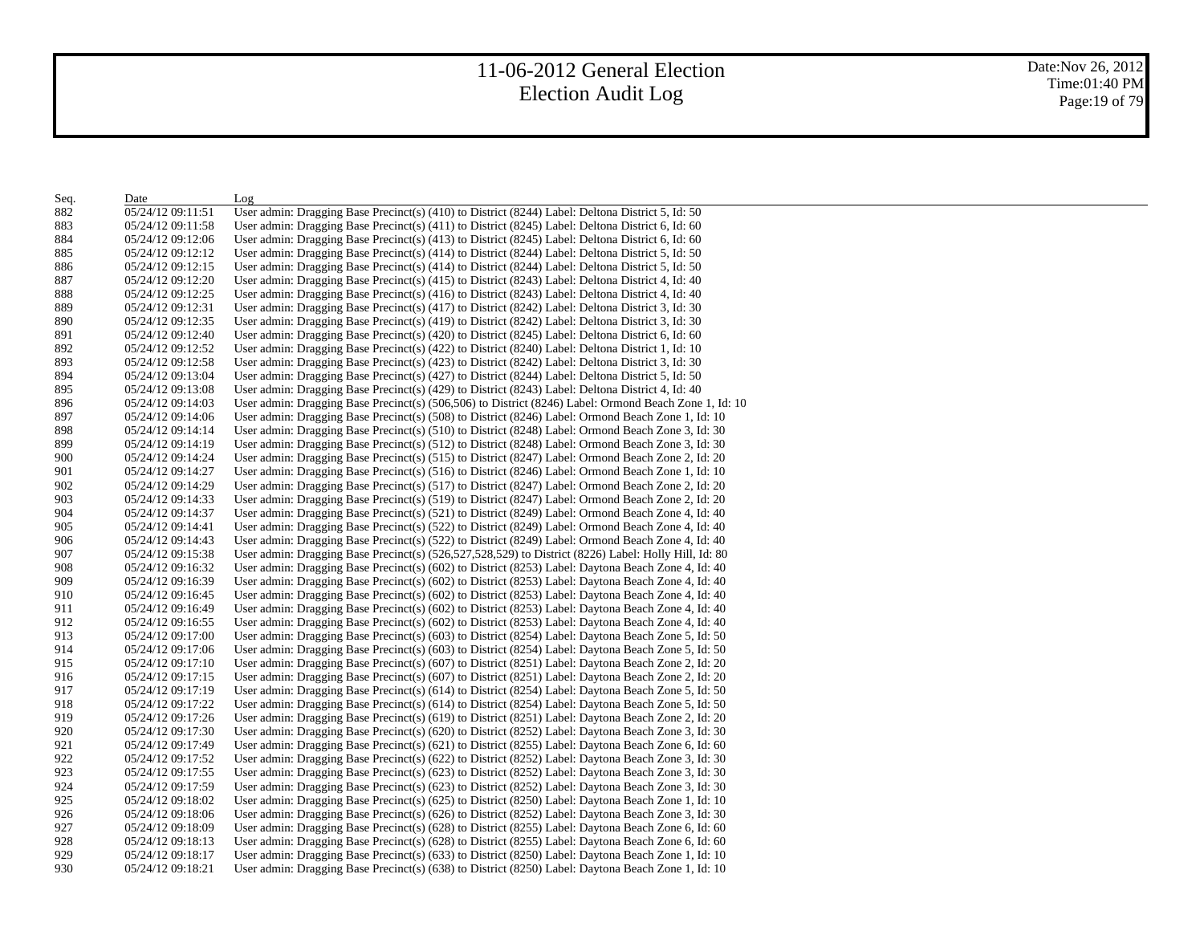| Seq. | Date              | Log                                                                                                      |
|------|-------------------|----------------------------------------------------------------------------------------------------------|
| 882  | 05/24/12 09:11:51 | User admin: Dragging Base Precinct(s) (410) to District (8244) Label: Deltona District 5, Id: 50         |
| 883  | 05/24/12 09:11:58 | User admin: Dragging Base Precinct(s) (411) to District (8245) Label: Deltona District 6, Id: 60         |
| 884  | 05/24/12 09:12:06 | User admin: Dragging Base Precinct(s) (413) to District (8245) Label: Deltona District 6, Id: 60         |
| 885  | 05/24/12 09:12:12 | User admin: Dragging Base Precinct(s) $(414)$ to District (8244) Label: Deltona District 5, Id: 50       |
| 886  | 05/24/12 09:12:15 | User admin: Dragging Base Precinct(s) (414) to District (8244) Label: Deltona District 5, Id: 50         |
| 887  | 05/24/12 09:12:20 | User admin: Dragging Base Precinct(s) $(415)$ to District $(8243)$ Label: Deltona District 4, Id: 40     |
| 888  | 05/24/12 09:12:25 | User admin: Dragging Base Precinct(s) (416) to District (8243) Label: Deltona District 4, Id: 40         |
| 889  | 05/24/12 09:12:31 | User admin: Dragging Base Precinct(s) $(417)$ to District $(8242)$ Label: Deltona District 3, Id: 30     |
| 890  | 05/24/12 09:12:35 | User admin: Dragging Base Precinct(s) (419) to District (8242) Label: Deltona District 3, Id: 30         |
| 891  | 05/24/12 09:12:40 | User admin: Dragging Base Precinct(s) (420) to District (8245) Label: Deltona District 6, Id: 60         |
| 892  | 05/24/12 09:12:52 | User admin: Dragging Base Precinct(s) $(422)$ to District $(8240)$ Label: Deltona District 1, Id: 10     |
| 893  | 05/24/12 09:12:58 | User admin: Dragging Base Precinct(s) $(423)$ to District $(8242)$ Label: Deltona District 3, Id: 30     |
| 894  | 05/24/12 09:13:04 | User admin: Dragging Base Precinct(s) (427) to District (8244) Label: Deltona District 5, Id: 50         |
| 895  | 05/24/12 09:13:08 | User admin: Dragging Base Precinct(s) (429) to District (8243) Label: Deltona District 4, Id: 40         |
| 896  | 05/24/12 09:14:03 | User admin: Dragging Base Precinct(s) (506,506) to District (8246) Label: Ormond Beach Zone 1, Id: 10    |
| 897  | 05/24/12 09:14:06 | User admin: Dragging Base Precinct(s) (508) to District (8246) Label: Ormond Beach Zone 1, Id: 10        |
| 898  | 05/24/12 09:14:14 | User admin: Dragging Base Precinct(s) (510) to District (8248) Label: Ormond Beach Zone 3, Id: 30        |
| 899  | 05/24/12 09:14:19 | User admin: Dragging Base Precinct(s) (512) to District (8248) Label: Ormond Beach Zone 3, Id: 30        |
| 900  | 05/24/12 09:14:24 | User admin: Dragging Base Precinct(s) (515) to District (8247) Label: Ormond Beach Zone 2, Id: 20        |
| 901  | 05/24/12 09:14:27 | User admin: Dragging Base Precinct(s) (516) to District (8246) Label: Ormond Beach Zone 1, Id: 10        |
| 902  | 05/24/12 09:14:29 | User admin: Dragging Base Precinct(s) (517) to District (8247) Label: Ormond Beach Zone 2, Id: 20        |
| 903  | 05/24/12 09:14:33 | User admin: Dragging Base Precinct(s) (519) to District (8247) Label: Ormond Beach Zone 2, Id: 20        |
| 904  | 05/24/12 09:14:37 | User admin: Dragging Base Precinct(s) (521) to District (8249) Label: Ormond Beach Zone 4, Id: 40        |
| 905  | 05/24/12 09:14:41 | User admin: Dragging Base Precinct(s) (522) to District (8249) Label: Ormond Beach Zone 4, Id: 40        |
| 906  | 05/24/12 09:14:43 | User admin: Dragging Base Precinct(s) (522) to District (8249) Label: Ormond Beach Zone 4, Id: 40        |
| 907  | 05/24/12 09:15:38 | User admin: Dragging Base Precinct(s) $(526,527,528,529)$ to District $(8226)$ Label: Holly Hill, Id: 80 |
| 908  | 05/24/12 09:16:32 | User admin: Dragging Base Precinct(s) (602) to District (8253) Label: Daytona Beach Zone 4, Id: 40       |
| 909  | 05/24/12 09:16:39 | User admin: Dragging Base Precinct(s) (602) to District (8253) Label: Daytona Beach Zone 4, Id: 40       |
| 910  | 05/24/12 09:16:45 | User admin: Dragging Base Precinct(s) (602) to District (8253) Label: Daytona Beach Zone 4, Id: 40       |
| 911  | 05/24/12 09:16:49 | User admin: Dragging Base Precinct(s) (602) to District (8253) Label: Daytona Beach Zone 4, Id: 40       |
| 912  | 05/24/12 09:16:55 | User admin: Dragging Base Precinct(s) (602) to District (8253) Label: Daytona Beach Zone 4, Id: 40       |
| 913  | 05/24/12 09:17:00 | User admin: Dragging Base Precinct(s) (603) to District (8254) Label: Daytona Beach Zone 5, Id: 50       |
| 914  | 05/24/12 09:17:06 | User admin: Dragging Base Precinct(s) (603) to District (8254) Label: Daytona Beach Zone 5, Id: 50       |
| 915  | 05/24/12 09:17:10 | User admin: Dragging Base Precinct(s) (607) to District (8251) Label: Daytona Beach Zone 2, Id: 20       |
| 916  | 05/24/12 09:17:15 | User admin: Dragging Base Precinct(s) (607) to District (8251) Label: Daytona Beach Zone 2, Id: 20       |
| 917  | 05/24/12 09:17:19 | User admin: Dragging Base Precinct(s) (614) to District (8254) Label: Daytona Beach Zone 5, Id: 50       |
| 918  | 05/24/12 09:17:22 | User admin: Dragging Base Precinct(s) (614) to District (8254) Label: Daytona Beach Zone 5, Id: 50       |
| 919  | 05/24/12 09:17:26 | User admin: Dragging Base Precinct(s) (619) to District (8251) Label: Daytona Beach Zone 2, Id: 20       |
| 920  | 05/24/12 09:17:30 | User admin: Dragging Base Precinct(s) (620) to District (8252) Label: Daytona Beach Zone 3, Id: 30       |
| 921  | 05/24/12 09:17:49 | User admin: Dragging Base Precinct(s) $(621)$ to District $(8255)$ Label: Daytona Beach Zone 6, Id: 60   |
| 922  | 05/24/12 09:17:52 | User admin: Dragging Base Precinct(s) (622) to District (8252) Label: Daytona Beach Zone 3, Id: 30       |
| 923  | 05/24/12 09:17:55 | User admin: Dragging Base Precinct(s) (623) to District (8252) Label: Daytona Beach Zone 3, Id: 30       |
| 924  | 05/24/12 09:17:59 | User admin: Dragging Base Precinct(s) (623) to District (8252) Label: Daytona Beach Zone 3, Id: 30       |
| 925  | 05/24/12 09:18:02 | User admin: Dragging Base Precinct(s) $(625)$ to District $(8250)$ Label: Daytona Beach Zone 1, Id: 10   |
| 926  | 05/24/12 09:18:06 | User admin: Dragging Base Precinct(s) (626) to District (8252) Label: Daytona Beach Zone 3, Id: 30       |
| 927  | 05/24/12 09:18:09 | User admin: Dragging Base Precinct(s) (628) to District (8255) Label: Daytona Beach Zone 6, Id: 60       |
| 928  | 05/24/12 09:18:13 | User admin: Dragging Base Precinct(s) (628) to District (8255) Label: Daytona Beach Zone 6, Id: 60       |
| 929  | 05/24/12 09:18:17 | User admin: Dragging Base Precinct(s) (633) to District (8250) Label: Daytona Beach Zone 1, Id: 10       |
| 930  | 05/24/12 09:18:21 | User admin: Dragging Base Precinct(s) (638) to District (8250) Label: Daytona Beach Zone 1, Id: 10       |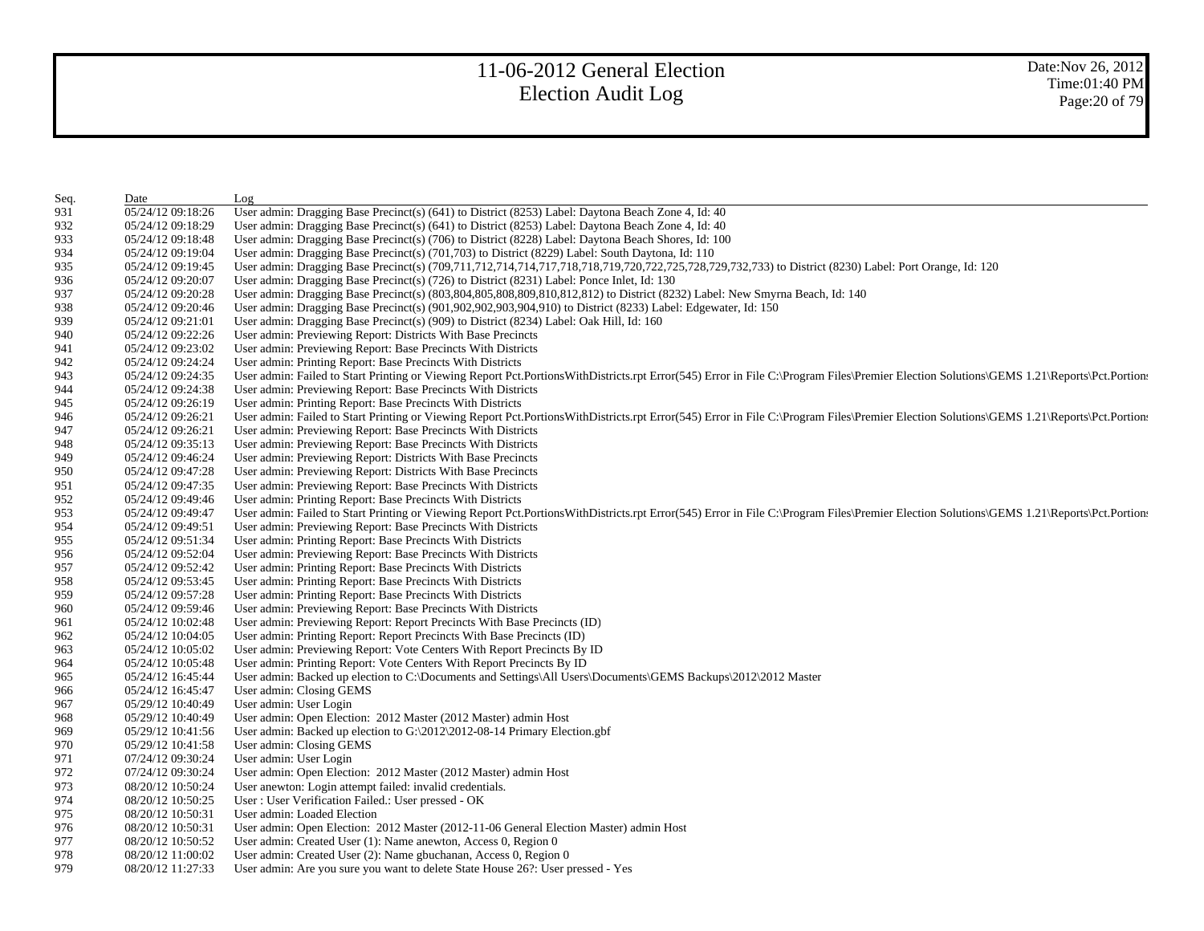| Seq. | Date              | Log                                                                                                                                                                                      |
|------|-------------------|------------------------------------------------------------------------------------------------------------------------------------------------------------------------------------------|
| 931  | 05/24/12 09:18:26 | User admin: Dragging Base Precinct(s) (641) to District (8253) Label: Daytona Beach Zone 4, Id: 40                                                                                       |
| 932  | 05/24/12 09:18:29 | User admin: Dragging Base Precinct(s) (641) to District (8253) Label: Daytona Beach Zone 4, Id: 40                                                                                       |
| 933  | 05/24/12 09:18:48 | User admin: Dragging Base Precinct(s) (706) to District (8228) Label: Daytona Beach Shores, Id: 100                                                                                      |
| 934  | 05/24/12 09:19:04 | User admin: Dragging Base Precinct(s) (701,703) to District (8229) Label: South Daytona, Id: 110                                                                                         |
| 935  | 05/24/12 09:19:45 | User admin: Dragging Base Precinct(s) (709,711,712,714,714,717,718,718,719,720,722,725,728,729,732,733) to District (8230) Label: Port Orange, Id: 120                                   |
| 936  | 05/24/12 09:20:07 | User admin: Dragging Base Precinct(s) (726) to District (8231) Label: Ponce Inlet, Id: 130                                                                                               |
| 937  | 05/24/12 09:20:28 | User admin: Dragging Base Precinct(s) (803,804,805,808,809,810,812,812) to District (8232) Label: New Smyrna Beach, Id: 140                                                              |
| 938  | 05/24/12 09:20:46 | User admin: Dragging Base Precinct(s) (901,902,902,903,904,910) to District (8233) Label: Edgewater, Id: 150                                                                             |
| 939  | 05/24/12 09:21:01 | User admin: Dragging Base Precinct(s) (909) to District (8234) Label: Oak Hill, Id: 160                                                                                                  |
| 940  | 05/24/12 09:22:26 | User admin: Previewing Report: Districts With Base Precincts                                                                                                                             |
| 941  | 05/24/12 09:23:02 | User admin: Previewing Report: Base Precincts With Districts                                                                                                                             |
| 942  | 05/24/12 09:24:24 | User admin: Printing Report: Base Precincts With Districts                                                                                                                               |
| 943  | 05/24/12 09:24:35 | User admin: Failed to Start Printing or Viewing Report Pct.PortionsWithDistricts.rpt Error(545) Error in File C:\Program Files\Premier Election Solutions\GEMS 1.21\Reports\Pct.Portions |
| 944  | 05/24/12 09:24:38 | User admin: Previewing Report: Base Precincts With Districts                                                                                                                             |
| 945  | 05/24/12 09:26:19 | User admin: Printing Report: Base Precincts With Districts                                                                                                                               |
| 946  | 05/24/12 09:26:21 | User admin: Failed to Start Printing or Viewing Report Pct.PortionsWithDistricts.rpt Error(545) Error in File C:\Program Files\Premier Election Solutions\GEMS 1.21\Reports\Pct.Portions |
| 947  | 05/24/12 09:26:21 | User admin: Previewing Report: Base Precincts With Districts                                                                                                                             |
| 948  | 05/24/12 09:35:13 | User admin: Previewing Report: Base Precincts With Districts                                                                                                                             |
| 949  | 05/24/12 09:46:24 | User admin: Previewing Report: Districts With Base Precincts                                                                                                                             |
| 950  | 05/24/12 09:47:28 | User admin: Previewing Report: Districts With Base Precincts                                                                                                                             |
| 951  | 05/24/12 09:47:35 | User admin: Previewing Report: Base Precincts With Districts                                                                                                                             |
| 952  | 05/24/12 09:49:46 | User admin: Printing Report: Base Precincts With Districts                                                                                                                               |
| 953  | 05/24/12 09:49:47 | User admin: Failed to Start Printing or Viewing Report Pct.PortionsWithDistricts.rpt Error(545) Error in File C:\Program Files\Premier Election Solutions\GEMS 1.21\Reports\Pct.Portion: |
| 954  | 05/24/12 09:49:51 | User admin: Previewing Report: Base Precincts With Districts                                                                                                                             |
| 955  | 05/24/12 09:51:34 | User admin: Printing Report: Base Precincts With Districts                                                                                                                               |
| 956  | 05/24/12 09:52:04 | User admin: Previewing Report: Base Precincts With Districts                                                                                                                             |
| 957  | 05/24/12 09:52:42 | User admin: Printing Report: Base Precincts With Districts                                                                                                                               |
| 958  | 05/24/12 09:53:45 | User admin: Printing Report: Base Precincts With Districts                                                                                                                               |
| 959  | 05/24/12 09:57:28 | User admin: Printing Report: Base Precincts With Districts                                                                                                                               |
| 960  | 05/24/12 09:59:46 | User admin: Previewing Report: Base Precincts With Districts                                                                                                                             |
| 961  | 05/24/12 10:02:48 | User admin: Previewing Report: Report Precincts With Base Precincts (ID)                                                                                                                 |
| 962  | 05/24/12 10:04:05 | User admin: Printing Report: Report Precincts With Base Precincts (ID)                                                                                                                   |
| 963  | 05/24/12 10:05:02 | User admin: Previewing Report: Vote Centers With Report Precincts By ID                                                                                                                  |
| 964  | 05/24/12 10:05:48 | User admin: Printing Report: Vote Centers With Report Precincts By ID                                                                                                                    |
| 965  | 05/24/12 16:45:44 | User admin: Backed up election to C:\Documents and Settings\All Users\Documents\GEMS Backups\2012\2012 Master                                                                            |
| 966  | 05/24/12 16:45:47 | User admin: Closing GEMS                                                                                                                                                                 |
| 967  | 05/29/12 10:40:49 | User admin: User Login                                                                                                                                                                   |
| 968  | 05/29/12 10:40:49 | User admin: Open Election: 2012 Master (2012 Master) admin Host                                                                                                                          |
| 969  | 05/29/12 10:41:56 | User admin: Backed up election to G:\2012\2012-08-14 Primary Election.gbf                                                                                                                |
| 970  | 05/29/12 10:41:58 | User admin: Closing GEMS                                                                                                                                                                 |
| 971  | 07/24/12 09:30:24 | User admin: User Login                                                                                                                                                                   |
| 972  | 07/24/12 09:30:24 | User admin: Open Election: 2012 Master (2012 Master) admin Host                                                                                                                          |
| 973  | 08/20/12 10:50:24 | User anewton: Login attempt failed: invalid credentials.                                                                                                                                 |
| 974  | 08/20/12 10:50:25 | User: User Verification Failed.: User pressed - OK                                                                                                                                       |
| 975  | 08/20/12 10:50:31 | User admin: Loaded Election                                                                                                                                                              |
| 976  | 08/20/12 10:50:31 | User admin: Open Election: 2012 Master (2012-11-06 General Election Master) admin Host                                                                                                   |
| 977  | 08/20/12 10:50:52 | User admin: Created User (1): Name anewton, Access 0, Region 0                                                                                                                           |
| 978  | 08/20/12 11:00:02 | User admin: Created User (2): Name gbuchanan, Access 0, Region 0                                                                                                                         |
| 979  | 08/20/12 11:27:33 | User admin: Are you sure you want to delete State House 26?: User pressed - Yes                                                                                                          |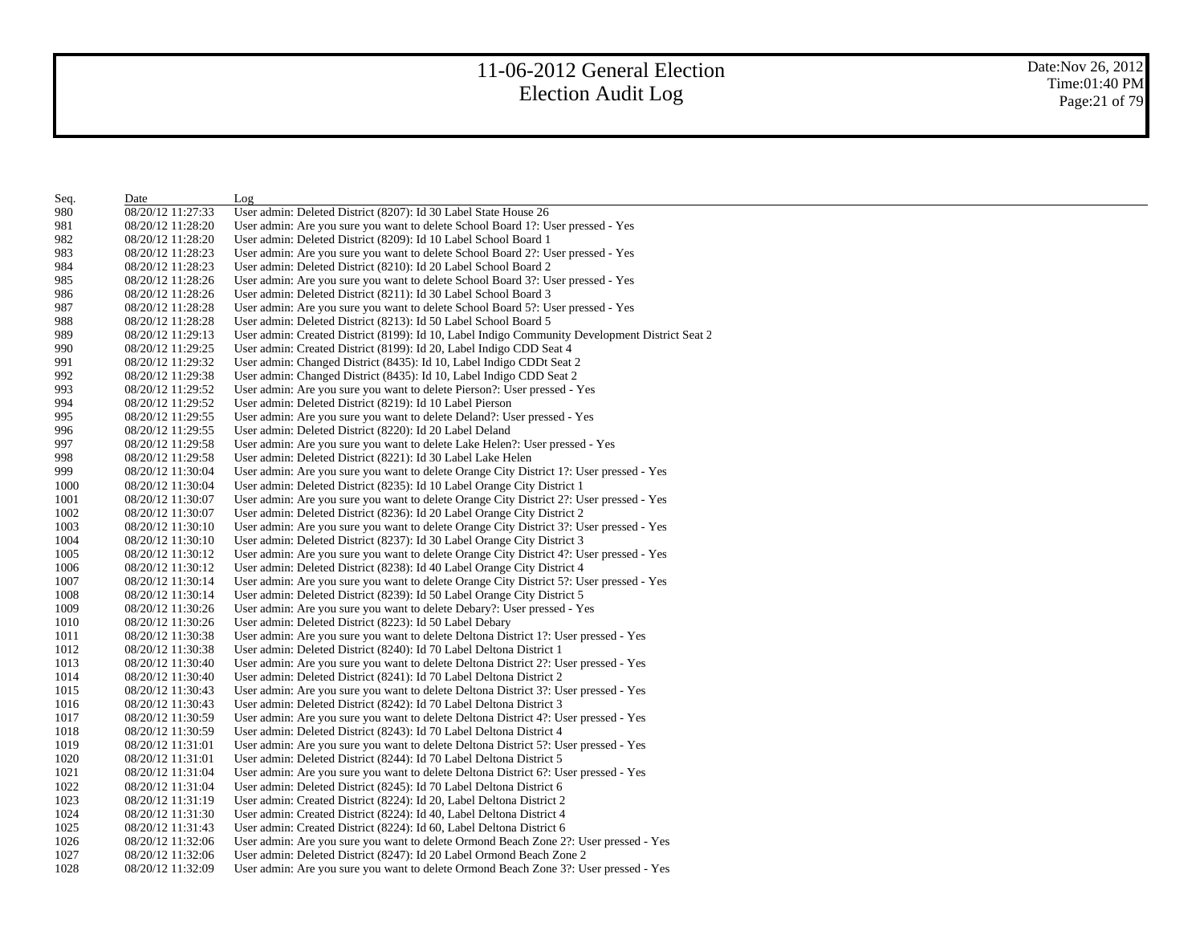| Seq. | Date              | Log                                                                                            |
|------|-------------------|------------------------------------------------------------------------------------------------|
| 980  | 08/20/12 11:27:33 | User admin: Deleted District (8207): Id 30 Label State House 26                                |
| 981  | 08/20/12 11:28:20 | User admin: Are you sure you want to delete School Board 1?: User pressed - Yes                |
| 982  | 08/20/12 11:28:20 | User admin: Deleted District (8209): Id 10 Label School Board 1                                |
| 983  | 08/20/12 11:28:23 | User admin: Are you sure you want to delete School Board 2?: User pressed - Yes                |
| 984  | 08/20/12 11:28:23 | User admin: Deleted District (8210): Id 20 Label School Board 2                                |
| 985  | 08/20/12 11:28:26 | User admin: Are you sure you want to delete School Board 3?: User pressed - Yes                |
| 986  | 08/20/12 11:28:26 | User admin: Deleted District (8211): Id 30 Label School Board 3                                |
| 987  | 08/20/12 11:28:28 | User admin: Are you sure you want to delete School Board 5?: User pressed - Yes                |
| 988  | 08/20/12 11:28:28 | User admin: Deleted District (8213): Id 50 Label School Board 5                                |
| 989  | 08/20/12 11:29:13 | User admin: Created District (8199): Id 10, Label Indigo Community Development District Seat 2 |
| 990  | 08/20/12 11:29:25 | User admin: Created District (8199): Id 20, Label Indigo CDD Seat 4                            |
| 991  | 08/20/12 11:29:32 | User admin: Changed District (8435): Id 10, Label Indigo CDDt Seat 2                           |
| 992  | 08/20/12 11:29:38 | User admin: Changed District (8435): Id 10, Label Indigo CDD Seat 2                            |
| 993  | 08/20/12 11:29:52 | User admin: Are you sure you want to delete Pierson?: User pressed - Yes                       |
| 994  | 08/20/12 11:29:52 | User admin: Deleted District (8219): Id 10 Label Pierson                                       |
| 995  | 08/20/12 11:29:55 | User admin: Are you sure you want to delete Deland?: User pressed - Yes                        |
| 996  | 08/20/12 11:29:55 | User admin: Deleted District (8220): Id 20 Label Deland                                        |
| 997  | 08/20/12 11:29:58 | User admin: Are you sure you want to delete Lake Helen?: User pressed - Yes                    |
| 998  | 08/20/12 11:29:58 | User admin: Deleted District (8221): Id 30 Label Lake Helen                                    |
| 999  | 08/20/12 11:30:04 | User admin: Are you sure you want to delete Orange City District 1?: User pressed - Yes        |
| 1000 | 08/20/12 11:30:04 | User admin: Deleted District (8235): Id 10 Label Orange City District 1                        |
| 1001 | 08/20/12 11:30:07 | User admin: Are you sure you want to delete Orange City District 2?: User pressed - Yes        |
| 1002 | 08/20/12 11:30:07 | User admin: Deleted District (8236): Id 20 Label Orange City District 2                        |
| 1003 | 08/20/12 11:30:10 | User admin: Are you sure you want to delete Orange City District 3?: User pressed - Yes        |
| 1004 | 08/20/12 11:30:10 | User admin: Deleted District (8237): Id 30 Label Orange City District 3                        |
| 1005 | 08/20/12 11:30:12 | User admin: Are you sure you want to delete Orange City District 4?: User pressed - Yes        |
| 1006 | 08/20/12 11:30:12 | User admin: Deleted District (8238): Id 40 Label Orange City District 4                        |
| 1007 | 08/20/12 11:30:14 | User admin: Are you sure you want to delete Orange City District 5?: User pressed - Yes        |
| 1008 | 08/20/12 11:30:14 | User admin: Deleted District (8239): Id 50 Label Orange City District 5                        |
| 1009 | 08/20/12 11:30:26 | User admin: Are you sure you want to delete Debary?: User pressed - Yes                        |
| 1010 | 08/20/12 11:30:26 | User admin: Deleted District (8223): Id 50 Label Debary                                        |
| 1011 | 08/20/12 11:30:38 | User admin: Are you sure you want to delete Deltona District 1?: User pressed - Yes            |
| 1012 | 08/20/12 11:30:38 | User admin: Deleted District (8240): Id 70 Label Deltona District 1                            |
| 1013 | 08/20/12 11:30:40 | User admin: Are you sure you want to delete Deltona District 2?: User pressed - Yes            |
| 1014 | 08/20/12 11:30:40 | User admin: Deleted District (8241): Id 70 Label Deltona District 2                            |
| 1015 | 08/20/12 11:30:43 | User admin: Are you sure you want to delete Deltona District 3?: User pressed - Yes            |
| 1016 | 08/20/12 11:30:43 | User admin: Deleted District (8242): Id 70 Label Deltona District 3                            |
| 1017 | 08/20/12 11:30:59 | User admin: Are you sure you want to delete Deltona District 4?: User pressed - Yes            |
| 1018 | 08/20/12 11:30:59 | User admin: Deleted District (8243): Id 70 Label Deltona District 4                            |
| 1019 | 08/20/12 11:31:01 | User admin: Are you sure you want to delete Deltona District 5?: User pressed - Yes            |
| 1020 | 08/20/12 11:31:01 | User admin: Deleted District (8244): Id 70 Label Deltona District 5                            |
| 1021 | 08/20/12 11:31:04 | User admin: Are you sure you want to delete Deltona District 6?: User pressed - Yes            |
| 1022 | 08/20/12 11:31:04 | User admin: Deleted District (8245): Id 70 Label Deltona District 6                            |
| 1023 | 08/20/12 11:31:19 | User admin: Created District (8224): Id 20, Label Deltona District 2                           |
| 1024 | 08/20/12 11:31:30 | User admin: Created District (8224): Id 40, Label Deltona District 4                           |
| 1025 | 08/20/12 11:31:43 | User admin: Created District (8224): Id 60, Label Deltona District 6                           |
| 1026 | 08/20/12 11:32:06 | User admin: Are you sure you want to delete Ormond Beach Zone 2?: User pressed - Yes           |
| 1027 | 08/20/12 11:32:06 | User admin: Deleted District (8247): Id 20 Label Ormond Beach Zone 2                           |
| 1028 | 08/20/12 11:32:09 | User admin: Are you sure you want to delete Ormond Beach Zone 3?: User pressed - Yes           |
|      |                   |                                                                                                |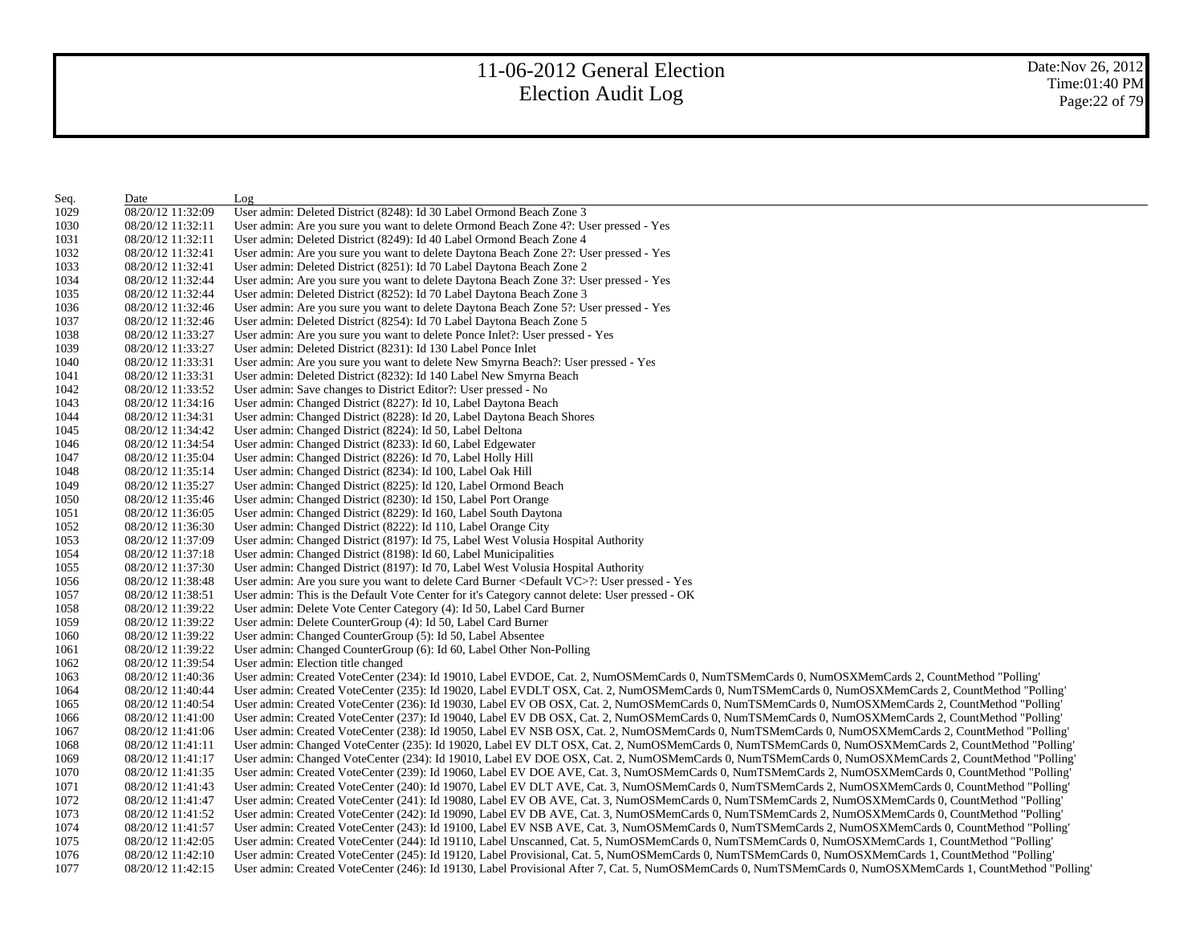| Seq. | Date              | Log                                                                                                                                                          |
|------|-------------------|--------------------------------------------------------------------------------------------------------------------------------------------------------------|
| 1029 | 08/20/12 11:32:09 | User admin: Deleted District (8248): Id 30 Label Ormond Beach Zone 3                                                                                         |
| 1030 | 08/20/12 11:32:11 | User admin: Are you sure you want to delete Ormond Beach Zone 4?: User pressed - Yes                                                                         |
| 1031 | 08/20/12 11:32:11 | User admin: Deleted District (8249): Id 40 Label Ormond Beach Zone 4                                                                                         |
| 1032 | 08/20/12 11:32:41 | User admin: Are you sure you want to delete Daytona Beach Zone 2?: User pressed - Yes                                                                        |
| 1033 | 08/20/12 11:32:41 | User admin: Deleted District (8251): Id 70 Label Daytona Beach Zone 2                                                                                        |
| 1034 | 08/20/12 11:32:44 | User admin: Are you sure you want to delete Daytona Beach Zone 3?: User pressed - Yes                                                                        |
| 1035 | 08/20/12 11:32:44 | User admin: Deleted District (8252): Id 70 Label Daytona Beach Zone 3                                                                                        |
| 1036 | 08/20/12 11:32:46 | User admin: Are you sure you want to delete Daytona Beach Zone 5?: User pressed - Yes                                                                        |
| 1037 | 08/20/12 11:32:46 | User admin: Deleted District (8254): Id 70 Label Daytona Beach Zone 5                                                                                        |
| 1038 | 08/20/12 11:33:27 | User admin: Are you sure you want to delete Ponce Inlet?: User pressed - Yes                                                                                 |
| 1039 | 08/20/12 11:33:27 | User admin: Deleted District (8231): Id 130 Label Ponce Inlet                                                                                                |
| 1040 | 08/20/12 11:33:31 | User admin: Are you sure you want to delete New Smyrna Beach?: User pressed - Yes                                                                            |
| 1041 | 08/20/12 11:33:31 | User admin: Deleted District (8232): Id 140 Label New Smyrna Beach                                                                                           |
| 1042 | 08/20/12 11:33:52 | User admin: Save changes to District Editor?: User pressed - No                                                                                              |
| 1043 | 08/20/12 11:34:16 | User admin: Changed District (8227): Id 10, Label Daytona Beach                                                                                              |
| 1044 | 08/20/12 11:34:31 | User admin: Changed District (8228): Id 20, Label Daytona Beach Shores                                                                                       |
| 1045 | 08/20/12 11:34:42 | User admin: Changed District (8224): Id 50, Label Deltona                                                                                                    |
| 1046 | 08/20/12 11:34:54 | User admin: Changed District (8233): Id 60, Label Edgewater                                                                                                  |
| 1047 | 08/20/12 11:35:04 | User admin: Changed District (8226): Id 70, Label Holly Hill                                                                                                 |
| 1048 | 08/20/12 11:35:14 | User admin: Changed District (8234): Id 100, Label Oak Hill                                                                                                  |
| 1049 | 08/20/12 11:35:27 | User admin: Changed District (8225): Id 120, Label Ormond Beach                                                                                              |
| 1050 | 08/20/12 11:35:46 | User admin: Changed District (8230): Id 150, Label Port Orange                                                                                               |
| 1051 | 08/20/12 11:36:05 | User admin: Changed District (8229): Id 160, Label South Daytona                                                                                             |
| 1052 | 08/20/12 11:36:30 | User admin: Changed District (8222): Id 110, Label Orange City                                                                                               |
| 1053 | 08/20/12 11:37:09 | User admin: Changed District (8197): Id 75, Label West Volusia Hospital Authority                                                                            |
| 1054 | 08/20/12 11:37:18 | User admin: Changed District (8198): Id 60, Label Municipalities                                                                                             |
| 1055 | 08/20/12 11:37:30 | User admin: Changed District (8197): Id 70, Label West Volusia Hospital Authority                                                                            |
| 1056 | 08/20/12 11:38:48 | User admin: Are you sure you want to delete Card Burner <default vc="">?: User pressed - Yes</default>                                                       |
| 1057 | 08/20/12 11:38:51 | User admin: This is the Default Vote Center for it's Category cannot delete: User pressed - OK                                                               |
| 1058 | 08/20/12 11:39:22 | User admin: Delete Vote Center Category (4): Id 50, Label Card Burner                                                                                        |
| 1059 | 08/20/12 11:39:22 | User admin: Delete CounterGroup (4): Id 50, Label Card Burner                                                                                                |
| 1060 | 08/20/12 11:39:22 | User admin: Changed CounterGroup (5): Id 50, Label Absentee                                                                                                  |
| 1061 | 08/20/12 11:39:22 | User admin: Changed CounterGroup (6): Id 60, Label Other Non-Polling                                                                                         |
| 1062 | 08/20/12 11:39:54 | User admin: Election title changed                                                                                                                           |
| 1063 | 08/20/12 11:40:36 | User admin: Created VoteCenter (234): Id 19010, Label EVDOE, Cat. 2, NumOSMemCards 0, NumTSMemCards 0, NumOSXMemCards 2, CountMethod "Polling"               |
| 1064 | 08/20/12 11:40:44 | User admin: Created VoteCenter (235): Id 19020, Label EVDLT OSX, Cat. 2, NumOSMemCards 0, NumTSMemCards 0, NumOSXMemCards 2, CountMethod "Polling"           |
| 1065 | 08/20/12 11:40:54 | User admin: Created VoteCenter (236): Id 19030, Label EV OB OSX, Cat. 2, NumOSMemCards 0, NumTSMemCards 0, NumOSXMemCards 2, CountMethod "Polling"           |
| 1066 | 08/20/12 11:41:00 | User admin: Created VoteCenter (237): Id 19040, Label EV DB OSX, Cat. 2, NumOSMemCards 0, NumTSMemCards 0, NumOSXMemCards 2, CountMethod "Polling"           |
| 1067 | 08/20/12 11:41:06 | User admin: Created VoteCenter (238): Id 19050, Label EV NSB OSX, Cat. 2, NumOSMemCards 0, NumTSMemCards 0, NumOSXMemCards 2, CountMethod "Polling"          |
| 1068 | 08/20/12 11:41:11 | User admin: Changed VoteCenter (235): Id 19020, Label EV DLT OSX, Cat. 2, NumOSMemCards 0, NumTSMemCards 0, NumOSXMemCards 2, CountMethod "Polling"          |
| 1069 | 08/20/12 11:41:17 | User admin: Changed VoteCenter (234): Id 19010, Label EV DOE OSX, Cat. 2, NumOSMemCards 0, NumTSMemCards 0, NumOSXMemCards 2, CountMethod "Polling"          |
| 1070 | 08/20/12 11:41:35 | User admin: Created VoteCenter (239): Id 19060, Label EV DOE AVE, Cat. 3, NumOSMemCards 0, NumTSMemCards 2, NumOSXMemCards 0, CountMethod "Polling"          |
| 1071 | 08/20/12 11:41:43 | User admin: Created VoteCenter (240): Id 19070, Label EV DLT AVE, Cat. 3, NumOSMemCards 0, NumTSMemCards 2, NumOSXMemCards 0, CountMethod "Polling"          |
| 1072 | 08/20/12 11:41:47 | User admin: Created VoteCenter (241): Id 19080, Label EV OB AVE, Cat. 3, NumOSMemCards 0, NumTSMemCards 2, NumOSXMemCards 0, CountMethod "Polling"           |
| 1073 | 08/20/12 11:41:52 | User admin: Created VoteCenter (242): Id 19090, Label EV DB AVE, Cat. 3, NumOSMemCards 0, NumTSMemCards 2, NumOSXMemCards 0, CountMethod "Polling"           |
| 1074 | 08/20/12 11:41:57 | User admin: Created VoteCenter (243): Id 19100, Label EV NSB AVE, Cat. 3, NumOSMemCards 0, NumTSMemCards 2, NumOSXMemCards 0, CountMethod "Polling"          |
| 1075 | 08/20/12 11:42:05 | User admin: Created VoteCenter (244): Id 19110, Label Unscanned, Cat. 5, NumOSMemCards 0, NumTSMemCards 0, NumOSXMemCards 1, CountMethod "Polling"           |
| 1076 | 08/20/12 11:42:10 | User admin: Created VoteCenter (245): Id 19120, Label Provisional, Cat. 5, NumOSMemCards 0, NumTSMemCards 0, NumOSXMemCards 1, CountMethod "Polling"         |
| 1077 | 08/20/12 11:42:15 | User admin: Created VoteCenter (246): Id 19130, Label Provisional After 7, Cat. 5, NumOSMemCards 0, NumTSMemCards 0, NumOSXMemCards 1, CountMethod "Polling" |
|      |                   |                                                                                                                                                              |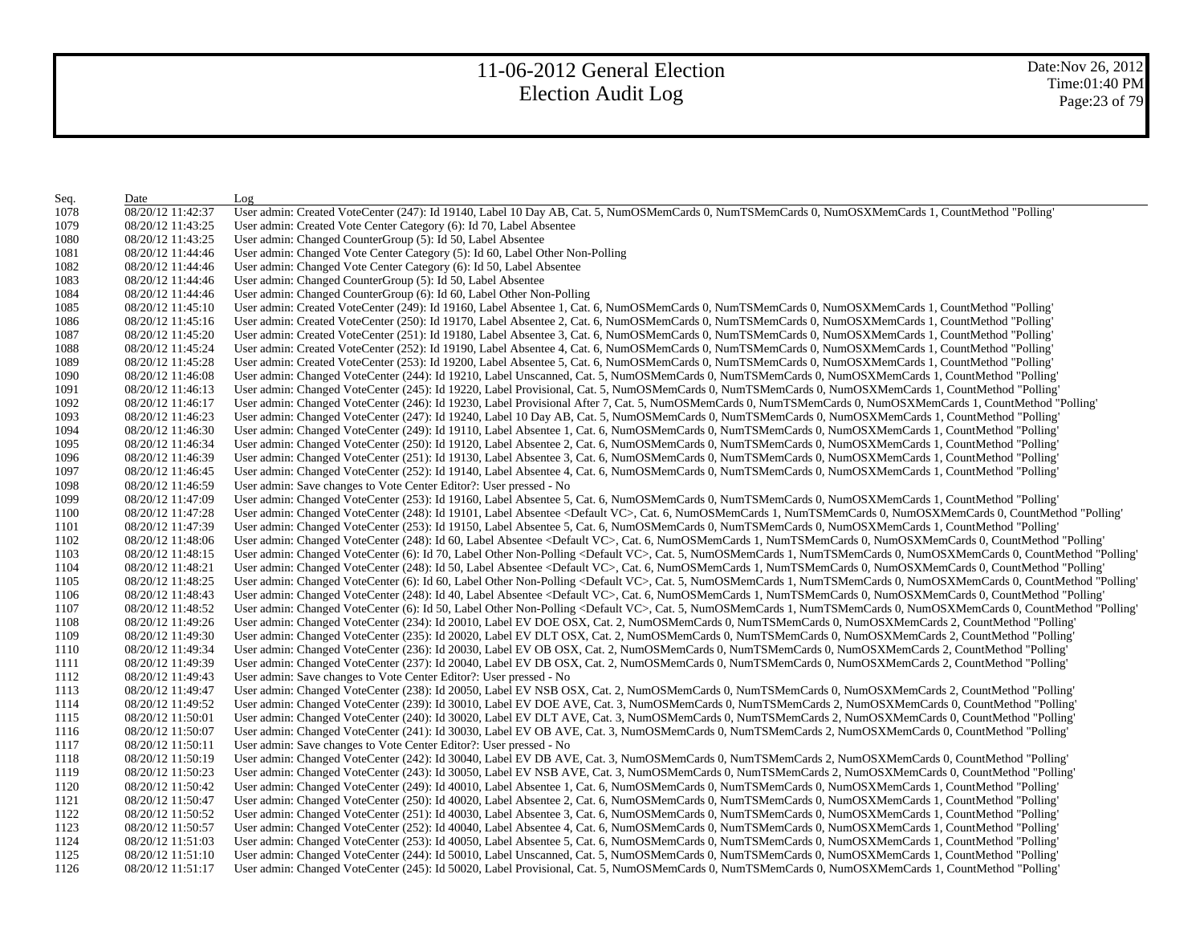| Seq. | Date              | Log                                                                                                                                                                             |
|------|-------------------|---------------------------------------------------------------------------------------------------------------------------------------------------------------------------------|
| 1078 | 08/20/12 11:42:37 | User admin: Created VoteCenter (247): Id 19140, Label 10 Day AB, Cat. 5, NumOSMemCards 0, NumTSMemCards 0, NumOSXMemCards 1, CountMethod "Polling'                              |
| 1079 | 08/20/12 11:43:25 | User admin: Created Vote Center Category (6): Id 70, Label Absentee                                                                                                             |
| 1080 | 08/20/12 11:43:25 | User admin: Changed CounterGroup (5): Id 50, Label Absentee                                                                                                                     |
| 1081 | 08/20/12 11:44:46 | User admin: Changed Vote Center Category (5): Id 60, Label Other Non-Polling                                                                                                    |
| 1082 | 08/20/12 11:44:46 | User admin: Changed Vote Center Category (6): Id 50, Label Absentee                                                                                                             |
| 1083 | 08/20/12 11:44:46 | User admin: Changed CounterGroup (5): Id 50, Label Absentee                                                                                                                     |
| 1084 | 08/20/12 11:44:46 | User admin: Changed CounterGroup (6): Id 60, Label Other Non-Polling                                                                                                            |
| 1085 | 08/20/12 11:45:10 | User admin: Created VoteCenter (249): Id 19160, Label Absentee 1, Cat. 6, NumOSMemCards 0, NumTSMemCards 0, NumOSXMemCards 1, CountMethod "Polling'                             |
| 1086 | 08/20/12 11:45:16 | User admin: Created VoteCenter (250): Id 19170, Label Absentee 2, Cat. 6, NumOSMemCards 0, NumTSMemCards 0, NumOSXMemCards 1, CountMethod "Polling"                             |
| 1087 | 08/20/12 11:45:20 | User admin: Created VoteCenter (251): Id 19180, Label Absentee 3, Cat. 6, NumOSMemCards 0, NumTSMemCards 0, NumOSXMemCards 1, CountMethod "Polling"                             |
| 1088 | 08/20/12 11:45:24 | User admin: Created VoteCenter (252): Id 19190, Label Absentee 4, Cat. 6, NumOSMemCards 0, NumTSMemCards 0, NumOSXMemCards 1, CountMethod "Polling"                             |
| 1089 | 08/20/12 11:45:28 | User admin: Created VoteCenter (253): Id 19200, Label Absentee 5, Cat. 6, NumOSMemCards 0, NumTSMemCards 0, NumOSXMemCards 1, CountMethod "Polling"                             |
| 1090 | 08/20/12 11:46:08 | User admin: Changed VoteCenter (244): Id 19210, Label Unscanned, Cat. 5, NumOSMemCards 0, NumTSMemCards 0, NumOSXMemCards 1, CountMethod "Polling"                              |
| 1091 | 08/20/12 11:46:13 | User admin: Changed VoteCenter (245): Id 19220, Label Provisional, Cat. 5, NumOSMemCards 0, NumTSMemCards 0, NumOSXMemCards 1, CountMethod "Polling"                            |
| 1092 | 08/20/12 11:46:17 | User admin: Changed VoteCenter (246): Id 19230, Label Provisional After 7, Cat. 5, NumOSMemCards 0, NumTSMemCards 0, NumOSXMemCards 1, CountMethod "Polling"                    |
| 1093 | 08/20/12 11:46:23 | User admin: Changed VoteCenter (247): Id 19240, Label 10 Day AB, Cat. 5, NumOSMemCards 0, NumTSMemCards 0, NumOSXMemCards 1, CountMethod "Polling"                              |
| 1094 | 08/20/12 11:46:30 | User admin: Changed VoteCenter (249): Id 19110, Label Absentee 1, Cat. 6, NumOSMemCards 0, NumTSMemCards 0, NumOSXMemCards 1, CountMethod "Polling"                             |
| 1095 | 08/20/12 11:46:34 | User admin: Changed VoteCenter (250): Id 19120, Label Absentee 2, Cat. 6, NumOSMemCards 0, NumTSMemCards 0, NumOSXMemCards 1, CountMethod "Polling                              |
| 1096 | 08/20/12 11:46:39 | User admin: Changed VoteCenter (251): Id 19130, Label Absentee 3, Cat. 6, NumOSMemCards 0, NumTSMemCards 0, NumOSXMemCards 1, CountMethod "Polling"                             |
| 1097 | 08/20/12 11:46:45 | User admin: Changed VoteCenter (252): Id 19140, Label Absentee 4, Cat. 6, NumOSMemCards 0, NumTSMemCards 0, NumOSXMemCards 1, CountMethod "Polling"                             |
| 1098 | 08/20/12 11:46:59 | User admin: Save changes to Vote Center Editor?: User pressed - No                                                                                                              |
| 1099 | 08/20/12 11:47:09 | User admin: Changed VoteCenter (253): Id 19160, Label Absentee 5, Cat. 6, NumOSMemCards 0, NumTSMemCards 0, NumOSXMemCards 1, CountMethod "Polling'                             |
| 1100 | 08/20/12 11:47:28 | User admin: Changed VoteCenter (248): Id 19101, Label Absentee <default vc="">, Cat. 6, NumOSMemCards 1, NumTSMemCards 0, NumOSXMemCards 0, CountMethod "Polling"</default>     |
| 1101 | 08/20/12 11:47:39 | User admin: Changed VoteCenter (253): Id 19150, Label Absentee 5, Cat. 6, NumOSMemCards 0, NumTSMemCards 0, NumOSXMemCards 1, CountMethod "Polling"                             |
| 1102 | 08/20/12 11:48:06 | User admin: Changed VoteCenter (248): Id 60, Label Absentee <default vc="">, Cat. 6, NumOSMemCards 1, NumTSMemCards 0, NumOSXMemCards 0, CountMethod "Polling"</default>        |
| 1103 | 08/20/12 11:48:15 | User admin: Changed VoteCenter (6): Id 70, Label Other Non-Polling <default vc="">, Cat. 5, NumOSMemCards 1, NumTSMemCards 0, NumOSXMemCards 0, CountMethod "Polling"</default> |
| 1104 | 08/20/12 11:48:21 | User admin: Changed VoteCenter (248): Id 50, Label Absentee <default vc="">, Cat. 6, NumOSMemCards 1, NumTSMemCards 0, NumOSXMemCards 0, CountMethod "Polling'</default>        |
| 1105 | 08/20/12 11:48:25 | User admin: Changed VoteCenter (6): Id 60, Label Other Non-Polling <default vc="">, Cat. 5, NumOSMemCards 1, NumTSMemCards 0, NumOSXMemCards 0, CountMethod "Polling"</default> |
| 1106 | 08/20/12 11:48:43 | User admin: Changed VoteCenter (248): Id 40, Label Absentee <default vc="">, Cat. 6, NumOSMemCards 1, NumTSMemCards 0, NumOSXMemCards 0, CountMethod "Polling'</default>        |
| 1107 | 08/20/12 11:48:52 | User admin: Changed VoteCenter (6): Id 50, Label Other Non-Polling <default vc="">, Cat. 5, NumOSMemCards 1, NumTSMemCards 0, NumOSXMemCards 0, CountMethod "Polling"</default> |
| 1108 | 08/20/12 11:49:26 | User admin: Changed VoteCenter (234): Id 20010, Label EV DOE OSX, Cat. 2, NumOSMemCards 0, NumTSMemCards 0, NumOSXMemCards 2, CountMethod "Polling"                             |
| 1109 | 08/20/12 11:49:30 | User admin: Changed VoteCenter (235): Id 20020, Label EV DLT OSX, Cat. 2, NumOSMemCards 0, NumTSMemCards 0, NumOSXMemCards 2, CountMethod "Polling"                             |
| 1110 | 08/20/12 11:49:34 | User admin: Changed VoteCenter (236): Id 20030, Label EV OB OSX, Cat. 2, NumOSMemCards 0, NumTSMemCards 0, NumOSXMemCards 2, CountMethod "Polling"                              |
| 1111 | 08/20/12 11:49:39 | User admin: Changed VoteCenter (237): Id 20040, Label EV DB OSX, Cat. 2, NumOSMemCards 0, NumTSMemCards 0, NumOSXMemCards 2, CountMethod "Polling"                              |
| 1112 | 08/20/12 11:49:43 | User admin: Save changes to Vote Center Editor?: User pressed - No                                                                                                              |
| 1113 | 08/20/12 11:49:47 | User admin: Changed VoteCenter (238): Id 20050, Label EV NSB OSX, Cat. 2, NumOSMemCards 0, NumTSMemCards 0, NumOSXMemCards 2, CountMethod "Polling"                             |
| 1114 | 08/20/12 11:49:52 | User admin: Changed VoteCenter (239): Id 30010, Label EV DOE AVE, Cat. 3, NumOSMemCards 0, NumTSMemCards 2, NumOSXMemCards 0, CountMethod "Polling"                             |
| 1115 | 08/20/12 11:50:01 | User admin: Changed VoteCenter (240): Id 30020, Label EV DLT AVE, Cat. 3, NumOSMemCards 0, NumTSMemCards 2, NumOSXMemCards 0, CountMethod "Polling'                             |
| 1116 | 08/20/12 11:50:07 | User admin: Changed VoteCenter (241): Id 30030, Label EV OB AVE, Cat. 3, NumOSMemCards 0, NumTSMemCards 2, NumOSXMemCards 0, CountMethod "Polling"                              |
| 1117 | 08/20/12 11:50:11 | User admin: Save changes to Vote Center Editor?: User pressed - No                                                                                                              |
| 1118 | 08/20/12 11:50:19 | User admin: Changed VoteCenter (242): Id 30040, Label EV DB AVE, Cat. 3, NumOSMemCards 0, NumTSMemCards 2, NumOSXMemCards 0, CountMethod "Polling"                              |
| 1119 | 08/20/12 11:50:23 | User admin: Changed VoteCenter (243): Id 30050, Label EV NSB AVE, Cat. 3, NumOSMemCards 0, NumTSMemCards 2, NumOSXMemCards 0, CountMethod "Polling"                             |
| 1120 | 08/20/12 11:50:42 | User admin: Changed VoteCenter (249): Id 40010, Label Absentee 1, Cat. 6, NumOSMemCards 0, NumTSMemCards 0, NumOSXMemCards 1, CountMethod "Polling"                             |
| 1121 | 08/20/12 11:50:47 | User admin: Changed VoteCenter (250): Id 40020, Label Absentee 2, Cat. 6, NumOSMemCards 0, NumTSMemCards 0, NumOSXMemCards 1, CountMethod "Polling"                             |
| 1122 | 08/20/12 11:50:52 | User admin: Changed VoteCenter (251): Id 40030, Label Absentee 3, Cat. 6, NumOSMemCards 0, NumTSMemCards 0, NumOSXMemCards 1, CountMethod "Polling"                             |
| 1123 | 08/20/12 11:50:57 | User admin: Changed VoteCenter (252): Id 40040, Label Absentee 4, Cat. 6, NumOSMemCards 0, NumTSMemCards 0, NumOSXMemCards 1, CountMethod "Polling"                             |
| 1124 | 08/20/12 11:51:03 | User admin: Changed VoteCenter (253): Id 40050, Label Absentee 5, Cat. 6, NumOSMemCards 0, NumTSMemCards 0, NumOSXMemCards 1, CountMethod "Polling"                             |
| 1125 | 08/20/12 11:51:10 | User admin: Changed VoteCenter (244): Id 50010, Label Unscanned, Cat. 5, NumOSMemCards 0, NumTSMemCards 0, NumOSXMemCards 1, CountMethod "Polling"                              |
| 1126 | 08/20/12 11:51:17 | User admin: Changed VoteCenter (245): Id 50020, Label Provisional, Cat. 5, NumOSMemCards 0, NumTSMemCards 0, NumOSXMemCards 1, CountMethod "Polling"                            |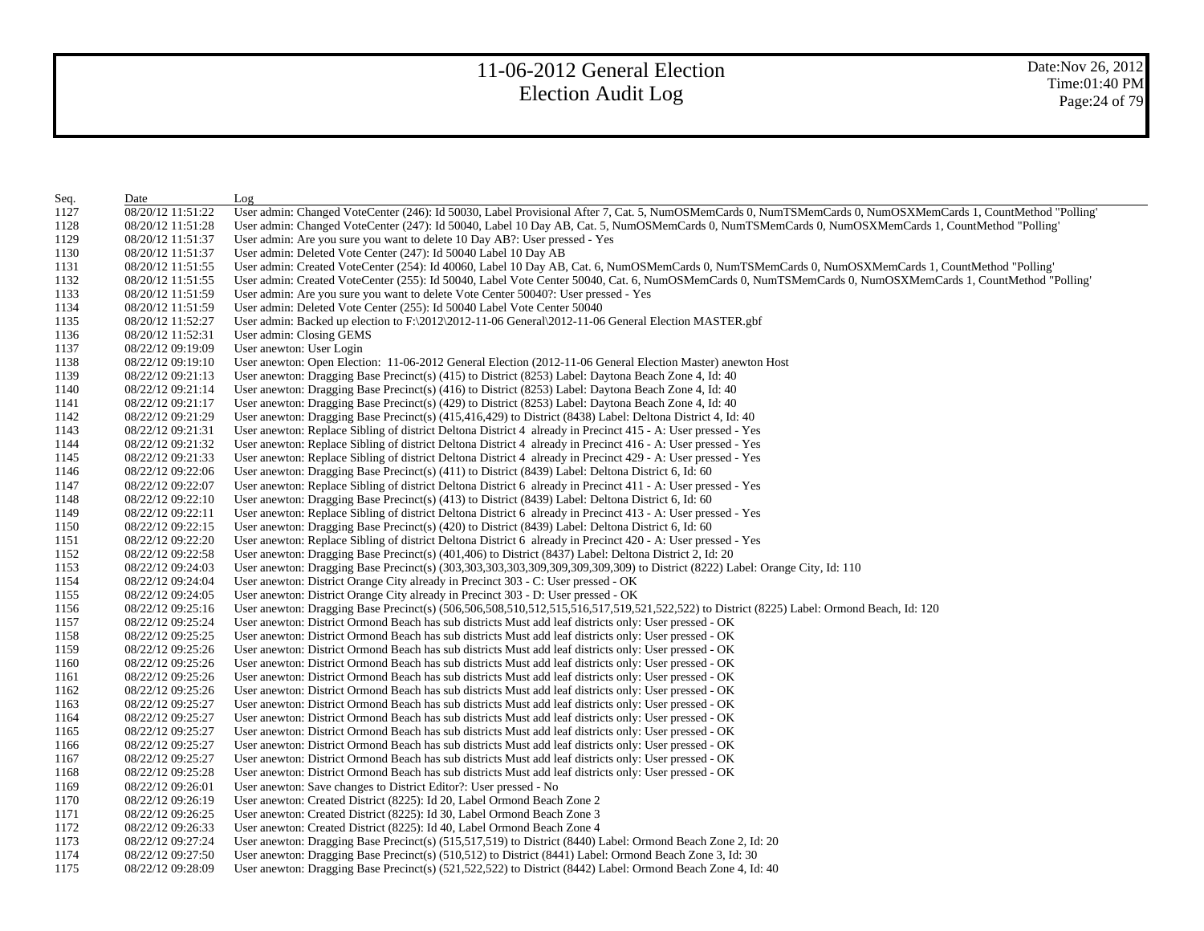| Seq. | Date              | Log                                                                                                                                                         |
|------|-------------------|-------------------------------------------------------------------------------------------------------------------------------------------------------------|
| 1127 | 08/20/12 11:51:22 | User admin: Changed VoteCenter (246): Id 50030, Label Provisional After 7, Cat. 5, NumOSMemCards 0, NumTSMemCards 0, NumOSXMemCards 1, CountMethod "Polling |
| 1128 | 08/20/12 11:51:28 | User admin: Changed VoteCenter (247): Id 50040, Label 10 Day AB, Cat. 5, NumOSMemCards 0, NumTSMemCards 0, NumOSXMemCards 1, CountMethod "Polling'          |
| 1129 | 08/20/12 11:51:37 | User admin: Are you sure you want to delete 10 Day AB?: User pressed - Yes                                                                                  |
| 1130 | 08/20/12 11:51:37 | User admin: Deleted Vote Center (247): Id 50040 Label 10 Day AB                                                                                             |
| 1131 | 08/20/12 11:51:55 | User admin: Created VoteCenter (254): Id 40060, Label 10 Day AB, Cat. 6, NumOSMemCards 0, NumTSMemCards 0, NumOSXMemCards 1, CountMethod "Polling'          |
| 1132 | 08/20/12 11:51:55 | User admin: Created VoteCenter (255): Id 50040, Label Vote Center 50040, Cat. 6, NumOSMemCards 0, NumTSMemCards 0, NumOSXMemCards 1, CountMethod "Polling'  |
| 1133 | 08/20/12 11:51:59 | User admin: Are you sure you want to delete Vote Center 50040?: User pressed - Yes                                                                          |
| 1134 | 08/20/12 11:51:59 | User admin: Deleted Vote Center (255): Id 50040 Label Vote Center 50040                                                                                     |
| 1135 | 08/20/12 11:52:27 | User admin: Backed up election to F:\2012\2012-11-06 General\2012-11-06 General Election MASTER.gbf                                                         |
| 1136 | 08/20/12 11:52:31 | User admin: Closing GEMS                                                                                                                                    |
| 1137 | 08/22/12 09:19:09 | User anewton: User Login                                                                                                                                    |
| 1138 | 08/22/12 09:19:10 | User anewton: Open Election: 11-06-2012 General Election (2012-11-06 General Election Master) anewton Host                                                  |
| 1139 | 08/22/12 09:21:13 | User anewton: Dragging Base Precinct(s) $(415)$ to District $(8253)$ Label: Daytona Beach Zone 4, Id: 40                                                    |
| 1140 | 08/22/12 09:21:14 | User anewton: Dragging Base Precinct(s) (416) to District (8253) Label: Daytona Beach Zone 4, Id: 40                                                        |
| 1141 | 08/22/12 09:21:17 | User anewton: Dragging Base Precinct(s) (429) to District (8253) Label: Daytona Beach Zone 4, Id: 40                                                        |
| 1142 | 08/22/12 09:21:29 | User anewton: Dragging Base Precinct(s) (415,416,429) to District (8438) Label: Deltona District 4, Id: 40                                                  |
| 1143 | 08/22/12 09:21:31 | User anewton: Replace Sibling of district Deltona District 4 already in Precinct 415 - A: User pressed - Yes                                                |
| 1144 | 08/22/12 09:21:32 | User anewton: Replace Sibling of district Deltona District 4 already in Precinct 416 - A: User pressed - Yes                                                |
| 1145 | 08/22/12 09:21:33 | User anewton: Replace Sibling of district Deltona District 4 already in Precinct 429 - A: User pressed - Yes                                                |
| 1146 | 08/22/12 09:22:06 | User anewton: Dragging Base Precinct(s) (411) to District (8439) Label: Deltona District 6, Id: 60                                                          |
| 1147 | 08/22/12 09:22:07 | User anewton: Replace Sibling of district Deltona District 6 already in Precinct 411 - A: User pressed - Yes                                                |
| 1148 | 08/22/12 09:22:10 | User anewton: Dragging Base Precinct(s) (413) to District (8439) Label: Deltona District 6, Id: 60                                                          |
| 1149 | 08/22/12 09:22:11 | User anewton: Replace Sibling of district Deltona District 6 already in Precinct 413 - A: User pressed - Yes                                                |
| 1150 | 08/22/12 09:22:15 | User anewton: Dragging Base Precinct(s) $(420)$ to District $(8439)$ Label: Deltona District 6, Id: 60                                                      |
| 1151 | 08/22/12 09:22:20 | User anewton: Replace Sibling of district Deltona District 6 already in Precinct 420 - A: User pressed - Yes                                                |
| 1152 | 08/22/12 09:22:58 | User anewton: Dragging Base Precinct(s) (401,406) to District (8437) Label: Deltona District 2, Id: 20                                                      |
| 1153 | 08/22/12 09:24:03 | User anewton: Dragging Base Precinct(s) (303,303,303,303,309,309,309,309,309) to District (8222) Label: Orange City, Id: 110                                |
| 1154 | 08/22/12 09:24:04 | User anewton: District Orange City already in Precinct 303 - C: User pressed - OK                                                                           |
| 1155 | 08/22/12 09:24:05 | User anewton: District Orange City already in Precinct 303 - D: User pressed - OK                                                                           |
| 1156 | 08/22/12 09:25:16 | User anewton: Dragging Base Precinct(s) (506,506,508,510,512,515,516,517,519,521,522,522) to District (8225) Label: Ormond Beach, Id: 120                   |
| 1157 | 08/22/12 09:25:24 | User anewton: District Ormond Beach has sub districts Must add leaf districts only: User pressed - OK                                                       |
| 1158 | 08/22/12 09:25:25 | User anewton: District Ormond Beach has sub districts Must add leaf districts only: User pressed - OK                                                       |
| 1159 | 08/22/12 09:25:26 | User anewton: District Ormond Beach has sub districts Must add leaf districts only: User pressed - OK                                                       |
| 1160 | 08/22/12 09:25:26 | User anewton: District Ormond Beach has sub districts Must add leaf districts only: User pressed - OK                                                       |
| 1161 | 08/22/12 09:25:26 | User anewton: District Ormond Beach has sub districts Must add leaf districts only: User pressed - OK                                                       |
| 1162 | 08/22/12 09:25:26 | User anewton: District Ormond Beach has sub districts Must add leaf districts only: User pressed - OK                                                       |
| 1163 | 08/22/12 09:25:27 | User anewton: District Ormond Beach has sub districts Must add leaf districts only: User pressed - OK                                                       |
| 1164 | 08/22/12 09:25:27 | User anewton: District Ormond Beach has sub districts Must add leaf districts only: User pressed - OK                                                       |
| 1165 | 08/22/12 09:25:27 | User anewton: District Ormond Beach has sub districts Must add leaf districts only: User pressed - OK                                                       |
| 1166 | 08/22/12 09:25:27 | User anewton: District Ormond Beach has sub districts Must add leaf districts only: User pressed - OK                                                       |
| 1167 | 08/22/12 09:25:27 | User anewton: District Ormond Beach has sub districts Must add leaf districts only: User pressed - OK                                                       |
| 1168 | 08/22/12 09:25:28 | User anewton: District Ormond Beach has sub districts Must add leaf districts only: User pressed - OK                                                       |
| 1169 | 08/22/12 09:26:01 | User anewton: Save changes to District Editor?: User pressed - No                                                                                           |
| 1170 | 08/22/12 09:26:19 | User anewton: Created District (8225): Id 20, Label Ormond Beach Zone 2                                                                                     |
| 1171 | 08/22/12 09:26:25 | User anewton: Created District (8225): Id 30, Label Ormond Beach Zone 3                                                                                     |
| 1172 | 08/22/12 09:26:33 | User anewton: Created District (8225): Id 40, Label Ormond Beach Zone 4                                                                                     |
| 1173 | 08/22/12 09:27:24 | User anewton: Dragging Base Precinct(s) (515,517,519) to District (8440) Label: Ormond Beach Zone 2, Id: 20                                                 |
| 1174 | 08/22/12 09:27:50 | User anewton: Dragging Base Precinct(s) (510,512) to District (8441) Label: Ormond Beach Zone 3, Id: 30                                                     |
| 1175 | 08/22/12 09:28:09 | User anewton: Dragging Base Precinct(s) (521,522,522) to District (8442) Label: Ormond Beach Zone 4, Id: 40                                                 |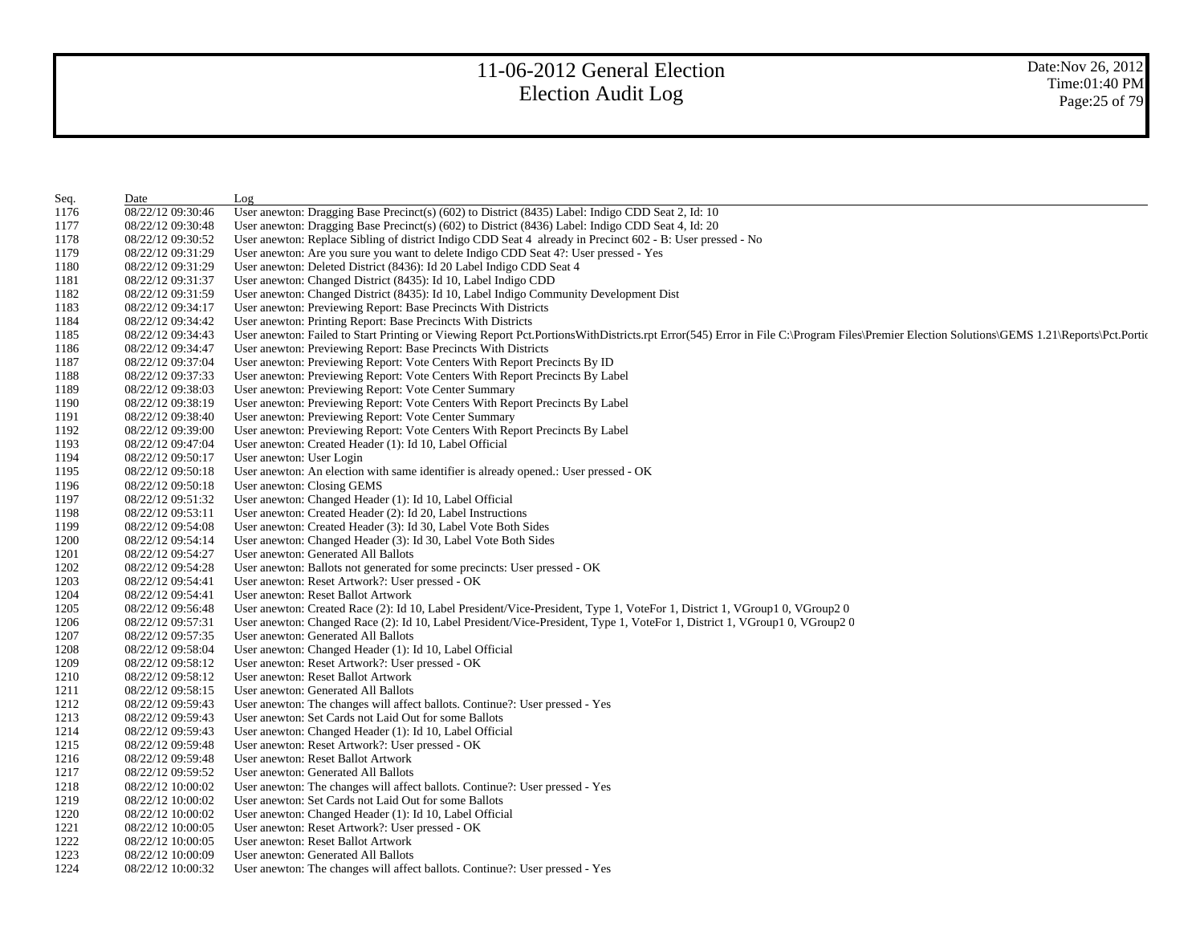| Seq. | Date              | Log                                                                                                                                                                                        |
|------|-------------------|--------------------------------------------------------------------------------------------------------------------------------------------------------------------------------------------|
| 1176 | 08/22/12 09:30:46 | User anewton: Dragging Base Precinct(s) (602) to District (8435) Label: Indigo CDD Seat 2, Id: 10                                                                                          |
| 1177 | 08/22/12 09:30:48 | User anewton: Dragging Base Precinct(s) (602) to District (8436) Label: Indigo CDD Seat 4, Id: 20                                                                                          |
| 1178 | 08/22/12 09:30:52 | User anewton: Replace Sibling of district Indigo CDD Seat 4 already in Precinct 602 - B: User pressed - No                                                                                 |
| 1179 | 08/22/12 09:31:29 | User anewton: Are you sure you want to delete Indigo CDD Seat 4?: User pressed - Yes                                                                                                       |
| 1180 | 08/22/12 09:31:29 | User anewton: Deleted District (8436): Id 20 Label Indigo CDD Seat 4                                                                                                                       |
| 1181 | 08/22/12 09:31:37 | User anewton: Changed District (8435): Id 10, Label Indigo CDD                                                                                                                             |
| 1182 | 08/22/12 09:31:59 | User anewton: Changed District (8435): Id 10, Label Indigo Community Development Dist                                                                                                      |
| 1183 | 08/22/12 09:34:17 | User anewton: Previewing Report: Base Precincts With Districts                                                                                                                             |
| 1184 | 08/22/12 09:34:42 | User anewton: Printing Report: Base Precincts With Districts                                                                                                                               |
| 1185 | 08/22/12 09:34:43 | User anewton: Failed to Start Printing or Viewing Report Pct.PortionsWithDistricts.rpt Error(545) Error in File C:\Program Files\Premier Election Solutions\GEMS 1.21\Reports\Pct.Portions |
| 1186 | 08/22/12 09:34:47 | User anewton: Previewing Report: Base Precincts With Districts                                                                                                                             |
| 1187 | 08/22/12 09:37:04 | User anewton: Previewing Report: Vote Centers With Report Precincts By ID                                                                                                                  |
| 1188 | 08/22/12 09:37:33 | User anewton: Previewing Report: Vote Centers With Report Precincts By Label                                                                                                               |
| 1189 | 08/22/12 09:38:03 | User anewton: Previewing Report: Vote Center Summary                                                                                                                                       |
| 1190 | 08/22/12 09:38:19 | User anewton: Previewing Report: Vote Centers With Report Precincts By Label                                                                                                               |
| 1191 | 08/22/12 09:38:40 | User anewton: Previewing Report: Vote Center Summary                                                                                                                                       |
| 1192 | 08/22/12 09:39:00 | User anewton: Previewing Report: Vote Centers With Report Precincts By Label                                                                                                               |
| 1193 | 08/22/12 09:47:04 | User anewton: Created Header (1): Id 10, Label Official                                                                                                                                    |
| 1194 | 08/22/12 09:50:17 | User anewton: User Login                                                                                                                                                                   |
| 1195 | 08/22/12 09:50:18 | User anewton: An election with same identifier is already opened.: User pressed - OK                                                                                                       |
| 1196 | 08/22/12 09:50:18 | User anewton: Closing GEMS                                                                                                                                                                 |
| 1197 | 08/22/12 09:51:32 | User anewton: Changed Header (1): Id 10, Label Official                                                                                                                                    |
| 1198 | 08/22/12 09:53:11 | User anewton: Created Header (2): Id 20, Label Instructions                                                                                                                                |
| 1199 | 08/22/12 09:54:08 | User anewton: Created Header (3): Id 30, Label Vote Both Sides                                                                                                                             |
| 1200 | 08/22/12 09:54:14 | User anewton: Changed Header (3): Id 30, Label Vote Both Sides                                                                                                                             |
| 1201 | 08/22/12 09:54:27 | User anewton: Generated All Ballots                                                                                                                                                        |
| 1202 | 08/22/12 09:54:28 | User anewton: Ballots not generated for some precincts: User pressed - OK                                                                                                                  |
| 1203 | 08/22/12 09:54:41 | User anewton: Reset Artwork?: User pressed - OK                                                                                                                                            |
| 1204 | 08/22/12 09:54:41 | User anewton: Reset Ballot Artwork                                                                                                                                                         |
| 1205 | 08/22/12 09:56:48 | User anewton: Created Race (2): Id 10, Label President/Vice-President, Type 1, VoteFor 1, District 1, VGroup1 0, VGroup2 0                                                                 |
| 1206 | 08/22/12 09:57:31 | User anewton: Changed Race (2): Id 10, Label President/Vice-President, Type 1, VoteFor 1, District 1, VGroup1 0, VGroup2 0                                                                 |
| 1207 | 08/22/12 09:57:35 | User anewton: Generated All Ballots                                                                                                                                                        |
| 1208 | 08/22/12 09:58:04 | User anewton: Changed Header (1): Id 10, Label Official                                                                                                                                    |
| 1209 | 08/22/12 09:58:12 | User anewton: Reset Artwork?: User pressed - OK                                                                                                                                            |
| 1210 | 08/22/12 09:58:12 | User anewton: Reset Ballot Artwork                                                                                                                                                         |
| 1211 | 08/22/12 09:58:15 | User anewton: Generated All Ballots                                                                                                                                                        |
| 1212 | 08/22/12 09:59:43 | User anewton: The changes will affect ballots. Continue?: User pressed - Yes                                                                                                               |
| 1213 | 08/22/12 09:59:43 | User anewton: Set Cards not Laid Out for some Ballots                                                                                                                                      |
| 1214 | 08/22/12 09:59:43 | User anewton: Changed Header (1): Id 10, Label Official                                                                                                                                    |
| 1215 | 08/22/12 09:59:48 | User anewton: Reset Artwork?: User pressed - OK                                                                                                                                            |
| 1216 | 08/22/12 09:59:48 | User anewton: Reset Ballot Artwork                                                                                                                                                         |
| 1217 | 08/22/12 09:59:52 | User anewton: Generated All Ballots                                                                                                                                                        |
| 1218 | 08/22/12 10:00:02 | User anewton: The changes will affect ballots. Continue?: User pressed - Yes                                                                                                               |
| 1219 | 08/22/12 10:00:02 | User anewton: Set Cards not Laid Out for some Ballots                                                                                                                                      |
| 1220 | 08/22/12 10:00:02 | User anewton: Changed Header (1): Id 10, Label Official                                                                                                                                    |
| 1221 | 08/22/12 10:00:05 | User anewton: Reset Artwork?: User pressed - OK                                                                                                                                            |
| 1222 | 08/22/12 10:00:05 | User anewton: Reset Ballot Artwork                                                                                                                                                         |
| 1223 | 08/22/12 10:00:09 | User anewton: Generated All Ballots                                                                                                                                                        |
| 1224 | 08/22/12 10:00:32 | User anewton: The changes will affect ballots. Continue?: User pressed - Yes                                                                                                               |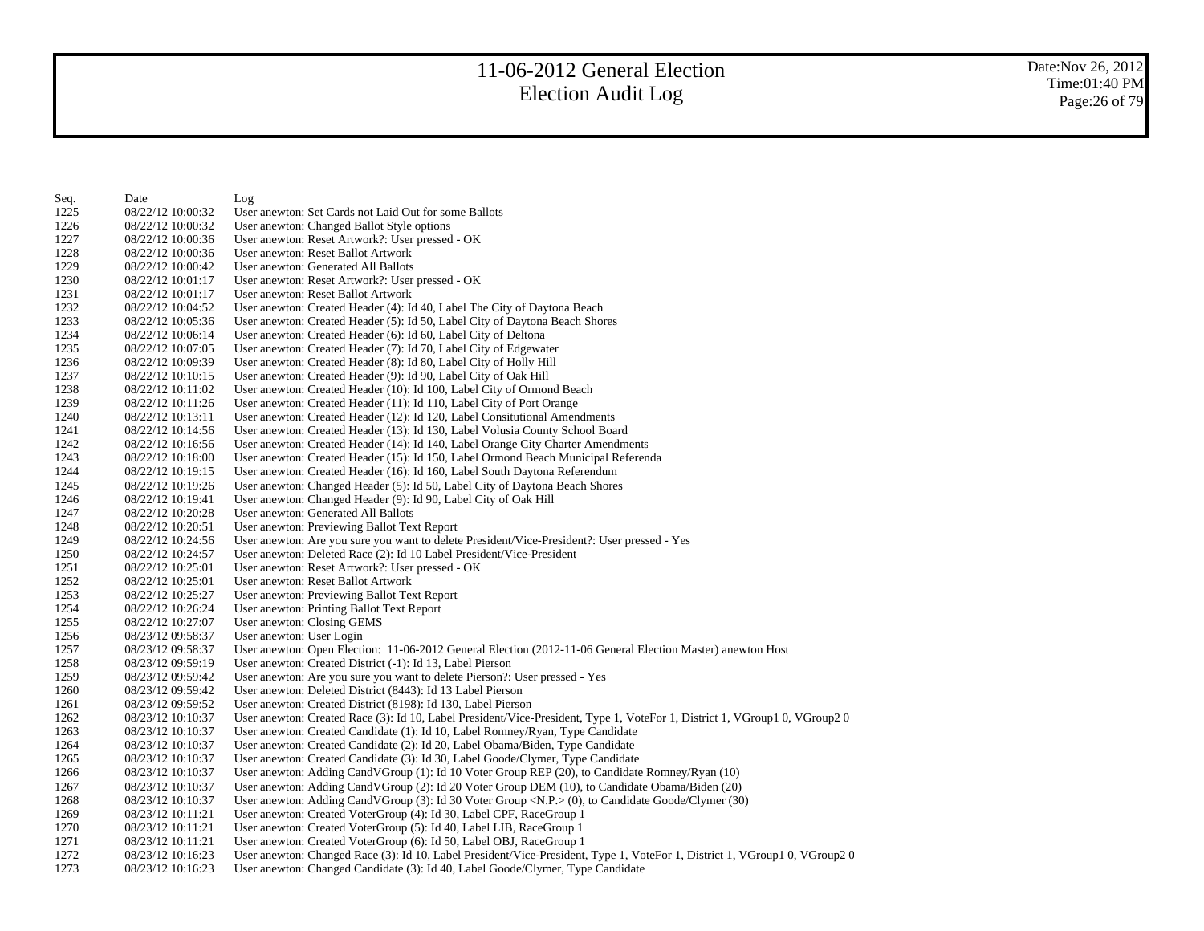Date:Nov 26, 2012 Time:01:40 PM Page:26 of 79

| Seq. | Date              | Log                                                                                                                        |
|------|-------------------|----------------------------------------------------------------------------------------------------------------------------|
| 1225 | 08/22/12 10:00:32 | User anewton: Set Cards not Laid Out for some Ballots                                                                      |
| 1226 | 08/22/12 10:00:32 | User anewton: Changed Ballot Style options                                                                                 |
| 1227 | 08/22/12 10:00:36 | User anewton: Reset Artwork?: User pressed - OK                                                                            |
| 1228 | 08/22/12 10:00:36 | User anewton: Reset Ballot Artwork                                                                                         |
| 1229 | 08/22/12 10:00:42 | User anewton: Generated All Ballots                                                                                        |
| 1230 | 08/22/12 10:01:17 | User anewton: Reset Artwork?: User pressed - OK                                                                            |
| 1231 | 08/22/12 10:01:17 | User anewton: Reset Ballot Artwork                                                                                         |
| 1232 | 08/22/12 10:04:52 | User anewton: Created Header (4): Id 40, Label The City of Daytona Beach                                                   |
| 1233 | 08/22/12 10:05:36 | User anewton: Created Header (5): Id 50, Label City of Daytona Beach Shores                                                |
| 1234 | 08/22/12 10:06:14 | User anewton: Created Header (6): Id 60, Label City of Deltona                                                             |
| 1235 | 08/22/12 10:07:05 | User anewton: Created Header (7): Id 70, Label City of Edgewater                                                           |
| 1236 | 08/22/12 10:09:39 | User anewton: Created Header (8): Id 80, Label City of Holly Hill                                                          |
| 1237 | 08/22/12 10:10:15 | User anewton: Created Header (9): Id 90, Label City of Oak Hill                                                            |
| 1238 | 08/22/12 10:11:02 | User anewton: Created Header (10): Id 100, Label City of Ormond Beach                                                      |
| 1239 | 08/22/12 10:11:26 | User anewton: Created Header (11): Id 110, Label City of Port Orange                                                       |
| 1240 | 08/22/12 10:13:11 | User anewton: Created Header (12): Id 120, Label Consitutional Amendments                                                  |
| 1241 | 08/22/12 10:14:56 | User anewton: Created Header (13): Id 130, Label Volusia County School Board                                               |
| 1242 | 08/22/12 10:16:56 | User anewton: Created Header (14): Id 140, Label Orange City Charter Amendments                                            |
| 1243 | 08/22/12 10:18:00 | User anewton: Created Header (15): Id 150, Label Ormond Beach Municipal Referenda                                          |
| 1244 | 08/22/12 10:19:15 | User anewton: Created Header (16): Id 160, Label South Daytona Referendum                                                  |
| 1245 | 08/22/12 10:19:26 | User anewton: Changed Header (5): Id 50, Label City of Daytona Beach Shores                                                |
| 1246 | 08/22/12 10:19:41 | User anewton: Changed Header (9): Id 90, Label City of Oak Hill                                                            |
| 1247 | 08/22/12 10:20:28 | User anewton: Generated All Ballots                                                                                        |
| 1248 | 08/22/12 10:20:51 | User anewton: Previewing Ballot Text Report                                                                                |
| 1249 | 08/22/12 10:24:56 | User anewton: Are you sure you want to delete President/Vice-President?: User pressed - Yes                                |
| 1250 | 08/22/12 10:24:57 | User anewton: Deleted Race (2): Id 10 Label President/Vice-President                                                       |
| 1251 | 08/22/12 10:25:01 | User anewton: Reset Artwork?: User pressed - OK                                                                            |
| 1252 | 08/22/12 10:25:01 | User anewton: Reset Ballot Artwork                                                                                         |
| 1253 | 08/22/12 10:25:27 | User anewton: Previewing Ballot Text Report                                                                                |
| 1254 | 08/22/12 10:26:24 | User anewton: Printing Ballot Text Report                                                                                  |
| 1255 | 08/22/12 10:27:07 | User anewton: Closing GEMS                                                                                                 |
| 1256 | 08/23/12 09:58:37 | User anewton: User Login                                                                                                   |
| 1257 | 08/23/12 09:58:37 | User anewton: Open Election: 11-06-2012 General Election (2012-11-06 General Election Master) anewton Host                 |
| 1258 | 08/23/12 09:59:19 | User anewton: Created District (-1): Id 13, Label Pierson                                                                  |
| 1259 | 08/23/12 09:59:42 | User anewton: Are you sure you want to delete Pierson?: User pressed - Yes                                                 |
| 1260 | 08/23/12 09:59:42 | User anewton: Deleted District (8443): Id 13 Label Pierson                                                                 |
| 1261 | 08/23/12 09:59:52 | User anewton: Created District (8198): Id 130, Label Pierson                                                               |
| 1262 | 08/23/12 10:10:37 | User anewton: Created Race (3): Id 10, Label President/Vice-President, Type 1, VoteFor 1, District 1, VGroup1 0, VGroup2 0 |
| 1263 | 08/23/12 10:10:37 | User anewton: Created Candidate (1): Id 10, Label Romney/Ryan, Type Candidate                                              |
| 1264 | 08/23/12 10:10:37 | User anewton: Created Candidate (2): Id 20, Label Obama/Biden, Type Candidate                                              |
| 1265 | 08/23/12 10:10:37 | User anewton: Created Candidate (3): Id 30, Label Goode/Clymer, Type Candidate                                             |
| 1266 | 08/23/12 10:10:37 | User anewton: Adding CandVGroup (1): Id 10 Voter Group REP (20), to Candidate Romney/Ryan (10)                             |
| 1267 | 08/23/12 10:10:37 | User anewton: Adding CandVGroup (2): Id 20 Voter Group DEM (10), to Candidate Obama/Biden (20)                             |
| 1268 | 08/23/12 10:10:37 | User anewton: Adding CandVGroup (3): Id 30 Voter Group <n.p.> (0), to Candidate Goode/Clymer (30)</n.p.>                   |
| 1269 | 08/23/12 10:11:21 | User anewton: Created VoterGroup (4): Id 30, Label CPF, RaceGroup 1                                                        |
| 1270 | 08/23/12 10:11:21 | User anewton: Created VoterGroup (5): Id 40, Label LIB, RaceGroup 1                                                        |
| 1271 | 08/23/12 10:11:21 | User anewton: Created VoterGroup (6): Id 50, Label OBJ, RaceGroup 1                                                        |
| 1272 | 08/23/12 10:16:23 | User anewton: Changed Race (3): Id 10, Label President/Vice-President, Type 1, VoteFor 1, District 1, VGroup1 0, VGroup2 0 |
| 1273 | 08/23/12 10:16:23 | User anewton: Changed Candidate (3): Id 40, Label Goode/Clymer, Type Candidate                                             |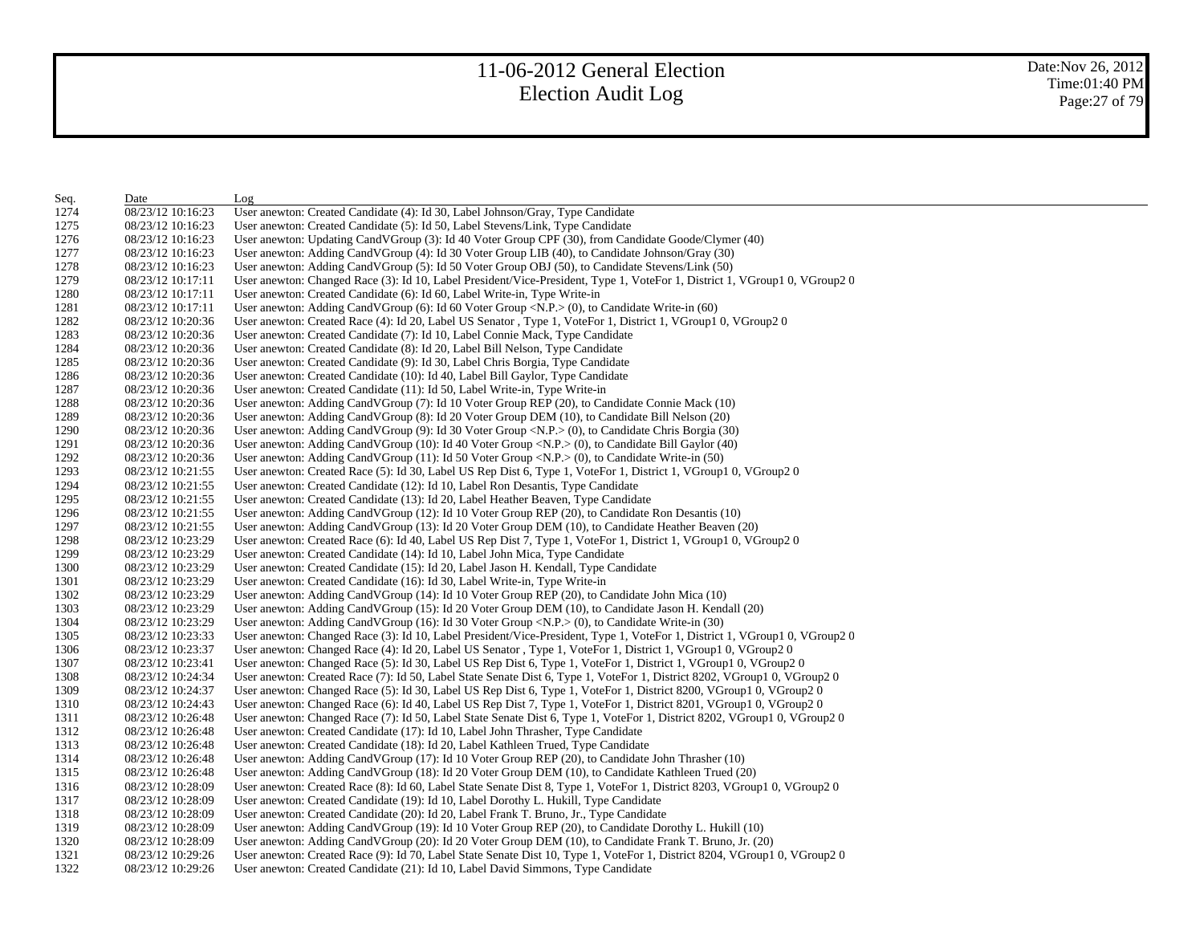| Seq. | Date              | Log                                                                                                                        |
|------|-------------------|----------------------------------------------------------------------------------------------------------------------------|
| 1274 | 08/23/12 10:16:23 | User anewton: Created Candidate (4): Id 30, Label Johnson/Gray, Type Candidate                                             |
| 1275 | 08/23/12 10:16:23 | User anewton: Created Candidate (5): Id 50, Label Stevens/Link, Type Candidate                                             |
| 1276 | 08/23/12 10:16:23 | User anewton: Updating CandVGroup (3): Id 40 Voter Group CPF (30), from Candidate Goode/Clymer (40)                        |
| 1277 | 08/23/12 10:16:23 | User anewton: Adding CandVGroup (4): Id 30 Voter Group LIB (40), to Candidate Johnson/Gray (30)                            |
| 1278 | 08/23/12 10:16:23 | User anewton: Adding CandVGroup (5): Id 50 Voter Group OBJ (50), to Candidate Stevens/Link (50)                            |
| 1279 | 08/23/12 10:17:11 | User anewton: Changed Race (3): Id 10, Label President/Vice-President, Type 1, VoteFor 1, District 1, VGroup1 0, VGroup2 0 |
| 1280 | 08/23/12 10:17:11 | User anewton: Created Candidate (6): Id 60, Label Write-in, Type Write-in                                                  |
| 1281 | 08/23/12 10:17:11 | User anewton: Adding CandVGroup (6): Id 60 Voter Group < $N.P$ > (0), to Candidate Write-in (60)                           |
| 1282 | 08/23/12 10:20:36 | User anewton: Created Race (4): Id 20, Label US Senator, Type 1, VoteFor 1, District 1, VGroup1 0, VGroup2 0               |
| 1283 | 08/23/12 10:20:36 | User anewton: Created Candidate (7): Id 10, Label Connie Mack, Type Candidate                                              |
| 1284 | 08/23/12 10:20:36 | User anewton: Created Candidate (8): Id 20, Label Bill Nelson, Type Candidate                                              |
| 1285 | 08/23/12 10:20:36 | User anewton: Created Candidate (9): Id 30, Label Chris Borgia, Type Candidate                                             |
| 1286 | 08/23/12 10:20:36 | User anewton: Created Candidate (10): Id 40, Label Bill Gaylor, Type Candidate                                             |
| 1287 | 08/23/12 10:20:36 | User anewton: Created Candidate (11): Id 50, Label Write-in, Type Write-in                                                 |
| 1288 | 08/23/12 10:20:36 | User anewton: Adding CandVGroup (7): Id 10 Voter Group REP (20), to Candidate Connie Mack (10)                             |
| 1289 | 08/23/12 10:20:36 | User anewton: Adding CandVGroup (8): Id 20 Voter Group DEM (10), to Candidate Bill Nelson (20)                             |
| 1290 | 08/23/12 10:20:36 | User anewton: Adding CandVGroup (9): Id 30 Voter Group $\langle N.P. \rangle$ (0), to Candidate Chris Borgia (30)          |
| 1291 | 08/23/12 10:20:36 | User anewton: Adding CandVGroup $(10)$ : Id 40 Voter Group <n.p.<math>&gt; (0), to Candidate Bill Gaylor (40)</n.p.<math>  |
| 1292 | 08/23/12 10:20:36 | User anewton: Adding CandVGroup $(11)$ : Id 50 Voter Group <n.p.><math>(0)</math>, to Candidate Write-in (50)</n.p.>       |
| 1293 | 08/23/12 10:21:55 | User anewton: Created Race (5): Id 30, Label US Rep Dist 6, Type 1, VoteFor 1, District 1, VGroup1 0, VGroup2 0            |
| 1294 | 08/23/12 10:21:55 | User anewton: Created Candidate (12): Id 10, Label Ron Desantis, Type Candidate                                            |
| 1295 | 08/23/12 10:21:55 | User anewton: Created Candidate (13): Id 20, Label Heather Beaven, Type Candidate                                          |
| 1296 | 08/23/12 10:21:55 | User anewton: Adding CandVGroup (12): Id 10 Voter Group REP (20), to Candidate Ron Desantis (10)                           |
| 1297 | 08/23/12 10:21:55 | User anewton: Adding CandVGroup (13): Id 20 Voter Group DEM (10), to Candidate Heather Beaven (20)                         |
| 1298 | 08/23/12 10:23:29 | User anewton: Created Race (6): Id 40, Label US Rep Dist 7, Type 1, VoteFor 1, District 1, VGroup1 0, VGroup2 0            |
| 1299 | 08/23/12 10:23:29 | User anewton: Created Candidate (14): Id 10, Label John Mica, Type Candidate                                               |
| 1300 | 08/23/12 10:23:29 | User anewton: Created Candidate (15): Id 20, Label Jason H. Kendall, Type Candidate                                        |
| 1301 | 08/23/12 10:23:29 | User anewton: Created Candidate (16): Id 30, Label Write-in, Type Write-in                                                 |
| 1302 | 08/23/12 10:23:29 | User anewton: Adding CandVGroup (14): Id 10 Voter Group REP (20), to Candidate John Mica (10)                              |
| 1303 | 08/23/12 10:23:29 | User anewton: Adding CandVGroup (15): Id 20 Voter Group DEM (10), to Candidate Jason H. Kendall (20)                       |
| 1304 | 08/23/12 10:23:29 | User anewton: Adding CandVGroup (16): Id 30 Voter Group < $N.P.$ > (0), to Candidate Write-in (30)                         |
| 1305 | 08/23/12 10:23:33 | User anewton: Changed Race (3): Id 10, Label President/Vice-President, Type 1, VoteFor 1, District 1, VGroup1 0, VGroup2 0 |
| 1306 | 08/23/12 10:23:37 | User anewton: Changed Race (4): Id 20, Label US Senator, Type 1, VoteFor 1, District 1, VGroup1 0, VGroup2 0               |
| 1307 | 08/23/12 10:23:41 | User anewton: Changed Race (5): Id 30, Label US Rep Dist 6, Type 1, VoteFor 1, District 1, VGroup1 0, VGroup2 0            |
| 1308 | 08/23/12 10:24:34 | User anewton: Created Race (7): Id 50, Label State Senate Dist 6, Type 1, VoteFor 1, District 8202, VGroup1 0, VGroup2 0   |
| 1309 | 08/23/12 10:24:37 | User anewton: Changed Race (5): Id 30, Label US Rep Dist 6, Type 1, VoteFor 1, District 8200, VGroup1 0, VGroup2 0         |
| 1310 | 08/23/12 10:24:43 | User anewton: Changed Race (6): Id 40, Label US Rep Dist 7, Type 1, VoteFor 1, District 8201, VGroup1 0, VGroup2 0         |
| 1311 | 08/23/12 10:26:48 | User anewton: Changed Race (7): Id 50, Label State Senate Dist 6, Type 1, VoteFor 1, District 8202, VGroup1 0, VGroup2 0   |
| 1312 | 08/23/12 10:26:48 | User anewton: Created Candidate (17): Id 10, Label John Thrasher, Type Candidate                                           |
| 1313 | 08/23/12 10:26:48 | User anewton: Created Candidate (18): Id 20, Label Kathleen Trued, Type Candidate                                          |
| 1314 | 08/23/12 10:26:48 | User anewton: Adding CandVGroup (17): Id 10 Voter Group REP (20), to Candidate John Thrasher (10)                          |
| 1315 | 08/23/12 10:26:48 | User anewton: Adding CandVGroup (18): Id 20 Voter Group DEM (10), to Candidate Kathleen Trued (20)                         |
| 1316 | 08/23/12 10:28:09 | User anewton: Created Race (8): Id 60, Label State Senate Dist 8, Type 1, VoteFor 1, District 8203, VGroup1 0, VGroup2 0   |
| 1317 | 08/23/12 10:28:09 | User anewton: Created Candidate (19): Id 10, Label Dorothy L. Hukill, Type Candidate                                       |
| 1318 | 08/23/12 10:28:09 | User anewton: Created Candidate (20): Id 20, Label Frank T. Bruno, Jr., Type Candidate                                     |
| 1319 | 08/23/12 10:28:09 | User anewton: Adding CandVGroup (19): Id 10 Voter Group REP (20), to Candidate Dorothy L. Hukill (10)                      |
| 1320 | 08/23/12 10:28:09 | User anewton: Adding CandVGroup (20): Id 20 Voter Group DEM (10), to Candidate Frank T. Bruno, Jr. (20)                    |
| 1321 | 08/23/12 10:29:26 | User anewton: Created Race (9): Id 70, Label State Senate Dist 10, Type 1, VoteFor 1, District 8204, VGroup1 0, VGroup2 0  |
| 1322 | 08/23/12 10:29:26 | User anewton: Created Candidate (21): Id 10, Label David Simmons, Type Candidate                                           |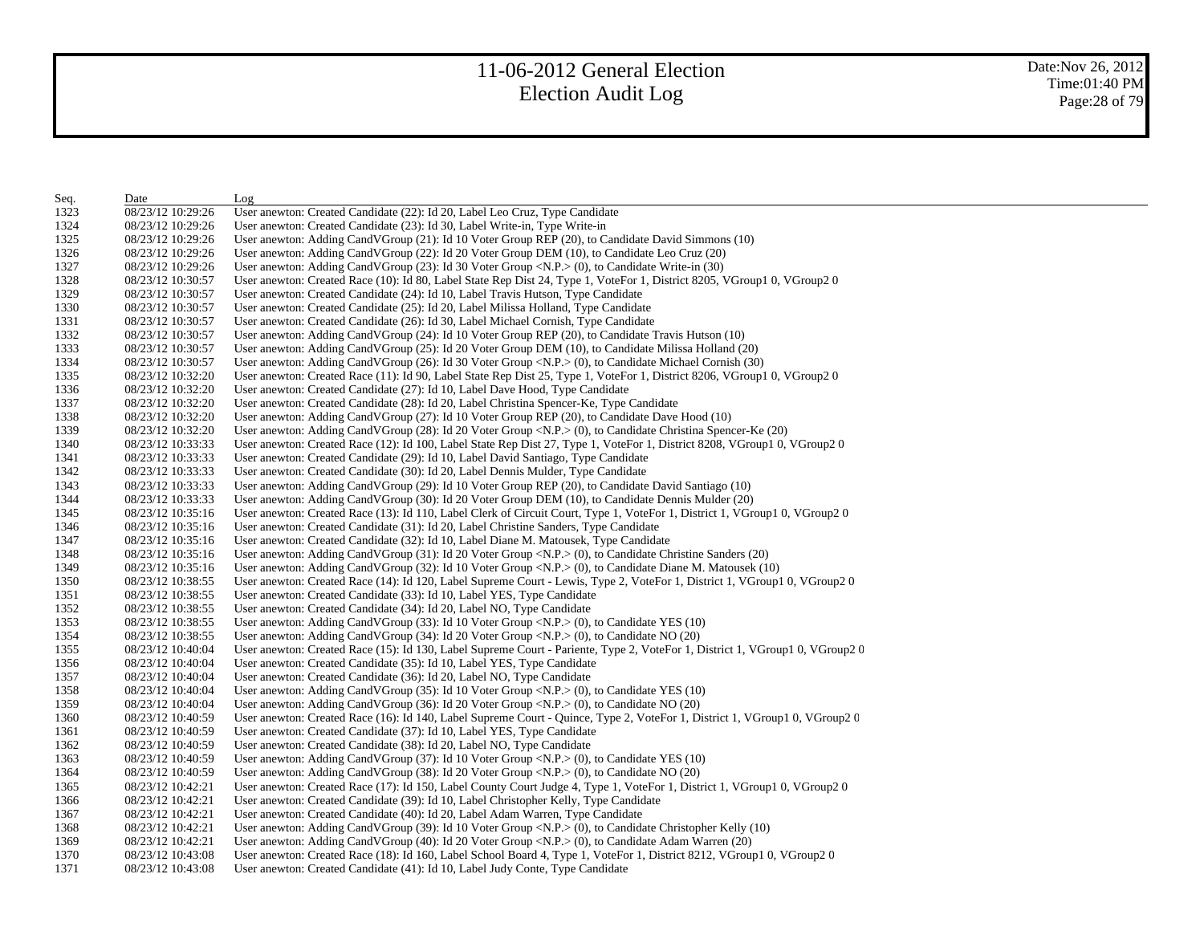| Seq. | Date              | Log                                                                                                                                        |
|------|-------------------|--------------------------------------------------------------------------------------------------------------------------------------------|
| 1323 | 08/23/12 10:29:26 | User anewton: Created Candidate (22): Id 20, Label Leo Cruz, Type Candidate                                                                |
| 1324 | 08/23/12 10:29:26 | User anewton: Created Candidate (23): Id 30, Label Write-in, Type Write-in                                                                 |
| 1325 | 08/23/12 10:29:26 | User anewton: Adding CandVGroup (21): Id 10 Voter Group REP (20), to Candidate David Simmons (10)                                          |
| 1326 | 08/23/12 10:29:26 | User anewton: Adding CandVGroup (22): Id 20 Voter Group DEM (10), to Candidate Leo Cruz (20)                                               |
| 1327 | 08/23/12 10:29:26 | User anewton: Adding CandVGroup (23): Id 30 Voter Group <n.p.> (0), to Candidate Write-in (30)</n.p.>                                      |
| 1328 | 08/23/12 10:30:57 | User anewton: Created Race (10): Id 80, Label State Rep Dist 24, Type 1, VoteFor 1, District 8205, VGroup1 0, VGroup2 0                    |
| 1329 | 08/23/12 10:30:57 | User anewton: Created Candidate (24): Id 10, Label Travis Hutson, Type Candidate                                                           |
| 1330 | 08/23/12 10:30:57 | User anewton: Created Candidate (25): Id 20, Label Milissa Holland, Type Candidate                                                         |
| 1331 | 08/23/12 10:30:57 | User anewton: Created Candidate (26): Id 30, Label Michael Cornish, Type Candidate                                                         |
| 1332 | 08/23/12 10:30:57 | User anewton: Adding Cand V Group (24): Id 10 Voter Group REP (20), to Candidate Travis Hutson (10)                                        |
| 1333 | 08/23/12 10:30:57 | User anewton: Adding CandVGroup (25): Id 20 Voter Group DEM (10), to Candidate Milissa Holland (20)                                        |
| 1334 | 08/23/12 10:30:57 | User anewton: Adding CandVGroup (26): Id 30 Voter Group <n.p.> (0), to Candidate Michael Cornish (30)</n.p.>                               |
| 1335 | 08/23/12 10:32:20 | User anewton: Created Race (11): Id 90, Label State Rep Dist 25, Type 1, VoteFor 1, District 8206, VGroup1 0, VGroup2 0                    |
| 1336 | 08/23/12 10:32:20 | User anewton: Created Candidate (27): Id 10, Label Dave Hood, Type Candidate                                                               |
| 1337 | 08/23/12 10:32:20 | User anewton: Created Candidate (28): Id 20, Label Christina Spencer-Ke, Type Candidate                                                    |
| 1338 | 08/23/12 10:32:20 | User anewton: Adding CandVGroup (27): Id 10 Voter Group REP (20), to Candidate Dave Hood (10)                                              |
| 1339 | 08/23/12 10:32:20 | User anewton: Adding CandVGroup (28): Id 20 Voter Group <n.p.> (0), to Candidate Christina Spencer-Ke (20)</n.p.>                          |
| 1340 | 08/23/12 10:33:33 | User anewton: Created Race (12): Id 100, Label State Rep Dist 27, Type 1, VoteFor 1, District 8208, VGroup1 0, VGroup2 0                   |
| 1341 | 08/23/12 10:33:33 | User anewton: Created Candidate (29): Id 10, Label David Santiago, Type Candidate                                                          |
| 1342 | 08/23/12 10:33:33 | User anewton: Created Candidate (30): Id 20, Label Dennis Mulder, Type Candidate                                                           |
| 1343 | 08/23/12 10:33:33 | User anewton: Adding CandVGroup (29): Id 10 Voter Group REP (20), to Candidate David Santiago (10)                                         |
| 1344 | 08/23/12 10:33:33 | User anewton: Adding CandVGroup (30): Id 20 Voter Group DEM (10), to Candidate Dennis Mulder (20)                                          |
| 1345 | 08/23/12 10:35:16 | User anewton: Created Race (13): Id 110, Label Clerk of Circuit Court, Type 1, VoteFor 1, District 1, VGroup1 0, VGroup2 0                 |
| 1346 | 08/23/12 10:35:16 | User anewton: Created Candidate (31): Id 20, Label Christine Sanders, Type Candidate                                                       |
| 1347 | 08/23/12 10:35:16 | User anewton: Created Candidate (32): Id 10, Label Diane M. Matousek, Type Candidate                                                       |
| 1348 | 08/23/12 10:35:16 | User anewton: Adding CandVGroup (31): Id 20 Voter Group <n.p.> (0), to Candidate Christine Sanders (20)</n.p.>                             |
| 1349 | 08/23/12 10:35:16 | User anewton: Adding CandVGroup $(32)$ : Id 10 Voter Group <n.p.><math>(0)</math>, to Candidate Diane M. Matousek <math>(10)</math></n.p.> |
| 1350 | 08/23/12 10:38:55 | User anewton: Created Race (14): Id 120, Label Supreme Court - Lewis, Type 2, VoteFor 1, District 1, VGroup1 0, VGroup2 0                  |
| 1351 | 08/23/12 10:38:55 | User anewton: Created Candidate (33): Id 10, Label YES, Type Candidate                                                                     |
| 1352 | 08/23/12 10:38:55 | User anewton: Created Candidate (34): Id 20, Label NO, Type Candidate                                                                      |
| 1353 | 08/23/12 10:38:55 | User anewton: Adding CandVGroup $(33)$ : Id 10 Voter Group <n.p.><math>(0)</math>, to Candidate YES <math>(10)</math></n.p.>               |
| 1354 | 08/23/12 10:38:55 | User anewton: Adding CandVGroup $(34)$ : Id 20 Voter Group <n.p.<math>&gt; (0), to Candidate NO <math>(20)</math></n.p.<math>              |
| 1355 | 08/23/12 10:40:04 | User anewton: Created Race (15): Id 130, Label Supreme Court - Pariente, Type 2, VoteFor 1, District 1, VGroup1 0, VGroup2 0               |
| 1356 | 08/23/12 10:40:04 | User anewton: Created Candidate (35): Id 10, Label YES, Type Candidate                                                                     |
| 1357 | 08/23/12 10:40:04 | User anewton: Created Candidate (36): Id 20, Label NO, Type Candidate                                                                      |
| 1358 | 08/23/12 10:40:04 | User anewton: Adding CandVGroup $(35)$ : Id 10 Voter Group <n.p.><math>(0)</math>, to Candidate YES <math>(10)</math></n.p.>               |
| 1359 | 08/23/12 10:40:04 | User anewton: Adding CandVGroup (36): Id 20 Voter Group $\langle N.P. \rangle$ (0), to Candidate NO (20)                                   |
| 1360 | 08/23/12 10:40:59 | User anewton: Created Race (16): Id 140, Label Supreme Court - Quince, Type 2, VoteFor 1, District 1, VGroup1 0, VGroup2 0                 |
| 1361 | 08/23/12 10:40:59 | User anewton: Created Candidate (37): Id 10, Label YES, Type Candidate                                                                     |
| 1362 | 08/23/12 10:40:59 | User anewton: Created Candidate (38): Id 20, Label NO, Type Candidate                                                                      |
| 1363 | 08/23/12 10:40:59 | User anewton: Adding CandVGroup $(37)$ : Id 10 Voter Group <n.p.><math>(0)</math>, to Candidate YES <math>(10)</math></n.p.>               |
| 1364 | 08/23/12 10:40:59 | User anewton: Adding CandVGroup (38): Id 20 Voter Group $\langle N.P. \rangle$ (0), to Candidate NO (20)                                   |
| 1365 | 08/23/12 10:42:21 | User anewton: Created Race (17): Id 150, Label County Court Judge 4, Type 1, VoteFor 1, District 1, VGroup1 0, VGroup2 0                   |
| 1366 | 08/23/12 10:42:21 | User anewton: Created Candidate (39): Id 10, Label Christopher Kelly, Type Candidate                                                       |
| 1367 | 08/23/12 10:42:21 | User anewton: Created Candidate (40): Id 20, Label Adam Warren, Type Candidate                                                             |
| 1368 | 08/23/12 10:42:21 | User anewton: Adding CandVGroup (39): Id 10 Voter Group < $N.P$ > (0), to Candidate Christopher Kelly (10)                                 |
| 1369 | 08/23/12 10:42:21 | User anewton: Adding CandVGroup (40): Id 20 Voter Group <n.p.> (0), to Candidate Adam Warren (20)</n.p.>                                   |
| 1370 | 08/23/12 10:43:08 | User anewton: Created Race (18): Id 160, Label School Board 4, Type 1, VoteFor 1, District 8212, VGroup1 0, VGroup2 0                      |
| 1371 | 08/23/12 10:43:08 | User anewton: Created Candidate (41): Id 10, Label Judy Conte, Type Candidate                                                              |
|      |                   |                                                                                                                                            |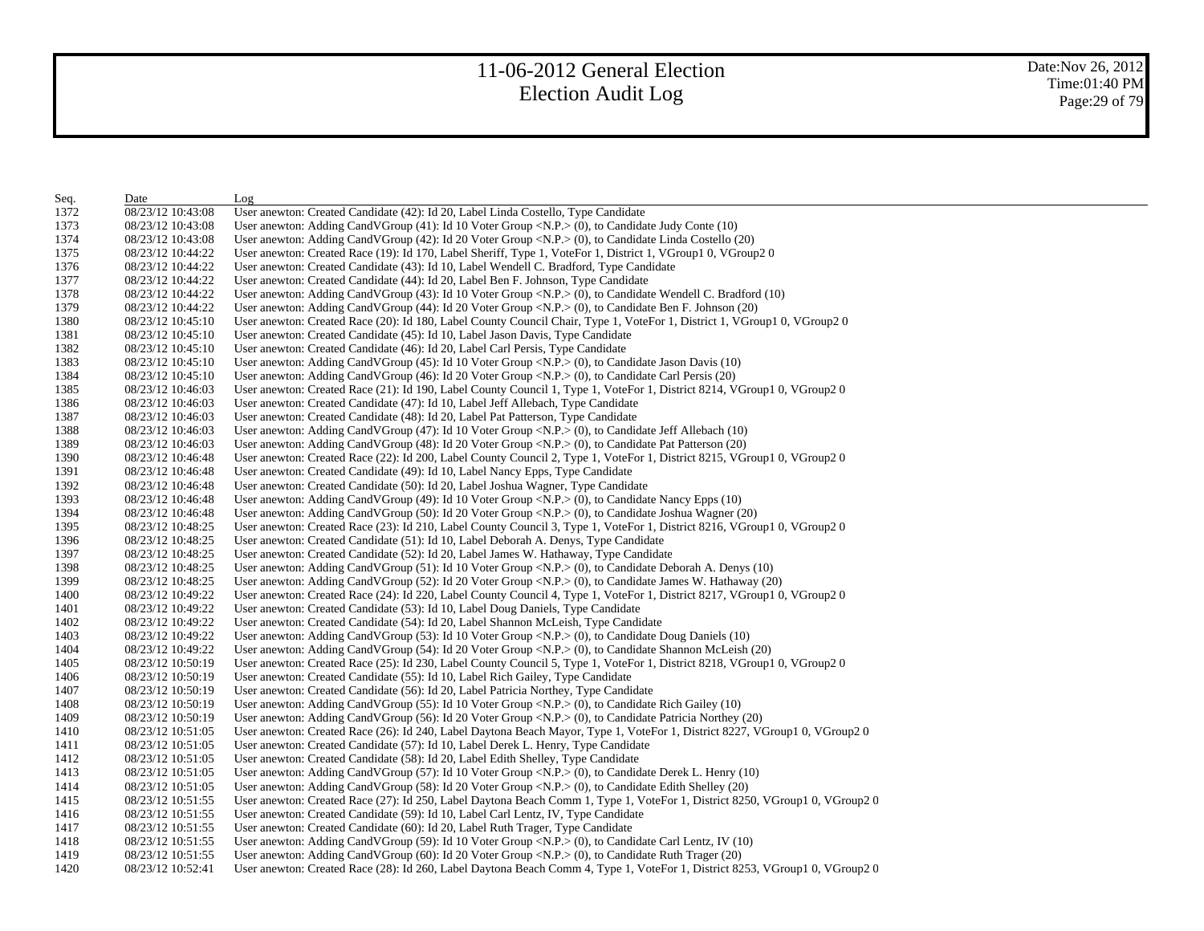| Seq. | Date              | Log                                                                                                                                 |
|------|-------------------|-------------------------------------------------------------------------------------------------------------------------------------|
| 1372 | 08/23/12 10:43:08 | User anewton: Created Candidate (42): Id 20, Label Linda Costello, Type Candidate                                                   |
| 1373 | 08/23/12 10:43:08 | User anewton: Adding CandVGroup $(41)$ : Id 10 Voter Group <n.p.><math>(0)</math>, to Candidate Judy Conte <math>(10)</math></n.p.> |
| 1374 | 08/23/12 10:43:08 | User anewton: Adding CandVGroup (42): Id 20 Voter Group <n.p.> (0), to Candidate Linda Costello (20)</n.p.>                         |
| 1375 | 08/23/12 10:44:22 | User anewton: Created Race (19): Id 170, Label Sheriff, Type 1, VoteFor 1, District 1, VGroup1 0, VGroup2 0                         |
| 1376 | 08/23/12 10:44:22 | User anewton: Created Candidate (43): Id 10, Label Wendell C. Bradford, Type Candidate                                              |
| 1377 | 08/23/12 10:44:22 | User anewton: Created Candidate (44): Id 20, Label Ben F. Johnson, Type Candidate                                                   |
| 1378 | 08/23/12 10:44:22 | User anewton: Adding CandVGroup (43): Id 10 Voter Group <n.p.> (0), to Candidate Wendell C. Bradford (10)</n.p.>                    |
| 1379 | 08/23/12 10:44:22 | User anewton: Adding CandVGroup (44): Id 20 Voter Group <n.p.> (0), to Candidate Ben F. Johnson (20)</n.p.>                         |
| 1380 | 08/23/12 10:45:10 | User anewton: Created Race (20): Id 180, Label County Council Chair, Type 1, VoteFor 1, District 1, VGroup1 0, VGroup2 0            |
| 1381 | 08/23/12 10:45:10 | User anewton: Created Candidate (45): Id 10, Label Jason Davis, Type Candidate                                                      |
| 1382 | 08/23/12 10:45:10 | User anewton: Created Candidate (46): Id 20, Label Carl Persis, Type Candidate                                                      |
| 1383 | 08/23/12 10:45:10 | User anewton: Adding CandVGroup $(45)$ : Id 10 Voter Group <n.p.<math>&gt; (0), to Candidate Jason Davis (10)</n.p.<math>           |
| 1384 | 08/23/12 10:45:10 | User anewton: Adding CandVGroup (46): Id 20 Voter Group <n.p.> (0), to Candidate Carl Persis (20)</n.p.>                            |
| 1385 | 08/23/12 10:46:03 | User anewton: Created Race (21): Id 190, Label County Council 1, Type 1, VoteFor 1, District 8214, VGroup1 0, VGroup2 0             |
| 1386 | 08/23/12 10:46:03 | User anewton: Created Candidate (47): Id 10, Label Jeff Allebach, Type Candidate                                                    |
| 1387 | 08/23/12 10:46:03 | User anewton: Created Candidate (48): Id 20, Label Pat Patterson, Type Candidate                                                    |
| 1388 | 08/23/12 10:46:03 | User anewton: Adding CandVGroup (47): Id 10 Voter Group <n.p.> (0), to Candidate Jeff Allebach (10)</n.p.>                          |
| 1389 | 08/23/12 10:46:03 | User anewton: Adding CandVGroup (48): Id 20 Voter Group <n.p.> (0), to Candidate Pat Patterson (20)</n.p.>                          |
| 1390 | 08/23/12 10:46:48 | User anewton: Created Race (22): Id 200, Label County Council 2, Type 1, VoteFor 1, District 8215, VGroup1 0, VGroup2 0             |
| 1391 | 08/23/12 10:46:48 | User anewton: Created Candidate (49): Id 10, Label Nancy Epps, Type Candidate                                                       |
| 1392 | 08/23/12 10:46:48 | User anewton: Created Candidate (50): Id 20, Label Joshua Wagner, Type Candidate                                                    |
| 1393 | 08/23/12 10:46:48 | User anewton: Adding CandVGroup (49): Id 10 Voter Group < $N.P.$ > (0), to Candidate Nancy Epps (10)                                |
| 1394 | 08/23/12 10:46:48 | User anewton: Adding CandVGroup (50): Id 20 Voter Group <n.p.> (0), to Candidate Joshua Wagner (20)</n.p.>                          |
| 1395 | 08/23/12 10:48:25 | User anewton: Created Race (23): Id 210, Label County Council 3, Type 1, VoteFor 1, District 8216, VGroup1 0, VGroup2 0             |
| 1396 | 08/23/12 10:48:25 | User anewton: Created Candidate (51): Id 10, Label Deborah A. Denys, Type Candidate                                                 |
| 1397 | 08/23/12 10:48:25 | User anewton: Created Candidate (52): Id 20, Label James W. Hathaway, Type Candidate                                                |
| 1398 | 08/23/12 10:48:25 | User anewton: Adding CandVGroup (51): Id 10 Voter Group <n.p.> (0), to Candidate Deborah A. Denys (10)</n.p.>                       |
| 1399 | 08/23/12 10:48:25 | User anewton: Adding CandVGroup (52): Id 20 Voter Group <n.p.> (0), to Candidate James W. Hathaway (20)</n.p.>                      |
| 1400 | 08/23/12 10:49:22 | User anewton: Created Race (24): Id 220, Label County Council 4, Type 1, VoteFor 1, District 8217, VGroup1 0, VGroup2 0             |
| 1401 | 08/23/12 10:49:22 | User anewton: Created Candidate (53): Id 10, Label Doug Daniels, Type Candidate                                                     |
| 1402 | 08/23/12 10:49:22 | User anewton: Created Candidate (54): Id 20, Label Shannon McLeish, Type Candidate                                                  |
| 1403 | 08/23/12 10:49:22 | User anewton: Adding CandVGroup (53): Id 10 Voter Group <n.p.> (0), to Candidate Doug Daniels (10)</n.p.>                           |
| 1404 | 08/23/12 10:49:22 | User anewton: Adding CandVGroup (54): Id 20 Voter Group <n.p.> (0), to Candidate Shannon McLeish (20)</n.p.>                        |
| 1405 | 08/23/12 10:50:19 | User anewton: Created Race (25): Id 230, Label County Council 5, Type 1, VoteFor 1, District 8218, VGroup1 0, VGroup2 0             |
| 1406 | 08/23/12 10:50:19 | User anewton: Created Candidate (55): Id 10, Label Rich Gailey, Type Candidate                                                      |
| 1407 | 08/23/12 10:50:19 | User anewton: Created Candidate (56): Id 20, Label Patricia Northey, Type Candidate                                                 |
| 1408 | 08/23/12 10:50:19 | User anewton: Adding CandVGroup (55): Id 10 Voter Group <n.p.> (0), to Candidate Rich Gailey (10)</n.p.>                            |
| 1409 | 08/23/12 10:50:19 | User anewton: Adding CandVGroup (56): Id 20 Voter Group <n.p.> (0), to Candidate Patricia Northey (20)</n.p.>                       |
| 1410 | 08/23/12 10:51:05 | User anewton: Created Race (26): Id 240, Label Daytona Beach Mayor, Type 1, VoteFor 1, District 8227, VGroup1 0, VGroup2 0          |
| 1411 | 08/23/12 10:51:05 | User anewton: Created Candidate (57): Id 10, Label Derek L. Henry, Type Candidate                                                   |
| 1412 | 08/23/12 10:51:05 | User anewton: Created Candidate (58): Id 20, Label Edith Shelley, Type Candidate                                                    |
| 1413 | 08/23/12 10:51:05 | User anewton: Adding CandVGroup (57): Id 10 Voter Group <n.p.> (0), to Candidate Derek L. Henry (10)</n.p.>                         |
| 1414 | 08/23/12 10:51:05 | User anewton: Adding CandVGroup (58): Id 20 Voter Group <n.p.> (0), to Candidate Edith Shelley (20)</n.p.>                          |
| 1415 | 08/23/12 10:51:55 | User anewton: Created Race (27): Id 250, Label Daytona Beach Comm 1, Type 1, VoteFor 1, District 8250, VGroup1 0, VGroup2 0         |
| 1416 | 08/23/12 10:51:55 | User anewton: Created Candidate (59): Id 10, Label Carl Lentz, IV, Type Candidate                                                   |
| 1417 | 08/23/12 10:51:55 | User anewton: Created Candidate (60): Id 20, Label Ruth Trager, Type Candidate                                                      |
| 1418 | 08/23/12 10:51:55 | User anewton: Adding CandVGroup (59): Id 10 Voter Group < $N.P.$ > (0), to Candidate Carl Lentz, IV (10)                            |
| 1419 | 08/23/12 10:51:55 | User anewton: Adding Cand V Group (60): Id 20 V oter Group < $N.P.$ > (0), to Candidate Ruth Trager (20)                            |
| 1420 | 08/23/12 10:52:41 | User anewton: Created Race (28): Id 260, Label Daytona Beach Comm 4, Type 1, VoteFor 1, District 8253, VGroup1 0, VGroup2 0         |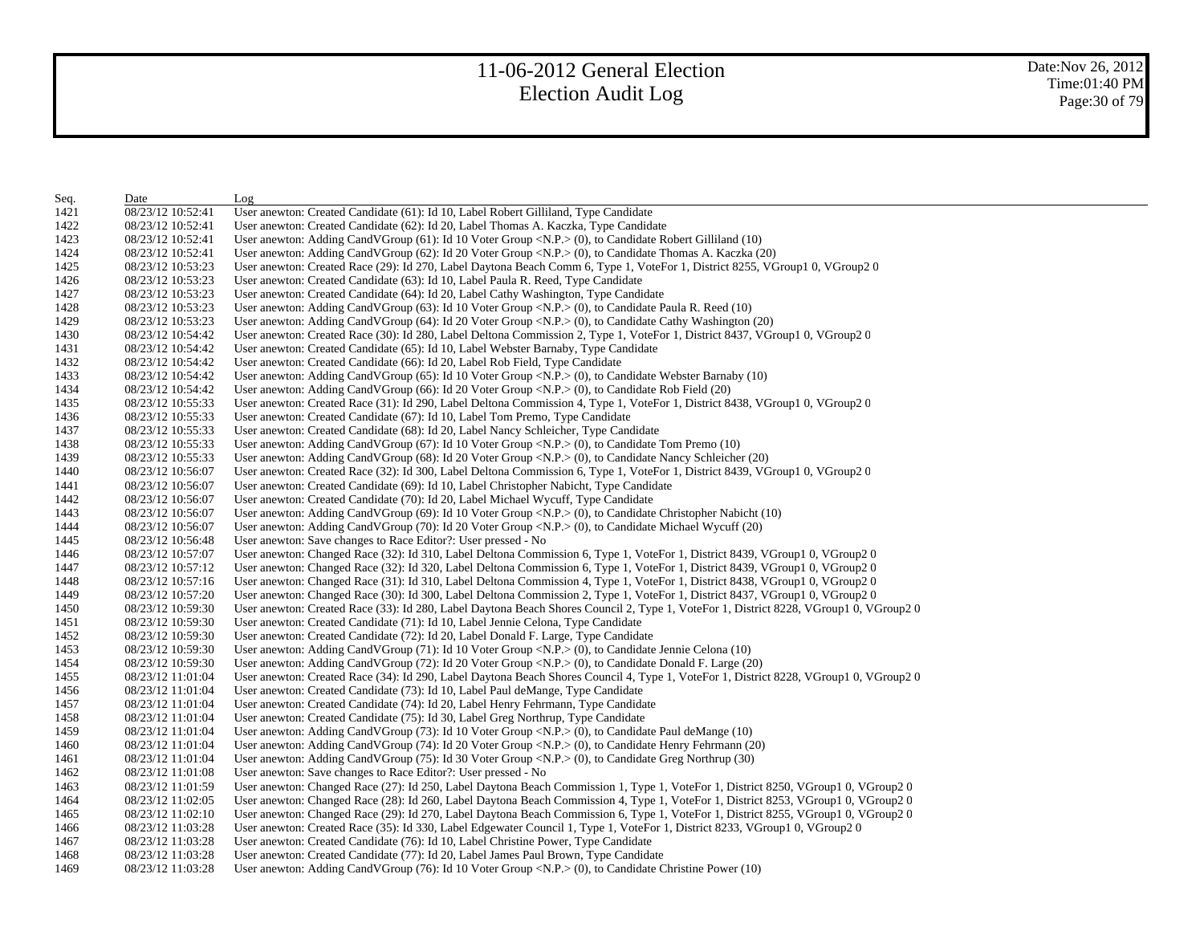| Seq. | Date              | Log                                                                                                                                   |
|------|-------------------|---------------------------------------------------------------------------------------------------------------------------------------|
| 1421 | 08/23/12 10:52:41 | User anewton: Created Candidate (61): Id 10, Label Robert Gilliland, Type Candidate                                                   |
| 1422 | 08/23/12 10:52:41 | User anewton: Created Candidate (62): Id 20, Label Thomas A. Kaczka, Type Candidate                                                   |
| 1423 | 08/23/12 10:52:41 | User anewton: Adding CandVGroup (61): Id 10 Voter Group <n.p.> (0), to Candidate Robert Gilliland (10)</n.p.>                         |
| 1424 | 08/23/12 10:52:41 | User anewton: Adding CandVGroup (62): Id 20 Voter Group <n.p.> (0), to Candidate Thomas A. Kaczka (20)</n.p.>                         |
| 1425 | 08/23/12 10:53:23 | User anewton: Created Race (29): Id 270, Label Daytona Beach Comm 6, Type 1, VoteFor 1, District 8255, VGroup1 0, VGroup2 0           |
| 1426 | 08/23/12 10:53:23 | User anewton: Created Candidate (63): Id 10, Label Paula R. Reed, Type Candidate                                                      |
| 1427 | 08/23/12 10:53:23 | User anewton: Created Candidate (64): Id 20, Label Cathy Washington, Type Candidate                                                   |
| 1428 | 08/23/12 10:53:23 | User anewton: Adding CandVGroup (63): Id 10 Voter Group <n.p.> (0), to Candidate Paula R. Reed (10)</n.p.>                            |
| 1429 | 08/23/12 10:53:23 | User anewton: Adding CandVGroup (64): Id 20 Voter Group <n.p.> (0), to Candidate Cathy Washington (20)</n.p.>                         |
| 1430 | 08/23/12 10:54:42 | User anewton: Created Race (30): Id 280, Label Deltona Commission 2, Type 1, VoteFor 1, District 8437, VGroup1 0, VGroup2 0           |
| 1431 | 08/23/12 10:54:42 | User anewton: Created Candidate (65): Id 10, Label Webster Barnaby, Type Candidate                                                    |
| 1432 | 08/23/12 10:54:42 | User anewton: Created Candidate (66): Id 20, Label Rob Field, Type Candidate                                                          |
| 1433 | 08/23/12 10:54:42 | User anewton: Adding CandVGroup $(65)$ : Id 10 Voter Group <n.p.<math>&gt; (0), to Candidate Webster Barnaby (10)</n.p.<math>         |
| 1434 | 08/23/12 10:54:42 | User anewton: Adding CandVGroup (66): Id 20 Voter Group <n.p.> (0), to Candidate Rob Field (20)</n.p.>                                |
| 1435 | 08/23/12 10:55:33 | User anewton: Created Race (31): Id 290, Label Deltona Commission 4, Type 1, VoteFor 1, District 8438, VGroup1 0, VGroup2 0           |
| 1436 | 08/23/12 10:55:33 | User anewton: Created Candidate (67): Id 10, Label Tom Premo, Type Candidate                                                          |
| 1437 | 08/23/12 10:55:33 | User anewton: Created Candidate (68): Id 20, Label Nancy Schleicher, Type Candidate                                                   |
| 1438 | 08/23/12 10:55:33 | User anewton: Adding CandVGroup $(67)$ : Id 10 Voter Group <n.p.><math>(0)</math>, to Candidate Tom Premo <math>(10)</math></n.p.>    |
| 1439 | 08/23/12 10:55:33 | User anewton: Adding CandVGroup (68): Id 20 Voter Group <n.p.> (0), to Candidate Nancy Schleicher (20)</n.p.>                         |
| 1440 | 08/23/12 10:56:07 | User anewton: Created Race (32): Id 300, Label Deltona Commission 6, Type 1, VoteFor 1, District 8439, VGroup1 0, VGroup2 0           |
| 1441 | 08/23/12 10:56:07 | User anewton: Created Candidate (69): Id 10, Label Christopher Nabicht, Type Candidate                                                |
| 1442 | 08/23/12 10:56:07 | User anewton: Created Candidate (70): Id 20, Label Michael Wycuff, Type Candidate                                                     |
| 1443 | 08/23/12 10:56:07 | User anewton: Adding CandVGroup $(69)$ : Id 10 Voter Group <n.p.><math>(0)</math>, to Candidate Christopher Nabicht (10)</n.p.>       |
| 1444 | 08/23/12 10:56:07 | User anewton: Adding CandVGroup (70): Id 20 Voter Group < $N.P.$ > (0), to Candidate Michael Wycuff (20)                              |
| 1445 | 08/23/12 10:56:48 | User anewton: Save changes to Race Editor?: User pressed - No                                                                         |
| 1446 | 08/23/12 10:57:07 | User anewton: Changed Race (32): Id 310, Label Deltona Commission 6, Type 1, VoteFor 1, District 8439, VGroup1 0, VGroup2 0           |
| 1447 | 08/23/12 10:57:12 | User anewton: Changed Race (32): Id 320, Label Deltona Commission 6, Type 1, VoteFor 1, District 8439, VGroup1 0, VGroup2 0           |
| 1448 | 08/23/12 10:57:16 | User anewton: Changed Race (31): Id 310, Label Deltona Commission 4, Type 1, VoteFor 1, District 8438, VGroup1 0, VGroup2 0           |
| 1449 | 08/23/12 10:57:20 | User anewton: Changed Race (30): Id 300, Label Deltona Commission 2, Type 1, VoteFor 1, District 8437, VGroup1 0, VGroup2 0           |
| 1450 | 08/23/12 10:59:30 | User anewton: Created Race (33): Id 280, Label Daytona Beach Shores Council 2, Type 1, VoteFor 1, District 8228, VGroup1 0, VGroup2 0 |
| 1451 | 08/23/12 10:59:30 | User anewton: Created Candidate (71): Id 10, Label Jennie Celona, Type Candidate                                                      |
| 1452 | 08/23/12 10:59:30 | User anewton: Created Candidate (72): Id 20, Label Donald F. Large, Type Candidate                                                    |
| 1453 | 08/23/12 10:59:30 | User anewton: Adding CandVGroup (71): Id 10 Voter Group <n.p.> (0), to Candidate Jennie Celona (10)</n.p.>                            |
| 1454 | 08/23/12 10:59:30 | User anewton: Adding CandVGroup (72): Id 20 Voter Group <n.p.> (0), to Candidate Donald F. Large (20)</n.p.>                          |
| 1455 | 08/23/12 11:01:04 | User anewton: Created Race (34): Id 290, Label Daytona Beach Shores Council 4, Type 1, VoteFor 1, District 8228, VGroup1 0, VGroup2 0 |
| 1456 | 08/23/12 11:01:04 | User anewton: Created Candidate (73): Id 10, Label Paul deMange, Type Candidate                                                       |
| 1457 | 08/23/12 11:01:04 | User anewton: Created Candidate (74): Id 20, Label Henry Fehrmann, Type Candidate                                                     |
| 1458 | 08/23/12 11:01:04 | User anewton: Created Candidate (75): Id 30, Label Greg Northrup, Type Candidate                                                      |
| 1459 | 08/23/12 11:01:04 | User anewton: Adding CandVGroup (73): Id 10 Voter Group < $N.P.$ > (0), to Candidate Paul deMange (10)                                |
| 1460 | 08/23/12 11:01:04 | User anewton: Adding CandVGroup (74): Id 20 Voter Group <n.p.> (0), to Candidate Henry Fehrmann (20)</n.p.>                           |
| 1461 | 08/23/12 11:01:04 | User anewton: Adding CandVGroup (75): Id 30 Voter Group < $N.P.$ > (0), to Candidate Greg Northrup (30)                               |
| 1462 | 08/23/12 11:01:08 | User anewton: Save changes to Race Editor?: User pressed - No                                                                         |
| 1463 | 08/23/12 11:01:59 | User anewton: Changed Race (27): Id 250, Label Daytona Beach Commission 1, Type 1, VoteFor 1, District 8250, VGroup1 0, VGroup2 0     |
| 1464 | 08/23/12 11:02:05 | User anewton: Changed Race (28): Id 260, Label Daytona Beach Commission 4, Type 1, VoteFor 1, District 8253, VGroup1 0, VGroup2 0     |
| 1465 | 08/23/12 11:02:10 | User anewton: Changed Race (29): Id 270, Label Daytona Beach Commission 6, Type 1, VoteFor 1, District 8255, VGroup1 0, VGroup2 0     |
| 1466 | 08/23/12 11:03:28 | User anewton: Created Race (35): Id 330, Label Edgewater Council 1, Type 1, VoteFor 1, District 8233, VGroup1 0, VGroup2 0            |
| 1467 | 08/23/12 11:03:28 | User anewton: Created Candidate (76): Id 10, Label Christine Power, Type Candidate                                                    |
| 1468 | 08/23/12 11:03:28 | User anewton: Created Candidate (77): Id 20, Label James Paul Brown, Type Candidate                                                   |
| 1469 | 08/23/12 11:03:28 | User anewton: Adding CandVGroup (76): Id 10 Voter Group <n.p.<math>&gt; (0), to Candidate Christine Power (10)</n.p.<math>            |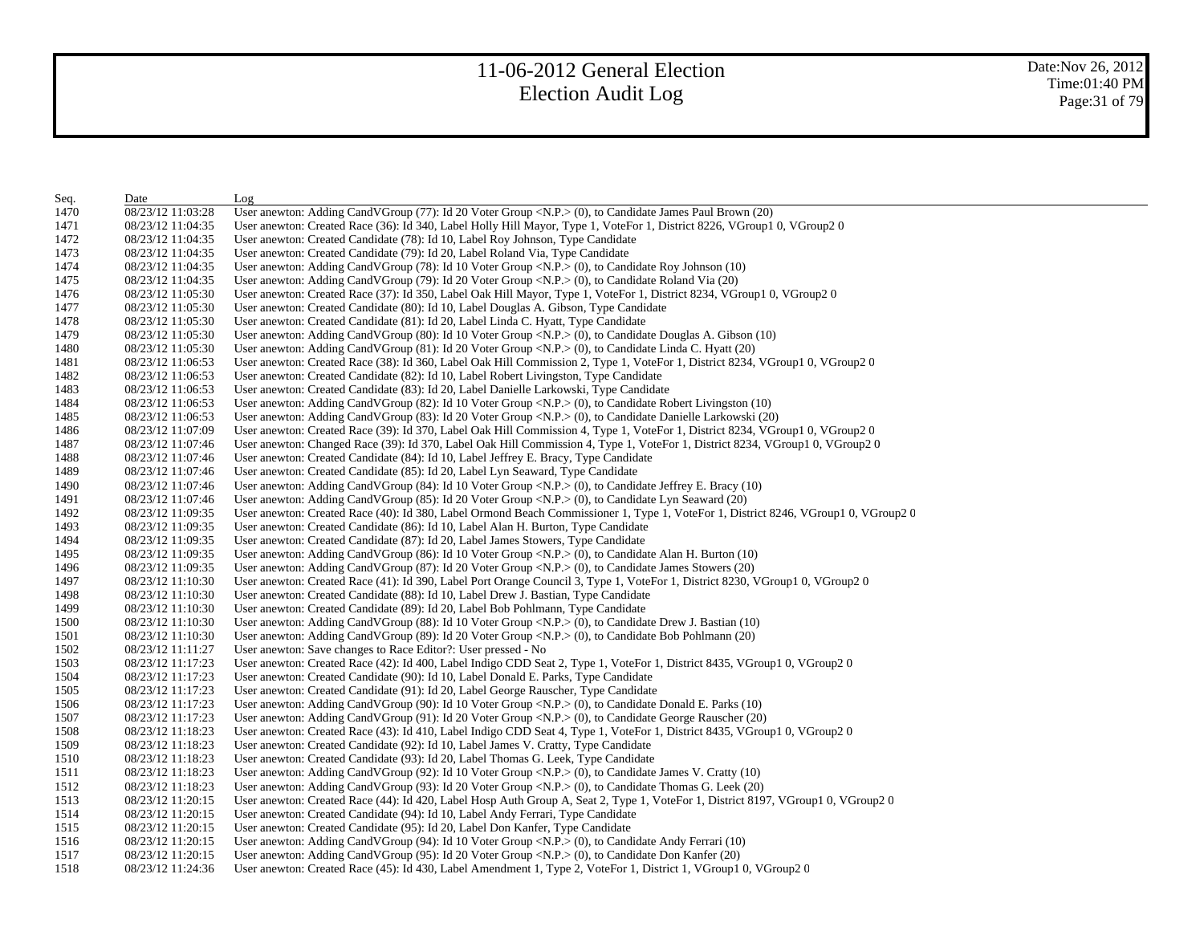| Seq. | Date              | Log                                                                                                                                        |
|------|-------------------|--------------------------------------------------------------------------------------------------------------------------------------------|
| 1470 | 08/23/12 11:03:28 | User anewton: Adding CandVGroup (77): Id 20 Voter Group <n.p.> (0), to Candidate James Paul Brown (20)</n.p.>                              |
| 1471 | 08/23/12 11:04:35 | User anewton: Created Race (36): Id 340, Label Holly Hill Mayor, Type 1, VoteFor 1, District 8226, VGroup1 0, VGroup2 0                    |
| 1472 | 08/23/12 11:04:35 | User anewton: Created Candidate (78): Id 10, Label Roy Johnson, Type Candidate                                                             |
| 1473 | 08/23/12 11:04:35 | User anewton: Created Candidate (79): Id 20, Label Roland Via, Type Candidate                                                              |
| 1474 | 08/23/12 11:04:35 | User anewton: Adding CandVGroup (78): Id 10 Voter Group <n.p.<math>&gt; (0), to Candidate Roy Johnson (10)</n.p.<math>                     |
| 1475 | 08/23/12 11:04:35 | User anewton: Adding CandVGroup (79): Id 20 Voter Group <n.p.> (0), to Candidate Roland Via (20)</n.p.>                                    |
| 1476 | 08/23/12 11:05:30 | User anewton: Created Race (37): Id 350, Label Oak Hill Mayor, Type 1, VoteFor 1, District 8234, VGroup1 0, VGroup2 0                      |
| 1477 | 08/23/12 11:05:30 | User anewton: Created Candidate (80): Id 10, Label Douglas A. Gibson, Type Candidate                                                       |
| 1478 | 08/23/12 11:05:30 | User anewton: Created Candidate (81): Id 20, Label Linda C. Hyatt, Type Candidate                                                          |
| 1479 | 08/23/12 11:05:30 | User anewton: Adding CandVGroup (80): Id 10 Voter Group <n.p.> (0), to Candidate Douglas A. Gibson (10)</n.p.>                             |
| 1480 | 08/23/12 11:05:30 | User anewton: Adding CandVGroup (81): Id 20 Voter Group <n.p.> (0), to Candidate Linda C. Hyatt (20)</n.p.>                                |
| 1481 | 08/23/12 11:06:53 | User anewton: Created Race (38): Id 360, Label Oak Hill Commission 2, Type 1, VoteFor 1, District 8234, VGroup1 0, VGroup2 0               |
| 1482 | 08/23/12 11:06:53 | User anewton: Created Candidate (82): Id 10, Label Robert Livingston, Type Candidate                                                       |
| 1483 | 08/23/12 11:06:53 | User anewton: Created Candidate (83): Id 20, Label Danielle Larkowski, Type Candidate                                                      |
| 1484 | 08/23/12 11:06:53 | User anewton: Adding CandVGroup $(82)$ : Id 10 Voter Group <n.p.><math>(0)</math>, to Candidate Robert Livingston <math>(10)</math></n.p.> |
| 1485 | 08/23/12 11:06:53 | User anewton: Adding CandVGroup $(83)$ : Id 20 Voter Group <n.p.<math>&gt; (0), to Candidate Danielle Larkowski (20)</n.p.<math>           |
| 1486 | 08/23/12 11:07:09 | User anewton: Created Race (39): Id 370, Label Oak Hill Commission 4, Type 1, VoteFor 1, District 8234, VGroup1 0, VGroup2 0               |
| 1487 | 08/23/12 11:07:46 | User anewton: Changed Race (39): Id 370, Label Oak Hill Commission 4, Type 1, VoteFor 1, District 8234, VGroup1 0, VGroup2 0               |
| 1488 | 08/23/12 11:07:46 | User anewton: Created Candidate (84): Id 10, Label Jeffrey E. Bracy, Type Candidate                                                        |
| 1489 | 08/23/12 11:07:46 | User anewton: Created Candidate (85): Id 20, Label Lyn Seaward, Type Candidate                                                             |
| 1490 | 08/23/12 11:07:46 | User anewton: Adding CandVGroup (84): Id 10 Voter Group <n.p.> (0), to Candidate Jeffrey E. Bracy (10)</n.p.>                              |
| 1491 | 08/23/12 11:07:46 | User anewton: Adding CandVGroup (85): Id 20 Voter Group <n.p.> (0), to Candidate Lyn Seaward (20)</n.p.>                                   |
| 1492 | 08/23/12 11:09:35 | User anewton: Created Race (40): Id 380, Label Ormond Beach Commissioner 1, Type 1, VoteFor 1, District 8246, VGroup1 0, VGroup2 0         |
| 1493 | 08/23/12 11:09:35 | User anewton: Created Candidate (86): Id 10, Label Alan H. Burton, Type Candidate                                                          |
| 1494 | 08/23/12 11:09:35 | User anewton: Created Candidate (87): Id 20, Label James Stowers, Type Candidate                                                           |
| 1495 | 08/23/12 11:09:35 | User anewton: Adding CandVGroup (86): Id 10 Voter Group <n.p.> (0), to Candidate Alan H. Burton (10)</n.p.>                                |
| 1496 | 08/23/12 11:09:35 | User anewton: Adding CandVGroup (87): Id 20 Voter Group <n.p.> (0), to Candidate James Stowers (20)</n.p.>                                 |
| 1497 | 08/23/12 11:10:30 | User anewton: Created Race (41): Id 390, Label Port Orange Council 3, Type 1, VoteFor 1, District 8230, VGroup1 0, VGroup2 0               |
| 1498 | 08/23/12 11:10:30 | User anewton: Created Candidate (88): Id 10, Label Drew J. Bastian, Type Candidate                                                         |
| 1499 | 08/23/12 11:10:30 | User anewton: Created Candidate (89): Id 20, Label Bob Pohlmann, Type Candidate                                                            |
| 1500 | 08/23/12 11:10:30 | User anewton: Adding CandVGroup (88): Id 10 Voter Group <n.p.> (0), to Candidate Drew J. Bastian (10)</n.p.>                               |
| 1501 | 08/23/12 11:10:30 | User anewton: Adding CandVGroup (89): Id 20 Voter Group <n.p.> (0), to Candidate Bob Pohlmann (20)</n.p.>                                  |
| 1502 | 08/23/12 11:11:27 | User anewton: Save changes to Race Editor?: User pressed - No                                                                              |
| 1503 | 08/23/12 11:17:23 | User anewton: Created Race (42): Id 400, Label Indigo CDD Seat 2, Type 1, VoteFor 1, District 8435, VGroup1 0, VGroup2 0                   |
| 1504 | 08/23/12 11:17:23 | User anewton: Created Candidate (90): Id 10, Label Donald E. Parks, Type Candidate                                                         |
| 1505 | 08/23/12 11:17:23 | User anewton: Created Candidate (91): Id 20, Label George Rauscher, Type Candidate                                                         |
| 1506 | 08/23/12 11:17:23 | User anewton: Adding CandVGroup (90): Id 10 Voter Group <n.p.> (0), to Candidate Donald E. Parks (10)</n.p.>                               |
| 1507 | 08/23/12 11:17:23 | User anewton: Adding CandVGroup $(91)$ : Id 20 Voter Group <n.p.<math>&gt; (0), to Candidate George Rauscher (20)</n.p.<math>              |
| 1508 | 08/23/12 11:18:23 | User anewton: Created Race (43): Id 410, Label Indigo CDD Seat 4, Type 1, VoteFor 1, District 8435, VGroup1 0, VGroup2 0                   |
| 1509 | 08/23/12 11:18:23 | User anewton: Created Candidate (92): Id 10, Label James V. Cratty, Type Candidate                                                         |
| 1510 | 08/23/12 11:18:23 | User anewton: Created Candidate (93): Id 20, Label Thomas G. Leek, Type Candidate                                                          |
| 1511 | 08/23/12 11:18:23 | User anewton: Adding CandVGroup (92): Id 10 Voter Group <n.p.> (0), to Candidate James V. Cratty (10)</n.p.>                               |
| 1512 | 08/23/12 11:18:23 | User anewton: Adding CandVGroup (93): Id 20 Voter Group <n.p.> (0), to Candidate Thomas G. Leek (20)</n.p.>                                |
| 1513 | 08/23/12 11:20:15 | User anewton: Created Race (44): Id 420, Label Hosp Auth Group A, Seat 2, Type 1, VoteFor 1, District 8197, VGroup1 0, VGroup2 0           |
| 1514 | 08/23/12 11:20:15 | User anewton: Created Candidate (94): Id 10, Label Andy Ferrari, Type Candidate                                                            |
| 1515 | 08/23/12 11:20:15 | User anewton: Created Candidate (95): Id 20, Label Don Kanfer, Type Candidate                                                              |
| 1516 | 08/23/12 11:20:15 | User anewton: Adding CandVGroup (94): Id 10 Voter Group <n.p.<math>&gt; (0), to Candidate Andy Ferrari (10)</n.p.<math>                    |
| 1517 | 08/23/12 11:20:15 | User anewton: Adding Cand V Group $(95)$ : Id 20 V oter Group < N.P. > $(0)$ , to Candidate Don Kanfer $(20)$                              |
| 1518 | 08/23/12 11:24:36 | User anewton: Created Race (45): Id 430, Label Amendment 1, Type 2, VoteFor 1, District 1, VGroup1 0, VGroup2 0                            |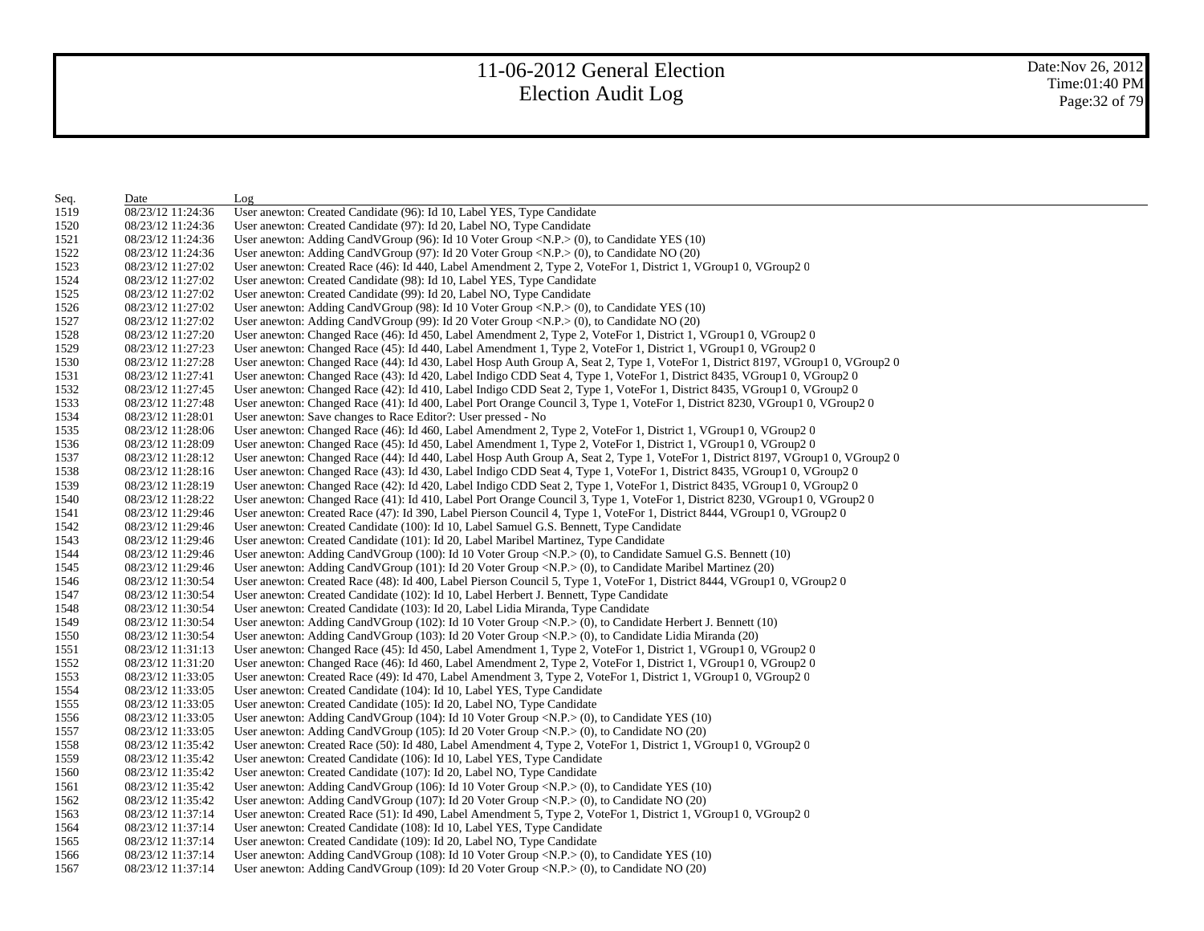| Seq. | Date              | Log                                                                                                                              |
|------|-------------------|----------------------------------------------------------------------------------------------------------------------------------|
| 1519 | 08/23/12 11:24:36 | User anewton: Created Candidate (96): Id 10, Label YES, Type Candidate                                                           |
| 1520 | 08/23/12 11:24:36 | User anewton: Created Candidate (97): Id 20, Label NO, Type Candidate                                                            |
| 1521 | 08/23/12 11:24:36 | User anewton: Adding CandVGroup (96): Id 10 Voter Group <n.p.> (0), to Candidate YES (10)</n.p.>                                 |
| 1522 | 08/23/12 11:24:36 | User anewton: Adding CandVGroup (97): Id 20 Voter Group <n.p.<math>&gt; (0), to Candidate NO (20)</n.p.<math>                    |
| 1523 | 08/23/12 11:27:02 | User anewton: Created Race (46): Id 440, Label Amendment 2, Type 2, VoteFor 1, District 1, VGroup1 0, VGroup2 0                  |
| 1524 | 08/23/12 11:27:02 | User anewton: Created Candidate (98): Id 10, Label YES, Type Candidate                                                           |
| 1525 | 08/23/12 11:27:02 | User anewton: Created Candidate (99): Id 20, Label NO, Type Candidate                                                            |
| 1526 | 08/23/12 11:27:02 | User anewton: Adding CandVGroup (98): Id 10 Voter Group <n.p.> (0), to Candidate YES (10)</n.p.>                                 |
| 1527 | 08/23/12 11:27:02 | User anewton: Adding CandVGroup (99): Id 20 Voter Group $\langle N.P. \rangle$ (0), to Candidate NO (20)                         |
| 1528 | 08/23/12 11:27:20 | User anewton: Changed Race (46): Id 450, Label Amendment 2, Type 2, VoteFor 1, District 1, VGroup1 0, VGroup2 0                  |
| 1529 | 08/23/12 11:27:23 | User anewton: Changed Race (45): Id 440, Label Amendment 1, Type 2, VoteFor 1, District 1, VGroup1 0, VGroup2 0                  |
| 1530 | 08/23/12 11:27:28 | User anewton: Changed Race (44): Id 430, Label Hosp Auth Group A, Seat 2, Type 1, VoteFor 1, District 8197, VGroup1 0, VGroup2 0 |
| 1531 | 08/23/12 11:27:41 | User anewton: Changed Race (43): Id 420, Label Indigo CDD Seat 4, Type 1, VoteFor 1, District 8435, VGroup1 0, VGroup2 0         |
| 1532 | 08/23/12 11:27:45 | User anewton: Changed Race (42): Id 410, Label Indigo CDD Seat 2, Type 1, VoteFor 1, District 8435, VGroup1 0, VGroup2 0         |
| 1533 | 08/23/12 11:27:48 | User anewton: Changed Race (41): Id 400, Label Port Orange Council 3, Type 1, VoteFor 1, District 8230, VGroup1 0, VGroup2 0     |
| 1534 | 08/23/12 11:28:01 | User anewton: Save changes to Race Editor?: User pressed - No                                                                    |
| 1535 | 08/23/12 11:28:06 | User anewton: Changed Race (46): Id 460, Label Amendment 2, Type 2, VoteFor 1, District 1, VGroup1 0, VGroup2 0                  |
| 1536 | 08/23/12 11:28:09 | User anewton: Changed Race (45): Id 450, Label Amendment 1, Type 2, VoteFor 1, District 1, VGroup1 0, VGroup2 0                  |
| 1537 | 08/23/12 11:28:12 | User anewton: Changed Race (44): Id 440, Label Hosp Auth Group A, Seat 2, Type 1, VoteFor 1, District 8197, VGroup1 0, VGroup2 0 |
| 1538 | 08/23/12 11:28:16 | User anewton: Changed Race (43): Id 430, Label Indigo CDD Seat 4, Type 1, VoteFor 1, District 8435, VGroup1 0, VGroup2 0         |
| 1539 | 08/23/12 11:28:19 | User anewton: Changed Race (42): Id 420, Label Indigo CDD Seat 2, Type 1, VoteFor 1, District 8435, VGroup1 0, VGroup2 0         |
| 1540 | 08/23/12 11:28:22 | User anewton: Changed Race (41): Id 410, Label Port Orange Council 3, Type 1, VoteFor 1, District 8230, VGroup1 0, VGroup2 0     |
| 1541 | 08/23/12 11:29:46 | User anewton: Created Race (47): Id 390, Label Pierson Council 4, Type 1, VoteFor 1, District 8444, VGroup1 0, VGroup2 0         |
| 1542 | 08/23/12 11:29:46 | User anewton: Created Candidate (100): Id 10, Label Samuel G.S. Bennett, Type Candidate                                          |
| 1543 | 08/23/12 11:29:46 | User anewton: Created Candidate (101): Id 20, Label Maribel Martinez, Type Candidate                                             |
| 1544 | 08/23/12 11:29:46 | User anewton: Adding CandVGroup (100): Id 10 Voter Group <n.p.> (0), to Candidate Samuel G.S. Bennett (10)</n.p.>                |
| 1545 | 08/23/12 11:29:46 | User anewton: Adding CandVGroup (101): Id 20 Voter Group <n.p.> (0), to Candidate Maribel Martinez (20)</n.p.>                   |
| 1546 | 08/23/12 11:30:54 | User anewton: Created Race (48): Id 400, Label Pierson Council 5, Type 1, VoteFor 1, District 8444, VGroup1 0, VGroup2 0         |
| 1547 | 08/23/12 11:30:54 | User anewton: Created Candidate (102): Id 10, Label Herbert J. Bennett, Type Candidate                                           |
| 1548 | 08/23/12 11:30:54 | User anewton: Created Candidate (103): Id 20, Label Lidia Miranda, Type Candidate                                                |
| 1549 | 08/23/12 11:30:54 | User anewton: Adding CandVGroup (102): Id 10 Voter Group <n.p.> (0), to Candidate Herbert J. Bennett (10)</n.p.>                 |
| 1550 | 08/23/12 11:30:54 | User anewton: Adding CandVGroup (103): Id 20 Voter Group <n.p.> (0), to Candidate Lidia Miranda (20)</n.p.>                      |
| 1551 | 08/23/12 11:31:13 | User anewton: Changed Race (45): Id 450, Label Amendment 1, Type 2, VoteFor 1, District 1, VGroup1 0, VGroup2 0                  |
| 1552 | 08/23/12 11:31:20 | User anewton: Changed Race (46): Id 460, Label Amendment 2, Type 2, VoteFor 1, District 1, VGroup1 0, VGroup2 0                  |
| 1553 | 08/23/12 11:33:05 | User anewton: Created Race (49): Id 470, Label Amendment 3, Type 2, VoteFor 1, District 1, VGroup1 0, VGroup2 0                  |
| 1554 | 08/23/12 11:33:05 | User anewton: Created Candidate (104): Id 10, Label YES, Type Candidate                                                          |
| 1555 | 08/23/12 11:33:05 | User anewton: Created Candidate (105): Id 20, Label NO, Type Candidate                                                           |
| 1556 | 08/23/12 11:33:05 | User anewton: Adding CandVGroup (104): Id 10 Voter Group <n.p.<math>&gt; (0), to Candidate YES (10)</n.p.<math>                  |
| 1557 | 08/23/12 11:33:05 | User anewton: Adding CandVGroup (105): Id 20 Voter Group <n.p.> (0), to Candidate NO (20)</n.p.>                                 |
| 1558 | 08/23/12 11:35:42 | User anewton: Created Race (50): Id 480, Label Amendment 4, Type 2, VoteFor 1, District 1, VGroup1 0, VGroup2 0                  |
| 1559 | 08/23/12 11:35:42 | User anewton: Created Candidate (106): Id 10, Label YES, Type Candidate                                                          |
| 1560 | 08/23/12 11:35:42 | User anewton: Created Candidate (107): Id 20, Label NO, Type Candidate                                                           |
| 1561 | 08/23/12 11:35:42 | User anewton: Adding CandVGroup (106): Id 10 Voter Group < $N.P.$ > (0), to Candidate YES (10)                                   |
| 1562 | 08/23/12 11:35:42 | User anewton: Adding CandVGroup (107): Id 20 Voter Group $\langle N.P. \rangle$ (0), to Candidate NO (20)                        |
| 1563 | 08/23/12 11:37:14 | User anewton: Created Race (51): Id 490, Label Amendment 5, Type 2, VoteFor 1, District 1, VGroup1 0, VGroup2 0                  |
| 1564 | 08/23/12 11:37:14 | User anewton: Created Candidate (108): Id 10, Label YES, Type Candidate                                                          |
| 1565 | 08/23/12 11:37:14 | User anewton: Created Candidate (109): Id 20, Label NO, Type Candidate                                                           |
| 1566 | 08/23/12 11:37:14 | User anewton: Adding CandVGroup (108): Id 10 Voter Group < $N.P.$ > (0), to Candidate YES (10)                                   |
| 1567 | 08/23/12 11:37:14 | User anewton: Adding CandVGroup (109): Id 20 Voter Group < $N.P$ > (0), to Candidate NO (20)                                     |
|      |                   |                                                                                                                                  |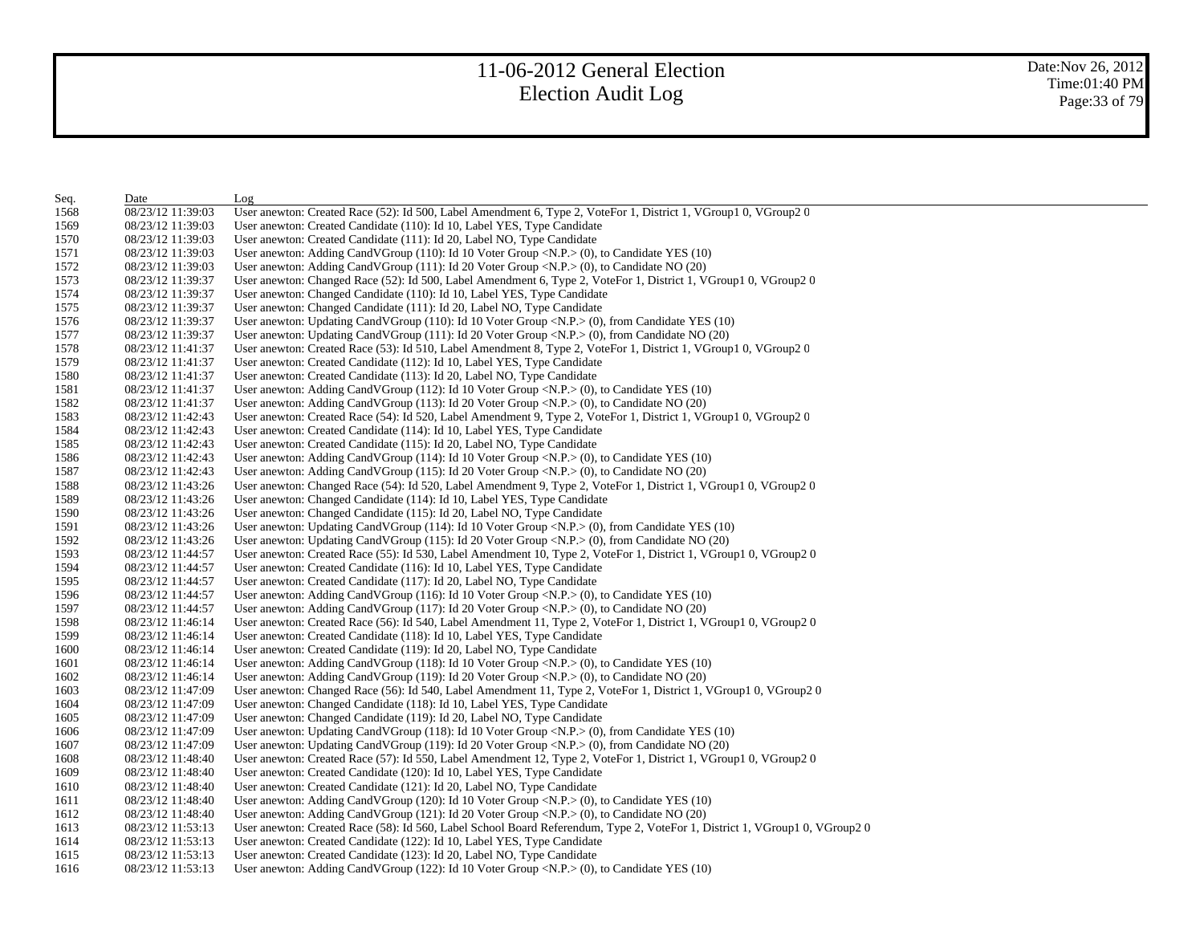| Seq. | Date              | Log                                                                                                                               |
|------|-------------------|-----------------------------------------------------------------------------------------------------------------------------------|
| 1568 | 08/23/12 11:39:03 | User anewton: Created Race (52): Id 500, Label Amendment 6, Type 2, VoteFor 1, District 1, VGroup1 0, VGroup2 0                   |
| 1569 | 08/23/12 11:39:03 | User anewton: Created Candidate (110): Id 10, Label YES, Type Candidate                                                           |
| 1570 | 08/23/12 11:39:03 | User anewton: Created Candidate (111): Id 20, Label NO, Type Candidate                                                            |
| 1571 | 08/23/12 11:39:03 | User anewton: Adding CandVGroup (110): Id 10 Voter Group < $N.P.$ > (0), to Candidate YES (10)                                    |
| 1572 | 08/23/12 11:39:03 | User anewton: Adding CandVGroup $(111)$ : Id 20 Voter Group <n.p.<math>&gt; (0), to Candidate NO (20)</n.p.<math>                 |
| 1573 | 08/23/12 11:39:37 | User anewton: Changed Race (52): Id 500, Label Amendment 6, Type 2, VoteFor 1, District 1, VGroup1 0, VGroup2 0                   |
| 1574 | 08/23/12 11:39:37 | User anewton: Changed Candidate (110): Id 10, Label YES, Type Candidate                                                           |
| 1575 | 08/23/12 11:39:37 | User anewton: Changed Candidate (111): Id 20, Label NO, Type Candidate                                                            |
| 1576 | 08/23/12 11:39:37 | User anewton: Updating CandVGroup $(110)$ : Id 10 Voter Group <n.p.><math>(0)</math>, from Candidate YES <math>(10)</math></n.p.> |
| 1577 | 08/23/12 11:39:37 | User anewton: Updating CandVGroup (111): Id 20 Voter Group <n.p.> (0), from Candidate NO (20)</n.p.>                              |
| 1578 | 08/23/12 11:41:37 | User anewton: Created Race (53): Id 510, Label Amendment 8, Type 2, VoteFor 1, District 1, VGroup1 0, VGroup2 0                   |
| 1579 | 08/23/12 11:41:37 | User anewton: Created Candidate (112): Id 10, Label YES, Type Candidate                                                           |
| 1580 | 08/23/12 11:41:37 | User anewton: Created Candidate (113): Id 20, Label NO, Type Candidate                                                            |
| 1581 | 08/23/12 11:41:37 | User anewton: Adding CandVGroup (112): Id 10 Voter Group < $N.P.$ > (0), to Candidate YES (10)                                    |
| 1582 | 08/23/12 11:41:37 | User anewton: Adding CandVGroup $(113)$ : Id 20 Voter Group <n.p.<math>&gt; (0), to Candidate NO (20)</n.p.<math>                 |
| 1583 | 08/23/12 11:42:43 | User anewton: Created Race (54): Id 520, Label Amendment 9, Type 2, VoteFor 1, District 1, VGroup1 0, VGroup2 0                   |
| 1584 | 08/23/12 11:42:43 | User anewton: Created Candidate (114): Id 10, Label YES, Type Candidate                                                           |
| 1585 | 08/23/12 11:42:43 | User anewton: Created Candidate (115): Id 20, Label NO, Type Candidate                                                            |
| 1586 | 08/23/12 11:42:43 | User anewton: Adding CandVGroup (114): Id 10 Voter Group < $N.P.$ > (0), to Candidate YES (10)                                    |
| 1587 | 08/23/12 11:42:43 | User anewton: Adding CandVGroup (115): Id 20 Voter Group <n.p.> (0), to Candidate NO (20)</n.p.>                                  |
| 1588 | 08/23/12 11:43:26 | User anewton: Changed Race (54): Id 520, Label Amendment 9, Type 2, VoteFor 1, District 1, VGroup1 0, VGroup2 0                   |
| 1589 | 08/23/12 11:43:26 | User anewton: Changed Candidate (114): Id 10, Label YES, Type Candidate                                                           |
| 1590 | 08/23/12 11:43:26 | User anewton: Changed Candidate (115): Id 20, Label NO, Type Candidate                                                            |
| 1591 | 08/23/12 11:43:26 | User anewton: Updating CandVGroup $(114)$ : Id 10 Voter Group <n.p.><math>(0)</math>, from Candidate YES <math>(10)</math></n.p.> |
| 1592 | 08/23/12 11:43:26 | User anewton: Updating CandVGroup $(115)$ : Id 20 Voter Group <n.p.<math>&gt; (0), from Candidate NO (20)</n.p.<math>             |
| 1593 | 08/23/12 11:44:57 | User anewton: Created Race (55): Id 530, Label Amendment 10, Type 2, VoteFor 1, District 1, VGroup1 0, VGroup2 0                  |
| 1594 | 08/23/12 11:44:57 | User anewton: Created Candidate (116): Id 10, Label YES, Type Candidate                                                           |
| 1595 | 08/23/12 11:44:57 | User anewton: Created Candidate (117): Id 20, Label NO, Type Candidate                                                            |
| 1596 | 08/23/12 11:44:57 | User anewton: Adding CandVGroup (116): Id 10 Voter Group < $N.P.$ > (0), to Candidate YES (10)                                    |
| 1597 | 08/23/12 11:44:57 | User anewton: Adding CandVGroup (117): Id 20 Voter Group <n.p.> (0), to Candidate NO (20)</n.p.>                                  |
| 1598 | 08/23/12 11:46:14 | User anewton: Created Race (56): Id 540, Label Amendment 11, Type 2, VoteFor 1, District 1, VGroup1 0, VGroup2 0                  |
| 1599 | 08/23/12 11:46:14 | User anewton: Created Candidate (118): Id 10, Label YES, Type Candidate                                                           |
| 1600 | 08/23/12 11:46:14 | User anewton: Created Candidate (119): Id 20, Label NO, Type Candidate                                                            |
| 1601 | 08/23/12 11:46:14 | User anewton: Adding CandVGroup (118): Id 10 Voter Group < $N.P.$ > (0), to Candidate YES (10)                                    |
| 1602 | 08/23/12 11:46:14 | User anewton: Adding CandVGroup $(119)$ : Id 20 Voter Group <n.p.><math>(0)</math>, to Candidate NO <math>(20)</math></n.p.>      |
| 1603 | 08/23/12 11:47:09 | User anewton: Changed Race (56): Id 540, Label Amendment 11, Type 2, VoteFor 1, District 1, VGroup1 0, VGroup2 0                  |
| 1604 | 08/23/12 11:47:09 | User anewton: Changed Candidate (118): Id 10, Label YES, Type Candidate                                                           |
| 1605 | 08/23/12 11:47:09 | User anewton: Changed Candidate (119): Id 20, Label NO, Type Candidate                                                            |
| 1606 | 08/23/12 11:47:09 | User anewton: Updating CandVGroup (118): Id 10 Voter Group < $N.P$ > (0), from Candidate YES (10)                                 |
| 1607 | 08/23/12 11:47:09 | User anewton: Updating CandVGroup (119): Id 20 Voter Group < $N.P.$ > (0), from Candidate NO (20)                                 |
| 1608 | 08/23/12 11:48:40 | User anewton: Created Race (57): Id 550, Label Amendment 12, Type 2, VoteFor 1, District 1, VGroup1 0, VGroup2 0                  |
| 1609 | 08/23/12 11:48:40 | User anewton: Created Candidate (120): Id 10, Label YES, Type Candidate                                                           |
| 1610 | 08/23/12 11:48:40 | User anewton: Created Candidate (121): Id 20, Label NO, Type Candidate                                                            |
| 1611 | 08/23/12 11:48:40 | User anewton: Adding CandVGroup $(120)$ : Id 10 Voter Group <n.p.<math>&gt; (0), to Candidate YES <math>(10)</math></n.p.<math>   |
| 1612 | 08/23/12 11:48:40 | User anewton: Adding CandVGroup $(121)$ : Id 20 Voter Group <n.p.<math>&gt; (0), to Candidate NO <math>(20)</math></n.p.<math>    |
| 1613 | 08/23/12 11:53:13 | User anewton: Created Race (58): Id 560, Label School Board Referendum, Type 2, VoteFor 1, District 1, VGroup1 0, VGroup2 0       |
| 1614 | 08/23/12 11:53:13 | User anewton: Created Candidate (122): Id 10, Label YES, Type Candidate                                                           |
| 1615 | 08/23/12 11:53:13 | User anewton: Created Candidate (123): Id 20, Label NO, Type Candidate                                                            |
| 1616 | 08/23/12 11:53:13 | User anewton: Adding CandVGroup $(122)$ : Id 10 Voter Group <n.p.<math>&gt; (0), to Candidate YES (10)</n.p.<math>                |
|      |                   |                                                                                                                                   |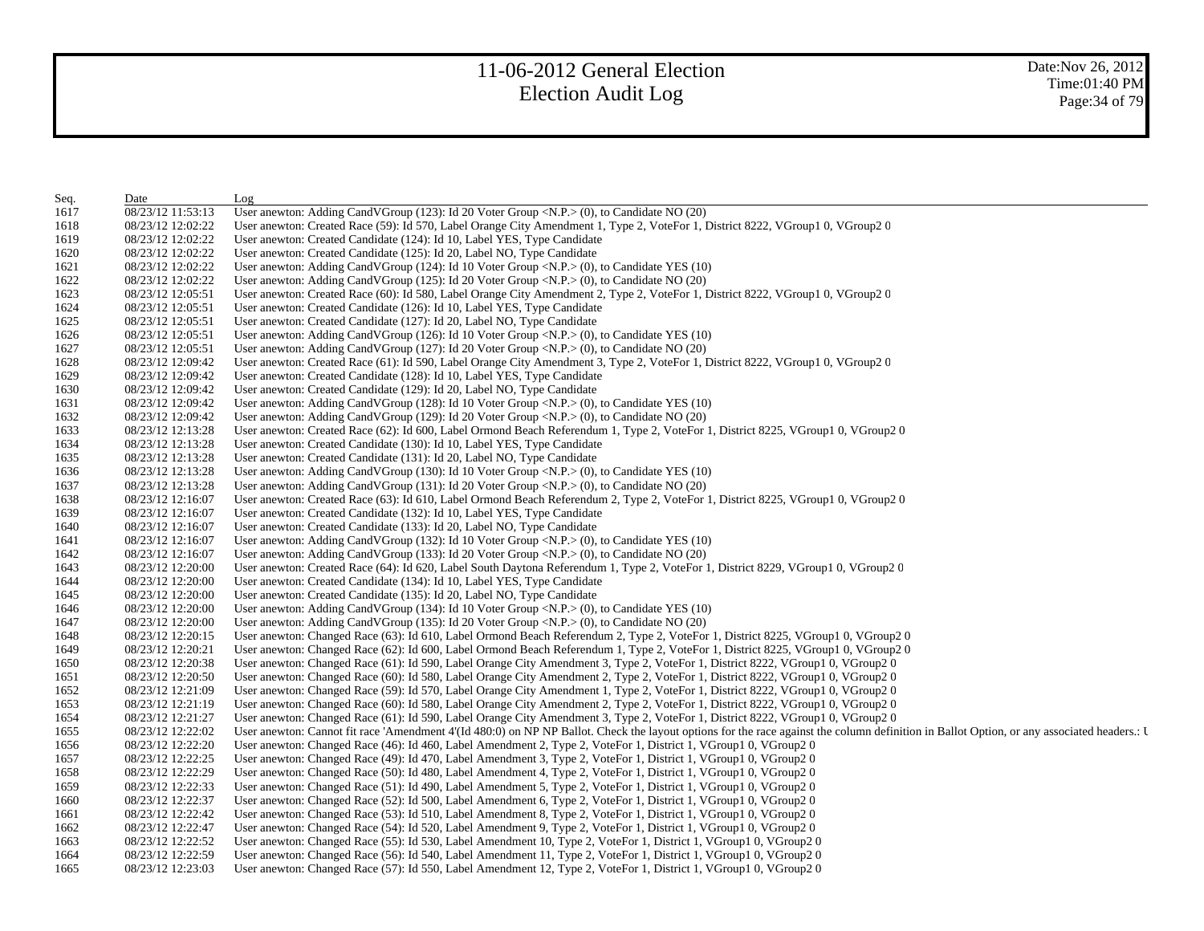| Seq. | Date              | Log                                                                                                                                                                                        |
|------|-------------------|--------------------------------------------------------------------------------------------------------------------------------------------------------------------------------------------|
| 1617 | 08/23/12 11:53:13 | User anewton: Adding CandVGroup (123): Id 20 Voter Group <n.p.> (0), to Candidate NO (20)</n.p.>                                                                                           |
| 1618 | 08/23/12 12:02:22 | User anewton: Created Race (59): Id 570, Label Orange City Amendment 1, Type 2, VoteFor 1, District 8222, VGroup1 0, VGroup2 0                                                             |
| 1619 | 08/23/12 12:02:22 | User anewton: Created Candidate (124): Id 10, Label YES, Type Candidate                                                                                                                    |
| 1620 | 08/23/12 12:02:22 | User anewton: Created Candidate (125): Id 20, Label NO, Type Candidate                                                                                                                     |
| 1621 | 08/23/12 12:02:22 | User anewton: Adding CandVGroup (124): Id 10 Voter Group < $N.P.$ > (0), to Candidate YES (10)                                                                                             |
| 1622 | 08/23/12 12:02:22 | User anewton: Adding CandVGroup (125): Id 20 Voter Group <n.p.> (0), to Candidate NO (20)</n.p.>                                                                                           |
| 1623 | 08/23/12 12:05:51 | User anewton: Created Race (60): Id 580, Label Orange City Amendment 2, Type 2, VoteFor 1, District 8222, VGroup1 0, VGroup2 0                                                             |
| 1624 | 08/23/12 12:05:51 | User anewton: Created Candidate (126): Id 10, Label YES, Type Candidate                                                                                                                    |
| 1625 | 08/23/12 12:05:51 | User anewton: Created Candidate (127): Id 20, Label NO, Type Candidate                                                                                                                     |
| 1626 | 08/23/12 12:05:51 | User anewton: Adding CandVGroup (126): Id 10 Voter Group < $N.P.$ > (0), to Candidate YES (10)                                                                                             |
| 1627 | 08/23/12 12:05:51 | User anewton: Adding CandVGroup (127): Id 20 Voter Group <n.p.> (0), to Candidate NO (20)</n.p.>                                                                                           |
| 1628 | 08/23/12 12:09:42 | User anewton: Created Race (61): Id 590, Label Orange City Amendment 3, Type 2, VoteFor 1, District 8222, VGroup1 0, VGroup2 0                                                             |
| 1629 | 08/23/12 12:09:42 | User anewton: Created Candidate (128): Id 10, Label YES, Type Candidate                                                                                                                    |
| 1630 | 08/23/12 12:09:42 | User anewton: Created Candidate (129): Id 20, Label NO, Type Candidate                                                                                                                     |
| 1631 | 08/23/12 12:09:42 | User anewton: Adding CandVGroup (128): Id 10 Voter Group < $N.P.$ > (0), to Candidate YES (10)                                                                                             |
| 1632 | 08/23/12 12:09:42 | User anewton: Adding CandVGroup $(129)$ : Id 20 Voter Group <n.p.<math>&gt; (0), to Candidate NO <math>(20)</math></n.p.<math>                                                             |
| 1633 | 08/23/12 12:13:28 | User anewton: Created Race (62): Id 600, Label Ormond Beach Referendum 1, Type 2, VoteFor 1, District 8225, VGroup1 0, VGroup2 0                                                           |
| 1634 | 08/23/12 12:13:28 | User anewton: Created Candidate (130): Id 10, Label YES, Type Candidate                                                                                                                    |
| 1635 | 08/23/12 12:13:28 | User anewton: Created Candidate (131): Id 20, Label NO, Type Candidate                                                                                                                     |
| 1636 | 08/23/12 12:13:28 | User anewton: Adding CandVGroup (130): Id 10 Voter Group < $N.P.$ > (0), to Candidate YES (10)                                                                                             |
| 1637 | 08/23/12 12:13:28 | User anewton: Adding CandVGroup (131): Id 20 Voter Group <n.p.> (0), to Candidate NO (20)</n.p.>                                                                                           |
| 1638 | 08/23/12 12:16:07 | User anewton: Created Race (63): Id 610, Label Ormond Beach Referendum 2, Type 2, VoteFor 1, District 8225, VGroup1 0, VGroup2 0                                                           |
| 1639 | 08/23/12 12:16:07 | User anewton: Created Candidate (132): Id 10, Label YES, Type Candidate                                                                                                                    |
| 1640 | 08/23/12 12:16:07 | User anewton: Created Candidate (133): Id 20, Label NO, Type Candidate                                                                                                                     |
| 1641 | 08/23/12 12:16:07 | User anewton: Adding CandVGroup (132): Id 10 Voter Group < $N.P.$ > (0), to Candidate YES (10)                                                                                             |
| 1642 | 08/23/12 12:16:07 | User anewton: Adding CandVGroup (133): Id 20 Voter Group <n.p.> (0), to Candidate NO (20)</n.p.>                                                                                           |
| 1643 | 08/23/12 12:20:00 | User anewton: Created Race (64): Id 620, Label South Daytona Referendum 1, Type 2, VoteFor 1, District 8229, VGroup1 0, VGroup2 0                                                          |
| 1644 | 08/23/12 12:20:00 | User anewton: Created Candidate (134): Id 10, Label YES, Type Candidate                                                                                                                    |
| 1645 | 08/23/12 12:20:00 | User anewton: Created Candidate (135): Id 20, Label NO, Type Candidate                                                                                                                     |
| 1646 | 08/23/12 12:20:00 | User anewton: Adding CandVGroup (134): Id 10 Voter Group < $N.P.$ > (0), to Candidate YES (10)                                                                                             |
| 1647 | 08/23/12 12:20:00 | User anewton: Adding CandVGroup (135): Id 20 Voter Group <n.p.> (0), to Candidate NO (20)</n.p.>                                                                                           |
| 1648 | 08/23/12 12:20:15 | User anewton: Changed Race (63): Id 610, Label Ormond Beach Referendum 2, Type 2, VoteFor 1, District 8225, VGroup1 0, VGroup2 0                                                           |
| 1649 | 08/23/12 12:20:21 | User anewton: Changed Race (62): Id 600, Label Ormond Beach Referendum 1, Type 2, VoteFor 1, District 8225, VGroup1 0, VGroup2 0                                                           |
| 1650 | 08/23/12 12:20:38 | User anewton: Changed Race (61): Id 590, Label Orange City Amendment 3, Type 2, VoteFor 1, District 8222, VGroup1 0, VGroup2 0                                                             |
| 1651 | 08/23/12 12:20:50 | User anewton: Changed Race (60): Id 580, Label Orange City Amendment 2, Type 2, VoteFor 1, District 8222, VGroup1 0, VGroup2 0                                                             |
| 1652 | 08/23/12 12:21:09 | User anewton: Changed Race (59): Id 570, Label Orange City Amendment 1, Type 2, VoteFor 1, District 8222, VGroup1 0, VGroup2 0                                                             |
| 1653 | 08/23/12 12:21:19 | User anewton: Changed Race (60): Id 580, Label Orange City Amendment 2, Type 2, VoteFor 1, District 8222, VGroup1 0, VGroup2 0                                                             |
| 1654 | 08/23/12 12:21:27 | User anewton: Changed Race (61): Id 590, Label Orange City Amendment 3, Type 2, VoteFor 1, District 8222, VGroup1 0, VGroup2 0                                                             |
| 1655 | 08/23/12 12:22:02 | User anewton: Cannot fit race 'Amendment 4'(Id 480:0) on NP NP Ballot. Check the layout options for the race against the column definition in Ballot Option, or any associated headers.: I |
| 1656 | 08/23/12 12:22:20 | User anewton: Changed Race (46): Id 460, Label Amendment 2, Type 2, VoteFor 1, District 1, VGroup1 0, VGroup2 0                                                                            |
| 1657 | 08/23/12 12:22:25 | User anewton: Changed Race (49): Id 470, Label Amendment 3, Type 2, VoteFor 1, District 1, VGroup1 0, VGroup2 0                                                                            |
| 1658 | 08/23/12 12:22:29 | User anewton: Changed Race (50): Id 480, Label Amendment 4, Type 2, VoteFor 1, District 1, VGroup1 0, VGroup2 0                                                                            |
| 1659 | 08/23/12 12:22:33 | User anewton: Changed Race (51): Id 490, Label Amendment 5, Type 2, VoteFor 1, District 1, VGroup1 0, VGroup2 0                                                                            |
| 1660 | 08/23/12 12:22:37 | User anewton: Changed Race (52): Id 500, Label Amendment 6, Type 2, VoteFor 1, District 1, VGroup1 0, VGroup2 0                                                                            |
| 1661 | 08/23/12 12:22:42 | User anewton: Changed Race (53): Id 510, Label Amendment 8, Type 2, VoteFor 1, District 1, VGroup1 0, VGroup2 0                                                                            |
| 1662 | 08/23/12 12:22:47 | User anewton: Changed Race (54): Id 520, Label Amendment 9, Type 2, VoteFor 1, District 1, VGroup1 0, VGroup2 0                                                                            |
| 1663 | 08/23/12 12:22:52 | User anewton: Changed Race (55): Id 530, Label Amendment 10, Type 2, VoteFor 1, District 1, VGroup1 0, VGroup2 0                                                                           |
| 1664 | 08/23/12 12:22:59 | User anewton: Changed Race (56): Id 540, Label Amendment 11, Type 2, VoteFor 1, District 1, VGroup1 0, VGroup2 0                                                                           |
| 1665 | 08/23/12 12:23:03 | User anewton: Changed Race (57): Id 550, Label Amendment 12, Type 2, VoteFor 1, District 1, VGroup1 0, VGroup2 0                                                                           |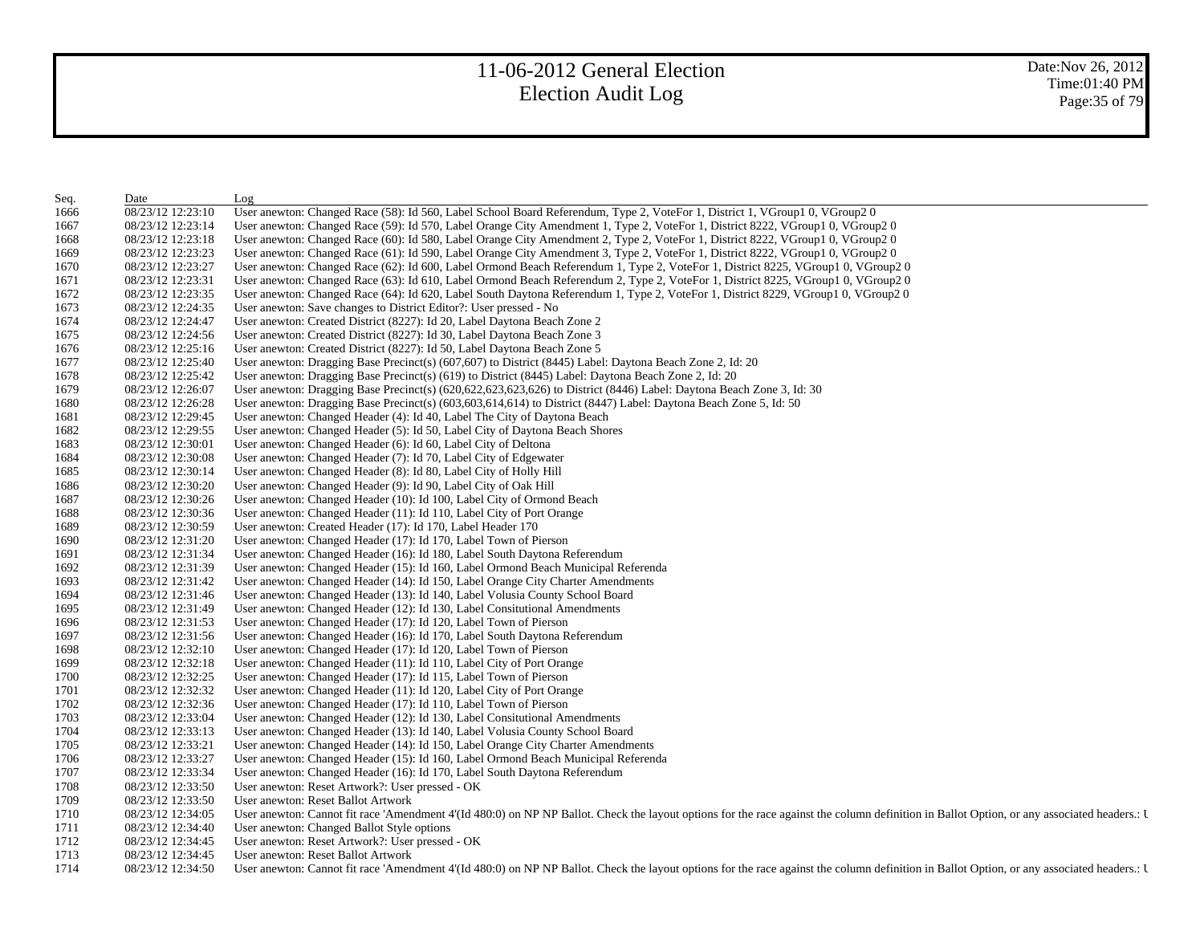| Seq. | Date              | Log                                                                                                                                                                                        |
|------|-------------------|--------------------------------------------------------------------------------------------------------------------------------------------------------------------------------------------|
| 1666 | 08/23/12 12:23:10 | User anewton: Changed Race (58): Id 560, Label School Board Referendum, Type 2, VoteFor 1, District 1, VGroup1 0, VGroup2 0                                                                |
| 1667 | 08/23/12 12:23:14 | User anewton: Changed Race (59): Id 570, Label Orange City Amendment 1, Type 2, VoteFor 1, District 8222, VGroup1 0, VGroup2 0                                                             |
| 1668 | 08/23/12 12:23:18 | User anewton: Changed Race (60): Id 580, Label Orange City Amendment 2, Type 2, VoteFor 1, District 8222, VGroup1 0, VGroup2 0                                                             |
| 1669 | 08/23/12 12:23:23 | User anewton: Changed Race (61): Id 590, Label Orange City Amendment 3, Type 2, VoteFor 1, District 8222, VGroup1 0, VGroup2 0                                                             |
| 1670 | 08/23/12 12:23:27 | User anewton: Changed Race (62): Id 600, Label Ormond Beach Referendum 1, Type 2, VoteFor 1, District 8225, VGroup1 0, VGroup2 0                                                           |
| 1671 | 08/23/12 12:23:31 | User anewton: Changed Race (63): Id 610, Label Ormond Beach Referendum 2, Type 2, VoteFor 1, District 8225, VGroup1 0, VGroup2 0                                                           |
| 1672 | 08/23/12 12:23:35 | User anewton: Changed Race (64): Id 620, Label South Daytona Referendum 1, Type 2, VoteFor 1, District 8229, VGroup1 0, VGroup2 0                                                          |
| 1673 | 08/23/12 12:24:35 | User anewton: Save changes to District Editor?: User pressed - No                                                                                                                          |
| 1674 | 08/23/12 12:24:47 | User anewton: Created District (8227): Id 20, Label Daytona Beach Zone 2                                                                                                                   |
| 1675 | 08/23/12 12:24:56 | User anewton: Created District (8227): Id 30, Label Daytona Beach Zone 3                                                                                                                   |
| 1676 | 08/23/12 12:25:16 | User anewton: Created District (8227): Id 50, Label Daytona Beach Zone 5                                                                                                                   |
| 1677 | 08/23/12 12:25:40 | User anewton: Dragging Base Precinct(s) (607,607) to District (8445) Label: Daytona Beach Zone 2, Id: 20                                                                                   |
| 1678 | 08/23/12 12:25:42 | User anewton: Dragging Base Precinct(s) (619) to District (8445) Label: Daytona Beach Zone 2, Id: 20                                                                                       |
| 1679 | 08/23/12 12:26:07 | User anewton: Dragging Base Precinct(s) (620,622,623,623,626) to District (8446) Label: Daytona Beach Zone 3, Id: 30                                                                       |
| 1680 | 08/23/12 12:26:28 | User anewton: Dragging Base Precinct(s) (603,603,614,614) to District (8447) Label: Daytona Beach Zone 5, Id: 50                                                                           |
| 1681 | 08/23/12 12:29:45 | User anewton: Changed Header (4): Id 40, Label The City of Daytona Beach                                                                                                                   |
| 1682 | 08/23/12 12:29:55 | User anewton: Changed Header (5): Id 50, Label City of Daytona Beach Shores                                                                                                                |
| 1683 | 08/23/12 12:30:01 | User anewton: Changed Header (6): Id 60, Label City of Deltona                                                                                                                             |
| 1684 | 08/23/12 12:30:08 | User anewton: Changed Header (7): Id 70, Label City of Edgewater                                                                                                                           |
| 1685 | 08/23/12 12:30:14 | User anewton: Changed Header (8): Id 80, Label City of Holly Hill                                                                                                                          |
| 1686 | 08/23/12 12:30:20 | User anewton: Changed Header (9): Id 90, Label City of Oak Hill                                                                                                                            |
| 1687 | 08/23/12 12:30:26 | User anewton: Changed Header (10): Id 100, Label City of Ormond Beach                                                                                                                      |
| 1688 | 08/23/12 12:30:36 | User anewton: Changed Header (11): Id 110, Label City of Port Orange                                                                                                                       |
| 1689 | 08/23/12 12:30:59 | User anewton: Created Header (17): Id 170, Label Header 170                                                                                                                                |
| 1690 | 08/23/12 12:31:20 | User anewton: Changed Header (17): Id 170, Label Town of Pierson                                                                                                                           |
| 1691 | 08/23/12 12:31:34 | User anewton: Changed Header (16): Id 180, Label South Daytona Referendum                                                                                                                  |
| 1692 | 08/23/12 12:31:39 | User anewton: Changed Header (15): Id 160, Label Ormond Beach Municipal Referenda                                                                                                          |
| 1693 | 08/23/12 12:31:42 | User anewton: Changed Header (14): Id 150, Label Orange City Charter Amendments                                                                                                            |
| 1694 | 08/23/12 12:31:46 | User anewton: Changed Header (13): Id 140, Label Volusia County School Board                                                                                                               |
| 1695 | 08/23/12 12:31:49 | User anewton: Changed Header (12): Id 130, Label Consitutional Amendments                                                                                                                  |
| 1696 | 08/23/12 12:31:53 | User anewton: Changed Header (17): Id 120, Label Town of Pierson                                                                                                                           |
| 1697 | 08/23/12 12:31:56 | User anewton: Changed Header (16): Id 170, Label South Daytona Referendum                                                                                                                  |
| 1698 | 08/23/12 12:32:10 | User anewton: Changed Header (17): Id 120, Label Town of Pierson                                                                                                                           |
| 1699 | 08/23/12 12:32:18 | User anewton: Changed Header (11): Id 110, Label City of Port Orange                                                                                                                       |
| 1700 | 08/23/12 12:32:25 | User anewton: Changed Header (17): Id 115, Label Town of Pierson                                                                                                                           |
| 1701 | 08/23/12 12:32:32 | User anewton: Changed Header (11): Id 120, Label City of Port Orange                                                                                                                       |
| 1702 | 08/23/12 12:32:36 | User anewton: Changed Header (17): Id 110, Label Town of Pierson                                                                                                                           |
| 1703 | 08/23/12 12:33:04 | User anewton: Changed Header (12): Id 130, Label Consitutional Amendments                                                                                                                  |
| 1704 | 08/23/12 12:33:13 | User anewton: Changed Header (13): Id 140, Label Volusia County School Board                                                                                                               |
| 1705 | 08/23/12 12:33:21 | User anewton: Changed Header (14): Id 150, Label Orange City Charter Amendments                                                                                                            |
| 1706 | 08/23/12 12:33:27 | User anewton: Changed Header (15): Id 160, Label Ormond Beach Municipal Referenda                                                                                                          |
| 1707 | 08/23/12 12:33:34 | User anewton: Changed Header (16): Id 170, Label South Daytona Referendum                                                                                                                  |
| 1708 | 08/23/12 12:33:50 | User anewton: Reset Artwork?: User pressed - OK                                                                                                                                            |
| 1709 | 08/23/12 12:33:50 | User anewton: Reset Ballot Artwork                                                                                                                                                         |
| 1710 | 08/23/12 12:34:05 | User anewton: Cannot fit race 'Amendment 4'(Id 480:0) on NP NP Ballot. Check the layout options for the race against the column definition in Ballot Option, or any associated headers.: I |
| 1711 | 08/23/12 12:34:40 | User anewton: Changed Ballot Style options                                                                                                                                                 |
| 1712 | 08/23/12 12:34:45 | User anewton: Reset Artwork?: User pressed - OK                                                                                                                                            |
| 1713 | 08/23/12 12:34:45 | User anewton: Reset Ballot Artwork                                                                                                                                                         |
| 1714 | 08/23/12 12:34:50 | User anewton: Cannot fit race 'Amendment 4'(Id 480:0) on NP NP Ballot. Check the layout options for the race against the column definition in Ballot Option, or any associated headers.: I |
|      |                   |                                                                                                                                                                                            |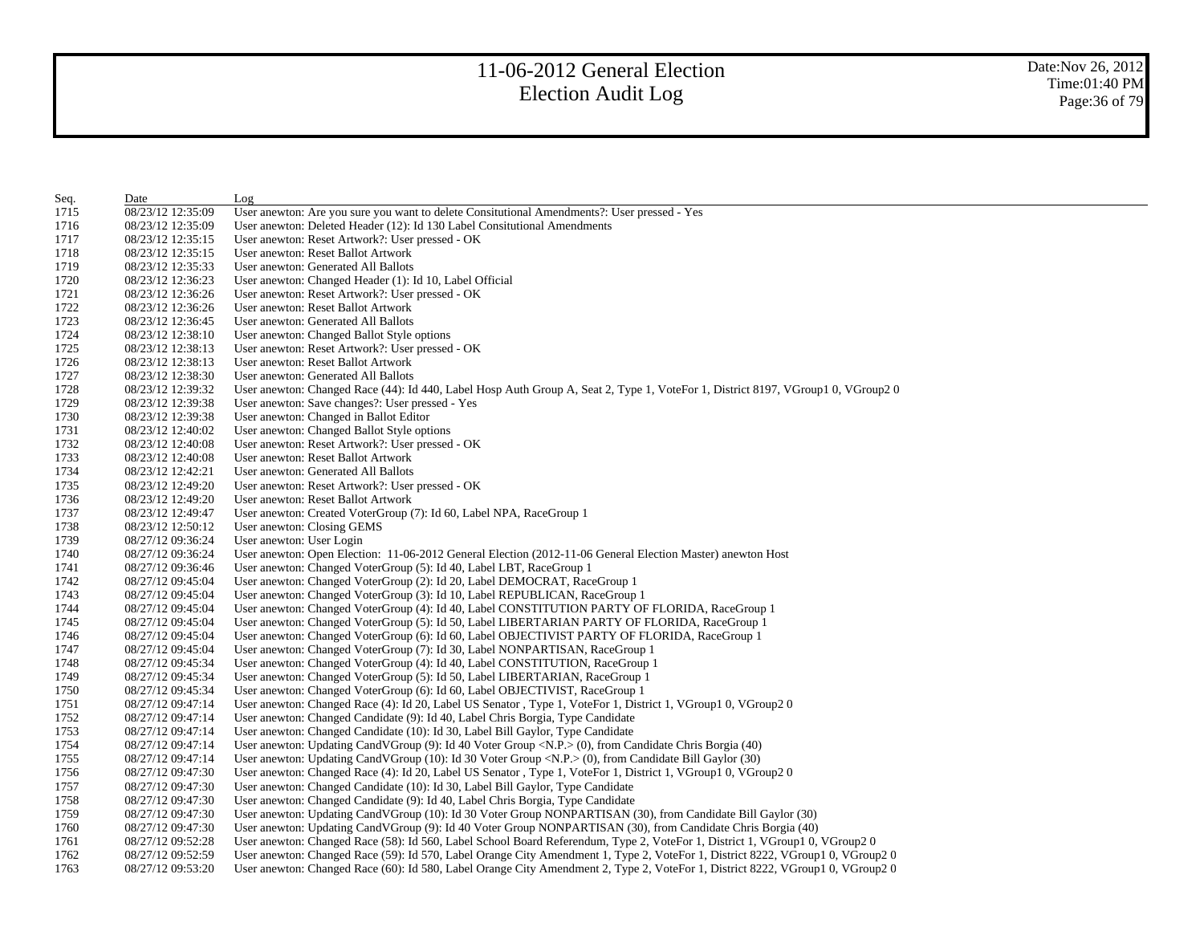| Seq. | Date              | Log                                                                                                                              |
|------|-------------------|----------------------------------------------------------------------------------------------------------------------------------|
| 1715 | 08/23/12 12:35:09 | User anewton: Are you sure you want to delete Consitutional Amendments?: User pressed - Yes                                      |
| 1716 | 08/23/12 12:35:09 | User anewton: Deleted Header (12): Id 130 Label Consitutional Amendments                                                         |
| 1717 | 08/23/12 12:35:15 | User anewton: Reset Artwork?: User pressed - OK                                                                                  |
| 1718 | 08/23/12 12:35:15 | User anewton: Reset Ballot Artwork                                                                                               |
| 1719 | 08/23/12 12:35:33 | User anewton: Generated All Ballots                                                                                              |
| 1720 | 08/23/12 12:36:23 | User anewton: Changed Header (1): Id 10, Label Official                                                                          |
| 1721 | 08/23/12 12:36:26 | User anewton: Reset Artwork?: User pressed - OK                                                                                  |
| 1722 | 08/23/12 12:36:26 | User anewton: Reset Ballot Artwork                                                                                               |
| 1723 | 08/23/12 12:36:45 | User anewton: Generated All Ballots                                                                                              |
| 1724 | 08/23/12 12:38:10 | User anewton: Changed Ballot Style options                                                                                       |
| 1725 | 08/23/12 12:38:13 | User anewton: Reset Artwork?: User pressed - OK                                                                                  |
| 1726 | 08/23/12 12:38:13 | User anewton: Reset Ballot Artwork                                                                                               |
| 1727 | 08/23/12 12:38:30 | User anewton: Generated All Ballots                                                                                              |
| 1728 | 08/23/12 12:39:32 | User anewton: Changed Race (44): Id 440, Label Hosp Auth Group A, Seat 2, Type 1, VoteFor 1, District 8197, VGroup1 0, VGroup2 0 |
| 1729 | 08/23/12 12:39:38 | User anewton: Save changes?: User pressed - Yes                                                                                  |
| 1730 | 08/23/12 12:39:38 | User anewton: Changed in Ballot Editor                                                                                           |
| 1731 | 08/23/12 12:40:02 | User anewton: Changed Ballot Style options                                                                                       |
| 1732 | 08/23/12 12:40:08 | User anewton: Reset Artwork?: User pressed - OK                                                                                  |
| 1733 | 08/23/12 12:40:08 | User anewton: Reset Ballot Artwork                                                                                               |
| 1734 | 08/23/12 12:42:21 | User anewton: Generated All Ballots                                                                                              |
| 1735 | 08/23/12 12:49:20 | User anewton: Reset Artwork?: User pressed - OK                                                                                  |
| 1736 | 08/23/12 12:49:20 | User anewton: Reset Ballot Artwork                                                                                               |
| 1737 | 08/23/12 12:49:47 | User anewton: Created VoterGroup (7): Id 60, Label NPA, RaceGroup 1                                                              |
| 1738 | 08/23/12 12:50:12 | User anewton: Closing GEMS                                                                                                       |
| 1739 | 08/27/12 09:36:24 | User anewton: User Login                                                                                                         |
| 1740 | 08/27/12 09:36:24 | User anewton: Open Election: 11-06-2012 General Election (2012-11-06 General Election Master) anewton Host                       |
| 1741 | 08/27/12 09:36:46 | User anewton: Changed VoterGroup (5): Id 40, Label LBT, RaceGroup 1                                                              |
| 1742 | 08/27/12 09:45:04 | User anewton: Changed VoterGroup (2): Id 20, Label DEMOCRAT, RaceGroup 1                                                         |
| 1743 | 08/27/12 09:45:04 | User anewton: Changed VoterGroup (3): Id 10, Label REPUBLICAN, RaceGroup 1                                                       |
| 1744 | 08/27/12 09:45:04 | User anewton: Changed VoterGroup (4): Id 40, Label CONSTITUTION PARTY OF FLORIDA, RaceGroup 1                                    |
| 1745 | 08/27/12 09:45:04 | User anewton: Changed VoterGroup (5): Id 50, Label LIBERTARIAN PARTY OF FLORIDA, RaceGroup 1                                     |
| 1746 | 08/27/12 09:45:04 | User anewton: Changed VoterGroup (6): Id 60, Label OBJECTIVIST PARTY OF FLORIDA, RaceGroup 1                                     |
| 1747 | 08/27/12 09:45:04 | User anewton: Changed VoterGroup (7): Id 30, Label NONPARTISAN, RaceGroup 1                                                      |
| 1748 | 08/27/12 09:45:34 | User anewton: Changed VoterGroup (4): Id 40, Label CONSTITUTION, RaceGroup 1                                                     |
| 1749 | 08/27/12 09:45:34 | User anewton: Changed VoterGroup (5): Id 50, Label LIBERTARIAN, RaceGroup 1                                                      |
| 1750 | 08/27/12 09:45:34 | User anewton: Changed VoterGroup (6): Id 60, Label OBJECTIVIST, RaceGroup 1                                                      |
| 1751 | 08/27/12 09:47:14 | User anewton: Changed Race (4): Id 20, Label US Senator , Type 1, VoteFor 1, District 1, VGroup1 0, VGroup2 0                    |
| 1752 | 08/27/12 09:47:14 | User anewton: Changed Candidate (9): Id 40, Label Chris Borgia, Type Candidate                                                   |
| 1753 | 08/27/12 09:47:14 | User anewton: Changed Candidate (10): Id 30, Label Bill Gaylor, Type Candidate                                                   |
| 1754 | 08/27/12 09:47:14 | User anewton: Updating CandVGroup (9): Id 40 Voter Group <n.p.> (0), from Candidate Chris Borgia (40)</n.p.>                     |
| 1755 | 08/27/12 09:47:14 | User anewton: Updating CandVGroup (10): Id 30 Voter Group <n.p.> (0), from Candidate Bill Gaylor (30)</n.p.>                     |
| 1756 | 08/27/12 09:47:30 | User anewton: Changed Race (4): Id 20, Label US Senator, Type 1, VoteFor 1, District 1, VGroup1 0, VGroup2 0                     |
| 1757 | 08/27/12 09:47:30 | User anewton: Changed Candidate (10): Id 30, Label Bill Gaylor, Type Candidate                                                   |
| 1758 | 08/27/12 09:47:30 | User anewton: Changed Candidate (9): Id 40, Label Chris Borgia, Type Candidate                                                   |
| 1759 | 08/27/12 09:47:30 | User anewton: Updating CandVGroup (10): Id 30 Voter Group NONPARTISAN (30), from Candidate Bill Gaylor (30)                      |
| 1760 | 08/27/12 09:47:30 | User anewton: Updating CandVGroup (9): Id 40 Voter Group NONPARTISAN (30), from Candidate Chris Borgia (40)                      |
| 1761 | 08/27/12 09:52:28 | User anewton: Changed Race (58): Id 560, Label School Board Referendum, Type 2, VoteFor 1, District 1, VGroup1 0, VGroup2 0      |
| 1762 | 08/27/12 09:52:59 | User anewton: Changed Race (59): Id 570, Label Orange City Amendment 1, Type 2, VoteFor 1, District 8222, VGroup1 0, VGroup2 0   |
| 1763 | 08/27/12 09:53:20 | User anewton: Changed Race (60): Id 580, Label Orange City Amendment 2, Type 2, VoteFor 1, District 8222, VGroup1 0, VGroup2 0   |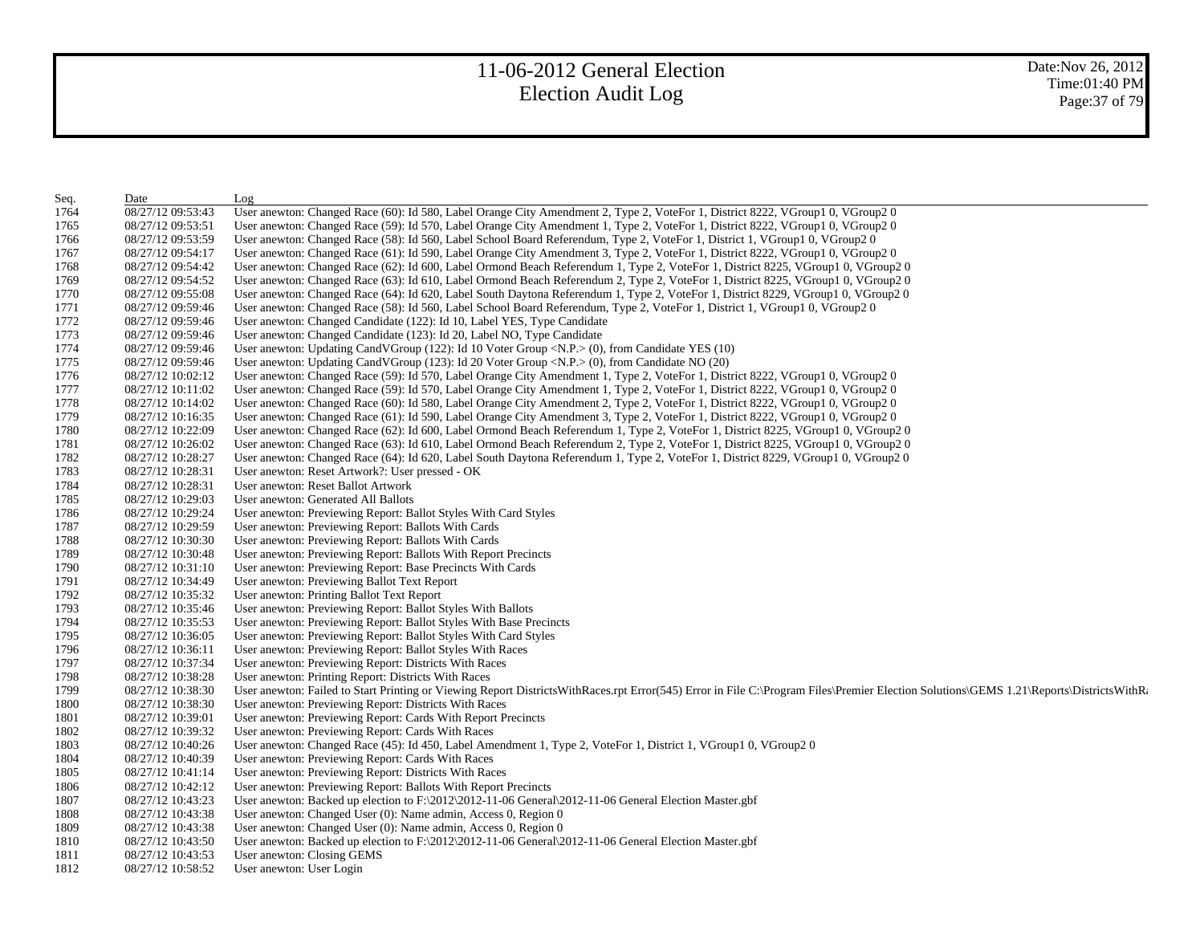| Seq. | Date              | Log                                                                                                                                                                                       |
|------|-------------------|-------------------------------------------------------------------------------------------------------------------------------------------------------------------------------------------|
| 1764 | 08/27/12 09:53:43 | User anewton: Changed Race (60): Id 580, Label Orange City Amendment 2, Type 2, VoteFor 1, District 8222, VGroup1 0, VGroup2 0                                                            |
| 1765 | 08/27/12 09:53:51 | User anewton: Changed Race (59): Id 570, Label Orange City Amendment 1, Type 2, VoteFor 1, District 8222, VGroup1 0, VGroup2 0                                                            |
| 1766 | 08/27/12 09:53:59 | User anewton: Changed Race (58): Id 560, Label School Board Referendum, Type 2, VoteFor 1, District 1, VGroup1 0, VGroup2 0                                                               |
| 1767 | 08/27/12 09:54:17 | User anewton: Changed Race (61): Id 590, Label Orange City Amendment 3, Type 2, VoteFor 1, District 8222, VGroup1 0, VGroup2 0                                                            |
| 1768 | 08/27/12 09:54:42 | User anewton: Changed Race (62): Id 600, Label Ormond Beach Referendum 1, Type 2, VoteFor 1, District 8225, VGroup1 0, VGroup2 0                                                          |
| 1769 | 08/27/12 09:54:52 | User anewton: Changed Race (63): Id 610, Label Ormond Beach Referendum 2, Type 2, VoteFor 1, District 8225, VGroup1 0, VGroup2 0                                                          |
| 1770 | 08/27/12 09:55:08 | User anewton: Changed Race (64): Id 620, Label South Daytona Referendum 1, Type 2, VoteFor 1, District 8229, VGroup1 0, VGroup2 0                                                         |
| 1771 | 08/27/12 09:59:46 | User anewton: Changed Race (58): Id 560, Label School Board Referendum, Type 2, VoteFor 1, District 1, VGroup1 0, VGroup2 0                                                               |
| 1772 | 08/27/12 09:59:46 | User anewton: Changed Candidate (122): Id 10, Label YES, Type Candidate                                                                                                                   |
| 1773 | 08/27/12 09:59:46 | User anewton: Changed Candidate (123): Id 20, Label NO, Type Candidate                                                                                                                    |
| 1774 | 08/27/12 09:59:46 | User anewton: Updating CandVGroup $(122)$ : Id 10 Voter Group <n.p.><math>(0)</math>, from Candidate YES <math>(10)</math></n.p.>                                                         |
| 1775 | 08/27/12 09:59:46 | User anewton: Updating CandVGroup (123): Id 20 Voter Group <n.p.> (0), from Candidate NO (20)</n.p.>                                                                                      |
| 1776 | 08/27/12 10:02:12 | User anewton: Changed Race (59): Id 570, Label Orange City Amendment 1, Type 2, VoteFor 1, District 8222, VGroup1 0, VGroup2 0                                                            |
| 1777 | 08/27/12 10:11:02 | User anewton: Changed Race (59): Id 570, Label Orange City Amendment 1, Type 2, VoteFor 1, District 8222, VGroup1 0, VGroup2 0                                                            |
| 1778 | 08/27/12 10:14:02 | User anewton: Changed Race (60): Id 580, Label Orange City Amendment 2, Type 2, VoteFor 1, District 8222, VGroup1 0, VGroup2 0                                                            |
| 1779 | 08/27/12 10:16:35 | User anewton: Changed Race (61): Id 590, Label Orange City Amendment 3, Type 2, VoteFor 1, District 8222, VGroup1 0, VGroup2 0                                                            |
| 1780 | 08/27/12 10:22:09 | User anewton: Changed Race (62): Id 600, Label Ormond Beach Referendum 1, Type 2, VoteFor 1, District 8225, VGroup1 0, VGroup2 0                                                          |
| 1781 | 08/27/12 10:26:02 | User anewton: Changed Race (63): Id 610, Label Ormond Beach Referendum 2, Type 2, VoteFor 1, District 8225, VGroup1 0, VGroup2 0                                                          |
| 1782 | 08/27/12 10:28:27 | User anewton: Changed Race (64): Id 620, Label South Daytona Referendum 1, Type 2, VoteFor 1, District 8229, VGroup1 0, VGroup2 0                                                         |
| 1783 | 08/27/12 10:28:31 | User anewton: Reset Artwork?: User pressed - OK                                                                                                                                           |
| 1784 | 08/27/12 10:28:31 | User anewton: Reset Ballot Artwork                                                                                                                                                        |
| 1785 | 08/27/12 10:29:03 | User anewton: Generated All Ballots                                                                                                                                                       |
| 1786 | 08/27/12 10:29:24 | User anewton: Previewing Report: Ballot Styles With Card Styles                                                                                                                           |
| 1787 | 08/27/12 10:29:59 | User anewton: Previewing Report: Ballots With Cards                                                                                                                                       |
| 1788 | 08/27/12 10:30:30 | User anewton: Previewing Report: Ballots With Cards                                                                                                                                       |
| 1789 | 08/27/12 10:30:48 | User anewton: Previewing Report: Ballots With Report Precincts                                                                                                                            |
| 1790 | 08/27/12 10:31:10 | User anewton: Previewing Report: Base Precincts With Cards                                                                                                                                |
| 1791 | 08/27/12 10:34:49 | User anewton: Previewing Ballot Text Report                                                                                                                                               |
| 1792 | 08/27/12 10:35:32 | User anewton: Printing Ballot Text Report                                                                                                                                                 |
| 1793 | 08/27/12 10:35:46 | User anewton: Previewing Report: Ballot Styles With Ballots                                                                                                                               |
| 1794 | 08/27/12 10:35:53 | User anewton: Previewing Report: Ballot Styles With Base Precincts                                                                                                                        |
| 1795 | 08/27/12 10:36:05 | User anewton: Previewing Report: Ballot Styles With Card Styles                                                                                                                           |
| 1796 | 08/27/12 10:36:11 | User anewton: Previewing Report: Ballot Styles With Races                                                                                                                                 |
| 1797 | 08/27/12 10:37:34 | User anewton: Previewing Report: Districts With Races                                                                                                                                     |
| 1798 | 08/27/12 10:38:28 | User anewton: Printing Report: Districts With Races                                                                                                                                       |
| 1799 | 08/27/12 10:38:30 | User anewton: Failed to Start Printing or Viewing Report DistrictsWithRaces.rpt Error(545) Error in File C:\Program Files\Premier Election Solutions\GEMS 1.21\Reports\DistrictsWithRaces |
| 1800 | 08/27/12 10:38:30 | User anewton: Previewing Report: Districts With Races                                                                                                                                     |
| 1801 | 08/27/12 10:39:01 | User anewton: Previewing Report: Cards With Report Precincts                                                                                                                              |
| 1802 | 08/27/12 10:39:32 | User anewton: Previewing Report: Cards With Races                                                                                                                                         |
| 1803 | 08/27/12 10:40:26 | User anewton: Changed Race (45): Id 450, Label Amendment 1, Type 2, VoteFor 1, District 1, VGroup1 0, VGroup2 0                                                                           |
| 1804 | 08/27/12 10:40:39 | User anewton: Previewing Report: Cards With Races                                                                                                                                         |
| 1805 | 08/27/12 10:41:14 | User anewton: Previewing Report: Districts With Races                                                                                                                                     |
| 1806 | 08/27/12 10:42:12 | User anewton: Previewing Report: Ballots With Report Precincts                                                                                                                            |
| 1807 | 08/27/12 10:43:23 | User anewton: Backed up election to $F:\2012\2012-11-06$ General $2012-11-06$ General Election Master.gbf                                                                                 |
| 1808 | 08/27/12 10:43:38 | User anewton: Changed User (0): Name admin, Access 0, Region 0                                                                                                                            |
| 1809 | 08/27/12 10:43:38 | User anewton: Changed User (0): Name admin, Access 0, Region 0                                                                                                                            |
| 1810 | 08/27/12 10:43:50 | User anewton: Backed up election to $F:\2012\2012-11-06$ General $\2012-11-06$ General Election Master.gbf                                                                                |
| 1811 | 08/27/12 10:43:53 | User anewton: Closing GEMS                                                                                                                                                                |
| 1812 | 08/27/12 10:58:52 | User anewton: User Login                                                                                                                                                                  |
|      |                   |                                                                                                                                                                                           |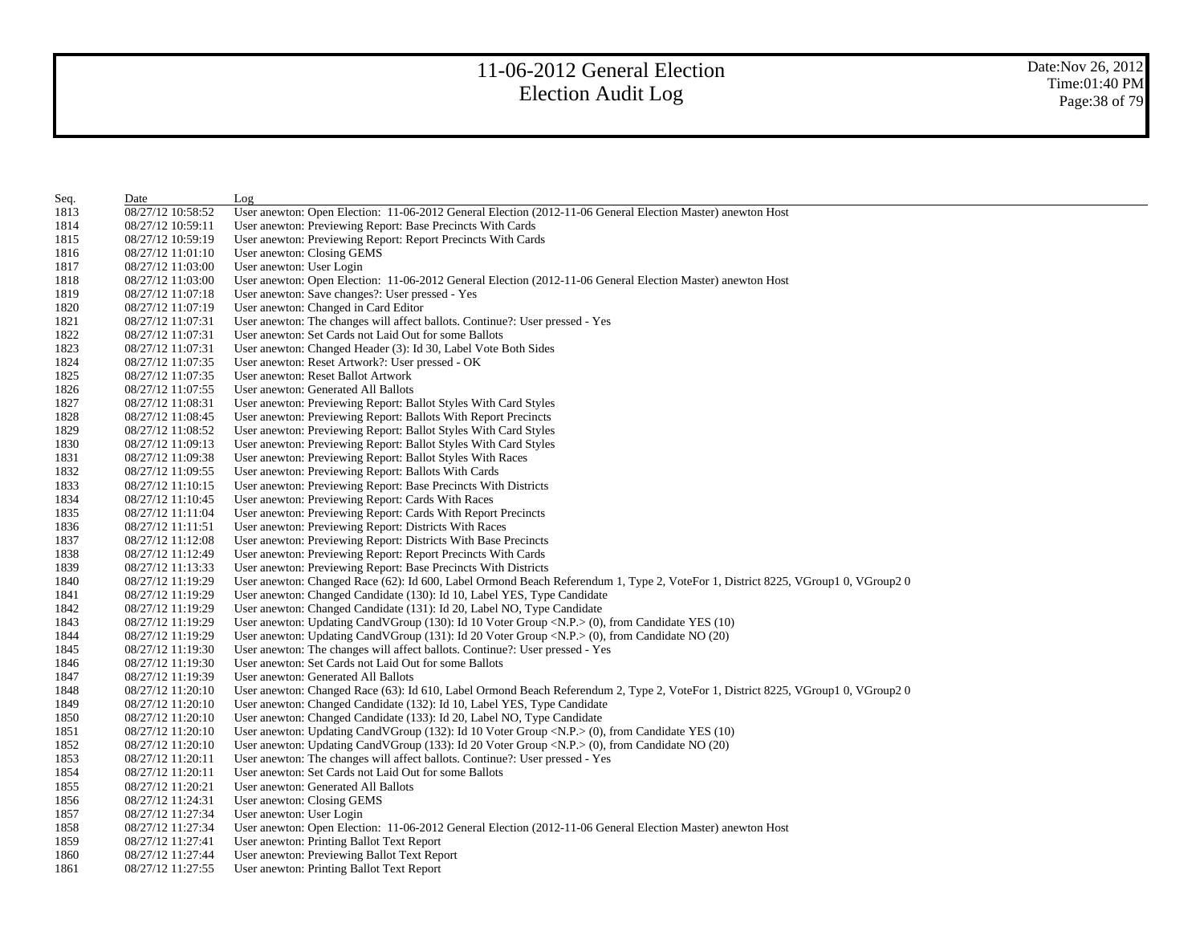| Seq. | Date              | Log                                                                                                                               |
|------|-------------------|-----------------------------------------------------------------------------------------------------------------------------------|
| 1813 | 08/27/12 10:58:52 | User anewton: Open Election: 11-06-2012 General Election (2012-11-06 General Election Master) anewton Host                        |
| 1814 | 08/27/12 10:59:11 | User anewton: Previewing Report: Base Precincts With Cards                                                                        |
| 1815 | 08/27/12 10:59:19 | User anewton: Previewing Report: Report Precincts With Cards                                                                      |
| 1816 | 08/27/12 11:01:10 | User anewton: Closing GEMS                                                                                                        |
| 1817 | 08/27/12 11:03:00 | User anewton: User Login                                                                                                          |
| 1818 | 08/27/12 11:03:00 | User anewton: Open Election: 11-06-2012 General Election (2012-11-06 General Election Master) anewton Host                        |
| 1819 | 08/27/12 11:07:18 | User anewton: Save changes?: User pressed - Yes                                                                                   |
| 1820 | 08/27/12 11:07:19 | User anewton: Changed in Card Editor                                                                                              |
| 1821 | 08/27/12 11:07:31 | User anewton: The changes will affect ballots. Continue?: User pressed - Yes                                                      |
| 1822 | 08/27/12 11:07:31 | User anewton: Set Cards not Laid Out for some Ballots                                                                             |
| 1823 | 08/27/12 11:07:31 | User anewton: Changed Header (3): Id 30, Label Vote Both Sides                                                                    |
| 1824 | 08/27/12 11:07:35 | User anewton: Reset Artwork?: User pressed - OK                                                                                   |
| 1825 | 08/27/12 11:07:35 | User anewton: Reset Ballot Artwork                                                                                                |
| 1826 | 08/27/12 11:07:55 | User anewton: Generated All Ballots                                                                                               |
| 1827 | 08/27/12 11:08:31 | User anewton: Previewing Report: Ballot Styles With Card Styles                                                                   |
| 1828 | 08/27/12 11:08:45 | User anewton: Previewing Report: Ballots With Report Precincts                                                                    |
| 1829 | 08/27/12 11:08:52 | User anewton: Previewing Report: Ballot Styles With Card Styles                                                                   |
| 1830 | 08/27/12 11:09:13 | User anewton: Previewing Report: Ballot Styles With Card Styles                                                                   |
| 1831 | 08/27/12 11:09:38 | User anewton: Previewing Report: Ballot Styles With Races                                                                         |
| 1832 | 08/27/12 11:09:55 | User anewton: Previewing Report: Ballots With Cards                                                                               |
| 1833 | 08/27/12 11:10:15 | User anewton: Previewing Report: Base Precincts With Districts                                                                    |
| 1834 | 08/27/12 11:10:45 | User anewton: Previewing Report: Cards With Races                                                                                 |
| 1835 | 08/27/12 11:11:04 | User anewton: Previewing Report: Cards With Report Precincts                                                                      |
| 1836 | 08/27/12 11:11:51 | User anewton: Previewing Report: Districts With Races                                                                             |
| 1837 | 08/27/12 11:12:08 | User anewton: Previewing Report: Districts With Base Precincts                                                                    |
| 1838 | 08/27/12 11:12:49 | User anewton: Previewing Report: Report Precincts With Cards                                                                      |
| 1839 | 08/27/12 11:13:33 | User anewton: Previewing Report: Base Precincts With Districts                                                                    |
| 1840 | 08/27/12 11:19:29 | User anewton: Changed Race (62): Id 600, Label Ormond Beach Referendum 1, Type 2, VoteFor 1, District 8225, VGroup1 0, VGroup2 0  |
| 1841 | 08/27/12 11:19:29 | User anewton: Changed Candidate (130): Id 10, Label YES, Type Candidate                                                           |
| 1842 | 08/27/12 11:19:29 | User anewton: Changed Candidate (131): Id 20, Label NO, Type Candidate                                                            |
| 1843 | 08/27/12 11:19:29 | User anewton: Updating CandVGroup (130): Id 10 Voter Group <n.p.<math>&gt; (0), from Candidate YES (10)</n.p.<math>               |
| 1844 | 08/27/12 11:19:29 | User anewton: Updating CandVGroup $(131)$ : Id 20 Voter Group <n.p.><math>(0)</math>, from Candidate NO <math>(20)</math></n.p.>  |
| 1845 | 08/27/12 11:19:30 | User anewton: The changes will affect ballots. Continue?: User pressed - Yes                                                      |
| 1846 | 08/27/12 11:19:30 | User anewton: Set Cards not Laid Out for some Ballots                                                                             |
| 1847 | 08/27/12 11:19:39 | User anewton: Generated All Ballots                                                                                               |
| 1848 | 08/27/12 11:20:10 | User anewton: Changed Race (63): Id 610, Label Ormond Beach Referendum 2, Type 2, VoteFor 1, District 8225, VGroup1 0, VGroup2 0  |
| 1849 | 08/27/12 11:20:10 | User anewton: Changed Candidate (132): Id 10, Label YES, Type Candidate                                                           |
| 1850 | 08/27/12 11:20:10 | User anewton: Changed Candidate (133): Id 20, Label NO, Type Candidate                                                            |
| 1851 | 08/27/12 11:20:10 | User anewton: Updating CandVGroup $(132)$ : Id 10 Voter Group <n.p.><math>(0)</math>, from Candidate YES <math>(10)</math></n.p.> |
| 1852 | 08/27/12 11:20:10 | User anewton: Updating CandVGroup (133): Id 20 Voter Group <n.p.> (0), from Candidate NO (20)</n.p.>                              |
| 1853 | 08/27/12 11:20:11 | User anewton: The changes will affect ballots. Continue?: User pressed - Yes                                                      |
| 1854 | 08/27/12 11:20:11 | User anewton: Set Cards not Laid Out for some Ballots                                                                             |
| 1855 | 08/27/12 11:20:21 | User anewton: Generated All Ballots                                                                                               |
| 1856 | 08/27/12 11:24:31 | User anewton: Closing GEMS                                                                                                        |
| 1857 | 08/27/12 11:27:34 | User anewton: User Login                                                                                                          |
| 1858 | 08/27/12 11:27:34 | User anewton: Open Election: 11-06-2012 General Election (2012-11-06 General Election Master) anewton Host                        |
| 1859 | 08/27/12 11:27:41 | User anewton: Printing Ballot Text Report                                                                                         |
| 1860 | 08/27/12 11:27:44 | User anewton: Previewing Ballot Text Report                                                                                       |
| 1861 | 08/27/12 11:27:55 | User anewton: Printing Ballot Text Report                                                                                         |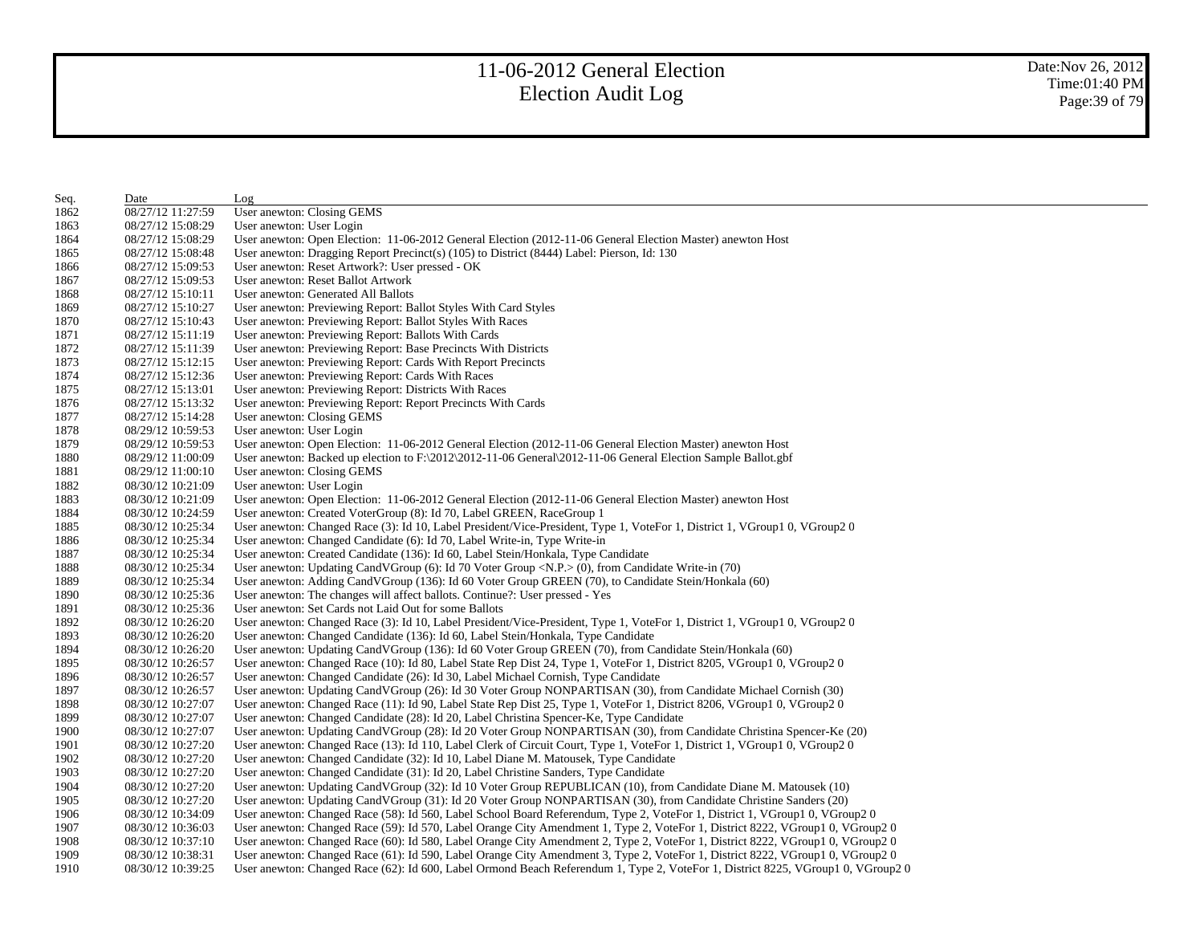| Seq. | Date              | Log                                                                                                                              |
|------|-------------------|----------------------------------------------------------------------------------------------------------------------------------|
| 1862 | 08/27/12 11:27:59 | User anewton: Closing GEMS                                                                                                       |
| 1863 | 08/27/12 15:08:29 | User anewton: User Login                                                                                                         |
| 1864 | 08/27/12 15:08:29 | User anewton: Open Election: 11-06-2012 General Election (2012-11-06 General Election Master) anewton Host                       |
| 1865 | 08/27/12 15:08:48 | User anewton: Dragging Report Precinct(s) (105) to District (8444) Label: Pierson, Id: 130                                       |
| 1866 | 08/27/12 15:09:53 | User anewton: Reset Artwork?: User pressed - OK                                                                                  |
| 1867 | 08/27/12 15:09:53 | User anewton: Reset Ballot Artwork                                                                                               |
| 1868 | 08/27/12 15:10:11 | User anewton: Generated All Ballots                                                                                              |
| 1869 | 08/27/12 15:10:27 | User anewton: Previewing Report: Ballot Styles With Card Styles                                                                  |
| 1870 | 08/27/12 15:10:43 | User anewton: Previewing Report: Ballot Styles With Races                                                                        |
| 1871 | 08/27/12 15:11:19 | User anewton: Previewing Report: Ballots With Cards                                                                              |
| 1872 | 08/27/12 15:11:39 | User anewton: Previewing Report: Base Precincts With Districts                                                                   |
| 1873 | 08/27/12 15:12:15 | User anewton: Previewing Report: Cards With Report Precincts                                                                     |
| 1874 | 08/27/12 15:12:36 | User anewton: Previewing Report: Cards With Races                                                                                |
| 1875 | 08/27/12 15:13:01 | User anewton: Previewing Report: Districts With Races                                                                            |
| 1876 | 08/27/12 15:13:32 | User anewton: Previewing Report: Report Precincts With Cards                                                                     |
| 1877 | 08/27/12 15:14:28 | User anewton: Closing GEMS                                                                                                       |
| 1878 | 08/29/12 10:59:53 | User anewton: User Login                                                                                                         |
| 1879 | 08/29/12 10:59:53 | User anewton: Open Election: 11-06-2012 General Election (2012-11-06 General Election Master) anewton Host                       |
| 1880 | 08/29/12 11:00:09 | User anewton: Backed up election to F:\2012\2012-11-06 General\2012-11-06 General Election Sample Ballot.gbf                     |
| 1881 | 08/29/12 11:00:10 | User anewton: Closing GEMS                                                                                                       |
| 1882 | 08/30/12 10:21:09 | User anewton: User Login                                                                                                         |
| 1883 | 08/30/12 10:21:09 | User anewton: Open Election: 11-06-2012 General Election (2012-11-06 General Election Master) anewton Host                       |
| 1884 | 08/30/12 10:24:59 | User anewton: Created VoterGroup (8): Id 70, Label GREEN, RaceGroup 1                                                            |
| 1885 | 08/30/12 10:25:34 | User anewton: Changed Race (3): Id 10, Label President/Vice-President, Type 1, VoteFor 1, District 1, VGroup1 0, VGroup2 0       |
| 1886 | 08/30/12 10:25:34 | User anewton: Changed Candidate (6): Id 70, Label Write-in, Type Write-in                                                        |
| 1887 | 08/30/12 10:25:34 | User anewton: Created Candidate (136): Id 60, Label Stein/Honkala, Type Candidate                                                |
| 1888 | 08/30/12 10:25:34 | User anewton: Updating CandVGroup $(6)$ : Id 70 Voter Group <n.p.<math>&gt; (0), from Candidate Write-in (70)</n.p.<math>        |
| 1889 | 08/30/12 10:25:34 | User anewton: Adding CandVGroup (136): Id 60 Voter Group GREEN (70), to Candidate Stein/Honkala (60)                             |
| 1890 | 08/30/12 10:25:36 | User anewton: The changes will affect ballots. Continue?: User pressed - Yes                                                     |
| 1891 | 08/30/12 10:25:36 | User anewton: Set Cards not Laid Out for some Ballots                                                                            |
| 1892 | 08/30/12 10:26:20 | User anewton: Changed Race (3): Id 10, Label President/Vice-President, Type 1, VoteFor 1, District 1, VGroup1 0, VGroup2 0       |
| 1893 | 08/30/12 10:26:20 | User anewton: Changed Candidate (136): Id 60, Label Stein/Honkala, Type Candidate                                                |
| 1894 | 08/30/12 10:26:20 | User anewton: Updating CandVGroup (136): Id 60 Voter Group GREEN (70), from Candidate Stein/Honkala (60)                         |
| 1895 | 08/30/12 10:26:57 | User anewton: Changed Race (10): Id 80, Label State Rep Dist 24, Type 1, VoteFor 1, District 8205, VGroup1 0, VGroup2 0          |
| 1896 | 08/30/12 10:26:57 | User anewton: Changed Candidate (26): Id 30, Label Michael Cornish, Type Candidate                                               |
| 1897 | 08/30/12 10:26:57 | User anewton: Updating CandVGroup (26): Id 30 Voter Group NONPARTISAN (30), from Candidate Michael Cornish (30)                  |
| 1898 | 08/30/12 10:27:07 | User anewton: Changed Race (11): Id 90, Label State Rep Dist 25, Type 1, VoteFor 1, District 8206, VGroup1 0, VGroup2 0          |
| 1899 | 08/30/12 10:27:07 | User anewton: Changed Candidate (28): Id 20, Label Christina Spencer-Ke, Type Candidate                                          |
| 1900 | 08/30/12 10:27:07 | User anewton: Updating CandVGroup (28): Id 20 Voter Group NONPARTISAN (30), from Candidate Christina Spencer-Ke (20)             |
| 1901 | 08/30/12 10:27:20 | User anewton: Changed Race (13): Id 110, Label Clerk of Circuit Court, Type 1, VoteFor 1, District 1, VGroup1 0, VGroup2 0       |
| 1902 | 08/30/12 10:27:20 | User anewton: Changed Candidate (32): Id 10, Label Diane M. Matousek, Type Candidate                                             |
| 1903 | 08/30/12 10:27:20 | User anewton: Changed Candidate (31): Id 20, Label Christine Sanders, Type Candidate                                             |
| 1904 | 08/30/12 10:27:20 | User anewton: Updating CandVGroup (32): Id 10 Voter Group REPUBLICAN (10), from Candidate Diane M. Matousek (10)                 |
| 1905 | 08/30/12 10:27:20 | User anewton: Updating CandVGroup (31): Id 20 Voter Group NONPARTISAN (30), from Candidate Christine Sanders (20)                |
| 1906 | 08/30/12 10:34:09 | User anewton: Changed Race (58): Id 560, Label School Board Referendum, Type 2, VoteFor 1, District 1, VGroup1 0, VGroup2 0      |
| 1907 | 08/30/12 10:36:03 | User anewton: Changed Race (59): Id 570, Label Orange City Amendment 1, Type 2, VoteFor 1, District 8222, VGroup1 0, VGroup2 0   |
| 1908 | 08/30/12 10:37:10 | User anewton: Changed Race (60): Id 580, Label Orange City Amendment 2, Type 2, VoteFor 1, District 8222, VGroup1 0, VGroup2 0   |
| 1909 | 08/30/12 10:38:31 | User anewton: Changed Race (61): Id 590, Label Orange City Amendment 3, Type 2, VoteFor 1, District 8222, VGroup1 0, VGroup2 0   |
| 1910 | 08/30/12 10:39:25 | User anewton: Changed Race (62): Id 600, Label Ormond Beach Referendum 1, Type 2, VoteFor 1, District 8225, VGroup1 0, VGroup2 0 |
|      |                   |                                                                                                                                  |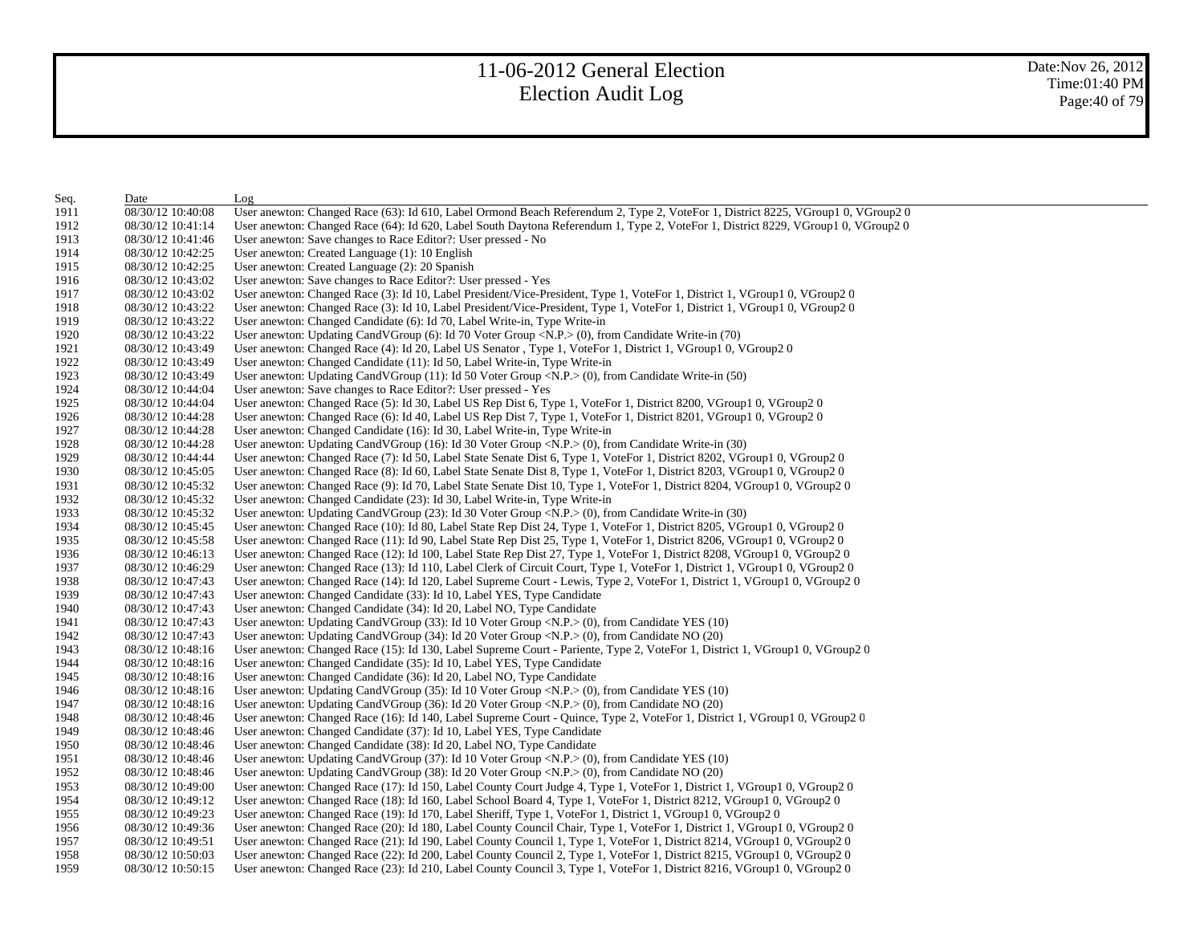| Seq. | Date              | Log                                                                                                                               |
|------|-------------------|-----------------------------------------------------------------------------------------------------------------------------------|
| 1911 | 08/30/12 10:40:08 | User anewton: Changed Race (63): Id 610, Label Ormond Beach Referendum 2, Type 2, VoteFor 1, District 8225, VGroup1 0, VGroup2 0  |
| 1912 | 08/30/12 10:41:14 | User anewton: Changed Race (64): Id 620, Label South Daytona Referendum 1, Type 2, VoteFor 1, District 8229, VGroup1 0, VGroup2 0 |
| 1913 | 08/30/12 10:41:46 | User anewton: Save changes to Race Editor?: User pressed - No                                                                     |
| 1914 | 08/30/12 10:42:25 | User anewton: Created Language (1): 10 English                                                                                    |
| 1915 | 08/30/12 10:42:25 | User anewton: Created Language (2): 20 Spanish                                                                                    |
| 1916 | 08/30/12 10:43:02 | User anewton: Save changes to Race Editor?: User pressed - Yes                                                                    |
| 1917 | 08/30/12 10:43:02 | User anewton: Changed Race (3): Id 10, Label President/Vice-President, Type 1, VoteFor 1, District 1, VGroup1 0, VGroup2 0        |
| 1918 | 08/30/12 10:43:22 | User anewton: Changed Race (3): Id 10, Label President/Vice-President, Type 1, VoteFor 1, District 1, VGroup1 0, VGroup2 0        |
| 1919 | 08/30/12 10:43:22 | User anewton: Changed Candidate (6): Id 70, Label Write-in, Type Write-in                                                         |
| 1920 | 08/30/12 10:43:22 | User anewton: Updating CandVGroup (6): Id 70 Voter Group <n.p.> (0), from Candidate Write-in (70)</n.p.>                          |
| 1921 | 08/30/12 10:43:49 | User anewton: Changed Race (4): Id 20, Label US Senator, Type 1, VoteFor 1, District 1, VGroup1 0, VGroup2 0                      |
| 1922 | 08/30/12 10:43:49 | User anewton: Changed Candidate (11): Id 50, Label Write-in, Type Write-in                                                        |
| 1923 | 08/30/12 10:43:49 | User anewton: Updating CandVGroup (11): Id 50 Voter Group <n.p.> (0), from Candidate Write-in (50)</n.p.>                         |
| 1924 | 08/30/12 10:44:04 | User anewton: Save changes to Race Editor?: User pressed - Yes                                                                    |
| 1925 | 08/30/12 10:44:04 | User anewton: Changed Race (5): Id 30, Label US Rep Dist 6, Type 1, VoteFor 1, District 8200, VGroup1 0, VGroup2 0                |
| 1926 | 08/30/12 10:44:28 | User anewton: Changed Race (6): Id 40, Label US Rep Dist 7, Type 1, VoteFor 1, District 8201, VGroup1 0, VGroup2 0                |
| 1927 | 08/30/12 10:44:28 | User anewton: Changed Candidate (16): Id 30, Label Write-in, Type Write-in                                                        |
| 1928 | 08/30/12 10:44:28 | User anewton: Updating CandVGroup $(16)$ : Id 30 Voter Group <n.p.<math>&gt; (0), from Candidate Write-in (30)</n.p.<math>        |
| 1929 | 08/30/12 10:44:44 | User anewton: Changed Race (7): Id 50, Label State Senate Dist 6, Type 1, VoteFor 1, District 8202, VGroup1 0, VGroup2 0          |
| 1930 | 08/30/12 10:45:05 | User anewton: Changed Race (8): Id 60, Label State Senate Dist 8, Type 1, VoteFor 1, District 8203, VGroup1 0, VGroup2 0          |
| 1931 | 08/30/12 10:45:32 | User anewton: Changed Race (9): Id 70, Label State Senate Dist 10, Type 1, VoteFor 1, District 8204, VGroup1 0, VGroup2 0         |
| 1932 | 08/30/12 10:45:32 | User anewton: Changed Candidate (23): Id 30, Label Write-in, Type Write-in                                                        |
| 1933 | 08/30/12 10:45:32 | User anewton: Updating CandVGroup (23): Id 30 Voter Group <n.p.> (0), from Candidate Write-in (30)</n.p.>                         |
| 1934 | 08/30/12 10:45:45 | User anewton: Changed Race (10): Id 80, Label State Rep Dist 24, Type 1, VoteFor 1, District 8205, VGroup1 0, VGroup2 0           |
| 1935 | 08/30/12 10:45:58 | User anewton: Changed Race (11): Id 90, Label State Rep Dist 25, Type 1, VoteFor 1, District 8206, VGroup1 0, VGroup2 0           |
| 1936 | 08/30/12 10:46:13 | User anewton: Changed Race (12): Id 100, Label State Rep Dist 27, Type 1, VoteFor 1, District 8208, VGroup1 0, VGroup2 0          |
| 1937 | 08/30/12 10:46:29 | User anewton: Changed Race (13): Id 110, Label Clerk of Circuit Court, Type 1, VoteFor 1, District 1, VGroup1 0, VGroup2 0        |
| 1938 | 08/30/12 10:47:43 | User anewton: Changed Race (14): Id 120, Label Supreme Court - Lewis, Type 2, VoteFor 1, District 1, VGroup1 0, VGroup2 0         |
| 1939 | 08/30/12 10:47:43 | User anewton: Changed Candidate (33): Id 10, Label YES, Type Candidate                                                            |
| 1940 | 08/30/12 10:47:43 | User anewton: Changed Candidate (34): Id 20, Label NO, Type Candidate                                                             |
| 1941 | 08/30/12 10:47:43 | User anewton: Updating CandVGroup $(33)$ : Id 10 Voter Group <n.p.><math>(0)</math>, from Candidate YES <math>(10)</math></n.p.>  |
| 1942 | 08/30/12 10:47:43 | User anewton: Updating CandVGroup $(34)$ : Id 20 Voter Group <n.p.><math>(0)</math>, from Candidate NO <math>(20)</math></n.p.>   |
| 1943 | 08/30/12 10:48:16 | User anewton: Changed Race (15): Id 130, Label Supreme Court - Pariente, Type 2, VoteFor 1, District 1, VGroup1 0, VGroup2 0      |
| 1944 | 08/30/12 10:48:16 | User anewton: Changed Candidate (35): Id 10, Label YES, Type Candidate                                                            |
| 1945 | 08/30/12 10:48:16 | User anewton: Changed Candidate (36): Id 20, Label NO, Type Candidate                                                             |
| 1946 | 08/30/12 10:48:16 | User anewton: Updating CandVGroup $(35)$ : Id 10 Voter Group <n.p.><math>(0)</math>, from Candidate YES <math>(10)</math></n.p.>  |
| 1947 | 08/30/12 10:48:16 | User anewton: Updating CandVGroup $(36)$ : Id 20 Voter Group <n.p.><math>(0)</math>, from Candidate NO <math>(20)</math></n.p.>   |
| 1948 | 08/30/12 10:48:46 | User anewton: Changed Race (16): Id 140, Label Supreme Court - Quince, Type 2, VoteFor 1, District 1, VGroup1 0, VGroup2 0        |
| 1949 | 08/30/12 10:48:46 | User anewton: Changed Candidate (37): Id 10, Label YES, Type Candidate                                                            |
| 1950 | 08/30/12 10:48:46 | User anewton: Changed Candidate (38): Id 20, Label NO, Type Candidate                                                             |
| 1951 | 08/30/12 10:48:46 | User anewton: Updating CandVGroup $(37)$ : Id 10 Voter Group <n.p.><math>(0)</math>, from Candidate YES <math>(10)</math></n.p.>  |
| 1952 | 08/30/12 10:48:46 | User anewton: Updating CandVGroup $(38)$ : Id 20 Voter Group <n.p.><math>(0)</math>, from Candidate NO <math>(20)</math></n.p.>   |
| 1953 | 08/30/12 10:49:00 | User anewton: Changed Race (17): Id 150, Label County Court Judge 4, Type 1, VoteFor 1, District 1, VGroup1 0, VGroup2 0          |
| 1954 | 08/30/12 10:49:12 | User anewton: Changed Race (18): Id 160, Label School Board 4, Type 1, VoteFor 1, District 8212, VGroup1 0, VGroup2 0             |
| 1955 | 08/30/12 10:49:23 | User anewton: Changed Race (19): Id 170, Label Sheriff, Type 1, VoteFor 1, District 1, VGroup1 0, VGroup2 0                       |
| 1956 | 08/30/12 10:49:36 | User anewton: Changed Race (20): Id 180, Label County Council Chair, Type 1, VoteFor 1, District 1, VGroup1 0, VGroup2 0          |
| 1957 | 08/30/12 10:49:51 | User anewton: Changed Race (21): Id 190, Label County Council 1, Type 1, VoteFor 1, District 8214, VGroup1 0, VGroup2 0           |
| 1958 | 08/30/12 10:50:03 | User anewton: Changed Race (22): Id 200, Label County Council 2, Type 1, VoteFor 1, District 8215, VGroup1 0, VGroup2 0           |
| 1959 | 08/30/12 10:50:15 | User anewton: Changed Race (23): Id 210, Label County Council 3, Type 1, VoteFor 1, District 8216, VGroup1 0, VGroup2 0           |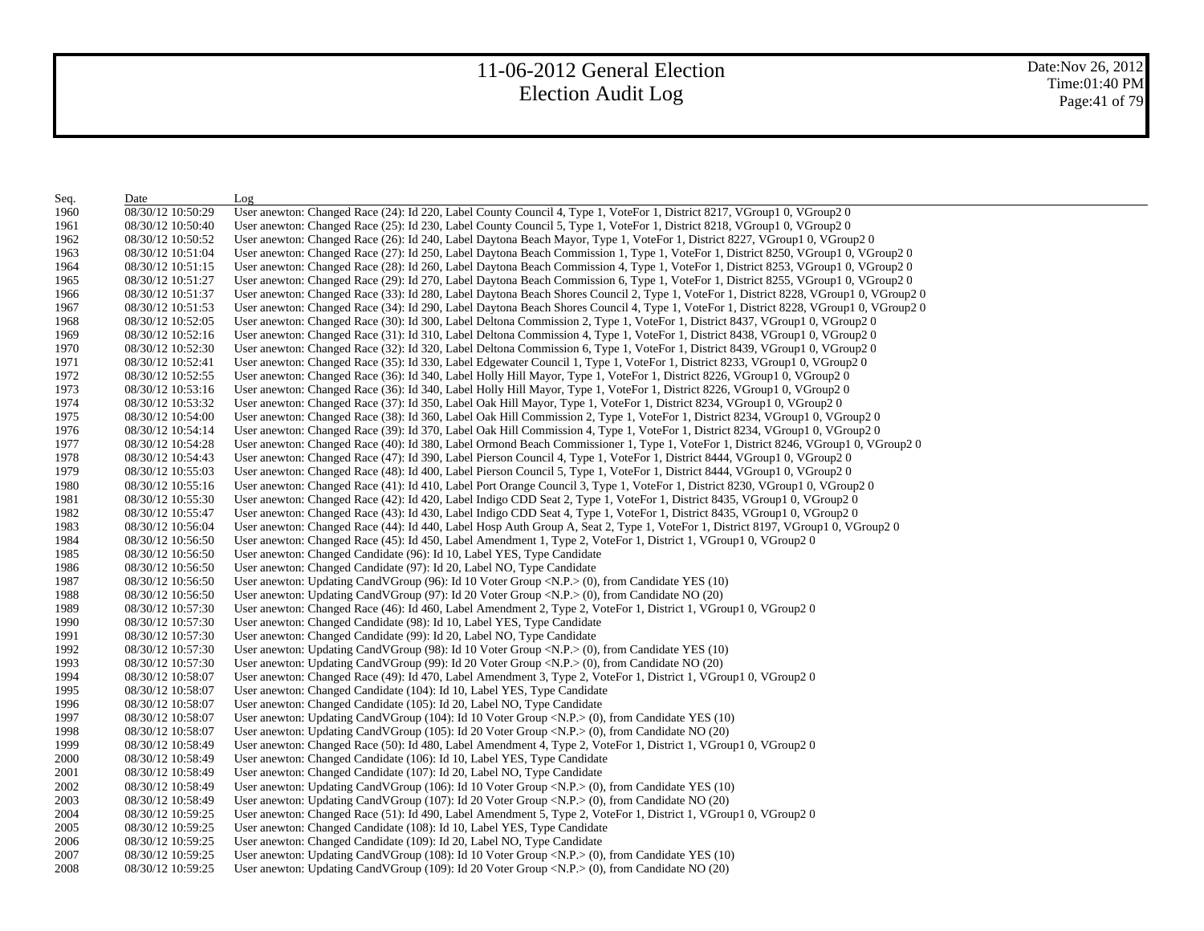| Seq. | Date              | Log                                                                                                                                   |
|------|-------------------|---------------------------------------------------------------------------------------------------------------------------------------|
| 1960 | 08/30/12 10:50:29 | User anewton: Changed Race (24): Id 220, Label County Council 4, Type 1, VoteFor 1, District 8217, VGroup1 0, VGroup2 0               |
| 1961 | 08/30/12 10:50:40 | User anewton: Changed Race (25): Id 230, Label County Council 5, Type 1, VoteFor 1, District 8218, VGroup1 0, VGroup2 0               |
| 1962 | 08/30/12 10:50:52 | User anewton: Changed Race (26): Id 240, Label Daytona Beach Mayor, Type 1, VoteFor 1, District 8227, VGroup1 0, VGroup2 0            |
| 1963 | 08/30/12 10:51:04 | User anewton: Changed Race (27): Id 250, Label Daytona Beach Commission 1, Type 1, VoteFor 1, District 8250, VGroup1 0, VGroup2 0     |
| 1964 | 08/30/12 10:51:15 | User anewton: Changed Race (28): Id 260, Label Daytona Beach Commission 4, Type 1, VoteFor 1, District 8253, VGroup1 0, VGroup2 0     |
| 1965 | 08/30/12 10:51:27 | User anewton: Changed Race (29): Id 270, Label Daytona Beach Commission 6, Type 1, VoteFor 1, District 8255, VGroup1 0, VGroup2 0     |
| 1966 | 08/30/12 10:51:37 | User anewton: Changed Race (33): Id 280, Label Daytona Beach Shores Council 2, Type 1, VoteFor 1, District 8228, VGroup1 0, VGroup2 0 |
| 1967 | 08/30/12 10:51:53 | User anewton: Changed Race (34): Id 290, Label Daytona Beach Shores Council 4, Type 1, VoteFor 1, District 8228, VGroup1 0, VGroup2 0 |
| 1968 | 08/30/12 10:52:05 | User anewton: Changed Race (30): Id 300, Label Deltona Commission 2, Type 1, VoteFor 1, District 8437, VGroup1 0, VGroup2 0           |
| 1969 | 08/30/12 10:52:16 | User anewton: Changed Race (31): Id 310, Label Deltona Commission 4, Type 1, VoteFor 1, District 8438, VGroup1 0, VGroup2 0           |
| 1970 | 08/30/12 10:52:30 | User anewton: Changed Race (32): Id 320, Label Deltona Commission 6, Type 1, VoteFor 1, District 8439, VGroup1 0, VGroup2 0           |
| 1971 | 08/30/12 10:52:41 | User anewton: Changed Race (35): Id 330, Label Edgewater Council 1, Type 1, VoteFor 1, District 8233, VGroup1 0, VGroup2 0            |
| 1972 | 08/30/12 10:52:55 | User anewton: Changed Race (36): Id 340, Label Holly Hill Mayor, Type 1, VoteFor 1, District 8226, VGroup1 0, VGroup2 0               |
| 1973 | 08/30/12 10:53:16 | User anewton: Changed Race (36): Id 340, Label Holly Hill Mayor, Type 1, VoteFor 1, District 8226, VGroup1 0, VGroup2 0               |
| 1974 | 08/30/12 10:53:32 | User anewton: Changed Race (37): Id 350, Label Oak Hill Mayor, Type 1, VoteFor 1, District 8234, VGroup1 0, VGroup2 0                 |
| 1975 | 08/30/12 10:54:00 | User anewton: Changed Race (38): Id 360, Label Oak Hill Commission 2, Type 1, VoteFor 1, District 8234, VGroup1 0, VGroup2 0          |
| 1976 | 08/30/12 10:54:14 | User anewton: Changed Race (39): Id 370, Label Oak Hill Commission 4, Type 1, VoteFor 1, District 8234, VGroup1 0, VGroup2 0          |
| 1977 | 08/30/12 10:54:28 | User anewton: Changed Race (40): Id 380, Label Ormond Beach Commissioner 1, Type 1, VoteFor 1, District 8246, VGroup1 0, VGroup2 0    |
| 1978 | 08/30/12 10:54:43 | User anewton: Changed Race (47): Id 390, Label Pierson Council 4, Type 1, VoteFor 1, District 8444, VGroup1 0, VGroup2 0              |
| 1979 | 08/30/12 10:55:03 | User anewton: Changed Race (48): Id 400, Label Pierson Council 5, Type 1, VoteFor 1, District 8444, VGroup1 0, VGroup2 0              |
| 1980 | 08/30/12 10:55:16 | User anewton: Changed Race (41): Id 410, Label Port Orange Council 3, Type 1, VoteFor 1, District 8230, VGroup1 0, VGroup2 0          |
| 1981 | 08/30/12 10:55:30 | User anewton: Changed Race (42): Id 420, Label Indigo CDD Seat 2, Type 1, VoteFor 1, District 8435, VGroup1 0, VGroup2 0              |
| 1982 | 08/30/12 10:55:47 | User anewton: Changed Race (43): Id 430, Label Indigo CDD Seat 4, Type 1, VoteFor 1, District 8435, VGroup1 0, VGroup2 0              |
| 1983 | 08/30/12 10:56:04 | User anewton: Changed Race (44): Id 440, Label Hosp Auth Group A, Seat 2, Type 1, VoteFor 1, District 8197, VGroup1 0, VGroup2 0      |
| 1984 | 08/30/12 10:56:50 | User anewton: Changed Race (45): Id 450, Label Amendment 1, Type 2, VoteFor 1, District 1, VGroup1 0, VGroup2 0                       |
| 1985 | 08/30/12 10:56:50 | User anewton: Changed Candidate (96): Id 10, Label YES, Type Candidate                                                                |
| 1986 | 08/30/12 10:56:50 | User anewton: Changed Candidate (97): Id 20, Label NO, Type Candidate                                                                 |
| 1987 | 08/30/12 10:56:50 | User anewton: Updating CandVGroup (96): Id 10 Voter Group <n.p.<math>&gt; (0), from Candidate YES (10)</n.p.<math>                    |
| 1988 | 08/30/12 10:56:50 | User anewton: Updating CandVGroup (97): Id 20 Voter Group < $N.P$ > (0), from Candidate NO (20)                                       |
| 1989 | 08/30/12 10:57:30 | User anewton: Changed Race (46): Id 460, Label Amendment 2, Type 2, VoteFor 1, District 1, VGroup1 0, VGroup2 0                       |
| 1990 | 08/30/12 10:57:30 | User anewton: Changed Candidate (98): Id 10, Label YES, Type Candidate                                                                |
| 1991 | 08/30/12 10:57:30 | User anewton: Changed Candidate (99): Id 20, Label NO, Type Candidate                                                                 |
| 1992 | 08/30/12 10:57:30 | User anewton: Updating CandVGroup (98): Id 10 Voter Group <n.p.<math>&gt; (0), from Candidate YES (10)</n.p.<math>                    |
| 1993 | 08/30/12 10:57:30 | User anewton: Updating CandVGroup (99): Id 20 Voter Group $\langle N.P. \rangle$ (0), from Candidate NO (20)                          |
| 1994 | 08/30/12 10:58:07 | User anewton: Changed Race (49): Id 470, Label Amendment 3, Type 2, VoteFor 1, District 1, VGroup1 0, VGroup2 0                       |
| 1995 | 08/30/12 10:58:07 | User anewton: Changed Candidate (104): Id 10, Label YES, Type Candidate                                                               |
| 1996 | 08/30/12 10:58:07 | User anewton: Changed Candidate (105): Id 20, Label NO, Type Candidate                                                                |
| 1997 | 08/30/12 10:58:07 | User anewton: Updating CandVGroup (104): Id 10 Voter Group < $N.P.$ > (0), from Candidate YES (10)                                    |
| 1998 | 08/30/12 10:58:07 | User anewton: Updating CandVGroup $(105)$ : Id 20 Voter Group <n.p.<math>&gt; (0), from Candidate NO (20)</n.p.<math>                 |
| 1999 | 08/30/12 10:58:49 | User anewton: Changed Race (50): Id 480, Label Amendment 4, Type 2, VoteFor 1, District 1, VGroup1 0, VGroup2 0                       |
| 2000 | 08/30/12 10:58:49 | User anewton: Changed Candidate (106): Id 10, Label YES, Type Candidate                                                               |
| 2001 | 08/30/12 10:58:49 | User anewton: Changed Candidate (107): Id 20, Label NO, Type Candidate                                                                |
| 2002 | 08/30/12 10:58:49 | User anewton: Updating CandVGroup (106): Id 10 Voter Group <n.p.<math>&gt; (0), from Candidate YES (10)</n.p.<math>                   |
| 2003 | 08/30/12 10:58:49 | User anewton: Updating CandVGroup $(107)$ : Id 20 Voter Group <n.p.<math>&gt; (0), from Candidate NO <math>(20)</math></n.p.<math>    |
| 2004 | 08/30/12 10:59:25 | User anewton: Changed Race (51): Id 490, Label Amendment 5, Type 2, VoteFor 1, District 1, VGroup1 0, VGroup2 0                       |
| 2005 | 08/30/12 10:59:25 | User anewton: Changed Candidate (108): Id 10, Label YES, Type Candidate                                                               |
| 2006 | 08/30/12 10:59:25 | User anewton: Changed Candidate (109): Id 20, Label NO, Type Candidate                                                                |
| 2007 | 08/30/12 10:59:25 | User anewton: Updating CandVGroup (108): Id 10 Voter Group $\langle N.P. \rangle$ (0), from Candidate YES (10)                        |
| 2008 | 08/30/12 10:59:25 | User anewton: Updating CandVGroup (109): Id 20 Voter Group <n.p.> (0), from Candidate NO (20)</n.p.>                                  |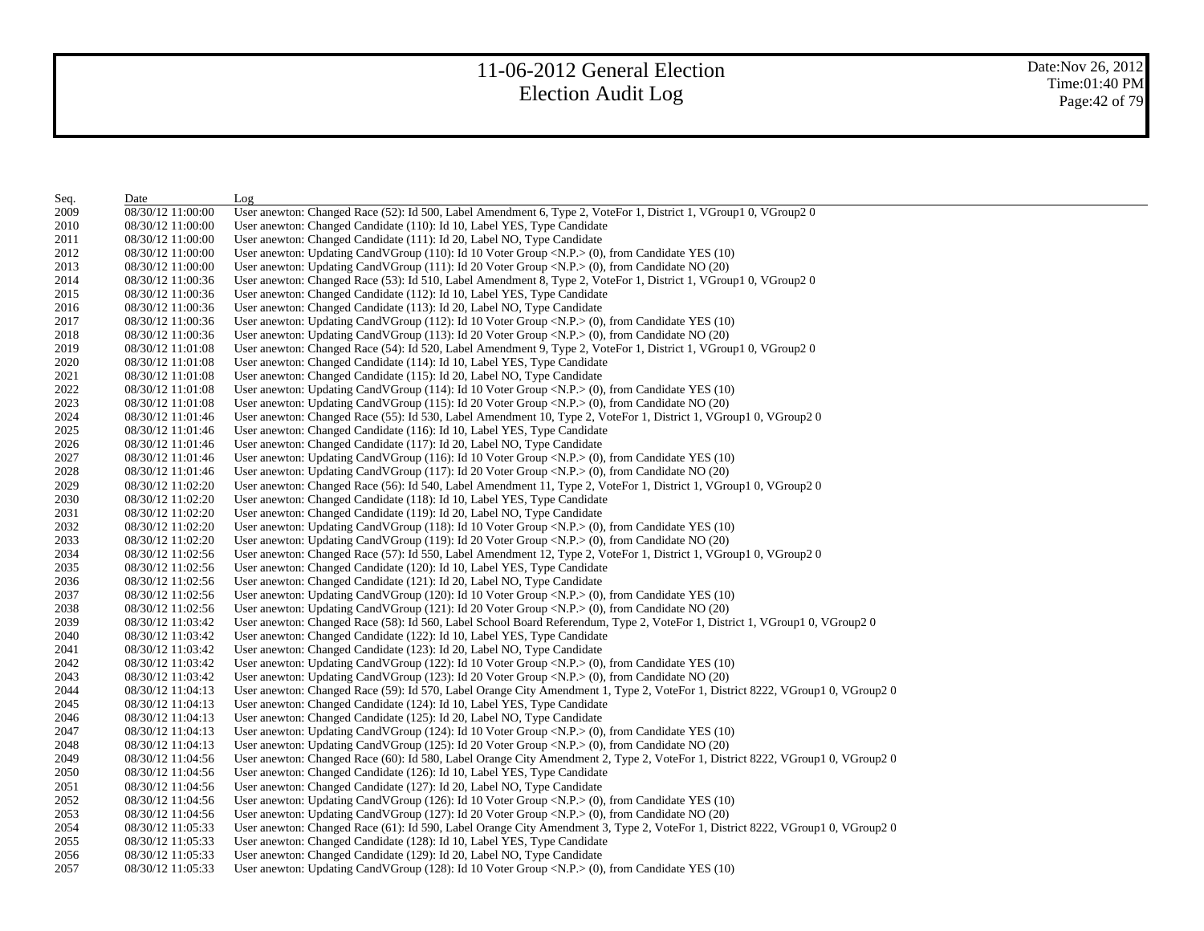| Seq. | Date              | Log                                                                                                                                 |
|------|-------------------|-------------------------------------------------------------------------------------------------------------------------------------|
| 2009 | 08/30/12 11:00:00 | User anewton: Changed Race (52): Id 500, Label Amendment 6, Type 2, VoteFor 1, District 1, VGroup1 0, VGroup2 0                     |
| 2010 | 08/30/12 11:00:00 | User anewton: Changed Candidate (110): Id 10, Label YES, Type Candidate                                                             |
| 2011 | 08/30/12 11:00:00 | User anewton: Changed Candidate (111): Id 20, Label NO, Type Candidate                                                              |
| 2012 | 08/30/12 11:00:00 | User anewton: Updating CandVGroup (110): Id 10 Voter Group < $N.P.$ > (0), from Candidate YES (10)                                  |
| 2013 | 08/30/12 11:00:00 | User anewton: Updating CandVGroup $(111)$ : Id 20 Voter Group <n.p.><math>(0)</math>, from Candidate NO <math>(20)</math></n.p.>    |
| 2014 | 08/30/12 11:00:36 | User anewton: Changed Race (53): Id 510, Label Amendment 8, Type 2, VoteFor 1, District 1, VGroup1 0, VGroup2 0                     |
| 2015 | 08/30/12 11:00:36 | User anewton: Changed Candidate (112): Id 10, Label YES, Type Candidate                                                             |
| 2016 | 08/30/12 11:00:36 | User anewton: Changed Candidate (113): Id 20, Label NO, Type Candidate                                                              |
| 2017 | 08/30/12 11:00:36 | User anewton: Updating CandVGroup $(112)$ : Id 10 Voter Group <n.p.<math>&gt; (0), from Candidate YES (10)</n.p.<math>              |
| 2018 | 08/30/12 11:00:36 | User anewton: Updating CandVGroup $(113)$ : Id 20 Voter Group <n.p.<math>&gt; (0), from Candidate NO (20)</n.p.<math>               |
| 2019 | 08/30/12 11:01:08 | User anewton: Changed Race (54): Id 520, Label Amendment 9, Type 2, VoteFor 1, District 1, VGroup1 0, VGroup2 0                     |
| 2020 | 08/30/12 11:01:08 | User anewton: Changed Candidate (114): Id 10, Label YES, Type Candidate                                                             |
| 2021 | 08/30/12 11:01:08 | User anewton: Changed Candidate (115): Id 20, Label NO, Type Candidate                                                              |
| 2022 | 08/30/12 11:01:08 | User anewton: Updating CandVGroup $(114)$ : Id 10 Voter Group <n.p.><math>(0)</math>, from Candidate YES <math>(10)</math></n.p.>   |
| 2023 | 08/30/12 11:01:08 | User anewton: Updating CandVGroup $(115)$ : Id 20 Voter Group <n.p.><math>(0)</math>, from Candidate NO <math>(20)</math></n.p.>    |
| 2024 | 08/30/12 11:01:46 | User anewton: Changed Race (55): Id 530, Label Amendment 10, Type 2, VoteFor 1, District 1, VGroup1 0, VGroup2 0                    |
| 2025 | 08/30/12 11:01:46 | User anewton: Changed Candidate (116): Id 10, Label YES, Type Candidate                                                             |
| 2026 | 08/30/12 11:01:46 | User anewton: Changed Candidate (117): Id 20, Label NO, Type Candidate                                                              |
| 2027 | 08/30/12 11:01:46 | User anewton: Updating CandVGroup (116): Id 10 Voter Group < $N.P.$ > (0), from Candidate YES (10)                                  |
| 2028 | 08/30/12 11:01:46 | User anewton: Updating CandVGroup $(117)$ : Id 20 Voter Group <n.p.><math>(0)</math>, from Candidate NO <math>(20)</math></n.p.>    |
| 2029 | 08/30/12 11:02:20 | User anewton: Changed Race (56): Id 540, Label Amendment 11, Type 2, VoteFor 1, District 1, VGroup1 0, VGroup2 0                    |
| 2030 | 08/30/12 11:02:20 | User anewton: Changed Candidate (118): Id 10, Label YES, Type Candidate                                                             |
| 2031 | 08/30/12 11:02:20 | User anewton: Changed Candidate (119): Id 20, Label NO, Type Candidate                                                              |
| 2032 | 08/30/12 11:02:20 | User anewton: Updating CandVGroup (118): Id 10 Voter Group <n.p.> (0), from Candidate YES (10)</n.p.>                               |
| 2033 | 08/30/12 11:02:20 | User anewton: Updating CandVGroup $(119)$ : Id 20 Voter Group <n.p.<math>&gt; (0), from Candidate NO <math>(20)</math></n.p.<math>  |
| 2034 | 08/30/12 11:02:56 | User anewton: Changed Race (57): Id 550, Label Amendment 12, Type 2, VoteFor 1, District 1, VGroup1 0, VGroup2 0                    |
| 2035 | 08/30/12 11:02:56 | User anewton: Changed Candidate (120): Id 10, Label YES, Type Candidate                                                             |
| 2036 | 08/30/12 11:02:56 | User anewton: Changed Candidate (121): Id 20, Label NO, Type Candidate                                                              |
| 2037 | 08/30/12 11:02:56 | User anewton: Updating CandVGroup (120): Id 10 Voter Group < $N.P.$ > (0), from Candidate YES (10)                                  |
| 2038 | 08/30/12 11:02:56 | User anewton: Updating CandVGroup $(121)$ : Id 20 Voter Group <n.p.<math>&gt; (0), from Candidate NO <math>(20)</math></n.p.<math>  |
| 2039 | 08/30/12 11:03:42 | User anewton: Changed Race (58): Id 560, Label School Board Referendum, Type 2, VoteFor 1, District 1, VGroup1 0, VGroup2 0         |
| 2040 | 08/30/12 11:03:42 | User anewton: Changed Candidate (122): Id 10, Label YES, Type Candidate                                                             |
| 2041 | 08/30/12 11:03:42 | User anewton: Changed Candidate (123): Id 20, Label NO, Type Candidate                                                              |
| 2042 | 08/30/12 11:03:42 | User anewton: Updating CandVGroup $(122)$ : Id 10 Voter Group <n.p.<math>&gt; (0), from Candidate YES <math>(10)</math></n.p.<math> |
| 2043 | 08/30/12 11:03:42 | User anewton: Updating CandVGroup $(123)$ : Id 20 Voter Group <n.p.><math>(0)</math>, from Candidate NO <math>(20)</math></n.p.>    |
| 2044 | 08/30/12 11:04:13 | User anewton: Changed Race (59): Id 570, Label Orange City Amendment 1, Type 2, VoteFor 1, District 8222, VGroup1 0, VGroup2 0      |
| 2045 | 08/30/12 11:04:13 | User anewton: Changed Candidate (124): Id 10, Label YES, Type Candidate                                                             |
| 2046 | 08/30/12 11:04:13 | User anewton: Changed Candidate (125): Id 20, Label NO, Type Candidate                                                              |
| 2047 | 08/30/12 11:04:13 | User anewton: Updating CandVGroup (124): Id 10 Voter Group < $N.P$ > (0), from Candidate YES (10)                                   |
| 2048 | 08/30/12 11:04:13 | User anewton: Updating CandVGroup $(125)$ : Id 20 Voter Group <n.p.<math>&gt; (0), from Candidate NO (20)</n.p.<math>               |
| 2049 | 08/30/12 11:04:56 | User anewton: Changed Race (60): Id 580, Label Orange City Amendment 2, Type 2, VoteFor 1, District 8222, VGroup1 0, VGroup2 0      |
| 2050 | 08/30/12 11:04:56 | User anewton: Changed Candidate (126): Id 10, Label YES, Type Candidate                                                             |
| 2051 | 08/30/12 11:04:56 | User anewton: Changed Candidate (127): Id 20, Label NO, Type Candidate                                                              |
| 2052 | 08/30/12 11:04:56 | User anewton: Updating CandVGroup (126): Id 10 Voter Group < $N.P.$ > (0), from Candidate YES (10)                                  |
| 2053 | 08/30/12 11:04:56 | User anewton: Updating CandVGroup (127): Id 20 Voter Group $\langle N.P. \rangle$ (0), from Candidate NO (20)                       |
| 2054 | 08/30/12 11:05:33 | User anewton: Changed Race (61): Id 590, Label Orange City Amendment 3, Type 2, VoteFor 1, District 8222, VGroup1 0, VGroup2 0      |
| 2055 | 08/30/12 11:05:33 | User anewton: Changed Candidate (128): Id 10, Label YES, Type Candidate                                                             |
| 2056 | 08/30/12 11:05:33 | User anewton: Changed Candidate (129): Id 20, Label NO, Type Candidate                                                              |
| 2057 | 08/30/12 11:05:33 | User anewton: Updating CandVGroup (128): Id 10 Voter Group <n.p.> (0), from Candidate YES (10)</n.p.>                               |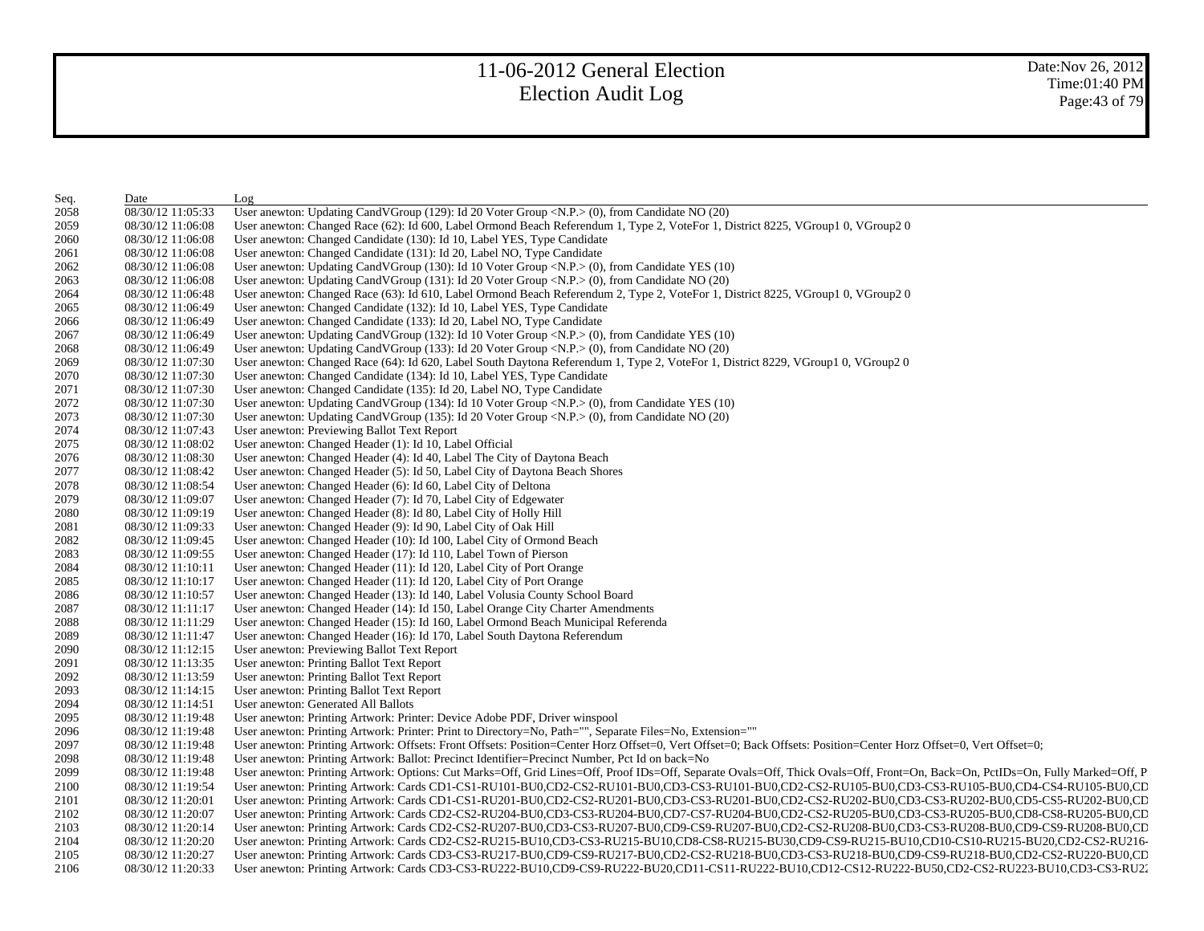| Seq. | Date              | Log                                                                                                                                                                                                                            |
|------|-------------------|--------------------------------------------------------------------------------------------------------------------------------------------------------------------------------------------------------------------------------|
| 2058 | 08/30/12 11:05:33 | User anewton: Updating CandVGroup (129): Id 20 Voter Group <n.p.> (0), from Candidate NO (20)</n.p.>                                                                                                                           |
| 2059 | 08/30/12 11:06:08 | User anewton: Changed Race (62): Id 600, Label Ormond Beach Referendum 1, Type 2, VoteFor 1, District 8225, VGroup1 0, VGroup2 0                                                                                               |
| 2060 | 08/30/12 11:06:08 | User anewton: Changed Candidate (130): Id 10, Label YES, Type Candidate                                                                                                                                                        |
| 2061 | 08/30/12 11:06:08 | User anewton: Changed Candidate (131): Id 20, Label NO, Type Candidate                                                                                                                                                         |
| 2062 | 08/30/12 11:06:08 | User anewton: Updating CandVGroup (130): Id 10 Voter Group <n.p.> (0), from Candidate YES (10)</n.p.>                                                                                                                          |
| 2063 | 08/30/12 11:06:08 | User anewton: Updating CandVGroup $(131)$ : Id 20 Voter Group <n.p.<math>&gt; (0), from Candidate NO <math>(20)</math></n.p.<math>                                                                                             |
| 2064 | 08/30/12 11:06:48 | User anewton: Changed Race (63): Id 610, Label Ormond Beach Referendum 2, Type 2, VoteFor 1, District 8225, VGroup1 0, VGroup2 0                                                                                               |
| 2065 | 08/30/12 11:06:49 | User anewton: Changed Candidate (132): Id 10, Label YES, Type Candidate                                                                                                                                                        |
| 2066 | 08/30/12 11:06:49 | User anewton: Changed Candidate (133): Id 20, Label NO, Type Candidate                                                                                                                                                         |
| 2067 | 08/30/12 11:06:49 | User anewton: Updating CandVGroup (132): Id 10 Voter Group <n.p.<math>&gt; (0), from Candidate YES (10)</n.p.<math>                                                                                                            |
| 2068 | 08/30/12 11:06:49 | User anewton: Updating CandVGroup $(133)$ : Id 20 Voter Group <n.p.<math>&gt; (0), from Candidate NO <math>(20)</math></n.p.<math>                                                                                             |
| 2069 | 08/30/12 11:07:30 | User anewton: Changed Race (64): Id 620, Label South Daytona Referendum 1, Type 2, VoteFor 1, District 8229, VGroup1 0, VGroup2 0                                                                                              |
| 2070 | 08/30/12 11:07:30 | User anewton: Changed Candidate (134): Id 10, Label YES, Type Candidate                                                                                                                                                        |
| 2071 | 08/30/12 11:07:30 | User anewton: Changed Candidate (135): Id 20, Label NO, Type Candidate                                                                                                                                                         |
| 2072 | 08/30/12 11:07:30 | User anewton: Updating CandVGroup $(134)$ : Id 10 Voter Group <n.p.><math>(0)</math>, from Candidate YES <math>(10)</math></n.p.>                                                                                              |
| 2073 | 08/30/12 11:07:30 | User anewton: Updating CandVGroup (135): Id 20 Voter Group <n.p.> (0), from Candidate NO (20)</n.p.>                                                                                                                           |
| 2074 | 08/30/12 11:07:43 | User anewton: Previewing Ballot Text Report                                                                                                                                                                                    |
| 2075 | 08/30/12 11:08:02 | User anewton: Changed Header (1): Id 10, Label Official                                                                                                                                                                        |
| 2076 | 08/30/12 11:08:30 | User anewton: Changed Header (4): Id 40, Label The City of Daytona Beach                                                                                                                                                       |
| 2077 | 08/30/12 11:08:42 | User anewton: Changed Header (5): Id 50, Label City of Daytona Beach Shores                                                                                                                                                    |
| 2078 | 08/30/12 11:08:54 | User anewton: Changed Header (6): Id 60, Label City of Deltona                                                                                                                                                                 |
| 2079 | 08/30/12 11:09:07 | User anewton: Changed Header (7): Id 70, Label City of Edgewater                                                                                                                                                               |
| 2080 | 08/30/12 11:09:19 | User anewton: Changed Header (8): Id 80, Label City of Holly Hill                                                                                                                                                              |
| 2081 | 08/30/12 11:09:33 | User anewton: Changed Header (9): Id 90, Label City of Oak Hill                                                                                                                                                                |
| 2082 | 08/30/12 11:09:45 | User anewton: Changed Header (10): Id 100, Label City of Ormond Beach                                                                                                                                                          |
| 2083 | 08/30/12 11:09:55 | User anewton: Changed Header (17): Id 110, Label Town of Pierson                                                                                                                                                               |
| 2084 | 08/30/12 11:10:11 | User anewton: Changed Header (11): Id 120, Label City of Port Orange                                                                                                                                                           |
| 2085 | 08/30/12 11:10:17 | User anewton: Changed Header (11): Id 120, Label City of Port Orange                                                                                                                                                           |
| 2086 | 08/30/12 11:10:57 | User anewton: Changed Header (13): Id 140, Label Volusia County School Board                                                                                                                                                   |
| 2087 | 08/30/12 11:11:17 | User anewton: Changed Header (14): Id 150, Label Orange City Charter Amendments                                                                                                                                                |
| 2088 | 08/30/12 11:11:29 | User anewton: Changed Header (15): Id 160, Label Ormond Beach Municipal Referenda                                                                                                                                              |
| 2089 | 08/30/12 11:11:47 | User anewton: Changed Header (16): Id 170, Label South Daytona Referendum                                                                                                                                                      |
| 2090 | 08/30/12 11:12:15 | User anewton: Previewing Ballot Text Report                                                                                                                                                                                    |
| 2091 | 08/30/12 11:13:35 | User anewton: Printing Ballot Text Report                                                                                                                                                                                      |
| 2092 | 08/30/12 11:13:59 | User anewton: Printing Ballot Text Report                                                                                                                                                                                      |
| 2093 | 08/30/12 11:14:15 | User anewton: Printing Ballot Text Report                                                                                                                                                                                      |
| 2094 | 08/30/12 11:14:51 | User anewton: Generated All Ballots                                                                                                                                                                                            |
| 2095 | 08/30/12 11:19:48 | User anewton: Printing Artwork: Printer: Device Adobe PDF, Driver winspool                                                                                                                                                     |
| 2096 | 08/30/12 11:19:48 | User anewton: Printing Artwork: Printer: Print to Directory=No, Path="", Separate Files=No, Extension=""                                                                                                                       |
| 2097 | 08/30/12 11:19:48 | User anewton: Printing Artwork: Offsets: Front Offsets: Position=Center Horz Offset=0, Vert Offset=0; Back Offsets: Position=Center Horz Offset=0, Vert Offset=0;                                                              |
| 2098 | 08/30/12 11:19:48 | User anewton: Printing Artwork: Ballot: Precinct Identifier=Precinct Number, Pct Id on back=No                                                                                                                                 |
| 2099 | 08/30/12 11:19:48 | User anewton: Printing Artwork: Options: Cut Marks=Off, Grid Lines=Off, Proof IDs=Off, Separate Ovals=Off, Thick Ovals=Off, Front=On, Back=On, PctIDs=On, Fully Marked=Off, P                                                  |
| 2100 | 08/30/12 11:19:54 | User anewton: Printing Artwork: Cards CD1-CS1-RU101-BU0,CD2-CS2-RU101-BU0,CD3-CS3-RU101-BU0,CD2-CS2-RU105-BU0,CD3-CS3-RU105-BU0,CD4-CS4-RU105-BU0,CD4-CS4-RU105-BU0,CD                                                         |
| 2101 | 08/30/12 11:20:01 | User anewton: Printing Artwork: Cards CD1-CS1-RU201-BU0,CD2-CS2-RU201-BU0,CD3-CS3-RU201-BU0,CD2-CS2-RU202-BU0,CD3-CS3-RU202-BU0,CD5-CS5-RU202-BU0,CD5-CS5-RU202-BU0,CD5                                                        |
| 2102 | 08/30/12 11:20:07 | User anewton: Printing Artwork: Cards CD2-CS2-RU204-BU0,CD3-CS3-RU204-BU0,CD7-CS7-RU204-BU0,CD2-CS2-RU205-BU0,CD3-CS3-RU205-BU0,CD8-CS8-RU205-BU0,CD8-CS8-RU205-BU0,CD8-CS8-RU205-BU0,CD8-CS8-RU205-BU0,CD8-CS8-RU205-BU0,CD8- |
| 2103 | 08/30/12 11:20:14 | User anewton: Printing Artwork: Cards CD2-CS2-RU207-BU0,CD3-CS3-RU207-BU0,CD9-CS9-RU207-BU0,CD2-CS2-RU208-BU0,CD3-CS3-RU208-BU0,CD9-CS9-RU208-BU0,CD9-CS9-RU208-BU0,CD9-CS9-RU208-BU0,CD9-CS9-RU208-BU0,CD9-CS9-RU208-BU0,CD9- |
| 2104 | 08/30/12 11:20:20 | User anewton: Printing Artwork: Cards CD2-CS2-RU215-BU10,CD3-CS3-RU215-BU10,CD8-CS8-RU215-BU30,CD9-CS9-RU215-BU10,CD10-CS10-RU215-BU20,CD2-CS2-RU216-                                                                          |
| 2105 | 08/30/12 11:20:27 | User anewton: Printing Artwork: Cards CD3-CS3-RU217-BU0,CD9-CS9-RU217-BU0,CD2-CS2-RU218-BU0,CD3-CS3-RU218-BU0,CD9-CS9-RU218-BU0,CD2-CS2-RU220-BU0,CD2-CS2-RU220-BU0,CD                                                         |
| 2106 | 08/30/12 11:20:33 | User anewton: Printing Artwork: Cards CD3-CS3-RU222-BU10,CD9-CS9-RU222-BU20,CD11-CS11-RU222-BU10,CD12-CS12-RU222-BU50,CD2-CS2-RU223-BU10,CD3-CS3-RU22                                                                          |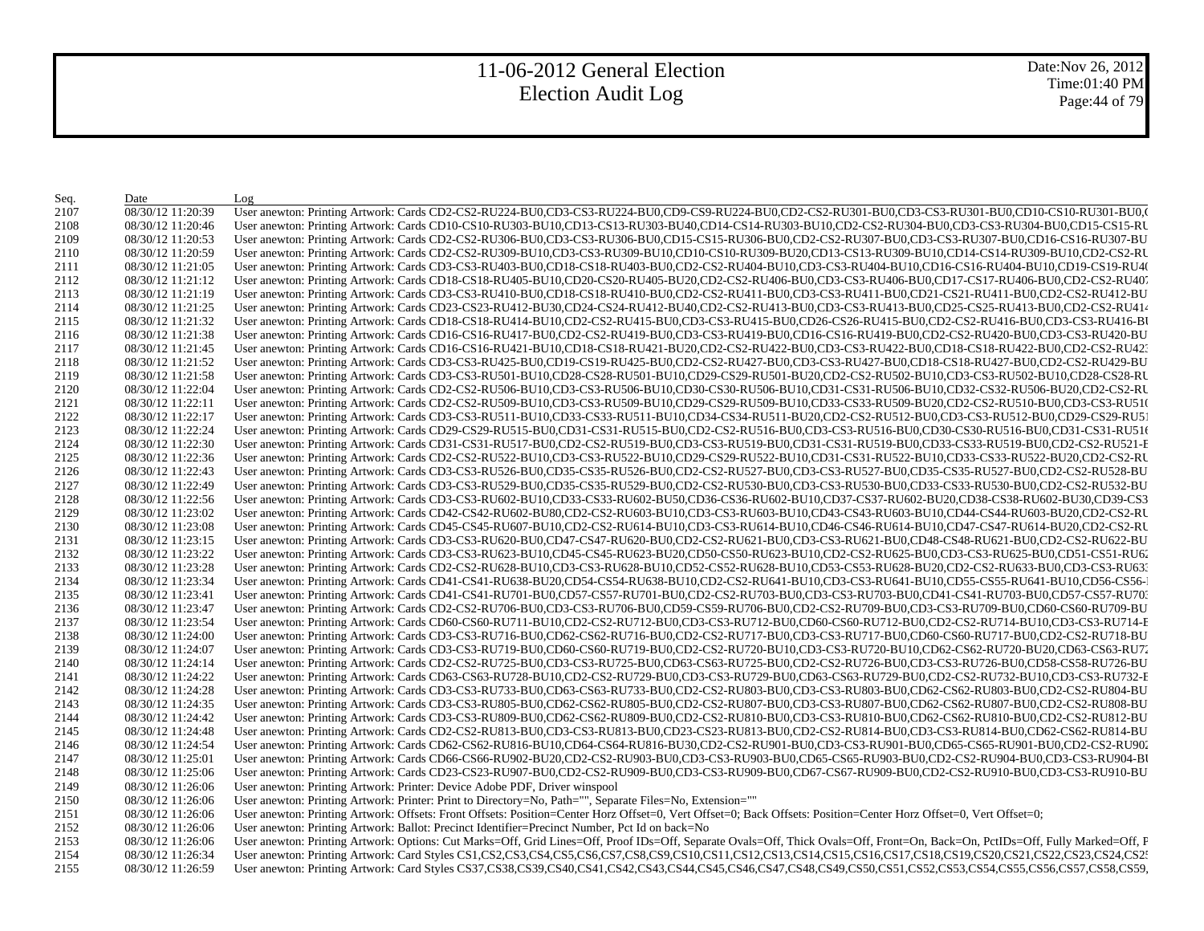Date:Nov 26, 2012 Time:01:40 PM Page:44 of 79

| Seq. | Date              | Log                                                                                                                                                                                                                            |
|------|-------------------|--------------------------------------------------------------------------------------------------------------------------------------------------------------------------------------------------------------------------------|
| 2107 | 08/30/12 11:20:39 | User anewton: Printing Artwork: Cards CD2-CS2-RU224-BU0,CD3-CS3-RU224-BU0,CD9-CS9-RU224-BU0,CD2-CS2-RU301-BU0,CD3-CS3-RU301-BU0,CD10-CS10-RU301-BU0,CD10-CS10-RU301-BU0,CD10-CS10-RU301-BU0,CD10-CS10-RU301-BU0,CD2-CS2-RU301- |
| 2108 | 08/30/12 11:20:46 | User anewton: Printing Artwork: Cards CD10-CS10-RU303-BU10,CD13-CS13-RU303-BU40,CD14-CS14-RU303-BU10,CD2-CS2-RU304-BU0,CD3-CS3-RU304-BU0,CD15-CS15-RU                                                                          |
| 2109 | 08/30/12 11:20:53 | User anewton: Printing Artwork: Cards CD2-CS2-RU306-BU0,CD3-CS3-RU306-BU0,CD15-CS15-RU306-BU0,CD2-CS2-RU307-BU0,CD3-CS3-RU307-BU0,CD16-CS16-RU307-BU                                                                           |
| 2110 | 08/30/12 11:20:59 | User anewton: Printing Artwork: Cards CD2-CS2-RU309-BU10,CD3-CS3-RU309-BU10,CD10-CS10-RU309-BU20,CD13-CS13-RU309-BU10,CD14-CS14-RU309-BU10,CD2-CS2-RU                                                                          |
| 2111 | 08/30/12 11:21:05 | User anewton: Printing Artwork: Cards CD3-CS3-RU403-BU0,CD18-CS18-RU403-BU0,CD2-CS2-RU404-BU10,CD3-CS3-RU404-BU10,CD16-CS16-RU404-BU10,CD19-CS19-RU404                                                                         |
| 2112 | 08/30/12 11:21:12 | User anewton: Printing Artwork: Cards CD18-CS18-RU405-BU10,CD20-CS20-RU405-BU20,CD2-CS2-RU406-BU0,CD3-CS3-RU406-BU0,CD17-CS17-RU406-BU0,CD2-CS2-RU407                                                                          |
| 2113 | 08/30/12 11:21:19 | User anewton: Printing Artwork: Cards CD3-CS3-RU410-BU0,CD18-CS18-RU410-BU0,CD2-CS2-RU411-BU0,CD3-CS3-RU411-BU0,CD21-CS21-RU411-BU0,CD2-CS2-RU411-BU0,CD2-CS2-RU412-BU                                                         |
| 2114 | 08/30/12 11:21:25 | User anewton: Printing Artwork: Cards CD23-CS23-RU412-BU30,CD24-CS24-RU412-BU40,CD2-CS2-RU413-BU0,CD3-CS3-RU413-BU0,CD25-CS25-RU413-BU0,CD25-CS25-RU413-BU0,CD2-CS2-RU414                                                      |
| 2115 | 08/30/12 11:21:32 | User anewton: Printing Artwork: Cards CD18-CS18-RU414-BU10,CD2-CS2-RU415-BU0,CD3-CS3-RU415-BU0,CD26-CS26-RU415-BU0,CD2-CS2-RU416-BU0,CD3-CS3-RU416-BU0,CD3-CS3-RU416-B                                                         |
| 2116 | 08/30/12 11:21:38 | User anewton: Printing Artwork: Cards CD16-CS16-RU417-BU0,CD2-CS2-RU419-BU0,CD3-CS3-RU419-BU0,CD16-CS16-RU419-BU0,CD2-CS2-RU420-BU0,CD3-CS3-RU420-BU0,CD3-CS3-RU420-BU                                                         |
| 2117 | 08/30/12 11:21:45 | User anewton: Printing Artwork: Cards CD16-CS16-RU421-BU10,CD18-CS18-RU421-BU20,CD2-CS2-RU422-BU0,CD3-CS3-RU422-BU0,CD18-CS18-RU422-BU0,CD2-CS2-RU422-BU0,CD2-CS2-RU422-BU0,CD2-CS2-RU422-BU0,CD2-CS2-RU423-BU0,CD2-CS2-RU423- |
| 2118 | 08/30/12 11:21:52 | User anewton: Printing Artwork: Cards CD3-CS3-RU425-BU0,CD19-CS19-RU425-BU0,CD2-CS2-RU427-BU0,CD3-CS3-RU427-BU0,CD18-CS18-RU427-BU0,CD2-CS2-RU429-BU                                                                           |
| 2119 | 08/30/12 11:21:58 | User anewton: Printing Artwork: Cards CD3-CS3-RU501-BU10,CD28-CS28-RU501-BU10,CD29-CS29-RU501-BU20,CD2-CS2-RU502-BU10,CD3-CS3-RU502-BU10,CD28-CS28-RU502-BU10,CD28-CS28-RU502-BU10,CD28-CS28-RU502-BU10,CD28-CS28-RU502-BU10,C |
| 2120 | 08/30/12 11:22:04 | User anewton: Printing Artwork: Cards CD2-CS2-RU506-BU10,CD3-CS3-RU506-BU10,CD30-CS30-RU506-BU10,CD31-CS31-RU506-BU10,CD32-CS32-RU506-BU20,CD2-CS2-RU                                                                          |
| 2121 | 08/30/12 11:22:11 | User anewton: Printing Artwork: Cards CD2-CS2-RU509-BU10,CD3-CS3-RU509-BU10,CD29-CS29-RU509-BU10,CD33-CS33-RU509-BU20,CD2-CS2-RU510-BU0,CD3-CS3-RU510                                                                          |
| 2122 | 08/30/12 11:22:17 | User anewton: Printing Artwork: Cards CD3-CS3-RU511-BU10,CD33-CS33-RU511-BU10,CD34-CS34-RU511-BU20,CD2-CS2-RU512-BU0,CD3-CS3-RU512-BU0,CD29-CS29-RU512-BU0,CD29-CS29-RU512-BU0,CD29-CS29-RU512-BU0,CD29-CS29-RU512-BU0,CD29-CS |
| 2123 | 08/30/12 11:22:24 | User anewton: Printing Artwork: Cards CD29-CS29-RU515-BU0,CD31-CS31-RU515-BU0,CD2-CS2-RU516-BU0,CD3-CS3-RU516-BU0,CD30-CS30-RU516-BU0,CD31-CS31-RU516                                                                          |
| 2124 | 08/30/12 11:22:30 | User anewton: Printing Artwork: Cards CD31-CS31-RU517-BU0,CD2-CS2-RU519-BU0,CD3-CS3-RU519-BU0,CD31-CS31-RU519-BU0,CD33-CS33-RU519-BU0,CD2-CS2-RU521-E                                                                          |
| 2125 | 08/30/12 11:22:36 | User anewton: Printing Artwork: Cards CD2-CS2-RU522-BU10,CD3-CS3-RU522-BU10,CD29-CS29-RU522-BU10,CD31-CS31-RU522-BU10,CD33-CS33-RU522-BU20,CD2-CS2-RU                                                                          |
| 2126 | 08/30/12 11:22:43 | User anewton: Printing Artwork: Cards CD3-CS3-RU526-BU0,CD35-CS35-RU526-BU0,CD2-CS2-RU527-BU0,CD3-CS3-RU527-BU0,CD35-CS35-RU527-BU0,CD2-CS2-RU528-BU                                                                           |
| 2127 | 08/30/12 11:22:49 | User anewton: Printing Artwork: Cards CD3-CS3-RU529-BU0,CD35-CS35-RU529-BU0,CD2-CS2-RU530-BU0,CD3-CS3-RU530-BU0,CD33-CS33-RU530-BU0,CD2-CS2-RU530-BU0,CD2-CS2-RU530-BU0,CD2-CS2-RU530-BU0,CD2-CS2-RU530-BU0,CD2-CS2-RU530-BU0, |
| 2128 | 08/30/12 11:22:56 | User anewton: Printing Artwork: Cards CD3-CS3-RU602-BU10,CD33-CS33-RU602-BU50,CD36-CS36-RU602-BU10,CD37-CS37-RU602-BU20,CD38-CS38-RU602-BU30,CD39-CS3                                                                          |
| 2129 | 08/30/12 11:23:02 | User anewton: Printing Artwork: Cards CD42-CS42-RU602-BU80,CD2-CS2-RU603-BU10,CD3-CS3-RU603-BU10,CD43-CS43-RU603-BU10,CD44-CS44-RU603-BU20,CD2-CS2-RU603-BU20,CD2-CS2-RU603-BU10,CD44-CS44-RU603-BU20,CD2-CS2-RU               |
| 2130 | 08/30/12 11:23:08 | User anewton: Printing Artwork: Cards CD45-CS45-RU607-BU10,CD2-CS2-RU614-BU10,CD3-CS3-RU614-BU10,CD46-CS46-RU614-BU10,CD47-CS47-RU614-BU20,CD2-CS2-RU514-BU20,CD2-CS2-RU514-BU10,CD47-CS47-RU514-BU20,CD2-CS2-RU514-BU20,CD2-C |
| 2131 | 08/30/12 11:23:15 | User anewton: Printing Artwork: Cards CD3-CS3-RU620-BU0,CD47-CS47-RU620-BU0,CD2-CS2-RU621-BU0,CD3-CS3-RU621-BU0,CD48-CS48-RU621-BU0,CD2-CS2-RU621-BU0,CD2-CS2-RU622-BU                                                         |
| 2132 | 08/30/12 11:23:22 | User anewton: Printing Artwork: Cards CD3-CS3-RU623-BU10,CD45-CS45-RU623-BU20,CD50-CS50-RU623-BU10,CD2-CS2-RU625-BU0,CD3-CS3-RU625-BU0,CD51-CS51-RU626                                                                         |
| 2133 | 08/30/12 11:23:28 | User anewton: Printing Artwork: Cards CD2-CS2-RU628-BU10,CD3-CS3-RU628-BU10,CD52-CS52-RU628-BU10,CD53-CS53-RU628-BU20,CD2-CS2-RU633-BU0,CD3-CS3-RU633                                                                          |
| 2134 | 08/30/12 11:23:34 | User anewton: Printing Artwork: Cards CD41-CS41-RU638-BU20,CD54-CS54-RU638-BU10,CD2-CS2-RU641-BU10,CD3-CS3-RU641-BU10,CD55-CS55-RU641-BU10,CD56-CS56-CS56-                                                                     |
| 2135 | 08/30/12 11:23:41 | User anewton: Printing Artwork: Cards CD41-CS41-RU701-BU0,CD57-CS57-RU701-BU0,CD2-CS2-RU703-BU0,CD3-CS3-RU703-BU0,CD41-CS41-RU703-BU0,CD57-CS57-RU703-BU0,CD41-CS41-RU703-BU0,CD57-CS57-RU703-BU0,CD41-CS41-RU703-BU0,CD57-CS5 |
| 2136 | 08/30/12 11:23:47 | User anewton: Printing Artwork: Cards CD2-CS2-RU706-BU0,CD3-CS3-RU706-BU0,CD59-CS59-RU706-BU0,CD2-CS2-RU709-BU0,CD3-CS3-RU709-BU0,CD60-CS60-RU709-BU                                                                           |
| 2137 | 08/30/12 11:23:54 | User anewton: Printing Artwork: Cards CD60-CS60-RU711-BU10,CD2-CS2-RU712-BU0,CD3-CS3-RU712-BU0,CD60-CS60-RU712-BU0,CD2-CS2-RU714-BU10,CD3-CS3-RU714-B                                                                          |
| 2138 | 08/30/12 11:24:00 | User anewton: Printing Artwork: Cards CD3-CS3-RU716-BU0,CD62-CS62-RU716-BU0,CD2-CS2-RU717-BU0,CD3-CS3-RU717-BU0,CD60-CS60-RU717-BU0,CD2-CS2-RU718-BU                                                                           |
| 2139 | 08/30/12 11:24:07 | User anewton: Printing Artwork: Cards CD3-CS3-RU719-BU0,CD60-CS60-RU719-BU0,CD2-CS2-RU720-BU10,CD3-CS3-RU720-BU10,CD62-CS62-RU720-BU20,CD63-CS63-RU720-BU20,CD63-CS63-RU720-BU20,CD63-CS63-RU720-BU20,CD63-CS63-RU720-BU20,CD6 |
| 2140 | 08/30/12 11:24:14 | User anewton: Printing Artwork: Cards CD2-CS2-RU725-BU0,CD3-CS3-RU725-BU0,CD63-CS63-RU725-BU0,CD2-CS2-RU726-BU0,CD3-CS3-RU726-BU0,CD58-CS58-RU726-BU0,CD58-CS58-RU726-BU                                                       |
| 2141 | 08/30/12 11:24:22 | User anewton: Printing Artwork: Cards CD63-CS63-RU728-BU10,CD2-CS2-RU729-BU0,CD3-CS3-RU729-BU0,CD63-CS63-RU729-BU0,CD2-CS2-RU732-BU10,CD3-CS3-RU732-BU10,CD3-CS3-RU732-BU10,CD3-CS3-RU732-BU10,CD3-CS3-RU732-BU10,CD3-CS3-RU73 |
| 2142 | 08/30/12 11:24:28 | User anewton: Printing Artwork: Cards CD3-CS3-RU733-BU0,CD63-CS63-RU733-BU0,CD2-CS2-RU803-BU0,CD3-CS3-RU803-BU0,CD62-CS62-RU803-BU0,CD2-CS2-RU803-BU0,CD2-CS2-RU804-BU                                                         |
| 2143 | 08/30/12 11:24:35 | User anewton: Printing Artwork: Cards CD3-CS3-RU805-BU0,CD62-CS62-RU805-BU0,CD2-CS2-RU807-BU0,CD3-CS3-RU807-BU0,CD62-CS62-RU807-BU0,CD2-CS2-RU807-BU0,CD2-CS2-RU808-BU                                                         |
| 2144 | 08/30/12 11:24:42 | User anewton: Printing Artwork: Cards CD3-CS3-RU809-BU0,CD62-CS62-RU809-BU0,CD2-CS2-RU810-BU0,CD3-CS3-RU810-BU0,CD62-CS62-RU810-BU0,CD2-CS2-RU810-BU0,CD2-CS2-RU812-BU                                                         |
| 2145 | 08/30/12 11:24:48 | User anewton: Printing Artwork: Cards CD2-CS2-RU813-BU0,CD3-CS3-RU813-BU0,CD23-CS23-RU813-BU0,CD2-CS2-RU814-BU0,CD3-CS3-RU814-BU0,CD62-CS62-RU814-BU0,CD62-CS62-RU814-BU0,CD62-CS62-RU814-BU0,CD62-CS62-RU814-BU0,CD62-CS62-RU |
| 2146 | 08/30/12 11:24:54 | User anewton: Printing Artwork: Cards CD62-CS62-RU816-BU10,CD64-CS64-RU816-BU30,CD2-CS2-RU901-BU0,CD3-CS3-RU901-BU0,CD65-CS65-RU901-BU0,CD2-CS2-RU902-CS2-RU902                                                                |
| 2147 | 08/30/12 11:25:01 | User anewton: Printing Artwork: Cards CD66-CS66-RU902-BU20,CD2-CS2-RU903-BU0,CD3-CS3-RU903-BU0,CD65-CS65-RU903-BU0,CD2-CS2-RU904-BU0,CD3-CS3-RU904-BU0,CD3-CS3-RU904-B                                                         |
| 2148 | 08/30/12 11:25:06 | User anewton: Printing Artwork: Cards CD23-CS23-RU907-BU0,CD2-CS2-RU909-BU0,CD3-CS3-RU909-BU0,CD67-CS67-RU909-BU0,CD2-CS2-RU910-BU0,CD3-CS3-RU910-BU0,CD3-CS3-RU910-BU                                                         |
| 2149 | 08/30/12 11:26:06 | User anewton: Printing Artwork: Printer: Device Adobe PDF, Driver winspool                                                                                                                                                     |
| 2150 | 08/30/12 11:26:06 | User anewton: Printing Artwork: Printer: Print to Directory=No, Path="", Separate Files=No, Extension=""                                                                                                                       |
| 2151 | 08/30/12 11:26:06 | User anewton: Printing Artwork: Offsets: Front Offsets: Position=Center Horz Offset=0, Vert Offset=0; Back Offsets: Position=Center Horz Offset=0, Vert Offset=0;                                                              |
| 2152 | 08/30/12 11:26:06 | User anewton: Printing Artwork: Ballot: Precinct Identifier=Precinct Number, Pct Id on back=No                                                                                                                                 |
| 2153 | 08/30/12 11:26:06 | User anewton: Printing Artwork: Options: Cut Marks=Off, Grid Lines=Off, Proof IDs=Off, Separate Ovals=Off, Thick Ovals=Off, Front=On, Back=On, PctIDs=Off, Fully Marked=Off, F                                                 |
| 2154 | 08/30/12 11:26:34 | User anewton: Printing Artwork: Card Styles CS1,CS2,CS3,CS4,CS5,CS6,CS7,CS8,CS9,CS10,CS11,CS12,CS13,CS14,CS15,CS16,CS17,CS18,CS19,CS20,CS21,CS22,CS23,CS24,CS22,                                                               |
| 2155 | 08/30/12 11:26:59 | User anewton: Printing Artwork: Card Styles CS37,CS38,CS39,CS40,CS41,CS42,CS43,CS44,CS45,CS46,CS47,CS48,CS49,CS50,CS51,CS52,CS53,CS54,CS55,CS56,CS57,CS58,CS59,                                                                |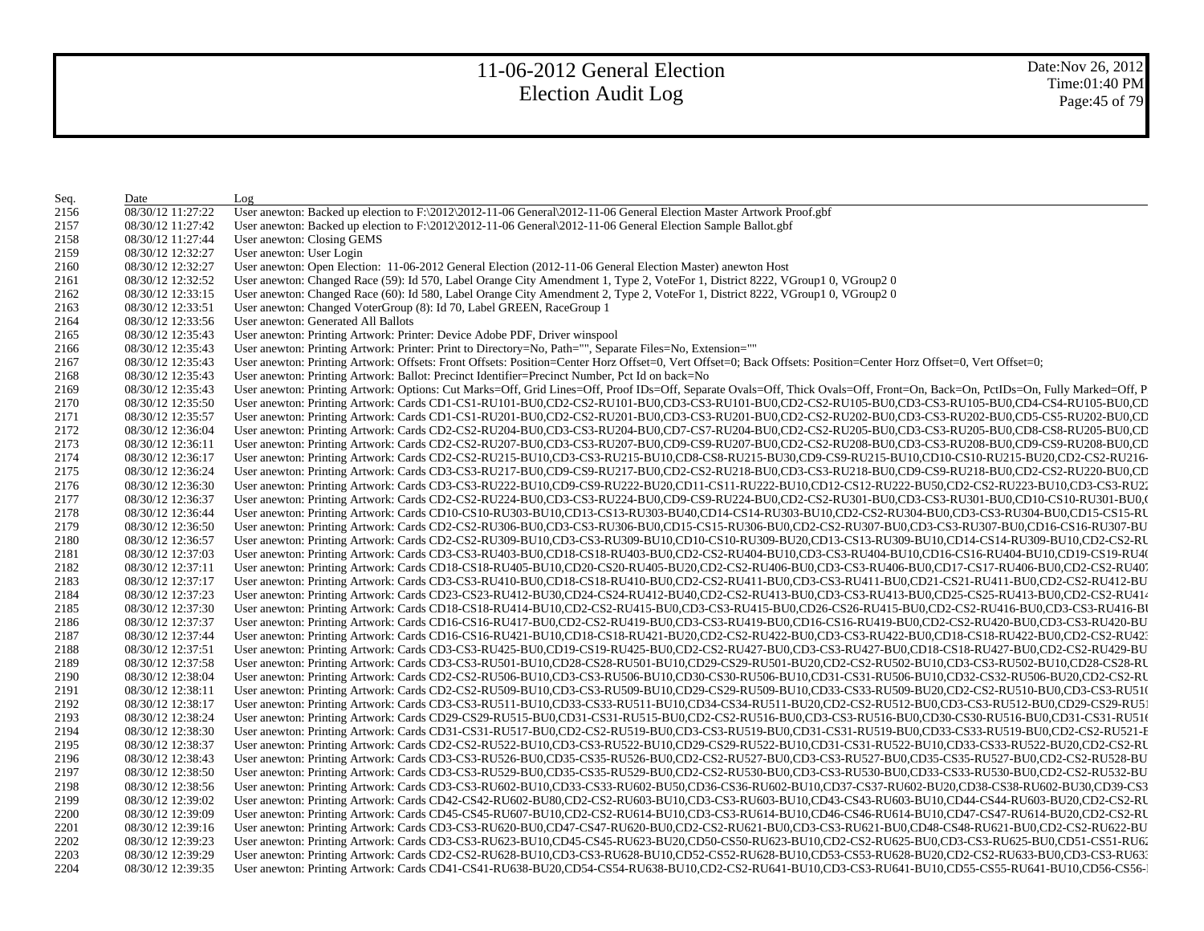| Seq. | Date              | Log                                                                                                                                                                                                                            |
|------|-------------------|--------------------------------------------------------------------------------------------------------------------------------------------------------------------------------------------------------------------------------|
| 2156 | 08/30/12 11:27:22 | User anewton: Backed up election to F:\2012\2012-11-06 General\2012-11-06 General Election Master Artwork Proof.gbf                                                                                                            |
| 2157 | 08/30/12 11:27:42 | User anewton: Backed up election to F:\2012\2012-11-06 General\2012-11-06 General Election Sample Ballot.gbf                                                                                                                   |
| 2158 | 08/30/12 11:27:44 | User anewton: Closing GEMS                                                                                                                                                                                                     |
| 2159 | 08/30/12 12:32:27 | User anewton: User Login                                                                                                                                                                                                       |
| 2160 | 08/30/12 12:32:27 | User anewton: Open Election: 11-06-2012 General Election (2012-11-06 General Election Master) anewton Host                                                                                                                     |
| 2161 | 08/30/12 12:32:52 | User anewton: Changed Race (59): Id 570, Label Orange City Amendment 1, Type 2, VoteFor 1, District 8222, VGroup1 0, VGroup2 0                                                                                                 |
| 2162 | 08/30/12 12:33:15 | User anewton: Changed Race (60): Id 580, Label Orange City Amendment 2, Type 2, VoteFor 1, District 8222, VGroup1 0, VGroup2 0                                                                                                 |
| 2163 | 08/30/12 12:33:51 | User anewton: Changed VoterGroup (8): Id 70, Label GREEN, RaceGroup 1                                                                                                                                                          |
| 2164 | 08/30/12 12:33:56 | User anewton: Generated All Ballots                                                                                                                                                                                            |
| 2165 | 08/30/12 12:35:43 | User anewton: Printing Artwork: Printer: Device Adobe PDF, Driver winspool                                                                                                                                                     |
| 2166 | 08/30/12 12:35:43 | User anewton: Printing Artwork: Printer: Print to Directory=No, Path="", Separate Files=No, Extension=""                                                                                                                       |
| 2167 | 08/30/12 12:35:43 | User anewton: Printing Artwork: Offsets: Front Offsets: Position=Center Horz Offset=0, Vert Offset=0; Back Offsets: Position=Center Horz Offset=0, Vert Offset=0;                                                              |
| 2168 | 08/30/12 12:35:43 | User anewton: Printing Artwork: Ballot: Precinct Identifier=Precinct Number, Pct Id on back=No                                                                                                                                 |
| 2169 | 08/30/12 12:35:43 | User anewton: Printing Artwork: Options: Cut Marks=Off, Grid Lines=Off, Proof IDs=Off, Separate Ovals=Off, Thick Ovals=Off, Front=On, Back=On, PctIDs=On, Fully Marked=Off, P.                                                 |
| 2170 | 08/30/12 12:35:50 | User anewton: Printing Artwork: Cards CD1-CS1-RU101-BU0,CD2-CS2-RU101-BU0,CD3-CS3-RU101-BU0,CD2-CS2-RU105-BU0,CD3-CS3-RU105-BU0,CD4-CS4-RU105-BU0,CD4-CS4-RU105-BU0,CD                                                         |
| 2171 | 08/30/12 12:35:57 | User anewton: Printing Artwork: Cards CD1-CS1-RU201-BU0,CD2-CS2-RU201-BU0,CD3-CS3-RU201-BU0,CD2-CS2-RU202-BU0,CD3-CS3-RU202-BU0,CD5-CS5-RU202-BU0,CD5-CS5-RU202-BU0,CD5                                                        |
| 2172 | 08/30/12 12:36:04 | User anewton: Printing Artwork: Cards CD2-CS2-RU204-BU0,CD3-CS3-RU204-BU0,CD7-CS7-RU204-BU0,CD2-CS2-RU205-BU0,CD3-CS3-RU205-BU0,CD8-CS8-RU205-BU0,CD8-CS8-RU205-BU0,CD8-CS8-RU205-BU0,CD8-CS8-RU205-BU0,CD8-CS8-RU205-BU0,CD8- |
| 2173 | 08/30/12 12:36:11 | User anewton: Printing Artwork: Cards CD2-CS2-RU207-BU0,CD3-CS3-RU207-BU0,CD9-CS9-RU207-BU0,CD2-CS2-RU208-BU0,CD3-CS3-RU208-BU0,CD9-CS9-RU208-BU0,CD9-CS9-RU208-BU0,CD9-CS9-RU208-BU0,CD9-CS9-RU208-BU0,CD9-CS9-RU208-BU0,CD9- |
| 2174 | 08/30/12 12:36:17 | User anewton: Printing Artwork: Cards CD2-CS2-RU215-BU10,CD3-CS3-RU215-BU10,CD8-CS8-RU215-BU30,CD9-CS9-RU215-BU10,CD10-CS10-RU215-BU20,CD2-CS2-RU216-                                                                          |
| 2175 | 08/30/12 12:36:24 | User anewton: Printing Artwork: Cards CD3-CS3-RU217-BU0,CD9-CS9-RU217-BU0,CD2-CS2-RU218-BU0,CD3-CS3-RU218-BU0,CD9-CS9-RU218-BU0,CD2-CS2-RU220-BU0,CD                                                                           |
| 2176 | 08/30/12 12:36:30 | User anewton: Printing Artwork: Cards CD3-CS3-RU222-BU10,CD9-CS9-RU222-BU20,CD11-CS11-RU222-BU10,CD12-CS12-RU222-BU50,CD2-CS2-RU223-BU10,CD3-CS3-RU22                                                                          |
| 2177 | 08/30/12 12:36:37 | User anewton: Printing Artwork: Cards CD2-CS2-RU224-BU0,CD3-CS3-RU224-BU0,CD9-CS9-RU224-BU0,CD2-CS2-RU301-BU0,CD3-CS3-RU301-BU0,CD10-CS10-RU301-BU0,CD10-CS10-RU301-BU0,CD2-CS2-RU301-BU0,CD10-CS10-RU301-BU0,CD2-CS2-RU301-BU |
| 2178 | 08/30/12 12:36:44 | User anewton: Printing Artwork: Cards CD10-CS10-RU303-BU10,CD13-CS13-RU303-BU40,CD14-CS14-RU303-BU10,CD2-CS2-RU304-BU0,CD3-CS3-RU304-BU0,CD15-CS15-RU                                                                          |
| 2179 | 08/30/12 12:36:50 | User anewton: Printing Artwork: Cards CD2-CS2-RU306-BU0,CD3-CS3-RU306-BU0,CD15-CS15-RU306-BU0,CD2-CS2-RU307-BU0,CD3-CS3-RU307-BU0,CD16-CS16-RU307-BU                                                                           |
| 2180 | 08/30/12 12:36:57 | User anewton: Printing Artwork: Cards CD2-CS2-RU309-BU10,CD3-CS3-RU309-BU10,CD10-CS10-RU309-BU20,CD13-CS13-RU309-BU10,CD14-CS14-RU309-BU10,CD2-CS2-RU                                                                          |
| 2181 | 08/30/12 12:37:03 | User anewton: Printing Artwork: Cards CD3-CS3-RU403-BU0,CD18-CS18-RU403-BU0,CD2-CS2-RU404-BU10,CD3-CS3-RU404-BU10,CD16-CS16-RU404-BU10,CD19-CS19-RU404-BU10,CD19-CS19-RU404-BU10,CD19-CS19-RU404-BU10,CD19-CS19-RU404-BU10,CD1 |
| 2182 | 08/30/12 12:37:11 | User anewton: Printing Artwork: Cards CD18-CS18-RU405-BU10,CD20-CS20-RU405-BU20,CD2-CS2-RU406-BU0,CD3-CS3-RU406-BU0,CD17-CS17-RU406-BU0,CD2-CS2-RU407-                                                                         |
| 2183 | 08/30/12 12:37:17 | User anewton: Printing Artwork: Cards CD3-CS3-RU410-BU0,CD18-CS18-RU410-BU0,CD2-CS2-RU411-BU0,CD3-CS3-RU411-BU0,CD21-CS21-RU411-BU0,CD2-CS2-RU411-BU0,CD2-CS2-RU412-BU                                                         |
| 2184 | 08/30/12 12:37:23 | User anewton: Printing Artwork: Cards CD23-CS23-RU412-BU30,CD24-CS24-RU412-BU40,CD2-CS2-RU413-BU0,CD3-CS3-RU413-BU0,CD25-CS25-RU413-BU0,CD2-CS2-RU413-BU0,CD2-CS2-RU413-BU0,CD25-CS25-RU413-BU0,CD2-CS2-RU414                  |
| 2185 | 08/30/12 12:37:30 | User anewton: Printing Artwork: Cards CD18-CS18-RU414-BU10,CD2-CS2-RU415-BU0,CD3-CS3-RU415-BU0,CD26-CS26-RU415-BU0,CD2-CS2-RU416-BU0,CD3-CS3-RU416-BU0,CD3-CS3-RU416-BU                                                        |
| 2186 | 08/30/12 12:37:37 | User anewton: Printing Artwork: Cards CD16-CS16-RU417-BU0,CD2-CS2-RU419-BU0,CD3-CS3-RU419-BU0,CD16-CS16-RU419-BU0,CD2-CS2-RU420-BU0,CD3-CS3-RU420-BU0,CD3-CS3-RU420-BU                                                         |
| 2187 | 08/30/12 12:37:44 | User anewton: Printing Artwork: Cards CD16-CS16-RU421-BU10,CD18-CS18-RU421-BU20,CD2-CS2-RU422-BU0,CD3-CS3-RU422-BU0,CD18-CS18-RU422-BU0,CD2-CS2-RU422-BU0,CD2-CS2-RU422-BU0,CD2-CS2-RU422-BU0,CD2-CS2-RU422-BU0,CD2-CS2-RU422- |
| 2188 | 08/30/12 12:37:51 | User anewton: Printing Artwork: Cards CD3-CS3-RU425-BU0,CD19-CS19-RU425-BU0,CD2-CS2-RU427-BU0,CD3-CS3-RU427-BU0,CD18-CS18-RU427-BU0,CD2-CS2-RU429-BU                                                                           |
| 2189 | 08/30/12 12:37:58 | User anewton: Printing Artwork: Cards CD3-CS3-RU501-BU10,CD28-CS28-RU501-BU10,CD29-CS29-RU501-BU20,CD2-CS2-RU502-BU10,CD3-CS3-RU502-BU10,CD28-CS28-RU502-BU10,CD28-CS28-RU502-BU10,CD28-CS28-RU502-BU10,CD28-CS28-RU502-BU10,C |
| 2190 | 08/30/12 12:38:04 | User anewton: Printing Artwork: Cards CD2-CS2-RU506-BU10,CD3-CS3-RU506-BU10,CD30-CS30-RU506-BU10,CD31-CS31-RU506-BU10,CD32-CS32-RU506-BU20,CD2-CS2-RU                                                                          |
| 2191 | 08/30/12 12:38:11 | User anewton: Printing Artwork: Cards CD2-CS2-RU509-BU10,CD3-CS3-RU509-BU10,CD29-CS29-RU509-BU10,CD33-CS33-RU509-BU20,CD2-CS2-RU510-BU0,CD3-CS3-RU510                                                                          |
| 2192 | 08/30/12 12:38:17 | User anewton: Printing Artwork: Cards CD3-CS3-RU511-BU10,CD33-CS33-RU511-BU10,CD34-CS34-RU511-BU20,CD2-CS2-RU512-BU0,CD3-CS3-RU512-BU0,CD29-CS29-RU512-BU0,CD29-CS29-RU512-BU0,CD29-CS29-RU512-BU0,CD29-CS29-RU512-BU0,CD29-CS |
| 2193 | 08/30/12 12:38:24 | User anewton: Printing Artwork: Cards CD29-CS29-RU515-BU0,CD31-CS31-RU515-BU0,CD2-CS2-RU516-BU0,CD3-CS3-RU516-BU0,CD30-CS30-RU516-BU0,CD31-CS31-RU516                                                                          |
| 2194 | 08/30/12 12:38:30 | User anewton: Printing Artwork: Cards CD31-CS31-RU517-BU0,CD2-CS2-RU519-BU0,CD3-CS3-RU519-BU0,CD31-CS31-RU519-BU0,CD33-CS33-RU519-BU0,CD2-CS2-RU521-E                                                                          |
| 2195 | 08/30/12 12:38:37 | User anewton: Printing Artwork: Cards CD2-CS2-RU522-BU10,CD3-CS3-RU522-BU10,CD29-CS29-RU522-BU10,CD31-CS31-RU522-BU10,CD33-CS33-RU522-BU20,CD2-CS2-RU                                                                          |
| 2196 | 08/30/12 12:38:43 | User anewton: Printing Artwork: Cards CD3-CS3-RU526-BU0,CD35-CS35-RU526-BU0,CD2-CS2-RU527-BU0,CD3-CS3-RU527-BU0,CD35-CS35-RU527-BU0,CD2-CS2-RU528-BU                                                                           |
| 2197 | 08/30/12 12:38:50 | User anewton: Printing Artwork: Cards CD3-CS3-RU529-BU0,CD35-CS35-RU529-BU0,CD2-CS2-RU530-BU0,CD3-CS3-RU530-BU0,CD33-CS33-RU530-BU0,CD2-CS2-RU530-BU0,CD2-CS2-RU530-BU0,CD2-CS2-RU530-BU0,CD2-CS2-RU530-BU0,CD2-CS2-RU530-BU0, |
| 2198 | 08/30/12 12:38:56 | User anewton: Printing Artwork: Cards CD3-CS3-RU602-BU10,CD33-CS33-RU602-BU50,CD36-CS36-RU602-BU10,CD37-CS37-RU602-BU20,CD38-CS38-RU602-BU30,CD39-CS3                                                                          |
| 2199 | 08/30/12 12:39:02 | User anewton: Printing Artwork: Cards CD42-CS42-RU602-BU80,CD2-CS2-RU603-BU10,CD3-CS3-RU603-BU10,CD43-CS43-RU603-BU10,CD44-CS44-RU603-BU20,CD2-CS2-RU                                                                          |
| 2200 | 08/30/12 12:39:09 | User anewton: Printing Artwork: Cards CD45-CS45-RU607-BU10,CD2-CS2-RU614-BU10,CD3-CS3-RU614-BU10,CD46-CS46-RU614-BU10,CD47-CS47-RU614-BU20,CD2-CS2-RU514-BU20,CD2-CS2-RU514-BU20,CD2-CS2-RU514-BU20,CD2-CS2-RU514-BU20,CD2-CS2 |
| 2201 | 08/30/12 12:39:16 | User anewton: Printing Artwork: Cards CD3-CS3-RU620-BU0,CD47-CS47-RU620-BU0,CD2-CS2-RU621-BU0,CD3-CS3-RU621-BU0,CD48-CS48-RU621-BU0,CD2-CS2-RU622-BU                                                                           |
| 2202 | 08/30/12 12:39:23 | User anewton: Printing Artwork: Cards CD3-CS3-RU623-BU10,CD45-CS45-RU623-BU20,CD50-CS50-RU623-BU10,CD2-CS2-RU625-BU0,CD3-CS3-RU625-BU0,CD51-CS51-RU625-BU0,CD51-CS51-RU625-BU0,CD51-CS51-RU625-BU0,CD51-CS51-RU625-BU0,CD51-CS |
| 2203 | 08/30/12 12:39:29 | User anewton: Printing Artwork: Cards CD2-CS2-RU628-BU10,CD3-CS3-RU628-BU10,CD52-CS52-RU628-BU10,CD53-CS53-RU628-BU20,CD2-CS2-RU633-BU0,CD3-CS3-RU633-BU0,CD3-CS3-RU633-BU0,CD3-CS3-RU633-BU0,CD3-CS3-RU633-BU0,CD3-CS3-RU633- |
| 2204 | 08/30/12 12:39:35 | User anewton: Printing Artwork: Cards CD41-CS41-RU638-BU20,CD54-CS54-RU638-BU10,CD2-CS2-RU641-BU10,CD3-CS3-RU641-BU10,CD55-CS55-RU641-BU10,CD56-CS56-                                                                          |
|      |                   |                                                                                                                                                                                                                                |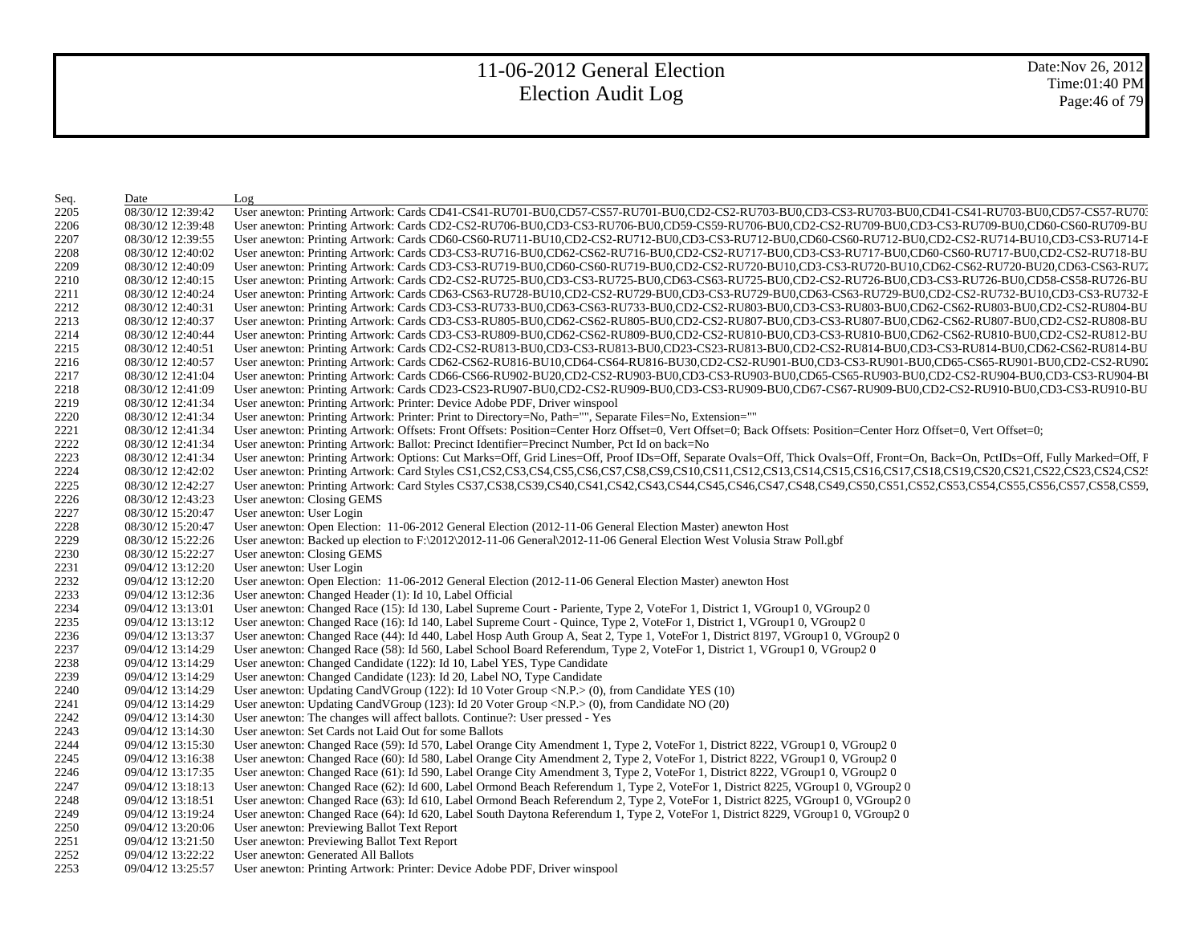Date:Nov 26, 2012 Time:01:40 PM Page:46 of 79

| Seq. | Date              | Log                                                                                                                                                                                                                            |
|------|-------------------|--------------------------------------------------------------------------------------------------------------------------------------------------------------------------------------------------------------------------------|
| 2205 | 08/30/12 12:39:42 | User anewton: Printing Artwork: Cards CD41-CS41-RU701-BU0,CD57-CS57-RU701-BU0,CD2-CS2-RU703-BU0,CD3-CS3-RU703-BU0,CD41-CS41-RU703-BU0,CD57-CS57-RU703-                                                                         |
| 2206 | 08/30/12 12:39:48 | User anewton: Printing Artwork: Cards CD2-CS2-RU706-BU0,CD3-CS3-RU706-BU0,CD59-CS59-RU706-BU0,CD2-CS2-RU709-BU0,CD3-CS3-RU709-BU0,CD60-CS60-RU709-BU                                                                           |
| 2207 | 08/30/12 12:39:55 | User anewton: Printing Artwork: Cards CD60-CS60-RU711-BU10,CD2-CS2-RU712-BU0,CD3-CS3-RU712-BU0,CD60-CS60-RU712-BU0,CD2-CS2-RU714-BU10,CD3-CS3-RU714-F                                                                          |
| 2208 | 08/30/12 12:40:02 | User anewton: Printing Artwork: Cards CD3-CS3-RU716-BU0,CD62-CS62-RU716-BU0,CD2-CS2-RU717-BU0,CD3-CS3-RU717-BU0,CD60-CS60-RU717-BU0,CD2-CS2-RU718-BU                                                                           |
| 2209 | 08/30/12 12:40:09 | User anewton: Printing Artwork: Cards CD3-CS3-RU719-BU0,CD60-CS60-RU719-BU0,CD2-CS2-RU720-BU10,CD3-CS3-RU720-BU10,CD62-CS62-RU720-BU20,CD63-CS63-RU720-BU20,CD63-CS63-RU720-BU20,CD63-CS63-RU720-BU20,CD63-CS63-RU720-BU20,CD6 |
| 2210 | 08/30/12 12:40:15 | User anewton: Printing Artwork: Cards CD2-CS2-RU725-BU0,CD3-CS3-RU725-BU0,CD63-CS63-RU725-BU0,CD2-CS2-RU726-BU0,CD3-CS3-RU726-BU0,CD58-CS58-RU726-BU0,CD58-CS58-RU726-BU                                                       |
| 2211 | 08/30/12 12:40:24 | User anewton: Printing Artwork: Cards CD63-CS63-RU728-BU10,CD2-CS2-RU729-BU0,CD3-CS3-RU729-BU0,CD63-CS63-RU729-BU0,CD2-CS2-RU732-BU10,CD3-CS3-RU732-E                                                                          |
| 2212 | 08/30/12 12:40:31 | User anewton: Printing Artwork: Cards CD3-CS3-RU733-BU0,CD63-CS63-RU733-BU0,CD2-CS2-RU803-BU0,CD3-CS3-RU803-BU0,CD62-CS62-RU803-BU0,CD2-CS2-RU804-BU                                                                           |
| 2213 | 08/30/12 12:40:37 | User anewton: Printing Artwork: Cards CD3-CS3-RU805-BU0,CD62-CS62-RU805-BU0,CD2-CS2-RU807-BU0,CD3-CS3-RU807-BU0,CD62-CS62-RU807-BU0,CD2-CS2-RU807-BU0,CD2-CS2-RU808-BU                                                         |
| 2214 | 08/30/12 12:40:44 | User anewton: Printing Artwork: Cards CD3-CS3-RU809-BU0,CD62-CS62-RU809-BU0,CD2-CS2-RU810-BU0,CD3-CS3-RU810-BU0,CD62-CS62-RU810-BU0,CD2-CS2-RU810-BU0,CD2-CS2-RU812-BU                                                         |
| 2215 | 08/30/12 12:40:51 | User anewton: Printing Artwork: Cards CD2-CS2-RU813-BU0,CD3-CS3-RU813-BU0,CD23-CS23-RU813-BU0,CD2-CS2-RU814-BU0,CD3-CS3-RU814-BU0,CD62-CS62-RU814-BU0,CD62-CS62-RU814-BU0,CD62-CS62-RU814-BU0,CD62-CS62-RU814-BU0,CD62-CS62-RU |
| 2216 | 08/30/12 12:40:57 | User anewton: Printing Artwork: Cards CD62-CS62-RU816-BU10,CD64-CS64-RU816-BU30,CD2-CS2-RU901-BU0,CD3-CS3-RU901-BU0,CD65-CS65-RU901-BU0,CD2-CS2-RU902-CS2-RU902-CS2-RU902-CS2-RU902-CS2-RU902-CS2-RU902-CS2-RU902-CS2-RU902-CS |
| 2217 | 08/30/12 12:41:04 | User anewton: Printing Artwork: Cards CD66-CS66-RU902-BU20,CD2-CS2-RU903-BU0,CD3-CS3-RU903-BU0,CD65-CS65-RU903-BU0,CD2-CS2-RU904-BU0,CD3-CS3-RU904-BU0,CD3-CS3-RU904-BU                                                        |
| 2218 | 08/30/12 12:41:09 | User anewton: Printing Artwork: Cards CD23-CS23-RU907-BU0,CD2-CS2-RU909-BU0,CD3-CS3-RU909-BU0,CD67-CS67-RU909-BU0,CD2-CS2-RU910-BU0,CD3-CS3-RU910-BU0,CD3-CS3-RU910-BU0,CD3-CS3-RU910-BU0,CD3-CS3-RU910-BU0,CD3-CS3-RU910-BU0, |
| 2219 | 08/30/12 12:41:34 | User anewton: Printing Artwork: Printer: Device Adobe PDF, Driver winspool                                                                                                                                                     |
| 2220 | 08/30/12 12:41:34 | User anewton: Printing Artwork: Printer: Print to Directory=No, Path="", Separate Files=No, Extension=""                                                                                                                       |
| 2221 | 08/30/12 12:41:34 | User anewton: Printing Artwork: Offsets: Front Offsets: Position=Center Horz Offset=0, Vert Offset=0; Back Offsets: Position=Center Horz Offset=0, Vert Offset=0;                                                              |
| 2222 | 08/30/12 12:41:34 | User anewton: Printing Artwork: Ballot: Precinct Identifier=Precinct Number, Pct Id on back=No                                                                                                                                 |
| 2223 | 08/30/12 12:41:34 | User anewton: Printing Artwork: Options: Cut Marks=Off, Grid Lines=Off, Proof IDs=Off, Separate Ovals=Off, Thick Ovals=Off, Front=On, Back=On, PctIDs=Off, Fully Marked=Off, F                                                 |
| 2224 | 08/30/12 12:42:02 | User anewton: Printing Artwork: Card Styles CS1,CS2,CS3,CS4,CS5,CS6,CS7,CS8,CS9,CS10,CS11,CS12,CS13,CS14,CS15,CS16,CS17,CS18,CS19,CS20,CS21,CS22,CS23,CS24,CS2:                                                                |
| 2225 | 08/30/12 12:42:27 | User anewton: Printing Artwork: Card Styles CS37,CS38,CS39,CS40,CS41,CS42,CS43,CS44,CS45,CS46,CS47,CS48,CS49,CS50,CS51,CS52,CS53,CS54,CS55,CS56,CS57,CS58,CS59,                                                                |
| 2226 | 08/30/12 12:43:23 | User anewton: Closing GEMS                                                                                                                                                                                                     |
| 2227 | 08/30/12 15:20:47 | User anewton: User Login                                                                                                                                                                                                       |
| 2228 | 08/30/12 15:20:47 | User anewton: Open Election: 11-06-2012 General Election (2012-11-06 General Election Master) anewton Host                                                                                                                     |
| 2229 | 08/30/12 15:22:26 | User anewton: Backed up election to $F:\2012\2012-11-06$ General $2012-11-06$ General Election West Volusia Straw Poll.gbf                                                                                                     |
| 2230 | 08/30/12 15:22:27 | User anewton: Closing GEMS                                                                                                                                                                                                     |
| 2231 | 09/04/12 13:12:20 | User anewton: User Login                                                                                                                                                                                                       |
| 2232 | 09/04/12 13:12:20 | User anewton: Open Election: 11-06-2012 General Election (2012-11-06 General Election Master) anewton Host                                                                                                                     |
| 2233 | 09/04/12 13:12:36 | User anewton: Changed Header (1): Id 10, Label Official                                                                                                                                                                        |
| 2234 | 09/04/12 13:13:01 | User anewton: Changed Race (15): Id 130, Label Supreme Court - Pariente, Type 2, VoteFor 1, District 1, VGroup1 0, VGroup2 0                                                                                                   |
| 2235 | 09/04/12 13:13:12 | User anewton: Changed Race (16): Id 140, Label Supreme Court - Quince, Type 2, VoteFor 1, District 1, VGroup1 0, VGroup2 0                                                                                                     |
| 2236 | 09/04/12 13:13:37 | User anewton: Changed Race (44): Id 440, Label Hosp Auth Group A, Seat 2, Type 1, VoteFor 1, District 8197, VGroup1 0, VGroup2 0                                                                                               |
| 2237 | 09/04/12 13:14:29 | User anewton: Changed Race (58): Id 560, Label School Board Referendum, Type 2, VoteFor 1, District 1, VGroup1 0, VGroup2 0                                                                                                    |
| 2238 | 09/04/12 13:14:29 | User anewton: Changed Candidate (122): Id 10, Label YES, Type Candidate                                                                                                                                                        |
| 2239 | 09/04/12 13:14:29 | User anewton: Changed Candidate (123): Id 20, Label NO, Type Candidate                                                                                                                                                         |
| 2240 | 09/04/12 13:14:29 | User anewton: Updating CandVGroup (122): Id 10 Voter Group <n.p.> (0), from Candidate YES (10)</n.p.>                                                                                                                          |
| 2241 | 09/04/12 13:14:29 | User anewton: Updating CandVGroup (123): Id 20 Voter Group <n.p.> (0), from Candidate NO (20)</n.p.>                                                                                                                           |
| 2242 | 09/04/12 13:14:30 | User anewton: The changes will affect ballots. Continue?: User pressed - Yes                                                                                                                                                   |
| 2243 | 09/04/12 13:14:30 | User anewton: Set Cards not Laid Out for some Ballots                                                                                                                                                                          |
| 2244 | 09/04/12 13:15:30 | User anewton: Changed Race (59): Id 570, Label Orange City Amendment 1, Type 2, VoteFor 1, District 8222, VGroup1 0, VGroup2 0                                                                                                 |
| 2245 | 09/04/12 13:16:38 | User anewton: Changed Race (60): Id 580, Label Orange City Amendment 2, Type 2, VoteFor 1, District 8222, VGroup1 0, VGroup2 0                                                                                                 |
| 2246 | 09/04/12 13:17:35 | User anewton: Changed Race (61): Id 590, Label Orange City Amendment 3, Type 2, VoteFor 1, District 8222, VGroup1 0, VGroup2 0                                                                                                 |
| 2247 | 09/04/12 13:18:13 | User anewton: Changed Race (62): Id 600, Label Ormond Beach Referendum 1, Type 2, VoteFor 1, District 8225, VGroup1 0, VGroup2 0                                                                                               |
| 2248 | 09/04/12 13:18:51 | User anewton: Changed Race (63): Id 610, Label Ormond Beach Referendum 2, Type 2, VoteFor 1, District 8225, VGroup1 0, VGroup2 0                                                                                               |
| 2249 | 09/04/12 13:19:24 | User anewton: Changed Race (64): Id 620, Label South Daytona Referendum 1, Type 2, VoteFor 1, District 8229, VGroup1 0, VGroup2 0                                                                                              |
| 2250 | 09/04/12 13:20:06 | User anewton: Previewing Ballot Text Report                                                                                                                                                                                    |
| 2251 | 09/04/12 13:21:50 | User anewton: Previewing Ballot Text Report                                                                                                                                                                                    |
| 2252 | 09/04/12 13:22:22 | User anewton: Generated All Ballots                                                                                                                                                                                            |
| 2253 | 09/04/12 13:25:57 | User anewton: Printing Artwork: Printer: Device Adobe PDF, Driver winspool                                                                                                                                                     |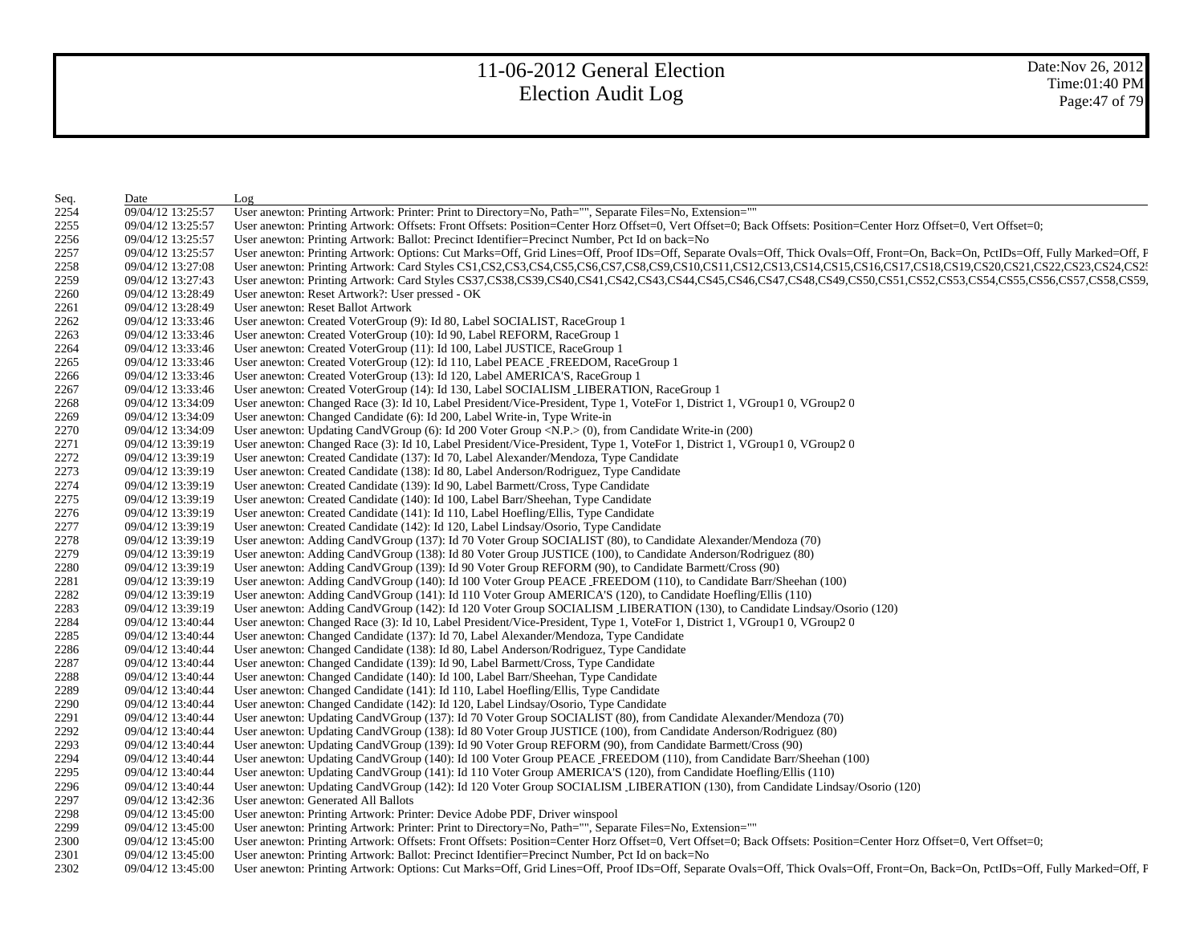| Seq. | Date              | Log                                                                                                                                                                            |
|------|-------------------|--------------------------------------------------------------------------------------------------------------------------------------------------------------------------------|
| 2254 | 09/04/12 13:25:57 | User anewton: Printing Artwork: Printer: Print to Directory=No, Path="", Separate Files=No, Extension=""                                                                       |
| 2255 | 09/04/12 13:25:57 | User anewton: Printing Artwork: Offsets: Front Offsets: Position=Center Horz Offset=0, Vert Offset=0; Back Offsets: Position=Center Horz Offset=0, Vert Offset=0;              |
| 2256 | 09/04/12 13:25:57 | User anewton: Printing Artwork: Ballot: Precinct Identifier=Precinct Number, Pct Id on back=No                                                                                 |
| 2257 | 09/04/12 13:25:57 | User anewton: Printing Artwork: Options: Cut Marks=Off, Grid Lines=Off, Proof IDs=Off, Separate Ovals=Off, Thick Ovals=Off, Front=On, Back=On, PctIDs=Off, Fully Marked=Off, F |
| 2258 | 09/04/12 13:27:08 | User anewton: Printing Artwork: Card Styles CS1,CS2,CS3,CS4,CS5,CS6,CS7,CS8,CS9,CS10,CS11,CS12,CS13,CS14,CS15,CS16,CS17,CS18,CS19,CS20,CS21,CS22,CS23,CS24,CS2:                |
| 2259 | 09/04/12 13:27:43 | User anewton: Printing Artwork: Card Styles CS37,CS38,CS39,CS40,CS41,CS42,CS43,CS44,CS45,CS46,CS47,CS48,CS49,CS50,CS51,CS52,CS53,CS54,CS55,CS56,CS57,CS58,CS59,                |
| 2260 | 09/04/12 13:28:49 | User anewton: Reset Artwork?: User pressed - OK                                                                                                                                |
| 2261 | 09/04/12 13:28:49 | User anewton: Reset Ballot Artwork                                                                                                                                             |
| 2262 | 09/04/12 13:33:46 | User anewton: Created VoterGroup (9): Id 80, Label SOCIALIST, RaceGroup 1                                                                                                      |
| 2263 | 09/04/12 13:33:46 | User anewton: Created VoterGroup (10): Id 90, Label REFORM, RaceGroup 1                                                                                                        |
| 2264 | 09/04/12 13:33:46 | User anewton: Created VoterGroup (11): Id 100, Label JUSTICE, RaceGroup 1                                                                                                      |
| 2265 | 09/04/12 13:33:46 | User anewton: Created VoterGroup (12): Id 110, Label PEACE_FREEDOM, RaceGroup 1                                                                                                |
| 2266 | 09/04/12 13:33:46 | User anewton: Created VoterGroup (13): Id 120, Label AMERICA'S, RaceGroup 1                                                                                                    |
| 2267 | 09/04/12 13:33:46 | User anewton: Created VoterGroup (14): Id 130, Label SOCIALISM_LIBERATION, RaceGroup 1                                                                                         |
| 2268 | 09/04/12 13:34:09 | User anewton: Changed Race (3): Id 10, Label President/Vice-President, Type 1, VoteFor 1, District 1, VGroup1 0, VGroup2 0                                                     |
| 2269 | 09/04/12 13:34:09 | User anewton: Changed Candidate (6): Id 200, Label Write-in, Type Write-in                                                                                                     |
| 2270 | 09/04/12 13:34:09 | User anewton: Updating CandVGroup (6): Id 200 Voter Group <n.p.> (0), from Candidate Write-in (200)</n.p.>                                                                     |
| 2271 | 09/04/12 13:39:19 | User anewton: Changed Race (3): Id 10, Label President/Vice-President, Type 1, VoteFor 1, District 1, VGroup1 0, VGroup2 0                                                     |
| 2272 | 09/04/12 13:39:19 | User anewton: Created Candidate (137): Id 70, Label Alexander/Mendoza, Type Candidate                                                                                          |
| 2273 | 09/04/12 13:39:19 | User anewton: Created Candidate (138): Id 80, Label Anderson/Rodriguez, Type Candidate                                                                                         |
| 2274 | 09/04/12 13:39:19 | User anewton: Created Candidate (139): Id 90, Label Barmett/Cross, Type Candidate                                                                                              |
| 2275 | 09/04/12 13:39:19 | User anewton: Created Candidate (140): Id 100, Label Barr/Sheehan, Type Candidate                                                                                              |
| 2276 | 09/04/12 13:39:19 | User anewton: Created Candidate (141): Id 110, Label Hoefling/Ellis, Type Candidate                                                                                            |
| 2277 | 09/04/12 13:39:19 | User anewton: Created Candidate (142): Id 120, Label Lindsay/Osorio, Type Candidate                                                                                            |
| 2278 | 09/04/12 13:39:19 | User anewton: Adding CandVGroup (137): Id 70 Voter Group SOCIALIST (80), to Candidate Alexander/Mendoza (70)                                                                   |
| 2279 | 09/04/12 13:39:19 | User anewton: Adding CandVGroup (138): Id 80 Voter Group JUSTICE (100), to Candidate Anderson/Rodriguez (80)                                                                   |
| 2280 | 09/04/12 13:39:19 | User anewton: Adding CandVGroup (139): Id 90 Voter Group REFORM (90), to Candidate Barmett/Cross (90)                                                                          |
| 2281 | 09/04/12 13:39:19 | User anewton: Adding CandVGroup (140): Id 100 Voter Group PEACE_FREEDOM (110), to Candidate Barr/Sheehan (100)                                                                 |
| 2282 | 09/04/12 13:39:19 | User anewton: Adding CandVGroup (141): Id 110 Voter Group AMERICA'S (120), to Candidate Hoefling/Ellis (110)                                                                   |
| 2283 | 09/04/12 13:39:19 | User anewton: Adding CandVGroup (142): Id 120 Voter Group SOCIALISM_LIBERATION (130), to Candidate Lindsay/Osorio (120)                                                        |
| 2284 | 09/04/12 13:40:44 | User anewton: Changed Race (3): Id 10, Label President/Vice-President, Type 1, VoteFor 1, District 1, VGroup1 0, VGroup2 0                                                     |
| 2285 | 09/04/12 13:40:44 | User anewton: Changed Candidate (137): Id 70, Label Alexander/Mendoza, Type Candidate                                                                                          |
| 2286 | 09/04/12 13:40:44 | User anewton: Changed Candidate (138): Id 80, Label Anderson/Rodriguez, Type Candidate                                                                                         |
| 2287 | 09/04/12 13:40:44 | User anewton: Changed Candidate (139): Id 90, Label Barmett/Cross, Type Candidate                                                                                              |
| 2288 | 09/04/12 13:40:44 | User anewton: Changed Candidate (140): Id 100, Label Barr/Sheehan, Type Candidate                                                                                              |
| 2289 | 09/04/12 13:40:44 | User anewton: Changed Candidate (141): Id 110, Label Hoefling/Ellis, Type Candidate                                                                                            |
| 2290 | 09/04/12 13:40:44 | User anewton: Changed Candidate (142): Id 120, Label Lindsay/Osorio, Type Candidate                                                                                            |
| 2291 | 09/04/12 13:40:44 | User anewton: Updating CandVGroup (137): Id 70 Voter Group SOCIALIST (80), from Candidate Alexander/Mendoza (70)                                                               |
| 2292 | 09/04/12 13:40:44 | User anewton: Updating CandVGroup (138): Id 80 Voter Group JUSTICE (100), from Candidate Anderson/Rodriguez (80)                                                               |
| 2293 | 09/04/12 13:40:44 | User anewton: Updating CandVGroup (139): Id 90 Voter Group REFORM (90), from Candidate Barmett/Cross (90)                                                                      |
| 2294 | 09/04/12 13:40:44 | User anewton: Updating CandVGroup (140): Id 100 Voter Group PEACE_FREEDOM (110), from Candidate Barr/Sheehan (100)                                                             |
| 2295 | 09/04/12 13:40:44 | User anewton: Updating CandVGroup (141): Id 110 Voter Group AMERICA'S (120), from Candidate Hoefling/Ellis (110)                                                               |
| 2296 | 09/04/12 13:40:44 | User anewton: Updating CandVGroup (142): Id 120 Voter Group SOCIALISM_LIBERATION (130), from Candidate Lindsay/Osorio (120)                                                    |
| 2297 | 09/04/12 13:42:36 | User anewton: Generated All Ballots                                                                                                                                            |
| 2298 | 09/04/12 13:45:00 | User anewton: Printing Artwork: Printer: Device Adobe PDF, Driver winspool                                                                                                     |
| 2299 | 09/04/12 13:45:00 | User anewton: Printing Artwork: Printer: Print to Directory=No, Path="", Separate Files=No, Extension=""                                                                       |
| 2300 | 09/04/12 13:45:00 | User anewton: Printing Artwork: Offsets: Front Offsets: Position=Center Horz Offset=0, Vert Offset=0; Back Offsets: Position=Center Horz Offset=0, Vert Offset=0;              |
| 2301 | 09/04/12 13:45:00 | User anewton: Printing Artwork: Ballot: Precinct Identifier=Precinct Number, Pct Id on back=No                                                                                 |
| 2302 | 09/04/12 13:45:00 | User anewton: Printing Artwork: Options: Cut Marks=Off, Grid Lines=Off, Proof IDs=Off, Separate Ovals=Off, Thick Ovals=Off, Front=On, Back=On, PctIDs=Off, Fully Marked=Off, F |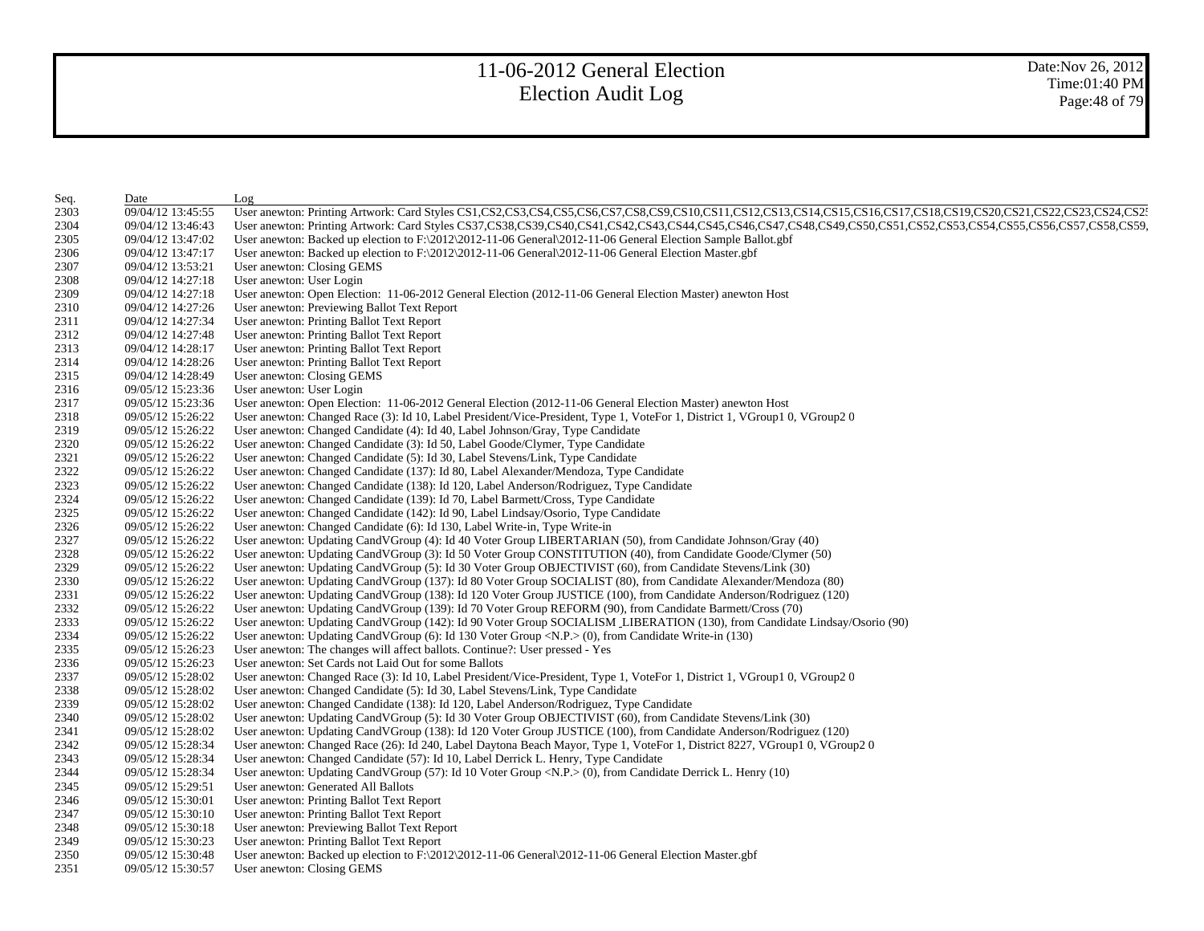| Seq. | Date              | Log                                                                                                                                                             |
|------|-------------------|-----------------------------------------------------------------------------------------------------------------------------------------------------------------|
| 2303 | 09/04/12 13:45:55 | User anewton: Printing Artwork: Card Styles CS1,CS2,CS3,CS4,CS5,CS6,CS7,CS8,CS9,CS10,CS11,CS12,CS13,CS14,CS15,CS16,CS17,CS18,CS19,CS20,CS21,CS22,CS23,CS24,CS2; |
| 2304 | 09/04/12 13:46:43 | User anewton: Printing Artwork: Card Styles CS37,CS38,CS39,CS40,CS41,CS42,CS43,CS44,CS45,CS46,CS47,CS48,CS49,CS50,CS51,CS52,CS53,CS54,CS55,CS56,CS57,CS58,CS59, |
| 2305 | 09/04/12 13:47:02 | User anewton: Backed up election to F:\2012\2012-11-06 General\2012-11-06 General Election Sample Ballot.gbf                                                    |
| 2306 | 09/04/12 13:47:17 | User anewton: Backed up election to $F:\2012\t2012-11-06$ General $\2012-11-06$ General Election Master.gbf                                                     |
| 2307 | 09/04/12 13:53:21 | User anewton: Closing GEMS                                                                                                                                      |
| 2308 | 09/04/12 14:27:18 | User anewton: User Login                                                                                                                                        |
| 2309 | 09/04/12 14:27:18 | User anewton: Open Election: 11-06-2012 General Election (2012-11-06 General Election Master) anewton Host                                                      |
| 2310 | 09/04/12 14:27:26 | User anewton: Previewing Ballot Text Report                                                                                                                     |
| 2311 | 09/04/12 14:27:34 | User anewton: Printing Ballot Text Report                                                                                                                       |
| 2312 | 09/04/12 14:27:48 | User anewton: Printing Ballot Text Report                                                                                                                       |
| 2313 | 09/04/12 14:28:17 | User anewton: Printing Ballot Text Report                                                                                                                       |
| 2314 | 09/04/12 14:28:26 | User anewton: Printing Ballot Text Report                                                                                                                       |
| 2315 | 09/04/12 14:28:49 | User anewton: Closing GEMS                                                                                                                                      |
| 2316 | 09/05/12 15:23:36 | User anewton: User Login                                                                                                                                        |
| 2317 | 09/05/12 15:23:36 | User anewton: Open Election: 11-06-2012 General Election (2012-11-06 General Election Master) anewton Host                                                      |
| 2318 | 09/05/12 15:26:22 | User anewton: Changed Race (3): Id 10, Label President/Vice-President, Type 1, VoteFor 1, District 1, VGroup1 0, VGroup2 0                                      |
| 2319 | 09/05/12 15:26:22 | User anewton: Changed Candidate (4): Id 40, Label Johnson/Gray, Type Candidate                                                                                  |
| 2320 | 09/05/12 15:26:22 | User anewton: Changed Candidate (3): Id 50, Label Goode/Clymer, Type Candidate                                                                                  |
| 2321 | 09/05/12 15:26:22 | User anewton: Changed Candidate (5): Id 30, Label Stevens/Link, Type Candidate                                                                                  |
| 2322 | 09/05/12 15:26:22 | User anewton: Changed Candidate (137): Id 80, Label Alexander/Mendoza, Type Candidate                                                                           |
| 2323 | 09/05/12 15:26:22 | User anewton: Changed Candidate (138): Id 120, Label Anderson/Rodriguez, Type Candidate                                                                         |
| 2324 | 09/05/12 15:26:22 | User anewton: Changed Candidate (139): Id 70, Label Barmett/Cross, Type Candidate                                                                               |
| 2325 | 09/05/12 15:26:22 | User anewton: Changed Candidate (142): Id 90, Label Lindsay/Osorio, Type Candidate                                                                              |
| 2326 | 09/05/12 15:26:22 | User anewton: Changed Candidate (6): Id 130, Label Write-in, Type Write-in                                                                                      |
| 2327 | 09/05/12 15:26:22 | User anewton: Updating CandVGroup (4): Id 40 Voter Group LIBERTARIAN (50), from Candidate Johnson/Gray (40)                                                     |
| 2328 | 09/05/12 15:26:22 | User anewton: Updating CandVGroup (3): Id 50 Voter Group CONSTITUTION (40), from Candidate Goode/Clymer (50)                                                    |
| 2329 | 09/05/12 15:26:22 | User anewton: Updating CandVGroup (5): Id 30 Voter Group OBJECTIVIST (60), from Candidate Stevens/Link (30)                                                     |
| 2330 | 09/05/12 15:26:22 | User anewton: Updating CandVGroup (137): Id 80 Voter Group SOCIALIST (80), from Candidate Alexander/Mendoza (80)                                                |
| 2331 | 09/05/12 15:26:22 | User anewton: Updating CandVGroup (138): Id 120 Voter Group JUSTICE (100), from Candidate Anderson/Rodriguez (120)                                              |
| 2332 | 09/05/12 15:26:22 | User anewton: Updating CandVGroup (139): Id 70 Voter Group REFORM (90), from Candidate Barmett/Cross (70)                                                       |
| 2333 | 09/05/12 15:26:22 | User anewton: Updating CandVGroup (142): Id 90 Voter Group SOCIALISM LIBERATION (130), from Candidate Lindsay/Osorio (90)                                       |
| 2334 | 09/05/12 15:26:22 | User anewton: Updating CandVGroup (6): Id 130 Voter Group < $N.P$ > (0), from Candidate Write-in (130)                                                          |
| 2335 | 09/05/12 15:26:23 | User anewton: The changes will affect ballots. Continue?: User pressed - Yes                                                                                    |
| 2336 | 09/05/12 15:26:23 | User anewton: Set Cards not Laid Out for some Ballots                                                                                                           |
| 2337 | 09/05/12 15:28:02 | User anewton: Changed Race (3): Id 10, Label President/Vice-President, Type 1, VoteFor 1, District 1, VGroup1 0, VGroup2 0                                      |
| 2338 | 09/05/12 15:28:02 | User anewton: Changed Candidate (5): Id 30, Label Stevens/Link, Type Candidate                                                                                  |
| 2339 | 09/05/12 15:28:02 | User anewton: Changed Candidate (138): Id 120, Label Anderson/Rodriguez, Type Candidate                                                                         |
| 2340 | 09/05/12 15:28:02 | User anewton: Updating CandVGroup (5): Id 30 Voter Group OBJECTIVIST (60), from Candidate Stevens/Link (30)                                                     |
| 2341 | 09/05/12 15:28:02 | User anewton: Updating CandVGroup (138): Id 120 Voter Group JUSTICE (100), from Candidate Anderson/Rodriguez (120)                                              |
| 2342 | 09/05/12 15:28:34 | User anewton: Changed Race (26): Id 240, Label Daytona Beach Mayor, Type 1, VoteFor 1, District 8227, VGroup1 0, VGroup2 0                                      |
| 2343 | 09/05/12 15:28:34 | User anewton: Changed Candidate (57): Id 10, Label Derrick L. Henry, Type Candidate                                                                             |
| 2344 | 09/05/12 15:28:34 | User anewton: Updating CandVGroup (57): Id 10 Voter Group <n.p.> (0), from Candidate Derrick L. Henry (10)</n.p.>                                               |
| 2345 | 09/05/12 15:29:51 | User anewton: Generated All Ballots                                                                                                                             |
| 2346 | 09/05/12 15:30:01 | User anewton: Printing Ballot Text Report                                                                                                                       |
| 2347 | 09/05/12 15:30:10 | User anewton: Printing Ballot Text Report                                                                                                                       |
| 2348 | 09/05/12 15:30:18 | User anewton: Previewing Ballot Text Report                                                                                                                     |
| 2349 | 09/05/12 15:30:23 | User anewton: Printing Ballot Text Report                                                                                                                       |
| 2350 | 09/05/12 15:30:48 | User anewton: Backed up election to F:\2012\2012-11-06 General\2012-11-06 General Election Master.gbf                                                           |
| 2351 | 09/05/12 15:30:57 | User anewton: Closing GEMS                                                                                                                                      |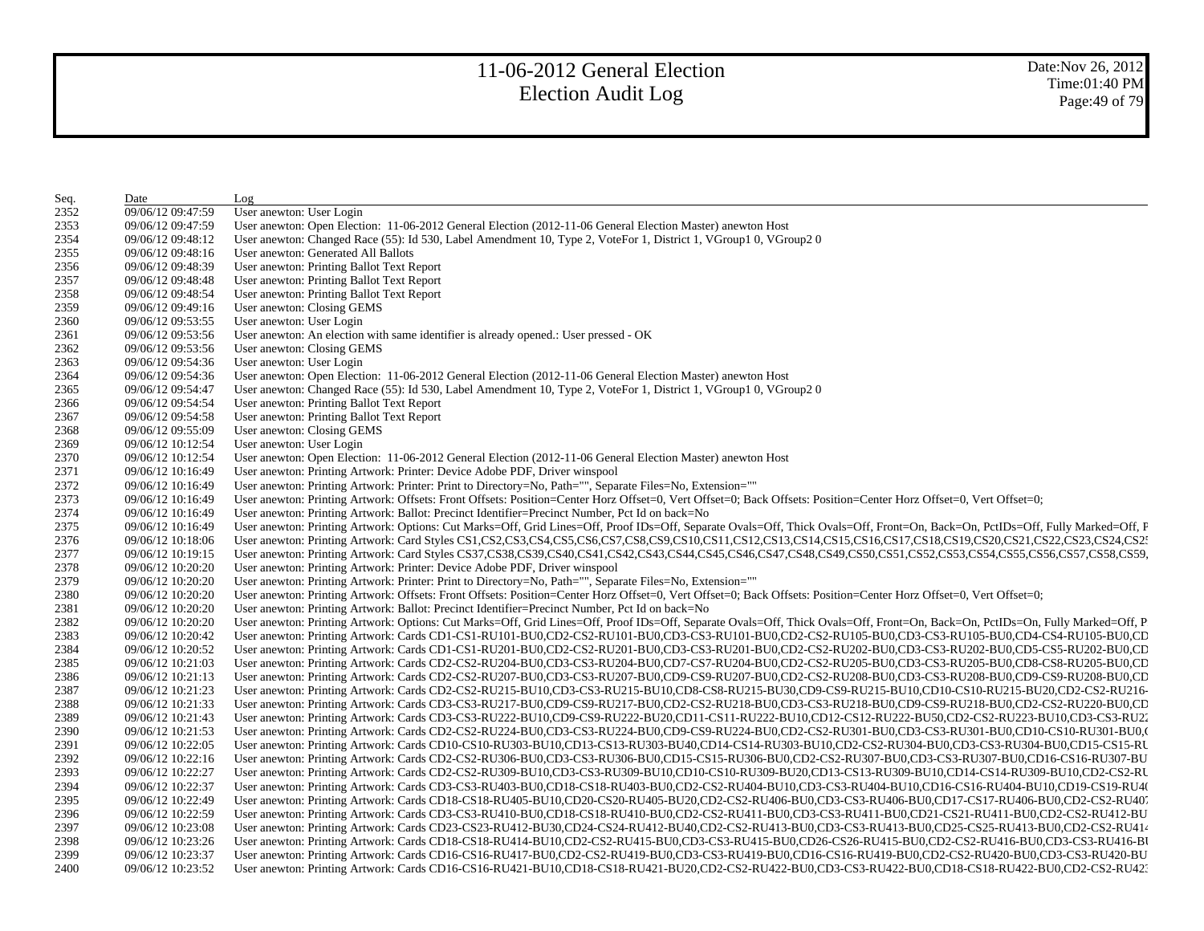| Seq. | Date              | Log                                                                                                                                                                                                                            |
|------|-------------------|--------------------------------------------------------------------------------------------------------------------------------------------------------------------------------------------------------------------------------|
| 2352 | 09/06/12 09:47:59 | User anewton: User Login                                                                                                                                                                                                       |
| 2353 | 09/06/12 09:47:59 | User anewton: Open Election: 11-06-2012 General Election (2012-11-06 General Election Master) anewton Host                                                                                                                     |
| 2354 | 09/06/12 09:48:12 | User anewton: Changed Race (55): Id 530, Label Amendment 10, Type 2, VoteFor 1, District 1, VGroup1 0, VGroup2 0                                                                                                               |
| 2355 | 09/06/12 09:48:16 | User anewton: Generated All Ballots                                                                                                                                                                                            |
| 2356 | 09/06/12 09:48:39 | User anewton: Printing Ballot Text Report                                                                                                                                                                                      |
| 2357 | 09/06/12 09:48:48 | User anewton: Printing Ballot Text Report                                                                                                                                                                                      |
| 2358 | 09/06/12 09:48:54 | User anewton: Printing Ballot Text Report                                                                                                                                                                                      |
| 2359 | 09/06/12 09:49:16 | User anewton: Closing GEMS                                                                                                                                                                                                     |
| 2360 | 09/06/12 09:53:55 | User anewton: User Login                                                                                                                                                                                                       |
| 2361 | 09/06/12 09:53:56 | User anewton: An election with same identifier is already opened.: User pressed - OK                                                                                                                                           |
| 2362 | 09/06/12 09:53:56 | User anewton: Closing GEMS                                                                                                                                                                                                     |
| 2363 | 09/06/12 09:54:36 | User anewton: User Login                                                                                                                                                                                                       |
| 2364 | 09/06/12 09:54:36 | User anewton: Open Election: 11-06-2012 General Election (2012-11-06 General Election Master) anewton Host                                                                                                                     |
| 2365 | 09/06/12 09:54:47 | User anewton: Changed Race (55): Id 530, Label Amendment 10, Type 2, VoteFor 1, District 1, VGroup1 0, VGroup2 0                                                                                                               |
| 2366 | 09/06/12 09:54:54 | User anewton: Printing Ballot Text Report                                                                                                                                                                                      |
| 2367 | 09/06/12 09:54:58 | User anewton: Printing Ballot Text Report                                                                                                                                                                                      |
| 2368 | 09/06/12 09:55:09 | User anewton: Closing GEMS                                                                                                                                                                                                     |
| 2369 | 09/06/12 10:12:54 | User anewton: User Login                                                                                                                                                                                                       |
| 2370 | 09/06/12 10:12:54 | User anewton: Open Election: 11-06-2012 General Election (2012-11-06 General Election Master) anewton Host                                                                                                                     |
| 2371 | 09/06/12 10:16:49 | User anewton: Printing Artwork: Printer: Device Adobe PDF, Driver winspool                                                                                                                                                     |
| 2372 | 09/06/12 10:16:49 | User anewton: Printing Artwork: Printer: Print to Directory=No, Path="", Separate Files=No, Extension=""                                                                                                                       |
| 2373 | 09/06/12 10:16:49 | User anewton: Printing Artwork: Offsets: Front Offsets: Position=Center Horz Offset=0, Vert Offset=0; Back Offsets: Position=Center Horz Offset=0, Vert Offset=0;                                                              |
| 2374 | 09/06/12 10:16:49 | User anewton: Printing Artwork: Ballot: Precinct Identifier=Precinct Number, Pct Id on back=No                                                                                                                                 |
| 2375 | 09/06/12 10:16:49 | User anewton: Printing Artwork: Options: Cut Marks=Off, Grid Lines=Off, Proof IDs=Off, Separate Ovals=Off, Thick Ovals=Off, Front=On, Back=On, PctIDs=Off, Fully Marked=Off, F                                                 |
| 2376 | 09/06/12 10:18:06 | User anewton: Printing Artwork: Card Styles CS1,CS2,CS3,CS4,CS5,CS6,CS7,CS8,CS9,CS10,CS11,CS12,CS13,CS14,CS15,CS16,CS17,CS18,CS19,CS20,CS21,CS22,CS23,CS24,CS2:                                                                |
| 2377 | 09/06/12 10:19:15 | User anewton: Printing Artwork: Card Styles CS37,CS38,CS39,CS40,CS41,CS42,CS43,CS44,CS45,CS46,CS47,CS48,CS49,CS50,CS51,CS52,CS53,CS54,CS55,CS56,CS57,CS58,CS59,                                                                |
| 2378 | 09/06/12 10:20:20 | User anewton: Printing Artwork: Printer: Device Adobe PDF, Driver winspool                                                                                                                                                     |
| 2379 | 09/06/12 10:20:20 | User anewton: Printing Artwork: Printer: Print to Directory=No, Path="", Separate Files=No, Extension=""                                                                                                                       |
| 2380 | 09/06/12 10:20:20 | User anewton: Printing Artwork: Offsets: Front Offsets: Position=Center Horz Offset=0, Vert Offset=0; Back Offsets: Position=Center Horz Offset=0, Vert Offset=0;                                                              |
| 2381 | 09/06/12 10:20:20 | User anewton: Printing Artwork: Ballot: Precinct Identifier=Precinct Number, Pct Id on back=No                                                                                                                                 |
| 2382 | 09/06/12 10:20:20 | User anewton: Printing Artwork: Options: Cut Marks=Off, Grid Lines=Off, Proof IDs=Off, Separate Ovals=Off, Thick Ovals=Off, Front=On, Back=On, PctIDs=On, Fully Marked=Off, P.                                                 |
| 2383 | 09/06/12 10:20:42 | User anewton: Printing Artwork: Cards CD1-CS1-RU101-BU0,CD2-CS2-RU101-BU0,CD3-CS3-RU101-BU0,CD2-CS2-RU105-BU0,CD3-CS3-RU105-BU0,CD4-CS4-RU105-BU0,CD4-CS4-RU105-BU0,CD                                                         |
| 2384 | 09/06/12 10:20:52 | User anewton: Printing Artwork: Cards CD1-CS1-RU201-BU0,CD2-CS2-RU201-BU0,CD3-CS3-RU201-BU0,CD2-CS2-RU202-BU0,CD3-CS3-RU202-BU0,CD5-CS5-RU202-BU0,CD5-CS5-RU202-BU0,CD                                                         |
| 2385 | 09/06/12 10:21:03 | User anewton: Printing Artwork: Cards CD2-CS2-RU204-BU0,CD3-CS3-RU204-BU0,CD7-CS7-RU204-BU0,CD2-CS2-RU205-BU0,CD3-CS3-RU205-BU0,CD8-CS8-RU205-BU0,CD8-CS8-RU205-BU0,CD                                                         |
| 2386 | 09/06/12 10:21:13 | User anewton: Printing Artwork: Cards CD2-CS2-RU207-BU0,CD3-CS3-RU207-BU0,CD9-CS9-RU207-BU0,CD2-CS2-RU208-BU0,CD3-CS3-RU208-BU0,CD9-CS9-RU208-BU0,CD9-CS9-RU208-BU0,CD9-CS9-RU208-BU0,CD9-CS9-RU208-BU0,CD9-CS9-RU208-BU0,CD9- |
| 2387 | 09/06/12 10:21:23 | User anewton: Printing Artwork: Cards CD2-CS2-RU215-BU10,CD3-CS3-RU215-BU10,CD8-CS8-RU215-BU30,CD9-CS9-RU215-BU10,CD10-CS10-RU215-BU20,CD2-CS2-RU216-                                                                          |
| 2388 | 09/06/12 10:21:33 | User anewton: Printing Artwork: Cards CD3-CS3-RU217-BU0,CD9-CS9-RU217-BU0,CD2-CS2-RU218-BU0,CD3-CS3-RU218-BU0,CD9-CS9-RU218-BU0,CD2-CS2-RU220-BU0,CD2-CS2-RU220-BU0,CD                                                         |
| 2389 | 09/06/12 10:21:43 | User anewton: Printing Artwork: Cards CD3-CS3-RU222-BU10,CD9-CS9-RU222-BU20,CD11-CS11-RU222-BU10,CD12-CS12-RU222-BU50,CD2-CS2-RU223-BU10,CD3-CS3-RU22                                                                          |
| 2390 | 09/06/12 10:21:53 | User anewton: Printing Artwork: Cards CD2-CS2-RU224-BU0,CD3-CS3-RU224-BU0,CD9-CS9-RU224-BU0,CD2-CS2-RU301-BU0,CD3-CS3-RU301-BU0,CD10-CS10-RU301-BU0,CD10-CS10-RU301-BU0,                                                       |
| 2391 | 09/06/12 10:22:05 | User anewton: Printing Artwork: Cards CD10-CS10-RU303-BU10,CD13-CS13-RU303-BU40,CD14-CS14-RU303-BU10,CD2-CS2-RU304-BU0,CD3-CS3-RU304-BU0,CD15-CS15-RU                                                                          |
| 2392 | 09/06/12 10:22:16 | User anewton: Printing Artwork: Cards CD2-CS2-RU306-BU0,CD3-CS3-RU306-BU0,CD15-CS15-RU306-BU0,CD2-CS2-RU307-BU0,CD3-CS3-RU307-BU0,CD16-CS16-RU307-BU                                                                           |
| 2393 | 09/06/12 10:22:27 | User anewton: Printing Artwork: Cards CD2-CS2-RU309-BU10,CD3-CS3-RU309-BU10,CD10-CS10-RU309-BU20,CD13-CS13-RU309-BU10,CD14-CS14-RU309-BU10,CD2-CS2-RU                                                                          |
| 2394 | 09/06/12 10:22:37 | User anewton: Printing Artwork: Cards CD3-CS3-RU403-BU0,CD18-CS18-RU403-BU0,CD2-CS2-RU404-BU10,CD3-CS3-RU404-BU10,CD16-CS16-RU404-BU10,CD19-CS19-RU404-BU10,CD19-CS19-RU404-BU10,CD19-CS19-RU404-BU10,CD19-CS19-RU404-BU10,CD1 |
| 2395 | 09/06/12 10:22:49 | User anewton: Printing Artwork: Cards CD18-CS18-RU405-BU10,CD20-CS20-RU405-BU20,CD2-CS2-RU406-BU0,CD3-CS3-RU406-BU0,CD17-CS17-RU406-BU0,CD2-CS2-RU406-                                                                         |
| 2396 | 09/06/12 10:22:59 | User anewton: Printing Artwork: Cards CD3-CS3-RU410-BU0,CD18-CS18-RU410-BU0,CD2-CS2-RU411-BU0,CD3-CS3-RU411-BU0,CD21-CS21-RU411-BU0,CD2-CS2-RU411-BU0,CD2-CS2-RU411-BU0,CD2-CS2-RU411-BU0,CD2-CS2-RU411-BU0,CD2-CS2-RU411-BU0, |
| 2397 | 09/06/12 10:23:08 | User anewton: Printing Artwork: Cards CD23-CS23-RU412-BU30,CD24-CS24-RU412-BU40,CD2-CS2-RU413-BU0,CD3-CS3-RU413-BU0,CD25-CS25-RU413-BU0,CD25-CS25-RU413-BU0,CD25-CS25-RU413-BU0,CD25-CS25-RU413-BU0,CD25-CS25-RU414            |
| 2398 | 09/06/12 10:23:26 | User anewton: Printing Artwork: Cards CD18-CS18-RU414-BU10,CD2-CS2-RU415-BU0,CD3-CS3-RU415-BU0,CD26-CS26-RU415-BU0,CD2-CS2-RU416-BU0,CD3-CS3-RU416-BU0,CD3-CS3-RU416-BU                                                        |
| 2399 | 09/06/12 10:23:37 | User anewton: Printing Artwork: Cards CD16-CS16-RU417-BU0,CD2-CS2-RU419-BU0,CD3-CS3-RU419-BU0,CD16-CS16-RU419-BU0,CD2-CS2-RU420-BU0,CD3-CS3-RU420-BU0,CD3-CS3-RU420-BU                                                         |
| 2400 | 09/06/12 10:23:52 | User anewton: Printing Artwork: Cards CD16-CS16-RU421-BU10,CD18-CS18-RU421-BU20,CD2-CS2-RU422-BU0,CD3-CS3-RU422-BU0,CD18-CS18-RU422-BU0,CD2-CS2-RU422-BU0,CD2-CS2-RU422-BU0,CD2-CS2-RU422-BU0,CD2-CS2-RU422-BU0,CD2-CS2-RU422- |
|      |                   |                                                                                                                                                                                                                                |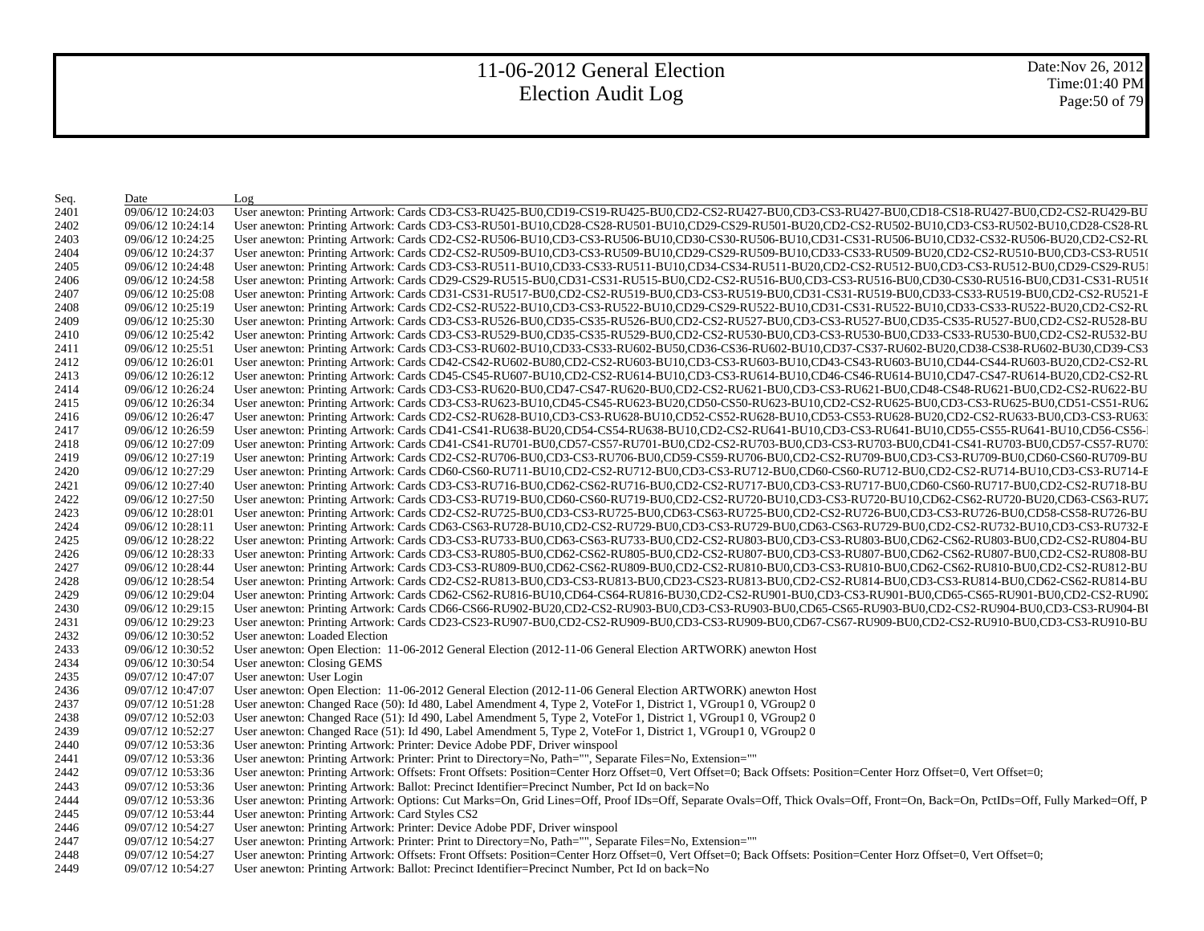Date:Nov 26, 2012 Time:01:40 PM Page:50 of 79

| Seq. | Date              | Log                                                                                                                                                                                                                            |
|------|-------------------|--------------------------------------------------------------------------------------------------------------------------------------------------------------------------------------------------------------------------------|
| 2401 | 09/06/12 10:24:03 | User anewton: Printing Artwork: Cards CD3-CS3-RU425-BU0,CD19-CS19-RU425-BU0,CD2-CS2-RU427-BU0,CD3-CS3-RU427-BU0,CD18-CS18-RU427-BU0,CD2-CS2-RU429-BU                                                                           |
| 2402 | 09/06/12 10:24:14 | User anewton: Printing Artwork: Cards CD3-CS3-RU501-BU10,CD28-CS28-RU501-BU10,CD29-CS29-RU501-BU20,CD2-CS2-RU502-BU10,CD3-CS3-RU502-BU10,CD28-CS28-RU502-BU10,CD28-CS28-RU502-BU10,CD28-CS28-RU502-BU10,CD28-CS28-RU502-BU10,C |
| 2403 | 09/06/12 10:24:25 | User anewton: Printing Artwork: Cards CD2-CS2-RU506-BU10,CD3-CS3-RU506-BU10,CD30-CS30-RU506-BU10,CD31-CS31-RU506-BU10,CD32-CS32-RU506-BU20,CD2-CS2-RU                                                                          |
| 2404 | 09/06/12 10:24:37 | User anewton: Printing Artwork: Cards CD2-CS2-RU509-BU10,CD3-CS3-RU509-BU10,CD29-CS29-RU509-BU10,CD33-CS33-RU509-BU20,CD2-CS2-RU510-BU0,CD3-CS3-RU510                                                                          |
| 2405 | 09/06/12 10:24:48 | User anewton: Printing Artwork: Cards CD3-CS3-RU511-BU10,CD33-CS33-RU511-BU10,CD34-CS34-RU511-BU20,CD2-CS2-RU512-BU0,CD3-CS3-RU512-BU0,CD29-CS29-RU51                                                                          |
| 2406 | 09/06/12 10:24:58 | User anewton: Printing Artwork: Cards CD29-CS29-RU515-BU0,CD31-CS31-RU515-BU0,CD2-CS2-RU516-BU0,CD3-CS3-RU516-BU0,CD30-CS30-RU516-BU0,CD31-CS31-RU516                                                                          |
| 2407 | 09/06/12 10:25:08 | User anewton: Printing Artwork: Cards CD31-CS31-RU517-BU0,CD2-CS2-RU519-BU0,CD3-CS3-RU519-BU0,CD31-CS31-RU519-BU0,CD33-CS33-RU519-BU0,CD2-CS2-RU521-E                                                                          |
| 2408 | 09/06/12 10:25:19 | User anewton: Printing Artwork: Cards CD2-CS2-RU522-BU10,CD3-CS3-RU522-BU10,CD29-CS29-RU522-BU10,CD31-CS31-RU522-BU10,CD33-CS33-RU522-BU20,CD2-CS2-RU                                                                          |
| 2409 | 09/06/12 10:25:30 | User anewton: Printing Artwork: Cards CD3-CS3-RU526-BU0,CD35-CS35-RU526-BU0,CD2-CS2-RU527-BU0,CD3-CS3-RU527-BU0,CD35-CS35-RU527-BU0,CD2-CS2-RU528-BU                                                                           |
| 2410 | 09/06/12 10:25:42 | User anewton: Printing Artwork: Cards CD3-CS3-RU529-BU0,CD35-CS35-RU529-BU0,CD2-CS2-RU530-BU0,CD3-CS3-RU530-BU0,CD33-CS33-RU530-BU0,CD2-CS2-RU530-BU0,CD2-CS2-RU532-BU                                                         |
| 2411 | 09/06/12 10:25:51 | User anewton: Printing Artwork: Cards CD3-CS3-RU602-BU10,CD33-CS33-RU602-BU50,CD36-CS36-RU602-BU10,CD37-CS37-RU602-BU20,CD38-CS38-RU602-BU30,CD39-CS3                                                                          |
| 2412 | 09/06/12 10:26:01 | User anewton: Printing Artwork: Cards CD42-CS42-RU602-BU80,CD2-CS2-RU603-BU10,CD3-CS3-RU603-BU10,CD43-CS43-RU603-BU10,CD44-CS44-RU603-BU20,CD2-CS2-RU                                                                          |
| 2413 | 09/06/12 10:26:12 | User anewton: Printing Artwork: Cards CD45-CS45-RU607-BU10,CD2-CS2-RU614-BU10,CD3-CS3-RU614-BU10,CD46-CS46-RU614-BU10,CD47-CS47-RU614-BU20,CD2-CS2-RU614-BU20,CD2-CS2-RU614-BU10,CD47-CS47-RU614-BU20,CD2-CS2-RU               |
| 2414 | 09/06/12 10:26:24 | User anewton: Printing Artwork: Cards CD3-CS3-RU620-BU0,CD47-CS47-RU620-BU0,CD2-CS2-RU621-BU0,CD3-CS3-RU621-BU0,CD48-CS48-RU621-BU0,CD2-CS2-RU622-BU                                                                           |
| 2415 | 09/06/12 10:26:34 | User anewton: Printing Artwork: Cards CD3-CS3-RU623-BU10,CD45-CS45-RU623-BU20,CD50-CS50-RU623-BU10,CD2-CS2-RU625-BU0,CD3-CS3-RU625-BU0,CD51-CS51-RU62                                                                          |
| 2416 | 09/06/12 10:26:47 | User anewton: Printing Artwork: Cards CD2-CS2-RU628-BU10,CD3-CS3-RU628-BU10,CD52-CS52-RU628-BU10,CD53-CS53-RU628-BU20,CD2-CS2-RU633-BU0,CD3-CS3-RU633-BU0,CD3-CS3-RU633-BU0,CD3-CS3-RU633-BU0,CD3-CS3-RU633-BU0,CD3-CS3-RU633- |
| 2417 | 09/06/12 10:26:59 | User anewton: Printing Artwork: Cards CD41-CS41-RU638-BU20,CD54-CS54-RU638-BU10,CD2-CS2-RU641-BU10,CD3-CS3-RU641-BU10,CD55-CS55-RU641-BU10,CD56-CS56-                                                                          |
| 2418 | 09/06/12 10:27:09 | User anewton: Printing Artwork: Cards CD41-CS41-RU701-BU0,CD57-CS57-RU701-BU0,CD2-CS2-RU703-BU0,CD3-CS3-RU703-BU0,CD41-CS41-RU703-BU0,CD57-CS57-RU703-                                                                         |
| 2419 | 09/06/12 10:27:19 | User anewton: Printing Artwork: Cards CD2-CS2-RU706-BU0,CD3-CS3-RU706-BU0,CD59-CS59-RU706-BU0,CD2-CS2-RU709-BU0,CD3-CS3-RU709-BU0,CD60-CS60-RU709-BU                                                                           |
| 2420 | 09/06/12 10:27:29 | User anewton: Printing Artwork: Cards CD60-CS60-RU711-BU10,CD2-CS2-RU712-BU0,CD3-CS3-RU712-BU0,CD60-CS60-RU712-BU0,CD2-CS2-RU714-BU10,CD3-CS3-RU714-F                                                                          |
| 2421 | 09/06/12 10:27:40 | User anewton: Printing Artwork: Cards CD3-CS3-RU716-BU0,CD62-CS62-RU716-BU0,CD2-CS2-RU717-BU0,CD3-CS3-RU717-BU0,CD60-CS60-RU717-BU0,CD2-CS2-RU718-BU                                                                           |
| 2422 | 09/06/12 10:27:50 | User anewton: Printing Artwork: Cards CD3-CS3-RU719-BU0,CD60-CS60-RU719-BU0,CD2-CS2-RU720-BU10,CD3-CS3-RU720-BU10,CD62-CS62-RU720-BU20,CD63-CS63-RU720-BU20,CD63-CS63-RU720-BU20,CD63-CS63-RU720-BU20,CD63-CS63-RU720-BU20,CD6 |
| 2423 | 09/06/12 10:28:01 | User anewton: Printing Artwork: Cards CD2-CS2-RU725-BU0,CD3-CS3-RU725-BU0,CD63-CS63-RU725-BU0,CD2-CS2-RU726-BU0,CD3-CS3-RU726-BU0,CD58-CS3-RU726-BU0,CD58-CS58-RU726-BU                                                        |
| 2424 | 09/06/12 10:28:11 | User anewton: Printing Artwork: Cards CD63-CS63-RU728-BU10,CD2-CS2-RU729-BU0,CD3-CS3-RU729-BU0,CD63-CS63-RU729-BU0,CD2-CS2-RU732-BU10,CD3-CS3-RU732-BU10,CD3-CS3-RU732-E                                                       |
| 2425 | 09/06/12 10:28:22 | User anewton: Printing Artwork: Cards CD3-CS3-RU733-BU0,CD63-CS63-RU733-BU0,CD2-CS2-RU803-BU0,CD3-CS3-RU803-BU0,CD62-CS62-RU803-BU0,CD2-CS2-RU803-BU0,CD2-CS2-RU804-BU                                                         |
| 2426 | 09/06/12 10:28:33 | User anewton: Printing Artwork: Cards CD3-CS3-RU805-BU0,CD62-CS62-RU805-BU0,CD2-CS2-RU807-BU0,CD3-CS3-RU807-BU0,CD62-CS62-RU807-BU0,CD2-CS2-RU807-BU0,CD2-CS2-RU808-BU                                                         |
| 2427 | 09/06/12 10:28:44 | User anewton: Printing Artwork: Cards CD3-CS3-RU809-BU0,CD62-CS62-RU809-BU0,CD2-CS2-RU810-BU0,CD3-CS3-RU810-BU0,CD62-CS62-RU810-BU0,CD2-CS2-RU810-BU0,CD2-CS2-RU812-BU                                                         |
| 2428 | 09/06/12 10:28:54 | User anewton: Printing Artwork: Cards CD2-CS2-RU813-BU0,CD3-CS3-RU813-BU0,CD23-CS23-RU813-BU0,CD2-CS2-RU814-BU0,CD3-CS3-RU814-BU0,CD62-CS62-RU814-BU0,CD62-CS62-RU814-BU0,CD62-CS62-RU814-BU0,CD62-CS62-RU814-BU0,CD62-CS62-RU |
| 2429 | 09/06/12 10:29:04 | User anewton: Printing Artwork: Cards CD62-CS62-RU816-BU10,CD64-CS64-RU816-BU30,CD2-CS2-RU901-BU0,CD3-CS3-RU901-BU0,CD65-CS65-RU901-BU0,CD2-CS2-RU902-CS2-RU902-CS2-RU902-CS2-RU902-CS2-RU902-CS2-RU902-CS2-RU902-CS2-RU902-CS |
| 2430 | 09/06/12 10:29:15 | User anewton: Printing Artwork: Cards CD66-CS66-RU902-BU20,CD2-CS2-RU903-BU0,CD3-CS3-RU903-BU0,CD65-CS65-RU903-BU0,CD2-CS2-RU904-BU0,CD3-CS3-RU904-BU0,CD3-CS3-RU904-B                                                         |
| 2431 | 09/06/12 10:29:23 | User anewton: Printing Artwork: Cards CD23-CS23-RU907-BU0,CD2-CS2-RU909-BU0,CD3-CS3-RU909-BU0,CD67-CS67-RU909-BU0,CD2-CS2-RU910-BU0,CD3-CS3-RU910-BU0,CD3-CS3-RU910-BU                                                         |
| 2432 | 09/06/12 10:30:52 | User anewton: Loaded Election                                                                                                                                                                                                  |
| 2433 | 09/06/12 10:30:52 | User anewton: Open Election: 11-06-2012 General Election (2012-11-06 General Election ARTWORK) anewton Host                                                                                                                    |
| 2434 | 09/06/12 10:30:54 | User anewton: Closing GEMS                                                                                                                                                                                                     |
| 2435 | 09/07/12 10:47:07 | User anewton: User Login                                                                                                                                                                                                       |
| 2436 | 09/07/12 10:47:07 | User anewton: Open Election: 11-06-2012 General Election (2012-11-06 General Election ARTWORK) anewton Host                                                                                                                    |
| 2437 | 09/07/12 10:51:28 | User anewton: Changed Race (50): Id 480, Label Amendment 4, Type 2, VoteFor 1, District 1, VGroup1 0, VGroup2 0                                                                                                                |
| 2438 | 09/07/12 10:52:03 | User anewton: Changed Race (51): Id 490, Label Amendment 5, Type 2, VoteFor 1, District 1, VGroup1 0, VGroup2 0                                                                                                                |
| 2439 | 09/07/12 10:52:27 | User anewton: Changed Race (51): Id 490, Label Amendment 5, Type 2, VoteFor 1, District 1, VGroup1 0, VGroup2 0                                                                                                                |
| 2440 | 09/07/12 10:53:36 | User anewton: Printing Artwork: Printer: Device Adobe PDF, Driver winspool                                                                                                                                                     |
| 2441 | 09/07/12 10:53:36 | User anewton: Printing Artwork: Printer: Print to Directory=No, Path="", Separate Files=No, Extension=""                                                                                                                       |
| 2442 | 09/07/12 10:53:36 | User anewton: Printing Artwork: Offsets: Front Offsets: Position=Center Horz Offset=0, Vert Offset=0; Back Offsets: Position=Center Horz Offset=0, Vert Offset=0;                                                              |
| 2443 | 09/07/12 10:53:36 | User anewton: Printing Artwork: Ballot: Precinct Identifier=Precinct Number, Pct Id on back=No                                                                                                                                 |
| 2444 | 09/07/12 10:53:36 | User anewton: Printing Artwork: Options: Cut Marks=On, Grid Lines=Off, Proof IDs=Off, Separate Ovals=Off, Thick Ovals=Off, Front=On, Back=On, PctIDs=Off, Fully Marked=Off, P.                                                 |
| 2445 | 09/07/12 10:53:44 | User anewton: Printing Artwork: Card Styles CS2                                                                                                                                                                                |
| 2446 | 09/07/12 10:54:27 | User anewton: Printing Artwork: Printer: Device Adobe PDF, Driver winspool                                                                                                                                                     |
| 2447 | 09/07/12 10:54:27 | User anewton: Printing Artwork: Printer: Print to Directory=No, Path="", Separate Files=No, Extension=""                                                                                                                       |
| 2448 | 09/07/12 10:54:27 | User anewton: Printing Artwork: Offsets: Front Offsets: Position=Center Horz Offset=0, Vert Offset=0; Back Offsets: Position=Center Horz Offset=0, Vert Offset=0;                                                              |
| 2449 | 09/07/12 10:54:27 | User anewton: Printing Artwork: Ballot: Precinct Identifier=Precinct Number, Pct Id on back=No                                                                                                                                 |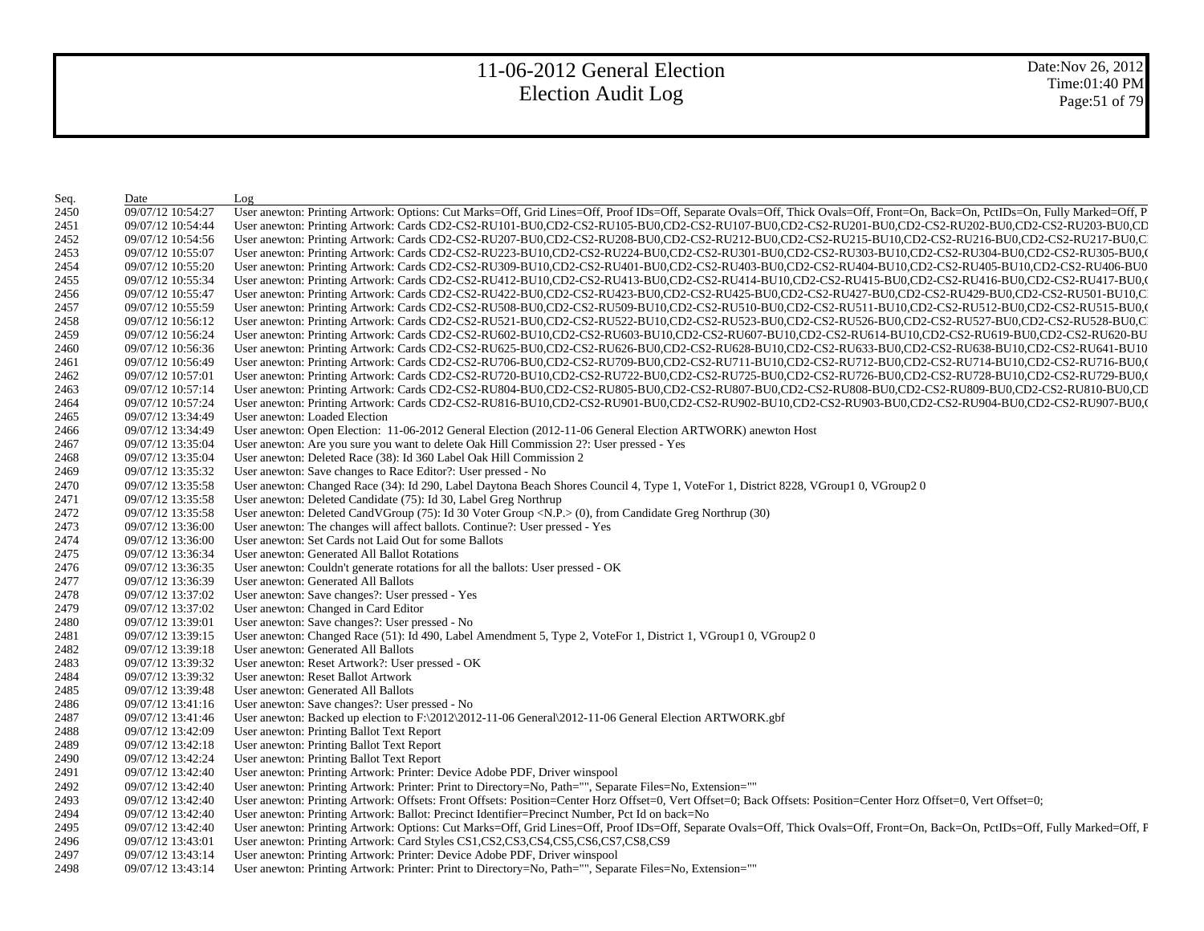Date:Nov 26, 2012 Time:01:40 PM Page:51 of 79

| Seq. | Date              | Log                                                                                                                                                                                                                            |
|------|-------------------|--------------------------------------------------------------------------------------------------------------------------------------------------------------------------------------------------------------------------------|
| 2450 | 09/07/12 10:54:27 | User anewton: Printing Artwork: Options: Cut Marks=Off, Grid Lines=Off, Proof IDs=Off, Separate Ovals=Off, Thick Ovals=Off, Front=On, Back=On, PctIDs=On, Fully Marked=Off, P.                                                 |
| 2451 | 09/07/12 10:54:44 | User anewton: Printing Artwork: Cards CD2-CS2-RU101-BU0,CD2-CS2-RU105-BU0,CD2-CS2-RU107-BU0,CD2-CS2-RU201-BU0,CD2-CS2-RU202-BU0,CD2-CS2-RU203-BU0,CD2-CS2-RU203-BU0,CD2-CS2-RU203-BU0,CD2-CS2-RU203-BU0,CD2-CS2-RU203-BU0,CD2- |
| 2452 | 09/07/12 10:54:56 | User anewton: Printing Artwork: Cards CD2-CS2-RU207-BU0,CD2-CS2-RU208-BU0,CD2-CS2-RU212-BU0,CD2-CS2-RU215-BU10,CD2-CS2-RU216-BU0,CD2-CS2-RU216-BU0,CD2-CS2-RU217-BU0,C                                                         |
| 2453 | 09/07/12 10:55:07 | User anewton: Printing Artwork: Cards CD2-CS2-RU223-BU10,CD2-CS2-RU224-BU0,CD2-CS2-RU301-BU0,CD2-CS2-RU303-BU10,CD2-CS2-RU304-BU0,CD2-CS2-RU305-BU0,                                                                           |
| 2454 | 09/07/12 10:55:20 | User anewton: Printing Artwork: Cards CD2-CS2-RU309-BU10,CD2-CS2-RU401-BU0,CD2-CS2-RU403-BU0,CD2-CS2-RU404-BU10,CD2-CS2-RU405-BU10,CD2-CS2-RU406-BU0                                                                           |
| 2455 | 09/07/12 10:55:34 | User anewton: Printing Artwork: Cards CD2-CS2-RU412-BU10,CD2-CS2-RU413-BU0,CD2-CS2-RU414-BU10,CD2-CS2-RU415-BU0,CD2-CS2-RU416-BU0,CD2-CS2-RU417-BU0,0                                                                          |
| 2456 | 09/07/12 10:55:47 | User anewton: Printing Artwork: Cards CD2-CS2-RU422-BU0,CD2-CS2-RU423-BU0,CD2-CS2-RU425-BU0,CD2-CS2-RU427-BU0,CD2-CS2-RU429-BU0,CD2-CS2-RU501-BU10,C                                                                           |
| 2457 | 09/07/12 10:55:59 | User anewton: Printing Artwork: Cards CD2-CS2-RU508-BU0,CD2-CS2-RU509-BU10,CD2-CS2-RU510-BU0,CD2-CS2-RU511-BU10,CD2-CS2-RU512-BU0,CD2-CS2-RU515-BU0,0                                                                          |
| 2458 | 09/07/12 10:56:12 | User anewton: Printing Artwork: Cards CD2-CS2-RU521-BU0,CD2-CS2-RU522-BU10,CD2-CS2-RU523-BU0,CD2-CS2-RU526-BU0,CD2-CS2-RU527-BU0,CD2-CS2-RU527-BU0,CD2-CS2-RU528-BU0,C                                                         |
| 2459 | 09/07/12 10:56:24 | User anewton: Printing Artwork: Cards CD2-CS2-RU602-BU10,CD2-CS2-RU603-BU10,CD2-CS2-RU607-BU10,CD2-CS2-RU614-BU10,CD2-CS2-RU619-BU0,CD2-CS2-RU620-BU                                                                           |
| 2460 | 09/07/12 10:56:36 | User anewton: Printing Artwork: Cards CD2-CS2-RU625-BU0,CD2-CS2-RU626-BU0,CD2-CS2-RU628-BU10,CD2-CS2-RU633-BU0,CD2-CS2-RU638-BU10,CD2-CS2-RU641-BU10                                                                           |
| 2461 | 09/07/12 10:56:49 | User anewton: Printing Artwork: Cards CD2-CS2-RU706-BU0,CD2-CS2-RU709-BU0,CD2-CS2-RU711-BU10,CD2-CS2-RU712-BU0,CD2-CS2-RU714-BU10,CD2-CS2-RU716-BU0,CD2-CS2-RU716-BU0,CD2-CS2-RU716-BU0,CD2-CS2-RU716-BU0,CD2-CS2-RU716-BU0,CD |
| 2462 | 09/07/12 10:57:01 | User anewton: Printing Artwork: Cards CD2-CS2-RU720-BU10,CD2-CS2-RU722-BU0,CD2-CS2-RU725-BU0,CD2-CS2-RU726-BU0,CD2-CS2-RU728-BU10,CD2-CS2-RU729-BU0,CD2-CS2-RU729-BU0,C                                                        |
| 2463 | 09/07/12 10:57:14 | User anewton: Printing Artwork: Cards CD2-CS2-RU804-BU0,CD2-CS2-RU805-BU0,CD2-CS2-RU807-BU0,CD2-CS2-RU808-BU0,CD2-CS2-RU809-BU0,CD2-CS2-RU810-BU0,CD                                                                           |
| 2464 | 09/07/12 10:57:24 | User anewton: Printing Artwork: Cards CD2-CS2-RU816-BU10,CD2-CS2-RU901-BU0,CD2-CS2-RU902-BU10,CD2-CS2-RU903-BU0,CD2-CS2-RU904-BU0,CD2-CS2-RU907-BU0,(                                                                          |
| 2465 | 09/07/12 13:34:49 | User anewton: Loaded Election                                                                                                                                                                                                  |
| 2466 | 09/07/12 13:34:49 | User anewton: Open Election: 11-06-2012 General Election (2012-11-06 General Election ARTWORK) anewton Host                                                                                                                    |
| 2467 | 09/07/12 13:35:04 | User anewton: Are you sure you want to delete Oak Hill Commission 2?: User pressed - Yes                                                                                                                                       |
| 2468 | 09/07/12 13:35:04 | User anewton: Deleted Race (38): Id 360 Label Oak Hill Commission 2                                                                                                                                                            |
| 2469 | 09/07/12 13:35:32 | User anewton: Save changes to Race Editor?: User pressed - No                                                                                                                                                                  |
| 2470 | 09/07/12 13:35:58 | User anewton: Changed Race (34): Id 290, Label Daytona Beach Shores Council 4, Type 1, VoteFor 1, District 8228, VGroup1 0, VGroup2 0                                                                                          |
| 2471 | 09/07/12 13:35:58 | User anewton: Deleted Candidate (75): Id 30, Label Greg Northrup                                                                                                                                                               |
| 2472 | 09/07/12 13:35:58 | User anewton: Deleted CandVGroup (75): Id 30 Voter Group <n.p.> (0), from Candidate Greg Northrup (30)</n.p.>                                                                                                                  |
| 2473 | 09/07/12 13:36:00 | User anewton: The changes will affect ballots. Continue?: User pressed - Yes                                                                                                                                                   |
| 2474 | 09/07/12 13:36:00 | User anewton: Set Cards not Laid Out for some Ballots                                                                                                                                                                          |
| 2475 | 09/07/12 13:36:34 | User anewton: Generated All Ballot Rotations                                                                                                                                                                                   |
| 2476 | 09/07/12 13:36:35 | User anewton: Couldn't generate rotations for all the ballots: User pressed - OK                                                                                                                                               |
| 2477 | 09/07/12 13:36:39 | User anewton: Generated All Ballots                                                                                                                                                                                            |
| 2478 | 09/07/12 13:37:02 | User anewton: Save changes?: User pressed - Yes                                                                                                                                                                                |
| 2479 | 09/07/12 13:37:02 | User anewton: Changed in Card Editor                                                                                                                                                                                           |
| 2480 | 09/07/12 13:39:01 | User anewton: Save changes?: User pressed - No                                                                                                                                                                                 |
| 2481 | 09/07/12 13:39:15 | User anewton: Changed Race (51): Id 490, Label Amendment 5, Type 2, VoteFor 1, District 1, VGroup1 0, VGroup2 0                                                                                                                |
| 2482 | 09/07/12 13:39:18 | User anewton: Generated All Ballots                                                                                                                                                                                            |
| 2483 | 09/07/12 13:39:32 | User anewton: Reset Artwork?: User pressed - OK                                                                                                                                                                                |
| 2484 | 09/07/12 13:39:32 | User anewton: Reset Ballot Artwork                                                                                                                                                                                             |
| 2485 | 09/07/12 13:39:48 | User anewton: Generated All Ballots                                                                                                                                                                                            |
| 2486 | 09/07/12 13:41:16 | User anewton: Save changes?: User pressed - No                                                                                                                                                                                 |
| 2487 | 09/07/12 13:41:46 | User anewton: Backed up election to F:\2012\2012-11-06 General\2012-11-06 General Election ARTWORK.gbf                                                                                                                         |
| 2488 | 09/07/12 13:42:09 | User anewton: Printing Ballot Text Report                                                                                                                                                                                      |
| 2489 | 09/07/12 13:42:18 | User anewton: Printing Ballot Text Report                                                                                                                                                                                      |
| 2490 | 09/07/12 13:42:24 | User anewton: Printing Ballot Text Report                                                                                                                                                                                      |
| 2491 | 09/07/12 13:42:40 | User anewton: Printing Artwork: Printer: Device Adobe PDF, Driver winspool                                                                                                                                                     |
| 2492 | 09/07/12 13:42:40 | User anewton: Printing Artwork: Printer: Print to Directory=No, Path="", Separate Files=No, Extension=""                                                                                                                       |
| 2493 | 09/07/12 13:42:40 | User anewton: Printing Artwork: Offsets: Front Offsets: Position=Center Horz Offset=0, Vert Offset=0; Back Offsets: Position=Center Horz Offset=0, Vert Offset=0;                                                              |
| 2494 | 09/07/12 13:42:40 | User anewton: Printing Artwork: Ballot: Precinct Identifier=Precinct Number, Pct Id on back=No                                                                                                                                 |
| 2495 | 09/07/12 13:42:40 | User anewton: Printing Artwork: Options: Cut Marks=Off, Grid Lines=Off, Proof IDs=Off, Separate Ovals=Off, Thick Ovals=Off, Front=On, Back=On, PctIDs=Off, Fully Marked=Off, F                                                 |
| 2496 | 09/07/12 13:43:01 | User anewton: Printing Artwork: Card Styles CS1, CS2, CS3, CS4, CS5, CS6, CS7, CS8, CS9                                                                                                                                        |
| 2497 | 09/07/12 13:43:14 | User anewton: Printing Artwork: Printer: Device Adobe PDF, Driver winspool                                                                                                                                                     |
| 2498 | 09/07/12 13:43:14 | User anewton: Printing Artwork: Printer: Print to Directory=No, Path="", Separate Files=No, Extension=""                                                                                                                       |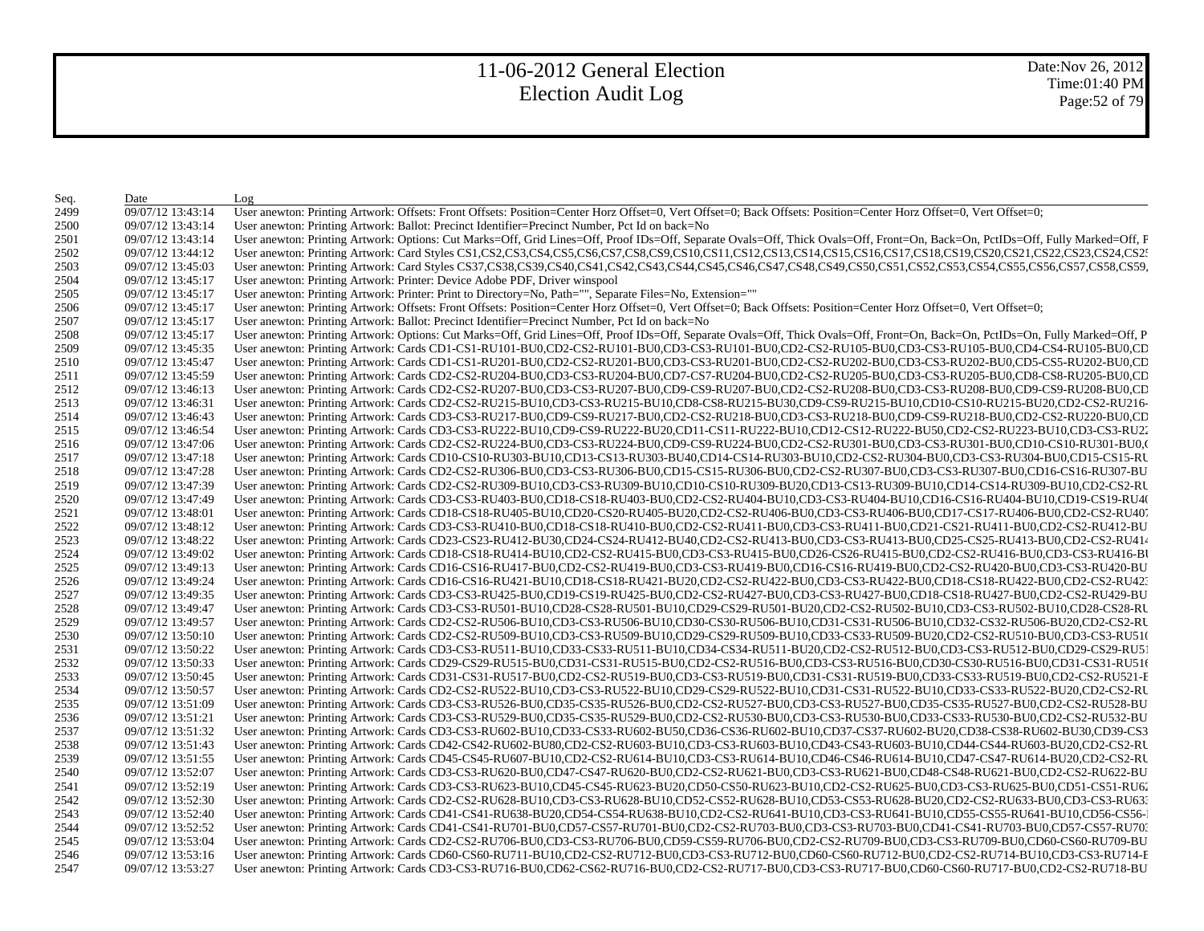| Seq. | Date              | Log                                                                                                                                                                                                                            |
|------|-------------------|--------------------------------------------------------------------------------------------------------------------------------------------------------------------------------------------------------------------------------|
| 2499 | 09/07/12 13:43:14 | User anewton: Printing Artwork: Offsets: Front Offsets: Position=Center Horz Offset=0, Vert Offset=0; Back Offsets: Position=Center Horz Offset=0, Vert Offset=0;                                                              |
| 2500 | 09/07/12 13:43:14 | User anewton: Printing Artwork: Ballot: Precinct Identifier=Precinct Number, Pct Id on back=No                                                                                                                                 |
| 2501 | 09/07/12 13:43:14 | User anewton: Printing Artwork: Options: Cut Marks=Off, Grid Lines=Off, Proof IDs=Off, Separate Ovals=Off, Thick Ovals=Off, Front=On, Back=On, PctIDs=Off, Fully Marked=Off, F                                                 |
| 2502 | 09/07/12 13:44:12 | User anewton: Printing Artwork: Card Styles CS1,CS2,CS3,CS4,CS5,CS6,CS7,CS8,CS9,CS10,CS11,CS12,CS13,CS14,CS15,CS16,CS17,CS18,CS19,CS20,CS21,CS22,CS23,CS24,CS22                                                                |
| 2503 | 09/07/12 13:45:03 | User anewton: Printing Artwork: Card Styles CS37,CS38,CS39,CS40,CS41,CS42,CS43,CS44,CS45,CS46,CS47,CS48,CS49,CS50,CS51,CS52,CS53,CS54,CS55,CS56,CS57,CS58,CS59,                                                                |
| 2504 | 09/07/12 13:45:17 | User anewton: Printing Artwork: Printer: Device Adobe PDF, Driver winspool                                                                                                                                                     |
| 2505 | 09/07/12 13:45:17 | User anewton: Printing Artwork: Printer: Print to Directory=No, Path="", Separate Files=No, Extension=""                                                                                                                       |
| 2506 | 09/07/12 13:45:17 | User anewton: Printing Artwork: Offsets: Front Offsets: Position=Center Horz Offset=0, Vert Offset=0; Back Offsets: Position=Center Horz Offset=0, Vert Offset=0;                                                              |
| 2507 | 09/07/12 13:45:17 | User anewton: Printing Artwork: Ballot: Precinct Identifier=Precinct Number, Pct Id on back=No                                                                                                                                 |
| 2508 | 09/07/12 13:45:17 | User anewton: Printing Artwork: Options: Cut Marks=Off, Grid Lines=Off, Proof IDs=Off, Separate Ovals=Off, Thick Ovals=Off, Front=On, Back=On, PctIDs=On, Fully Marked=Off, P.                                                 |
| 2509 | 09/07/12 13:45:35 | User anewton: Printing Artwork: Cards CD1-CS1-RU101-BU0,CD2-CS2-RU101-BU0,CD3-CS3-RU101-BU0,CD2-CS2-RU105-BU0,CD3-CS3-RU105-BU0,CD4-CS4-RU105-BU0,CD4-CS4-RU105-BU0,CD4-CS4-RU105-BU0,CD4-CS4-RU105-BU0,CD4-CS4-RU105-BU0,CD4- |
| 2510 | 09/07/12 13:45:47 | User anewton: Printing Artwork: Cards CD1-CS1-RU201-BU0,CD2-CS2-RU201-BU0,CD3-CS3-RU201-BU0,CD2-CS2-RU202-BU0,CD3-CS3-RU202-BU0,CD5-CS5-RU202-BU0,CD5-CS5-RU202-BU0,CD5-CS5-RU202-BU0,CD5-CS5-RU202-BU0,CD5-CS5-RU202-BU0,CD5- |
| 2511 | 09/07/12 13:45:59 | User anewton: Printing Artwork: Cards CD2-CS2-RU204-BU0,CD3-CS3-RU204-BU0,CD7-CS7-RU204-BU0,CD2-CS2-RU205-BU0,CD3-CS3-RU205-BU0,CD8-CS8-RU205-BU0,CD8-CS8-RU205-BU0,CD8-CS8-RU205-BU0,CD8-CS8-RU205-BU0,CD8-CS8-RU205-BU0,CD8- |
| 2512 | 09/07/12 13:46:13 | User anewton: Printing Artwork: Cards CD2-CS2-RU207-BU0,CD3-CS3-RU207-BU0,CD9-CS9-RU207-BU0,CD2-CS2-RU208-BU0,CD3-CS3-RU208-BU0,CD9-CS9-RU208-BU0,CD9-CS9-RU208-BU0,CD9-CS9-RU208-BU0,CD9-CS9-RU208-BU0,CD9-CS9-RU208-BU0,CD9- |
| 2513 | 09/07/12 13:46:31 | User anewton: Printing Artwork: Cards CD2-CS2-RU215-BU10,CD3-CS3-RU215-BU10,CD8-CS8-RU215-BU30,CD9-CS9-RU215-BU10,CD10-CS10-RU215-BU20,CD2-CS2-RU216-                                                                          |
| 2514 | 09/07/12 13:46:43 | User anewton: Printing Artwork: Cards CD3-CS3-RU217-BU0,CD9-CS9-RU217-BU0,CD2-CS2-RU218-BU0,CD3-CS3-RU218-BU0,CD9-CS9-RU218-BU0,CD2-CS2-RU220-BU0,CD2-CS2-RU220-BU0,CD                                                         |
| 2515 | 09/07/12 13:46:54 | User anewton: Printing Artwork: Cards CD3-CS3-RU222-BU10,CD9-CS9-RU222-BU20,CD11-CS11-RU222-BU10,CD12-CS12-RU222-BU50,CD2-CS2-RU223-BU10,CD3-CS3-RU22                                                                          |
| 2516 | 09/07/12 13:47:06 | User anewton: Printing Artwork: Cards CD2-CS2-RU224-BU0,CD3-CS3-RU224-BU0,CD9-CS9-RU224-BU0,CD2-CS2-RU301-BU0,CD3-CS3-RU301-BU0,CD10-CS10-RU301-BU0,CD10-CS10-RU301-BU0,CD4                                                    |
| 2517 | 09/07/12 13:47:18 | User anewton: Printing Artwork: Cards CD10-CS10-RU303-BU10,CD13-CS13-RU303-BU40,CD14-CS14-RU303-BU10,CD2-CS2-RU304-BU0,CD3-CS3-RU304-BU0,CD15-CS15-RU                                                                          |
| 2518 | 09/07/12 13:47:28 | User anewton: Printing Artwork: Cards CD2-CS2-RU306-BU0,CD3-CS3-RU306-BU0,CD15-CS15-RU306-BU0,CD2-CS2-RU307-BU0,CD3-CS3-RU307-BU0,CD16-CS16-RU307-BU                                                                           |
| 2519 | 09/07/12 13:47:39 | User anewton: Printing Artwork: Cards CD2-CS2-RU309-BU10,CD3-CS3-RU309-BU10,CD10-CS10-RU309-BU20,CD13-CS13-RU309-BU10,CD14-CS14-RU309-BU10,CD2-CS2-RU                                                                          |
| 2520 | 09/07/12 13:47:49 | User anewton: Printing Artwork: Cards CD3-CS3-RU403-BU0,CD18-CS18-RU403-BU0,CD2-CS2-RU404-BU10,CD3-CS3-RU404-BU10,CD16-CS16-RU404-BU10,CD19-CS19-RU404                                                                         |
| 2521 | 09/07/12 13:48:01 | User anewton: Printing Artwork: Cards CD18-CS18-RU405-BU10,CD20-CS20-RU405-BU20,CD2-CS2-RU406-BU0,CD3-CS3-RU406-BU0,CD17-CS17-RU406-BU0,CD2-CS2-RU407                                                                          |
| 2522 | 09/07/12 13:48:12 | User anewton: Printing Artwork: Cards CD3-CS3-RU410-BU0,CD18-CS18-RU410-BU0,CD2-CS2-RU411-BU0,CD3-CS3-RU411-BU0,CD21-CS21-RU411-BU0,CD2-CS2-RU411-BU0,CD2-CS2-RU412-BU                                                         |
| 2523 | 09/07/12 13:48:22 | User anewton: Printing Artwork: Cards CD23-CS23-RU412-BU30,CD24-CS24-RU412-BU40,CD2-CS2-RU413-BU0,CD3-CS3-RU413-BU0,CD25-CS25-RU413-BU0,CD2-CS2-RU413-BU0,CD2-CS2-RU414                                                        |
| 2524 | 09/07/12 13:49:02 | User anewton: Printing Artwork: Cards CD18-CS18-RU414-BU10,CD2-CS2-RU415-BU0,CD3-CS3-RU415-BU0,CD26-CS26-RU415-BU0,CD2-CS2-RU416-BU0,CD3-CS3-RU416-BU0,CD3-CS3-RU416-B                                                         |
| 2525 | 09/07/12 13:49:13 | User anewton: Printing Artwork: Cards CD16-CS16-RU417-BU0,CD2-CS2-RU419-BU0,CD3-CS3-RU419-BU0,CD16-CS16-RU419-BU0,CD2-CS2-RU420-BU0,CD3-CS3-RU420-BU0,CD3-CS3-RU420-BU                                                         |
| 2526 | 09/07/12 13:49:24 | User anewton: Printing Artwork: Cards CD16-CS16-RU421-BU10,CD18-CS18-RU421-BU20,CD2-CS2-RU422-BU0,CD3-CS3-RU422-BU0,CD18-CS18-RU422-BU0,CD2-CS2-RU422-BU0,CD2-CS2-RU422-BU0,CD2-CS2-RU422-BU0,CD2-CS2-RU423                    |
| 2527 | 09/07/12 13:49:35 | User anewton: Printing Artwork: Cards CD3-CS3-RU425-BU0,CD19-CS19-RU425-BU0,CD2-CS2-RU427-BU0,CD3-CS3-RU427-BU0,CD18-CS18-RU427-BU0,CD2-CS2-RU429-BU                                                                           |
| 2528 | 09/07/12 13:49:47 | User anewton: Printing Artwork: Cards CD3-CS3-RU501-BU10,CD28-CS28-RU501-BU10,CD29-CS29-RU501-BU20,CD2-CS2-RU502-BU10,CD3-CS3-RU502-BU10,CD28-CS28-RU502-BU10,CD28-CS28-RU502-BU10,CD28-CS28-RU502-BU10,CD28-CS28-RU502-BU10,C |
| 2529 | 09/07/12 13:49:57 | User anewton: Printing Artwork: Cards CD2-CS2-RU506-BU10,CD3-CS3-RU506-BU10,CD30-CS30-RU506-BU10,CD31-CS31-RU506-BU10,CD32-CS32-RU506-BU20,CD2-CS2-RU                                                                          |
| 2530 | 09/07/12 13:50:10 | User anewton: Printing Artwork: Cards CD2-CS2-RU509-BU10,CD3-CS3-RU509-BU10,CD29-CS29-RU509-BU10,CD33-CS33-RU509-BU20,CD2-CS2-RU510-BU0,CD3-CS3-RU510                                                                          |
| 2531 | 09/07/12 13:50:22 | User anewton: Printing Artwork: Cards CD3-CS3-RU511-BU10,CD33-CS33-RU511-BU10,CD34-CS34-RU511-BU20,CD2-CS2-RU512-BU0,CD3-CS3-RU512-BU0,CD29-CS29-RU512-BU0,CD29-CS29-RU512-BU0,CD29-CS29-RU512-BU0,CD29-CS29-RU512-BU0,CD29-CS |
| 2532 | 09/07/12 13:50:33 | User anewton: Printing Artwork: Cards CD29-CS29-RU515-BU0,CD31-CS31-RU515-BU0,CD2-CS2-RU516-BU0,CD3-CS3-RU516-BU0,CD30-CS30-RU516-BU0,CD31-CS31-RU516                                                                          |
| 2533 | 09/07/12 13:50:45 | User anewton: Printing Artwork: Cards CD31-CS31-RU517-BU0,CD2-CS2-RU519-BU0,CD3-CS3-RU519-BU0,CD31-CS31-RU519-BU0,CD33-CS33-RU519-BU0,CD2-CS2-RU521-E                                                                          |
| 2534 | 09/07/12 13:50:57 | User anewton: Printing Artwork: Cards CD2-CS2-RU522-BU10,CD3-CS3-RU522-BU10,CD29-CS29-RU522-BU10,CD31-CS31-RU522-BU10,CD33-CS33-RU522-BU20,CD2-CS2-RU                                                                          |
| 2535 | 09/07/12 13:51:09 | User anewton: Printing Artwork: Cards CD3-CS3-RU526-BU0,CD35-CS35-RU526-BU0,CD2-CS2-RU527-BU0,CD3-CS3-RU527-BU0,CD35-CS35-RU527-BU0,CD2-CS2-RU528-BU                                                                           |
| 2536 | 09/07/12 13:51:21 | User anewton: Printing Artwork: Cards CD3-CS3-RU529-BU0,CD35-CS35-RU529-BU0,CD2-CS2-RU530-BU0,CD3-CS3-RU530-BU0,CD33-CS33-RU530-BU0,CD2-CS2-RU530-BU0,CD2-CS2-RU530-BU0,CD2-CS2-RU530-BU0,CD2-CS2-RU530-BU0,CD2-CS2-RU530-BU0, |
| 2537 | 09/07/12 13:51:32 | User anewton: Printing Artwork: Cards CD3-CS3-RU602-BU10,CD33-CS33-RU602-BU50,CD36-CS36-RU602-BU10,CD37-CS37-RU602-BU20,CD38-CS38-RU602-BU30,CD39-CS3                                                                          |
| 2538 | 09/07/12 13:51:43 | User anewton: Printing Artwork: Cards CD42-CS42-RU602-BU80,CD2-CS2-RU603-BU10,CD3-CS3-RU603-BU10,CD43-CS43-RU603-BU10,CD44-CS44-RU603-BU20,CD2-CS2-RU603-BU20,CD2-CS2-RU603-BU10,CD44-CS44-RU603-BU20,CD2-CS2-RU603-BU10,CD44- |
| 2539 | 09/07/12 13:51:55 | User anewton: Printing Artwork: Cards CD45-CS45-RU607-BU10,CD2-CS2-RU614-BU10,CD3-CS3-RU614-BU10,CD46-CS46-RU614-BU10,CD47-CS47-RU614-BU20,CD2-CS2-RU614-BU20,CD2-CS2-RU                                                       |
| 2540 | 09/07/12 13:52:07 | User anewton: Printing Artwork: Cards CD3-CS3-RU620-BU0,CD47-CS47-RU620-BU0,CD2-CS2-RU621-BU0,CD3-CS3-RU621-BU0,CD48-CS48-RU621-BU0,CD2-CS2-RU621-BU0,CD2-CS2-RU622-BU                                                         |
| 2541 | 09/07/12 13:52:19 | User anewton: Printing Artwork: Cards CD3-CS3-RU623-BU10,CD45-CS45-RU623-BU20,CD50-CS50-RU623-BU10,CD2-CS2-RU625-BU0,CD3-CS3-RU625-BU0,CD51-CS51-RU62                                                                          |
| 2542 | 09/07/12 13:52:30 | User anewton: Printing Artwork: Cards CD2-CS2-RU628-BU10,CD3-CS3-RU628-BU10,CD52-CS52-RU628-BU10,CD53-CS53-RU628-BU20,CD2-CS2-RU633-BU0,CD3-CS3-RU633-BU0,CD3-CS3-RU633-BU0,CD3-CS3-RU633-BU0,CD3-CS3-RU633-BU0,CD3-CS3-RU633- |
| 2543 | 09/07/12 13:52:40 | User anewton: Printing Artwork: Cards CD41-CS41-RU638-BU20,CD54-CS54-RU638-BU10,CD2-CS2-RU641-BU10,CD3-CS3-RU641-BU10,CD55-CS55-RU641-BU10,CD56-CS56-                                                                          |
| 2544 | 09/07/12 13:52:52 | User anewton: Printing Artwork: Cards CD41-CS41-RU701-BU0,CD57-CS57-RU701-BU0,CD2-CS2-RU703-BU0,CD3-CS3-RU703-BU0,CD41-CS41-RU703-BU0,CD57-CS57-RU703-BU0,CD41-CS41-RU703-BU0,CD57-CS57-RU703-BU0,CD57-CS57-RU703-BU0,CD41-CS4 |
| 2545 | 09/07/12 13:53:04 | User anewton: Printing Artwork: Cards CD2-CS2-RU706-BU0,CD3-CS3-RU706-BU0,CD59-CS59-RU706-BU0,CD2-CS2-RU709-BU0,CD3-CS3-RU709-BU0,CD60-CS60-RU709-BU                                                                           |
| 2546 | 09/07/12 13:53:16 | User anewton: Printing Artwork: Cards CD60-CS60-RU711-BU10,CD2-CS2-RU712-BU0,CD3-CS3-RU712-BU0,CD60-CS60-RU712-BU0,CD2-CS2-RU714-BU10,CD3-CS3-RU714-E                                                                          |
| 2547 | 09/07/12 13:53:27 | User anewton: Printing Artwork: Cards CD3-CS3-RU716-BU0,CD62-CS62-RU716-BU0,CD2-CS2-RU717-BU0,CD3-CS3-RU717-BU0,CD60-CS60-RU717-BU0,CD2-CS2-RU718-BU                                                                           |
|      |                   |                                                                                                                                                                                                                                |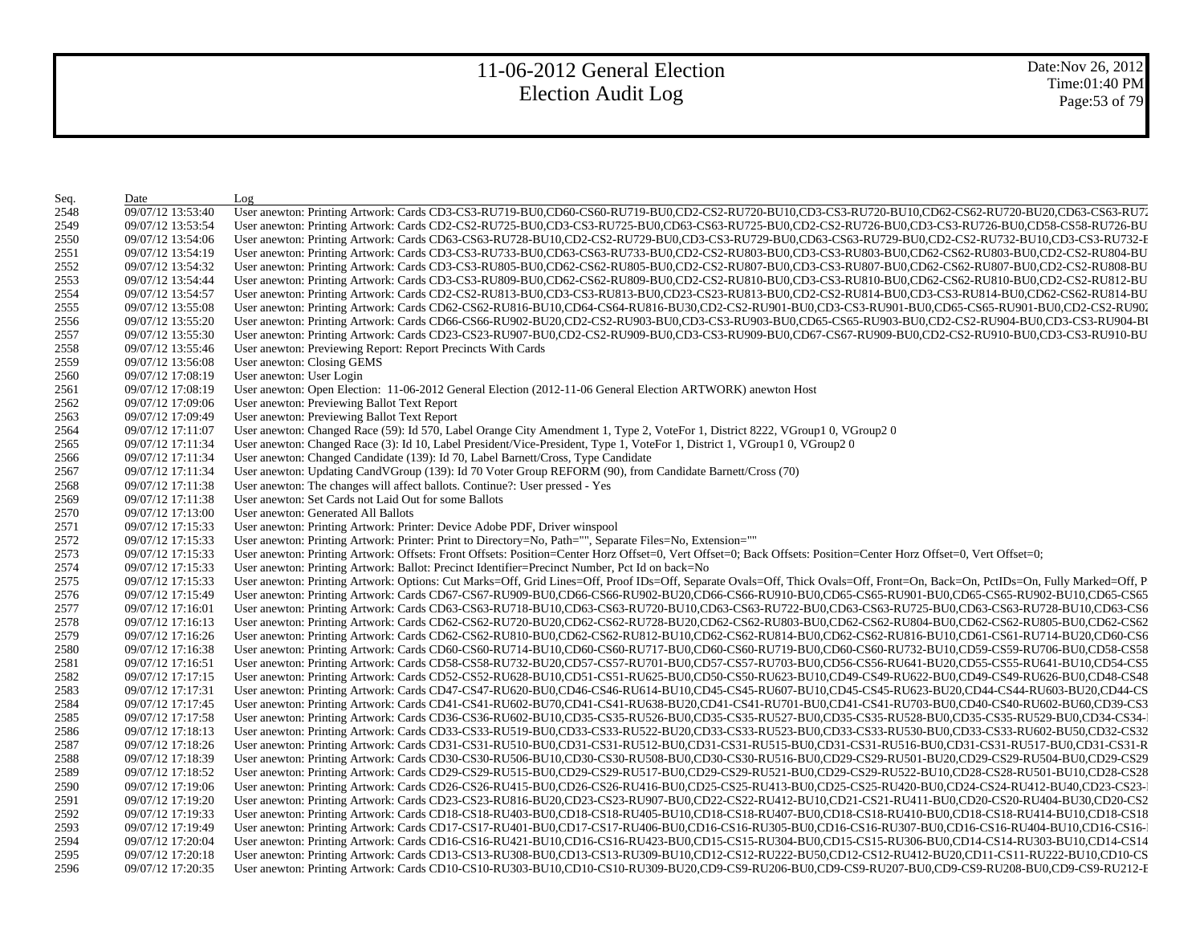Date:Nov 26, 2012 Time:01:40 PM Page:53 of 79

| Seq. | Date              | Log                                                                                                                                                                                                                            |
|------|-------------------|--------------------------------------------------------------------------------------------------------------------------------------------------------------------------------------------------------------------------------|
| 2548 | 09/07/12 13:53:40 | User anewton: Printing Artwork: Cards CD3-CS3-RU719-BU0,CD60-CS60-RU719-BU0,CD2-CS2-RU720-BU10,CD3-CS3-RU720-BU10,CD62-CS62-RU720-BU20,CD63-CS63-RU720-BU20,CD63-CS63-RU720-BU20,CD63-CS63-RU720-BU20,CD63-CS63-RU720-BU20,CD6 |
| 2549 | 09/07/12 13:53:54 | User anewton: Printing Artwork: Cards CD2-CS2-RU725-BU0,CD3-CS3-RU725-BU0,CD63-CS63-RU725-BU0,CD2-CS2-RU726-BU0,CD3-CS3-RU726-BU0,CD58-CS3-RU726-BU0,CD58-CS58-RU726-BU                                                        |
| 2550 | 09/07/12 13:54:06 | User anewton: Printing Artwork: Cards CD63-CS63-RU728-BU10,CD2-CS2-RU729-BU0,CD3-CS3-RU729-BU0,CD63-CS63-RU729-BU0,CD2-CS2-RU732-BU10,CD3-CS3-RU732-BU10,CD3-CS3-RU732-E                                                       |
| 2551 | 09/07/12 13:54:19 | User anewton: Printing Artwork: Cards CD3-CS3-RU733-BU0,CD63-CS63-RU733-BU0,CD2-CS2-RU803-BU0,CD3-CS3-RU803-BU0,CD62-CS62-RU803-BU0,CD2-CS2-RU803-BU0,CD2-CS2-RU804-BU                                                         |
| 2552 | 09/07/12 13:54:32 | User anewton: Printing Artwork: Cards CD3-CS3-RU805-BU0,CD62-CS62-RU805-BU0,CD2-CS2-RU807-BU0,CD3-CS3-RU807-BU0,CD62-CS62-RU807-BU0,CD2-CS2-RU807-BU0,CD2-CS2-RU808-BU                                                         |
| 2553 | 09/07/12 13:54:44 | User anewton: Printing Artwork: Cards CD3-CS3-RU809-BU0,CD62-CS62-RU809-BU0,CD2-CS2-RU810-BU0,CD3-CS3-RU810-BU0,CD62-CS62-RU810-BU0,CD2-CS2-RU810-BU0,CD2-CS2-RU812-BU                                                         |
| 2554 | 09/07/12 13:54:57 | User anewton: Printing Artwork: Cards CD2-CS2-RU813-BU0,CD3-CS3-RU813-BU0,CD23-CS23-RU813-BU0,CD2-CS2-RU814-BU0,CD3-CS3-RU814-BU0,CD62-CS62-RU814-BU0,CD62-CS62-RU814-BU0,CD62-CS62-RU814-BU0,CD62-CS62-RU814-BU0,CD62-CS62-RU |
| 2555 | 09/07/12 13:55:08 | User anewton: Printing Artwork: Cards CD62-CS62-RU816-BU10,CD64-CS64-RU816-BU30,CD2-CS2-RU901-BU0,CD3-CS3-RU901-BU0,CD65-CS65-RU901-BU0,CD2-CS2-RU902-CS2-RU902                                                                |
| 2556 | 09/07/12 13:55:20 | User anewton: Printing Artwork: Cards CD66-CS66-RU902-BU20,CD2-CS2-RU903-BU0,CD3-CS3-RU903-BU0,CD65-CS65-RU903-BU0,CD2-CS2-RU904-BU0,CD3-CS3-RU904-BU0,CD3-CS3-RU904-BU                                                        |
| 2557 | 09/07/12 13:55:30 | User anewton: Printing Artwork: Cards CD23-CS23-RU907-BU0,CD2-CS2-RU909-BU0,CD3-CS3-RU909-BU0,CD67-CS67-RU909-BU0,CD2-CS2-RU910-BU0,CD3-CS3-RU910-BU0,CD3-CS3-RU910-BU                                                         |
| 2558 | 09/07/12 13:55:46 | User anewton: Previewing Report: Report Precincts With Cards                                                                                                                                                                   |
| 2559 | 09/07/12 13:56:08 | User anewton: Closing GEMS                                                                                                                                                                                                     |
| 2560 | 09/07/12 17:08:19 | User anewton: User Login                                                                                                                                                                                                       |
| 2561 | 09/07/12 17:08:19 | User anewton: Open Election: 11-06-2012 General Election (2012-11-06 General Election ARTWORK) anewton Host                                                                                                                    |
| 2562 | 09/07/12 17:09:06 | User anewton: Previewing Ballot Text Report                                                                                                                                                                                    |
| 2563 | 09/07/12 17:09:49 | User anewton: Previewing Ballot Text Report                                                                                                                                                                                    |
| 2564 | 09/07/12 17:11:07 | User anewton: Changed Race (59): Id 570, Label Orange City Amendment 1, Type 2, VoteFor 1, District 8222, VGroup1 0, VGroup2 0                                                                                                 |
| 2565 | 09/07/12 17:11:34 | User anewton: Changed Race (3): Id 10, Label President/Vice-President, Type 1, VoteFor 1, District 1, VGroup1 0, VGroup2 0                                                                                                     |
| 2566 | 09/07/12 17:11:34 | User anewton: Changed Candidate (139): Id 70, Label Barnett/Cross, Type Candidate                                                                                                                                              |
| 2567 | 09/07/12 17:11:34 | User anewton: Updating CandVGroup (139): Id 70 Voter Group REFORM (90), from Candidate Barnett/Cross (70)                                                                                                                      |
| 2568 | 09/07/12 17:11:38 | User anewton: The changes will affect ballots. Continue?: User pressed - Yes                                                                                                                                                   |
| 2569 | 09/07/12 17:11:38 | User anewton: Set Cards not Laid Out for some Ballots                                                                                                                                                                          |
| 2570 | 09/07/12 17:13:00 | User anewton: Generated All Ballots                                                                                                                                                                                            |
| 2571 | 09/07/12 17:15:33 | User anewton: Printing Artwork: Printer: Device Adobe PDF, Driver winspool                                                                                                                                                     |
| 2572 | 09/07/12 17:15:33 | User anewton: Printing Artwork: Printer: Print to Directory=No, Path="", Separate Files=No, Extension=""                                                                                                                       |
| 2573 | 09/07/12 17:15:33 | User anewton: Printing Artwork: Offsets: Front Offsets: Position=Center Horz Offset=0, Vert Offset=0; Back Offsets: Position=Center Horz Offset=0, Vert Offset=0;                                                              |
| 2574 | 09/07/12 17:15:33 | User anewton: Printing Artwork: Ballot: Precinct Identifier=Precinct Number, Pct Id on back=No                                                                                                                                 |
| 2575 | 09/07/12 17:15:33 | User anewton: Printing Artwork: Options: Cut Marks=Off, Grid Lines=Off, Proof IDs=Off, Separate Ovals=Off, Thick Ovals=Off, Front=On, Back=On, PctIDs=On, Fully Marked=Off, P.                                                 |
| 2576 | 09/07/12 17:15:49 | User anewton: Printing Artwork: Cards CD67-CS67-RU909-BU0,CD66-CS66-RU902-BU20,CD66-CS66-RU910-BU0,CD65-CS65-RU901-BU0,CD65-CS65-RU902-BU10,CD65-CS65-RU902-BU10,CD65-CS65                                                     |
| 2577 | 09/07/12 17:16:01 | User anewton: Printing Artwork: Cards CD63-CS63-RU718-BU10,CD63-CS63-RU720-BU10,CD63-CS63-RU722-BU0,CD63-CS63-RU725-BU0,CD63-CS63-RU728-BU10,CD63-CS66                                                                         |
| 2578 | 09/07/12 17:16:13 | User anewton: Printing Artwork: Cards CD62-CS62-RU720-BU20,CD62-CS62-RU728-BU20,CD62-CS62-RU803-BU0,CD62-CS62-RU804-BU0,CD62-CS62-RU805-BU0,CD62-CS62-RU805-BU0,CD62-CS62-RU804-BU0,CD62-CS62-RU805-BU0,CD62-CS62-RU804-BU0,CD |
| 2579 | 09/07/12 17:16:26 | User anewton: Printing Artwork: Cards CD62-CS62-RU810-BU0,CD62-CS62-RU812-BU10,CD62-CS62-RU814-BU0,CD62-CS62-RU816-BU10,CD61-CS61-RU714-BU20,CD60-CS6                                                                          |
| 2580 | 09/07/12 17:16:38 | User anewton: Printing Artwork: Cards CD60-CS60-RU714-BU10,CD60-CS60-RU717-BU0,CD60-CS60-RU719-BU0,CD60-CS60-RU732-BU10,CD59-CS59-RU706-BU0,CD58-CS58                                                                          |
| 2581 | 09/07/12 17:16:51 | User anewton: Printing Artwork: Cards CD58-CS58-RU732-BU20,CD57-CS57-RU701-BU0,CD57-CS57-RU703-BU0,CD56-CS56-RU641-BU20,CD55-CS55-RU641-BU10,CD54-CS5                                                                          |
| 2582 | 09/07/12 17:17:15 | User anewton: Printing Artwork: Cards CD52-CS52-RU628-BU10,CD51-CS51-RU625-BU0,CD50-CS50-RU623-BU10,CD49-CS49-RU622-BU0,CD49-CS49-RU626-BU0,CD48-CS48                                                                          |
| 2583 | 09/07/12 17:17:31 | User anewton: Printing Artwork: Cards CD47-CS47-RU620-BU0,CD46-CS46-RU614-BU10,CD45-CS45-RU607-BU10,CD45-CS45-RU623-BU20,CD44-CS44-RU603-BU20,CD44-CS                                                                          |
| 2584 | 09/07/12 17:17:45 | User anewton: Printing Artwork: Cards CD41-CS41-RU602-BU70,CD41-CS41-RU638-BU20,CD41-CS41-RU701-BU0,CD41-CS41-RU703-BU0,CD40-CS40-RU602-BU60,CD39-CS3                                                                          |
| 2585 | 09/07/12 17:17:58 | User anewton: Printing Artwork: Cards CD36-CS36-RU602-BU10,CD35-CS35-RU526-BU0,CD35-CS35-RU527-BU0,CD35-CS35-RU528-BU0,CD35-CS35-RU529-BU0,CD34-CS34-                                                                          |
| 2586 | 09/07/12 17:18:13 | User anewton: Printing Artwork: Cards CD33-CS33-RU519-BU0,CD33-CS33-RU522-BU20,CD33-CS33-RU523-BU0,CD33-CS33-RU520-BU0,CD33-CS33-RU602-BU50,CD32-CS32                                                                          |
| 2587 | 09/07/12 17:18:26 | User anewton: Printing Artwork: Cards CD31-CS31-RU510-BU0,CD31-CS31-RU512-BU0,CD31-CS31-RU515-BU0,CD31-CS31-RU516-BU0,CD31-CS31-RU517-BU0,CD31-CS31-RU517-BU0,CD31-CS31-RU516-BU0,CD31-CS31-RU517-BU0,CD31-CS31-RU517-BU0,CD31 |
| 2588 | 09/07/12 17:18:39 | User anewton: Printing Artwork: Cards CD30-CS30-RU506-BU10,CD30-CS30-RU508-BU0,CD30-CS30-RU516-BU0,CD29-CS29-RU501-BU20,CD29-CS29-RU504-BU0,CD29-CS29-                                                                         |
| 2589 | 09/07/12 17:18:52 | User anewton: Printing Artwork: Cards CD29-CS29-RU515-BU0,CD29-CS29-RU517-BU0,CD29-CS29-RU521-BU0,CD29-CS29-RU522-BU10,CD28-CS28-RU501-BU10,CD28-CS28                                                                          |
| 2590 | 09/07/12 17:19:06 | User anewton: Printing Artwork: Cards CD26-CS26-RU415-BU0,CD26-CS26-RU416-BU0,CD25-CS25-RU413-BU0,CD25-CS25-RU420-BU0,CD24-CS24-RU412-BU40,CD23-CS23-                                                                          |
| 2591 | 09/07/12 17:19:20 | User anewton: Printing Artwork: Cards CD23-CS23-RU816-BU20,CD23-CS23-RU907-BU0,CD22-CS22-RU412-BU10,CD21-CS21-RU411-BU0,CD20-CS20-RU404-BU30,CD20-CS2                                                                          |
| 2592 | 09/07/12 17:19:33 | User anewton: Printing Artwork: Cards CD18-CS18-RU403-BU0,CD18-CS18-RU405-BU10,CD18-CS18-RU407-BU0,CD18-CS18-RU410-BU0,CD18-CS18-RU414-BU10,CD18-CS18                                                                          |
| 2593 | 09/07/12 17:19:49 | User anewton: Printing Artwork: Cards CD17-CS17-RU401-BU0,CD17-CS17-RU406-BU0,CD16-CS16-RU305-BU0,CD16-CS16-RU307-BU0,CD16-CS16-RU404-BU10,CD16-CS16-                                                                          |
| 2594 | 09/07/12 17:20:04 | User anewton: Printing Artwork: Cards CD16-CS16-RU421-BU10,CD16-CS16-RU423-BU0,CD15-CS15-RU304-BU0,CD15-CS15-RU306-BU0,CD14-CS14-RU303-BU10,CD14-CS14                                                                          |
| 2595 | 09/07/12 17:20:18 | User anewton: Printing Artwork: Cards CD13-CS13-RU308-BU0,CD13-CS13-RU309-BU10,CD12-CS12-RU222-BU50,CD12-CS12-RU412-BU20,CD11-CS11-RU222-BU10,CD10-CS                                                                          |
| 2596 | 09/07/12 17:20:35 | User anewton: Printing Artwork: Cards CD10-CS10-RU303-BU10,CD10-CS10-RU309-BU20,CD9-CS9-RU206-BU0,CD9-CS9-RU207-BU0,CD9-CS9-RU208-BU0,CD9-CS9-RU208-BU0,CD9-CS9-RU212-F                                                        |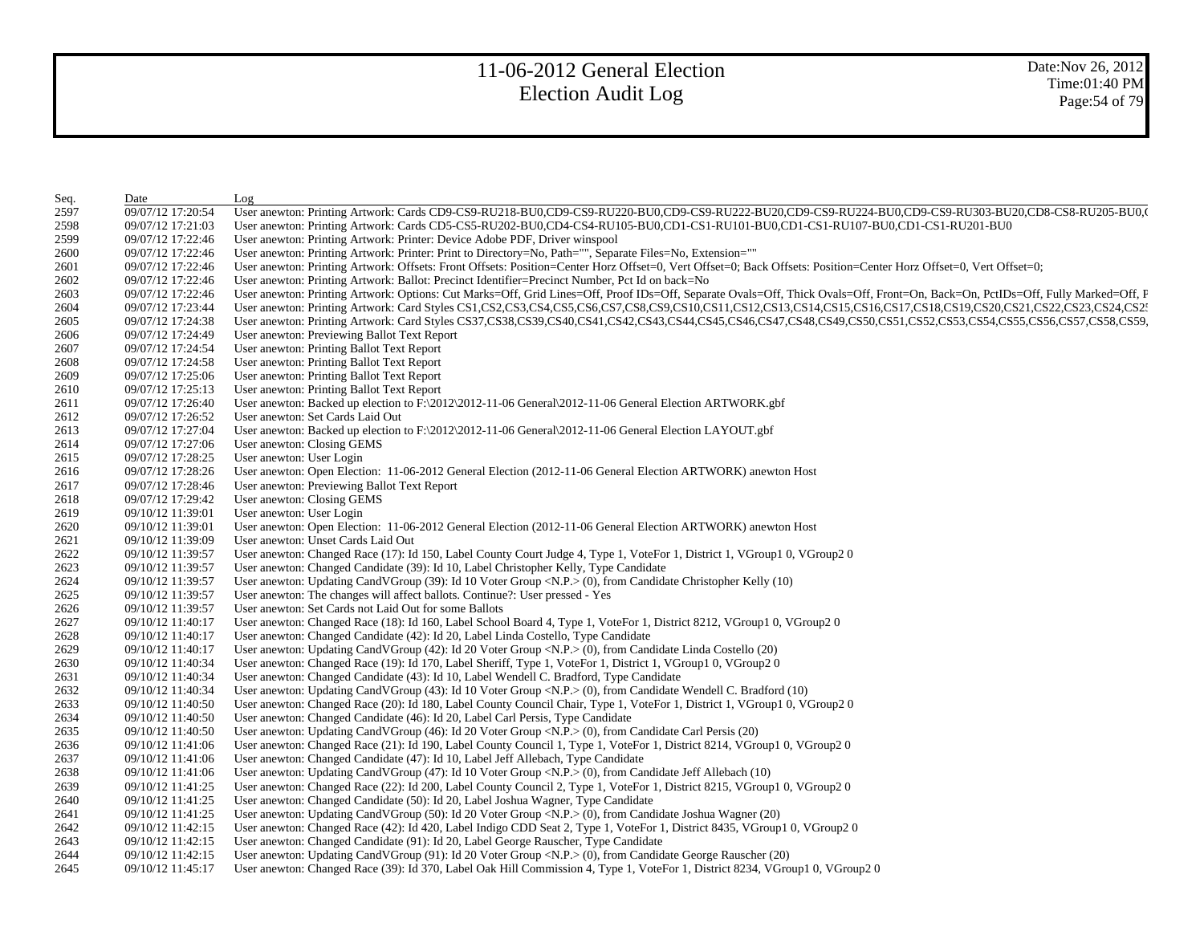| Seq. | Date              | Log                                                                                                                                                                            |
|------|-------------------|--------------------------------------------------------------------------------------------------------------------------------------------------------------------------------|
| 2597 | 09/07/12 17:20:54 | User anewton: Printing Artwork: Cards CD9-CS9-RU218-BU0,CD9-CS9-RU220-BU0,CD9-CS9-RU222-BU20,CD9-CS9-RU224-BU0,CD9-CS9-RU303-BU20,CD8-CS8-RU205-BU0,                           |
| 2598 | 09/07/12 17:21:03 | User anewton: Printing Artwork: Cards CD5-CS5-RU202-BU0,CD4-CS4-RU105-BU0,CD1-CS1-RU101-BU0,CD1-CS1-RU107-BU0,CD1-CS1-RU201-BU0                                                |
| 2599 | 09/07/12 17:22:46 | User anewton: Printing Artwork: Printer: Device Adobe PDF, Driver winspool                                                                                                     |
| 2600 | 09/07/12 17:22:46 | User anewton: Printing Artwork: Printer: Print to Directory=No, Path="", Separate Files=No, Extension=""                                                                       |
| 2601 | 09/07/12 17:22:46 | User anewton: Printing Artwork: Offsets: Front Offsets: Position=Center Horz Offset=0, Vert Offset=0; Back Offsets: Position=Center Horz Offset=0, Vert Offset=0;              |
| 2602 | 09/07/12 17:22:46 | User anewton: Printing Artwork: Ballot: Precinct Identifier=Precinct Number, Pct Id on back=No                                                                                 |
| 2603 | 09/07/12 17:22:46 | User anewton: Printing Artwork: Options: Cut Marks=Off, Grid Lines=Off, Proof IDs=Off, Separate Ovals=Off, Thick Ovals=Off, Front=On, Back=On, PctIDs=Off, Fully Marked=Off, F |
| 2604 | 09/07/12 17:23:44 | User anewton: Printing Artwork: Card Styles CS1,CS2,CS3,CS4,CS5,CS6,CS7,CS8,CS9,CS10,CS11,CS12,CS13,CS14,CS15,CS16,CS17,CS18,CS19,CS20,CS21,CS22,CS23,CS24,CS2:                |
| 2605 | 09/07/12 17:24:38 | User anewton: Printing Artwork: Card Styles CS37,CS38,CS39,CS40,CS41,CS42,CS43,CS44,CS45,CS46,CS47,CS48,CS49,CS50,CS51,CS52,CS53,CS54,CS55,CS56,CS57,CS58,CS59,CS59,           |
| 2606 | 09/07/12 17:24:49 | User anewton: Previewing Ballot Text Report                                                                                                                                    |
| 2607 | 09/07/12 17:24:54 | User anewton: Printing Ballot Text Report                                                                                                                                      |
| 2608 | 09/07/12 17:24:58 | User anewton: Printing Ballot Text Report                                                                                                                                      |
| 2609 | 09/07/12 17:25:06 | User anewton: Printing Ballot Text Report                                                                                                                                      |
| 2610 | 09/07/12 17:25:13 | User anewton: Printing Ballot Text Report                                                                                                                                      |
| 2611 | 09/07/12 17:26:40 | User anewton: Backed up election to $F:\2012\2012-11-06$ General $2012-11-06$ General Election ARTWORK.gbf                                                                     |
| 2612 | 09/07/12 17:26:52 | User anewton: Set Cards Laid Out                                                                                                                                               |
| 2613 | 09/07/12 17:27:04 | User anewton: Backed up election to $F:\2012\2012-11-06$ General $2012-11-06$ General Election LAYOUT.gbf                                                                      |
| 2614 | 09/07/12 17:27:06 | User anewton: Closing GEMS                                                                                                                                                     |
| 2615 | 09/07/12 17:28:25 | User anewton: User Login                                                                                                                                                       |
| 2616 | 09/07/12 17:28:26 | User anewton: Open Election: 11-06-2012 General Election (2012-11-06 General Election ARTWORK) anewton Host                                                                    |
| 2617 | 09/07/12 17:28:46 | User anewton: Previewing Ballot Text Report                                                                                                                                    |
| 2618 | 09/07/12 17:29:42 | User anewton: Closing GEMS                                                                                                                                                     |
| 2619 | 09/10/12 11:39:01 | User anewton: User Login                                                                                                                                                       |
| 2620 | 09/10/12 11:39:01 | User anewton: Open Election: 11-06-2012 General Election (2012-11-06 General Election ARTWORK) anewton Host                                                                    |
| 2621 | 09/10/12 11:39:09 | User anewton: Unset Cards Laid Out                                                                                                                                             |
| 2622 | 09/10/12 11:39:57 | User anewton: Changed Race (17): Id 150, Label County Court Judge 4, Type 1, VoteFor 1, District 1, VGroup1 0, VGroup2 0                                                       |
| 2623 | 09/10/12 11:39:57 | User anewton: Changed Candidate (39): Id 10, Label Christopher Kelly, Type Candidate                                                                                           |
| 2624 | 09/10/12 11:39:57 | User anewton: Updating CandVGroup (39): Id 10 Voter Group < $N.P.$ > (0), from Candidate Christopher Kelly (10)                                                                |
| 2625 | 09/10/12 11:39:57 | User anewton: The changes will affect ballots. Continue?: User pressed - Yes                                                                                                   |
| 2626 | 09/10/12 11:39:57 | User anewton: Set Cards not Laid Out for some Ballots                                                                                                                          |
| 2627 | 09/10/12 11:40:17 | User anewton: Changed Race (18): Id 160, Label School Board 4, Type 1, VoteFor 1, District 8212, VGroup1 0, VGroup2 0                                                          |
| 2628 | 09/10/12 11:40:17 | User anewton: Changed Candidate (42): Id 20, Label Linda Costello, Type Candidate                                                                                              |
| 2629 | 09/10/12 11:40:17 | User anewton: Updating CandVGroup (42): Id 20 Voter Group <n.p.> (0), from Candidate Linda Costello (20)</n.p.>                                                                |
| 2630 | 09/10/12 11:40:34 | User anewton: Changed Race (19): Id 170, Label Sheriff, Type 1, VoteFor 1, District 1, VGroup1 0, VGroup2 0                                                                    |
| 2631 | 09/10/12 11:40:34 | User anewton: Changed Candidate (43): Id 10, Label Wendell C. Bradford, Type Candidate                                                                                         |
| 2632 | 09/10/12 11:40:34 | User anewton: Updating CandVGroup $(43)$ : Id 10 Voter Group <n.p.<math>&gt; (0), from Candidate Wendell C. Bradford (10)</n.p.<math>                                          |
| 2633 | 09/10/12 11:40:50 | User anewton: Changed Race (20): Id 180, Label County Council Chair, Type 1, VoteFor 1, District 1, VGroup1 0, VGroup2 0                                                       |
| 2634 | 09/10/12 11:40:50 | User anewton: Changed Candidate (46): Id 20, Label Carl Persis, Type Candidate                                                                                                 |
| 2635 | 09/10/12 11:40:50 | User anewton: Updating CandVGroup (46): Id 20 Voter Group <n.p.> (0), from Candidate Carl Persis (20)</n.p.>                                                                   |
| 2636 | 09/10/12 11:41:06 | User anewton: Changed Race (21): Id 190, Label County Council 1, Type 1, VoteFor 1, District 8214, VGroup1 0, VGroup2 0                                                        |
| 2637 | 09/10/12 11:41:06 | User anewton: Changed Candidate (47): Id 10, Label Jeff Allebach, Type Candidate                                                                                               |
| 2638 | 09/10/12 11:41:06 | User anewton: Updating CandVGroup $(47)$ : Id 10 Voter Group <n.p.><math>\geq</math> (0), from Candidate Jeff Allebach <math>(10)</math></n.p.>                                |
| 2639 | 09/10/12 11:41:25 | User anewton: Changed Race (22): Id 200, Label County Council 2, Type 1, VoteFor 1, District 8215, VGroup1 0, VGroup2 0                                                        |
| 2640 | 09/10/12 11:41:25 | User anewton: Changed Candidate (50): Id 20, Label Joshua Wagner, Type Candidate                                                                                               |
| 2641 | 09/10/12 11:41:25 | User anewton: Updating CandVGroup (50): Id 20 Voter Group <n.p.> (0), from Candidate Joshua Wagner (20)</n.p.>                                                                 |
| 2642 | 09/10/12 11:42:15 | User anewton: Changed Race (42): Id 420, Label Indigo CDD Seat 2, Type 1, VoteFor 1, District 8435, VGroup1 0, VGroup2 0                                                       |
| 2643 | 09/10/12 11:42:15 | User anewton: Changed Candidate (91): Id 20, Label George Rauscher, Type Candidate                                                                                             |
| 2644 | 09/10/12 11:42:15 | User anewton: Updating CandVGroup (91): Id 20 Voter Group <n.p.> (0), from Candidate George Rauscher (20)</n.p.>                                                               |
| 2645 | 09/10/12 11:45:17 | User anewton: Changed Race (39): Id 370, Label Oak Hill Commission 4, Type 1, VoteFor 1, District 8234, VGroup1 0, VGroup2 0                                                   |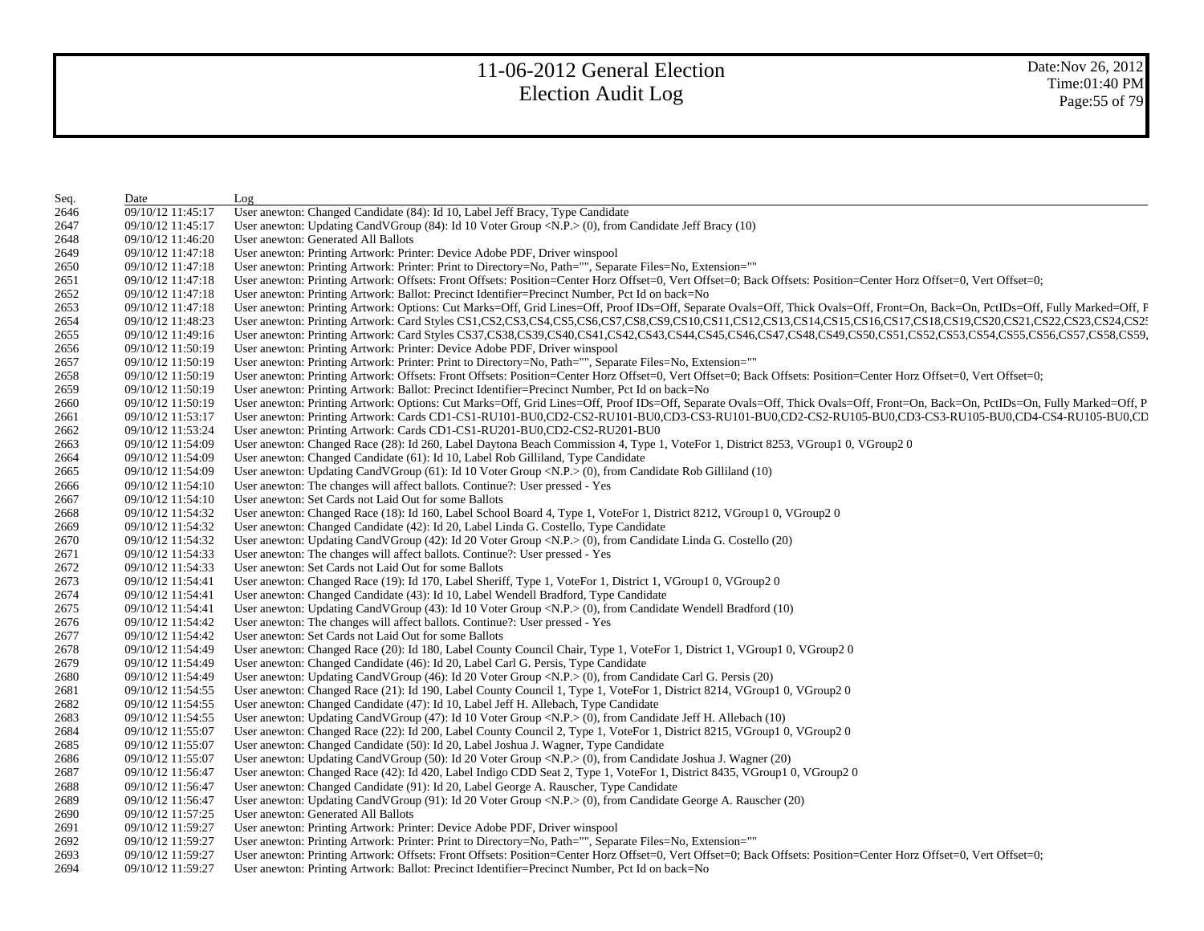| Seq. | Date              | Log                                                                                                                                                                            |
|------|-------------------|--------------------------------------------------------------------------------------------------------------------------------------------------------------------------------|
| 2646 | 09/10/12 11:45:17 | User anewton: Changed Candidate (84): Id 10, Label Jeff Bracy, Type Candidate                                                                                                  |
| 2647 | 09/10/12 11:45:17 | User anewton: Updating CandVGroup $(84)$ : Id 10 Voter Group <n.p.><math>(0)</math>, from Candidate Jeff Bracy <math>(10)</math></n.p.>                                        |
| 2648 | 09/10/12 11:46:20 | User anewton: Generated All Ballots                                                                                                                                            |
| 2649 | 09/10/12 11:47:18 | User anewton: Printing Artwork: Printer: Device Adobe PDF, Driver winspool                                                                                                     |
| 2650 | 09/10/12 11:47:18 | User anewton: Printing Artwork: Printer: Print to Directory=No, Path="", Separate Files=No, Extension=""                                                                       |
| 2651 | 09/10/12 11:47:18 | User anewton: Printing Artwork: Offsets: Front Offsets: Position=Center Horz Offset=0, Vert Offset=0; Back Offsets: Position=Center Horz Offset=0, Vert Offset=0;              |
| 2652 | 09/10/12 11:47:18 | User anewton: Printing Artwork: Ballot: Precinct Identifier=Precinct Number, Pct Id on back=No                                                                                 |
| 2653 | 09/10/12 11:47:18 | User anewton: Printing Artwork: Options: Cut Marks=Off, Grid Lines=Off, Proof IDs=Off, Separate Ovals=Off, Thick Ovals=Off, Front=On, Back=On, PctIDs=Off, Fully Marked=Off, F |
| 2654 | 09/10/12 11:48:23 | User anewton: Printing Artwork: Card Styles CS1,CS2,CS3,CS4,CS5,CS6,CS7,CS8,CS9,CS10,CS11,CS12,CS13,CS14,CS15,CS16,CS17,CS18,CS19,CS20,CS21,CS22,CS23,CS24,CS2                 |
| 2655 | 09/10/12 11:49:16 | User anewton: Printing Artwork: Card Styles CS37,CS38,CS39,CS40,CS41,CS42,CS43,CS44,CS45,CS46,CS47,CS48,CS49,CS50,CS51,CS52,CS53,CS54,CS55,CS56,CS57,CS58,CS59,                |
| 2656 | 09/10/12 11:50:19 | User anewton: Printing Artwork: Printer: Device Adobe PDF, Driver winspool                                                                                                     |
| 2657 | 09/10/12 11:50:19 | User anewton: Printing Artwork: Printer: Print to Directory=No, Path="", Separate Files=No, Extension=""                                                                       |
| 2658 | 09/10/12 11:50:19 | User anewton: Printing Artwork: Offsets: Front Offsets: Position=Center Horz Offset=0, Vert Offset=0; Back Offsets: Position=Center Horz Offset=0, Vert Offset=0;              |
| 2659 | 09/10/12 11:50:19 | User anewton: Printing Artwork: Ballot: Precinct Identifier=Precinct Number, Pct Id on back=No                                                                                 |
| 2660 | 09/10/12 11:50:19 | User anewton: Printing Artwork: Options: Cut Marks=Off, Grid Lines=Off, Proof IDs=Off, Separate Ovals=Off, Thick Ovals=Off, Front=On, Back=On, PctIDs=On, Fully Marked=Off, P. |
| 2661 | 09/10/12 11:53:17 | User anewton: Printing Artwork: Cards CD1-CS1-RU101-BU0,CD2-CS2-RU101-BU0,CD3-CS3-RU101-BU0,CD2-CS2-RU105-BU0,CD3-CS3-RU105-BU0,CD4-CS4-RU105-BU0,CD4-CS4-RU105-BU0,CD         |
| 2662 | 09/10/12 11:53:24 | User anewton: Printing Artwork: Cards CD1-CS1-RU201-BU0,CD2-CS2-RU201-BU0                                                                                                      |
| 2663 | 09/10/12 11:54:09 | User anewton: Changed Race (28): Id 260, Label Daytona Beach Commission 4, Type 1, VoteFor 1, District 8253, VGroup1 0, VGroup2 0                                              |
| 2664 | 09/10/12 11:54:09 | User anewton: Changed Candidate (61): Id 10, Label Rob Gilliland, Type Candidate                                                                                               |
| 2665 | 09/10/12 11:54:09 | User anewton: Updating CandVGroup $(61)$ : Id 10 Voter Group <n.p.><math>(0)</math>, from Candidate Rob Gilliland <math>(10)</math></n.p.>                                     |
| 2666 | 09/10/12 11:54:10 | User anewton: The changes will affect ballots. Continue?: User pressed - Yes                                                                                                   |
| 2667 | 09/10/12 11:54:10 | User anewton: Set Cards not Laid Out for some Ballots                                                                                                                          |
| 2668 | 09/10/12 11:54:32 | User anewton: Changed Race (18): Id 160, Label School Board 4, Type 1, VoteFor 1, District 8212, VGroup1 0, VGroup2 0                                                          |
| 2669 | 09/10/12 11:54:32 | User anewton: Changed Candidate (42): Id 20, Label Linda G. Costello, Type Candidate                                                                                           |
| 2670 | 09/10/12 11:54:32 | User anewton: Updating CandVGroup $(42)$ : Id 20 Voter Group <n.p.<math>&gt; (0), from Candidate Linda G. Costello (20)</n.p.<math>                                            |
| 2671 | 09/10/12 11:54:33 | User anewton: The changes will affect ballots. Continue?: User pressed - Yes                                                                                                   |
| 2672 | 09/10/12 11:54:33 | User anewton: Set Cards not Laid Out for some Ballots                                                                                                                          |
| 2673 | 09/10/12 11:54:41 | User anewton: Changed Race (19): Id 170, Label Sheriff, Type 1, VoteFor 1, District 1, VGroup1 0, VGroup2 0                                                                    |
| 2674 | 09/10/12 11:54:41 | User anewton: Changed Candidate (43): Id 10, Label Wendell Bradford, Type Candidate                                                                                            |
| 2675 | 09/10/12 11:54:41 | User anewton: Updating CandVGroup $(43)$ : Id 10 Voter Group <n.p.><math>(0)</math>, from Candidate Wendell Bradford <math>(10)</math></n.p.>                                  |
| 2676 | 09/10/12 11:54:42 | User anewton: The changes will affect ballots. Continue?: User pressed - Yes                                                                                                   |
| 2677 | 09/10/12 11:54:42 | User anewton: Set Cards not Laid Out for some Ballots                                                                                                                          |
| 2678 | 09/10/12 11:54:49 | User anewton: Changed Race (20): Id 180, Label County Council Chair, Type 1, VoteFor 1, District 1, VGroup1 0, VGroup2 0                                                       |
| 2679 | 09/10/12 11:54:49 | User anewton: Changed Candidate (46): Id 20, Label Carl G. Persis, Type Candidate                                                                                              |
| 2680 | 09/10/12 11:54:49 | User anewton: Updating CandVGroup (46): Id 20 Voter Group <n.p.> (0), from Candidate Carl G. Persis (20)</n.p.>                                                                |
| 2681 | 09/10/12 11:54:55 | User anewton: Changed Race (21): Id 190, Label County Council 1, Type 1, VoteFor 1, District 8214, VGroup1 0, VGroup2 0                                                        |
| 2682 | 09/10/12 11:54:55 | User anewton: Changed Candidate (47): Id 10, Label Jeff H. Allebach, Type Candidate                                                                                            |
| 2683 | 09/10/12 11:54:55 | User anewton: Updating CandVGroup $(47)$ : Id 10 Voter Group <n.p.><math>(0)</math>, from Candidate Jeff H. Allebach <math>(10)</math></n.p.>                                  |
| 2684 | 09/10/12 11:55:07 | User anewton: Changed Race (22): Id 200, Label County Council 2, Type 1, VoteFor 1, District 8215, VGroup1 0, VGroup2 0                                                        |
| 2685 | 09/10/12 11:55:07 | User anewton: Changed Candidate (50): Id 20, Label Joshua J. Wagner, Type Candidate                                                                                            |
| 2686 | 09/10/12 11:55:07 | User anewton: Updating CandVGroup (50): Id 20 Voter Group <n.p.> (0), from Candidate Joshua J. Wagner (20)</n.p.>                                                              |
| 2687 | 09/10/12 11:56:47 | User anewton: Changed Race (42): Id 420, Label Indigo CDD Seat 2, Type 1, VoteFor 1, District 8435, VGroup1 0, VGroup2 0                                                       |
| 2688 | 09/10/12 11:56:47 | User anewton: Changed Candidate (91): Id 20, Label George A. Rauscher, Type Candidate                                                                                          |
| 2689 | 09/10/12 11:56:47 | User anewton: Updating CandVGroup $(91)$ : Id 20 Voter Group <n.p.><math>(0)</math>, from Candidate George A. Rauscher <math>(20)</math></n.p.>                                |
| 2690 | 09/10/12 11:57:25 | User anewton: Generated All Ballots                                                                                                                                            |
| 2691 | 09/10/12 11:59:27 | User anewton: Printing Artwork: Printer: Device Adobe PDF, Driver winspool                                                                                                     |
| 2692 | 09/10/12 11:59:27 | User anewton: Printing Artwork: Printer: Print to Directory=No, Path="", Separate Files=No, Extension=""                                                                       |
| 2693 | 09/10/12 11:59:27 | User anewton: Printing Artwork: Offsets: Front Offsets: Position=Center Horz Offset=0, Vert Offset=0; Back Offsets: Position=Center Horz Offset=0, Vert Offset=0;              |
| 2694 | 09/10/12 11:59:27 | User anewton: Printing Artwork: Ballot: Precinct Identifier=Precinct Number, Pct Id on back=No                                                                                 |
|      |                   |                                                                                                                                                                                |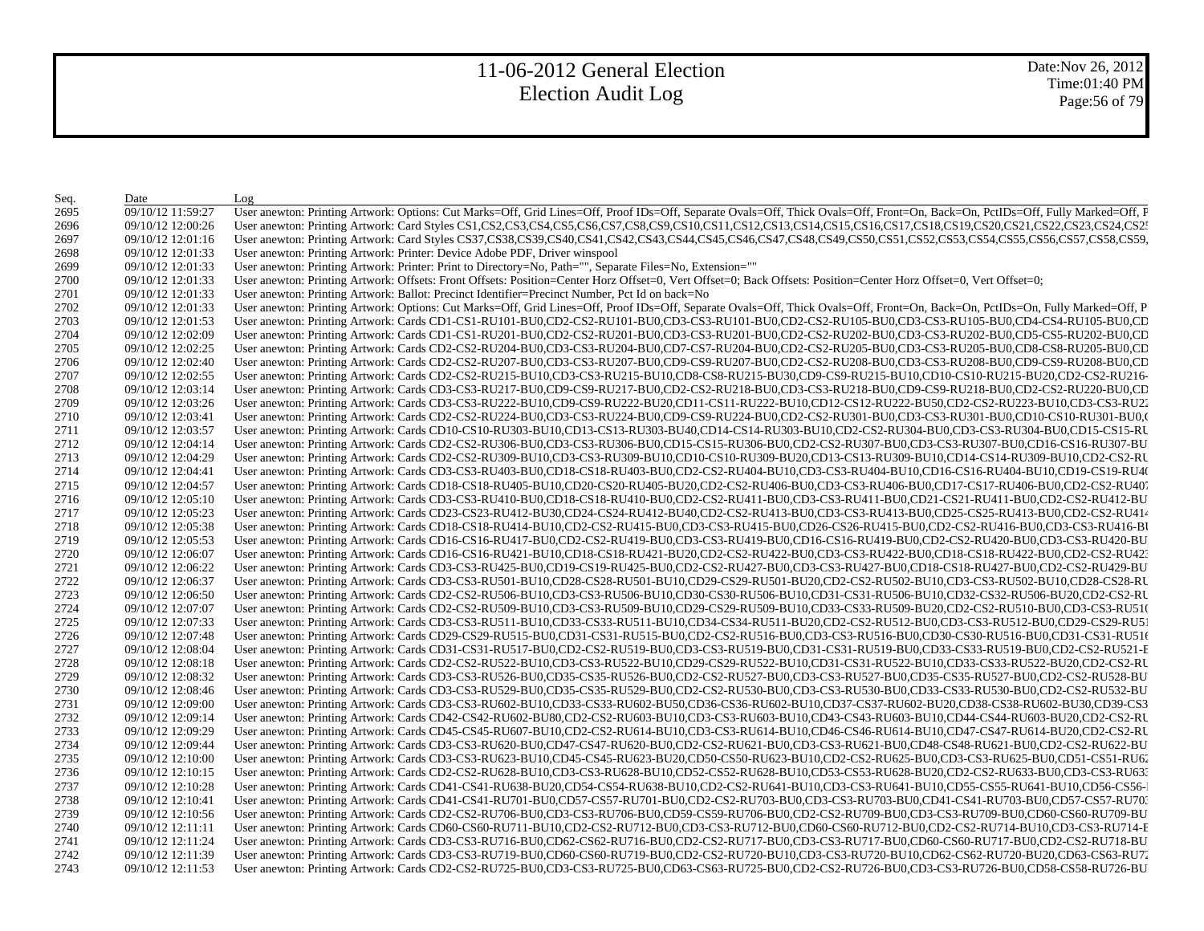| Seq.         | Date                                   | Log                                                                                                                                                                                                                                                                                                                                                                                    |
|--------------|----------------------------------------|----------------------------------------------------------------------------------------------------------------------------------------------------------------------------------------------------------------------------------------------------------------------------------------------------------------------------------------------------------------------------------------|
| 2695         | 09/10/12 11:59:27                      | User anewton: Printing Artwork: Options: Cut Marks=Off, Grid Lines=Off, Proof IDs=Off, Separate Ovals=Off, Thick Ovals=Off, Front=On, Back=On, PctIDs=Off, Fully Marked=Off, F                                                                                                                                                                                                         |
| 2696         | 09/10/12 12:00:26                      | User anewton: Printing Artwork: Card Styles CS1,CS2,CS3,CS4,CS5,CS6,CS7,CS8,CS9,CS10,CS11,CS12,CS13,CS14,CS15,CS16,CS17,CS18,CS19,CS20,CS21,CS22,CS23,CS24,CS22                                                                                                                                                                                                                        |
| 2697         | 09/10/12 12:01:16                      | User anewton: Printing Artwork: Card Styles CS37,CS38,CS39,CS40,CS41,CS42,CS43,CS44,CS45,CS46,CS47,CS48,CS49,CS50,CS51,CS52,CS53,CS54,CS55,CS56,CS57,CS58,CS59,                                                                                                                                                                                                                        |
| 2698         | 09/10/12 12:01:33                      | User anewton: Printing Artwork: Printer: Device Adobe PDF, Driver winspool                                                                                                                                                                                                                                                                                                             |
| 2699         | 09/10/12 12:01:33                      | User anewton: Printing Artwork: Printer: Print to Directory=No, Path="", Separate Files=No, Extension=""                                                                                                                                                                                                                                                                               |
| 2700         | 09/10/12 12:01:33                      | User anewton: Printing Artwork: Offsets: Front Offsets: Position=Center Horz Offset=0, Vert Offset=0; Back Offsets: Position=Center Horz Offset=0, Vert Offset=0;                                                                                                                                                                                                                      |
| 2701         | 09/10/12 12:01:33                      | User anewton: Printing Artwork: Ballot: Precinct Identifier=Precinct Number, Pct Id on back=No                                                                                                                                                                                                                                                                                         |
| 2702         | 09/10/12 12:01:33                      | User anewton: Printing Artwork: Options: Cut Marks=Off, Grid Lines=Off, Proof IDs=Off, Separate Ovals=Off, Thick Ovals=Off, Front=On, Back=On, PctIDs=On, Fully Marked=Off, P.                                                                                                                                                                                                         |
| 2703         | 09/10/12 12:01:53                      | User anewton: Printing Artwork: Cards CD1-CS1-RU101-BU0,CD2-CS2-RU101-BU0,CD3-CS3-RU101-BU0,CD2-CS2-RU105-BU0,CD3-CS3-RU105-BU0,CD4-CS4-RU105-BU0,CD4-CS4-RU105-BU0,CD4-CS4-RU105-BU0,CD4-CS4-RU105-BU0,CD4-CS4-RU105-BU0,CD4-                                                                                                                                                         |
| 2704         | 09/10/12 12:02:09                      | User anewton: Printing Artwork: Cards CD1-CS1-RU201-BU0,CD2-CS2-RU201-BU0,CD3-CS3-RU201-BU0,CD2-CS2-RU202-BU0,CD3-CS3-RU202-BU0,CD5-CS5-RU202-BU0,CD5-CS5-RU202-BU0,CD5                                                                                                                                                                                                                |
| 2705         | 09/10/12 12:02:25                      | User anewton: Printing Artwork: Cards CD2-CS2-RU204-BU0,CD3-CS3-RU204-BU0,CD7-CS7-RU204-BU0,CD2-CS2-RU205-BU0,CD3-CS3-RU205-BU0,CD8-CS8-RU205-BU0,CD8-CS8-RU205-BU0,CD8-CS8-RU205-BU0,CD8-CS8-RU205-BU0,CD8-CS8-RU205-BU0,CD8-                                                                                                                                                         |
| 2706         | 09/10/12 12:02:40                      | User anewton: Printing Artwork: Cards CD2-CS2-RU207-BU0,CD3-CS3-RU207-BU0,CD9-CS9-RU207-BU0,CD2-CS2-RU208-BU0,CD3-CS3-RU208-BU0,CD9-CS9-RU208-BU0,CD9-CS9-RU208-BU0,CD9-CS9-RU208-BU0,CD9-CS9-RU208-BU0,CD9-CS9-RU208-BU0,CD9-                                                                                                                                                         |
| 2707         | 09/10/12 12:02:55                      | User anewton: Printing Artwork: Cards CD2-CS2-RU215-BU10,CD3-CS3-RU215-BU10,CD8-CS8-RU215-BU30,CD9-CS9-RU215-BU10,CD10-CS10-RU215-BU20,CD2-CS2-RU216-                                                                                                                                                                                                                                  |
| 2708         | 09/10/12 12:03:14                      | User anewton: Printing Artwork: Cards CD3-CS3-RU217-BU0,CD9-CS9-RU217-BU0,CD2-CS2-RU218-BU0,CD3-CS3-RU218-BU0,CD9-CS9-RU218-BU0,CD2-CS2-RU220-BU0,CD2                                                                                                                                                                                                                                  |
| 2709         | 09/10/12 12:03:26                      | User anewton: Printing Artwork: Cards CD3-CS3-RU222-BU10,CD9-CS9-RU222-BU20,CD11-CS11-RU222-BU10,CD12-CS12-RU222-BU50,CD2-CS2-RU223-BU10,CD3-CS3-RU22                                                                                                                                                                                                                                  |
| 2710         | 09/10/12 12:03:41                      | User anewton: Printing Artwork: Cards CD2-CS2-RU224-BU0,CD3-CS3-RU224-BU0,CD9-CS9-RU224-BU0,CD2-CS2-RU301-BU0,CD3-CS3-RU301-BU0,CD10-CS10-RU301-BU0,CD10-CS10-RU301-BU0,                                                                                                                                                                                                               |
| 2711         | 09/10/12 12:03:57                      | User anewton: Printing Artwork: Cards CD10-CS10-RU303-BU10,CD13-CS13-RU303-BU40,CD14-CS14-RU303-BU10,CD2-CS2-RU304-BU0,CD3-CS3-RU304-BU0,CD15-CS15-RU                                                                                                                                                                                                                                  |
| 2712         | 09/10/12 12:04:14                      | User anewton: Printing Artwork: Cards CD2-CS2-RU306-BU0,CD3-CS3-RU306-BU0,CD15-CS15-RU306-BU0,CD2-CS2-RU307-BU0,CD3-CS3-RU307-BU0,CD16-CS16-RU307-BU                                                                                                                                                                                                                                   |
| 2713         | 09/10/12 12:04:29                      | User anewton: Printing Artwork: Cards CD2-CS2-RU309-BU10,CD3-CS3-RU309-BU10,CD10-CS10-RU309-BU20,CD13-CS13-RU309-BU10,CD14-CS14-RU309-BU10,CD2-CS2-RU                                                                                                                                                                                                                                  |
| 2714         | 09/10/12 12:04:41                      | User anewton: Printing Artwork: Cards CD3-CS3-RU403-BU0,CD18-CS18-RU403-BU0,CD2-CS2-RU404-BU10,CD3-CS3-RU404-BU10,CD16-CS16-RU404-BU10,CD19-CS19-RU404                                                                                                                                                                                                                                 |
| 2715         | 09/10/12 12:04:57                      | User anewton: Printing Artwork: Cards CD18-CS18-RU405-BU10,CD20-CS20-RU405-BU20,CD2-CS2-RU406-BU0,CD3-CS3-RU406-BU0,CD17-CS17-RU406-BU0,CD2-CS2-RU407                                                                                                                                                                                                                                  |
| 2716         | 09/10/12 12:05:10                      | User anewton: Printing Artwork: Cards CD3-CS3-RU410-BU0,CD18-CS18-RU410-BU0,CD2-CS2-RU411-BU0,CD3-CS3-RU411-BU0,CD21-CS21-RU411-BU0,CD2-CS2-RU411-BU0,CD2-CS2-RU412-BU                                                                                                                                                                                                                 |
| 2717         | 09/10/12 12:05:23                      | User anewton: Printing Artwork: Cards CD23-CS23-RU412-BU30,CD24-CS24-RU412-BU40,CD2-CS2-RU413-BU0,CD3-CS3-RU413-BU0,CD25-CS25-RU413-BU0,CD2-CS2-RU413-BU0,CD25-CS25-RU413-BU0,CD2-CS2-RU414                                                                                                                                                                                            |
| 2718         | 09/10/12 12:05:38                      | User anewton: Printing Artwork: Cards CD18-CS18-RU414-BU10,CD2-CS2-RU415-BU0,CD3-CS3-RU415-BU0,CD26-CS26-RU415-BU0,CD2-CS2-RU416-BU0,CD3-CS3-RU416-BU0,CD3-CS3-RU416-B                                                                                                                                                                                                                 |
| 2719         | 09/10/12 12:05:53                      | User anewton: Printing Artwork: Cards CD16-CS16-RU417-BU0,CD2-CS2-RU419-BU0,CD3-CS3-RU419-BU0,CD16-CS16-RU419-BU0,CD2-CS2-RU420-BU0,CD3-CS3-RU420-BU0,CD3-CS3-RU420-BU                                                                                                                                                                                                                 |
| 2720         | 09/10/12 12:06:07                      | User anewton: Printing Artwork: Cards CD16-CS16-RU421-BU10,CD18-CS18-RU421-BU20,CD2-CS2-RU422-BU0,CD3-CS3-RU422-BU0,CD18-CS18-RU422-BU0,CD2-CS2-RU422-BU0,CD2-CS2-RU422-BU0,CD2-CS2-RU422-BU0,CD2-CS2-RU423                                                                                                                                                                            |
| 2721         | 09/10/12 12:06:22                      | User anewton: Printing Artwork: Cards CD3-CS3-RU425-BU0,CD19-CS19-RU425-BU0,CD2-CS2-RU427-BU0,CD3-CS3-RU427-BU0,CD18-CS18-RU427-BU0,CD2-CS2-RU429-BU                                                                                                                                                                                                                                   |
| 2722         | 09/10/12 12:06:37                      | User anewton: Printing Artwork: Cards CD3-CS3-RU501-BU10,CD28-CS28-RU501-BU10,CD29-CS29-RU501-BU20,CD2-CS2-RU502-BU10,CD3-CS3-RU502-BU10,CD28-CS28-RU502-BU10,CD28-CS28-RU502-BU10,CD28-CS28-RU502-BU10,CD28-CS28-RU502-BU10,C                                                                                                                                                         |
| 2723         | 09/10/12 12:06:50                      | User anewton: Printing Artwork: Cards CD2-CS2-RU506-BU10,CD3-CS3-RU506-BU10,CD30-CS30-RU506-BU10,CD31-CS31-RU506-BU10,CD32-CS32-RU506-BU20,CD2-CS2-RU                                                                                                                                                                                                                                  |
| 2724         | 09/10/12 12:07:07                      | User anewton: Printing Artwork: Cards CD2-CS2-RU509-BU10,CD3-CS3-RU509-BU10,CD29-CS29-RU509-BU10,CD33-CS33-RU509-BU20,CD2-CS2-RU510-BU0,CD3-CS3-RU510                                                                                                                                                                                                                                  |
| 2725         | 09/10/12 12:07:33                      | User anewton: Printing Artwork: Cards CD3-CS3-RU511-BU10,CD33-CS33-RU511-BU10,CD34-CS34-RU511-BU20,CD2-CS2-RU512-BU0,CD3-CS3-RU512-BU0,CD29-CS29-RU512-BU0,CD29-CS29-RU512-BU0,CD29-CS29-RU512-BU0,CD29-CS29-RU512-BU0,CD29-CS                                                                                                                                                         |
| 2726         | 09/10/12 12:07:48                      | User anewton: Printing Artwork: Cards CD29-CS29-RU515-BU0,CD31-CS31-RU515-BU0,CD2-CS2-RU516-BU0,CD3-CS3-RU516-BU0,CD30-CS30-RU516-BU0,CD31-CS31-RU516                                                                                                                                                                                                                                  |
| 2727         | 09/10/12 12:08:04                      | User anewton: Printing Artwork: Cards CD31-CS31-RU517-BU0,CD2-CS2-RU519-BU0,CD3-CS3-RU519-BU0,CD31-CS31-RU519-BU0,CD33-CS33-RU519-BU0,CD2-CS2-RU521-E                                                                                                                                                                                                                                  |
| 2728         | 09/10/12 12:08:18                      | User anewton: Printing Artwork: Cards CD2-CS2-RU522-BU10,CD3-CS3-RU522-BU10,CD29-CS29-RU522-BU10,CD31-CS31-RU522-BU10,CD33-CS33-RU522-BU20,CD2-CS2-RU                                                                                                                                                                                                                                  |
| 2729         | 09/10/12 12:08:32                      | User anewton: Printing Artwork: Cards CD3-CS3-RU526-BU0,CD35-CS35-RU526-BU0,CD2-CS2-RU527-BU0,CD3-CS3-RU527-BU0,CD35-CS35-RU527-BU0,CD2-CS2-RU527-BU0,CD2-CS2-RU528-BU                                                                                                                                                                                                                 |
| 2730         | 09/10/12 12:08:46                      | User anewton: Printing Artwork: Cards CD3-CS3-RU529-BU0,CD35-CS35-RU529-BU0,CD2-CS2-RU530-BU0,CD3-CS3-RU530-BU0,CD33-CS33-RU530-BU0,CD2-CS2-RU530-BU0,CD2-CS2-RU530-BU0,CD2-CS2-RU530-BU0,CD2-CS2-RU530-BU0,CD2-CS2-RU530-BU0,                                                                                                                                                         |
| 2731         | 09/10/12 12:09:00                      | User anewton: Printing Artwork: Cards CD3-CS3-RU602-BU10,CD33-CS33-RU602-BU50,CD36-CS36-RU602-BU10,CD37-CS37-RU602-BU20,CD38-CS38-RU602-BU30,CD39-CS3                                                                                                                                                                                                                                  |
| 2732         | 09/10/12 12:09:14                      | User anewton: Printing Artwork: Cards CD42-CS42-RU602-BU80,CD2-CS2-RU603-BU10,CD3-CS3-RU603-BU10,CD43-CS43-RU603-BU10,CD44-CS44-RU603-BU20,CD2-CS2-RU603-BU10,CD44-CS44-RU603-BU20,CD2-CS2-RU                                                                                                                                                                                          |
| 2733         | 09/10/12 12:09:29                      | User anewton: Printing Artwork: Cards CD45-CS45-RU607-BU10,CD2-CS2-RU614-BU10,CD3-CS3-RU614-BU10,CD46-CS46-RU614-BU10,CD47-CS47-RU614-BU20,CD2-CS2-RU614-BU20,CD2-CS2-RU                                                                                                                                                                                                               |
| 2734         | 09/10/12 12:09:44                      | User anewton: Printing Artwork: Cards CD3-CS3-RU620-BU0,CD47-CS47-RU620-BU0,CD2-CS2-RU621-BU0,CD3-CS3-RU621-BU0,CD48-CS48-RU621-BU0,CD2-CS2-RU622-BU                                                                                                                                                                                                                                   |
| 2735         | 09/10/12 12:10:00                      | User anewton: Printing Artwork: Cards CD3-CS3-RU623-BU10,CD45-CS45-RU623-BU20,CD50-CS50-RU623-BU10,CD2-CS2-RU625-BU0,CD3-CS3-RU625-BU0,CD51-CS51-RU625-BU0,CD51-CS51-RU625-BU0,CD51-CS51-RU625-BU0,CD51-CS51-RU625-BU0,CD51-CS                                                                                                                                                         |
| 2736         | 09/10/12 12:10:15                      | User anewton: Printing Artwork: Cards CD2-CS2-RU628-BU10,CD3-CS3-RU628-BU10,CD52-CS52-RU628-BU10,CD53-CS53-RU628-BU20,CD2-CS2-RU633-BU0,CD3-CS3-RU633-BU0,CD3-CS3-RU633-BU0,CD3-CS3-RU633-BU0,CD3-CS3-RU633-BU0,CD3-CS3-RU633-                                                                                                                                                         |
| 2737         | 09/10/12 12:10:28                      | User anewton: Printing Artwork: Cards CD41-CS41-RU638-BU20,CD54-CS54-RU638-BU10,CD2-CS2-RU641-BU10,CD3-CS3-RU641-BU10,CD55-CS55-RU641-BU10,CD56-CS56-                                                                                                                                                                                                                                  |
| 2738         | 09/10/12 12:10:41<br>09/10/12 12:10:56 | User anewton: Printing Artwork: Cards CD41-CS41-RU701-BU0,CD57-CS57-RU701-BU0,CD2-CS2-RU703-BU0,CD3-CS3-RU703-BU0,CD41-CS41-RU703-BU0,CD57-CS57-RU703-BU0,CD41-CS41-RU703-BU0,CD57-CS57-RU703-BU0,CD41-CS41-RU703-BU0,CD57-CS5<br>User anewton: Printing Artwork: Cards CD2-CS2-RU706-BU0,CD3-CS3-RU706-BU0,CD59-CS59-RU706-BU0,CD2-CS2-RU709-BU0,CD3-CS3-RU709-BU0,CD60-CS60-RU709-BU |
| 2739         |                                        | User anewton: Printing Artwork: Cards CD60-CS60-RU711-BU10,CD2-CS2-RU712-BU0,CD3-CS3-RU712-BU0,CD60-CS60-RU712-BU0,CD2-CS2-RU714-BU10,CD3-CS3-RU714-B                                                                                                                                                                                                                                  |
| 2740         | 09/10/12 12:11:11<br>09/10/12 12:11:24 | User anewton: Printing Artwork: Cards CD3-CS3-RU716-BU0,CD62-CS62-RU716-BU0,CD2-CS2-RU717-BU0,CD3-CS3-RU717-BU0,CD60-CS60-RU717-BU0,CD2-CS2-RU718-BU                                                                                                                                                                                                                                   |
| 2741<br>2742 | 09/10/12 12:11:39                      | User anewton: Printing Artwork: Cards CD3-CS3-RU719-BU0,CD60-CS60-RU719-BU0,CD2-CS2-RU720-BU10,CD3-CS3-RU720-BU10,CD62-CS62-RU720-BU20,CD63-CS63-RU720-BU20,CD63-CS63-RU720-BU20,CD63-CS63-RU720-BU20,CD63-CS63-RU720-BU20,CD6                                                                                                                                                         |
| 2743         | 09/10/12 12:11:53                      | User anewton: Printing Artwork: Cards CD2-CS2-RU725-BU0,CD3-CS3-RU725-BU0,CD63-CS63-RU725-BU0,CD2-CS2-RU726-BU0,CD3-CS3-RU726-BU0,CD58-CS58-RU726-BU0,CD58-CS58-RU726-BU                                                                                                                                                                                                               |
|              |                                        |                                                                                                                                                                                                                                                                                                                                                                                        |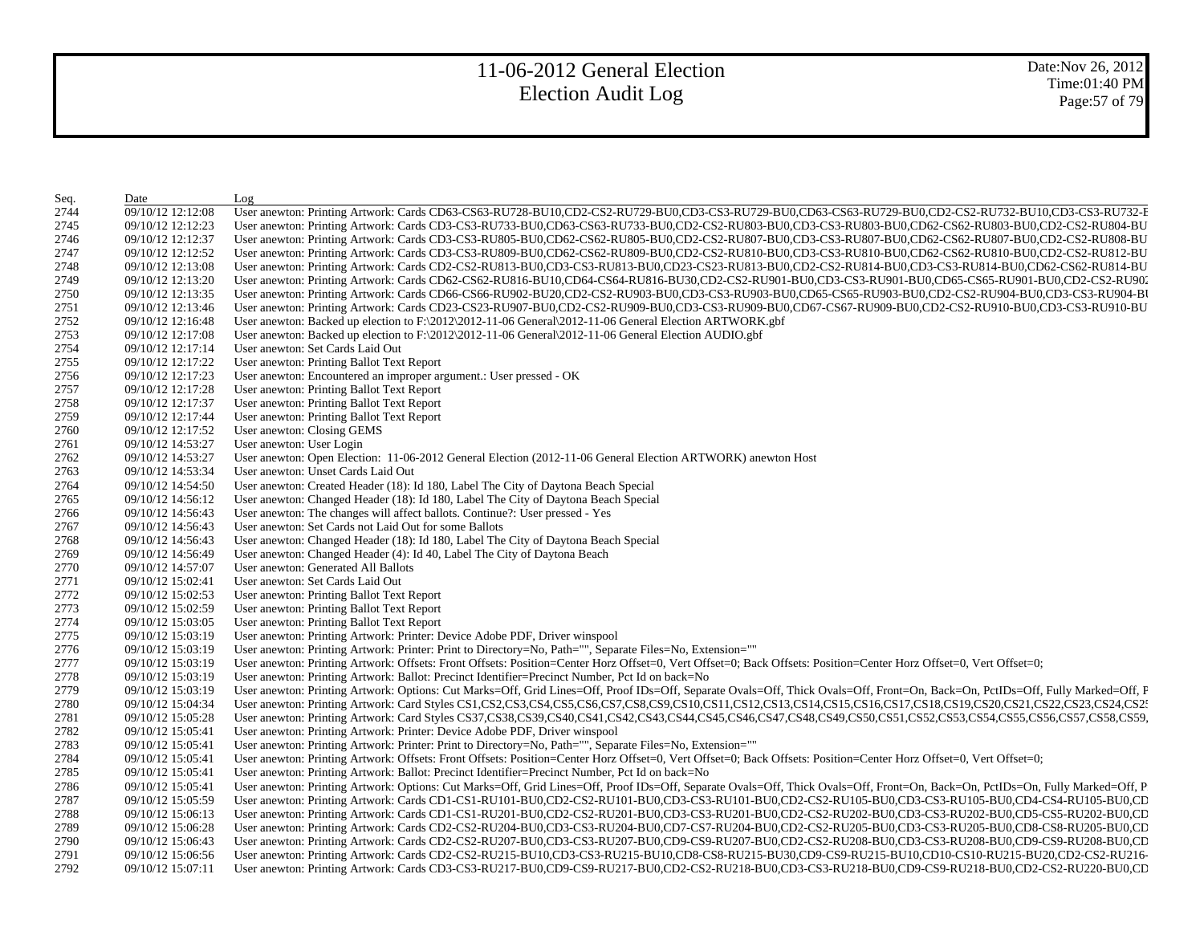Date:Nov 26, 2012 Time:01:40 PM Page:57 of 79

| Seq. | Date              | Log                                                                                                                                                                                                                            |
|------|-------------------|--------------------------------------------------------------------------------------------------------------------------------------------------------------------------------------------------------------------------------|
| 2744 | 09/10/12 12:12:08 | User anewton: Printing Artwork: Cards CD63-CS63-RU728-BU10,CD2-CS2-RU729-BU0,CD3-CS3-RU729-BU0,CD63-CS63-RU729-BU0,CD2-CS2-RU732-BU10,CD3-CS3-RU732-BU10,CD3-CS3-RU732-E                                                       |
| 2745 | 09/10/12 12:12:23 | User anewton: Printing Artwork: Cards CD3-CS3-RU733-BU0,CD63-CS63-RU733-BU0,CD2-CS2-RU803-BU0,CD3-CS3-RU803-BU0,CD62-CS62-RU803-BU0,CD2-CS2-RU803-BU0,CD2-CS2-RU804-BU                                                         |
| 2746 | 09/10/12 12:12:37 | User anewton: Printing Artwork: Cards CD3-CS3-RU805-BU0,CD62-CS62-RU805-BU0,CD2-CS2-RU807-BU0,CD3-CS3-RU807-BU0,CD62-CS62-RU807-BU0,CD2-CS2-RU807-BU0,CD2-CS2-RU808-BU                                                         |
| 2747 | 09/10/12 12:12:52 | User anewton: Printing Artwork: Cards CD3-CS3-RU809-BU0,CD62-CS62-RU809-BU0,CD2-CS2-RU810-BU0,CD3-CS3-RU810-BU0,CD62-CS62-RU810-BU0,CD2-CS2-RU810-BU0,CD2-CS2-RU812-BU                                                         |
| 2748 | 09/10/12 12:13:08 | User anewton: Printing Artwork: Cards CD2-CS2-RU813-BU0,CD3-CS3-RU813-BU0,CD23-CS23-RU813-BU0,CD2-CS2-RU814-BU0,CD3-CS3-RU814-BU0,CD62-CS62-RU814-BU0,CD62-CS62-RU814-BU0,CD5-CS3-RU814-BU0,CD62-CS62-RU814-BU0,CD5            |
| 2749 | 09/10/12 12:13:20 | User anewton: Printing Artwork: Cards CD62-CS62-RU816-BU10,CD64-CS64-RU816-BU30,CD2-CS2-RU901-BU0,CD3-CS3-RU901-BU0,CD65-CS65-RU901-BU0,CD2-CS2-RU901-BU0,CD2-CS2-RU901-BU0,CD2-CS2-RU901-BU0,CD2-CS2-RU902-CS2-RU902-CS2-RU90 |
| 2750 | 09/10/12 12:13:35 | User anewton: Printing Artwork: Cards CD66-CS66-RU902-BU20,CD2-CS2-RU903-BU0,CD3-CS3-RU903-BU0,CD65-CS65-RU903-BU0,CD2-CS2-RU904-BU0,CD3-CS3-RU904-BU0,CD3-CS3-RU904-BU                                                        |
| 2751 | 09/10/12 12:13:46 | User anewton: Printing Artwork: Cards CD23-CS23-RU907-BU0,CD2-CS2-RU909-BU0,CD3-CS3-RU909-BU0,CD67-CS67-RU909-BU0,CD2-CS2-RU910-BU0,CD3-CS3-RU910-BU0,CD3-CS3-RU910-BU0,CD3-CS3-RU910-BU0,CD3-CS3-RU910-BU0,CD3-CS3-RU910-BU0, |
| 2752 | 09/10/12 12:16:48 | User anewton: Backed up election to $F:\2012\2012-11-06$ General $2012-11-06$ General Election ARTWORK.gbf                                                                                                                     |
| 2753 | 09/10/12 12:17:08 | User anewton: Backed up election to F:\2012\2012-11-06 General\2012-11-06 General Election AUDIO.gbf                                                                                                                           |
| 2754 | 09/10/12 12:17:14 | User anewton: Set Cards Laid Out                                                                                                                                                                                               |
| 2755 | 09/10/12 12:17:22 | User anewton: Printing Ballot Text Report                                                                                                                                                                                      |
| 2756 | 09/10/12 12:17:23 | User anewton: Encountered an improper argument.: User pressed - OK                                                                                                                                                             |
| 2757 | 09/10/12 12:17:28 | User anewton: Printing Ballot Text Report                                                                                                                                                                                      |
| 2758 | 09/10/12 12:17:37 | User anewton: Printing Ballot Text Report                                                                                                                                                                                      |
| 2759 | 09/10/12 12:17:44 | User anewton: Printing Ballot Text Report                                                                                                                                                                                      |
| 2760 | 09/10/12 12:17:52 | User anewton: Closing GEMS                                                                                                                                                                                                     |
| 2761 | 09/10/12 14:53:27 | User anewton: User Login                                                                                                                                                                                                       |
| 2762 | 09/10/12 14:53:27 | User anewton: Open Election: 11-06-2012 General Election (2012-11-06 General Election ARTWORK) anewton Host                                                                                                                    |
| 2763 | 09/10/12 14:53:34 | User anewton: Unset Cards Laid Out                                                                                                                                                                                             |
| 2764 | 09/10/12 14:54:50 | User anewton: Created Header (18): Id 180, Label The City of Daytona Beach Special                                                                                                                                             |
| 2765 | 09/10/12 14:56:12 | User anewton: Changed Header (18): Id 180, Label The City of Daytona Beach Special                                                                                                                                             |
| 2766 | 09/10/12 14:56:43 | User anewton: The changes will affect ballots. Continue?: User pressed - Yes                                                                                                                                                   |
| 2767 | 09/10/12 14:56:43 | User anewton: Set Cards not Laid Out for some Ballots                                                                                                                                                                          |
| 2768 | 09/10/12 14:56:43 | User anewton: Changed Header (18): Id 180, Label The City of Daytona Beach Special                                                                                                                                             |
| 2769 | 09/10/12 14:56:49 | User anewton: Changed Header (4): Id 40, Label The City of Daytona Beach                                                                                                                                                       |
| 2770 | 09/10/12 14:57:07 | User anewton: Generated All Ballots                                                                                                                                                                                            |
| 2771 | 09/10/12 15:02:41 | User anewton: Set Cards Laid Out                                                                                                                                                                                               |
| 2772 | 09/10/12 15:02:53 | User anewton: Printing Ballot Text Report                                                                                                                                                                                      |
| 2773 | 09/10/12 15:02:59 | User anewton: Printing Ballot Text Report                                                                                                                                                                                      |
| 2774 | 09/10/12 15:03:05 | User anewton: Printing Ballot Text Report                                                                                                                                                                                      |
| 2775 | 09/10/12 15:03:19 | User anewton: Printing Artwork: Printer: Device Adobe PDF, Driver winspool                                                                                                                                                     |
| 2776 | 09/10/12 15:03:19 | User anewton: Printing Artwork: Printer: Print to Directory=No, Path="", Separate Files=No, Extension=""                                                                                                                       |
| 2777 | 09/10/12 15:03:19 | User anewton: Printing Artwork: Offsets: Front Offsets: Position=Center Horz Offset=0, Vert Offset=0; Back Offsets: Position=Center Horz Offset=0, Vert Offset=0;                                                              |
| 2778 | 09/10/12 15:03:19 | User anewton: Printing Artwork: Ballot: Precinct Identifier=Precinct Number, Pct Id on back=No                                                                                                                                 |
| 2779 | 09/10/12 15:03:19 | User anewton: Printing Artwork: Options: Cut Marks=Off, Grid Lines=Off, Proof IDs=Off, Separate Ovals=Off, Thick Ovals=Off, Front=On, Back=On, PctIDs=Off, Fully Marked=Off, F                                                 |
| 2780 | 09/10/12 15:04:34 | User anewton: Printing Artwork: Card Styles CS1,CS2,CS3,CS4,CS5,CS6,CS7,CS8,CS9,CS10,CS11,CS12,CS13,CS14,CS15,CS16,CS17,CS18,CS19,CS20,CS21,CS22,CS23,CS24,CS2:                                                                |
| 2781 | 09/10/12 15:05:28 | User anewton: Printing Artwork: Card Styles CS37,CS38,CS39,CS40,CS41,CS42,CS43,CS44,CS45,CS46,CS47,CS48,CS49,CS50,CS51,CS52,CS53,CS54,CS55,CS56,CS57,CS58,CS59,                                                                |
| 2782 | 09/10/12 15:05:41 | User anewton: Printing Artwork: Printer: Device Adobe PDF, Driver winspool                                                                                                                                                     |
| 2783 | 09/10/12 15:05:41 | User anewton: Printing Artwork: Printer: Print to Directory=No, Path="", Separate Files=No, Extension=""                                                                                                                       |
| 2784 | 09/10/12 15:05:41 | User anewton: Printing Artwork: Offsets: Front Offsets: Position=Center Horz Offset=0, Vert Offset=0; Back Offsets: Position=Center Horz Offset=0, Vert Offset=0;                                                              |
| 2785 | 09/10/12 15:05:41 | User anewton: Printing Artwork: Ballot: Precinct Identifier=Precinct Number, Pct Id on back=No                                                                                                                                 |
| 2786 | 09/10/12 15:05:41 | User anewton: Printing Artwork: Options: Cut Marks=Off, Grid Lines=Off, Proof IDs=Off, Separate Ovals=Off, Thick Ovals=Off, Front=On, Back=On, PctIDs=On, Fully Marked=Off, P.                                                 |
| 2787 | 09/10/12 15:05:59 | User anewton: Printing Artwork: Cards CD1-CS1-RU101-BU0,CD2-CS2-RU101-BU0,CD3-CS3-RU101-BU0,CD2-CS2-RU105-BU0,CD3-CS3-RU105-BU0,CD4-CS4-RU105-BU0,CD4-CS4-RU105-BU0,CD4-CS4-RU105-BU0,CD4-CS4-RU105-BU0,CD4-CS4-RU105-BU0,CD4- |
| 2788 | 09/10/12 15:06:13 | User anewton: Printing Artwork: Cards CD1-CS1-RU201-BU0,CD2-CS2-RU201-BU0,CD3-CS3-RU201-BU0,CD2-CS2-RU202-BU0,CD3-CS3-RU202-BU0,CD5-CS5-RU202-BU0,CD5-CS5-RU202-BU0,CD5-CS5-RU202-BU0,CD5-CS5-RU202-BU0,CD5-CS5-RU202-BU0,CD5- |
| 2789 | 09/10/12 15:06:28 | User anewton: Printing Artwork: Cards CD2-CS2-RU204-BU0,CD3-CS3-RU204-BU0,CD7-CS7-RU204-BU0,CD2-CS2-RU205-BU0,CD3-CS3-RU205-BU0,CD8-CS8-RU205-BU0,CD8-CS8-RU205-BU0,CD8-CS8-RU205-BU0,CD8-CS8-RU205-BU0,CD8-CS8-RU205-BU0,CD8- |
| 2790 | 09/10/12 15:06:43 | User anewton: Printing Artwork: Cards CD2-CS2-RU207-BU0,CD3-CS3-RU207-BU0,CD9-CS9-RU207-BU0,CD2-CS2-RU208-BU0,CD3-CS3-RU208-BU0,CD9-CS9-RU208-BU0,CD9-CS9-RU208-BU0,CD9-CS9-RU208-BU0,CD9-CS9-RU208-BU0,CD9-CS9-RU208-BU0,CD9- |
| 2791 | 09/10/12 15:06:56 | User anewton: Printing Artwork: Cards CD2-CS2-RU215-BU10,CD3-CS3-RU215-BU10,CD8-CS8-RU215-BU30,CD9-CS9-RU215-BU10,CD10-CS10-RU215-BU20,CD2-CS2-RU216-                                                                          |
| 2792 | 09/10/12 15:07:11 | User anewton: Printing Artwork: Cards CD3-CS3-RU217-BU0,CD9-CS9-RU217-BU0,CD2-CS2-RU218-BU0,CD3-CS3-RU218-BU0,CD9-CS9-RU218-BU0,CD2-CS2-RU220-BU0,CD2-CS2-RU220-BU0,CD                                                         |
|      |                   |                                                                                                                                                                                                                                |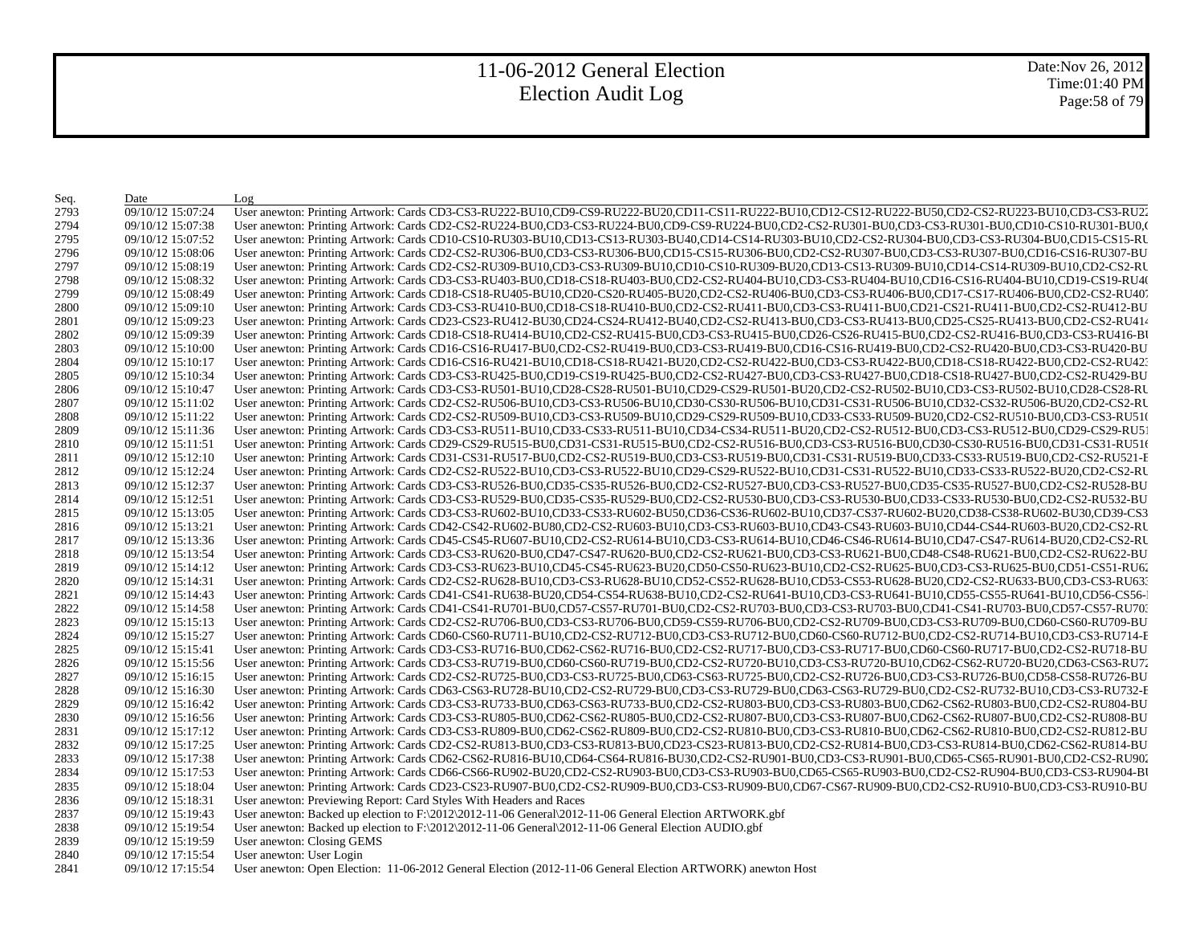Date:Nov 26, 2012 Time:01:40 PM Page:58 of 79

| Seq. | Date              | Log                                                                                                                                                                                                                            |
|------|-------------------|--------------------------------------------------------------------------------------------------------------------------------------------------------------------------------------------------------------------------------|
| 2793 | 09/10/12 15:07:24 | User anewton: Printing Artwork: Cards CD3-CS3-RU222-BU10,CD9-CS9-RU222-BU20,CD11-CS11-RU222-BU10,CD12-CS12-RU222-BU50,CD2-CS2-RU223-BU10,CD3-CS3-RU22                                                                          |
| 2794 | 09/10/12 15:07:38 | User anewton: Printing Artwork: Cards CD2-CS2-RU224-BU0,CD3-CS3-RU224-BU0,CD9-CS9-RU224-BU0,CD2-CS2-RU301-BU0,CD3-CS3-RU301-BU0,CD10-CS10-RU301-BU0,CD10-CS10-RU301-BU0,CD2-CS2-RU301-BU0,CD10-CS10-RU301-BU0,CD2-CS2-RU301-BU |
| 2795 | 09/10/12 15:07:52 | User anewton: Printing Artwork: Cards CD10-CS10-RU303-BU10,CD13-CS13-RU303-BU40,CD14-CS14-RU303-BU10,CD2-CS2-RU304-BU0,CD3-CS3-RU304-BU0,CD15-CS15-RL                                                                          |
| 2796 | 09/10/12 15:08:06 | User anewton: Printing Artwork: Cards CD2-CS2-RU306-BU0,CD3-CS3-RU306-BU0,CD15-CS15-RU306-BU0,CD2-CS2-RU307-BU0,CD3-CS3-RU307-BU0,CD16-CS16-RU307-BU                                                                           |
| 2797 | 09/10/12 15:08:19 | User anewton: Printing Artwork: Cards CD2-CS2-RU309-BU10,CD3-CS3-RU309-BU10,CD10-CS10-RU309-BU20,CD13-CS13-RU309-BU10,CD14-CS14-RU309-BU10,CD2-CS2-RU                                                                          |
| 2798 | 09/10/12 15:08:32 | User anewton: Printing Artwork: Cards CD3-CS3-RU403-BU0,CD18-CS18-RU403-BU0,CD2-CS2-RU404-BU10,CD3-CS3-RU404-BU10,CD16-CS16-RU404-BU10,CD19-CS19-RU404                                                                         |
| 2799 | 09/10/12 15:08:49 | User anewton: Printing Artwork: Cards CD18-CS18-RU405-BU10,CD20-CS20-RU405-BU20,CD2-CS2-RU406-BU0,CD3-CS3-RU406-BU0,CD17-CS17-RU406-BU0,CD2-CS2-RU407                                                                          |
| 2800 | 09/10/12 15:09:10 | User anewton: Printing Artwork: Cards CD3-CS3-RU410-BU0,CD18-CS18-RU410-BU0,CD2-CS2-RU411-BU0,CD3-CS3-RU411-BU0,CD21-CS21-RU411-BU0,CD2-CS2-RU411-BU0,CD2-CS2-RU412-BU                                                         |
| 2801 | 09/10/12 15:09:23 | User anewton: Printing Artwork: Cards CD23-CS23-RU412-BU30,CD24-CS24-RU412-BU40,CD2-CS2-RU413-BU0,CD3-CS3-RU413-BU0,CD25-CS25-RU413-BU0,CD2-CS2-RU413-BU0,CD25-CS25-RU413-BU0,CD2-CS2-RU414                                    |
| 2802 | 09/10/12 15:09:39 | User anewton: Printing Artwork: Cards CD18-CS18-RU414-BU10,CD2-CS2-RU415-BU0,CD3-CS3-RU415-BU0,CD26-CS26-RU415-BU0,CD2-CS2-RU416-BU0,CD3-CS3-RU416-BU0,CD3-CS3-RU416-B                                                         |
| 2803 | 09/10/12 15:10:00 | User anewton: Printing Artwork: Cards CD16-CS16-RU417-BU0,CD2-CS2-RU419-BU0,CD3-CS3-RU419-BU0,CD16-CS16-RU419-BU0,CD2-CS2-RU420-BU0,CD3-CS3-RU420-BU0,CD3-CS3-RU420-BU                                                         |
| 2804 | 09/10/12 15:10:17 | User anewton: Printing Artwork: Cards CD16-CS16-RU421-BU10,CD18-CS18-RU421-BU20,CD2-CS2-RU422-BU0,CD3-CS3-RU422-BU0,CD18-CS18-RU422-BU0,CD2-CS2-RU422-BU0,CD2-CS2-RU422-BU0,CD2-CS2-RU422-BU0,CD2-CS2-RU423                    |
| 2805 | 09/10/12 15:10:34 | User anewton: Printing Artwork: Cards CD3-CS3-RU425-BU0,CD19-CS19-RU425-BU0,CD2-CS2-RU427-BU0,CD3-CS3-RU427-BU0,CD18-CS18-RU427-BU0,CD2-CS2-RU429-BU                                                                           |
| 2806 | 09/10/12 15:10:47 | User anewton: Printing Artwork: Cards CD3-CS3-RU501-BU10,CD28-CS28-RU501-BU10,CD29-CS29-RU501-BU20,CD2-CS2-RU502-BU10,CD3-CS3-RU502-BU10,CD28-CS28-RU502-BU10,CD28-CS28-RU502-BU10,CD28-CS28-RU502-BU10,CD28-CS28-RU502-BU10,C |
| 2807 | 09/10/12 15:11:02 | User anewton: Printing Artwork: Cards CD2-CS2-RU506-BU10,CD3-CS3-RU506-BU10,CD30-CS30-RU506-BU10,CD31-CS31-RU506-BU10,CD32-CS32-RU506-BU20,CD2-CS2-RU                                                                          |
| 2808 | 09/10/12 15:11:22 | User anewton: Printing Artwork: Cards CD2-CS2-RU509-BU10,CD3-CS3-RU509-BU10,CD29-CS29-RU509-BU10,CD33-CS33-RU509-BU20,CD2-CS2-RU510-BU0,CD3-CS3-RU510                                                                          |
| 2809 | 09/10/12 15:11:36 | User anewton: Printing Artwork: Cards CD3-CS3-RU511-BU10,CD33-CS33-RU511-BU10,CD34-CS34-RU511-BU20,CD2-CS2-RU512-BU0,CD3-CS3-RU512-BU0,CD29-CS29-RU5                                                                           |
| 2810 | 09/10/12 15:11:51 | User anewton: Printing Artwork: Cards CD29-CS29-RU515-BU0,CD31-CS31-RU515-BU0,CD2-CS2-RU516-BU0,CD3-CS3-RU516-BU0,CD30-CS30-RU516-BU0,CD31-CS31-RU516                                                                          |
| 2811 | 09/10/12 15:12:10 | User anewton: Printing Artwork: Cards CD31-CS31-RU517-BU0,CD2-CS2-RU519-BU0,CD3-CS3-RU519-BU0,CD31-CS31-RU519-BU0,CD33-CS33-RU519-BU0,CD2-CS2-RU521-E                                                                          |
| 2812 | 09/10/12 15:12:24 | User anewton: Printing Artwork: Cards CD2-CS2-RU522-BU10,CD3-CS3-RU522-BU10,CD29-CS29-RU522-BU10,CD31-CS31-RU522-BU10,CD33-CS33-RU522-BU20,CD2-CS2-RU                                                                          |
| 2813 | 09/10/12 15:12:37 | User anewton: Printing Artwork: Cards CD3-CS3-RU526-BU0,CD35-CS35-RU526-BU0,CD2-CS2-RU527-BU0,CD3-CS3-RU527-BU0,CD35-CS35-RU527-BU0,CD2-CS2-RU527-BU0,CD2-CS2-RU528-BU                                                         |
| 2814 | 09/10/12 15:12:51 | User anewton: Printing Artwork: Cards CD3-CS3-RU529-BU0,CD35-CS35-RU529-BU0,CD2-CS2-RU530-BU0,CD3-CS3-RU530-BU0,CD33-CS33-RU530-BU0,CD2-CS2-RU530-BU0,CD2-CS2-RU530-BU0,CD2-CS2-RU530-BU0,CD2-CS2-RU530-BU0,CD2-CS2-RU530-BU0, |
| 2815 | 09/10/12 15:13:05 | User anewton: Printing Artwork: Cards CD3-CS3-RU602-BU10,CD33-CS33-RU602-BU50,CD36-CS36-RU602-BU10,CD37-CS37-RU602-BU20,CD38-CS38-RU602-BU30,CD39-CS3                                                                          |
| 2816 | 09/10/12 15:13:21 | User anewton: Printing Artwork: Cards CD42-CS42-RU602-BU80,CD2-CS2-RU603-BU10,CD3-CS3-RU603-BU10,CD43-CS43-RU603-BU10,CD44-CS44-RU603-BU20,CD2-CS2-RU603-BU20,CD2-CS2-RU603-BU10,CD44-CS44-RU603-BU20,CD2-CS2-RU603-BU10,CD44- |
| 2817 | 09/10/12 15:13:36 | User anewton: Printing Artwork: Cards CD45-CS45-RU607-BU10,CD2-CS2-RU614-BU10,CD3-CS3-RU614-BU10,CD46-CS46-RU614-BU10,CD47-CS47-RU614-BU20,CD2-CS2-RU614-BU20,CD2-CS2-RU614-BU10,CD47-CS47-RU614-BU20,CD2-CS2-RU614-BU         |
| 2818 | 09/10/12 15:13:54 | User anewton: Printing Artwork: Cards CD3-CS3-RU620-BU0,CD47-CS47-RU620-BU0,CD2-CS2-RU621-BU0,CD3-CS3-RU621-BU0,CD48-CS48-RU621-BU0,CD2-CS2-RU621-BU0,CD2-CS2-RU621-BU0,CD2-CS2-RU621-BU0,CD2-CS2-RU621-BU0,CD2-CS2-RU621-BU0, |
| 2819 | 09/10/12 15:14:12 | User anewton: Printing Artwork: Cards CD3-CS3-RU623-BU10,CD45-CS45-RU623-BU20,CD50-CS50-RU623-BU10,CD2-CS2-RU625-BU0,CD3-CS3-RU625-BU0,CD51-CS51-RU62                                                                          |
| 2820 | 09/10/12 15:14:31 | User anewton: Printing Artwork: Cards CD2-CS2-RU628-BU10,CD3-CS3-RU628-BU10,CD52-CS52-RU628-BU10,CD53-CS53-RU628-BU20,CD2-CS2-RU633-BU0,CD3-CS3-RU633-BU0,CD3-CS3-RU633-BU0,CD3-CS3-RU633-BU0,CD3-CS3-RU633-BU0,CD3-CS3-RU633- |
| 2821 | 09/10/12 15:14:43 | User anewton: Printing Artwork: Cards CD41-CS41-RU638-BU20,CD54-CS54-RU638-BU10,CD2-CS2-RU641-BU10,CD3-CS3-RU641-BU10,CD55-CS55-RU641-BU10,CD56-CS56-                                                                          |
| 2822 | 09/10/12 15:14:58 | User anewton: Printing Artwork: Cards CD41-CS41-RU701-BU0,CD57-CS57-RU701-BU0,CD2-CS2-RU703-BU0,CD3-CS3-RU703-BU0,CD41-CS41-RU703-BU0,CD57-CS57-RU703-BU0,CD41-CS41-RU703-BU0,CD57-CS57-RU703-BU0,CD57-CS57-RU703-BU0,CD41-CS4 |
| 2823 | 09/10/12 15:15:13 | User anewton: Printing Artwork: Cards CD2-CS2-RU706-BU0,CD3-CS3-RU706-BU0,CD59-CS59-RU706-BU0,CD2-CS2-RU709-BU0,CD3-CS3-RU709-BU0,CD60-CS60-RU709-BU                                                                           |
| 2824 | 09/10/12 15:15:27 | User anewton: Printing Artwork: Cards CD60-CS60-RU711-BU10,CD2-CS2-RU712-BU0,CD3-CS3-RU712-BU0,CD60-CS60-RU712-BU0,CD2-CS2-RU714-BU10,CD3-CS3-RU714-E                                                                          |
| 2825 | 09/10/12 15:15:41 | User anewton: Printing Artwork: Cards CD3-CS3-RU716-BU0,CD62-CS62-RU716-BU0,CD2-CS2-RU717-BU0,CD3-CS3-RU717-BU0,CD60-CS60-RU717-BU0,CD2-CS2-RU718-BU                                                                           |
| 2826 | 09/10/12 15:15:56 | User anewton: Printing Artwork: Cards CD3-CS3-RU719-BU0,CD60-CS60-RU719-BU0,CD2-CS2-RU720-BU10,CD3-CS3-RU720-BU10,CD62-CS62-RU720-BU20,CD63-CS63-RU720-BU20,CD63-CS63-RU720-BU20,CD63-CS63-RU720-BU20,CD63-CS63-RU720-BU20,CD6 |
| 2827 | 09/10/12 15:16:15 | User anewton: Printing Artwork: Cards CD2-CS2-RU725-BU0,CD3-CS3-RU725-BU0,CD63-CS63-RU725-BU0,CD2-CS2-RU726-BU0,CD3-CS3-RU726-BU0,CD58-CS58-RU726-BU0,CD58-CS58-RU726-BU                                                       |
| 2828 | 09/10/12 15:16:30 | User anewton: Printing Artwork: Cards CD63-CS63-RU728-BU10,CD2-CS2-RU729-BU0,CD3-CS3-RU729-BU0,CD63-CS63-RU729-BU0,CD2-CS2-RU732-BU10,CD3-CS3-RU732-E                                                                          |
| 2829 | 09/10/12 15:16:42 | User anewton: Printing Artwork: Cards CD3-CS3-RU733-BU0,CD63-CS63-RU733-BU0,CD2-CS2-RU803-BU0,CD3-CS3-RU803-BU0,CD62-CS62-RU803-BU0,CD2-CS2-RU803-BU0,CD2-CS2-RU804-BU                                                         |
| 2830 | 09/10/12 15:16:56 | User anewton: Printing Artwork: Cards CD3-CS3-RU805-BU0,CD62-CS62-RU805-BU0,CD2-CS2-RU807-BU0,CD3-CS3-RU807-BU0,CD62-CS62-RU807-BU0,CD2-CS2-RU807-BU0,CD2-CS2-RU807-BU0,CD2-CS2-RU807-BU0,CD2-CS2-RU807-BU0,CD2-CS2-RU807-BU0, |
| 2831 | 09/10/12 15:17:12 | User anewton: Printing Artwork: Cards CD3-CS3-RU809-BU0,CD62-CS62-RU809-BU0,CD2-CS2-RU810-BU0,CD3-CS3-RU810-BU0,CD62-CS62-RU810-BU0,CD2-CS2-RU810-BU0,CD2-CS2-RU810-BU0,CD2-CS2-RU810-BU0,CD2-CS2-RU810-BU0,CD2-CS2-RU810-BU0, |
| 2832 | 09/10/12 15:17:25 | User anewton: Printing Artwork: Cards CD2-CS2-RU813-BU0,CD3-CS3-RU813-BU0,CD23-CS23-RU813-BU0,CD2-CS2-RU814-BU0,CD3-CS3-RU814-BU0,CD62-CS62-RU814-BU0,CD62-CS62-RU814-BU0,CD62-CS62-RU814-BU0,CD62-CS62-RU814-BU0,CD62-CS62-RU |
| 2833 | 09/10/12 15:17:38 | User anewton: Printing Artwork: Cards CD62-CS62-RU816-BU10,CD64-CS64-RU816-BU30,CD2-CS2-RU901-BU0,CD3-CS3-RU901-BU0,CD65-CS65-RU901-BU0,CD2-CS2-RU901-BU0,CD2-CS2-RU901-BU0,CD2-CS2-RU901-BU0,CD2-CS2-RU902-CS2-RU902-CS2-RU90 |
| 2834 | 09/10/12 15:17:53 | User anewton: Printing Artwork: Cards CD66-CS66-RU902-BU20,CD2-CS2-RU903-BU0,CD3-CS3-RU903-BU0,CD65-CS65-RU903-BU0,CD2-CS2-RU904-BU0,CD3-CS3-RU904-BU0,CD3-CS3-RU904-B                                                         |
| 2835 | 09/10/12 15:18:04 | User anewton: Printing Artwork: Cards CD23-CS23-RU907-BU0,CD2-CS2-RU909-BU0,CD3-CS3-RU909-BU0,CD67-CS67-RU909-BU0,CD2-CS2-RU910-BU0,CD3-CS3-RU910-BU0,CD3-CS3-RU910-BU                                                         |
| 2836 | 09/10/12 15:18:31 | User anewton: Previewing Report: Card Styles With Headers and Races                                                                                                                                                            |
| 2837 | 09/10/12 15:19:43 | User anewton: Backed up election to F:\2012\2012-11-06 General\2012-11-06 General Election ARTWORK.gbf                                                                                                                         |
| 2838 | 09/10/12 15:19:54 | User anewton: Backed up election to F:\2012\2012-11-06 General\2012-11-06 General Election AUDIO.gbf                                                                                                                           |
| 2839 | 09/10/12 15:19:59 | User anewton: Closing GEMS                                                                                                                                                                                                     |
| 2840 | 09/10/12 17:15:54 | User anewton: User Login                                                                                                                                                                                                       |
| 2841 | 09/10/12 17:15:54 | User anewton: Open Election: 11-06-2012 General Election (2012-11-06 General Election ARTWORK) anewton Host                                                                                                                    |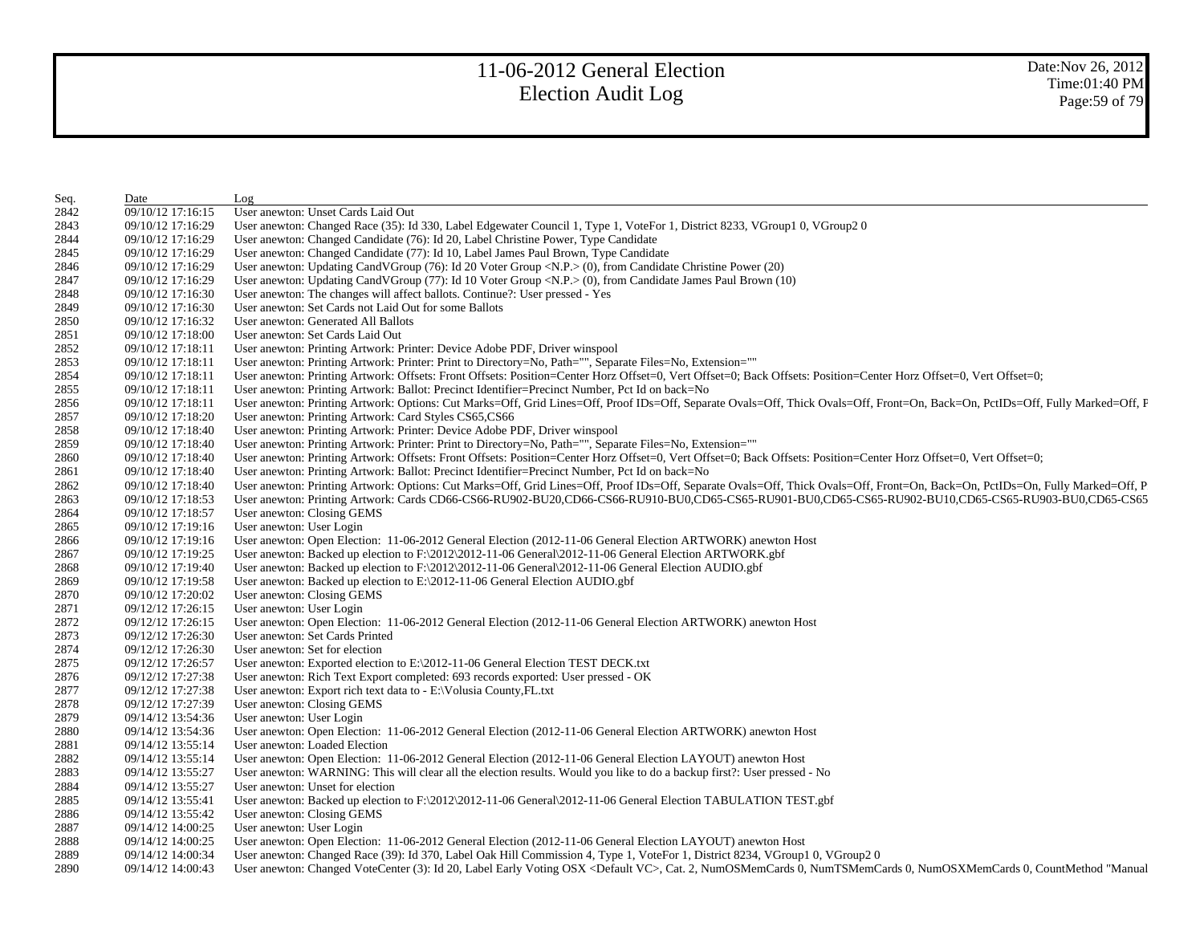| Seq. | Date              | Log                                                                                                                                                                                                                            |
|------|-------------------|--------------------------------------------------------------------------------------------------------------------------------------------------------------------------------------------------------------------------------|
| 2842 | 09/10/12 17:16:15 | User anewton: Unset Cards Laid Out                                                                                                                                                                                             |
| 2843 | 09/10/12 17:16:29 | User anewton: Changed Race (35): Id 330, Label Edgewater Council 1, Type 1, VoteFor 1, District 8233, VGroup1 0, VGroup2 0                                                                                                     |
| 2844 | 09/10/12 17:16:29 | User anewton: Changed Candidate (76): Id 20, Label Christine Power, Type Candidate                                                                                                                                             |
| 2845 | 09/10/12 17:16:29 | User anewton: Changed Candidate (77): Id 10, Label James Paul Brown, Type Candidate                                                                                                                                            |
| 2846 | 09/10/12 17:16:29 | User anewton: Updating CandVGroup (76): Id 20 Voter Group <n.p.> (0), from Candidate Christine Power (20)</n.p.>                                                                                                               |
| 2847 | 09/10/12 17:16:29 | User anewton: Updating CandVGroup (77): Id 10 Voter Group <n.p.> (0), from Candidate James Paul Brown (10)</n.p.>                                                                                                              |
| 2848 | 09/10/12 17:16:30 | User anewton: The changes will affect ballots. Continue?: User pressed - Yes                                                                                                                                                   |
| 2849 | 09/10/12 17:16:30 | User anewton: Set Cards not Laid Out for some Ballots                                                                                                                                                                          |
| 2850 | 09/10/12 17:16:32 | User anewton: Generated All Ballots                                                                                                                                                                                            |
| 2851 | 09/10/12 17:18:00 | User anewton: Set Cards Laid Out                                                                                                                                                                                               |
| 2852 | 09/10/12 17:18:11 | User anewton: Printing Artwork: Printer: Device Adobe PDF, Driver winspool                                                                                                                                                     |
| 2853 | 09/10/12 17:18:11 | User anewton: Printing Artwork: Printer: Print to Directory=No, Path="", Separate Files=No, Extension=""                                                                                                                       |
| 2854 | 09/10/12 17:18:11 | User anewton: Printing Artwork: Offsets: Front Offsets: Position=Center Horz Offset=0, Vert Offset=0; Back Offsets: Position=Center Horz Offset=0, Vert Offset=0;                                                              |
| 2855 | 09/10/12 17:18:11 | User anewton: Printing Artwork: Ballot: Precinct Identifier=Precinct Number, Pct Id on back=No                                                                                                                                 |
| 2856 | 09/10/12 17:18:11 | User anewton: Printing Artwork: Options: Cut Marks=Off, Grid Lines=Off, Proof IDs=Off, Separate Ovals=Off, Thick Ovals=Off, Front=On, Back=On, PctIDs=Off, Fully Marked=Off, F                                                 |
| 2857 | 09/10/12 17:18:20 | User anewton: Printing Artwork: Card Styles CS65, CS66                                                                                                                                                                         |
| 2858 | 09/10/12 17:18:40 | User anewton: Printing Artwork: Printer: Device Adobe PDF, Driver winspool                                                                                                                                                     |
| 2859 | 09/10/12 17:18:40 | User anewton: Printing Artwork: Printer: Print to Directory=No, Path="", Separate Files=No, Extension=""                                                                                                                       |
| 2860 | 09/10/12 17:18:40 | User anewton: Printing Artwork: Offsets: Front Offsets: Position=Center Horz Offset=0, Vert Offset=0; Back Offsets: Position=Center Horz Offset=0, Vert Offset=0;                                                              |
| 2861 | 09/10/12 17:18:40 | User anewton: Printing Artwork: Ballot: Precinct Identifier=Precinct Number, Pct Id on back=No                                                                                                                                 |
| 2862 | 09/10/12 17:18:40 | User anewton: Printing Artwork: Options: Cut Marks=Off, Grid Lines=Off, Proof IDs=Off, Separate Ovals=Off, Thick Ovals=Off, Front=On, Back=On, PctIDs=On, Fully Marked=Off, P                                                  |
| 2863 | 09/10/12 17:18:53 | User anewton: Printing Artwork: Cards CD66-CS66-RU902-BU20,CD66-CS66-RU910-BU0,CD65-CS65-RU901-BU0,CD65-CS65-RU902-BU10,CD65-CS65-RU903-BU0,CD65-CS65-RU903-BU0,CD65-CS65-RU903-BU0,CD65-CS65-RU903-BU0,CD65-CS65-RU903-BU0,CD |
| 2864 | 09/10/12 17:18:57 | User anewton: Closing GEMS                                                                                                                                                                                                     |
| 2865 | 09/10/12 17:19:16 | User anewton: User Login                                                                                                                                                                                                       |
| 2866 | 09/10/12 17:19:16 | User anewton: Open Election: 11-06-2012 General Election (2012-11-06 General Election ARTWORK) anewton Host                                                                                                                    |
| 2867 | 09/10/12 17:19:25 | User anewton: Backed up election to F:\2012\2012-11-06 General\2012-11-06 General Election ARTWORK.gbf                                                                                                                         |
| 2868 | 09/10/12 17:19:40 | User anewton: Backed up election to $F:\2012\t2012-11-06$ General $\2012-11-06$ General Election AUDIO.gbf                                                                                                                     |
| 2869 | 09/10/12 17:19:58 | User anewton: Backed up election to $E:\langle 2012-11-06 \text{ General Electron AUDIO}, gbf$                                                                                                                                 |
| 2870 | 09/10/12 17:20:02 | User anewton: Closing GEMS                                                                                                                                                                                                     |
| 2871 | 09/12/12 17:26:15 | User anewton: User Login                                                                                                                                                                                                       |
| 2872 | 09/12/12 17:26:15 | User anewton: Open Election: 11-06-2012 General Election (2012-11-06 General Election ARTWORK) anewton Host                                                                                                                    |
| 2873 | 09/12/12 17:26:30 | User anewton: Set Cards Printed                                                                                                                                                                                                |
| 2874 | 09/12/12 17:26:30 | User anewton: Set for election                                                                                                                                                                                                 |
| 2875 | 09/12/12 17:26:57 | User anewton: Exported election to E:\2012-11-06 General Election TEST DECK.txt                                                                                                                                                |
| 2876 | 09/12/12 17:27:38 | User anewton: Rich Text Export completed: 693 records exported: User pressed - OK                                                                                                                                              |
| 2877 | 09/12/12 17:27:38 | User anewton: Export rich text data to - E:\Volusia County, FL.txt                                                                                                                                                             |
| 2878 | 09/12/12 17:27:39 | User anewton: Closing GEMS                                                                                                                                                                                                     |
| 2879 | 09/14/12 13:54:36 | User anewton: User Login                                                                                                                                                                                                       |
| 2880 | 09/14/12 13:54:36 | User anewton: Open Election: 11-06-2012 General Election (2012-11-06 General Election ARTWORK) anewton Host                                                                                                                    |
| 2881 | 09/14/12 13:55:14 | User anewton: Loaded Election                                                                                                                                                                                                  |
| 2882 | 09/14/12 13:55:14 | User anewton: Open Election: 11-06-2012 General Election (2012-11-06 General Election LAYOUT) anewton Host                                                                                                                     |
| 2883 | 09/14/12 13:55:27 | User anewton: WARNING: This will clear all the election results. Would you like to do a backup first?: User pressed - No                                                                                                       |
| 2884 | 09/14/12 13:55:27 | User anewton: Unset for election                                                                                                                                                                                               |
| 2885 | 09/14/12 13:55:41 | User anewton: Backed up election to F:\2012\2012-11-06 General\2012-11-06 General Election TABULATION TEST.gbf                                                                                                                 |
| 2886 | 09/14/12 13:55:42 | User anewton: Closing GEMS                                                                                                                                                                                                     |
| 2887 | 09/14/12 14:00:25 | User anewton: User Login                                                                                                                                                                                                       |
| 2888 | 09/14/12 14:00:25 | User anewton: Open Election: 11-06-2012 General Election (2012-11-06 General Election LAYOUT) anewton Host                                                                                                                     |
| 2889 | 09/14/12 14:00:34 | User anewton: Changed Race (39): Id 370, Label Oak Hill Commission 4, Type 1, VoteFor 1, District 8234, VGroup1 0, VGroup2 0                                                                                                   |
| 2890 | 09/14/12 14:00:43 | User anewton: Changed VoteCenter (3): Id 20, Label Early Voting OSX <default vc="">, Cat. 2, NumOSMemCards 0, NumTSMemCards 0, NumOSXMemCards 0, CountMethod "Manual"</default>                                                |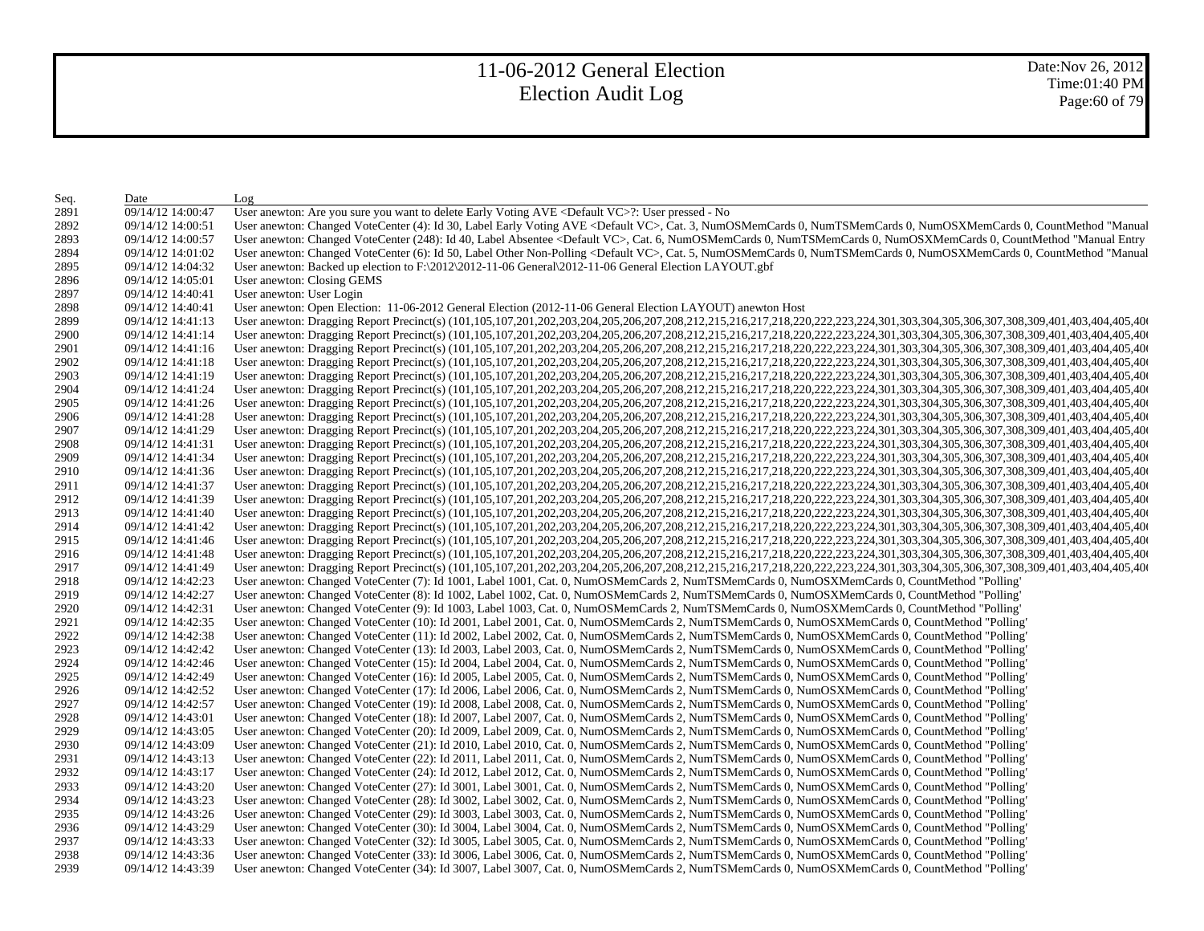| Seq. | Date              | Log                                                                                                                                                                             |
|------|-------------------|---------------------------------------------------------------------------------------------------------------------------------------------------------------------------------|
| 2891 | 09/14/12 14:00:47 | User anewton: Are you sure you want to delete Early Voting AVE <default vc="">?: User pressed - No</default>                                                                    |
| 2892 | 09/14/12 14:00:51 | User anewton: Changed VoteCenter (4): Id 30, Label Early Voting AVE <default vc="">, Cat. 3, NumOSMemCards 0, NumTSMemCards 0, NumOSXMemCards 0, CountMethod "Manual</default>  |
| 2893 | 09/14/12 14:00:57 | User anewton: Changed VoteCenter (248): Id 40, Label Absentee <default vc="">, Cat. 6, NumOSMemCards 0, NumTSMemCards 0, NumOSXMemCards 0, CountMethod "Manual Entry</default>  |
| 2894 | 09/14/12 14:01:02 | User anewton: Changed VoteCenter (6): Id 50, Label Other Non-Polling <default vc="">, Cat. 5, NumOSMemCards 0, NumTSMemCards 0, NumOSXMemCards 0, CountMethod "Manual</default> |
| 2895 | 09/14/12 14:04:32 | User anewton: Backed up election to F:\2012\2012-11-06 General\2012-11-06 General Election LAYOUT.gbf                                                                           |
| 2896 | 09/14/12 14:05:01 | User anewton: Closing GEMS                                                                                                                                                      |
| 2897 | 09/14/12 14:40:41 | User anewton: User Login                                                                                                                                                        |
| 2898 | 09/14/12 14:40:41 | User anewton: Open Election: 11-06-2012 General Election (2012-11-06 General Election LAYOUT) anewton Host                                                                      |
| 2899 | 09/14/12 14:41:13 | User anewton: Dragging Report Precinct(s) (101,105,107,201,202,203,204,205,206,207,208,212,215,216,217,218,220,222,223,224,301,303,304,305,306,307,308,309,401,403,404,405,400  |
| 2900 | 09/14/12 14:41:14 | User anewton: Dragging Report Precinct(s) (101,105,107,201,202,203,204,205,206,207,208,212,215,216,217,218,220,222,223,224,301,303,304,305,306,307,308,309,401,403,404,405,400  |
| 2901 | 09/14/12 14:41:16 | User anewton: Dragging Report Precinct(s) (101,105,107,201,202,203,204,205,206,207,208,212,215,216,217,218,220,222,223,224,301,303,304,305,306,307,308,309,401,403,404,405,400  |
| 2902 | 09/14/12 14:41:18 | User anewton: Dragging Report Precinct(s) (101,105,107,201,202,203,204,205,206,207,208,212,215,216,217,218,220,222,223,224,301,303,304,305,306,307,308,309,401,403,404,405,400  |
| 2903 | 09/14/12 14:41:19 | User anewton: Dragging Report Precinct(s) (101,105,107,201,202,203,204,205,206,207,208,212,215,216,217,218,220,222,223,224,301,303,304,305,306,307,308,309,401,403,404,405,400  |
| 2904 | 09/14/12 14:41:24 | User anewton: Dragging Report Precinct(s) (101,105,107,201,202,203,204,205,206,207,208,212,215,216,217,218,220,222,223,224,301,303,304,305,306,307,308,309,401,403,404,405,400  |
| 2905 | 09/14/12 14:41:26 | User anewton: Dragging Report Precinct(s) (101,105,107,201,202,203,204,205,206,207,208,212,215,216,217,218,220,222,223,224,301,303,304,305,306,307,308,309,401,403,404,405,400  |
| 2906 | 09/14/12 14:41:28 | User anewton: Dragging Report Precinct(s) (101,105,107,201,202,203,204,205,206,207,208,212,215,216,217,218,220,222,223,224,301,303,304,305,306,307,308,309,401,403,404,405,400  |
| 2907 | 09/14/12 14:41:29 | User anewton: Dragging Report Precinct(s) (101,105,107,201,202,203,204,205,206,207,208,212,215,216,217,218,220,222,223,224,301,303,304,305,306,307,308,309,401,403,404,405,400  |
| 2908 | 09/14/12 14:41:31 | User anewton: Dragging Report Precinct(s) (101,105,107,201,202,203,204,205,206,207,208,212,215,216,217,218,220,222,223,224,301,303,304,305,306,307,308,309,401,403,404,405,404  |
| 2909 | 09/14/12 14:41:34 | User anewton: Dragging Report Precinct(s) (101,105,107,201,202,203,204,205,206,207,208,212,215,216,217,218,220,222,223,224,301,303,304,305,306,307,308,309,401,403,404,405,400  |
| 2910 | 09/14/12 14:41:36 | User anewton: Dragging Report Precinct(s) (101,105,107,201,202,203,204,205,206,207,208,212,215,216,217,218,220,222,223,224,301,303,304,305,306,307,308,309,401,403,404,405,404  |
| 2911 | 09/14/12 14:41:37 | User anewton: Dragging Report Precinct(s) (101,105,107,201,202,203,204,205,206,207,208,212,215,216,217,218,220,222,223,224,301,303,304,305,306,307,308,309,401,403,404,405,400  |
| 2912 | 09/14/12 14:41:39 | User anewton: Dragging Report Precinct(s) (101,105,107,201,202,203,204,205,206,207,208,212,215,216,217,218,220,222,223,224,301,303,304,305,306,307,308,309,401,403,404,405,404  |
| 2913 | 09/14/12 14:41:40 | User anewton: Dragging Report Precinct(s) (101,105,107,201,202,203,204,205,206,207,208,212,215,216,217,218,220,222,223,224,301,303,304,305,306,307,308,309,401,403,404,405,400  |
| 2914 | 09/14/12 14:41:42 | User anewton: Dragging Report Precinct(s) (101,105,107,201,202,203,204,205,206,207,208,212,215,216,217,218,220,222,223,224,301,303,304,305,306,307,308,309,401,403,404,405,404  |
| 2915 | 09/14/12 14:41:46 | User anewton: Dragging Report Precinct(s) (101,105,107,201,202,203,204,205,206,207,208,212,215,216,217,218,220,222,223,224,301,303,304,305,306,307,308,309,401,403,404,405,400  |
| 2916 | 09/14/12 14:41:48 | User anewton: Dragging Report Precinct(s) (101,105,107,201,202,203,204,205,206,207,208,212,215,216,217,218,220,222,223,224,301,303,304,305,306,307,308,309,401,403,404,405,400  |
| 2917 | 09/14/12 14:41:49 | User anewton: Dragging Report Precinct(s) (101,105,107,201,202,203,204,205,206,207,208,212,215,216,217,218,220,222,223,224,301,303,304,305,306,307,308,309,401,403,404,405,400  |
| 2918 | 09/14/12 14:42:23 | User anewton: Changed VoteCenter (7): Id 1001, Label 1001, Cat. 0, NumOSMemCards 2, NumTSMemCards 0, NumOSXMemCards 0, CountMethod "Polling"                                    |
| 2919 | 09/14/12 14:42:27 | User anewton: Changed VoteCenter (8): Id 1002, Label 1002, Cat. 0, NumOSMemCards 2, NumTSMemCards 0, NumOSXMemCards 0, CountMethod "Polling"                                    |
| 2920 | 09/14/12 14:42:31 | User anewton: Changed VoteCenter (9): Id 1003, Label 1003, Cat. 0, NumOSMemCards 2, NumTSMemCards 0, NumOSXMemCards 0, CountMethod "Polling"                                    |
| 2921 | 09/14/12 14:42:35 | User anewton: Changed VoteCenter (10): Id 2001, Label 2001, Cat. 0, NumOSMemCards 2, NumTSMemCards 0, NumOSXMemCards 0, CountMethod "Polling"                                   |
| 2922 | 09/14/12 14:42:38 | User anewton: Changed VoteCenter (11): Id 2002, Label 2002, Cat. 0, NumOSMemCards 2, NumTSMemCards 0, NumOSXMemCards 0, CountMethod "Polling"                                   |
| 2923 | 09/14/12 14:42:42 | User anewton: Changed VoteCenter (13): Id 2003, Label 2003, Cat. 0, NumOSMemCards 2, NumTSMemCards 0, NumOSXMemCards 0, CountMethod "Polling"                                   |
| 2924 | 09/14/12 14:42:46 | User anewton: Changed VoteCenter (15): Id 2004, Label 2004, Cat. 0, NumOSMemCards 2, NumTSMemCards 0, NumOSXMemCards 0, CountMethod "Polling"                                   |
| 2925 | 09/14/12 14:42:49 | User anewton: Changed VoteCenter (16): Id 2005, Label 2005, Cat. 0, NumOSMemCards 2, NumTSMemCards 0, NumOSXMemCards 0, CountMethod "Polling"                                   |
| 2926 | 09/14/12 14:42:52 | User anewton: Changed VoteCenter (17): Id 2006, Label 2006, Cat. 0, NumOSMemCards 2, NumTSMemCards 0, NumOSXMemCards 0, CountMethod "Polling"                                   |
| 2927 | 09/14/12 14:42:57 | User anewton: Changed VoteCenter (19): Id 2008, Label 2008, Cat. 0, NumOSMemCards 2, NumTSMemCards 0, NumOSXMemCards 0, CountMethod "Polling"                                   |
| 2928 | 09/14/12 14:43:01 | User anewton: Changed VoteCenter (18): Id 2007, Label 2007, Cat. 0, NumOSMemCards 2, NumTSMemCards 0, NumOSXMemCards 0, CountMethod "Polling"                                   |
| 2929 | 09/14/12 14:43:05 | User anewton: Changed VoteCenter (20): Id 2009, Label 2009, Cat. 0, NumOSMemCards 2, NumTSMemCards 0, NumOSXMemCards 0, CountMethod "Polling"                                   |
| 2930 | 09/14/12 14:43:09 | User anewton: Changed VoteCenter (21): Id 2010, Label 2010, Cat. 0, NumOSMemCards 2, NumTSMemCards 0, NumOSXMemCards 0, CountMethod "Polling"                                   |
| 2931 | 09/14/12 14:43:13 | User anewton: Changed VoteCenter (22): Id 2011, Label 2011, Cat. 0, NumOSMemCards 2, NumTSMemCards 0, NumOSXMemCards 0, CountMethod "Polling"                                   |
| 2932 | 09/14/12 14:43:17 | User anewton: Changed VoteCenter (24): Id 2012, Label 2012, Cat. 0, NumOSMemCards 2, NumTSMemCards 0, NumOSXMemCards 0, CountMethod "Polling"                                   |
| 2933 | 09/14/12 14:43:20 | User anewton: Changed VoteCenter (27): Id 3001, Label 3001, Cat. 0, NumOSMemCards 2, NumTSMemCards 0, NumOSXMemCards 0, CountMethod "Polling"                                   |
| 2934 | 09/14/12 14:43:23 | User anewton: Changed VoteCenter (28): Id 3002, Label 3002, Cat. 0, NumOSMemCards 2, NumTSMemCards 0, NumOSXMemCards 0, CountMethod "Polling'                                   |
| 2935 | 09/14/12 14:43:26 | User anewton: Changed VoteCenter (29): Id 3003, Label 3003, Cat. 0, NumOSMemCards 2, NumTSMemCards 0, NumOSXMemCards 0, CountMethod "Polling"                                   |
| 2936 | 09/14/12 14:43:29 | User anewton: Changed VoteCenter (30): Id 3004, Label 3004, Cat. 0, NumOSMemCards 2, NumTSMemCards 0, NumOSXMemCards 0, CountMethod "Polling'                                   |
| 2937 | 09/14/12 14:43:33 | User anewton: Changed VoteCenter (32): Id 3005, Label 3005, Cat. 0, NumOSMemCards 2, NumTSMemCards 0, NumOSXMemCards 0, CountMethod "Polling"                                   |
| 2938 | 09/14/12 14:43:36 | User anewton: Changed VoteCenter (33): Id 3006, Label 3006, Cat. 0, NumOSMemCards 2, NumTSMemCards 0, NumOSXMemCards 0, CountMethod "Polling'                                   |
| 2939 | 09/14/12 14:43:39 | User anewton: Changed VoteCenter (34): Id 3007, Label 3007, Cat. 0, NumOSMemCards 2, NumTSMemCards 0, NumOSXMemCards 0, CountMethod "Polling'                                   |
|      |                   |                                                                                                                                                                                 |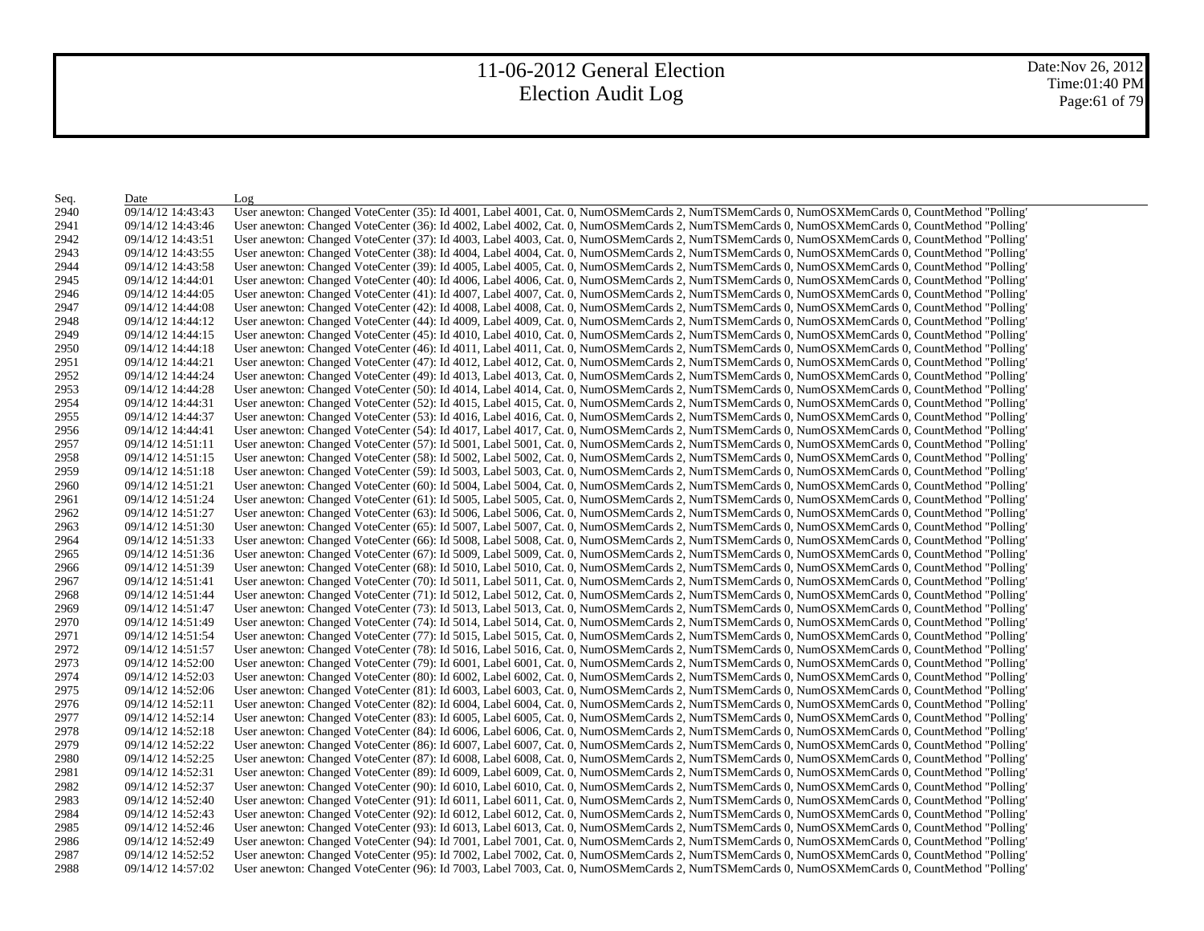Date:Nov 26, 2012 Time:01:40 PM Page:61 of 79

| Seq. | Date              | Log                                                                                                                                           |
|------|-------------------|-----------------------------------------------------------------------------------------------------------------------------------------------|
| 2940 | 09/14/12 14:43:43 | User anewton: Changed VoteCenter (35): Id 4001, Label 4001, Cat. 0, NumOSMemCards 2, NumTSMemCards 0, NumOSXMemCards 0, CountMethod "Polling' |
| 2941 | 09/14/12 14:43:46 | User anewton: Changed VoteCenter (36): Id 4002, Label 4002, Cat. 0, NumOSMemCards 2, NumTSMemCards 0, NumOSXMemCards 0, CountMethod "Polling" |
| 2942 | 09/14/12 14:43:51 | User anewton: Changed VoteCenter (37): Id 4003, Label 4003, Cat. 0, NumOSMemCards 2, NumTSMemCards 0, NumOSXMemCards 0, CountMethod "Polling" |
| 2943 | 09/14/12 14:43:55 | User anewton: Changed VoteCenter (38): Id 4004, Label 4004, Cat. 0, NumOSMemCards 2, NumTSMemCards 0, NumOSXMemCards 0, CountMethod "Polling" |
| 2944 | 09/14/12 14:43:58 | User anewton: Changed VoteCenter (39): Id 4005, Label 4005, Cat. 0, NumOSMemCards 2, NumTSMemCards 0, NumOSXMemCards 0, CountMethod "Polling" |
| 2945 | 09/14/12 14:44:01 | User anewton: Changed VoteCenter (40): Id 4006, Label 4006, Cat. 0, NumOSMemCards 2, NumTSMemCards 0, NumOSXMemCards 0, CountMethod "Polling" |
| 2946 | 09/14/12 14:44:05 | User anewton: Changed VoteCenter (41): Id 4007, Label 4007, Cat. 0, NumOSMemCards 2, NumTSMemCards 0, NumOSXMemCards 0, CountMethod "Polling" |
| 2947 | 09/14/12 14:44:08 | User anewton: Changed VoteCenter (42): Id 4008, Label 4008, Cat. 0, NumOSMemCards 2, NumTSMemCards 0, NumOSXMemCards 0, CountMethod "Polling" |
| 2948 | 09/14/12 14:44:12 | User anewton: Changed VoteCenter (44): Id 4009, Label 4009, Cat. 0, NumOSMemCards 2, NumTSMemCards 0, NumOSXMemCards 0, CountMethod "Polling" |
| 2949 | 09/14/12 14:44:15 | User anewton: Changed VoteCenter (45): Id 4010, Label 4010, Cat. 0, NumOSMemCards 2, NumTSMemCards 0, NumOSXMemCards 0, CountMethod "Polling" |
| 2950 | 09/14/12 14:44:18 | User anewton: Changed VoteCenter (46): Id 4011, Label 4011, Cat. 0, NumOSMemCards 2, NumTSMemCards 0, NumOSXMemCards 0, CountMethod "Polling" |
| 2951 | 09/14/12 14:44:21 | User anewton: Changed VoteCenter (47): Id 4012, Label 4012, Cat. 0, NumOSMemCards 2, NumTSMemCards 0, NumOSXMemCards 0, CountMethod "Polling" |
| 2952 | 09/14/12 14:44:24 | User anewton: Changed VoteCenter (49): Id 4013, Label 4013, Cat. 0, NumOSMemCards 2, NumTSMemCards 0, NumOSXMemCards 0, CountMethod "Polling" |
| 2953 | 09/14/12 14:44:28 | User anewton: Changed VoteCenter (50): Id 4014, Label 4014, Cat. 0, NumOSMemCards 2, NumTSMemCards 0, NumOSXMemCards 0, CountMethod "Polling" |
| 2954 | 09/14/12 14:44:31 | User anewton: Changed VoteCenter (52): Id 4015, Label 4015, Cat. 0, NumOSMemCards 2, NumTSMemCards 0, NumOSXMemCards 0, CountMethod "Polling" |
| 2955 | 09/14/12 14:44:37 | User anewton: Changed VoteCenter (53): Id 4016, Label 4016, Cat. 0, NumOSMemCards 2, NumTSMemCards 0, NumOSXMemCards 0, CountMethod "Polling" |
| 2956 | 09/14/12 14:44:41 | User anewton: Changed VoteCenter (54): Id 4017, Label 4017, Cat. 0, NumOSMemCards 2, NumTSMemCards 0, NumOSXMemCards 0, CountMethod "Polling' |
| 2957 | 09/14/12 14:51:11 | User anewton: Changed VoteCenter (57): Id 5001, Label 5001, Cat. 0, NumOSMemCards 2, NumTSMemCards 0, NumOSXMemCards 0, CountMethod "Polling" |
| 2958 | 09/14/12 14:51:15 | User anewton: Changed VoteCenter (58): Id 5002, Label 5002, Cat. 0, NumOSMemCards 2, NumTSMemCards 0, NumOSXMemCards 0, CountMethod "Polling' |
| 2959 | 09/14/12 14:51:18 | User anewton: Changed VoteCenter (59): Id 5003, Label 5003, Cat. 0, NumOSMemCards 2, NumTSMemCards 0, NumOSXMemCards 0, CountMethod "Polling" |
| 2960 | 09/14/12 14:51:21 | User anewton: Changed VoteCenter (60): Id 5004, Label 5004, Cat. 0, NumOSMemCards 2, NumTSMemCards 0, NumOSXMemCards 0, CountMethod "Polling" |
| 2961 | 09/14/12 14:51:24 | User anewton: Changed VoteCenter (61): Id 5005, Label 5005, Cat. 0, NumOSMemCards 2, NumTSMemCards 0, NumOSXMemCards 0, CountMethod "Polling" |
| 2962 | 09/14/12 14:51:27 | User anewton: Changed VoteCenter (63): Id 5006, Label 5006, Cat. 0, NumOSMemCards 2, NumTSMemCards 0, NumOSXMemCards 0, CountMethod "Polling" |
| 2963 | 09/14/12 14:51:30 | User anewton: Changed VoteCenter (65): Id 5007, Label 5007, Cat. 0, NumOSMemCards 2, NumTSMemCards 0, NumOSXMemCards 0, CountMethod "Polling" |
| 2964 | 09/14/12 14:51:33 | User anewton: Changed VoteCenter (66): Id 5008, Label 5008, Cat. 0, NumOSMemCards 2, NumTSMemCards 0, NumOSXMemCards 0, CountMethod "Polling" |
| 2965 | 09/14/12 14:51:36 | User anewton: Changed VoteCenter (67): Id 5009, Label 5009, Cat. 0, NumOSMemCards 2, NumTSMemCards 0, NumOSXMemCards 0, CountMethod "Polling" |
| 2966 | 09/14/12 14:51:39 | User anewton: Changed VoteCenter (68): Id 5010, Label 5010, Cat. 0, NumOSMemCards 2, NumTSMemCards 0, NumOSXMemCards 0, CountMethod "Polling' |
| 2967 | 09/14/12 14:51:41 | User anewton: Changed VoteCenter (70): Id 5011, Label 5011, Cat. 0, NumOSMemCards 2, NumTSMemCards 0, NumOSXMemCards 0, CountMethod "Polling" |
| 2968 | 09/14/12 14:51:44 | User anewton: Changed VoteCenter (71): Id 5012, Label 5012, Cat. 0, NumOSMemCards 2, NumTSMemCards 0, NumOSXMemCards 0, CountMethod "Polling' |
| 2969 | 09/14/12 14:51:47 | User anewton: Changed VoteCenter (73): Id 5013, Label 5013, Cat. 0, NumOSMemCards 2, NumTSMemCards 0, NumOSXMemCards 0, CountMethod "Polling" |
| 2970 | 09/14/12 14:51:49 | User anewton: Changed VoteCenter (74): Id 5014, Label 5014, Cat. 0, NumOSMemCards 2, NumTSMemCards 0, NumOSXMemCards 0, CountMethod "Polling" |
| 2971 | 09/14/12 14:51:54 | User anewton: Changed VoteCenter (77): Id 5015, Label 5015, Cat. 0, NumOSMemCards 2, NumTSMemCards 0, NumOSXMemCards 0, CountMethod "Polling" |
| 2972 | 09/14/12 14:51:57 | User anewton: Changed VoteCenter (78): Id 5016, Label 5016, Cat. 0, NumOSMemCards 2, NumTSMemCards 0, NumOSXMemCards 0, CountMethod "Polling" |
| 2973 | 09/14/12 14:52:00 | User anewton: Changed VoteCenter (79): Id 6001, Label 6001, Cat. 0, NumOSMemCards 2, NumTSMemCards 0, NumOSXMemCards 0, CountMethod "Polling" |
| 2974 | 09/14/12 14:52:03 | User anewton: Changed VoteCenter (80): Id 6002, Label 6002, Cat. 0, NumOSMemCards 2, NumTSMemCards 0, NumOSXMemCards 0, CountMethod "Polling" |
| 2975 | 09/14/12 14:52:06 | User anewton: Changed VoteCenter (81): Id 6003, Label 6003, Cat. 0, NumOSMemCards 2, NumTSMemCards 0, NumOSXMemCards 0, CountMethod "Polling" |
| 2976 | 09/14/12 14:52:11 | User anewton: Changed VoteCenter (82): Id 6004, Label 6004, Cat. 0, NumOSMemCards 2, NumTSMemCards 0, NumOSXMemCards 0, CountMethod "Polling" |
| 2977 | 09/14/12 14:52:14 | User anewton: Changed VoteCenter (83): Id 6005, Label 6005, Cat. 0, NumOSMemCards 2, NumTSMemCards 0, NumOSXMemCards 0, CountMethod "Polling" |
| 2978 | 09/14/12 14:52:18 | User anewton: Changed VoteCenter (84): Id 6006, Label 6006, Cat. 0, NumOSMemCards 2, NumTSMemCards 0, NumOSXMemCards 0, CountMethod "Polling' |
| 2979 | 09/14/12 14:52:22 | User anewton: Changed VoteCenter (86): Id 6007, Label 6007, Cat. 0, NumOSMemCards 2, NumTSMemCards 0, NumOSXMemCards 0, CountMethod "Polling" |
| 2980 | 09/14/12 14:52:25 | User anewton: Changed VoteCenter (87): Id 6008, Label 6008, Cat. 0, NumOSMemCards 2, NumTSMemCards 0, NumOSXMemCards 0, CountMethod "Polling" |
| 2981 | 09/14/12 14:52:31 | User anewton: Changed VoteCenter (89): Id 6009, Label 6009, Cat. 0, NumOSMemCards 2, NumTSMemCards 0, NumOSXMemCards 0, CountMethod "Polling" |
| 2982 | 09/14/12 14:52:37 | User anewton: Changed VoteCenter (90): Id 6010, Label 6010, Cat. 0, NumOSMemCards 2, NumTSMemCards 0, NumOSXMemCards 0, CountMethod "Polling" |
| 2983 | 09/14/12 14:52:40 | User anewton: Changed VoteCenter (91): Id 6011, Label 6011, Cat. 0, NumOSMemCards 2, NumTSMemCards 0, NumOSXMemCards 0, CountMethod "Polling" |
| 2984 | 09/14/12 14:52:43 | User anewton: Changed VoteCenter (92): Id 6012, Label 6012, Cat. 0, NumOSMemCards 2, NumTSMemCards 0, NumOSXMemCards 0, CountMethod "Polling" |
| 2985 | 09/14/12 14:52:46 | User anewton: Changed VoteCenter (93): Id 6013, Label 6013, Cat. 0, NumOSMemCards 2, NumTSMemCards 0, NumOSXMemCards 0, CountMethod "Polling" |
| 2986 | 09/14/12 14:52:49 | User anewton: Changed VoteCenter (94): Id 7001, Label 7001, Cat. 0, NumOSMemCards 2, NumTSMemCards 0, NumOSXMemCards 0, CountMethod "Polling" |
| 2987 | 09/14/12 14:52:52 | User anewton: Changed VoteCenter (95): Id 7002, Label 7002, Cat. 0, NumOSMemCards 2, NumTSMemCards 0, NumOSXMemCards 0, CountMethod "Polling" |
| 2988 | 09/14/12 14:57:02 | User anewton: Changed VoteCenter (96): Id 7003, Label 7003, Cat. 0, NumOSMemCards 2, NumTSMemCards 0, NumOSXMemCards 0, CountMethod "Polling" |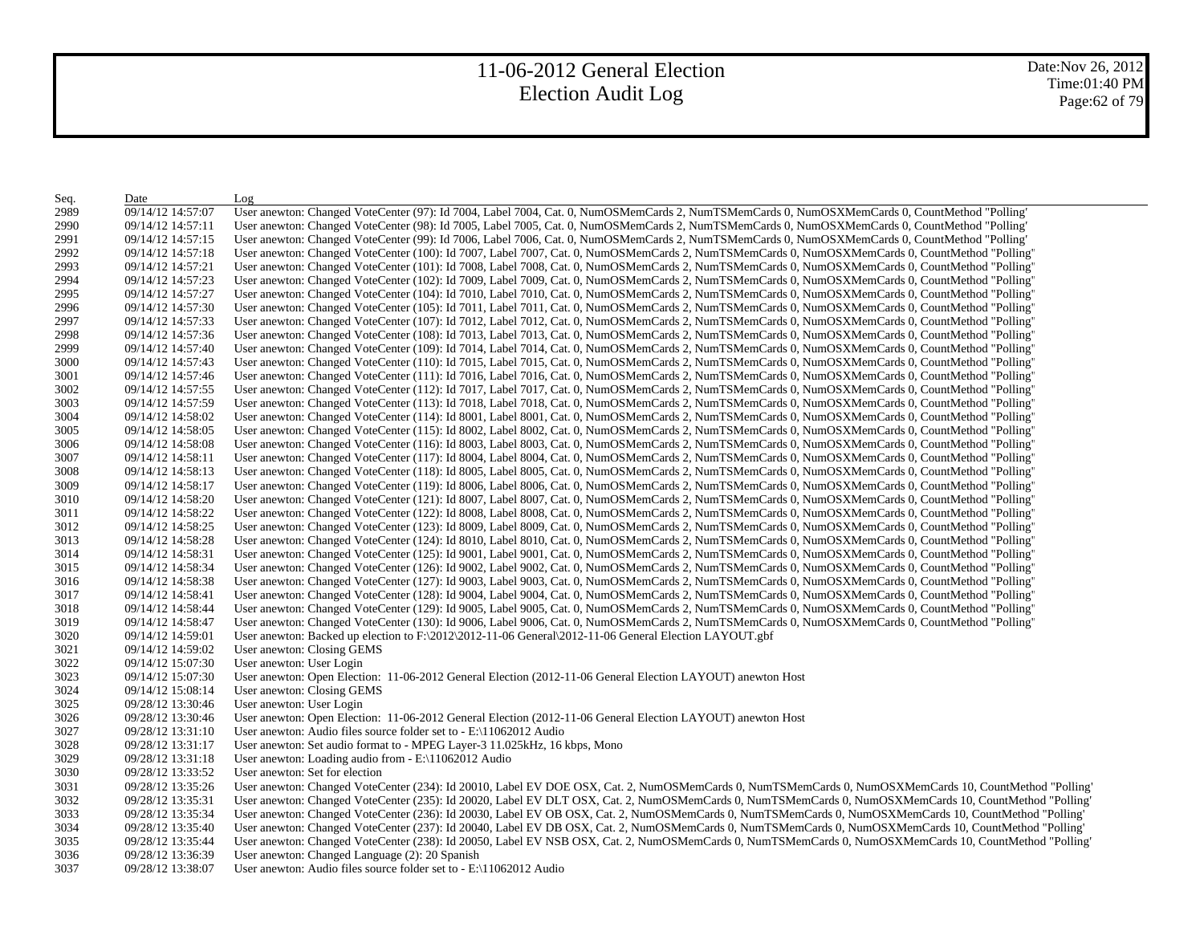Date:Nov 26, 2012 Time:01:40 PM Page:62 of 79

| Seq. | Date              | Log                                                                                                                                                    |
|------|-------------------|--------------------------------------------------------------------------------------------------------------------------------------------------------|
| 2989 | 09/14/12 14:57:07 | User anewton: Changed VoteCenter (97): Id 7004, Label 7004, Cat. 0, NumOSMemCards 2, NumTSMemCards 0, NumOSXMemCards 0, CountMethod "Polling"          |
| 2990 | 09/14/12 14:57:11 | User anewton: Changed VoteCenter (98): Id 7005, Label 7005, Cat. 0, NumOSMemCards 2, NumTSMemCards 0, NumOSXMemCards 0, CountMethod "Polling"          |
| 2991 | 09/14/12 14:57:15 | User anewton: Changed VoteCenter (99): Id 7006, Label 7006, Cat. 0, NumOSMemCards 2, NumTSMemCards 0, NumOSXMemCards 0, CountMethod "Polling"          |
| 2992 | 09/14/12 14:57:18 | User anewton: Changed VoteCenter (100): Id 7007, Label 7007, Cat. 0, NumOSMemCards 2, NumTSMemCards 0, NumOSXMemCards 0, CountMethod "Polling"         |
| 2993 | 09/14/12 14:57:21 | User anewton: Changed VoteCenter (101): Id 7008, Label 7008, Cat. 0, NumOSMemCards 2, NumTSMemCards 0, NumOSXMemCards 0, CountMethod "Polling"         |
| 2994 | 09/14/12 14:57:23 | User anewton: Changed VoteCenter (102): Id 7009, Label 7009, Cat. 0, NumOSMemCards 2, NumTSMemCards 0, NumOSXMemCards 0, CountMethod "Polling"         |
| 2995 | 09/14/12 14:57:27 | User anewton: Changed VoteCenter (104): Id 7010, Label 7010, Cat. 0, NumOSMemCards 2, NumTSMemCards 0, NumOSXMemCards 0, CountMethod "Polling'         |
| 2996 | 09/14/12 14:57:30 | User anewton: Changed VoteCenter (105): Id 7011, Label 7011, Cat. 0, NumOSMemCards 2, NumTSMemCards 0, NumOSXMemCards 0, CountMethod "Polling"         |
| 2997 | 09/14/12 14:57:33 | User anewton: Changed VoteCenter (107): Id 7012, Label 7012, Cat. 0, NumOSMemCards 2, NumTSMemCards 0, NumOSXMemCards 0, CountMethod "Polling"         |
| 2998 | 09/14/12 14:57:36 | User anewton: Changed VoteCenter (108): Id 7013, Label 7013, Cat. 0, NumOSMemCards 2, NumTSMemCards 0, NumOSXMemCards 0, CountMethod "Polling"         |
| 2999 | 09/14/12 14:57:40 | User anewton: Changed VoteCenter (109): Id 7014, Label 7014, Cat. 0, NumOSMemCards 2, NumTSMemCards 0, NumOSXMemCards 0, CountMethod "Polling"         |
| 3000 | 09/14/12 14:57:43 | User anewton: Changed VoteCenter (110): Id 7015, Label 7015, Cat. 0, NumOSMemCards 2, NumTSMemCards 0, NumOSXMemCards 0, CountMethod "Polling"         |
| 3001 | 09/14/12 14:57:46 | User anewton: Changed VoteCenter (111): Id 7016, Label 7016, Cat. 0, NumOSMemCards 2, NumTSMemCards 0, NumOSXMemCards 0, CountMethod "Polling"         |
| 3002 | 09/14/12 14:57:55 | User anewton: Changed VoteCenter (112): Id 7017, Label 7017, Cat. 0, NumOSMemCards 2, NumTSMemCards 0, NumOSXMemCards 0, CountMethod "Polling"         |
| 3003 | 09/14/12 14:57:59 | User anewton: Changed VoteCenter (113): Id 7018, Label 7018, Cat. 0, NumOSMemCards 2, NumTSMemCards 0, NumOSXMemCards 0, CountMethod "Polling'         |
| 3004 | 09/14/12 14:58:02 | User anewton: Changed VoteCenter (114): Id 8001, Label 8001, Cat. 0, NumOSMemCards 2, NumTSMemCards 0, NumOSXMemCards 0, CountMethod "Polling"         |
| 3005 | 09/14/12 14:58:05 | User anewton: Changed VoteCenter (115): Id 8002, Label 8002, Cat. 0, NumOSMemCards 2, NumTSMemCards 0, NumOSXMemCards 0, CountMethod "Polling'         |
| 3006 | 09/14/12 14:58:08 | User anewton: Changed VoteCenter (116): Id 8003, Label 8003, Cat. 0, NumOSMemCards 2, NumTSMemCards 0, NumOSXMemCards 0, CountMethod "Polling"         |
| 3007 | 09/14/12 14:58:11 | User anewton: Changed VoteCenter (117): Id 8004, Label 8004, Cat. 0, NumOSMemCards 2, NumTSMemCards 0, NumOSXMemCards 0, CountMethod "Polling'         |
| 3008 | 09/14/12 14:58:13 | User anewton: Changed VoteCenter (118): Id 8005, Label 8005, Cat. 0, NumOSMemCards 2, NumTSMemCards 0, NumOSXMemCards 0, CountMethod "Polling"         |
| 3009 | 09/14/12 14:58:17 | User anewton: Changed VoteCenter (119): Id 8006, Label 8006, Cat. 0, NumOSMemCards 2, NumTSMemCards 0, NumOSXMemCards 0, CountMethod "Polling'         |
| 3010 | 09/14/12 14:58:20 | User anewton: Changed VoteCenter (121): Id 8007, Label 8007, Cat. 0, NumOSMemCards 2, NumTSMemCards 0, NumOSXMemCards 0, CountMethod "Polling"         |
| 3011 | 09/14/12 14:58:22 | User anewton: Changed VoteCenter (122): Id 8008, Label 8008, Cat. 0, NumOSMemCards 2, NumTSMemCards 0, NumOSXMemCards 0, CountMethod "Polling'         |
| 3012 | 09/14/12 14:58:25 | User anewton: Changed VoteCenter (123): Id 8009, Label 8009, Cat. 0, NumOSMemCards 2, NumTSMemCards 0, NumOSXMemCards 0, CountMethod "Polling"         |
| 3013 | 09/14/12 14:58:28 | User anewton: Changed VoteCenter (124): Id 8010, Label 8010, Cat. 0, NumOSMemCards 2, NumTSMemCards 0, NumOSXMemCards 0, CountMethod "Polling"         |
| 3014 | 09/14/12 14:58:31 | User anewton: Changed VoteCenter (125): Id 9001, Label 9001, Cat. 0, NumOSMemCards 2, NumTSMemCards 0, NumOSXMemCards 0, CountMethod "Polling"         |
| 3015 | 09/14/12 14:58:34 | User anewton: Changed VoteCenter (126): Id 9002, Label 9002, Cat. 0, NumOSMemCards 2, NumTSMemCards 0, NumOSXMemCards 0, CountMethod "Polling'         |
| 3016 | 09/14/12 14:58:38 | User anewton: Changed VoteCenter (127): Id 9003, Label 9003, Cat. 0, NumOSMemCards 2, NumTSMemCards 0, NumOSXMemCards 0, CountMethod "Polling"         |
| 3017 | 09/14/12 14:58:41 | User anewton: Changed VoteCenter (128): Id 9004, Label 9004, Cat. 0, NumOSMemCards 2, NumTSMemCards 0, NumOSXMemCards 0, CountMethod "Polling"         |
| 3018 | 09/14/12 14:58:44 | User anewton: Changed VoteCenter (129): Id 9005, Label 9005, Cat. 0, NumOSMemCards 2, NumTSMemCards 0, NumOSXMemCards 0, CountMethod "Polling"         |
| 3019 | 09/14/12 14:58:47 | User anewton: Changed VoteCenter (130): Id 9006, Label 9006, Cat. 0, NumOSMemCards 2, NumTSMemCards 0, NumOSXMemCards 0, CountMethod "Polling"         |
| 3020 | 09/14/12 14:59:01 | User anewton: Backed up election to $F:\2012\2012-11-06$ General $2012-11-06$ General Election LAYOUT gbf                                              |
| 3021 | 09/14/12 14:59:02 | User anewton: Closing GEMS                                                                                                                             |
| 3022 | 09/14/12 15:07:30 | User anewton: User Login                                                                                                                               |
| 3023 | 09/14/12 15:07:30 | User anewton: Open Election: 11-06-2012 General Election (2012-11-06 General Election LAYOUT) anewton Host                                             |
| 3024 | 09/14/12 15:08:14 | User anewton: Closing GEMS                                                                                                                             |
| 3025 | 09/28/12 13:30:46 | User anewton: User Login                                                                                                                               |
| 3026 | 09/28/12 13:30:46 | User anewton: Open Election: 11-06-2012 General Election (2012-11-06 General Election LAYOUT) anewton Host                                             |
| 3027 | 09/28/12 13:31:10 | User anewton: Audio files source folder set to $-E$ : 11062012 Audio                                                                                   |
| 3028 | 09/28/12 13:31:17 | User anewton: Set audio format to - MPEG Layer-3 11.025 kHz, 16 kbps, Mono                                                                             |
| 3029 | 09/28/12 13:31:18 | User anewton: Loading audio from $-E$ : 11062012 Audio                                                                                                 |
| 3030 | 09/28/12 13:33:52 | User anewton: Set for election                                                                                                                         |
| 3031 | 09/28/12 13:35:26 | User anewton: Changed VoteCenter (234): Id 20010, Label EV DOE OSX, Cat. 2, NumOSMemCards 0, NumTSMemCards 0, NumOSXMemCards 10, CountMethod "Polling" |
| 3032 | 09/28/12 13:35:31 | User anewton: Changed VoteCenter (235): Id 20020, Label EV DLT OSX, Cat. 2, NumOSMemCards 0, NumTSMemCards 0, NumOSXMemCards 10, CountMethod "Polling" |
| 3033 | 09/28/12 13:35:34 | User anewton: Changed VoteCenter (236): Id 20030, Label EV OB OSX, Cat. 2, NumOSMemCards 0, NumTSMemCards 0, NumOSXMemCards 10, CountMethod "Polling"  |
| 3034 | 09/28/12 13:35:40 | User anewton: Changed VoteCenter (237): Id 20040, Label EV DB OSX, Cat. 2, NumOSMemCards 0, NumTSMemCards 0, NumOSXMemCards 10, CountMethod "Polling"  |
| 3035 | 09/28/12 13:35:44 | User anewton: Changed VoteCenter (238): Id 20050, Label EV NSB OSX, Cat. 2, NumOSMemCards 0, NumTSMemCards 0, NumOSXMemCards 10, CountMethod "Polling  |
| 3036 | 09/28/12 13:36:39 | User anewton: Changed Language (2): 20 Spanish                                                                                                         |
| 3037 | 09/28/12 13:38:07 | User anewton: Audio files source folder set to $- E \setminus 11062012$ Audio                                                                          |
|      |                   |                                                                                                                                                        |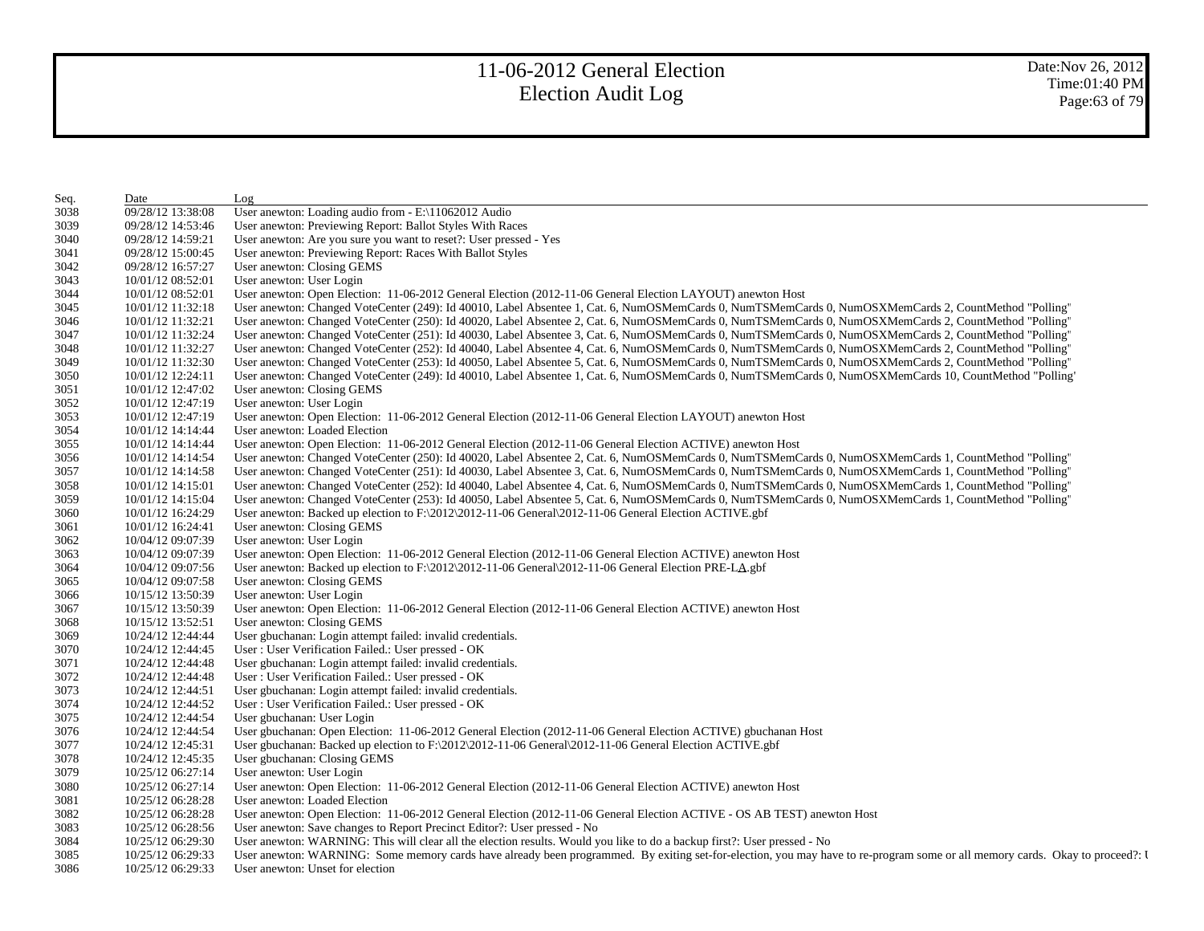| Seq. | Date              | Log                                                                                                                                                                          |
|------|-------------------|------------------------------------------------------------------------------------------------------------------------------------------------------------------------------|
| 3038 | 09/28/12 13:38:08 | User anewton: Loading audio from - E:\11062012 Audio                                                                                                                         |
| 3039 | 09/28/12 14:53:46 | User anewton: Previewing Report: Ballot Styles With Races                                                                                                                    |
| 3040 | 09/28/12 14:59:21 | User anewton: Are you sure you want to reset?: User pressed - Yes                                                                                                            |
| 3041 | 09/28/12 15:00:45 | User anewton: Previewing Report: Races With Ballot Styles                                                                                                                    |
| 3042 | 09/28/12 16:57:27 | User anewton: Closing GEMS                                                                                                                                                   |
| 3043 | 10/01/12 08:52:01 | User anewton: User Login                                                                                                                                                     |
| 3044 | 10/01/12 08:52:01 | User anewton: Open Election: 11-06-2012 General Election (2012-11-06 General Election LAYOUT) anewton Host                                                                   |
| 3045 | 10/01/12 11:32:18 | User anewton: Changed VoteCenter (249): Id 40010, Label Absentee 1, Cat. 6, NumOSMemCards 0, NumTSMemCards 0, NumOSXMemCards 2, CountMethod "Polling"                        |
| 3046 | 10/01/12 11:32:21 | User anewton: Changed VoteCenter (250): Id 40020, Label Absentee 2, Cat. 6, NumOSMemCards 0, NumTSMemCards 0, NumOSXMemCards 2, CountMethod "Polling"                        |
| 3047 | 10/01/12 11:32:24 | User anewton: Changed VoteCenter (251): Id 40030, Label Absentee 3, Cat. 6, NumOSMemCards 0, NumTSMemCards 0, NumOSXMemCards 2, CountMethod "Polling"                        |
| 3048 | 10/01/12 11:32:27 | User anewton: Changed VoteCenter (252): Id 40040, Label Absentee 4, Cat. 6, NumOSMemCards 0, NumTSMemCards 0, NumOSXMemCards 2, CountMethod "Polling"                        |
| 3049 | 10/01/12 11:32:30 | User anewton: Changed VoteCenter (253): Id 40050, Label Absentee 5, Cat. 6, NumOSMemCards 0, NumTSMemCards 0, NumOSXMemCards 2, CountMethod "Polling"                        |
| 3050 | 10/01/12 12:24:11 | User anewton: Changed VoteCenter (249): Id 40010, Label Absentee 1, Cat. 6, NumOSMemCards 0, NumTSMemCards 0, NumOSXMemCards 10, CountMethod "Polling"                       |
| 3051 | 10/01/12 12:47:02 | User anewton: Closing GEMS                                                                                                                                                   |
| 3052 | 10/01/12 12:47:19 | User anewton: User Login                                                                                                                                                     |
| 3053 | 10/01/12 12:47:19 | User anewton: Open Election: 11-06-2012 General Election (2012-11-06 General Election LAYOUT) anewton Host                                                                   |
| 3054 | 10/01/12 14:14:44 | User anewton: Loaded Election                                                                                                                                                |
| 3055 | 10/01/12 14:14:44 | User anewton: Open Election: 11-06-2012 General Election (2012-11-06 General Election ACTIVE) anewton Host                                                                   |
| 3056 | 10/01/12 14:14:54 | User anewton: Changed VoteCenter (250): Id 40020, Label Absentee 2, Cat. 6, NumOSMemCards 0, NumTSMemCards 0, NumOSXMemCards 1, CountMethod "Polling'                        |
| 3057 | 10/01/12 14:14:58 | User anewton: Changed VoteCenter (251): Id 40030, Label Absentee 3, Cat. 6, NumOSMemCards 0, NumTSMemCards 0, NumOSXMemCards 1, CountMethod "Polling"                        |
| 3058 | 10/01/12 14:15:01 | User anewton: Changed VoteCenter (252): Id 40040, Label Absentee 4, Cat. 6, NumOSMemCards 0, NumTSMemCards 0, NumOSXMemCards 1, CountMethod "Polling"                        |
| 3059 | 10/01/12 14:15:04 | User anewton: Changed VoteCenter (253): Id 40050, Label Absentee 5, Cat. 6, NumOSMemCards 0, NumTSMemCards 0, NumOSXMemCards 1, CountMethod "Polling'                        |
| 3060 | 10/01/12 16:24:29 | User anewton: Backed up election to F:\2012\2012-11-06 General\2012-11-06 General Election ACTIVE.gbf                                                                        |
| 3061 | 10/01/12 16:24:41 | User anewton: Closing GEMS                                                                                                                                                   |
| 3062 | 10/04/12 09:07:39 | User anewton: User Login                                                                                                                                                     |
| 3063 | 10/04/12 09:07:39 | User anewton: Open Election: 11-06-2012 General Election (2012-11-06 General Election ACTIVE) anewton Host                                                                   |
| 3064 | 10/04/12 09:07:56 | User anewton: Backed up election to F:\2012\2012-11-06 General\2012-11-06 General Election PRE-LA.gbf                                                                        |
| 3065 | 10/04/12 09:07:58 | User anewton: Closing GEMS                                                                                                                                                   |
| 3066 | 10/15/12 13:50:39 | User anewton: User Login                                                                                                                                                     |
| 3067 | 10/15/12 13:50:39 | User anewton: Open Election: 11-06-2012 General Election (2012-11-06 General Election ACTIVE) anewton Host                                                                   |
| 3068 | 10/15/12 13:52:51 | User anewton: Closing GEMS                                                                                                                                                   |
| 3069 | 10/24/12 12:44:44 | User gbuchanan: Login attempt failed: invalid credentials.                                                                                                                   |
| 3070 | 10/24/12 12:44:45 | User: User Verification Failed.: User pressed - OK                                                                                                                           |
| 3071 | 10/24/12 12:44:48 | User gbuchanan: Login attempt failed: invalid credentials.                                                                                                                   |
| 3072 | 10/24/12 12:44:48 | User: User Verification Failed.: User pressed - OK                                                                                                                           |
| 3073 | 10/24/12 12:44:51 | User gbuchanan: Login attempt failed: invalid credentials.                                                                                                                   |
| 3074 | 10/24/12 12:44:52 | User: User Verification Failed.: User pressed - OK                                                                                                                           |
| 3075 | 10/24/12 12:44:54 | User gbuchanan: User Login                                                                                                                                                   |
| 3076 | 10/24/12 12:44:54 | User gbuchanan: Open Election: 11-06-2012 General Election (2012-11-06 General Election ACTIVE) gbuchanan Host                                                               |
| 3077 | 10/24/12 12:45:31 | User gbuchanan: Backed up election to F:\2012\2012-11-06 General\2012-11-06 General Election ACTIVE.gbf                                                                      |
| 3078 | 10/24/12 12:45:35 | User gbuchanan: Closing GEMS                                                                                                                                                 |
| 3079 | 10/25/12 06:27:14 | User anewton: User Login                                                                                                                                                     |
| 3080 | 10/25/12 06:27:14 | User anewton: Open Election: 11-06-2012 General Election (2012-11-06 General Election ACTIVE) anewton Host                                                                   |
| 3081 | 10/25/12 06:28:28 | User anewton: Loaded Election                                                                                                                                                |
| 3082 | 10/25/12 06:28:28 | User anewton: Open Election: 11-06-2012 General Election (2012-11-06 General Election ACTIVE - OS AB TEST) anewton Host                                                      |
| 3083 | 10/25/12 06:28:56 | User anewton: Save changes to Report Precinct Editor?: User pressed - No                                                                                                     |
| 3084 | 10/25/12 06:29:30 | User anewton: WARNING: This will clear all the election results. Would you like to do a backup first?: User pressed - No                                                     |
| 3085 | 10/25/12 06:29:33 | User anewton: WARNING: Some memory cards have already been programmed. By exiting set-for-election, you may have to re-program some or all memory cards. Okay to proceed?: U |
| 3086 | 10/25/12 06:29:33 | User anewton: Unset for election                                                                                                                                             |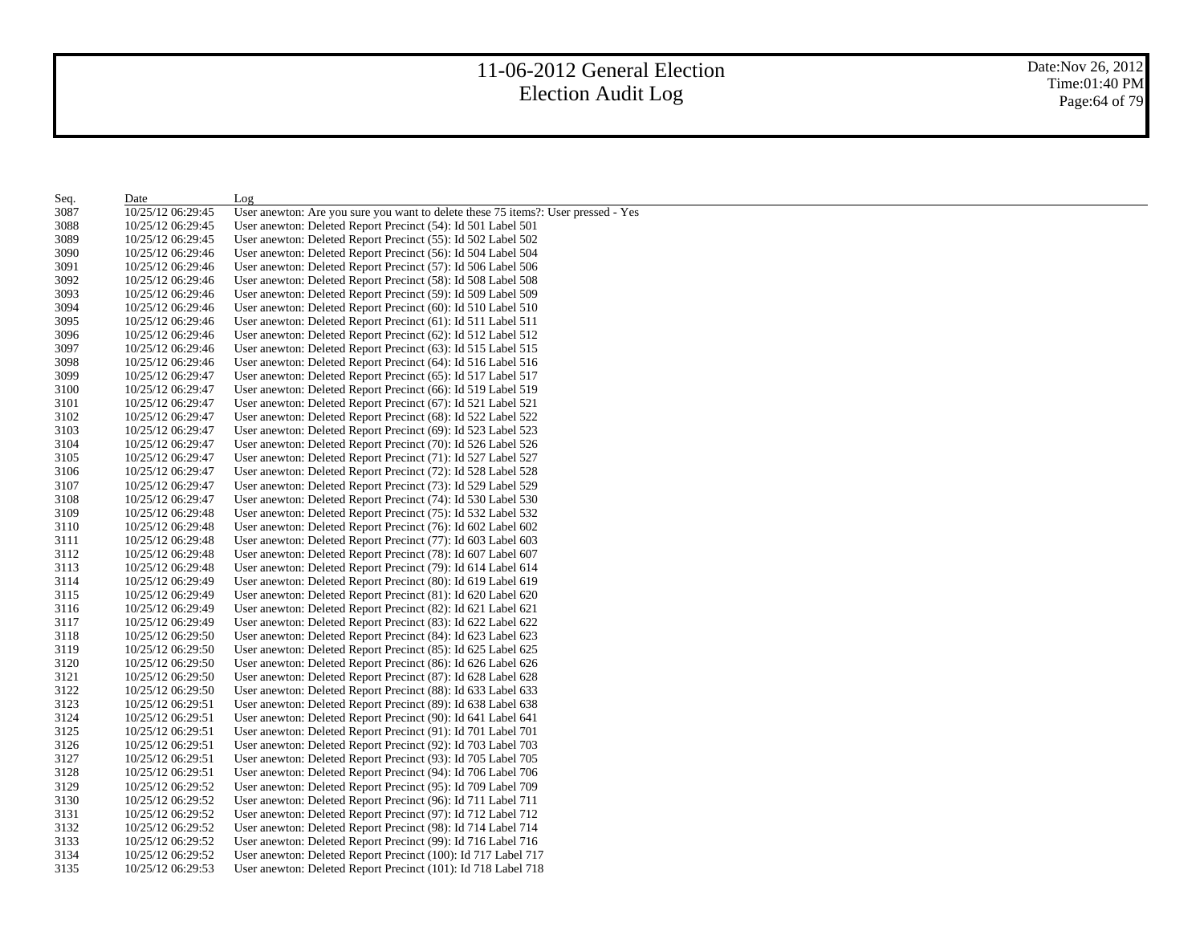| 3087<br>User anewton: Are you sure you want to delete these 75 items?: User pressed - Yes<br>10/25/12 06:29:45<br>3088<br>User anewton: Deleted Report Precinct (54): Id 501 Label 501<br>10/25/12 06:29:45<br>3089<br>10/25/12 06:29:45<br>User anewton: Deleted Report Precinct (55): Id 502 Label 502<br>3090<br>10/25/12 06:29:46<br>User anewton: Deleted Report Precinct (56): Id 504 Label 504<br>3091<br>10/25/12 06:29:46<br>User anewton: Deleted Report Precinct (57): Id 506 Label 506<br>3092<br>10/25/12 06:29:46<br>User anewton: Deleted Report Precinct (58): Id 508 Label 508<br>3093<br>10/25/12 06:29:46<br>User anewton: Deleted Report Precinct (59): Id 509 Label 509<br>3094<br>User anewton: Deleted Report Precinct (60): Id 510 Label 510<br>10/25/12 06:29:46<br>3095<br>10/25/12 06:29:46<br>User anewton: Deleted Report Precinct (61): Id 511 Label 511<br>3096<br>10/25/12 06:29:46<br>User anewton: Deleted Report Precinct (62): Id 512 Label 512<br>3097<br>10/25/12 06:29:46<br>User anewton: Deleted Report Precinct (63): Id 515 Label 515<br>3098<br>User anewton: Deleted Report Precinct (64): Id 516 Label 516<br>10/25/12 06:29:46<br>3099<br>10/25/12 06:29:47<br>User anewton: Deleted Report Precinct (65): Id 517 Label 517<br>3100<br>10/25/12 06:29:47<br>User anewton: Deleted Report Precinct (66): Id 519 Label 519<br>3101<br>10/25/12 06:29:47<br>User anewton: Deleted Report Precinct (67): Id 521 Label 521<br>3102<br>10/25/12 06:29:47<br>User anewton: Deleted Report Precinct (68): Id 522 Label 522<br>3103<br>10/25/12 06:29:47<br>User anewton: Deleted Report Precinct (69): Id 523 Label 523<br>3104<br>10/25/12 06:29:47<br>User anewton: Deleted Report Precinct (70): Id 526 Label 526<br>3105<br>10/25/12 06:29:47<br>User anewton: Deleted Report Precinct (71): Id 527 Label 527<br>3106<br>User anewton: Deleted Report Precinct (72): Id 528 Label 528<br>10/25/12 06:29:47<br>3107<br>10/25/12 06:29:47<br>User anewton: Deleted Report Precinct (73): Id 529 Label 529<br>3108<br>10/25/12 06:29:47<br>User anewton: Deleted Report Precinct (74): Id 530 Label 530<br>3109<br>10/25/12 06:29:48<br>User anewton: Deleted Report Precinct (75): Id 532 Label 532<br>3110<br>10/25/12 06:29:48<br>User anewton: Deleted Report Precinct (76): Id 602 Label 602<br>3111<br>10/25/12 06:29:48<br>User anewton: Deleted Report Precinct (77): Id 603 Label 603<br>3112<br>10/25/12 06:29:48<br>User anewton: Deleted Report Precinct (78): Id 607 Label 607<br>3113<br>10/25/12 06:29:48<br>User anewton: Deleted Report Precinct (79): Id 614 Label 614<br>3114<br>10/25/12 06:29:49<br>User anewton: Deleted Report Precinct (80): Id 619 Label 619<br>3115<br>User anewton: Deleted Report Precinct (81): Id 620 Label 620<br>10/25/12 06:29:49<br>3116<br>10/25/12 06:29:49<br>User anewton: Deleted Report Precinct (82): Id 621 Label 621<br>3117<br>User anewton: Deleted Report Precinct (83): Id 622 Label 622<br>10/25/12 06:29:49<br>3118<br>10/25/12 06:29:50<br>User anewton: Deleted Report Precinct (84): Id 623 Label 623<br>3119<br>10/25/12 06:29:50<br>User anewton: Deleted Report Precinct (85): Id 625 Label 625<br>3120<br>10/25/12 06:29:50<br>User anewton: Deleted Report Precinct (86): Id 626 Label 626<br>3121<br>10/25/12 06:29:50<br>User anewton: Deleted Report Precinct (87): Id 628 Label 628<br>3122<br>10/25/12 06:29:50<br>User anewton: Deleted Report Precinct (88): Id 633 Label 633<br>3123<br>10/25/12 06:29:51<br>User anewton: Deleted Report Precinct (89): Id 638 Label 638<br>3124<br>10/25/12 06:29:51<br>User anewton: Deleted Report Precinct (90): Id 641 Label 641<br>3125<br>10/25/12 06:29:51<br>User anewton: Deleted Report Precinct (91): Id 701 Label 701<br>3126<br>10/25/12 06:29:51<br>User anewton: Deleted Report Precinct (92): Id 703 Label 703<br>3127<br>10/25/12 06:29:51<br>User anewton: Deleted Report Precinct (93): Id 705 Label 705<br>3128<br>10/25/12 06:29:51<br>User anewton: Deleted Report Precinct (94): Id 706 Label 706<br>3129<br>10/25/12 06:29:52<br>User anewton: Deleted Report Precinct (95): Id 709 Label 709<br>3130<br>10/25/12 06:29:52<br>User anewton: Deleted Report Precinct (96): Id 711 Label 711 | Seq. | Date              | Log                                                          |
|-------------------------------------------------------------------------------------------------------------------------------------------------------------------------------------------------------------------------------------------------------------------------------------------------------------------------------------------------------------------------------------------------------------------------------------------------------------------------------------------------------------------------------------------------------------------------------------------------------------------------------------------------------------------------------------------------------------------------------------------------------------------------------------------------------------------------------------------------------------------------------------------------------------------------------------------------------------------------------------------------------------------------------------------------------------------------------------------------------------------------------------------------------------------------------------------------------------------------------------------------------------------------------------------------------------------------------------------------------------------------------------------------------------------------------------------------------------------------------------------------------------------------------------------------------------------------------------------------------------------------------------------------------------------------------------------------------------------------------------------------------------------------------------------------------------------------------------------------------------------------------------------------------------------------------------------------------------------------------------------------------------------------------------------------------------------------------------------------------------------------------------------------------------------------------------------------------------------------------------------------------------------------------------------------------------------------------------------------------------------------------------------------------------------------------------------------------------------------------------------------------------------------------------------------------------------------------------------------------------------------------------------------------------------------------------------------------------------------------------------------------------------------------------------------------------------------------------------------------------------------------------------------------------------------------------------------------------------------------------------------------------------------------------------------------------------------------------------------------------------------------------------------------------------------------------------------------------------------------------------------------------------------------------------------------------------------------------------------------------------------------------------------------------------------------------------------------------------------------------------------------------------------------------------------------------------------------------------------------------------------------------------------------------------------------------------------------------------------------------------------------------------------------------------------------------------------------------------------------------------------------------------------------------------------------------------------------------------------------------------------------------------------------------------------------------------------------------------------------------------------------------------------------------------------------------------------------------------------------------------------------------------------------|------|-------------------|--------------------------------------------------------------|
|                                                                                                                                                                                                                                                                                                                                                                                                                                                                                                                                                                                                                                                                                                                                                                                                                                                                                                                                                                                                                                                                                                                                                                                                                                                                                                                                                                                                                                                                                                                                                                                                                                                                                                                                                                                                                                                                                                                                                                                                                                                                                                                                                                                                                                                                                                                                                                                                                                                                                                                                                                                                                                                                                                                                                                                                                                                                                                                                                                                                                                                                                                                                                                                                                                                                                                                                                                                                                                                                                                                                                                                                                                                                                                                                                                                                                                                                                                                                                                                                                                                                                                                                                                                                                                                                               |      |                   |                                                              |
|                                                                                                                                                                                                                                                                                                                                                                                                                                                                                                                                                                                                                                                                                                                                                                                                                                                                                                                                                                                                                                                                                                                                                                                                                                                                                                                                                                                                                                                                                                                                                                                                                                                                                                                                                                                                                                                                                                                                                                                                                                                                                                                                                                                                                                                                                                                                                                                                                                                                                                                                                                                                                                                                                                                                                                                                                                                                                                                                                                                                                                                                                                                                                                                                                                                                                                                                                                                                                                                                                                                                                                                                                                                                                                                                                                                                                                                                                                                                                                                                                                                                                                                                                                                                                                                                               |      |                   |                                                              |
|                                                                                                                                                                                                                                                                                                                                                                                                                                                                                                                                                                                                                                                                                                                                                                                                                                                                                                                                                                                                                                                                                                                                                                                                                                                                                                                                                                                                                                                                                                                                                                                                                                                                                                                                                                                                                                                                                                                                                                                                                                                                                                                                                                                                                                                                                                                                                                                                                                                                                                                                                                                                                                                                                                                                                                                                                                                                                                                                                                                                                                                                                                                                                                                                                                                                                                                                                                                                                                                                                                                                                                                                                                                                                                                                                                                                                                                                                                                                                                                                                                                                                                                                                                                                                                                                               |      |                   |                                                              |
|                                                                                                                                                                                                                                                                                                                                                                                                                                                                                                                                                                                                                                                                                                                                                                                                                                                                                                                                                                                                                                                                                                                                                                                                                                                                                                                                                                                                                                                                                                                                                                                                                                                                                                                                                                                                                                                                                                                                                                                                                                                                                                                                                                                                                                                                                                                                                                                                                                                                                                                                                                                                                                                                                                                                                                                                                                                                                                                                                                                                                                                                                                                                                                                                                                                                                                                                                                                                                                                                                                                                                                                                                                                                                                                                                                                                                                                                                                                                                                                                                                                                                                                                                                                                                                                                               |      |                   |                                                              |
|                                                                                                                                                                                                                                                                                                                                                                                                                                                                                                                                                                                                                                                                                                                                                                                                                                                                                                                                                                                                                                                                                                                                                                                                                                                                                                                                                                                                                                                                                                                                                                                                                                                                                                                                                                                                                                                                                                                                                                                                                                                                                                                                                                                                                                                                                                                                                                                                                                                                                                                                                                                                                                                                                                                                                                                                                                                                                                                                                                                                                                                                                                                                                                                                                                                                                                                                                                                                                                                                                                                                                                                                                                                                                                                                                                                                                                                                                                                                                                                                                                                                                                                                                                                                                                                                               |      |                   |                                                              |
|                                                                                                                                                                                                                                                                                                                                                                                                                                                                                                                                                                                                                                                                                                                                                                                                                                                                                                                                                                                                                                                                                                                                                                                                                                                                                                                                                                                                                                                                                                                                                                                                                                                                                                                                                                                                                                                                                                                                                                                                                                                                                                                                                                                                                                                                                                                                                                                                                                                                                                                                                                                                                                                                                                                                                                                                                                                                                                                                                                                                                                                                                                                                                                                                                                                                                                                                                                                                                                                                                                                                                                                                                                                                                                                                                                                                                                                                                                                                                                                                                                                                                                                                                                                                                                                                               |      |                   |                                                              |
|                                                                                                                                                                                                                                                                                                                                                                                                                                                                                                                                                                                                                                                                                                                                                                                                                                                                                                                                                                                                                                                                                                                                                                                                                                                                                                                                                                                                                                                                                                                                                                                                                                                                                                                                                                                                                                                                                                                                                                                                                                                                                                                                                                                                                                                                                                                                                                                                                                                                                                                                                                                                                                                                                                                                                                                                                                                                                                                                                                                                                                                                                                                                                                                                                                                                                                                                                                                                                                                                                                                                                                                                                                                                                                                                                                                                                                                                                                                                                                                                                                                                                                                                                                                                                                                                               |      |                   |                                                              |
|                                                                                                                                                                                                                                                                                                                                                                                                                                                                                                                                                                                                                                                                                                                                                                                                                                                                                                                                                                                                                                                                                                                                                                                                                                                                                                                                                                                                                                                                                                                                                                                                                                                                                                                                                                                                                                                                                                                                                                                                                                                                                                                                                                                                                                                                                                                                                                                                                                                                                                                                                                                                                                                                                                                                                                                                                                                                                                                                                                                                                                                                                                                                                                                                                                                                                                                                                                                                                                                                                                                                                                                                                                                                                                                                                                                                                                                                                                                                                                                                                                                                                                                                                                                                                                                                               |      |                   |                                                              |
|                                                                                                                                                                                                                                                                                                                                                                                                                                                                                                                                                                                                                                                                                                                                                                                                                                                                                                                                                                                                                                                                                                                                                                                                                                                                                                                                                                                                                                                                                                                                                                                                                                                                                                                                                                                                                                                                                                                                                                                                                                                                                                                                                                                                                                                                                                                                                                                                                                                                                                                                                                                                                                                                                                                                                                                                                                                                                                                                                                                                                                                                                                                                                                                                                                                                                                                                                                                                                                                                                                                                                                                                                                                                                                                                                                                                                                                                                                                                                                                                                                                                                                                                                                                                                                                                               |      |                   |                                                              |
|                                                                                                                                                                                                                                                                                                                                                                                                                                                                                                                                                                                                                                                                                                                                                                                                                                                                                                                                                                                                                                                                                                                                                                                                                                                                                                                                                                                                                                                                                                                                                                                                                                                                                                                                                                                                                                                                                                                                                                                                                                                                                                                                                                                                                                                                                                                                                                                                                                                                                                                                                                                                                                                                                                                                                                                                                                                                                                                                                                                                                                                                                                                                                                                                                                                                                                                                                                                                                                                                                                                                                                                                                                                                                                                                                                                                                                                                                                                                                                                                                                                                                                                                                                                                                                                                               |      |                   |                                                              |
|                                                                                                                                                                                                                                                                                                                                                                                                                                                                                                                                                                                                                                                                                                                                                                                                                                                                                                                                                                                                                                                                                                                                                                                                                                                                                                                                                                                                                                                                                                                                                                                                                                                                                                                                                                                                                                                                                                                                                                                                                                                                                                                                                                                                                                                                                                                                                                                                                                                                                                                                                                                                                                                                                                                                                                                                                                                                                                                                                                                                                                                                                                                                                                                                                                                                                                                                                                                                                                                                                                                                                                                                                                                                                                                                                                                                                                                                                                                                                                                                                                                                                                                                                                                                                                                                               |      |                   |                                                              |
|                                                                                                                                                                                                                                                                                                                                                                                                                                                                                                                                                                                                                                                                                                                                                                                                                                                                                                                                                                                                                                                                                                                                                                                                                                                                                                                                                                                                                                                                                                                                                                                                                                                                                                                                                                                                                                                                                                                                                                                                                                                                                                                                                                                                                                                                                                                                                                                                                                                                                                                                                                                                                                                                                                                                                                                                                                                                                                                                                                                                                                                                                                                                                                                                                                                                                                                                                                                                                                                                                                                                                                                                                                                                                                                                                                                                                                                                                                                                                                                                                                                                                                                                                                                                                                                                               |      |                   |                                                              |
|                                                                                                                                                                                                                                                                                                                                                                                                                                                                                                                                                                                                                                                                                                                                                                                                                                                                                                                                                                                                                                                                                                                                                                                                                                                                                                                                                                                                                                                                                                                                                                                                                                                                                                                                                                                                                                                                                                                                                                                                                                                                                                                                                                                                                                                                                                                                                                                                                                                                                                                                                                                                                                                                                                                                                                                                                                                                                                                                                                                                                                                                                                                                                                                                                                                                                                                                                                                                                                                                                                                                                                                                                                                                                                                                                                                                                                                                                                                                                                                                                                                                                                                                                                                                                                                                               |      |                   |                                                              |
|                                                                                                                                                                                                                                                                                                                                                                                                                                                                                                                                                                                                                                                                                                                                                                                                                                                                                                                                                                                                                                                                                                                                                                                                                                                                                                                                                                                                                                                                                                                                                                                                                                                                                                                                                                                                                                                                                                                                                                                                                                                                                                                                                                                                                                                                                                                                                                                                                                                                                                                                                                                                                                                                                                                                                                                                                                                                                                                                                                                                                                                                                                                                                                                                                                                                                                                                                                                                                                                                                                                                                                                                                                                                                                                                                                                                                                                                                                                                                                                                                                                                                                                                                                                                                                                                               |      |                   |                                                              |
|                                                                                                                                                                                                                                                                                                                                                                                                                                                                                                                                                                                                                                                                                                                                                                                                                                                                                                                                                                                                                                                                                                                                                                                                                                                                                                                                                                                                                                                                                                                                                                                                                                                                                                                                                                                                                                                                                                                                                                                                                                                                                                                                                                                                                                                                                                                                                                                                                                                                                                                                                                                                                                                                                                                                                                                                                                                                                                                                                                                                                                                                                                                                                                                                                                                                                                                                                                                                                                                                                                                                                                                                                                                                                                                                                                                                                                                                                                                                                                                                                                                                                                                                                                                                                                                                               |      |                   |                                                              |
|                                                                                                                                                                                                                                                                                                                                                                                                                                                                                                                                                                                                                                                                                                                                                                                                                                                                                                                                                                                                                                                                                                                                                                                                                                                                                                                                                                                                                                                                                                                                                                                                                                                                                                                                                                                                                                                                                                                                                                                                                                                                                                                                                                                                                                                                                                                                                                                                                                                                                                                                                                                                                                                                                                                                                                                                                                                                                                                                                                                                                                                                                                                                                                                                                                                                                                                                                                                                                                                                                                                                                                                                                                                                                                                                                                                                                                                                                                                                                                                                                                                                                                                                                                                                                                                                               |      |                   |                                                              |
|                                                                                                                                                                                                                                                                                                                                                                                                                                                                                                                                                                                                                                                                                                                                                                                                                                                                                                                                                                                                                                                                                                                                                                                                                                                                                                                                                                                                                                                                                                                                                                                                                                                                                                                                                                                                                                                                                                                                                                                                                                                                                                                                                                                                                                                                                                                                                                                                                                                                                                                                                                                                                                                                                                                                                                                                                                                                                                                                                                                                                                                                                                                                                                                                                                                                                                                                                                                                                                                                                                                                                                                                                                                                                                                                                                                                                                                                                                                                                                                                                                                                                                                                                                                                                                                                               |      |                   |                                                              |
|                                                                                                                                                                                                                                                                                                                                                                                                                                                                                                                                                                                                                                                                                                                                                                                                                                                                                                                                                                                                                                                                                                                                                                                                                                                                                                                                                                                                                                                                                                                                                                                                                                                                                                                                                                                                                                                                                                                                                                                                                                                                                                                                                                                                                                                                                                                                                                                                                                                                                                                                                                                                                                                                                                                                                                                                                                                                                                                                                                                                                                                                                                                                                                                                                                                                                                                                                                                                                                                                                                                                                                                                                                                                                                                                                                                                                                                                                                                                                                                                                                                                                                                                                                                                                                                                               |      |                   |                                                              |
|                                                                                                                                                                                                                                                                                                                                                                                                                                                                                                                                                                                                                                                                                                                                                                                                                                                                                                                                                                                                                                                                                                                                                                                                                                                                                                                                                                                                                                                                                                                                                                                                                                                                                                                                                                                                                                                                                                                                                                                                                                                                                                                                                                                                                                                                                                                                                                                                                                                                                                                                                                                                                                                                                                                                                                                                                                                                                                                                                                                                                                                                                                                                                                                                                                                                                                                                                                                                                                                                                                                                                                                                                                                                                                                                                                                                                                                                                                                                                                                                                                                                                                                                                                                                                                                                               |      |                   |                                                              |
|                                                                                                                                                                                                                                                                                                                                                                                                                                                                                                                                                                                                                                                                                                                                                                                                                                                                                                                                                                                                                                                                                                                                                                                                                                                                                                                                                                                                                                                                                                                                                                                                                                                                                                                                                                                                                                                                                                                                                                                                                                                                                                                                                                                                                                                                                                                                                                                                                                                                                                                                                                                                                                                                                                                                                                                                                                                                                                                                                                                                                                                                                                                                                                                                                                                                                                                                                                                                                                                                                                                                                                                                                                                                                                                                                                                                                                                                                                                                                                                                                                                                                                                                                                                                                                                                               |      |                   |                                                              |
|                                                                                                                                                                                                                                                                                                                                                                                                                                                                                                                                                                                                                                                                                                                                                                                                                                                                                                                                                                                                                                                                                                                                                                                                                                                                                                                                                                                                                                                                                                                                                                                                                                                                                                                                                                                                                                                                                                                                                                                                                                                                                                                                                                                                                                                                                                                                                                                                                                                                                                                                                                                                                                                                                                                                                                                                                                                                                                                                                                                                                                                                                                                                                                                                                                                                                                                                                                                                                                                                                                                                                                                                                                                                                                                                                                                                                                                                                                                                                                                                                                                                                                                                                                                                                                                                               |      |                   |                                                              |
|                                                                                                                                                                                                                                                                                                                                                                                                                                                                                                                                                                                                                                                                                                                                                                                                                                                                                                                                                                                                                                                                                                                                                                                                                                                                                                                                                                                                                                                                                                                                                                                                                                                                                                                                                                                                                                                                                                                                                                                                                                                                                                                                                                                                                                                                                                                                                                                                                                                                                                                                                                                                                                                                                                                                                                                                                                                                                                                                                                                                                                                                                                                                                                                                                                                                                                                                                                                                                                                                                                                                                                                                                                                                                                                                                                                                                                                                                                                                                                                                                                                                                                                                                                                                                                                                               |      |                   |                                                              |
|                                                                                                                                                                                                                                                                                                                                                                                                                                                                                                                                                                                                                                                                                                                                                                                                                                                                                                                                                                                                                                                                                                                                                                                                                                                                                                                                                                                                                                                                                                                                                                                                                                                                                                                                                                                                                                                                                                                                                                                                                                                                                                                                                                                                                                                                                                                                                                                                                                                                                                                                                                                                                                                                                                                                                                                                                                                                                                                                                                                                                                                                                                                                                                                                                                                                                                                                                                                                                                                                                                                                                                                                                                                                                                                                                                                                                                                                                                                                                                                                                                                                                                                                                                                                                                                                               |      |                   |                                                              |
|                                                                                                                                                                                                                                                                                                                                                                                                                                                                                                                                                                                                                                                                                                                                                                                                                                                                                                                                                                                                                                                                                                                                                                                                                                                                                                                                                                                                                                                                                                                                                                                                                                                                                                                                                                                                                                                                                                                                                                                                                                                                                                                                                                                                                                                                                                                                                                                                                                                                                                                                                                                                                                                                                                                                                                                                                                                                                                                                                                                                                                                                                                                                                                                                                                                                                                                                                                                                                                                                                                                                                                                                                                                                                                                                                                                                                                                                                                                                                                                                                                                                                                                                                                                                                                                                               |      |                   |                                                              |
|                                                                                                                                                                                                                                                                                                                                                                                                                                                                                                                                                                                                                                                                                                                                                                                                                                                                                                                                                                                                                                                                                                                                                                                                                                                                                                                                                                                                                                                                                                                                                                                                                                                                                                                                                                                                                                                                                                                                                                                                                                                                                                                                                                                                                                                                                                                                                                                                                                                                                                                                                                                                                                                                                                                                                                                                                                                                                                                                                                                                                                                                                                                                                                                                                                                                                                                                                                                                                                                                                                                                                                                                                                                                                                                                                                                                                                                                                                                                                                                                                                                                                                                                                                                                                                                                               |      |                   |                                                              |
|                                                                                                                                                                                                                                                                                                                                                                                                                                                                                                                                                                                                                                                                                                                                                                                                                                                                                                                                                                                                                                                                                                                                                                                                                                                                                                                                                                                                                                                                                                                                                                                                                                                                                                                                                                                                                                                                                                                                                                                                                                                                                                                                                                                                                                                                                                                                                                                                                                                                                                                                                                                                                                                                                                                                                                                                                                                                                                                                                                                                                                                                                                                                                                                                                                                                                                                                                                                                                                                                                                                                                                                                                                                                                                                                                                                                                                                                                                                                                                                                                                                                                                                                                                                                                                                                               |      |                   |                                                              |
|                                                                                                                                                                                                                                                                                                                                                                                                                                                                                                                                                                                                                                                                                                                                                                                                                                                                                                                                                                                                                                                                                                                                                                                                                                                                                                                                                                                                                                                                                                                                                                                                                                                                                                                                                                                                                                                                                                                                                                                                                                                                                                                                                                                                                                                                                                                                                                                                                                                                                                                                                                                                                                                                                                                                                                                                                                                                                                                                                                                                                                                                                                                                                                                                                                                                                                                                                                                                                                                                                                                                                                                                                                                                                                                                                                                                                                                                                                                                                                                                                                                                                                                                                                                                                                                                               |      |                   |                                                              |
|                                                                                                                                                                                                                                                                                                                                                                                                                                                                                                                                                                                                                                                                                                                                                                                                                                                                                                                                                                                                                                                                                                                                                                                                                                                                                                                                                                                                                                                                                                                                                                                                                                                                                                                                                                                                                                                                                                                                                                                                                                                                                                                                                                                                                                                                                                                                                                                                                                                                                                                                                                                                                                                                                                                                                                                                                                                                                                                                                                                                                                                                                                                                                                                                                                                                                                                                                                                                                                                                                                                                                                                                                                                                                                                                                                                                                                                                                                                                                                                                                                                                                                                                                                                                                                                                               |      |                   |                                                              |
|                                                                                                                                                                                                                                                                                                                                                                                                                                                                                                                                                                                                                                                                                                                                                                                                                                                                                                                                                                                                                                                                                                                                                                                                                                                                                                                                                                                                                                                                                                                                                                                                                                                                                                                                                                                                                                                                                                                                                                                                                                                                                                                                                                                                                                                                                                                                                                                                                                                                                                                                                                                                                                                                                                                                                                                                                                                                                                                                                                                                                                                                                                                                                                                                                                                                                                                                                                                                                                                                                                                                                                                                                                                                                                                                                                                                                                                                                                                                                                                                                                                                                                                                                                                                                                                                               |      |                   |                                                              |
|                                                                                                                                                                                                                                                                                                                                                                                                                                                                                                                                                                                                                                                                                                                                                                                                                                                                                                                                                                                                                                                                                                                                                                                                                                                                                                                                                                                                                                                                                                                                                                                                                                                                                                                                                                                                                                                                                                                                                                                                                                                                                                                                                                                                                                                                                                                                                                                                                                                                                                                                                                                                                                                                                                                                                                                                                                                                                                                                                                                                                                                                                                                                                                                                                                                                                                                                                                                                                                                                                                                                                                                                                                                                                                                                                                                                                                                                                                                                                                                                                                                                                                                                                                                                                                                                               |      |                   |                                                              |
|                                                                                                                                                                                                                                                                                                                                                                                                                                                                                                                                                                                                                                                                                                                                                                                                                                                                                                                                                                                                                                                                                                                                                                                                                                                                                                                                                                                                                                                                                                                                                                                                                                                                                                                                                                                                                                                                                                                                                                                                                                                                                                                                                                                                                                                                                                                                                                                                                                                                                                                                                                                                                                                                                                                                                                                                                                                                                                                                                                                                                                                                                                                                                                                                                                                                                                                                                                                                                                                                                                                                                                                                                                                                                                                                                                                                                                                                                                                                                                                                                                                                                                                                                                                                                                                                               |      |                   |                                                              |
|                                                                                                                                                                                                                                                                                                                                                                                                                                                                                                                                                                                                                                                                                                                                                                                                                                                                                                                                                                                                                                                                                                                                                                                                                                                                                                                                                                                                                                                                                                                                                                                                                                                                                                                                                                                                                                                                                                                                                                                                                                                                                                                                                                                                                                                                                                                                                                                                                                                                                                                                                                                                                                                                                                                                                                                                                                                                                                                                                                                                                                                                                                                                                                                                                                                                                                                                                                                                                                                                                                                                                                                                                                                                                                                                                                                                                                                                                                                                                                                                                                                                                                                                                                                                                                                                               |      |                   |                                                              |
|                                                                                                                                                                                                                                                                                                                                                                                                                                                                                                                                                                                                                                                                                                                                                                                                                                                                                                                                                                                                                                                                                                                                                                                                                                                                                                                                                                                                                                                                                                                                                                                                                                                                                                                                                                                                                                                                                                                                                                                                                                                                                                                                                                                                                                                                                                                                                                                                                                                                                                                                                                                                                                                                                                                                                                                                                                                                                                                                                                                                                                                                                                                                                                                                                                                                                                                                                                                                                                                                                                                                                                                                                                                                                                                                                                                                                                                                                                                                                                                                                                                                                                                                                                                                                                                                               |      |                   |                                                              |
|                                                                                                                                                                                                                                                                                                                                                                                                                                                                                                                                                                                                                                                                                                                                                                                                                                                                                                                                                                                                                                                                                                                                                                                                                                                                                                                                                                                                                                                                                                                                                                                                                                                                                                                                                                                                                                                                                                                                                                                                                                                                                                                                                                                                                                                                                                                                                                                                                                                                                                                                                                                                                                                                                                                                                                                                                                                                                                                                                                                                                                                                                                                                                                                                                                                                                                                                                                                                                                                                                                                                                                                                                                                                                                                                                                                                                                                                                                                                                                                                                                                                                                                                                                                                                                                                               |      |                   |                                                              |
|                                                                                                                                                                                                                                                                                                                                                                                                                                                                                                                                                                                                                                                                                                                                                                                                                                                                                                                                                                                                                                                                                                                                                                                                                                                                                                                                                                                                                                                                                                                                                                                                                                                                                                                                                                                                                                                                                                                                                                                                                                                                                                                                                                                                                                                                                                                                                                                                                                                                                                                                                                                                                                                                                                                                                                                                                                                                                                                                                                                                                                                                                                                                                                                                                                                                                                                                                                                                                                                                                                                                                                                                                                                                                                                                                                                                                                                                                                                                                                                                                                                                                                                                                                                                                                                                               |      |                   |                                                              |
|                                                                                                                                                                                                                                                                                                                                                                                                                                                                                                                                                                                                                                                                                                                                                                                                                                                                                                                                                                                                                                                                                                                                                                                                                                                                                                                                                                                                                                                                                                                                                                                                                                                                                                                                                                                                                                                                                                                                                                                                                                                                                                                                                                                                                                                                                                                                                                                                                                                                                                                                                                                                                                                                                                                                                                                                                                                                                                                                                                                                                                                                                                                                                                                                                                                                                                                                                                                                                                                                                                                                                                                                                                                                                                                                                                                                                                                                                                                                                                                                                                                                                                                                                                                                                                                                               |      |                   |                                                              |
|                                                                                                                                                                                                                                                                                                                                                                                                                                                                                                                                                                                                                                                                                                                                                                                                                                                                                                                                                                                                                                                                                                                                                                                                                                                                                                                                                                                                                                                                                                                                                                                                                                                                                                                                                                                                                                                                                                                                                                                                                                                                                                                                                                                                                                                                                                                                                                                                                                                                                                                                                                                                                                                                                                                                                                                                                                                                                                                                                                                                                                                                                                                                                                                                                                                                                                                                                                                                                                                                                                                                                                                                                                                                                                                                                                                                                                                                                                                                                                                                                                                                                                                                                                                                                                                                               |      |                   |                                                              |
|                                                                                                                                                                                                                                                                                                                                                                                                                                                                                                                                                                                                                                                                                                                                                                                                                                                                                                                                                                                                                                                                                                                                                                                                                                                                                                                                                                                                                                                                                                                                                                                                                                                                                                                                                                                                                                                                                                                                                                                                                                                                                                                                                                                                                                                                                                                                                                                                                                                                                                                                                                                                                                                                                                                                                                                                                                                                                                                                                                                                                                                                                                                                                                                                                                                                                                                                                                                                                                                                                                                                                                                                                                                                                                                                                                                                                                                                                                                                                                                                                                                                                                                                                                                                                                                                               |      |                   |                                                              |
|                                                                                                                                                                                                                                                                                                                                                                                                                                                                                                                                                                                                                                                                                                                                                                                                                                                                                                                                                                                                                                                                                                                                                                                                                                                                                                                                                                                                                                                                                                                                                                                                                                                                                                                                                                                                                                                                                                                                                                                                                                                                                                                                                                                                                                                                                                                                                                                                                                                                                                                                                                                                                                                                                                                                                                                                                                                                                                                                                                                                                                                                                                                                                                                                                                                                                                                                                                                                                                                                                                                                                                                                                                                                                                                                                                                                                                                                                                                                                                                                                                                                                                                                                                                                                                                                               |      |                   |                                                              |
|                                                                                                                                                                                                                                                                                                                                                                                                                                                                                                                                                                                                                                                                                                                                                                                                                                                                                                                                                                                                                                                                                                                                                                                                                                                                                                                                                                                                                                                                                                                                                                                                                                                                                                                                                                                                                                                                                                                                                                                                                                                                                                                                                                                                                                                                                                                                                                                                                                                                                                                                                                                                                                                                                                                                                                                                                                                                                                                                                                                                                                                                                                                                                                                                                                                                                                                                                                                                                                                                                                                                                                                                                                                                                                                                                                                                                                                                                                                                                                                                                                                                                                                                                                                                                                                                               |      |                   |                                                              |
|                                                                                                                                                                                                                                                                                                                                                                                                                                                                                                                                                                                                                                                                                                                                                                                                                                                                                                                                                                                                                                                                                                                                                                                                                                                                                                                                                                                                                                                                                                                                                                                                                                                                                                                                                                                                                                                                                                                                                                                                                                                                                                                                                                                                                                                                                                                                                                                                                                                                                                                                                                                                                                                                                                                                                                                                                                                                                                                                                                                                                                                                                                                                                                                                                                                                                                                                                                                                                                                                                                                                                                                                                                                                                                                                                                                                                                                                                                                                                                                                                                                                                                                                                                                                                                                                               |      |                   |                                                              |
|                                                                                                                                                                                                                                                                                                                                                                                                                                                                                                                                                                                                                                                                                                                                                                                                                                                                                                                                                                                                                                                                                                                                                                                                                                                                                                                                                                                                                                                                                                                                                                                                                                                                                                                                                                                                                                                                                                                                                                                                                                                                                                                                                                                                                                                                                                                                                                                                                                                                                                                                                                                                                                                                                                                                                                                                                                                                                                                                                                                                                                                                                                                                                                                                                                                                                                                                                                                                                                                                                                                                                                                                                                                                                                                                                                                                                                                                                                                                                                                                                                                                                                                                                                                                                                                                               |      |                   |                                                              |
|                                                                                                                                                                                                                                                                                                                                                                                                                                                                                                                                                                                                                                                                                                                                                                                                                                                                                                                                                                                                                                                                                                                                                                                                                                                                                                                                                                                                                                                                                                                                                                                                                                                                                                                                                                                                                                                                                                                                                                                                                                                                                                                                                                                                                                                                                                                                                                                                                                                                                                                                                                                                                                                                                                                                                                                                                                                                                                                                                                                                                                                                                                                                                                                                                                                                                                                                                                                                                                                                                                                                                                                                                                                                                                                                                                                                                                                                                                                                                                                                                                                                                                                                                                                                                                                                               |      |                   |                                                              |
|                                                                                                                                                                                                                                                                                                                                                                                                                                                                                                                                                                                                                                                                                                                                                                                                                                                                                                                                                                                                                                                                                                                                                                                                                                                                                                                                                                                                                                                                                                                                                                                                                                                                                                                                                                                                                                                                                                                                                                                                                                                                                                                                                                                                                                                                                                                                                                                                                                                                                                                                                                                                                                                                                                                                                                                                                                                                                                                                                                                                                                                                                                                                                                                                                                                                                                                                                                                                                                                                                                                                                                                                                                                                                                                                                                                                                                                                                                                                                                                                                                                                                                                                                                                                                                                                               |      |                   |                                                              |
|                                                                                                                                                                                                                                                                                                                                                                                                                                                                                                                                                                                                                                                                                                                                                                                                                                                                                                                                                                                                                                                                                                                                                                                                                                                                                                                                                                                                                                                                                                                                                                                                                                                                                                                                                                                                                                                                                                                                                                                                                                                                                                                                                                                                                                                                                                                                                                                                                                                                                                                                                                                                                                                                                                                                                                                                                                                                                                                                                                                                                                                                                                                                                                                                                                                                                                                                                                                                                                                                                                                                                                                                                                                                                                                                                                                                                                                                                                                                                                                                                                                                                                                                                                                                                                                                               | 3131 | 10/25/12 06:29:52 | User anewton: Deleted Report Precinct (97): Id 712 Label 712 |
| 3132<br>10/25/12 06:29:52<br>User anewton: Deleted Report Precinct (98): Id 714 Label 714                                                                                                                                                                                                                                                                                                                                                                                                                                                                                                                                                                                                                                                                                                                                                                                                                                                                                                                                                                                                                                                                                                                                                                                                                                                                                                                                                                                                                                                                                                                                                                                                                                                                                                                                                                                                                                                                                                                                                                                                                                                                                                                                                                                                                                                                                                                                                                                                                                                                                                                                                                                                                                                                                                                                                                                                                                                                                                                                                                                                                                                                                                                                                                                                                                                                                                                                                                                                                                                                                                                                                                                                                                                                                                                                                                                                                                                                                                                                                                                                                                                                                                                                                                                     |      |                   |                                                              |
| 3133<br>10/25/12 06:29:52<br>User anewton: Deleted Report Precinct (99): Id 716 Label 716                                                                                                                                                                                                                                                                                                                                                                                                                                                                                                                                                                                                                                                                                                                                                                                                                                                                                                                                                                                                                                                                                                                                                                                                                                                                                                                                                                                                                                                                                                                                                                                                                                                                                                                                                                                                                                                                                                                                                                                                                                                                                                                                                                                                                                                                                                                                                                                                                                                                                                                                                                                                                                                                                                                                                                                                                                                                                                                                                                                                                                                                                                                                                                                                                                                                                                                                                                                                                                                                                                                                                                                                                                                                                                                                                                                                                                                                                                                                                                                                                                                                                                                                                                                     |      |                   |                                                              |
| 3134<br>10/25/12 06:29:52<br>User anewton: Deleted Report Precinct (100): Id 717 Label 717                                                                                                                                                                                                                                                                                                                                                                                                                                                                                                                                                                                                                                                                                                                                                                                                                                                                                                                                                                                                                                                                                                                                                                                                                                                                                                                                                                                                                                                                                                                                                                                                                                                                                                                                                                                                                                                                                                                                                                                                                                                                                                                                                                                                                                                                                                                                                                                                                                                                                                                                                                                                                                                                                                                                                                                                                                                                                                                                                                                                                                                                                                                                                                                                                                                                                                                                                                                                                                                                                                                                                                                                                                                                                                                                                                                                                                                                                                                                                                                                                                                                                                                                                                                    |      |                   |                                                              |
| 3135<br>10/25/12 06:29:53<br>User anewton: Deleted Report Precinct (101): Id 718 Label 718                                                                                                                                                                                                                                                                                                                                                                                                                                                                                                                                                                                                                                                                                                                                                                                                                                                                                                                                                                                                                                                                                                                                                                                                                                                                                                                                                                                                                                                                                                                                                                                                                                                                                                                                                                                                                                                                                                                                                                                                                                                                                                                                                                                                                                                                                                                                                                                                                                                                                                                                                                                                                                                                                                                                                                                                                                                                                                                                                                                                                                                                                                                                                                                                                                                                                                                                                                                                                                                                                                                                                                                                                                                                                                                                                                                                                                                                                                                                                                                                                                                                                                                                                                                    |      |                   |                                                              |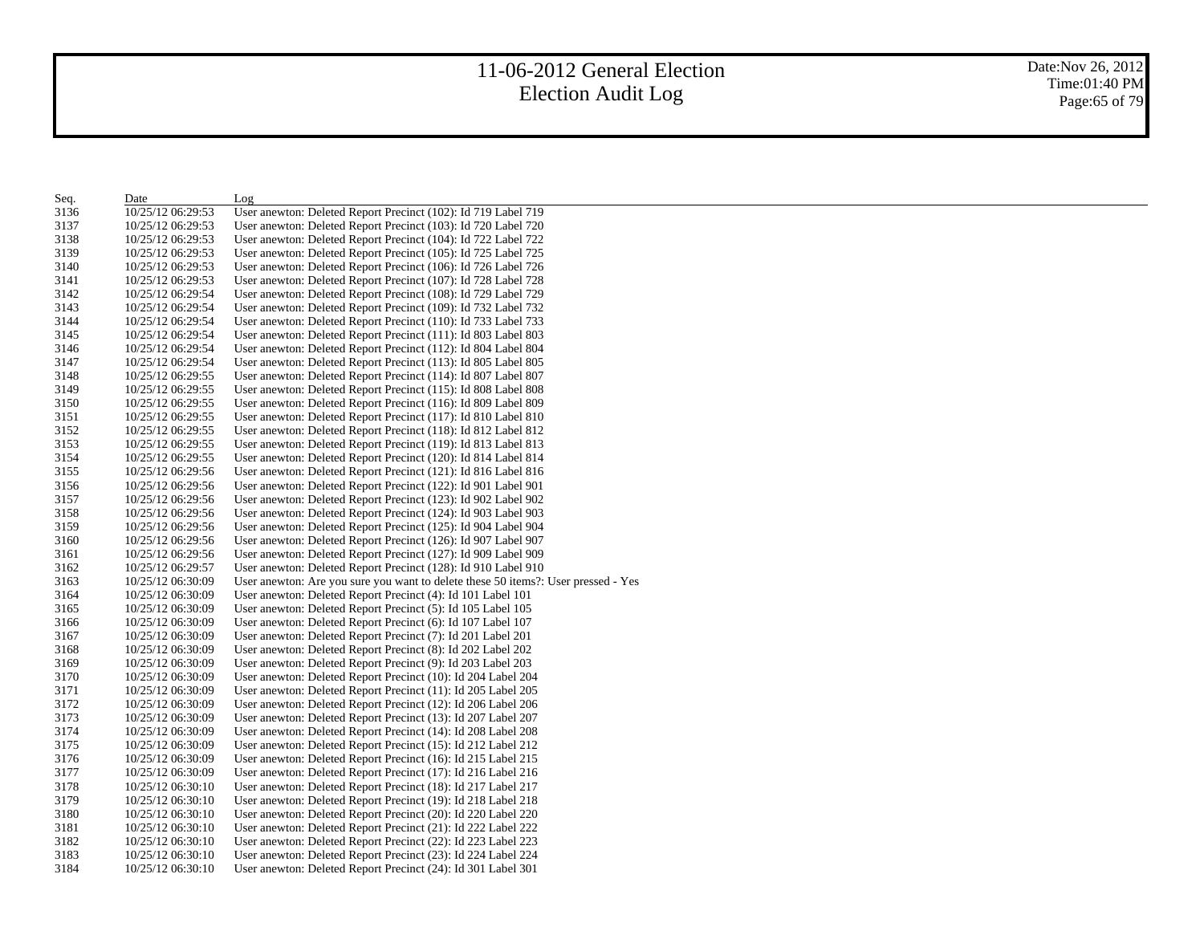| Seq. | Date              | Log                                                                               |
|------|-------------------|-----------------------------------------------------------------------------------|
| 3136 | 10/25/12 06:29:53 | User anewton: Deleted Report Precinct (102): Id 719 Label 719                     |
| 3137 | 10/25/12 06:29:53 | User anewton: Deleted Report Precinct (103): Id 720 Label 720                     |
| 3138 | 10/25/12 06:29:53 | User anewton: Deleted Report Precinct (104): Id 722 Label 722                     |
| 3139 | 10/25/12 06:29:53 | User anewton: Deleted Report Precinct (105): Id 725 Label 725                     |
| 3140 | 10/25/12 06:29:53 | User anewton: Deleted Report Precinct (106): Id 726 Label 726                     |
| 3141 | 10/25/12 06:29:53 | User anewton: Deleted Report Precinct (107): Id 728 Label 728                     |
| 3142 | 10/25/12 06:29:54 | User anewton: Deleted Report Precinct (108): Id 729 Label 729                     |
| 3143 | 10/25/12 06:29:54 | User anewton: Deleted Report Precinct (109): Id 732 Label 732                     |
| 3144 | 10/25/12 06:29:54 | User anewton: Deleted Report Precinct (110): Id 733 Label 733                     |
| 3145 | 10/25/12 06:29:54 | User anewton: Deleted Report Precinct (111): Id 803 Label 803                     |
| 3146 | 10/25/12 06:29:54 | User anewton: Deleted Report Precinct (112): Id 804 Label 804                     |
| 3147 | 10/25/12 06:29:54 | User anewton: Deleted Report Precinct (113): Id 805 Label 805                     |
| 3148 | 10/25/12 06:29:55 | User anewton: Deleted Report Precinct (114): Id 807 Label 807                     |
| 3149 | 10/25/12 06:29:55 | User anewton: Deleted Report Precinct (115): Id 808 Label 808                     |
| 3150 | 10/25/12 06:29:55 | User anewton: Deleted Report Precinct (116): Id 809 Label 809                     |
| 3151 | 10/25/12 06:29:55 | User anewton: Deleted Report Precinct (117): Id 810 Label 810                     |
| 3152 | 10/25/12 06:29:55 | User anewton: Deleted Report Precinct (118): Id 812 Label 812                     |
| 3153 | 10/25/12 06:29:55 | User anewton: Deleted Report Precinct (119): Id 813 Label 813                     |
| 3154 | 10/25/12 06:29:55 | User anewton: Deleted Report Precinct (120): Id 814 Label 814                     |
| 3155 | 10/25/12 06:29:56 | User anewton: Deleted Report Precinct (121): Id 816 Label 816                     |
| 3156 | 10/25/12 06:29:56 | User anewton: Deleted Report Precinct (122): Id 901 Label 901                     |
| 3157 | 10/25/12 06:29:56 | User anewton: Deleted Report Precinct (123): Id 902 Label 902                     |
| 3158 | 10/25/12 06:29:56 | User anewton: Deleted Report Precinct (124): Id 903 Label 903                     |
| 3159 | 10/25/12 06:29:56 | User anewton: Deleted Report Precinct (125): Id 904 Label 904                     |
| 3160 | 10/25/12 06:29:56 | User anewton: Deleted Report Precinct (126): Id 907 Label 907                     |
| 3161 | 10/25/12 06:29:56 | User anewton: Deleted Report Precinct (127): Id 909 Label 909                     |
| 3162 | 10/25/12 06:29:57 | User anewton: Deleted Report Precinct (128): Id 910 Label 910                     |
| 3163 | 10/25/12 06:30:09 | User anewton: Are you sure you want to delete these 50 items?: User pressed - Yes |
| 3164 | 10/25/12 06:30:09 | User anewton: Deleted Report Precinct (4): Id 101 Label 101                       |
| 3165 | 10/25/12 06:30:09 | User anewton: Deleted Report Precinct (5): Id 105 Label 105                       |
| 3166 | 10/25/12 06:30:09 | User anewton: Deleted Report Precinct (6): Id 107 Label 107                       |
| 3167 | 10/25/12 06:30:09 | User anewton: Deleted Report Precinct (7): Id 201 Label 201                       |
| 3168 | 10/25/12 06:30:09 | User anewton: Deleted Report Precinct (8): Id 202 Label 202                       |
| 3169 | 10/25/12 06:30:09 | User anewton: Deleted Report Precinct (9): Id 203 Label 203                       |
| 3170 | 10/25/12 06:30:09 | User anewton: Deleted Report Precinct (10): Id 204 Label 204                      |
| 3171 | 10/25/12 06:30:09 | User anewton: Deleted Report Precinct (11): Id 205 Label 205                      |
| 3172 | 10/25/12 06:30:09 | User anewton: Deleted Report Precinct (12): Id 206 Label 206                      |
| 3173 | 10/25/12 06:30:09 | User anewton: Deleted Report Precinct (13): Id 207 Label 207                      |
| 3174 | 10/25/12 06:30:09 | User anewton: Deleted Report Precinct (14): Id 208 Label 208                      |
| 3175 | 10/25/12 06:30:09 | User anewton: Deleted Report Precinct (15): Id 212 Label 212                      |
| 3176 | 10/25/12 06:30:09 | User anewton: Deleted Report Precinct (16): Id 215 Label 215                      |
| 3177 | 10/25/12 06:30:09 | User anewton: Deleted Report Precinct (17): Id 216 Label 216                      |
| 3178 | 10/25/12 06:30:10 | User anewton: Deleted Report Precinct (18): Id 217 Label 217                      |
| 3179 | 10/25/12 06:30:10 | User anewton: Deleted Report Precinct (19): Id 218 Label 218                      |
| 3180 | 10/25/12 06:30:10 | User anewton: Deleted Report Precinct (20): Id 220 Label 220                      |
| 3181 | 10/25/12 06:30:10 | User anewton: Deleted Report Precinct (21): Id 222 Label 222                      |
| 3182 | 10/25/12 06:30:10 | User anewton: Deleted Report Precinct (22): Id 223 Label 223                      |
| 3183 | 10/25/12 06:30:10 | User anewton: Deleted Report Precinct (23): Id 224 Label 224                      |
| 3184 | 10/25/12 06:30:10 | User anewton: Deleted Report Precinct (24): Id 301 Label 301                      |
|      |                   |                                                                                   |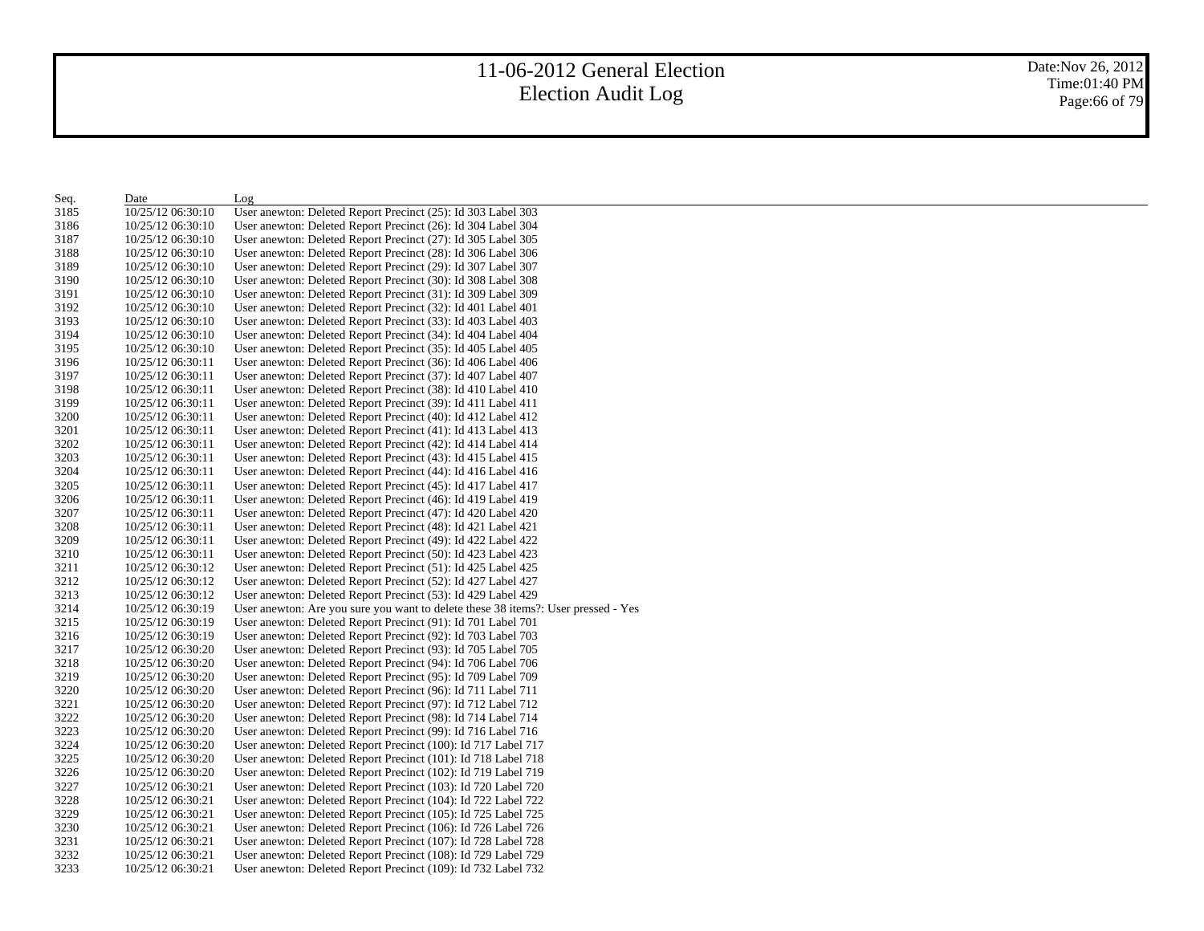| Seq.         | Date                                   | Log                                                                                                                            |
|--------------|----------------------------------------|--------------------------------------------------------------------------------------------------------------------------------|
| 3185         | 10/25/12 06:30:10                      | User anewton: Deleted Report Precinct (25): Id 303 Label 303                                                                   |
| 3186         | 10/25/12 06:30:10                      | User anewton: Deleted Report Precinct (26): Id 304 Label 304                                                                   |
| 3187         | 10/25/12 06:30:10                      | User anewton: Deleted Report Precinct (27): Id 305 Label 305                                                                   |
| 3188         | 10/25/12 06:30:10                      | User anewton: Deleted Report Precinct (28): Id 306 Label 306                                                                   |
| 3189         | 10/25/12 06:30:10                      | User anewton: Deleted Report Precinct (29): Id 307 Label 307                                                                   |
| 3190         | 10/25/12 06:30:10                      | User anewton: Deleted Report Precinct (30): Id 308 Label 308                                                                   |
| 3191         | 10/25/12 06:30:10                      | User anewton: Deleted Report Precinct (31): Id 309 Label 309                                                                   |
| 3192         | 10/25/12 06:30:10                      | User anewton: Deleted Report Precinct (32): Id 401 Label 401                                                                   |
| 3193         | 10/25/12 06:30:10                      | User anewton: Deleted Report Precinct (33): Id 403 Label 403                                                                   |
| 3194         | 10/25/12 06:30:10                      | User anewton: Deleted Report Precinct (34): Id 404 Label 404                                                                   |
| 3195         | 10/25/12 06:30:10                      | User anewton: Deleted Report Precinct (35): Id 405 Label 405                                                                   |
| 3196         | 10/25/12 06:30:11                      | User anewton: Deleted Report Precinct (36): Id 406 Label 406                                                                   |
| 3197         | 10/25/12 06:30:11                      | User anewton: Deleted Report Precinct (37): Id 407 Label 407                                                                   |
| 3198         | 10/25/12 06:30:11                      | User anewton: Deleted Report Precinct (38): Id 410 Label 410                                                                   |
| 3199         | 10/25/12 06:30:11                      | User anewton: Deleted Report Precinct (39): Id 411 Label 411                                                                   |
| 3200         | 10/25/12 06:30:11                      | User anewton: Deleted Report Precinct (40): Id 412 Label 412                                                                   |
| 3201         | 10/25/12 06:30:11                      | User anewton: Deleted Report Precinct (41): Id 413 Label 413                                                                   |
| 3202         | 10/25/12 06:30:11                      | User anewton: Deleted Report Precinct (42): Id 414 Label 414                                                                   |
| 3203         | 10/25/12 06:30:11                      | User anewton: Deleted Report Precinct (43): Id 415 Label 415                                                                   |
| 3204         | 10/25/12 06:30:11                      | User anewton: Deleted Report Precinct (44): Id 416 Label 416                                                                   |
| 3205         | 10/25/12 06:30:11                      | User anewton: Deleted Report Precinct (45): Id 417 Label 417                                                                   |
| 3206         | 10/25/12 06:30:11                      | User anewton: Deleted Report Precinct (46): Id 419 Label 419                                                                   |
| 3207         | 10/25/12 06:30:11                      | User anewton: Deleted Report Precinct (47): Id 420 Label 420                                                                   |
| 3208         | 10/25/12 06:30:11                      | User anewton: Deleted Report Precinct (48): Id 421 Label 421                                                                   |
| 3209         | 10/25/12 06:30:11                      | User anewton: Deleted Report Precinct (49): Id 422 Label 422                                                                   |
| 3210         | 10/25/12 06:30:11                      | User anewton: Deleted Report Precinct (50): Id 423 Label 423                                                                   |
| 3211         | 10/25/12 06:30:12                      | User anewton: Deleted Report Precinct (51): Id 425 Label 425                                                                   |
| 3212         | 10/25/12 06:30:12                      | User anewton: Deleted Report Precinct (52): Id 427 Label 427                                                                   |
| 3213         | 10/25/12 06:30:12                      | User anewton: Deleted Report Precinct (53): Id 429 Label 429                                                                   |
| 3214         | 10/25/12 06:30:19                      | User anewton: Are you sure you want to delete these 38 items?: User pressed - Yes                                              |
| 3215         | 10/25/12 06:30:19                      | User anewton: Deleted Report Precinct (91): Id 701 Label 701                                                                   |
| 3216         | 10/25/12 06:30:19                      | User anewton: Deleted Report Precinct (92): Id 703 Label 703                                                                   |
| 3217         | 10/25/12 06:30:20                      | User anewton: Deleted Report Precinct (93): Id 705 Label 705                                                                   |
| 3218         | 10/25/12 06:30:20                      | User anewton: Deleted Report Precinct (94): Id 706 Label 706                                                                   |
| 3219         | 10/25/12 06:30:20                      | User anewton: Deleted Report Precinct (95): Id 709 Label 709                                                                   |
| 3220         | 10/25/12 06:30:20                      | User anewton: Deleted Report Precinct (96): Id 711 Label 711                                                                   |
| 3221         | 10/25/12 06:30:20                      | User anewton: Deleted Report Precinct (97): Id 712 Label 712                                                                   |
| 3222         | 10/25/12 06:30:20                      | User anewton: Deleted Report Precinct (98): Id 714 Label 714                                                                   |
| 3223         | 10/25/12 06:30:20                      | User anewton: Deleted Report Precinct (99): Id 716 Label 716                                                                   |
| 3224         | 10/25/12 06:30:20                      | User anewton: Deleted Report Precinct (100): Id 717 Label 717                                                                  |
| 3225         | 10/25/12 06:30:20                      | User anewton: Deleted Report Precinct (101): Id 718 Label 718                                                                  |
| 3226         | 10/25/12 06:30:20                      | User anewton: Deleted Report Precinct (102): Id 719 Label 719                                                                  |
| 3227         | 10/25/12 06:30:21                      | User anewton: Deleted Report Precinct (103): Id 720 Label 720                                                                  |
| 3228         | 10/25/12 06:30:21                      | User anewton: Deleted Report Precinct (104): Id 722 Label 722                                                                  |
| 3229         | 10/25/12 06:30:21                      | User anewton: Deleted Report Precinct (105): Id 725 Label 725                                                                  |
| 3230         | 10/25/12 06:30:21                      | User anewton: Deleted Report Precinct (106): Id 726 Label 726                                                                  |
| 3231         | 10/25/12 06:30:21<br>10/25/12 06:30:21 | User anewton: Deleted Report Precinct (107): Id 728 Label 728<br>User anewton: Deleted Report Precinct (108): Id 729 Label 729 |
| 3232<br>3233 | 10/25/12 06:30:21                      | User anewton: Deleted Report Precinct (109): Id 732 Label 732                                                                  |
|              |                                        |                                                                                                                                |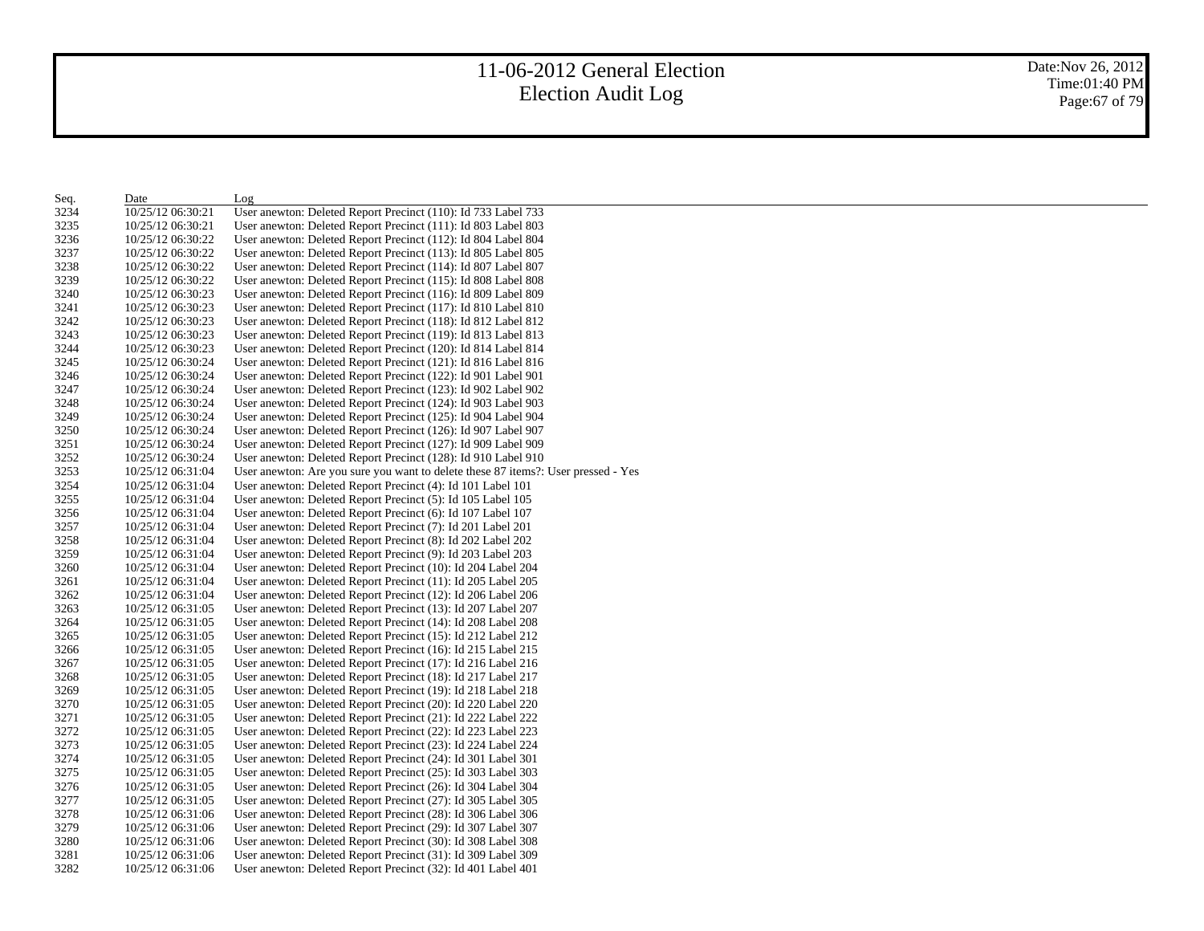| Seq. | Date              | Log                                                                               |
|------|-------------------|-----------------------------------------------------------------------------------|
| 3234 | 10/25/12 06:30:21 | User anewton: Deleted Report Precinct (110): Id 733 Label 733                     |
| 3235 | 10/25/12 06:30:21 | User anewton: Deleted Report Precinct (111): Id 803 Label 803                     |
| 3236 | 10/25/12 06:30:22 | User anewton: Deleted Report Precinct (112): Id 804 Label 804                     |
| 3237 | 10/25/12 06:30:22 | User anewton: Deleted Report Precinct (113): Id 805 Label 805                     |
| 3238 | 10/25/12 06:30:22 | User anewton: Deleted Report Precinct (114): Id 807 Label 807                     |
| 3239 | 10/25/12 06:30:22 | User anewton: Deleted Report Precinct (115): Id 808 Label 808                     |
| 3240 | 10/25/12 06:30:23 | User anewton: Deleted Report Precinct (116): Id 809 Label 809                     |
| 3241 | 10/25/12 06:30:23 | User anewton: Deleted Report Precinct (117): Id 810 Label 810                     |
| 3242 | 10/25/12 06:30:23 | User anewton: Deleted Report Precinct (118): Id 812 Label 812                     |
| 3243 | 10/25/12 06:30:23 | User anewton: Deleted Report Precinct (119): Id 813 Label 813                     |
| 3244 | 10/25/12 06:30:23 | User anewton: Deleted Report Precinct (120): Id 814 Label 814                     |
| 3245 | 10/25/12 06:30:24 | User anewton: Deleted Report Precinct (121): Id 816 Label 816                     |
| 3246 | 10/25/12 06:30:24 | User anewton: Deleted Report Precinct (122): Id 901 Label 901                     |
| 3247 | 10/25/12 06:30:24 | User anewton: Deleted Report Precinct (123): Id 902 Label 902                     |
| 3248 | 10/25/12 06:30:24 | User anewton: Deleted Report Precinct (124): Id 903 Label 903                     |
| 3249 | 10/25/12 06:30:24 | User anewton: Deleted Report Precinct (125): Id 904 Label 904                     |
| 3250 | 10/25/12 06:30:24 | User anewton: Deleted Report Precinct (126): Id 907 Label 907                     |
| 3251 | 10/25/12 06:30:24 | User anewton: Deleted Report Precinct (127): Id 909 Label 909                     |
| 3252 | 10/25/12 06:30:24 | User anewton: Deleted Report Precinct (128): Id 910 Label 910                     |
| 3253 | 10/25/12 06:31:04 | User anewton: Are you sure you want to delete these 87 items?: User pressed - Yes |
| 3254 | 10/25/12 06:31:04 | User anewton: Deleted Report Precinct (4): Id 101 Label 101                       |
| 3255 | 10/25/12 06:31:04 | User anewton: Deleted Report Precinct (5): Id 105 Label 105                       |
| 3256 | 10/25/12 06:31:04 | User anewton: Deleted Report Precinct (6): Id 107 Label 107                       |
| 3257 | 10/25/12 06:31:04 | User anewton: Deleted Report Precinct (7): Id 201 Label 201                       |
| 3258 | 10/25/12 06:31:04 | User anewton: Deleted Report Precinct (8): Id 202 Label 202                       |
| 3259 | 10/25/12 06:31:04 | User anewton: Deleted Report Precinct (9): Id 203 Label 203                       |
| 3260 | 10/25/12 06:31:04 | User anewton: Deleted Report Precinct (10): Id 204 Label 204                      |
| 3261 | 10/25/12 06:31:04 | User anewton: Deleted Report Precinct (11): Id 205 Label 205                      |
| 3262 | 10/25/12 06:31:04 | User anewton: Deleted Report Precinct (12): Id 206 Label 206                      |
| 3263 | 10/25/12 06:31:05 | User anewton: Deleted Report Precinct (13): Id 207 Label 207                      |
| 3264 | 10/25/12 06:31:05 | User anewton: Deleted Report Precinct (14): Id 208 Label 208                      |
| 3265 | 10/25/12 06:31:05 | User anewton: Deleted Report Precinct (15): Id 212 Label 212                      |
| 3266 | 10/25/12 06:31:05 | User anewton: Deleted Report Precinct (16): Id 215 Label 215                      |
| 3267 | 10/25/12 06:31:05 | User anewton: Deleted Report Precinct (17): Id 216 Label 216                      |
| 3268 | 10/25/12 06:31:05 | User anewton: Deleted Report Precinct (18): Id 217 Label 217                      |
| 3269 | 10/25/12 06:31:05 | User anewton: Deleted Report Precinct (19): Id 218 Label 218                      |
| 3270 | 10/25/12 06:31:05 | User anewton: Deleted Report Precinct (20): Id 220 Label 220                      |
| 3271 | 10/25/12 06:31:05 | User anewton: Deleted Report Precinct (21): Id 222 Label 222                      |
| 3272 | 10/25/12 06:31:05 | User anewton: Deleted Report Precinct (22): Id 223 Label 223                      |
| 3273 | 10/25/12 06:31:05 | User anewton: Deleted Report Precinct (23): Id 224 Label 224                      |
| 3274 | 10/25/12 06:31:05 | User anewton: Deleted Report Precinct (24): Id 301 Label 301                      |
| 3275 | 10/25/12 06:31:05 | User anewton: Deleted Report Precinct (25): Id 303 Label 303                      |
| 3276 | 10/25/12 06:31:05 | User anewton: Deleted Report Precinct (26): Id 304 Label 304                      |
| 3277 | 10/25/12 06:31:05 | User anewton: Deleted Report Precinct (27): Id 305 Label 305                      |
| 3278 | 10/25/12 06:31:06 | User anewton: Deleted Report Precinct (28): Id 306 Label 306                      |
| 3279 | 10/25/12 06:31:06 | User anewton: Deleted Report Precinct (29): Id 307 Label 307                      |
| 3280 | 10/25/12 06:31:06 | User anewton: Deleted Report Precinct (30): Id 308 Label 308                      |
| 3281 | 10/25/12 06:31:06 | User anewton: Deleted Report Precinct (31): Id 309 Label 309                      |
| 3282 | 10/25/12 06:31:06 | User anewton: Deleted Report Precinct (32): Id 401 Label 401                      |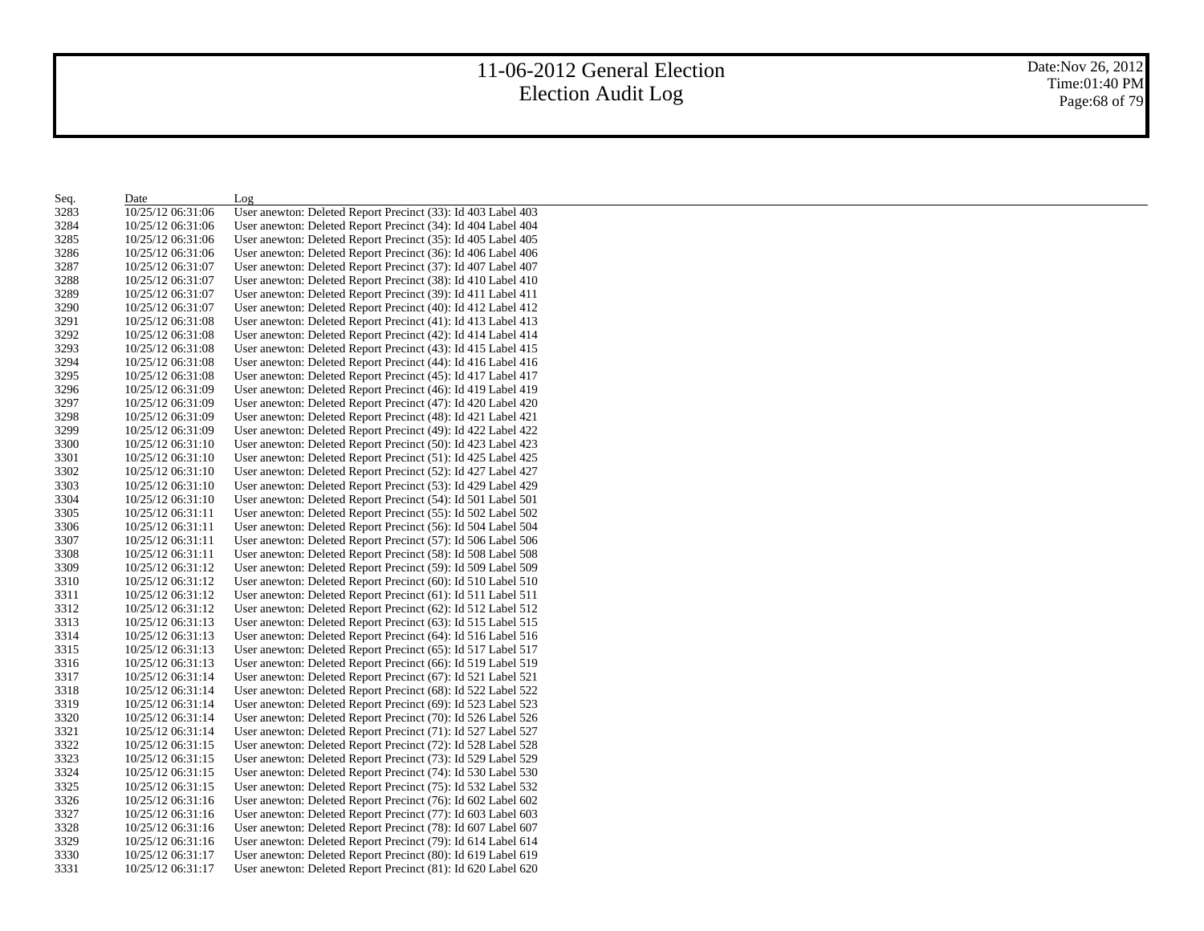Date:Nov 26, 2012 Time:01:40 PM Page:68 of 79

| Seq. | Date              | Log                                                          |
|------|-------------------|--------------------------------------------------------------|
| 3283 | 10/25/12 06:31:06 | User anewton: Deleted Report Precinct (33): Id 403 Label 403 |
| 3284 | 10/25/12 06:31:06 | User anewton: Deleted Report Precinct (34): Id 404 Label 404 |
| 3285 | 10/25/12 06:31:06 | User anewton: Deleted Report Precinct (35): Id 405 Label 405 |
| 3286 | 10/25/12 06:31:06 | User anewton: Deleted Report Precinct (36): Id 406 Label 406 |
| 3287 | 10/25/12 06:31:07 | User anewton: Deleted Report Precinct (37): Id 407 Label 407 |
| 3288 | 10/25/12 06:31:07 | User anewton: Deleted Report Precinct (38): Id 410 Label 410 |
| 3289 | 10/25/12 06:31:07 | User anewton: Deleted Report Precinct (39): Id 411 Label 411 |
| 3290 | 10/25/12 06:31:07 | User anewton: Deleted Report Precinct (40): Id 412 Label 412 |
| 3291 | 10/25/12 06:31:08 | User anewton: Deleted Report Precinct (41): Id 413 Label 413 |
| 3292 | 10/25/12 06:31:08 | User anewton: Deleted Report Precinct (42): Id 414 Label 414 |
| 3293 | 10/25/12 06:31:08 | User anewton: Deleted Report Precinct (43): Id 415 Label 415 |
| 3294 | 10/25/12 06:31:08 | User anewton: Deleted Report Precinct (44): Id 416 Label 416 |
| 3295 | 10/25/12 06:31:08 | User anewton: Deleted Report Precinct (45): Id 417 Label 417 |
| 3296 | 10/25/12 06:31:09 | User anewton: Deleted Report Precinct (46): Id 419 Label 419 |
| 3297 | 10/25/12 06:31:09 | User anewton: Deleted Report Precinct (47): Id 420 Label 420 |
| 3298 | 10/25/12 06:31:09 | User anewton: Deleted Report Precinct (48): Id 421 Label 421 |
| 3299 | 10/25/12 06:31:09 | User anewton: Deleted Report Precinct (49): Id 422 Label 422 |
| 3300 | 10/25/12 06:31:10 | User anewton: Deleted Report Precinct (50): Id 423 Label 423 |
| 3301 | 10/25/12 06:31:10 | User anewton: Deleted Report Precinct (51): Id 425 Label 425 |
| 3302 | 10/25/12 06:31:10 | User anewton: Deleted Report Precinct (52): Id 427 Label 427 |
| 3303 | 10/25/12 06:31:10 | User anewton: Deleted Report Precinct (53): Id 429 Label 429 |
| 3304 | 10/25/12 06:31:10 | User anewton: Deleted Report Precinct (54): Id 501 Label 501 |
| 3305 | 10/25/12 06:31:11 | User anewton: Deleted Report Precinct (55): Id 502 Label 502 |
| 3306 | 10/25/12 06:31:11 | User anewton: Deleted Report Precinct (56): Id 504 Label 504 |
| 3307 | 10/25/12 06:31:11 | User anewton: Deleted Report Precinct (57): Id 506 Label 506 |
| 3308 | 10/25/12 06:31:11 | User anewton: Deleted Report Precinct (58): Id 508 Label 508 |
| 3309 | 10/25/12 06:31:12 | User anewton: Deleted Report Precinct (59): Id 509 Label 509 |
| 3310 | 10/25/12 06:31:12 | User anewton: Deleted Report Precinct (60): Id 510 Label 510 |
| 3311 | 10/25/12 06:31:12 | User anewton: Deleted Report Precinct (61): Id 511 Label 511 |
| 3312 | 10/25/12 06:31:12 | User anewton: Deleted Report Precinct (62): Id 512 Label 512 |
| 3313 | 10/25/12 06:31:13 | User anewton: Deleted Report Precinct (63): Id 515 Label 515 |
| 3314 | 10/25/12 06:31:13 | User anewton: Deleted Report Precinct (64): Id 516 Label 516 |
| 3315 | 10/25/12 06:31:13 | User anewton: Deleted Report Precinct (65): Id 517 Label 517 |
| 3316 | 10/25/12 06:31:13 | User anewton: Deleted Report Precinct (66): Id 519 Label 519 |
| 3317 | 10/25/12 06:31:14 | User anewton: Deleted Report Precinct (67): Id 521 Label 521 |
| 3318 | 10/25/12 06:31:14 | User anewton: Deleted Report Precinct (68): Id 522 Label 522 |
| 3319 | 10/25/12 06:31:14 | User anewton: Deleted Report Precinct (69): Id 523 Label 523 |
| 3320 | 10/25/12 06:31:14 | User anewton: Deleted Report Precinct (70): Id 526 Label 526 |
| 3321 | 10/25/12 06:31:14 | User anewton: Deleted Report Precinct (71): Id 527 Label 527 |
| 3322 | 10/25/12 06:31:15 | User anewton: Deleted Report Precinct (72): Id 528 Label 528 |
| 3323 | 10/25/12 06:31:15 | User anewton: Deleted Report Precinct (73): Id 529 Label 529 |
| 3324 | 10/25/12 06:31:15 | User anewton: Deleted Report Precinct (74): Id 530 Label 530 |
| 3325 | 10/25/12 06:31:15 | User anewton: Deleted Report Precinct (75): Id 532 Label 532 |
| 3326 | 10/25/12 06:31:16 | User anewton: Deleted Report Precinct (76): Id 602 Label 602 |
| 3327 | 10/25/12 06:31:16 | User anewton: Deleted Report Precinct (77): Id 603 Label 603 |
| 3328 | 10/25/12 06:31:16 | User anewton: Deleted Report Precinct (78): Id 607 Label 607 |
| 3329 | 10/25/12 06:31:16 | User anewton: Deleted Report Precinct (79): Id 614 Label 614 |
| 3330 | 10/25/12 06:31:17 | User anewton: Deleted Report Precinct (80): Id 619 Label 619 |
| 3331 | 10/25/12 06:31:17 | User anewton: Deleted Report Precinct (81): Id 620 Label 620 |
|      |                   |                                                              |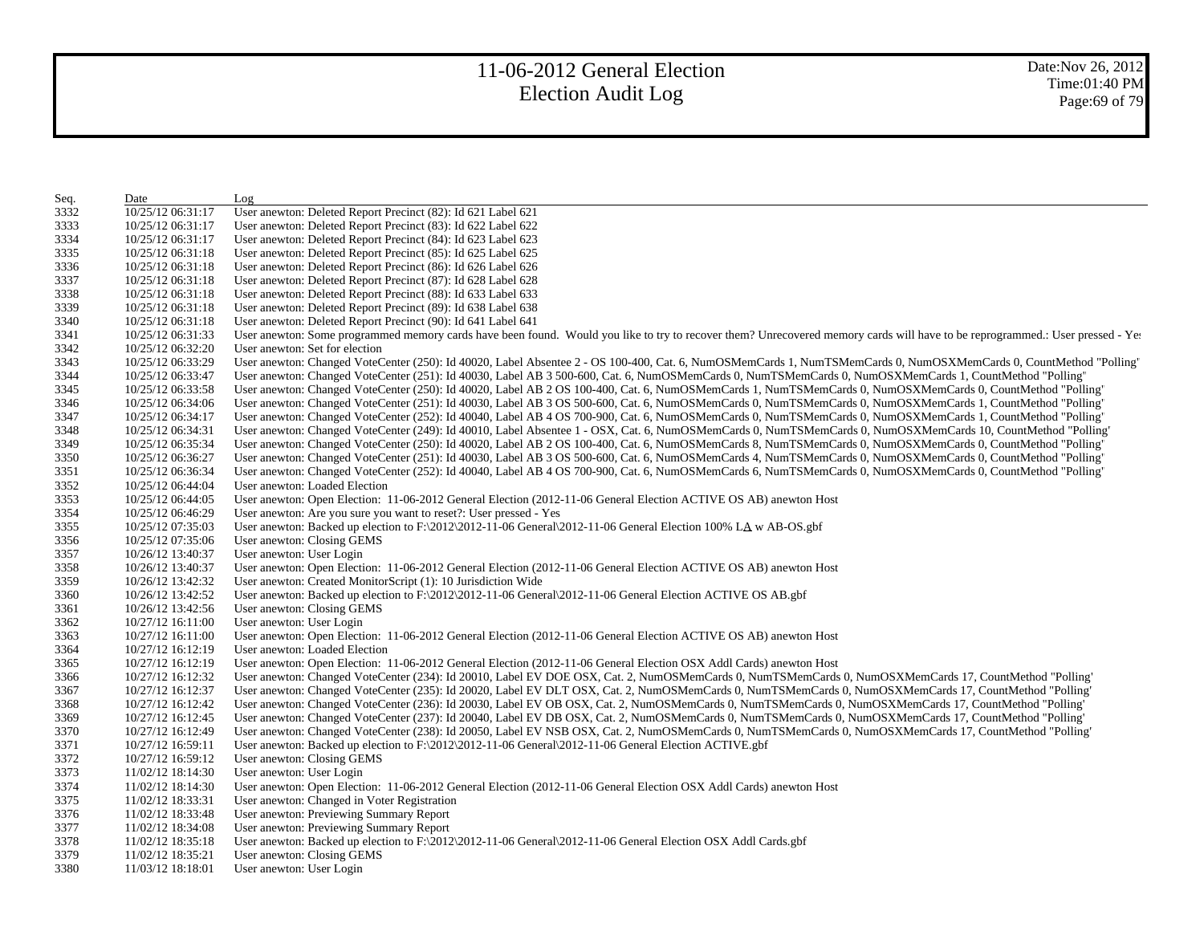| Seq. | Date              | Log                                                                                                                                                                           |
|------|-------------------|-------------------------------------------------------------------------------------------------------------------------------------------------------------------------------|
| 3332 | 10/25/12 06:31:17 | User anewton: Deleted Report Precinct (82): Id 621 Label 621                                                                                                                  |
| 3333 | 10/25/12 06:31:17 | User anewton: Deleted Report Precinct (83): Id 622 Label 622                                                                                                                  |
| 3334 | 10/25/12 06:31:17 | User anewton: Deleted Report Precinct (84): Id 623 Label 623                                                                                                                  |
| 3335 | 10/25/12 06:31:18 | User anewton: Deleted Report Precinct (85): Id 625 Label 625                                                                                                                  |
| 3336 | 10/25/12 06:31:18 | User anewton: Deleted Report Precinct (86): Id 626 Label 626                                                                                                                  |
| 3337 | 10/25/12 06:31:18 | User anewton: Deleted Report Precinct (87): Id 628 Label 628                                                                                                                  |
| 3338 | 10/25/12 06:31:18 | User anewton: Deleted Report Precinct (88): Id 633 Label 633                                                                                                                  |
| 3339 | 10/25/12 06:31:18 | User anewton: Deleted Report Precinct (89): Id 638 Label 638                                                                                                                  |
| 3340 | 10/25/12 06:31:18 | User anewton: Deleted Report Precinct (90): Id 641 Label 641                                                                                                                  |
| 3341 | 10/25/12 06:31:33 | User anewton: Some programmed memory cards have been found. Would you like to try to recover them? Unrecovered memory cards will have to be reprogrammed.: User pressed - Ye: |
| 3342 | 10/25/12 06:32:20 | User anewton: Set for election                                                                                                                                                |
| 3343 | 10/25/12 06:33:29 | User anewton: Changed VoteCenter (250): Id 40020, Label Absentee 2 - OS 100-400, Cat. 6, NumOSMemCards 1, NumTSMemCards 0, NumOSXMemCards 0, CountMethod "Polling'            |
| 3344 | 10/25/12 06:33:47 | User anewton: Changed VoteCenter (251): Id 40030, Label AB 3 500-600, Cat. 6, NumOSMemCards 0, NumTSMemCards 0, NumOSXMemCards 1, CountMethod "Polling"                       |
| 3345 | 10/25/12 06:33:58 | User anewton: Changed VoteCenter (250): Id 40020, Label AB 2 OS 100-400, Cat. 6, NumOSMemCards 1, NumTSMemCards 0, NumOSXMemCards 0, CountMethod "Polling'                    |
| 3346 | 10/25/12 06:34:06 | User anewton: Changed VoteCenter (251): Id 40030, Label AB 3 OS 500-600, Cat. 6, NumOSMemCards 0, NumTSMemCards 0, NumOSXMemCards 1, CountMethod "Polling'                    |
| 3347 | 10/25/12 06:34:17 | User anewton: Changed VoteCenter (252): Id 40040, Label AB 4 OS 700-900, Cat. 6, NumOSMemCards 0, NumTSMemCards 0, NumOSXMemCards 1, CountMethod "Polling"                    |
| 3348 | 10/25/12 06:34:31 | User anewton: Changed VoteCenter (249): Id 40010, Label Absentee 1 - OSX, Cat. 6, NumOSMemCards 0, NumTSMemCards 0, NumOSXMemCards 10, CountMethod "Polling'                  |
| 3349 | 10/25/12 06:35:34 | User anewton: Changed VoteCenter (250): Id 40020, Label AB 2 OS 100-400, Cat. 6, NumOSMemCards 8, NumTSMemCards 0, NumOSXMemCards 0, CountMethod "Polling'                    |
| 3350 | 10/25/12 06:36:27 | User anewton: Changed VoteCenter (251): Id 40030, Label AB 3 OS 500-600, Cat. 6, NumOSMemCards 4, NumTSMemCards 0, NumOSXMemCards 0, CountMethod "Polling'                    |
| 3351 | 10/25/12 06:36:34 | User anewton: Changed VoteCenter (252): Id 40040, Label AB 4 OS 700-900, Cat. 6, NumOSMemCards 6, NumTSMemCards 0, NumOSXMemCards 0, CountMethod "Polling'                    |
| 3352 | 10/25/12 06:44:04 | User anewton: Loaded Election                                                                                                                                                 |
| 3353 | 10/25/12 06:44:05 | User anewton: Open Election: 11-06-2012 General Election (2012-11-06 General Election ACTIVE OS AB) anewton Host                                                              |
| 3354 | 10/25/12 06:46:29 | User anewton: Are you sure you want to reset?: User pressed - Yes                                                                                                             |
| 3355 | 10/25/12 07:35:03 | User anewton: Backed up election to F:\2012\2012-11-06 General\2012-11-06 General Election 100% LA w AB-OS.gbf                                                                |
| 3356 | 10/25/12 07:35:06 | User anewton: Closing GEMS                                                                                                                                                    |
| 3357 | 10/26/12 13:40:37 | User anewton: User Login                                                                                                                                                      |
| 3358 | 10/26/12 13:40:37 | User anewton: Open Election: 11-06-2012 General Election (2012-11-06 General Election ACTIVE OS AB) anewton Host                                                              |
| 3359 | 10/26/12 13:42:32 | User anewton: Created MonitorScript (1): 10 Jurisdiction Wide                                                                                                                 |
| 3360 | 10/26/12 13:42:52 | User anewton: Backed up election to F:\2012\2012-11-06 General\2012-11-06 General Election ACTIVE OS AB.gbf                                                                   |
| 3361 | 10/26/12 13:42:56 | User anewton: Closing GEMS                                                                                                                                                    |
| 3362 | 10/27/12 16:11:00 | User anewton: User Login                                                                                                                                                      |
| 3363 | 10/27/12 16:11:00 | User anewton: Open Election: 11-06-2012 General Election (2012-11-06 General Election ACTIVE OS AB) anewton Host                                                              |
| 3364 | 10/27/12 16:12:19 | User anewton: Loaded Election                                                                                                                                                 |
| 3365 | 10/27/12 16:12:19 | User anewton: Open Election: 11-06-2012 General Election (2012-11-06 General Election OSX Addl Cards) anewton Host                                                            |
| 3366 | 10/27/12 16:12:32 | User anewton: Changed VoteCenter (234): Id 20010, Label EV DOE OSX, Cat. 2, NumOSMemCards 0, NumTSMemCards 0, NumOSXMemCards 17, CountMethod "Polling'                        |
| 3367 | 10/27/12 16:12:37 | User anewton: Changed VoteCenter (235): Id 20020, Label EV DLT OSX, Cat. 2, NumOSMemCards 0, NumTSMemCards 0, NumOSXMemCards 17, CountMethod "Polling'                        |
| 3368 | 10/27/12 16:12:42 | User anewton: Changed VoteCenter (236): Id 20030, Label EV OB OSX, Cat. 2, NumOSMemCards 0, NumTSMemCards 0, NumOSXMemCards 17, CountMethod "Polling'                         |
| 3369 | 10/27/12 16:12:45 | User anewton: Changed VoteCenter (237): Id 20040, Label EV DB OSX, Cat. 2, NumOSMemCards 0, NumTSMemCards 0, NumOSXMemCards 17, CountMethod "Polling'                         |
| 3370 | 10/27/12 16:12:49 | User anewton: Changed VoteCenter (238): Id 20050, Label EV NSB OSX, Cat. 2, NumOSMemCards 0, NumTSMemCards 0, NumOSXMemCards 17, CountMethod "Polling"                        |
| 3371 | 10/27/12 16:59:11 | User anewton: Backed up election to $F \ 2012\ 2012-11-06$ General $2012-11-06$ General Election ACTIVE.gbf                                                                   |
| 3372 | 10/27/12 16:59:12 | User anewton: Closing GEMS                                                                                                                                                    |
| 3373 | 11/02/12 18:14:30 | User anewton: User Login                                                                                                                                                      |
| 3374 | 11/02/12 18:14:30 | User anewton: Open Election: 11-06-2012 General Election (2012-11-06 General Election OSX Addl Cards) anewton Host                                                            |
| 3375 | 11/02/12 18:33:31 | User anewton: Changed in Voter Registration                                                                                                                                   |
| 3376 | 11/02/12 18:33:48 | User anewton: Previewing Summary Report                                                                                                                                       |
| 3377 | 11/02/12 18:34:08 | User anewton: Previewing Summary Report                                                                                                                                       |
| 3378 | 11/02/12 18:35:18 | User anewton: Backed up election to F:\2012\2012-11-06 General\2012-11-06 General Election OSX Addl Cards.gbf                                                                 |
| 3379 | 11/02/12 18:35:21 | User anewton: Closing GEMS                                                                                                                                                    |
| 3380 | 11/03/12 18:18:01 | User anewton: User Login                                                                                                                                                      |
|      |                   |                                                                                                                                                                               |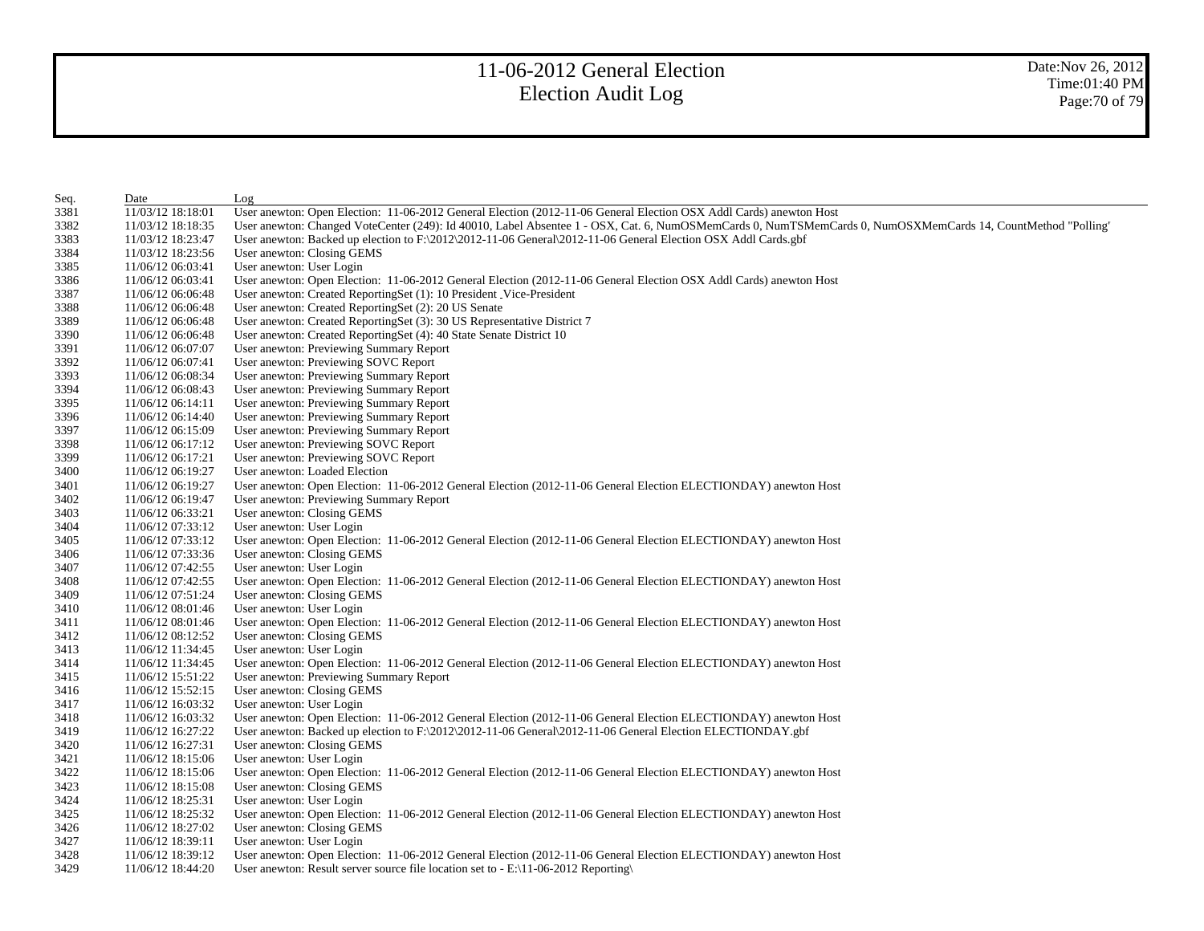| 11/03/12 18:18:01<br>11/03/12 18:18:35<br>11/03/12 18:23:47<br>11/03/12 18:23:56<br>11/06/12 06:03:41<br>11/06/12 06:03:41<br>11/06/12 06:06:48<br>11/06/12 06:06:48<br>11/06/12 06:06:48 | User anewton: Open Election: 11-06-2012 General Election (2012-11-06 General Election OSX Addl Cards) anewton Host<br>User anewton: Changed VoteCenter (249): Id 40010, Label Absentee 1 - OSX, Cat. 6, NumOSMemCards 0, NumTSMemCards 0, NumOSXMemCards 14, CountMethod "Polling'<br>User anewton: Backed up election to F:\2012\2012-11-06 General\2012-11-06 General Election OSX Addl Cards.gbf<br>User anewton: Closing GEMS<br>User anewton: User Login<br>User anewton: Open Election: 11-06-2012 General Election (2012-11-06 General Election OSX Addl Cards) anewton Host<br>User anewton: Created ReportingSet (1): 10 President_Vice-President |
|-------------------------------------------------------------------------------------------------------------------------------------------------------------------------------------------|------------------------------------------------------------------------------------------------------------------------------------------------------------------------------------------------------------------------------------------------------------------------------------------------------------------------------------------------------------------------------------------------------------------------------------------------------------------------------------------------------------------------------------------------------------------------------------------------------------------------------------------------------------|
|                                                                                                                                                                                           |                                                                                                                                                                                                                                                                                                                                                                                                                                                                                                                                                                                                                                                            |
|                                                                                                                                                                                           |                                                                                                                                                                                                                                                                                                                                                                                                                                                                                                                                                                                                                                                            |
|                                                                                                                                                                                           |                                                                                                                                                                                                                                                                                                                                                                                                                                                                                                                                                                                                                                                            |
|                                                                                                                                                                                           |                                                                                                                                                                                                                                                                                                                                                                                                                                                                                                                                                                                                                                                            |
|                                                                                                                                                                                           |                                                                                                                                                                                                                                                                                                                                                                                                                                                                                                                                                                                                                                                            |
|                                                                                                                                                                                           |                                                                                                                                                                                                                                                                                                                                                                                                                                                                                                                                                                                                                                                            |
|                                                                                                                                                                                           |                                                                                                                                                                                                                                                                                                                                                                                                                                                                                                                                                                                                                                                            |
|                                                                                                                                                                                           | User anewton: Created ReportingSet (2): 20 US Senate                                                                                                                                                                                                                                                                                                                                                                                                                                                                                                                                                                                                       |
|                                                                                                                                                                                           | User anewton: Created ReportingSet (3): 30 US Representative District 7                                                                                                                                                                                                                                                                                                                                                                                                                                                                                                                                                                                    |
| 11/06/12 06:06:48                                                                                                                                                                         | User anewton: Created ReportingSet (4): 40 State Senate District 10                                                                                                                                                                                                                                                                                                                                                                                                                                                                                                                                                                                        |
| 11/06/12 06:07:07                                                                                                                                                                         | User anewton: Previewing Summary Report                                                                                                                                                                                                                                                                                                                                                                                                                                                                                                                                                                                                                    |
| 11/06/12 06:07:41                                                                                                                                                                         | User anewton: Previewing SOVC Report                                                                                                                                                                                                                                                                                                                                                                                                                                                                                                                                                                                                                       |
| 11/06/12 06:08:34                                                                                                                                                                         | User anewton: Previewing Summary Report                                                                                                                                                                                                                                                                                                                                                                                                                                                                                                                                                                                                                    |
| 11/06/12 06:08:43                                                                                                                                                                         | User anewton: Previewing Summary Report                                                                                                                                                                                                                                                                                                                                                                                                                                                                                                                                                                                                                    |
| 11/06/12 06:14:11                                                                                                                                                                         | User anewton: Previewing Summary Report                                                                                                                                                                                                                                                                                                                                                                                                                                                                                                                                                                                                                    |
| 11/06/12 06:14:40                                                                                                                                                                         | User anewton: Previewing Summary Report                                                                                                                                                                                                                                                                                                                                                                                                                                                                                                                                                                                                                    |
| 11/06/12 06:15:09                                                                                                                                                                         | User anewton: Previewing Summary Report                                                                                                                                                                                                                                                                                                                                                                                                                                                                                                                                                                                                                    |
| 11/06/12 06:17:12                                                                                                                                                                         | User anewton: Previewing SOVC Report                                                                                                                                                                                                                                                                                                                                                                                                                                                                                                                                                                                                                       |
| 11/06/12 06:17:21                                                                                                                                                                         | User anewton: Previewing SOVC Report                                                                                                                                                                                                                                                                                                                                                                                                                                                                                                                                                                                                                       |
| 11/06/12 06:19:27                                                                                                                                                                         | User anewton: Loaded Election                                                                                                                                                                                                                                                                                                                                                                                                                                                                                                                                                                                                                              |
| 11/06/12 06:19:27                                                                                                                                                                         | User anewton: Open Election: 11-06-2012 General Election (2012-11-06 General Election ELECTIONDAY) anewton Host                                                                                                                                                                                                                                                                                                                                                                                                                                                                                                                                            |
| 11/06/12 06:19:47                                                                                                                                                                         | User anewton: Previewing Summary Report                                                                                                                                                                                                                                                                                                                                                                                                                                                                                                                                                                                                                    |
| 11/06/12 06:33:21                                                                                                                                                                         | User anewton: Closing GEMS                                                                                                                                                                                                                                                                                                                                                                                                                                                                                                                                                                                                                                 |
| 11/06/12 07:33:12                                                                                                                                                                         | User anewton: User Login                                                                                                                                                                                                                                                                                                                                                                                                                                                                                                                                                                                                                                   |
| 11/06/12 07:33:12                                                                                                                                                                         | User anewton: Open Election: 11-06-2012 General Election (2012-11-06 General Election ELECTIONDAY) anewton Host                                                                                                                                                                                                                                                                                                                                                                                                                                                                                                                                            |
| 11/06/12 07:33:36                                                                                                                                                                         | User anewton: Closing GEMS                                                                                                                                                                                                                                                                                                                                                                                                                                                                                                                                                                                                                                 |
| 11/06/12 07:42:55                                                                                                                                                                         | User anewton: User Login                                                                                                                                                                                                                                                                                                                                                                                                                                                                                                                                                                                                                                   |
| 11/06/12 07:42:55                                                                                                                                                                         | User anewton: Open Election: 11-06-2012 General Election (2012-11-06 General Election ELECTIONDAY) anewton Host                                                                                                                                                                                                                                                                                                                                                                                                                                                                                                                                            |
| 11/06/12 07:51:24                                                                                                                                                                         | User anewton: Closing GEMS                                                                                                                                                                                                                                                                                                                                                                                                                                                                                                                                                                                                                                 |
| 11/06/12 08:01:46                                                                                                                                                                         | User anewton: User Login                                                                                                                                                                                                                                                                                                                                                                                                                                                                                                                                                                                                                                   |
| 11/06/12 08:01:46                                                                                                                                                                         | User anewton: Open Election: 11-06-2012 General Election (2012-11-06 General Election ELECTIONDAY) anewton Host                                                                                                                                                                                                                                                                                                                                                                                                                                                                                                                                            |
| 11/06/12 08:12:52                                                                                                                                                                         | User anewton: Closing GEMS                                                                                                                                                                                                                                                                                                                                                                                                                                                                                                                                                                                                                                 |
| 11/06/12 11:34:45                                                                                                                                                                         | User anewton: User Login                                                                                                                                                                                                                                                                                                                                                                                                                                                                                                                                                                                                                                   |
| 11/06/12 11:34:45                                                                                                                                                                         | User anewton: Open Election: 11-06-2012 General Election (2012-11-06 General Election ELECTIONDAY) anewton Host                                                                                                                                                                                                                                                                                                                                                                                                                                                                                                                                            |
| 11/06/12 15:51:22                                                                                                                                                                         | User anewton: Previewing Summary Report                                                                                                                                                                                                                                                                                                                                                                                                                                                                                                                                                                                                                    |
| 11/06/12 15:52:15                                                                                                                                                                         | User anewton: Closing GEMS                                                                                                                                                                                                                                                                                                                                                                                                                                                                                                                                                                                                                                 |
| 11/06/12 16:03:32                                                                                                                                                                         | User anewton: User Login                                                                                                                                                                                                                                                                                                                                                                                                                                                                                                                                                                                                                                   |
| 11/06/12 16:03:32                                                                                                                                                                         | User anewton: Open Election: 11-06-2012 General Election (2012-11-06 General Election ELECTIONDAY) anewton Host                                                                                                                                                                                                                                                                                                                                                                                                                                                                                                                                            |
| 11/06/12 16:27:22                                                                                                                                                                         | User anewton: Backed up election to F:\2012\2012-11-06 General\2012-11-06 General Election ELECTIONDAY.gbf                                                                                                                                                                                                                                                                                                                                                                                                                                                                                                                                                 |
| 11/06/12 16:27:31                                                                                                                                                                         | User anewton: Closing GEMS                                                                                                                                                                                                                                                                                                                                                                                                                                                                                                                                                                                                                                 |
| 11/06/12 18:15:06                                                                                                                                                                         | User anewton: User Login                                                                                                                                                                                                                                                                                                                                                                                                                                                                                                                                                                                                                                   |
| 11/06/12 18:15:06                                                                                                                                                                         | User anewton: Open Election: 11-06-2012 General Election (2012-11-06 General Election ELECTIONDAY) anewton Host                                                                                                                                                                                                                                                                                                                                                                                                                                                                                                                                            |
| 11/06/12 18:15:08                                                                                                                                                                         | User anewton: Closing GEMS                                                                                                                                                                                                                                                                                                                                                                                                                                                                                                                                                                                                                                 |
| 11/06/12 18:25:31                                                                                                                                                                         | User anewton: User Login                                                                                                                                                                                                                                                                                                                                                                                                                                                                                                                                                                                                                                   |
| 11/06/12 18:25:32                                                                                                                                                                         | User anewton: Open Election: 11-06-2012 General Election (2012-11-06 General Election ELECTIONDAY) anewton Host                                                                                                                                                                                                                                                                                                                                                                                                                                                                                                                                            |
| 11/06/12 18:27:02                                                                                                                                                                         | User anewton: Closing GEMS                                                                                                                                                                                                                                                                                                                                                                                                                                                                                                                                                                                                                                 |
| 11/06/12 18:39:11                                                                                                                                                                         | User anewton: User Login                                                                                                                                                                                                                                                                                                                                                                                                                                                                                                                                                                                                                                   |
| 11/06/12 18:39:12                                                                                                                                                                         | User anewton: Open Election: 11-06-2012 General Election (2012-11-06 General Election ELECTIONDAY) anewton Host                                                                                                                                                                                                                                                                                                                                                                                                                                                                                                                                            |
| 11/06/12 18:44:20                                                                                                                                                                         | User anewton: Result server source file location set to $-E:\1-06-2012$ Reporting                                                                                                                                                                                                                                                                                                                                                                                                                                                                                                                                                                          |
|                                                                                                                                                                                           |                                                                                                                                                                                                                                                                                                                                                                                                                                                                                                                                                                                                                                                            |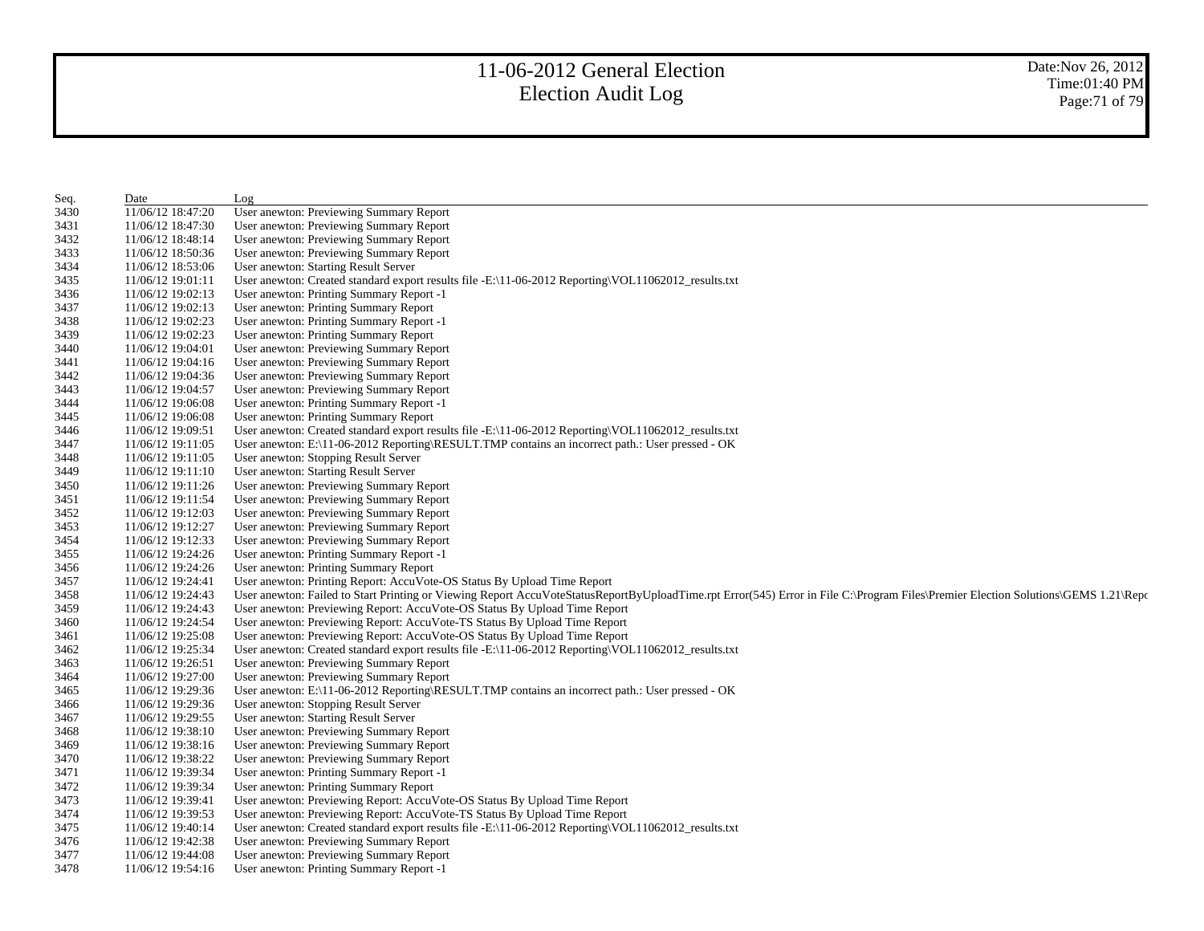| Seq. | Date              | Log                                                                                                                                                                                 |
|------|-------------------|-------------------------------------------------------------------------------------------------------------------------------------------------------------------------------------|
| 3430 | 11/06/12 18:47:20 | User anewton: Previewing Summary Report                                                                                                                                             |
| 3431 | 11/06/12 18:47:30 | User anewton: Previewing Summary Report                                                                                                                                             |
| 3432 | 11/06/12 18:48:14 | User anewton: Previewing Summary Report                                                                                                                                             |
| 3433 | 11/06/12 18:50:36 | User anewton: Previewing Summary Report                                                                                                                                             |
| 3434 | 11/06/12 18:53:06 | User anewton: Starting Result Server                                                                                                                                                |
| 3435 | 11/06/12 19:01:11 | User anewton: Created standard export results file -E:\11-06-2012 Reporting\VOL11062012_results.txt                                                                                 |
| 3436 | 11/06/12 19:02:13 | User anewton: Printing Summary Report -1                                                                                                                                            |
| 3437 | 11/06/12 19:02:13 | User anewton: Printing Summary Report                                                                                                                                               |
| 3438 | 11/06/12 19:02:23 | User anewton: Printing Summary Report -1                                                                                                                                            |
| 3439 | 11/06/12 19:02:23 | User anewton: Printing Summary Report                                                                                                                                               |
| 3440 | 11/06/12 19:04:01 | User anewton: Previewing Summary Report                                                                                                                                             |
| 3441 | 11/06/12 19:04:16 | User anewton: Previewing Summary Report                                                                                                                                             |
| 3442 | 11/06/12 19:04:36 | User anewton: Previewing Summary Report                                                                                                                                             |
| 3443 | 11/06/12 19:04:57 | User anewton: Previewing Summary Report                                                                                                                                             |
| 3444 | 11/06/12 19:06:08 | User anewton: Printing Summary Report -1                                                                                                                                            |
| 3445 | 11/06/12 19:06:08 | User anewton: Printing Summary Report                                                                                                                                               |
| 3446 | 11/06/12 19:09:51 | User anewton: Created standard export results file -E:\11-06-2012 Reporting\VOL11062012_results.txt                                                                                 |
| 3447 | 11/06/12 19:11:05 | User anewton: E:\11-06-2012 Reporting\RESULT.TMP contains an incorrect path.: User pressed - OK                                                                                     |
| 3448 | 11/06/12 19:11:05 | User anewton: Stopping Result Server                                                                                                                                                |
| 3449 | 11/06/12 19:11:10 | User anewton: Starting Result Server                                                                                                                                                |
| 3450 | 11/06/12 19:11:26 | User anewton: Previewing Summary Report                                                                                                                                             |
| 3451 | 11/06/12 19:11:54 | User anewton: Previewing Summary Report                                                                                                                                             |
| 3452 | 11/06/12 19:12:03 | User anewton: Previewing Summary Report                                                                                                                                             |
| 3453 | 11/06/12 19:12:27 | User anewton: Previewing Summary Report                                                                                                                                             |
| 3454 | 11/06/12 19:12:33 | User anewton: Previewing Summary Report                                                                                                                                             |
| 3455 | 11/06/12 19:24:26 | User anewton: Printing Summary Report -1                                                                                                                                            |
| 3456 | 11/06/12 19:24:26 | User anewton: Printing Summary Report                                                                                                                                               |
| 3457 | 11/06/12 19:24:41 | User anewton: Printing Report: AccuVote-OS Status By Upload Time Report                                                                                                             |
| 3458 | 11/06/12 19:24:43 | User anewton: Failed to Start Printing or Viewing Report AccuVoteStatusReportByUploadTime.rpt Error(545) Error in File C:\Program Files\Premier Election Solutions\GEMS 1.21\Report |
| 3459 | 11/06/12 19:24:43 | User anewton: Previewing Report: AccuVote-OS Status By Upload Time Report                                                                                                           |
| 3460 | 11/06/12 19:24:54 | User anewton: Previewing Report: AccuVote-TS Status By Upload Time Report                                                                                                           |
| 3461 | 11/06/12 19:25:08 | User anewton: Previewing Report: AccuVote-OS Status By Upload Time Report                                                                                                           |
| 3462 | 11/06/12 19:25:34 | User anewton: Created standard export results file -E:\11-06-2012 Reporting\VOL11062012_results.txt                                                                                 |
| 3463 | 11/06/12 19:26:51 | User anewton: Previewing Summary Report                                                                                                                                             |
| 3464 | 11/06/12 19:27:00 | User anewton: Previewing Summary Report                                                                                                                                             |
| 3465 | 11/06/12 19:29:36 | User anewton: E:\11-06-2012 Reporting\RESULT.TMP contains an incorrect path.: User pressed - OK                                                                                     |
| 3466 | 11/06/12 19:29:36 | User anewton: Stopping Result Server                                                                                                                                                |
| 3467 | 11/06/12 19:29:55 | User anewton: Starting Result Server                                                                                                                                                |
| 3468 | 11/06/12 19:38:10 | User anewton: Previewing Summary Report                                                                                                                                             |
| 3469 | 11/06/12 19:38:16 | User anewton: Previewing Summary Report                                                                                                                                             |
| 3470 | 11/06/12 19:38:22 | User anewton: Previewing Summary Report                                                                                                                                             |
| 3471 | 11/06/12 19:39:34 | User anewton: Printing Summary Report -1                                                                                                                                            |
| 3472 | 11/06/12 19:39:34 | User anewton: Printing Summary Report                                                                                                                                               |
| 3473 | 11/06/12 19:39:41 | User anewton: Previewing Report: AccuVote-OS Status By Upload Time Report                                                                                                           |
| 3474 | 11/06/12 19:39:53 | User anewton: Previewing Report: AccuVote-TS Status By Upload Time Report                                                                                                           |
| 3475 | 11/06/12 19:40:14 | User anewton: Created standard export results file -E:\11-06-2012 Reporting\VOL11062012_results.txt                                                                                 |
| 3476 | 11/06/12 19:42:38 | User anewton: Previewing Summary Report                                                                                                                                             |
| 3477 | 11/06/12 19:44:08 | User anewton: Previewing Summary Report                                                                                                                                             |
| 3478 | 11/06/12 19:54:16 | User anewton: Printing Summary Report -1                                                                                                                                            |
|      |                   |                                                                                                                                                                                     |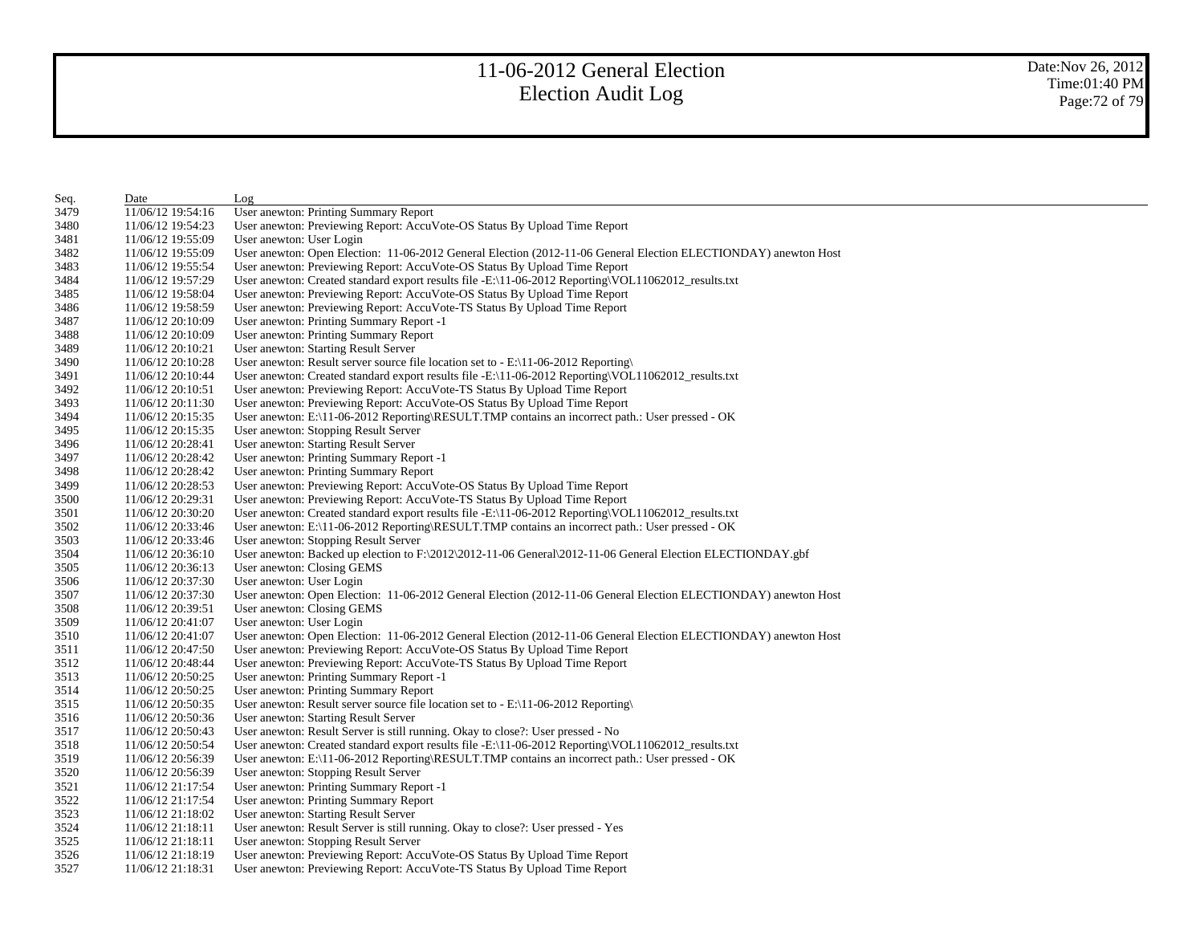| Seq. | Date              | Log                                                                                                             |
|------|-------------------|-----------------------------------------------------------------------------------------------------------------|
| 3479 | 11/06/12 19:54:16 | User anewton: Printing Summary Report                                                                           |
| 3480 | 11/06/12 19:54:23 | User anewton: Previewing Report: AccuVote-OS Status By Upload Time Report                                       |
| 3481 | 11/06/12 19:55:09 | User anewton: User Login                                                                                        |
| 3482 | 11/06/12 19:55:09 | User anewton: Open Election: 11-06-2012 General Election (2012-11-06 General Election ELECTIONDAY) anewton Host |
| 3483 | 11/06/12 19:55:54 | User anewton: Previewing Report: AccuVote-OS Status By Upload Time Report                                       |
| 3484 | 11/06/12 19:57:29 | User anewton: Created standard export results file -E:\11-06-2012 Reporting\VOL11062012_results.txt             |
| 3485 | 11/06/12 19:58:04 | User anewton: Previewing Report: AccuVote-OS Status By Upload Time Report                                       |
| 3486 | 11/06/12 19:58:59 | User anewton: Previewing Report: AccuVote-TS Status By Upload Time Report                                       |
| 3487 | 11/06/12 20:10:09 | User anewton: Printing Summary Report -1                                                                        |
| 3488 | 11/06/12 20:10:09 | User anewton: Printing Summary Report                                                                           |
| 3489 | 11/06/12 20:10:21 | User anewton: Starting Result Server                                                                            |
| 3490 | 11/06/12 20:10:28 | User anewton: Result server source file location set to - E:\11-06-2012 Reporting\                              |
| 3491 | 11/06/12 20:10:44 | User anewton: Created standard export results file -E:\11-06-2012 Reporting\VOL11062012_results.txt             |
| 3492 | 11/06/12 20:10:51 | User anewton: Previewing Report: AccuVote-TS Status By Upload Time Report                                       |
| 3493 | 11/06/12 20:11:30 | User anewton: Previewing Report: AccuVote-OS Status By Upload Time Report                                       |
| 3494 | 11/06/12 20:15:35 | User anewton: E:\11-06-2012 Reporting\RESULT.TMP contains an incorrect path.: User pressed - OK                 |
| 3495 | 11/06/12 20:15:35 | User anewton: Stopping Result Server                                                                            |
| 3496 | 11/06/12 20:28:41 | User anewton: Starting Result Server                                                                            |
| 3497 | 11/06/12 20:28:42 | User anewton: Printing Summary Report -1                                                                        |
| 3498 | 11/06/12 20:28:42 | User anewton: Printing Summary Report                                                                           |
| 3499 | 11/06/12 20:28:53 | User anewton: Previewing Report: AccuVote-OS Status By Upload Time Report                                       |
| 3500 | 11/06/12 20:29:31 | User anewton: Previewing Report: AccuVote-TS Status By Upload Time Report                                       |
| 3501 | 11/06/12 20:30:20 | User anewton: Created standard export results file -E:\11-06-2012 Reporting\VOL11062012_results.txt             |
| 3502 | 11/06/12 20:33:46 | User anewton: E:\11-06-2012 Reporting\RESULT.TMP contains an incorrect path.: User pressed - OK                 |
| 3503 | 11/06/12 20:33:46 | User anewton: Stopping Result Server                                                                            |
| 3504 | 11/06/12 20:36:10 | User anewton: Backed up election to F:\2012\2012-11-06 General\2012-11-06 General Election ELECTIONDAY.gbf      |
| 3505 | 11/06/12 20:36:13 | User anewton: Closing GEMS                                                                                      |
| 3506 | 11/06/12 20:37:30 | User anewton: User Login                                                                                        |
| 3507 | 11/06/12 20:37:30 | User anewton: Open Election: 11-06-2012 General Election (2012-11-06 General Election ELECTIONDAY) anewton Host |
| 3508 | 11/06/12 20:39:51 | User anewton: Closing GEMS                                                                                      |
| 3509 | 11/06/12 20:41:07 | User anewton: User Login                                                                                        |
| 3510 | 11/06/12 20:41:07 | User anewton: Open Election: 11-06-2012 General Election (2012-11-06 General Election ELECTIONDAY) anewton Host |
| 3511 | 11/06/12 20:47:50 | User anewton: Previewing Report: AccuVote-OS Status By Upload Time Report                                       |
| 3512 | 11/06/12 20:48:44 | User anewton: Previewing Report: AccuVote-TS Status By Upload Time Report                                       |
| 3513 | 11/06/12 20:50:25 | User anewton: Printing Summary Report -1                                                                        |
| 3514 | 11/06/12 20:50:25 | User anewton: Printing Summary Report                                                                           |
| 3515 | 11/06/12 20:50:35 | User anewton: Result server source file location set to - E:\11-06-2012 Reporting\                              |
| 3516 | 11/06/12 20:50:36 | User anewton: Starting Result Server                                                                            |
| 3517 | 11/06/12 20:50:43 | User anewton: Result Server is still running. Okay to close?: User pressed - No                                 |
| 3518 | 11/06/12 20:50:54 | User anewton: Created standard export results file -E:\11-06-2012 Reporting\VOL11062012_results.txt             |
| 3519 | 11/06/12 20:56:39 | User anewton: E:\11-06-2012 Reporting\RESULT.TMP contains an incorrect path.: User pressed - OK                 |
| 3520 | 11/06/12 20:56:39 | User anewton: Stopping Result Server                                                                            |
| 3521 | 11/06/12 21:17:54 | User anewton: Printing Summary Report -1                                                                        |
| 3522 | 11/06/12 21:17:54 | User anewton: Printing Summary Report                                                                           |
| 3523 | 11/06/12 21:18:02 | User anewton: Starting Result Server                                                                            |
| 3524 | 11/06/12 21:18:11 | User anewton: Result Server is still running. Okay to close?: User pressed - Yes                                |
| 3525 | 11/06/12 21:18:11 | User anewton: Stopping Result Server                                                                            |
| 3526 | 11/06/12 21:18:19 | User anewton: Previewing Report: AccuVote-OS Status By Upload Time Report                                       |
| 3527 | 11/06/12 21:18:31 | User anewton: Previewing Report: AccuVote-TS Status By Upload Time Report                                       |
|      |                   |                                                                                                                 |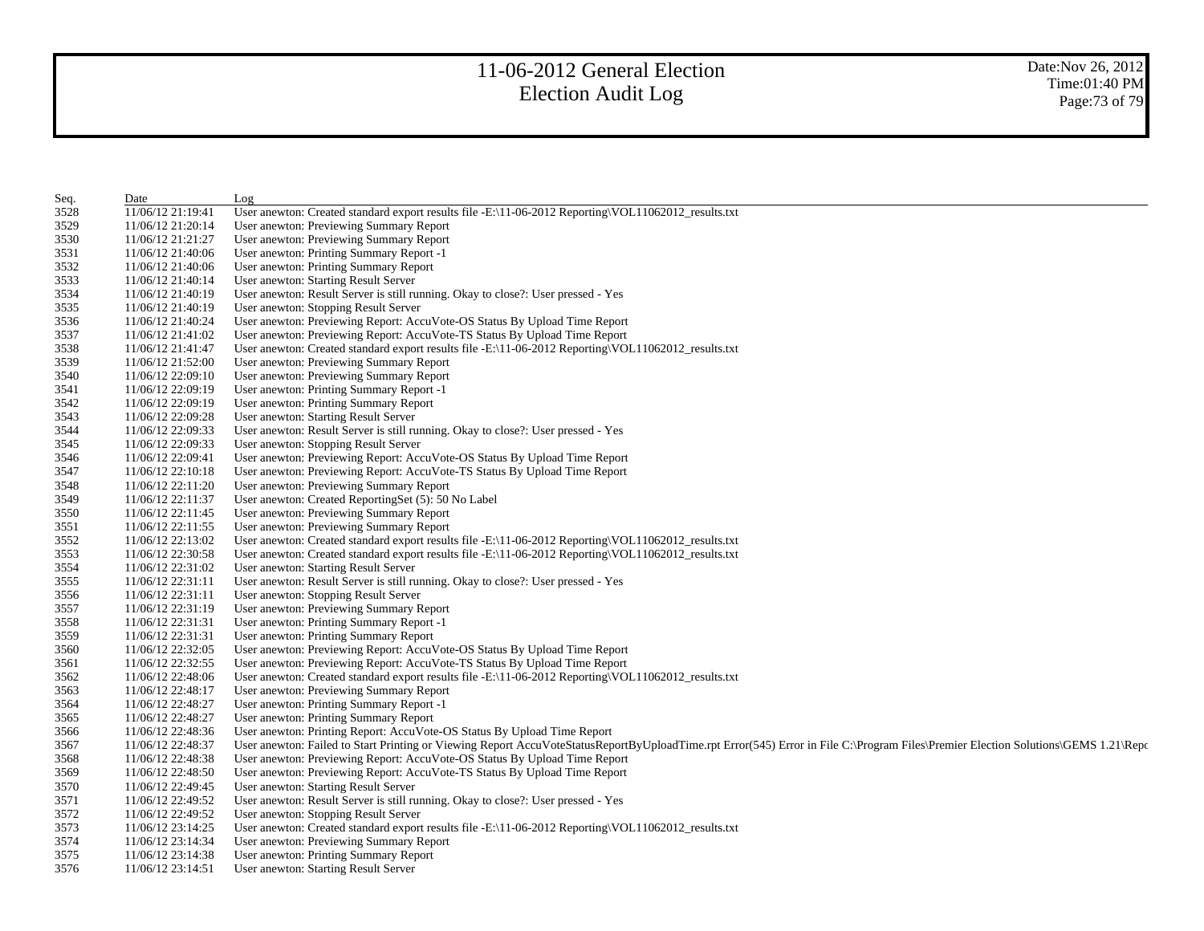| Seq. | Date              | Log                                                                                                                                                                                 |
|------|-------------------|-------------------------------------------------------------------------------------------------------------------------------------------------------------------------------------|
| 3528 | 11/06/12 21:19:41 | User anewton: Created standard export results file -E:\11-06-2012 Reporting\VOL11062012_results.txt                                                                                 |
| 3529 | 11/06/12 21:20:14 | User anewton: Previewing Summary Report                                                                                                                                             |
| 3530 | 11/06/12 21:21:27 | User anewton: Previewing Summary Report                                                                                                                                             |
| 3531 | 11/06/12 21:40:06 | User anewton: Printing Summary Report -1                                                                                                                                            |
| 3532 | 11/06/12 21:40:06 | User anewton: Printing Summary Report                                                                                                                                               |
| 3533 | 11/06/12 21:40:14 | User anewton: Starting Result Server                                                                                                                                                |
| 3534 | 11/06/12 21:40:19 | User anewton: Result Server is still running. Okay to close?: User pressed - Yes                                                                                                    |
| 3535 | 11/06/12 21:40:19 | User anewton: Stopping Result Server                                                                                                                                                |
| 3536 | 11/06/12 21:40:24 | User anewton: Previewing Report: AccuVote-OS Status By Upload Time Report                                                                                                           |
| 3537 | 11/06/12 21:41:02 | User anewton: Previewing Report: AccuVote-TS Status By Upload Time Report                                                                                                           |
| 3538 | 11/06/12 21:41:47 | User anewton: Created standard export results file -E:\11-06-2012 Reporting\VOL11062012_results.txt                                                                                 |
| 3539 | 11/06/12 21:52:00 | User anewton: Previewing Summary Report                                                                                                                                             |
| 3540 | 11/06/12 22:09:10 | User anewton: Previewing Summary Report                                                                                                                                             |
| 3541 | 11/06/12 22:09:19 | User anewton: Printing Summary Report -1                                                                                                                                            |
| 3542 | 11/06/12 22:09:19 | User anewton: Printing Summary Report                                                                                                                                               |
| 3543 | 11/06/12 22:09:28 | User anewton: Starting Result Server                                                                                                                                                |
| 3544 | 11/06/12 22:09:33 | User anewton: Result Server is still running. Okay to close?: User pressed - Yes                                                                                                    |
| 3545 | 11/06/12 22:09:33 | User anewton: Stopping Result Server                                                                                                                                                |
| 3546 | 11/06/12 22:09:41 | User anewton: Previewing Report: AccuVote-OS Status By Upload Time Report                                                                                                           |
| 3547 | 11/06/12 22:10:18 | User anewton: Previewing Report: AccuVote-TS Status By Upload Time Report                                                                                                           |
| 3548 | 11/06/12 22:11:20 | User anewton: Previewing Summary Report                                                                                                                                             |
| 3549 | 11/06/12 22:11:37 | User anewton: Created ReportingSet (5): 50 No Label                                                                                                                                 |
| 3550 | 11/06/12 22:11:45 | User anewton: Previewing Summary Report                                                                                                                                             |
| 3551 | 11/06/12 22:11:55 | User anewton: Previewing Summary Report                                                                                                                                             |
| 3552 | 11/06/12 22:13:02 | User anewton: Created standard export results file -E:\11-06-2012 Reporting\VOL11062012_results.txt                                                                                 |
| 3553 | 11/06/12 22:30:58 | User anewton: Created standard export results file -E:\11-06-2012 Reporting\VOL11062012_results.txt                                                                                 |
| 3554 | 11/06/12 22:31:02 | User anewton: Starting Result Server                                                                                                                                                |
| 3555 | 11/06/12 22:31:11 | User anewton: Result Server is still running. Okay to close?: User pressed - Yes                                                                                                    |
| 3556 | 11/06/12 22:31:11 | User anewton: Stopping Result Server                                                                                                                                                |
| 3557 | 11/06/12 22:31:19 | User anewton: Previewing Summary Report                                                                                                                                             |
| 3558 | 11/06/12 22:31:31 | User anewton: Printing Summary Report -1                                                                                                                                            |
| 3559 | 11/06/12 22:31:31 | User anewton: Printing Summary Report                                                                                                                                               |
|      |                   | User anewton: Previewing Report: AccuVote-OS Status By Upload Time Report                                                                                                           |
| 3560 | 11/06/12 22:32:05 |                                                                                                                                                                                     |
| 3561 | 11/06/12 22:32:55 | User anewton: Previewing Report: AccuVote-TS Status By Upload Time Report                                                                                                           |
| 3562 | 11/06/12 22:48:06 | User anewton: Created standard export results file -E:\11-06-2012 Reporting\VOL11062012_results.txt                                                                                 |
| 3563 | 11/06/12 22:48:17 | User anewton: Previewing Summary Report                                                                                                                                             |
| 3564 | 11/06/12 22:48:27 | User anewton: Printing Summary Report -1                                                                                                                                            |
| 3565 | 11/06/12 22:48:27 | User anewton: Printing Summary Report                                                                                                                                               |
| 3566 | 11/06/12 22:48:36 | User anewton: Printing Report: AccuVote-OS Status By Upload Time Report                                                                                                             |
| 3567 | 11/06/12 22:48:37 | User anewton: Failed to Start Printing or Viewing Report AccuVoteStatusReportByUploadTime.rpt Error(545) Error in File C:\Program Files\Premier Election Solutions\GEMS 1.21\Report |
| 3568 | 11/06/12 22:48:38 | User anewton: Previewing Report: AccuVote-OS Status By Upload Time Report                                                                                                           |
| 3569 | 11/06/12 22:48:50 | User anewton: Previewing Report: AccuVote-TS Status By Upload Time Report                                                                                                           |
| 3570 | 11/06/12 22:49:45 | User anewton: Starting Result Server                                                                                                                                                |
| 3571 | 11/06/12 22:49:52 | User anewton: Result Server is still running. Okay to close?: User pressed - Yes                                                                                                    |
| 3572 | 11/06/12 22:49:52 | User anewton: Stopping Result Server                                                                                                                                                |
| 3573 | 11/06/12 23:14:25 | User anewton: Created standard export results file -E:\11-06-2012 Reporting\VOL11062012_results.txt                                                                                 |
| 3574 | 11/06/12 23:14:34 | User anewton: Previewing Summary Report                                                                                                                                             |
| 3575 | 11/06/12 23:14:38 | User anewton: Printing Summary Report                                                                                                                                               |
| 3576 | 11/06/12 23:14:51 | User anewton: Starting Result Server                                                                                                                                                |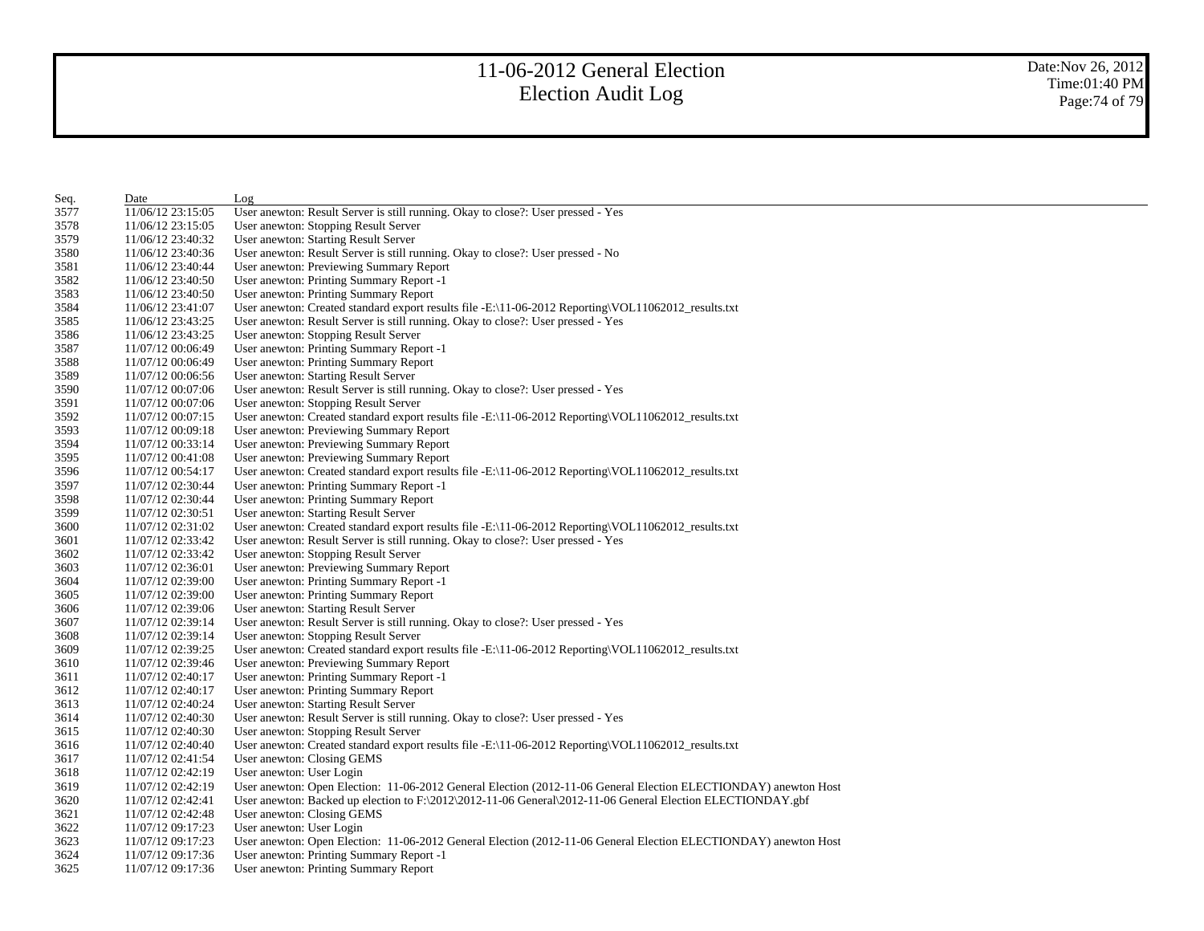| Seq. | Date              | Log                                                                                                             |
|------|-------------------|-----------------------------------------------------------------------------------------------------------------|
| 3577 | 11/06/12 23:15:05 | User anewton: Result Server is still running. Okay to close?: User pressed - Yes                                |
| 3578 | 11/06/12 23:15:05 | User anewton: Stopping Result Server                                                                            |
| 3579 | 11/06/12 23:40:32 | User anewton: Starting Result Server                                                                            |
| 3580 | 11/06/12 23:40:36 | User anewton: Result Server is still running. Okay to close?: User pressed - No                                 |
| 3581 | 11/06/12 23:40:44 | User anewton: Previewing Summary Report                                                                         |
| 3582 | 11/06/12 23:40:50 | User anewton: Printing Summary Report -1                                                                        |
| 3583 | 11/06/12 23:40:50 | User anewton: Printing Summary Report                                                                           |
| 3584 | 11/06/12 23:41:07 | User anewton: Created standard export results file -E:\11-06-2012 Reporting\VOL11062012 results.txt             |
| 3585 | 11/06/12 23:43:25 | User anewton: Result Server is still running. Okay to close?: User pressed - Yes                                |
| 3586 | 11/06/12 23:43:25 | User anewton: Stopping Result Server                                                                            |
| 3587 | 11/07/12 00:06:49 | User anewton: Printing Summary Report -1                                                                        |
| 3588 | 11/07/12 00:06:49 | User anewton: Printing Summary Report                                                                           |
| 3589 | 11/07/12 00:06:56 | User anewton: Starting Result Server                                                                            |
| 3590 | 11/07/12 00:07:06 | User anewton: Result Server is still running. Okay to close?: User pressed - Yes                                |
| 3591 | 11/07/12 00:07:06 | User anewton: Stopping Result Server                                                                            |
| 3592 | 11/07/12 00:07:15 | User anewton: Created standard export results file -E:\11-06-2012 Reporting\VOL11062012_results.txt             |
| 3593 | 11/07/12 00:09:18 | User anewton: Previewing Summary Report                                                                         |
| 3594 | 11/07/12 00:33:14 | User anewton: Previewing Summary Report                                                                         |
| 3595 | 11/07/12 00:41:08 | User anewton: Previewing Summary Report                                                                         |
| 3596 | 11/07/12 00:54:17 | User anewton: Created standard export results file -E:\11-06-2012 Reporting\VOL11062012_results.txt             |
| 3597 | 11/07/12 02:30:44 | User anewton: Printing Summary Report -1                                                                        |
| 3598 | 11/07/12 02:30:44 | User anewton: Printing Summary Report                                                                           |
| 3599 | 11/07/12 02:30:51 | User anewton: Starting Result Server                                                                            |
| 3600 | 11/07/12 02:31:02 | User anewton: Created standard export results file -E:\11-06-2012 Reporting\VOL11062012 results.txt             |
| 3601 | 11/07/12 02:33:42 | User anewton: Result Server is still running. Okay to close?: User pressed - Yes                                |
| 3602 | 11/07/12 02:33:42 | User anewton: Stopping Result Server                                                                            |
| 3603 | 11/07/12 02:36:01 | User anewton: Previewing Summary Report                                                                         |
| 3604 | 11/07/12 02:39:00 | User anewton: Printing Summary Report -1                                                                        |
| 3605 | 11/07/12 02:39:00 | User anewton: Printing Summary Report                                                                           |
| 3606 | 11/07/12 02:39:06 | User anewton: Starting Result Server                                                                            |
| 3607 | 11/07/12 02:39:14 | User anewton: Result Server is still running. Okay to close?: User pressed - Yes                                |
| 3608 | 11/07/12 02:39:14 | User anewton: Stopping Result Server                                                                            |
| 3609 | 11/07/12 02:39:25 | User anewton: Created standard export results file -E:\11-06-2012 Reporting\VOL11062012 results.txt             |
| 3610 | 11/07/12 02:39:46 | User anewton: Previewing Summary Report                                                                         |
| 3611 | 11/07/12 02:40:17 | User anewton: Printing Summary Report -1                                                                        |
| 3612 | 11/07/12 02:40:17 | User anewton: Printing Summary Report                                                                           |
| 3613 | 11/07/12 02:40:24 | User anewton: Starting Result Server                                                                            |
| 3614 | 11/07/12 02:40:30 | User anewton: Result Server is still running. Okay to close?: User pressed - Yes                                |
| 3615 | 11/07/12 02:40:30 | User anewton: Stopping Result Server                                                                            |
| 3616 | 11/07/12 02:40:40 | User anewton: Created standard export results file -E:\11-06-2012 Reporting\VOL11062012_results.txt             |
| 3617 | 11/07/12 02:41:54 | User anewton: Closing GEMS                                                                                      |
| 3618 | 11/07/12 02:42:19 | User anewton: User Login                                                                                        |
| 3619 | 11/07/12 02:42:19 | User anewton: Open Election: 11-06-2012 General Election (2012-11-06 General Election ELECTIONDAY) anewton Host |
| 3620 | 11/07/12 02:42:41 | User anewton: Backed up election to F:\2012\2012-11-06 General\2012-11-06 General Election ELECTIONDAY.gbf      |
| 3621 | 11/07/12 02:42:48 | User anewton: Closing GEMS                                                                                      |
| 3622 | 11/07/12 09:17:23 | User anewton: User Login                                                                                        |
| 3623 | 11/07/12 09:17:23 | User anewton: Open Election: 11-06-2012 General Election (2012-11-06 General Election ELECTIONDAY) anewton Host |
| 3624 | 11/07/12 09:17:36 | User anewton: Printing Summary Report -1                                                                        |
| 3625 | 11/07/12 09:17:36 | User anewton: Printing Summary Report                                                                           |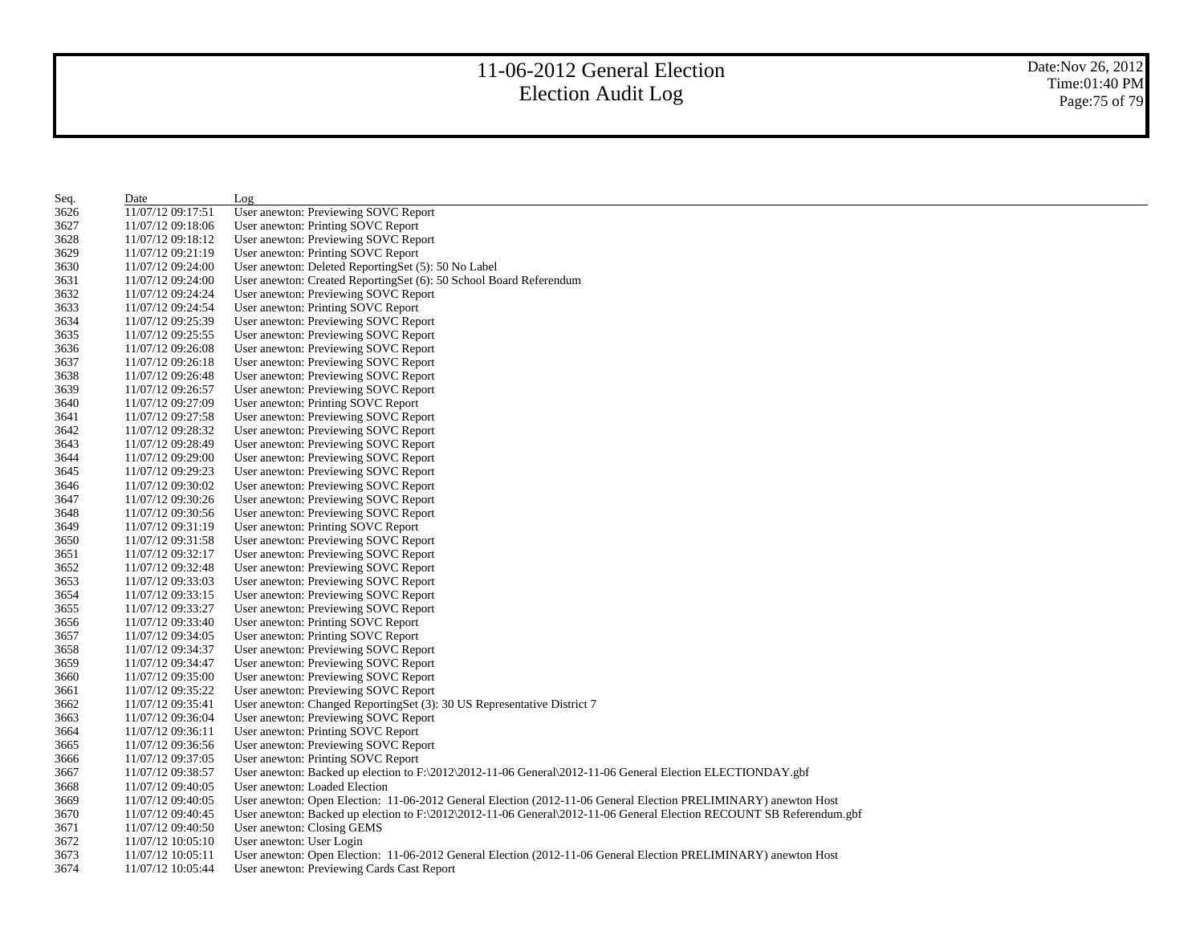Date:Nov 26, 2012 Time:01:40 PM Page:75 of 79

| Seq. | Date              | Log                                                                                                                  |
|------|-------------------|----------------------------------------------------------------------------------------------------------------------|
| 3626 | 11/07/12 09:17:51 | User anewton: Previewing SOVC Report                                                                                 |
| 3627 | 11/07/12 09:18:06 | User anewton: Printing SOVC Report                                                                                   |
| 3628 | 11/07/12 09:18:12 | User anewton: Previewing SOVC Report                                                                                 |
| 3629 | 11/07/12 09:21:19 | User anewton: Printing SOVC Report                                                                                   |
| 3630 | 11/07/12 09:24:00 | User anewton: Deleted ReportingSet (5): 50 No Label                                                                  |
| 3631 | 11/07/12 09:24:00 | User anewton: Created ReportingSet (6): 50 School Board Referendum                                                   |
| 3632 | 11/07/12 09:24:24 | User anewton: Previewing SOVC Report                                                                                 |
| 3633 | 11/07/12 09:24:54 | User anewton: Printing SOVC Report                                                                                   |
| 3634 | 11/07/12 09:25:39 | User anewton: Previewing SOVC Report                                                                                 |
| 3635 | 11/07/12 09:25:55 | User anewton: Previewing SOVC Report                                                                                 |
| 3636 | 11/07/12 09:26:08 | User anewton: Previewing SOVC Report                                                                                 |
| 3637 | 11/07/12 09:26:18 | User anewton: Previewing SOVC Report                                                                                 |
| 3638 | 11/07/12 09:26:48 | User anewton: Previewing SOVC Report                                                                                 |
| 3639 | 11/07/12 09:26:57 | User anewton: Previewing SOVC Report                                                                                 |
| 3640 | 11/07/12 09:27:09 | User anewton: Printing SOVC Report                                                                                   |
| 3641 | 11/07/12 09:27:58 | User anewton: Previewing SOVC Report                                                                                 |
| 3642 | 11/07/12 09:28:32 | User anewton: Previewing SOVC Report                                                                                 |
| 3643 | 11/07/12 09:28:49 | User anewton: Previewing SOVC Report                                                                                 |
| 3644 | 11/07/12 09:29:00 | User anewton: Previewing SOVC Report                                                                                 |
| 3645 | 11/07/12 09:29:23 | User anewton: Previewing SOVC Report                                                                                 |
| 3646 | 11/07/12 09:30:02 | User anewton: Previewing SOVC Report                                                                                 |
| 3647 | 11/07/12 09:30:26 | User anewton: Previewing SOVC Report                                                                                 |
| 3648 | 11/07/12 09:30:56 | User anewton: Previewing SOVC Report                                                                                 |
| 3649 | 11/07/12 09:31:19 | User anewton: Printing SOVC Report                                                                                   |
| 3650 | 11/07/12 09:31:58 |                                                                                                                      |
| 3651 | 11/07/12 09:32:17 | User anewton: Previewing SOVC Report<br>User anewton: Previewing SOVC Report                                         |
| 3652 | 11/07/12 09:32:48 |                                                                                                                      |
| 3653 | 11/07/12 09:33:03 | User anewton: Previewing SOVC Report<br>User anewton: Previewing SOVC Report                                         |
| 3654 | 11/07/12 09:33:15 | User anewton: Previewing SOVC Report                                                                                 |
| 3655 | 11/07/12 09:33:27 | User anewton: Previewing SOVC Report                                                                                 |
| 3656 | 11/07/12 09:33:40 | User anewton: Printing SOVC Report                                                                                   |
| 3657 | 11/07/12 09:34:05 |                                                                                                                      |
| 3658 | 11/07/12 09:34:37 | User anewton: Printing SOVC Report<br>User anewton: Previewing SOVC Report                                           |
| 3659 | 11/07/12 09:34:47 |                                                                                                                      |
| 3660 | 11/07/12 09:35:00 | User anewton: Previewing SOVC Report<br>User anewton: Previewing SOVC Report                                         |
| 3661 |                   |                                                                                                                      |
| 3662 | 11/07/12 09:35:22 | User anewton: Previewing SOVC Report                                                                                 |
| 3663 | 11/07/12 09:35:41 | User anewton: Changed ReportingSet (3): 30 US Representative District 7                                              |
| 3664 | 11/07/12 09:36:04 | User anewton: Previewing SOVC Report                                                                                 |
| 3665 | 11/07/12 09:36:11 | User anewton: Printing SOVC Report                                                                                   |
| 3666 | 11/07/12 09:36:56 | User anewton: Previewing SOVC Report                                                                                 |
| 3667 | 11/07/12 09:37:05 | User anewton: Printing SOVC Report                                                                                   |
|      | 11/07/12 09:38:57 | User anewton: Backed up election to F:\2012\2012-11-06 General\2012-11-06 General Election ELECTIONDAY.gbf           |
| 3668 | 11/07/12 09:40:05 | User anewton: Loaded Election                                                                                        |
| 3669 | 11/07/12 09:40:05 | User anewton: Open Election: 11-06-2012 General Election (2012-11-06 General Election PRELIMINARY) anewton Host      |
| 3670 | 11/07/12 09:40:45 | User anewton: Backed up election to F:\2012\2012-11-06 General\2012-11-06 General Election RECOUNT SB Referendum.gbf |
| 3671 | 11/07/12 09:40:50 | User anewton: Closing GEMS                                                                                           |
| 3672 | 11/07/12 10:05:10 | User anewton: User Login                                                                                             |
| 3673 | 11/07/12 10:05:11 | User anewton: Open Election: 11-06-2012 General Election (2012-11-06 General Election PRELIMINARY) anewton Host      |
| 3674 | 11/07/12 10:05:44 | User anewton: Previewing Cards Cast Report                                                                           |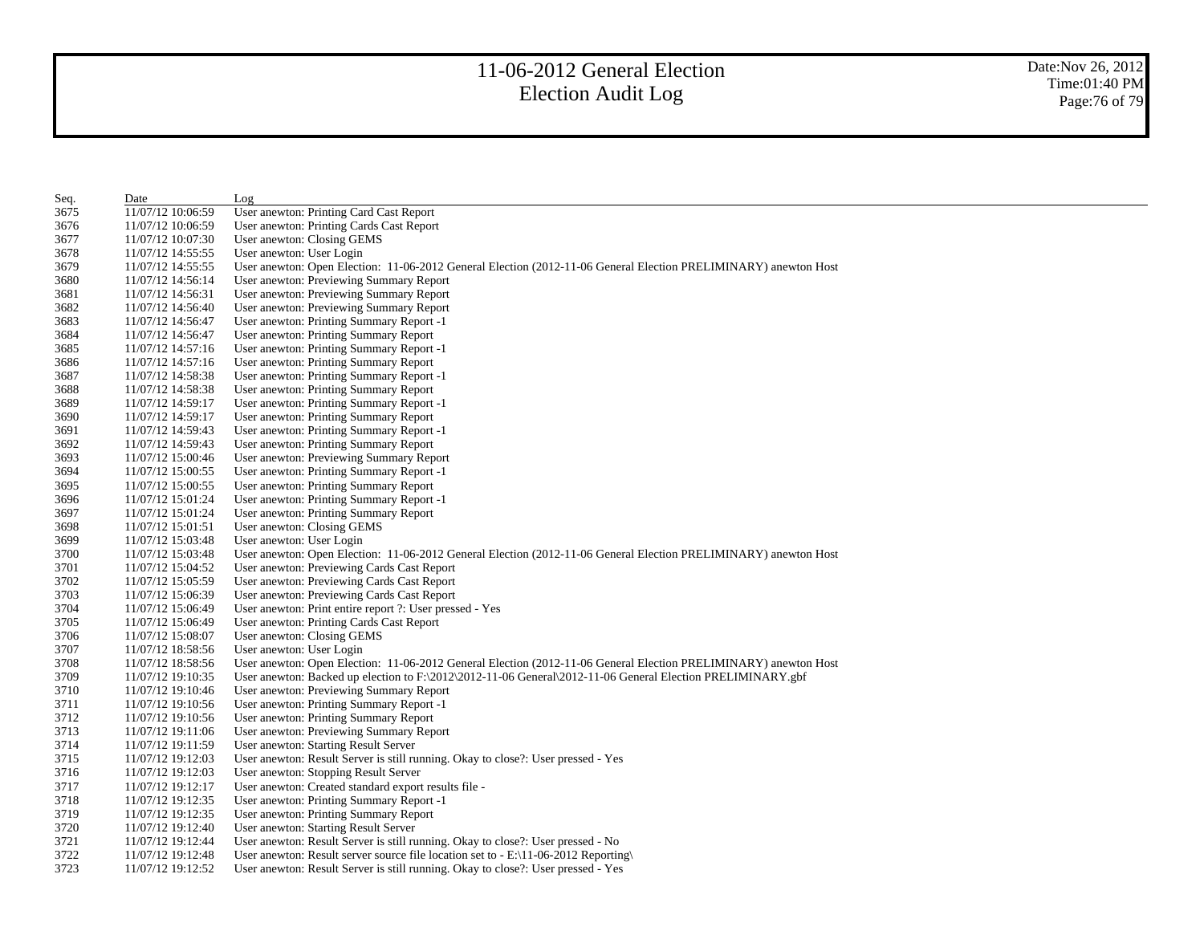| Seq. | Date              | Log                                                                                                             |
|------|-------------------|-----------------------------------------------------------------------------------------------------------------|
| 3675 | 11/07/12 10:06:59 | User anewton: Printing Card Cast Report                                                                         |
| 3676 | 11/07/12 10:06:59 | User anewton: Printing Cards Cast Report                                                                        |
| 3677 | 11/07/12 10:07:30 | User anewton: Closing GEMS                                                                                      |
| 3678 | 11/07/12 14:55:55 | User anewton: User Login                                                                                        |
| 3679 | 11/07/12 14:55:55 | User anewton: Open Election: 11-06-2012 General Election (2012-11-06 General Election PRELIMINARY) anewton Host |
| 3680 | 11/07/12 14:56:14 | User anewton: Previewing Summary Report                                                                         |
| 3681 | 11/07/12 14:56:31 | User anewton: Previewing Summary Report                                                                         |
| 3682 | 11/07/12 14:56:40 | User anewton: Previewing Summary Report                                                                         |
| 3683 | 11/07/12 14:56:47 | User anewton: Printing Summary Report -1                                                                        |
| 3684 | 11/07/12 14:56:47 | User anewton: Printing Summary Report                                                                           |
| 3685 | 11/07/12 14:57:16 | User anewton: Printing Summary Report -1                                                                        |
| 3686 | 11/07/12 14:57:16 | User anewton: Printing Summary Report                                                                           |
| 3687 | 11/07/12 14:58:38 | User anewton: Printing Summary Report -1                                                                        |
| 3688 | 11/07/12 14:58:38 | User anewton: Printing Summary Report                                                                           |
| 3689 | 11/07/12 14:59:17 | User anewton: Printing Summary Report -1                                                                        |
| 3690 | 11/07/12 14:59:17 | User anewton: Printing Summary Report                                                                           |
| 3691 | 11/07/12 14:59:43 | User anewton: Printing Summary Report -1                                                                        |
| 3692 | 11/07/12 14:59:43 | User anewton: Printing Summary Report                                                                           |
| 3693 | 11/07/12 15:00:46 | User anewton: Previewing Summary Report                                                                         |
| 3694 | 11/07/12 15:00:55 | User anewton: Printing Summary Report -1                                                                        |
| 3695 | 11/07/12 15:00:55 | User anewton: Printing Summary Report                                                                           |
| 3696 | 11/07/12 15:01:24 | User anewton: Printing Summary Report -1                                                                        |
| 3697 | 11/07/12 15:01:24 | User anewton: Printing Summary Report                                                                           |
| 3698 | 11/07/12 15:01:51 | User anewton: Closing GEMS                                                                                      |
| 3699 | 11/07/12 15:03:48 | User anewton: User Login                                                                                        |
| 3700 | 11/07/12 15:03:48 | User anewton: Open Election: 11-06-2012 General Election (2012-11-06 General Election PRELIMINARY) anewton Host |
| 3701 | 11/07/12 15:04:52 | User anewton: Previewing Cards Cast Report                                                                      |
| 3702 | 11/07/12 15:05:59 | User anewton: Previewing Cards Cast Report                                                                      |
| 3703 | 11/07/12 15:06:39 | User anewton: Previewing Cards Cast Report                                                                      |
| 3704 | 11/07/12 15:06:49 | User anewton: Print entire report ?: User pressed - Yes                                                         |
| 3705 | 11/07/12 15:06:49 | User anewton: Printing Cards Cast Report                                                                        |
| 3706 | 11/07/12 15:08:07 | User anewton: Closing GEMS                                                                                      |
| 3707 | 11/07/12 18:58:56 | User anewton: User Login                                                                                        |
| 3708 | 11/07/12 18:58:56 | User anewton: Open Election: 11-06-2012 General Election (2012-11-06 General Election PRELIMINARY) anewton Host |
| 3709 | 11/07/12 19:10:35 | User anewton: Backed up election to F:\2012\2012-11-06 General\2012-11-06 General Election PRELIMINARY.gbf      |
| 3710 | 11/07/12 19:10:46 | User anewton: Previewing Summary Report                                                                         |
| 3711 | 11/07/12 19:10:56 | User anewton: Printing Summary Report -1                                                                        |
| 3712 | 11/07/12 19:10:56 | User anewton: Printing Summary Report                                                                           |
| 3713 | 11/07/12 19:11:06 | User anewton: Previewing Summary Report                                                                         |
| 3714 | 11/07/12 19:11:59 | User anewton: Starting Result Server                                                                            |
| 3715 | 11/07/12 19:12:03 | User anewton: Result Server is still running. Okay to close?: User pressed - Yes                                |
| 3716 | 11/07/12 19:12:03 | User anewton: Stopping Result Server                                                                            |
| 3717 | 11/07/12 19:12:17 | User anewton: Created standard export results file -                                                            |
| 3718 | 11/07/12 19:12:35 | User anewton: Printing Summary Report -1                                                                        |
| 3719 | 11/07/12 19:12:35 | User anewton: Printing Summary Report                                                                           |
| 3720 | 11/07/12 19:12:40 | User anewton: Starting Result Server                                                                            |
| 3721 | 11/07/12 19:12:44 | User anewton: Result Server is still running. Okay to close?: User pressed - No                                 |
| 3722 | 11/07/12 19:12:48 | User anewton: Result server source file location set to $-E:\1-06-2012$ Reporting                               |
| 3723 | 11/07/12 19:12:52 | User anewton: Result Server is still running. Okay to close?: User pressed - Yes                                |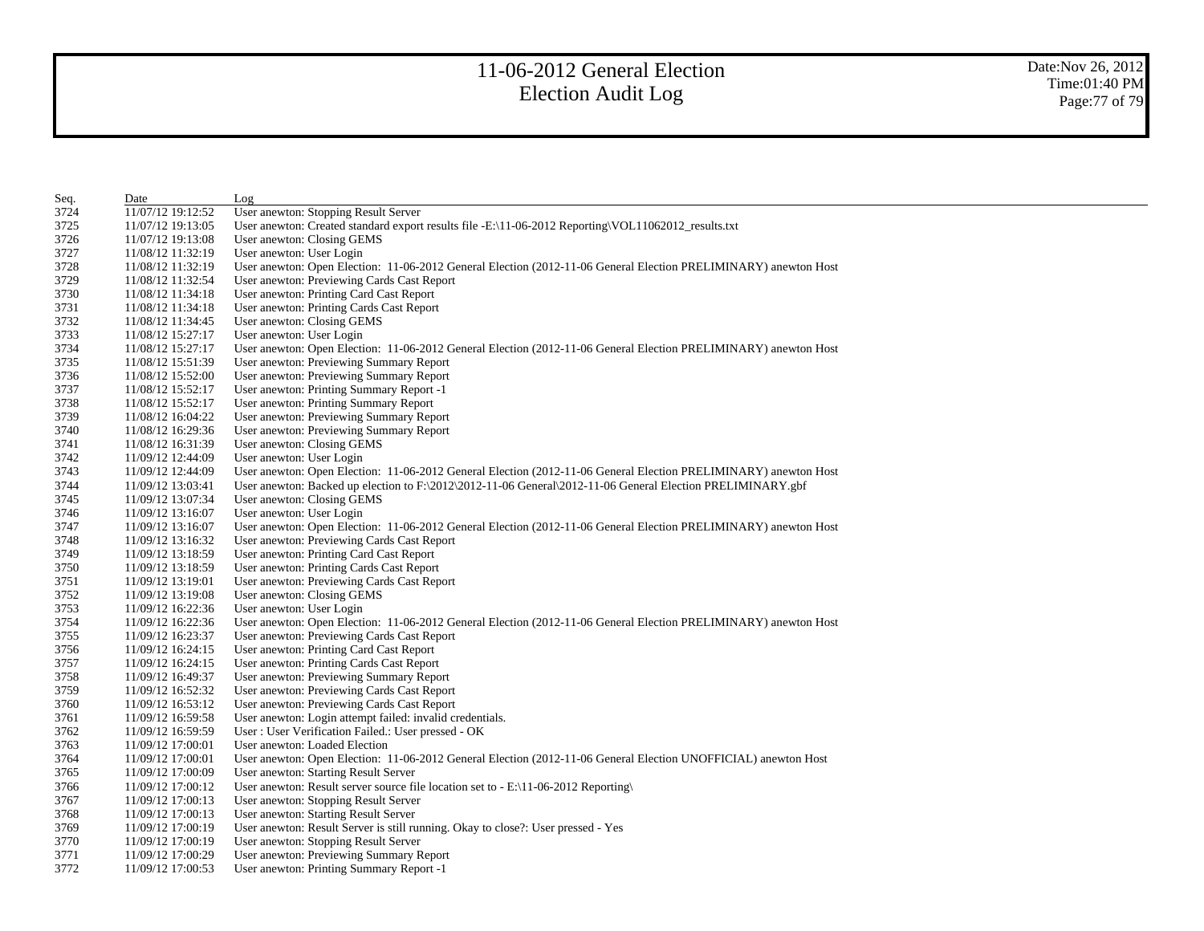| Seq. | Date              | Log                                                                                                             |
|------|-------------------|-----------------------------------------------------------------------------------------------------------------|
| 3724 | 11/07/12 19:12:52 | User anewton: Stopping Result Server                                                                            |
| 3725 | 11/07/12 19:13:05 | User anewton: Created standard export results file -E:\11-06-2012 Reporting\VOL11062012_results.txt             |
| 3726 | 11/07/12 19:13:08 | User anewton: Closing GEMS                                                                                      |
| 3727 | 11/08/12 11:32:19 | User anewton: User Login                                                                                        |
| 3728 | 11/08/12 11:32:19 | User anewton: Open Election: 11-06-2012 General Election (2012-11-06 General Election PRELIMINARY) anewton Host |
| 3729 | 11/08/12 11:32:54 | User anewton: Previewing Cards Cast Report                                                                      |
| 3730 | 11/08/12 11:34:18 | User anewton: Printing Card Cast Report                                                                         |
| 3731 | 11/08/12 11:34:18 | User anewton: Printing Cards Cast Report                                                                        |
| 3732 | 11/08/12 11:34:45 | User anewton: Closing GEMS                                                                                      |
| 3733 | 11/08/12 15:27:17 | User anewton: User Login                                                                                        |
| 3734 | 11/08/12 15:27:17 | User anewton: Open Election: 11-06-2012 General Election (2012-11-06 General Election PRELIMINARY) anewton Host |
| 3735 | 11/08/12 15:51:39 | User anewton: Previewing Summary Report                                                                         |
| 3736 | 11/08/12 15:52:00 | User anewton: Previewing Summary Report                                                                         |
| 3737 | 11/08/12 15:52:17 | User anewton: Printing Summary Report -1                                                                        |
| 3738 | 11/08/12 15:52:17 | User anewton: Printing Summary Report                                                                           |
| 3739 | 11/08/12 16:04:22 | User anewton: Previewing Summary Report                                                                         |
| 3740 | 11/08/12 16:29:36 | User anewton: Previewing Summary Report                                                                         |
| 3741 | 11/08/12 16:31:39 | User anewton: Closing GEMS                                                                                      |
| 3742 | 11/09/12 12:44:09 | User anewton: User Login                                                                                        |
| 3743 | 11/09/12 12:44:09 | User anewton: Open Election: 11-06-2012 General Election (2012-11-06 General Election PRELIMINARY) anewton Host |
| 3744 | 11/09/12 13:03:41 | User anewton: Backed up election to $F:\2012\2012-11-06$ General $\2012-11-06$ General Election PRELIMINARY.gbf |
| 3745 | 11/09/12 13:07:34 | User anewton: Closing GEMS                                                                                      |
| 3746 | 11/09/12 13:16:07 | User anewton: User Login                                                                                        |
| 3747 | 11/09/12 13:16:07 | User anewton: Open Election: 11-06-2012 General Election (2012-11-06 General Election PRELIMINARY) anewton Host |
| 3748 | 11/09/12 13:16:32 | User anewton: Previewing Cards Cast Report                                                                      |
| 3749 | 11/09/12 13:18:59 | User anewton: Printing Card Cast Report                                                                         |
| 3750 | 11/09/12 13:18:59 | User anewton: Printing Cards Cast Report                                                                        |
| 3751 | 11/09/12 13:19:01 | User anewton: Previewing Cards Cast Report                                                                      |
| 3752 | 11/09/12 13:19:08 | User anewton: Closing GEMS                                                                                      |
| 3753 | 11/09/12 16:22:36 | User anewton: User Login                                                                                        |
| 3754 | 11/09/12 16:22:36 | User anewton: Open Election: 11-06-2012 General Election (2012-11-06 General Election PRELIMINARY) anewton Host |
| 3755 | 11/09/12 16:23:37 | User anewton: Previewing Cards Cast Report                                                                      |
| 3756 | 11/09/12 16:24:15 | User anewton: Printing Card Cast Report                                                                         |
| 3757 | 11/09/12 16:24:15 | User anewton: Printing Cards Cast Report                                                                        |
| 3758 | 11/09/12 16:49:37 | User anewton: Previewing Summary Report                                                                         |
| 3759 | 11/09/12 16:52:32 | User anewton: Previewing Cards Cast Report                                                                      |
| 3760 | 11/09/12 16:53:12 | User anewton: Previewing Cards Cast Report                                                                      |
| 3761 | 11/09/12 16:59:58 | User anewton: Login attempt failed: invalid credentials.                                                        |
| 3762 | 11/09/12 16:59:59 | User: User Verification Failed.: User pressed - OK                                                              |
| 3763 | 11/09/12 17:00:01 | User anewton: Loaded Election                                                                                   |
| 3764 | 11/09/12 17:00:01 | User anewton: Open Election: 11-06-2012 General Election (2012-11-06 General Election UNOFFICIAL) anewton Host  |
| 3765 | 11/09/12 17:00:09 | User anewton: Starting Result Server                                                                            |
| 3766 | 11/09/12 17:00:12 | User anewton: Result server source file location set to - E:\11-06-2012 Reporting\                              |
| 3767 | 11/09/12 17:00:13 | User anewton: Stopping Result Server                                                                            |
| 3768 | 11/09/12 17:00:13 | User anewton: Starting Result Server                                                                            |
| 3769 | 11/09/12 17:00:19 | User anewton: Result Server is still running. Okay to close?: User pressed - Yes                                |
| 3770 | 11/09/12 17:00:19 | User anewton: Stopping Result Server                                                                            |
| 3771 | 11/09/12 17:00:29 | User anewton: Previewing Summary Report                                                                         |
| 3772 | 11/09/12 17:00:53 | User anewton: Printing Summary Report -1                                                                        |
|      |                   |                                                                                                                 |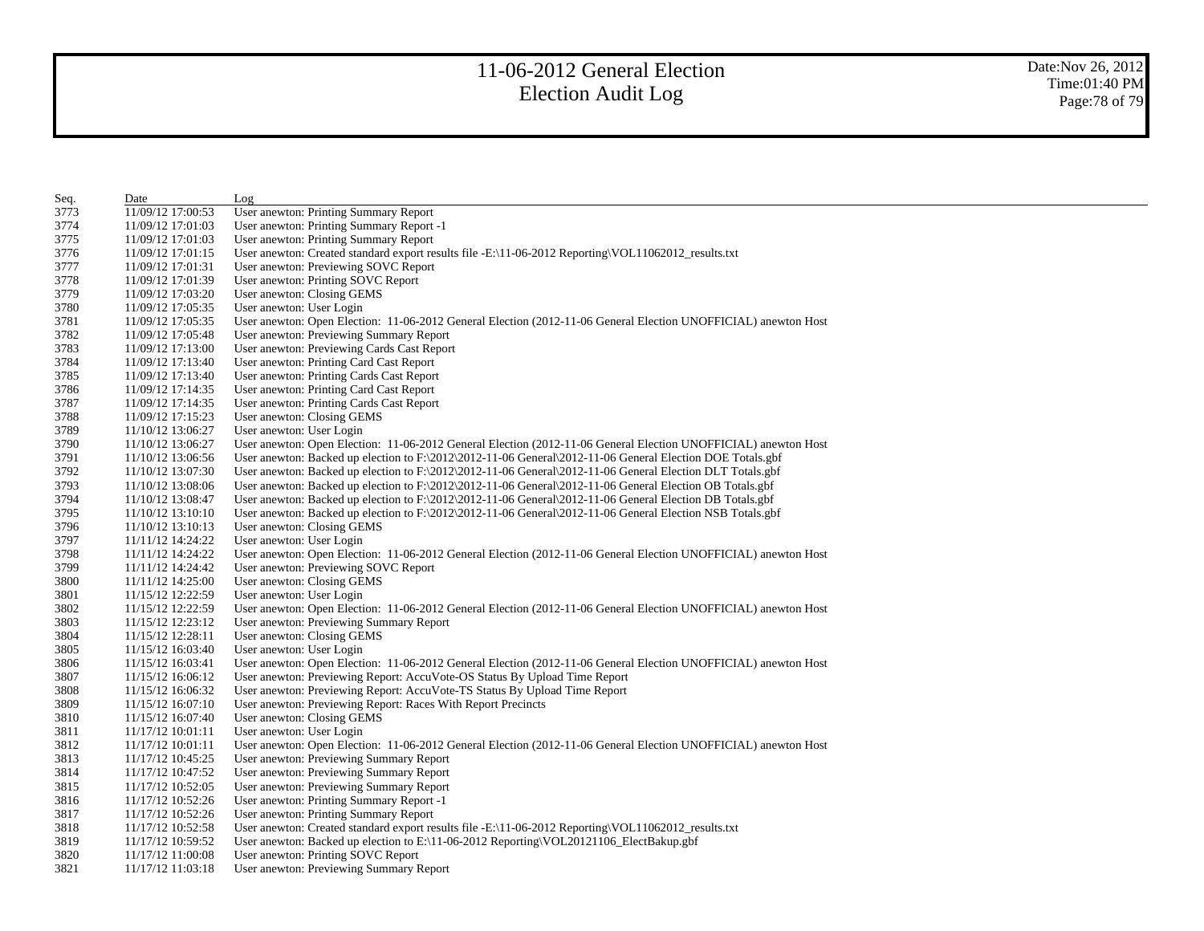Date:Nov 26, 2012 Time:01:40 PM Page:78 of 79

| Seq. | Date              | Log                                                                                                            |
|------|-------------------|----------------------------------------------------------------------------------------------------------------|
| 3773 | 11/09/12 17:00:53 | User anewton: Printing Summary Report                                                                          |
| 3774 | 11/09/12 17:01:03 | User anewton: Printing Summary Report -1                                                                       |
| 3775 | 11/09/12 17:01:03 | User anewton: Printing Summary Report                                                                          |
| 3776 | 11/09/12 17:01:15 | User anewton: Created standard export results file -E:\11-06-2012 Reporting\VOL11062012_results.txt            |
| 3777 | 11/09/12 17:01:31 | User anewton: Previewing SOVC Report                                                                           |
| 3778 | 11/09/12 17:01:39 | User anewton: Printing SOVC Report                                                                             |
| 3779 | 11/09/12 17:03:20 | User anewton: Closing GEMS                                                                                     |
| 3780 | 11/09/12 17:05:35 | User anewton: User Login                                                                                       |
| 3781 | 11/09/12 17:05:35 | User anewton: Open Election: 11-06-2012 General Election (2012-11-06 General Election UNOFFICIAL) anewton Host |
| 3782 | 11/09/12 17:05:48 | User anewton: Previewing Summary Report                                                                        |
| 3783 | 11/09/12 17:13:00 | User anewton: Previewing Cards Cast Report                                                                     |
| 3784 | 11/09/12 17:13:40 | User anewton: Printing Card Cast Report                                                                        |
| 3785 | 11/09/12 17:13:40 | User anewton: Printing Cards Cast Report                                                                       |
| 3786 | 11/09/12 17:14:35 | User anewton: Printing Card Cast Report                                                                        |
| 3787 | 11/09/12 17:14:35 | User anewton: Printing Cards Cast Report                                                                       |
| 3788 | 11/09/12 17:15:23 | User anewton: Closing GEMS                                                                                     |
| 3789 | 11/10/12 13:06:27 | User anewton: User Login                                                                                       |
| 3790 | 11/10/12 13:06:27 | User anewton: Open Election: 11-06-2012 General Election (2012-11-06 General Election UNOFFICIAL) anewton Host |
| 3791 | 11/10/12 13:06:56 | User anewton: Backed up election to $F:\2012\t2012-11-06$ General $2012-11-06$ General Election DOE Totals.gbf |
| 3792 | 11/10/12 13:07:30 | User anewton: Backed up election to F:\2012\2012-11-06 General\2012-11-06 General Election DLT Totals.gbf      |
| 3793 | 11/10/12 13:08:06 | User anewton: Backed up election to $F:\2012\2012-11-06$ General $2012-11-06$ General Election OB Totals.gbf   |
| 3794 | 11/10/12 13:08:47 | User anewton: Backed up election to F:\2012\2012-11-06 General\2012-11-06 General Election DB Totals.gbf       |
| 3795 | 11/10/12 13:10:10 | User anewton: Backed up election to F:\2012\2012-11-06 General\2012-11-06 General Election NSB Totals.gbf      |
| 3796 | 11/10/12 13:10:13 | User anewton: Closing GEMS                                                                                     |
| 3797 | 11/11/12 14:24:22 | User anewton: User Login                                                                                       |
| 3798 | 11/11/12 14:24:22 | User anewton: Open Election: 11-06-2012 General Election (2012-11-06 General Election UNOFFICIAL) anewton Host |
| 3799 | 11/11/12 14:24:42 | User anewton: Previewing SOVC Report                                                                           |
| 3800 | 11/11/12 14:25:00 | User anewton: Closing GEMS                                                                                     |
| 3801 | 11/15/12 12:22:59 | User anewton: User Login                                                                                       |
| 3802 | 11/15/12 12:22:59 | User anewton: Open Election: 11-06-2012 General Election (2012-11-06 General Election UNOFFICIAL) anewton Host |
| 3803 | 11/15/12 12:23:12 | User anewton: Previewing Summary Report                                                                        |
| 3804 | 11/15/12 12:28:11 | User anewton: Closing GEMS                                                                                     |
| 3805 | 11/15/12 16:03:40 | User anewton: User Login                                                                                       |
| 3806 | 11/15/12 16:03:41 | User anewton: Open Election: 11-06-2012 General Election (2012-11-06 General Election UNOFFICIAL) anewton Host |
| 3807 | 11/15/12 16:06:12 | User anewton: Previewing Report: AccuVote-OS Status By Upload Time Report                                      |
| 3808 | 11/15/12 16:06:32 | User anewton: Previewing Report: AccuVote-TS Status By Upload Time Report                                      |
| 3809 | 11/15/12 16:07:10 | User anewton: Previewing Report: Races With Report Precincts                                                   |
| 3810 | 11/15/12 16:07:40 | User anewton: Closing GEMS                                                                                     |
| 3811 | 11/17/12 10:01:11 | User anewton: User Login                                                                                       |
| 3812 | 11/17/12 10:01:11 | User anewton: Open Election: 11-06-2012 General Election (2012-11-06 General Election UNOFFICIAL) anewton Host |
| 3813 | 11/17/12 10:45:25 | User anewton: Previewing Summary Report                                                                        |
| 3814 | 11/17/12 10:47:52 | User anewton: Previewing Summary Report                                                                        |
| 3815 | 11/17/12 10:52:05 | User anewton: Previewing Summary Report                                                                        |
| 3816 | 11/17/12 10:52:26 | User anewton: Printing Summary Report -1                                                                       |
| 3817 | 11/17/12 10:52:26 | User anewton: Printing Summary Report                                                                          |
| 3818 | 11/17/12 10:52:58 | User anewton: Created standard export results file -E:\11-06-2012 Reporting\VOL11062012_results.txt            |
| 3819 | 11/17/12 10:59:52 | User anewton: Backed up election to E:\11-06-2012 Reporting\VOL20121106_ElectBakup.gbf                         |
| 3820 | 11/17/12 11:00:08 | User anewton: Printing SOVC Report                                                                             |
| 3821 | 11/17/12 11:03:18 | User anewton: Previewing Summary Report                                                                        |
|      |                   |                                                                                                                |